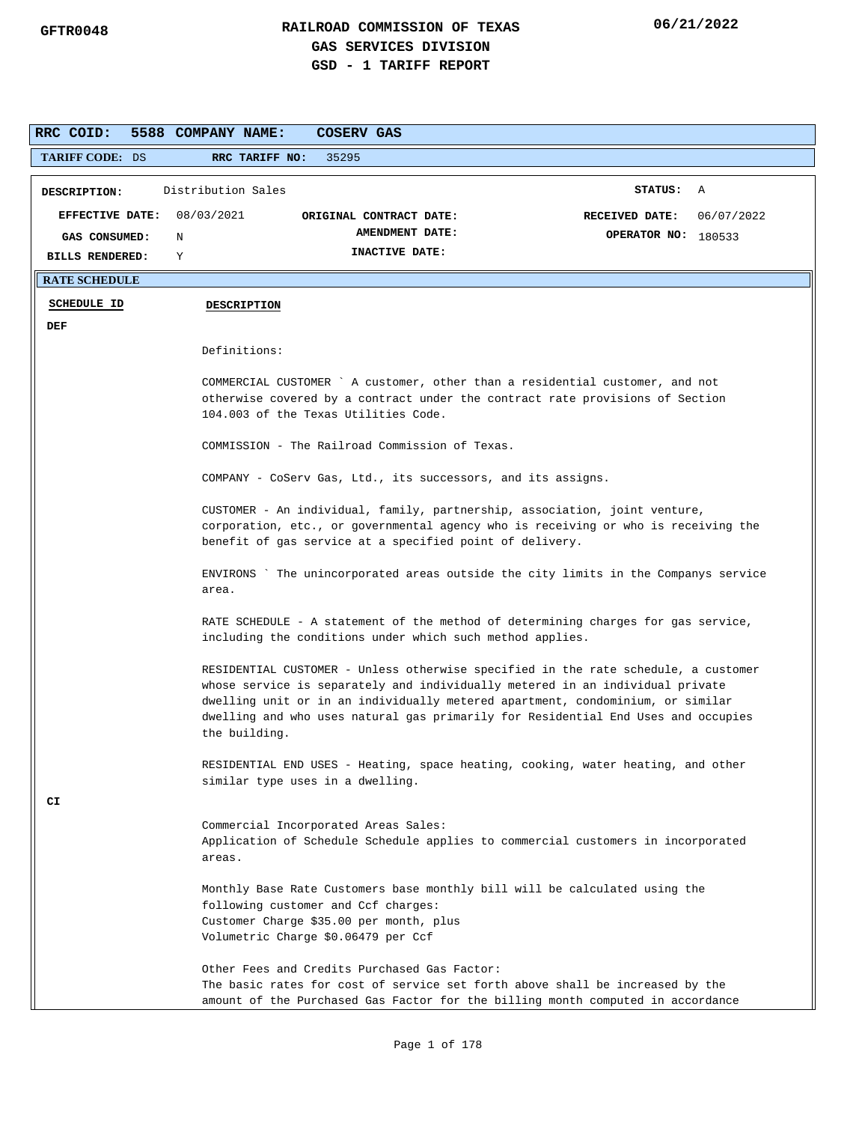| RRC COID:              | 5588 COMPANY NAME:<br>COSERV GAS                                                                                                                                                                                                                                                                                                                            |  |
|------------------------|-------------------------------------------------------------------------------------------------------------------------------------------------------------------------------------------------------------------------------------------------------------------------------------------------------------------------------------------------------------|--|
| <b>TARIFF CODE: DS</b> | 35295<br>RRC TARIFF NO:                                                                                                                                                                                                                                                                                                                                     |  |
| DESCRIPTION:           | Distribution Sales<br>STATUS: A                                                                                                                                                                                                                                                                                                                             |  |
| <b>EFFECTIVE DATE:</b> | 08/03/2021<br>RECEIVED DATE:<br>06/07/2022<br>ORIGINAL CONTRACT DATE:                                                                                                                                                                                                                                                                                       |  |
| GAS CONSUMED:          | AMENDMENT DATE:<br>OPERATOR NO: 180533<br>N                                                                                                                                                                                                                                                                                                                 |  |
| <b>BILLS RENDERED:</b> | INACTIVE DATE:<br>Υ                                                                                                                                                                                                                                                                                                                                         |  |
| <b>RATE SCHEDULE</b>   |                                                                                                                                                                                                                                                                                                                                                             |  |
| <b>SCHEDULE ID</b>     | <b>DESCRIPTION</b>                                                                                                                                                                                                                                                                                                                                          |  |
| DEF                    |                                                                                                                                                                                                                                                                                                                                                             |  |
|                        | Definitions:                                                                                                                                                                                                                                                                                                                                                |  |
|                        | COMMERCIAL CUSTOMER `A customer, other than a residential customer, and not<br>otherwise covered by a contract under the contract rate provisions of Section<br>104.003 of the Texas Utilities Code.                                                                                                                                                        |  |
|                        | COMMISSION - The Railroad Commission of Texas.                                                                                                                                                                                                                                                                                                              |  |
|                        | COMPANY - CoServ Gas, Ltd., its successors, and its assigns.                                                                                                                                                                                                                                                                                                |  |
|                        | CUSTOMER - An individual, family, partnership, association, joint venture,<br>corporation, etc., or governmental agency who is receiving or who is receiving the<br>benefit of gas service at a specified point of delivery.                                                                                                                                |  |
|                        | ENVIRONS `The unincorporated areas outside the city limits in the Companys service<br>area.                                                                                                                                                                                                                                                                 |  |
|                        | RATE SCHEDULE - A statement of the method of determining charges for gas service,<br>including the conditions under which such method applies.                                                                                                                                                                                                              |  |
|                        | RESIDENTIAL CUSTOMER - Unless otherwise specified in the rate schedule, a customer<br>whose service is separately and individually metered in an individual private<br>dwelling unit or in an individually metered apartment, condominium, or similar<br>dwelling and who uses natural gas primarily for Residential End Uses and occupies<br>the building. |  |
|                        | RESIDENTIAL END USES - Heating, space heating, cooking, water heating, and other<br>similar type uses in a dwelling.                                                                                                                                                                                                                                        |  |
| CI                     | Commercial Incorporated Areas Sales:<br>Application of Schedule Schedule applies to commercial customers in incorporated<br>areas.                                                                                                                                                                                                                          |  |
|                        | Monthly Base Rate Customers base monthly bill will be calculated using the<br>following customer and Ccf charges:<br>Customer Charge \$35.00 per month, plus<br>Volumetric Charge \$0.06479 per Ccf                                                                                                                                                         |  |
|                        | Other Fees and Credits Purchased Gas Factor:<br>The basic rates for cost of service set forth above shall be increased by the<br>amount of the Purchased Gas Factor for the billing month computed in accordance                                                                                                                                            |  |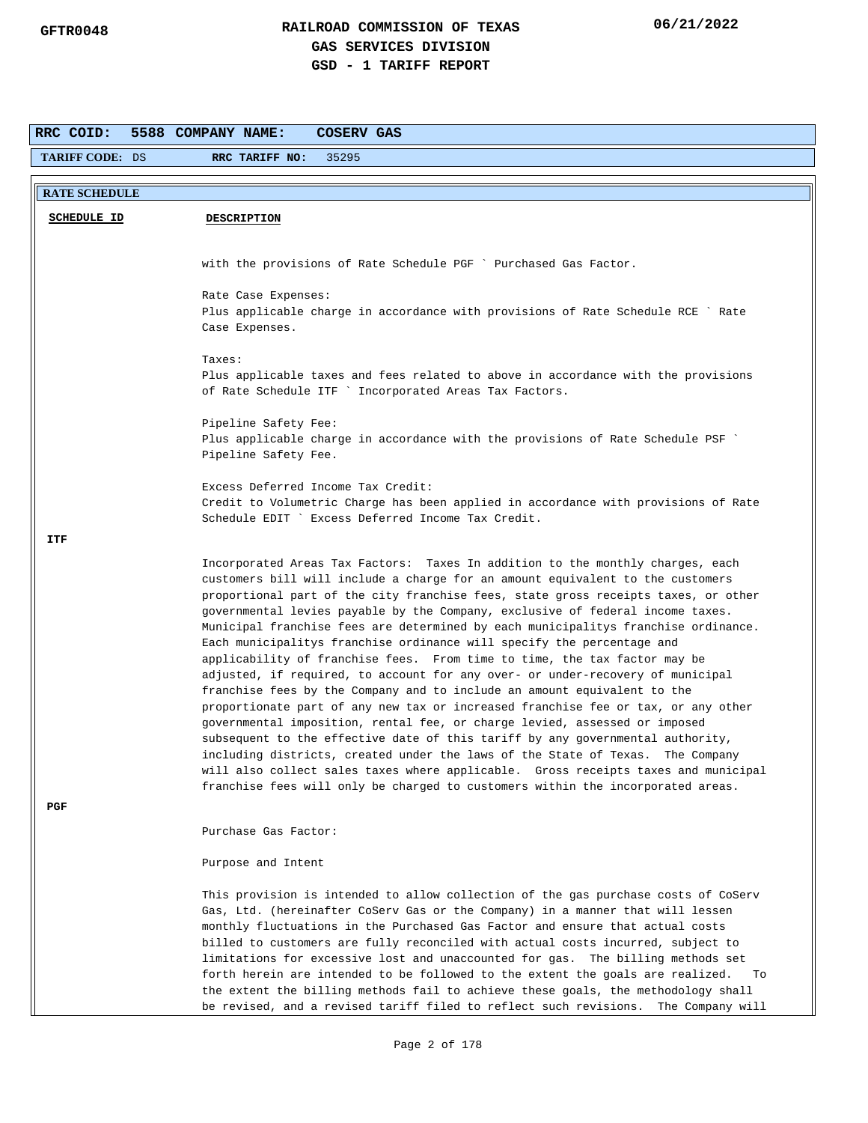| RRC COID:              | 5588 COMPANY NAME:<br>COSERV GAS                                                                                                                                                                                                                                                                                                                                                                                                                                                                                                                                                                         |
|------------------------|----------------------------------------------------------------------------------------------------------------------------------------------------------------------------------------------------------------------------------------------------------------------------------------------------------------------------------------------------------------------------------------------------------------------------------------------------------------------------------------------------------------------------------------------------------------------------------------------------------|
| <b>TARIFF CODE: DS</b> | RRC TARIFF NO:<br>35295                                                                                                                                                                                                                                                                                                                                                                                                                                                                                                                                                                                  |
| <b>RATE SCHEDULE</b>   |                                                                                                                                                                                                                                                                                                                                                                                                                                                                                                                                                                                                          |
| <b>SCHEDULE ID</b>     | <b>DESCRIPTION</b>                                                                                                                                                                                                                                                                                                                                                                                                                                                                                                                                                                                       |
|                        |                                                                                                                                                                                                                                                                                                                                                                                                                                                                                                                                                                                                          |
|                        | with the provisions of Rate Schedule PGF ` Purchased Gas Factor.                                                                                                                                                                                                                                                                                                                                                                                                                                                                                                                                         |
|                        | Rate Case Expenses:                                                                                                                                                                                                                                                                                                                                                                                                                                                                                                                                                                                      |
|                        | Plus applicable charge in accordance with provisions of Rate Schedule RCE ` Rate<br>Case Expenses.                                                                                                                                                                                                                                                                                                                                                                                                                                                                                                       |
|                        | Taxes:                                                                                                                                                                                                                                                                                                                                                                                                                                                                                                                                                                                                   |
|                        | Plus applicable taxes and fees related to above in accordance with the provisions<br>of Rate Schedule ITF ` Incorporated Areas Tax Factors.                                                                                                                                                                                                                                                                                                                                                                                                                                                              |
|                        | Pipeline Safety Fee:                                                                                                                                                                                                                                                                                                                                                                                                                                                                                                                                                                                     |
|                        | Plus applicable charge in accordance with the provisions of Rate Schedule PSF<br>Pipeline Safety Fee.                                                                                                                                                                                                                                                                                                                                                                                                                                                                                                    |
|                        | Excess Deferred Income Tax Credit:                                                                                                                                                                                                                                                                                                                                                                                                                                                                                                                                                                       |
|                        | Credit to Volumetric Charge has been applied in accordance with provisions of Rate                                                                                                                                                                                                                                                                                                                                                                                                                                                                                                                       |
|                        | Schedule EDIT ` Excess Deferred Income Tax Credit.                                                                                                                                                                                                                                                                                                                                                                                                                                                                                                                                                       |
| ITF                    |                                                                                                                                                                                                                                                                                                                                                                                                                                                                                                                                                                                                          |
|                        | Incorporated Areas Tax Factors: Taxes In addition to the monthly charges, each<br>customers bill will include a charge for an amount equivalent to the customers<br>proportional part of the city franchise fees, state gross receipts taxes, or other<br>governmental levies payable by the Company, exclusive of federal income taxes.                                                                                                                                                                                                                                                                 |
|                        | Municipal franchise fees are determined by each municipalitys franchise ordinance.<br>Each municipalitys franchise ordinance will specify the percentage and<br>applicability of franchise fees. From time to time, the tax factor may be<br>adjusted, if required, to account for any over- or under-recovery of municipal                                                                                                                                                                                                                                                                              |
|                        | franchise fees by the Company and to include an amount equivalent to the<br>proportionate part of any new tax or increased franchise fee or tax, or any other<br>governmental imposition, rental fee, or charge levied, assessed or imposed                                                                                                                                                                                                                                                                                                                                                              |
|                        | subsequent to the effective date of this tariff by any governmental authority,                                                                                                                                                                                                                                                                                                                                                                                                                                                                                                                           |
|                        | including districts, created under the laws of the State of Texas. The Company<br>will also collect sales taxes where applicable. Gross receipts taxes and municipal                                                                                                                                                                                                                                                                                                                                                                                                                                     |
| PGF                    | franchise fees will only be charged to customers within the incorporated areas.                                                                                                                                                                                                                                                                                                                                                                                                                                                                                                                          |
|                        | Purchase Gas Factor:                                                                                                                                                                                                                                                                                                                                                                                                                                                                                                                                                                                     |
|                        | Purpose and Intent                                                                                                                                                                                                                                                                                                                                                                                                                                                                                                                                                                                       |
|                        | This provision is intended to allow collection of the gas purchase costs of CoServ<br>Gas, Ltd. (hereinafter CoServ Gas or the Company) in a manner that will lessen<br>monthly fluctuations in the Purchased Gas Factor and ensure that actual costs<br>billed to customers are fully reconciled with actual costs incurred, subject to<br>limitations for excessive lost and unaccounted for gas. The billing methods set<br>forth herein are intended to be followed to the extent the goals are realized.<br>To<br>the extent the billing methods fail to achieve these goals, the methodology shall |
|                        | be revised, and a revised tariff filed to reflect such revisions. The Company will                                                                                                                                                                                                                                                                                                                                                                                                                                                                                                                       |
|                        |                                                                                                                                                                                                                                                                                                                                                                                                                                                                                                                                                                                                          |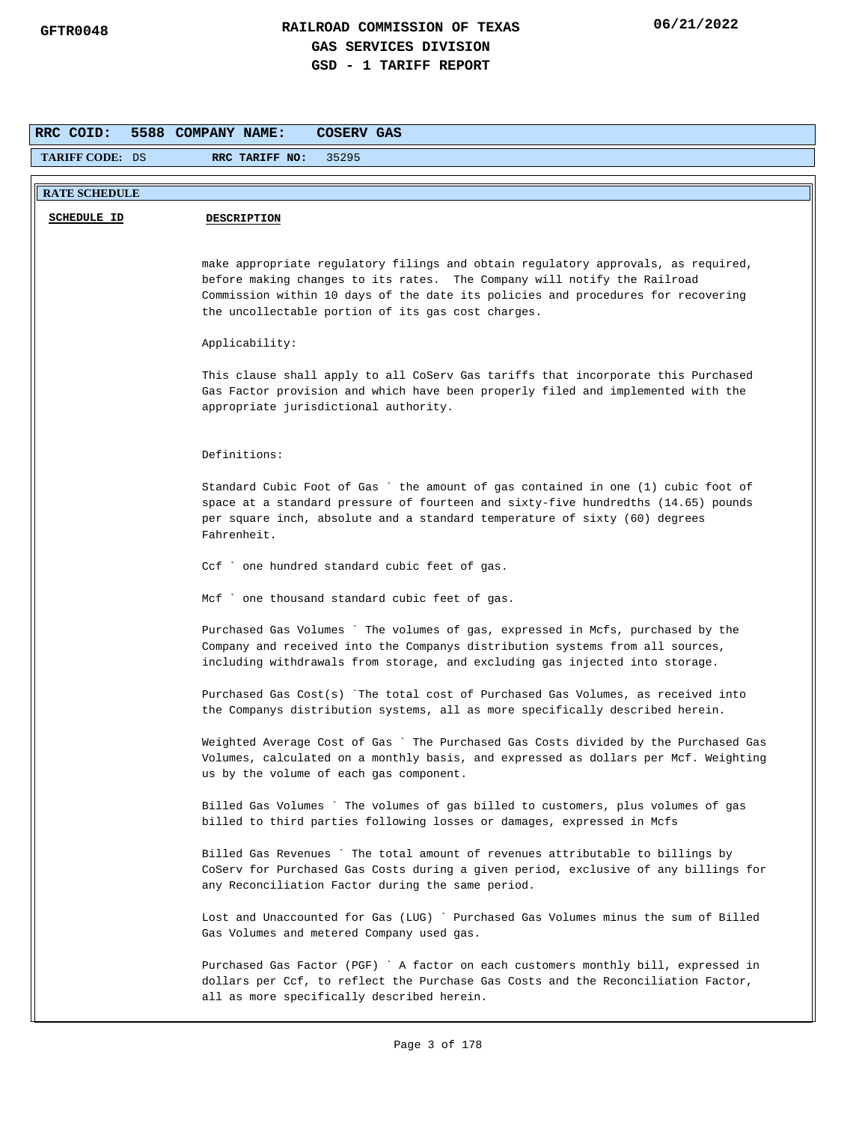| RRC COID:              | 5588 COMPANY NAME:<br><b>COSERV GAS</b>                                                                                                                                                                                                                                                                 |
|------------------------|---------------------------------------------------------------------------------------------------------------------------------------------------------------------------------------------------------------------------------------------------------------------------------------------------------|
| <b>TARIFF CODE: DS</b> | RRC TARIFF NO:<br>35295                                                                                                                                                                                                                                                                                 |
| <b>RATE SCHEDULE</b>   |                                                                                                                                                                                                                                                                                                         |
| <b>SCHEDULE ID</b>     | <b>DESCRIPTION</b>                                                                                                                                                                                                                                                                                      |
|                        |                                                                                                                                                                                                                                                                                                         |
|                        | make appropriate regulatory filings and obtain regulatory approvals, as required,<br>before making changes to its rates. The Company will notify the Railroad<br>Commission within 10 days of the date its policies and procedures for recovering<br>the uncollectable portion of its gas cost charges. |
|                        | Applicability:                                                                                                                                                                                                                                                                                          |
|                        | This clause shall apply to all CoServ Gas tariffs that incorporate this Purchased<br>Gas Factor provision and which have been properly filed and implemented with the<br>appropriate jurisdictional authority.                                                                                          |
|                        | Definitions:                                                                                                                                                                                                                                                                                            |
|                        | Standard Cubic Foot of Gas `the amount of gas contained in one (1) cubic foot of<br>space at a standard pressure of fourteen and sixty-five hundredths (14.65) pounds<br>per square inch, absolute and a standard temperature of sixty (60) degrees<br>Fahrenheit.                                      |
|                        | Ccf ` one hundred standard cubic feet of gas.                                                                                                                                                                                                                                                           |
|                        | Mcf ` one thousand standard cubic feet of gas.                                                                                                                                                                                                                                                          |
|                        | Purchased Gas Volumes ` The volumes of gas, expressed in Mcfs, purchased by the<br>Company and received into the Companys distribution systems from all sources,<br>including withdrawals from storage, and excluding gas injected into storage.                                                        |
|                        | Purchased Gas Cost(s) `The total cost of Purchased Gas Volumes, as received into<br>the Companys distribution systems, all as more specifically described herein.                                                                                                                                       |
|                        | Weighted Average Cost of Gas ` The Purchased Gas Costs divided by the Purchased Gas<br>Volumes, calculated on a monthly basis, and expressed as dollars per Mcf. Weighting<br>us by the volume of each gas component.                                                                                   |
|                        | Billed Gas Volumes `The volumes of gas billed to customers, plus volumes of gas<br>billed to third parties following losses or damages, expressed in Mcfs                                                                                                                                               |
|                        | Billed Gas Revenues ` The total amount of revenues attributable to billings by<br>CoServ for Purchased Gas Costs during a given period, exclusive of any billings for<br>any Reconciliation Factor during the same period.                                                                              |
|                        | Lost and Unaccounted for Gas (LUG) ` Purchased Gas Volumes minus the sum of Billed<br>Gas Volumes and metered Company used gas.                                                                                                                                                                         |
|                        | Purchased Gas Factor (PGF) ` A factor on each customers monthly bill, expressed in<br>dollars per Ccf, to reflect the Purchase Gas Costs and the Reconciliation Factor,<br>all as more specifically described herein.                                                                                   |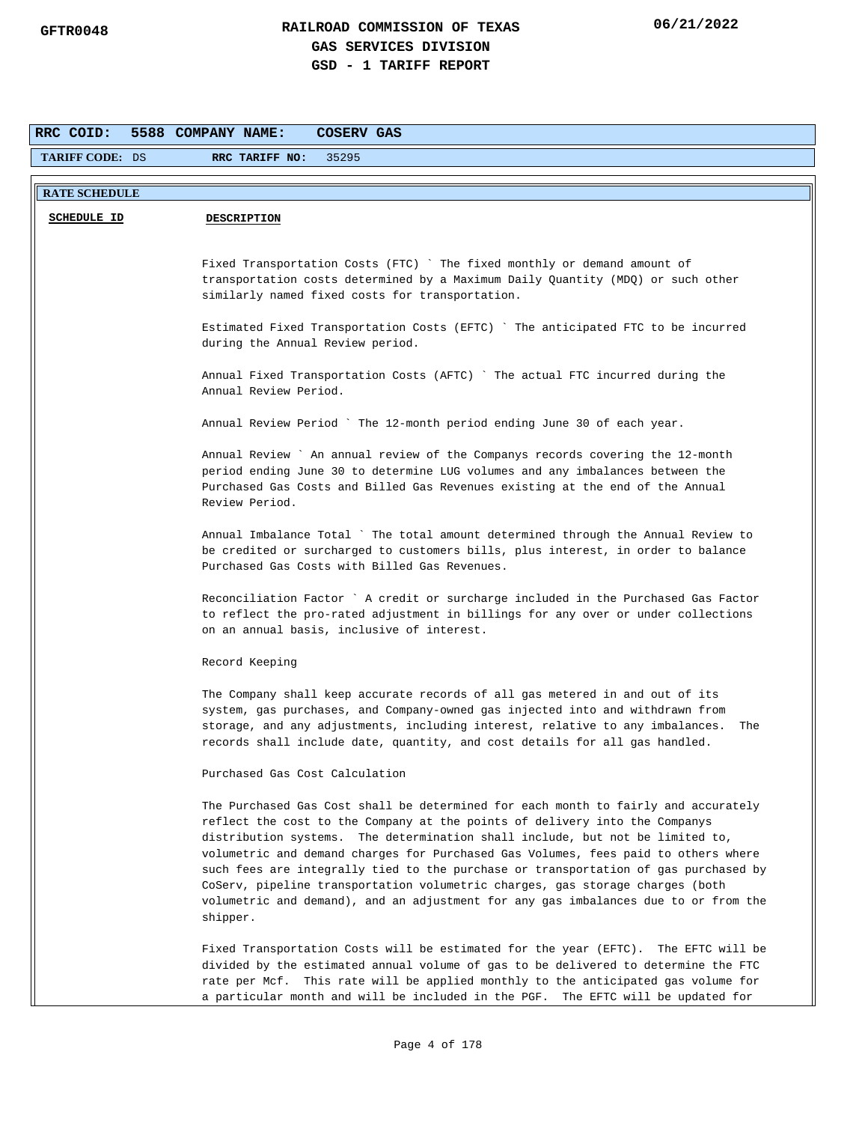| RRC COID:              | 5588 COMPANY NAME:<br>COSERV GAS                                                                                                                                    |
|------------------------|---------------------------------------------------------------------------------------------------------------------------------------------------------------------|
| <b>TARIFF CODE: DS</b> | 35295<br>RRC TARIFF NO:                                                                                                                                             |
| <b>RATE SCHEDULE</b>   |                                                                                                                                                                     |
| <b>SCHEDULE ID</b>     | <b>DESCRIPTION</b>                                                                                                                                                  |
|                        |                                                                                                                                                                     |
|                        | Fixed Transportation Costs (FTC) `The fixed monthly or demand amount of                                                                                             |
|                        | transportation costs determined by a Maximum Daily Quantity (MDQ) or such other                                                                                     |
|                        | similarly named fixed costs for transportation.                                                                                                                     |
|                        | Estimated Fixed Transportation Costs (EFTC) `The anticipated FTC to be incurred                                                                                     |
|                        | during the Annual Review period.                                                                                                                                    |
|                        | Annual Fixed Transportation Costs (AFTC) ` The actual FTC incurred during the                                                                                       |
|                        | Annual Review Period.                                                                                                                                               |
|                        | Annual Review Period ` The 12-month period ending June 30 of each year.                                                                                             |
|                        |                                                                                                                                                                     |
|                        | Annual Review ` An annual review of the Companys records covering the 12-month<br>period ending June 30 to determine LUG volumes and any imbalances between the     |
|                        | Purchased Gas Costs and Billed Gas Revenues existing at the end of the Annual                                                                                       |
|                        | Review Period.                                                                                                                                                      |
|                        | Annual Imbalance Total ` The total amount determined through the Annual Review to                                                                                   |
|                        | be credited or surcharged to customers bills, plus interest, in order to balance                                                                                    |
|                        | Purchased Gas Costs with Billed Gas Revenues.                                                                                                                       |
|                        | Reconciliation Factor ` A credit or surcharge included in the Purchased Gas Factor                                                                                  |
|                        | to reflect the pro-rated adjustment in billings for any over or under collections                                                                                   |
|                        | on an annual basis, inclusive of interest.                                                                                                                          |
|                        | Record Keeping                                                                                                                                                      |
|                        | The Company shall keep accurate records of all gas metered in and out of its                                                                                        |
|                        | system, gas purchases, and Company-owned gas injected into and withdrawn from                                                                                       |
|                        | storage, and any adjustments, including interest, relative to any imbalances.<br>The<br>records shall include date, quantity, and cost details for all gas handled. |
|                        |                                                                                                                                                                     |
|                        | Purchased Gas Cost Calculation                                                                                                                                      |
|                        | The Purchased Gas Cost shall be determined for each month to fairly and accurately                                                                                  |
|                        | reflect the cost to the Company at the points of delivery into the Companys<br>distribution systems. The determination shall include, but not be limited to,        |
|                        | volumetric and demand charges for Purchased Gas Volumes, fees paid to others where                                                                                  |
|                        | such fees are integrally tied to the purchase or transportation of gas purchased by                                                                                 |
|                        | CoServ, pipeline transportation volumetric charges, gas storage charges (both                                                                                       |
|                        | volumetric and demand), and an adjustment for any gas imbalances due to or from the<br>shipper.                                                                     |
|                        | Fixed Transportation Costs will be estimated for the year (EFTC). The EFTC will be                                                                                  |
|                        | divided by the estimated annual volume of gas to be delivered to determine the FTC                                                                                  |
|                        | rate per Mcf. This rate will be applied monthly to the anticipated gas volume for                                                                                   |
|                        | a particular month and will be included in the PGF. The EFTC will be updated for                                                                                    |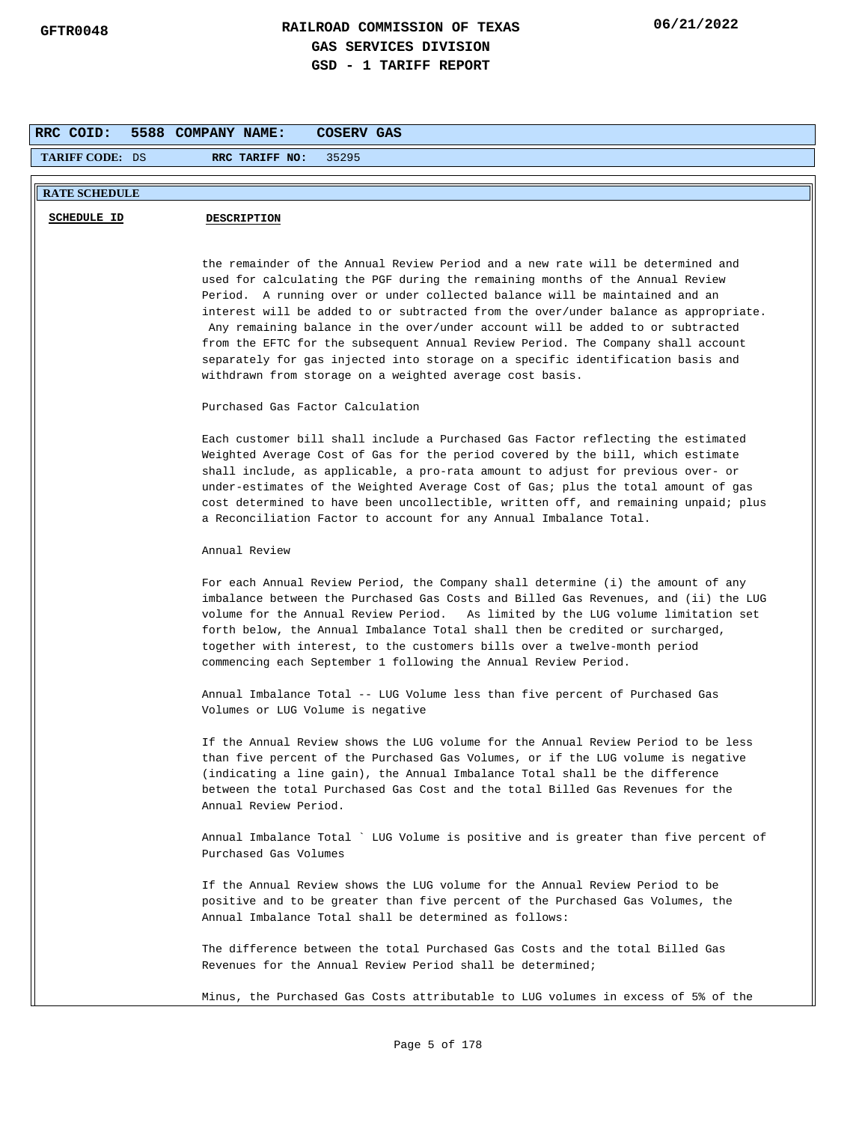| RRC COID:              | 5588 COMPANY NAME:<br>COSERV GAS                                                                                                                                                                                                                                                                                                                                                                                                                                                                                                                                                                                                                            |
|------------------------|-------------------------------------------------------------------------------------------------------------------------------------------------------------------------------------------------------------------------------------------------------------------------------------------------------------------------------------------------------------------------------------------------------------------------------------------------------------------------------------------------------------------------------------------------------------------------------------------------------------------------------------------------------------|
| <b>TARIFF CODE: DS</b> | RRC TARIFF NO:<br>35295                                                                                                                                                                                                                                                                                                                                                                                                                                                                                                                                                                                                                                     |
| <b>RATE SCHEDULE</b>   |                                                                                                                                                                                                                                                                                                                                                                                                                                                                                                                                                                                                                                                             |
| <b>SCHEDULE ID</b>     | <b>DESCRIPTION</b>                                                                                                                                                                                                                                                                                                                                                                                                                                                                                                                                                                                                                                          |
|                        |                                                                                                                                                                                                                                                                                                                                                                                                                                                                                                                                                                                                                                                             |
|                        | the remainder of the Annual Review Period and a new rate will be determined and<br>used for calculating the PGF during the remaining months of the Annual Review<br>Period. A running over or under collected balance will be maintained and an<br>interest will be added to or subtracted from the over/under balance as appropriate.<br>Any remaining balance in the over/under account will be added to or subtracted<br>from the EFTC for the subsequent Annual Review Period. The Company shall account<br>separately for gas injected into storage on a specific identification basis and<br>withdrawn from storage on a weighted average cost basis. |
|                        | Purchased Gas Factor Calculation                                                                                                                                                                                                                                                                                                                                                                                                                                                                                                                                                                                                                            |
|                        | Each customer bill shall include a Purchased Gas Factor reflecting the estimated<br>Weighted Average Cost of Gas for the period covered by the bill, which estimate<br>shall include, as applicable, a pro-rata amount to adjust for previous over- or<br>under-estimates of the Weighted Average Cost of Gas; plus the total amount of gas<br>cost determined to have been uncollectible, written off, and remaining unpaid; plus<br>a Reconciliation Factor to account for any Annual Imbalance Total.                                                                                                                                                    |
|                        | Annual Review                                                                                                                                                                                                                                                                                                                                                                                                                                                                                                                                                                                                                                               |
|                        | For each Annual Review Period, the Company shall determine (i) the amount of any<br>imbalance between the Purchased Gas Costs and Billed Gas Revenues, and (ii) the LUG<br>volume for the Annual Review Period. As limited by the LUG volume limitation set<br>forth below, the Annual Imbalance Total shall then be credited or surcharged,<br>together with interest, to the customers bills over a twelve-month period<br>commencing each September 1 following the Annual Review Period.                                                                                                                                                                |
|                        | Annual Imbalance Total -- LUG Volume less than five percent of Purchased Gas<br>Volumes or LUG Volume is negative                                                                                                                                                                                                                                                                                                                                                                                                                                                                                                                                           |
|                        | If the Annual Review shows the LUG volume for the Annual Review Period to be less<br>than five percent of the Purchased Gas Volumes, or if the LUG volume is negative<br>(indicating a line gain), the Annual Imbalance Total shall be the difference<br>between the total Purchased Gas Cost and the total Billed Gas Revenues for the<br>Annual Review Period.                                                                                                                                                                                                                                                                                            |
|                        | Annual Imbalance Total ` LUG Volume is positive and is greater than five percent of<br>Purchased Gas Volumes                                                                                                                                                                                                                                                                                                                                                                                                                                                                                                                                                |
|                        | If the Annual Review shows the LUG volume for the Annual Review Period to be<br>positive and to be greater than five percent of the Purchased Gas Volumes, the<br>Annual Imbalance Total shall be determined as follows:                                                                                                                                                                                                                                                                                                                                                                                                                                    |
|                        | The difference between the total Purchased Gas Costs and the total Billed Gas<br>Revenues for the Annual Review Period shall be determined;                                                                                                                                                                                                                                                                                                                                                                                                                                                                                                                 |
|                        | Minus, the Purchased Gas Costs attributable to LUG volumes in excess of 5% of the                                                                                                                                                                                                                                                                                                                                                                                                                                                                                                                                                                           |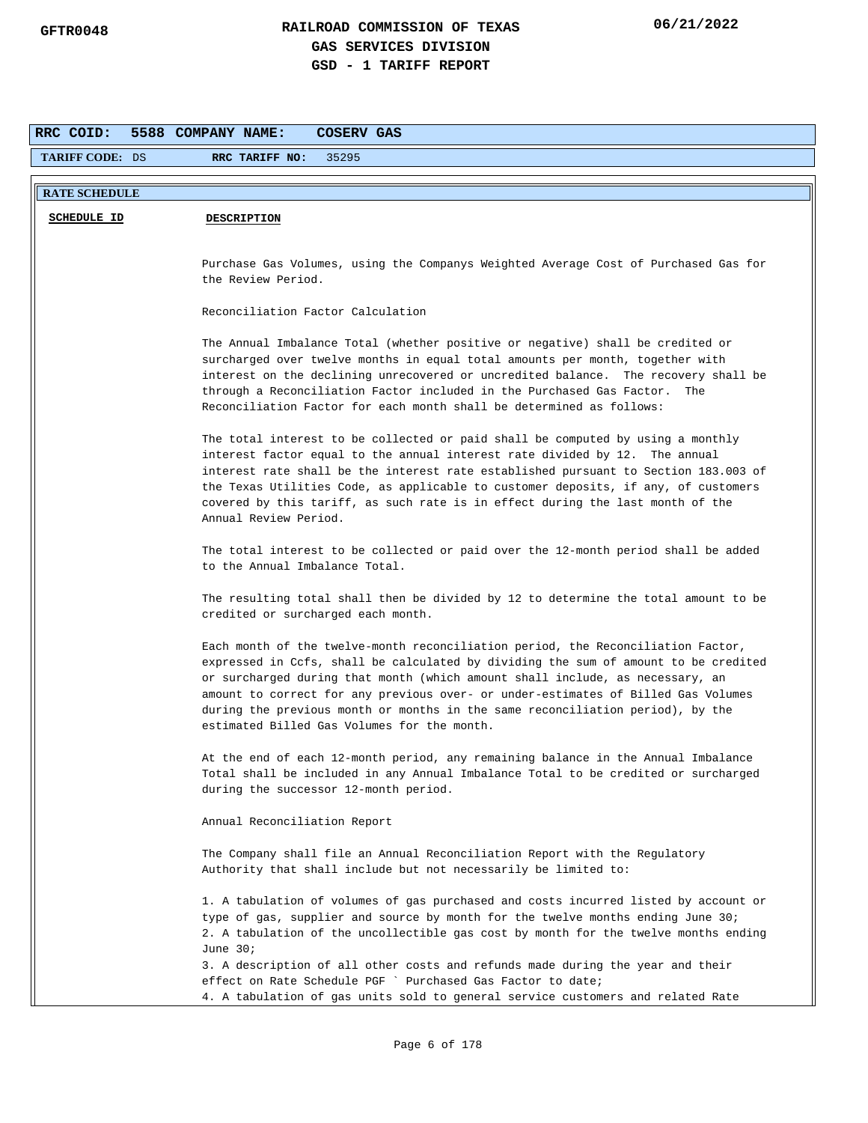| RRC COID:              | 5588 COMPANY NAME:<br>COSERV GAS                                                                                                                                     |
|------------------------|----------------------------------------------------------------------------------------------------------------------------------------------------------------------|
| <b>TARIFF CODE: DS</b> | RRC TARIFF NO:<br>35295                                                                                                                                              |
|                        |                                                                                                                                                                      |
| <b>RATE SCHEDULE</b>   |                                                                                                                                                                      |
| <b>SCHEDULE ID</b>     | <b>DESCRIPTION</b>                                                                                                                                                   |
|                        |                                                                                                                                                                      |
|                        | Purchase Gas Volumes, using the Companys Weighted Average Cost of Purchased Gas for                                                                                  |
|                        | the Review Period.                                                                                                                                                   |
|                        | Reconciliation Factor Calculation                                                                                                                                    |
|                        |                                                                                                                                                                      |
|                        | The Annual Imbalance Total (whether positive or negative) shall be credited or                                                                                       |
|                        | surcharged over twelve months in equal total amounts per month, together with                                                                                        |
|                        | interest on the declining unrecovered or uncredited balance. The recovery shall be                                                                                   |
|                        | through a Reconciliation Factor included in the Purchased Gas Factor.<br>The<br>Reconciliation Factor for each month shall be determined as follows:                 |
|                        |                                                                                                                                                                      |
|                        | The total interest to be collected or paid shall be computed by using a monthly                                                                                      |
|                        | interest factor equal to the annual interest rate divided by 12. The annual                                                                                          |
|                        | interest rate shall be the interest rate established pursuant to Section 183.003 of                                                                                  |
|                        | the Texas Utilities Code, as applicable to customer deposits, if any, of customers<br>covered by this tariff, as such rate is in effect during the last month of the |
|                        | Annual Review Period.                                                                                                                                                |
|                        |                                                                                                                                                                      |
|                        | The total interest to be collected or paid over the 12-month period shall be added                                                                                   |
|                        | to the Annual Imbalance Total.                                                                                                                                       |
|                        | The resulting total shall then be divided by 12 to determine the total amount to be                                                                                  |
|                        | credited or surcharged each month.                                                                                                                                   |
|                        |                                                                                                                                                                      |
|                        | Each month of the twelve-month reconciliation period, the Reconciliation Factor,                                                                                     |
|                        | expressed in Ccfs, shall be calculated by dividing the sum of amount to be credited<br>or surcharged during that month (which amount shall include, as necessary, an |
|                        | amount to correct for any previous over- or under-estimates of Billed Gas Volumes                                                                                    |
|                        | during the previous month or months in the same reconciliation period), by the                                                                                       |
|                        | estimated Billed Gas Volumes for the month.                                                                                                                          |
|                        | At the end of each 12-month period, any remaining balance in the Annual Imbalance                                                                                    |
|                        | Total shall be included in any Annual Imbalance Total to be credited or surcharged                                                                                   |
|                        | during the successor 12-month period.                                                                                                                                |
|                        |                                                                                                                                                                      |
|                        | Annual Reconciliation Report                                                                                                                                         |
|                        | The Company shall file an Annual Reconciliation Report with the Regulatory                                                                                           |
|                        | Authority that shall include but not necessarily be limited to:                                                                                                      |
|                        | 1. A tabulation of volumes of gas purchased and costs incurred listed by account or                                                                                  |
|                        | type of gas, supplier and source by month for the twelve months ending June 30;                                                                                      |
|                        | 2. A tabulation of the uncollectible gas cost by month for the twelve months ending                                                                                  |
|                        | June $30i$                                                                                                                                                           |
|                        | 3. A description of all other costs and refunds made during the year and their                                                                                       |
|                        | effect on Rate Schedule PGF ` Purchased Gas Factor to date;                                                                                                          |
|                        | 4. A tabulation of gas units sold to general service customers and related Rate                                                                                      |
|                        |                                                                                                                                                                      |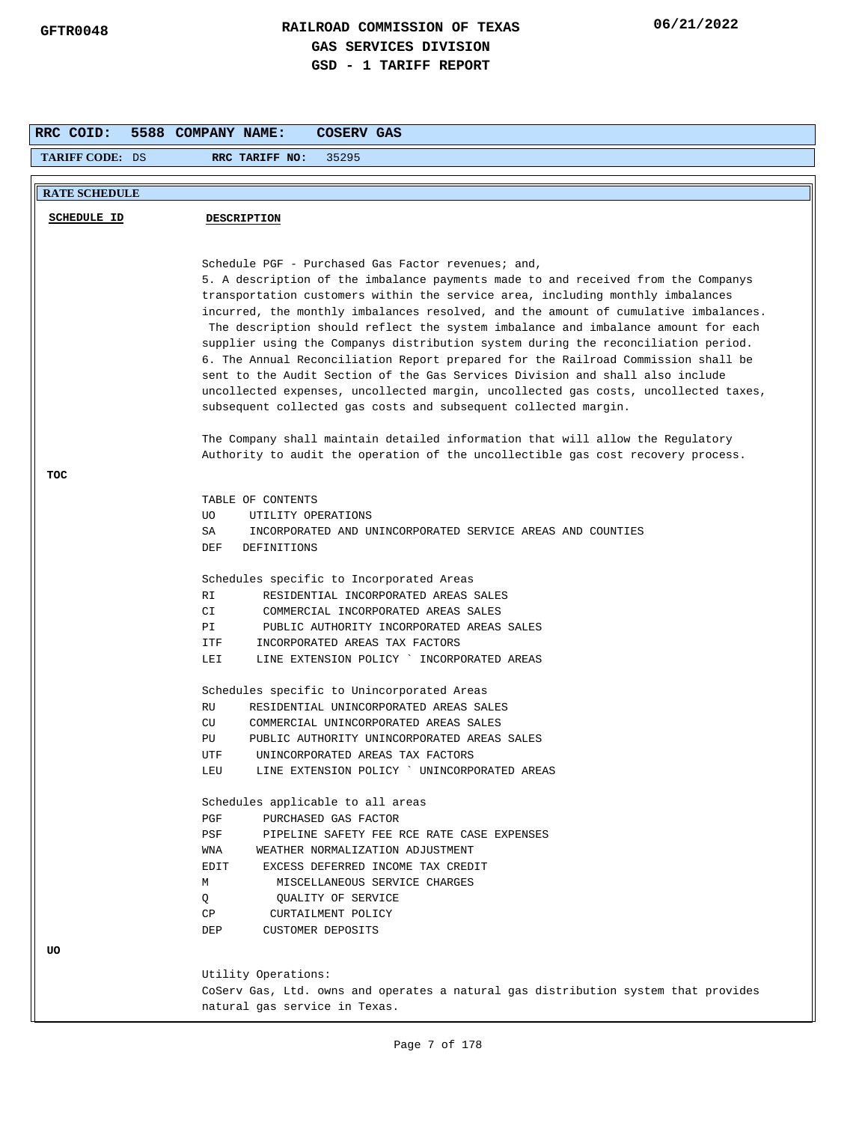| RRC COID:              | 5588 COMPANY NAME:<br><b>COSERV GAS</b>                                                                                                                                                                                                                                                                                                                                                                                                                                                                                                                                                                                                                                                                                                                              |
|------------------------|----------------------------------------------------------------------------------------------------------------------------------------------------------------------------------------------------------------------------------------------------------------------------------------------------------------------------------------------------------------------------------------------------------------------------------------------------------------------------------------------------------------------------------------------------------------------------------------------------------------------------------------------------------------------------------------------------------------------------------------------------------------------|
| <b>TARIFF CODE: DS</b> | RRC TARIFF NO:<br>35295                                                                                                                                                                                                                                                                                                                                                                                                                                                                                                                                                                                                                                                                                                                                              |
| <b>RATE SCHEDULE</b>   |                                                                                                                                                                                                                                                                                                                                                                                                                                                                                                                                                                                                                                                                                                                                                                      |
|                        |                                                                                                                                                                                                                                                                                                                                                                                                                                                                                                                                                                                                                                                                                                                                                                      |
| <b>SCHEDULE ID</b>     | <b>DESCRIPTION</b>                                                                                                                                                                                                                                                                                                                                                                                                                                                                                                                                                                                                                                                                                                                                                   |
|                        |                                                                                                                                                                                                                                                                                                                                                                                                                                                                                                                                                                                                                                                                                                                                                                      |
|                        | Schedule PGF - Purchased Gas Factor revenues; and,                                                                                                                                                                                                                                                                                                                                                                                                                                                                                                                                                                                                                                                                                                                   |
|                        | 5. A description of the imbalance payments made to and received from the Companys<br>transportation customers within the service area, including monthly imbalances<br>incurred, the monthly imbalances resolved, and the amount of cumulative imbalances.<br>The description should reflect the system imbalance and imbalance amount for each<br>supplier using the Companys distribution system during the reconciliation period.<br>6. The Annual Reconciliation Report prepared for the Railroad Commission shall be<br>sent to the Audit Section of the Gas Services Division and shall also include<br>uncollected expenses, uncollected margin, uncollected gas costs, uncollected taxes,<br>subsequent collected gas costs and subsequent collected margin. |
|                        | The Company shall maintain detailed information that will allow the Regulatory                                                                                                                                                                                                                                                                                                                                                                                                                                                                                                                                                                                                                                                                                       |
|                        | Authority to audit the operation of the uncollectible gas cost recovery process.                                                                                                                                                                                                                                                                                                                                                                                                                                                                                                                                                                                                                                                                                     |
| TOC                    |                                                                                                                                                                                                                                                                                                                                                                                                                                                                                                                                                                                                                                                                                                                                                                      |
|                        | TABLE OF CONTENTS                                                                                                                                                                                                                                                                                                                                                                                                                                                                                                                                                                                                                                                                                                                                                    |
|                        | UTILITY OPERATIONS<br>UO.                                                                                                                                                                                                                                                                                                                                                                                                                                                                                                                                                                                                                                                                                                                                            |
|                        | SA<br>INCORPORATED AND UNINCORPORATED SERVICE AREAS AND COUNTIES                                                                                                                                                                                                                                                                                                                                                                                                                                                                                                                                                                                                                                                                                                     |
|                        | DEF<br>DEFINITIONS                                                                                                                                                                                                                                                                                                                                                                                                                                                                                                                                                                                                                                                                                                                                                   |
|                        | Schedules specific to Incorporated Areas                                                                                                                                                                                                                                                                                                                                                                                                                                                                                                                                                                                                                                                                                                                             |
|                        | RESIDENTIAL INCORPORATED AREAS SALES<br>RI                                                                                                                                                                                                                                                                                                                                                                                                                                                                                                                                                                                                                                                                                                                           |
|                        | СI<br>COMMERCIAL INCORPORATED AREAS SALES                                                                                                                                                                                                                                                                                                                                                                                                                                                                                                                                                                                                                                                                                                                            |
|                        | РI<br>PUBLIC AUTHORITY INCORPORATED AREAS SALES                                                                                                                                                                                                                                                                                                                                                                                                                                                                                                                                                                                                                                                                                                                      |
|                        | INCORPORATED AREAS TAX FACTORS<br>ITF                                                                                                                                                                                                                                                                                                                                                                                                                                                                                                                                                                                                                                                                                                                                |
|                        | LEI<br>LINE EXTENSION POLICY ` INCORPORATED AREAS                                                                                                                                                                                                                                                                                                                                                                                                                                                                                                                                                                                                                                                                                                                    |
|                        | Schedules specific to Unincorporated Areas                                                                                                                                                                                                                                                                                                                                                                                                                                                                                                                                                                                                                                                                                                                           |
|                        | RU<br>RESIDENTIAL UNINCORPORATED AREAS SALES                                                                                                                                                                                                                                                                                                                                                                                                                                                                                                                                                                                                                                                                                                                         |
|                        | CU<br>COMMERCIAL UNINCORPORATED AREAS SALES                                                                                                                                                                                                                                                                                                                                                                                                                                                                                                                                                                                                                                                                                                                          |
|                        | PU.<br>PUBLIC AUTHORITY UNINCORPORATED AREAS SALES                                                                                                                                                                                                                                                                                                                                                                                                                                                                                                                                                                                                                                                                                                                   |
|                        | UNINCORPORATED AREAS TAX FACTORS<br>UTF                                                                                                                                                                                                                                                                                                                                                                                                                                                                                                                                                                                                                                                                                                                              |
|                        | LEU<br>LINE EXTENSION POLICY ' UNINCORPORATED AREAS                                                                                                                                                                                                                                                                                                                                                                                                                                                                                                                                                                                                                                                                                                                  |
|                        | Schedules applicable to all areas                                                                                                                                                                                                                                                                                                                                                                                                                                                                                                                                                                                                                                                                                                                                    |
|                        | PGF<br>PURCHASED GAS FACTOR                                                                                                                                                                                                                                                                                                                                                                                                                                                                                                                                                                                                                                                                                                                                          |
|                        | PSF<br>PIPELINE SAFETY FEE RCE RATE CASE EXPENSES                                                                                                                                                                                                                                                                                                                                                                                                                                                                                                                                                                                                                                                                                                                    |
|                        | WEATHER NORMALIZATION ADJUSTMENT<br>WNA                                                                                                                                                                                                                                                                                                                                                                                                                                                                                                                                                                                                                                                                                                                              |
|                        | EDIT<br>EXCESS DEFERRED INCOME TAX CREDIT                                                                                                                                                                                                                                                                                                                                                                                                                                                                                                                                                                                                                                                                                                                            |
|                        | М<br>MISCELLANEOUS SERVICE CHARGES                                                                                                                                                                                                                                                                                                                                                                                                                                                                                                                                                                                                                                                                                                                                   |
|                        | Q<br>QUALITY OF SERVICE<br>СP<br>CURTAILMENT POLICY                                                                                                                                                                                                                                                                                                                                                                                                                                                                                                                                                                                                                                                                                                                  |
|                        | DEP<br>CUSTOMER DEPOSITS                                                                                                                                                                                                                                                                                                                                                                                                                                                                                                                                                                                                                                                                                                                                             |
| UO                     |                                                                                                                                                                                                                                                                                                                                                                                                                                                                                                                                                                                                                                                                                                                                                                      |
|                        |                                                                                                                                                                                                                                                                                                                                                                                                                                                                                                                                                                                                                                                                                                                                                                      |
|                        | Utility Operations:                                                                                                                                                                                                                                                                                                                                                                                                                                                                                                                                                                                                                                                                                                                                                  |
|                        | CoServ Gas, Ltd. owns and operates a natural gas distribution system that provides                                                                                                                                                                                                                                                                                                                                                                                                                                                                                                                                                                                                                                                                                   |
|                        | natural gas service in Texas.                                                                                                                                                                                                                                                                                                                                                                                                                                                                                                                                                                                                                                                                                                                                        |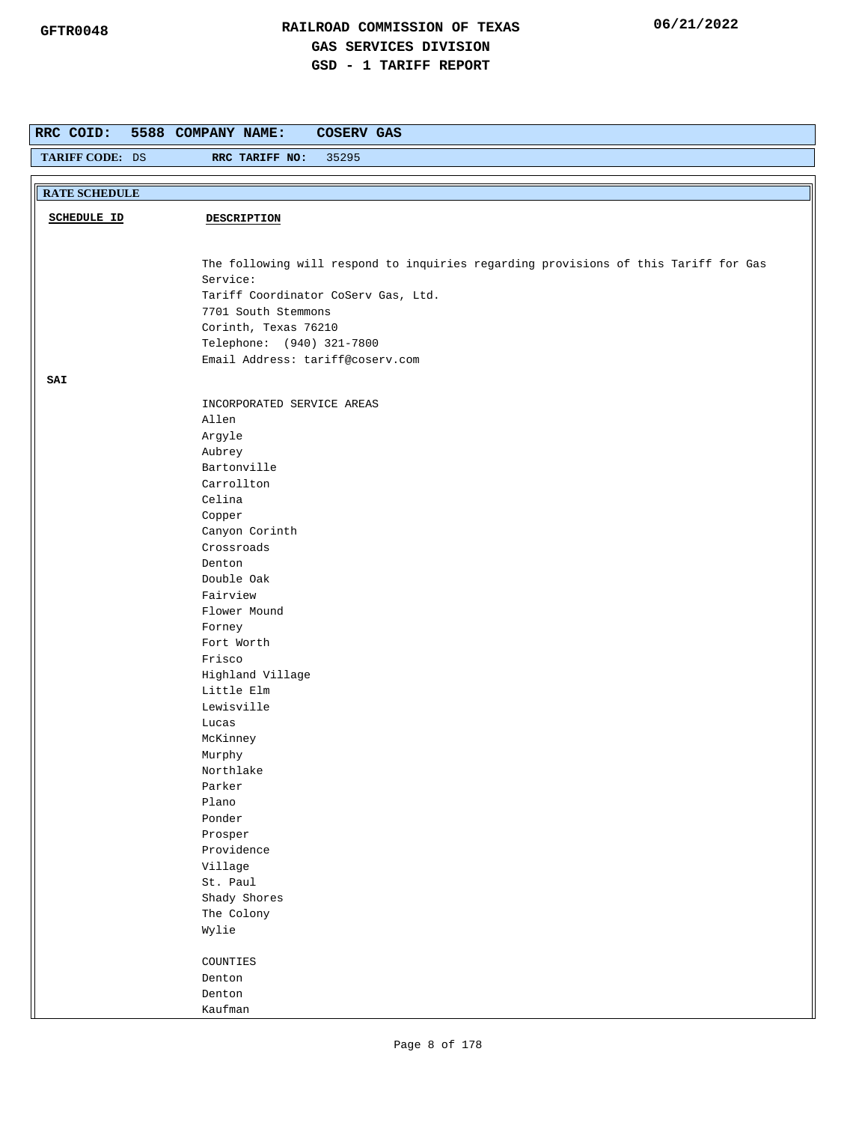| RRC COID:            | 5588 COMPANY NAME:<br><b>COSERV GAS</b>                                                                                                                                                                                                                                                 |
|----------------------|-----------------------------------------------------------------------------------------------------------------------------------------------------------------------------------------------------------------------------------------------------------------------------------------|
| TARIFF CODE: DS      | 35295<br>RRC TARIFF NO:                                                                                                                                                                                                                                                                 |
|                      |                                                                                                                                                                                                                                                                                         |
| <b>RATE SCHEDULE</b> |                                                                                                                                                                                                                                                                                         |
| <b>SCHEDULE ID</b>   | <b>DESCRIPTION</b>                                                                                                                                                                                                                                                                      |
|                      | The following will respond to inquiries regarding provisions of this Tariff for Gas<br>Service:<br>Tariff Coordinator CoServ Gas, Ltd.<br>7701 South Stemmons<br>Corinth, Texas 76210<br>Telephone: (940) 321-7800<br>Email Address: tariff@coserv.com                                  |
| SAI                  |                                                                                                                                                                                                                                                                                         |
|                      | INCORPORATED SERVICE AREAS<br>Allen<br>Argyle<br>Aubrey<br>Bartonville<br>Carrollton<br>Celina<br>Copper<br>Canyon Corinth<br>Crossroads<br>Denton<br>Double Oak<br>Fairview<br>Flower Mound<br>Forney<br>Fort Worth<br>Frisco<br>Highland Village<br>Little Elm<br>Lewisville<br>Lucas |
|                      | McKinney<br>Murphy                                                                                                                                                                                                                                                                      |
|                      | Northlake<br>Parker<br>Plano                                                                                                                                                                                                                                                            |
|                      | Ponder<br>Prosper<br>Providence                                                                                                                                                                                                                                                         |
|                      | Village<br>St. Paul                                                                                                                                                                                                                                                                     |
|                      | Shady Shores<br>The Colony<br>Wylie                                                                                                                                                                                                                                                     |
|                      | COUNTIES<br>Denton<br>Denton                                                                                                                                                                                                                                                            |
|                      | Kaufman                                                                                                                                                                                                                                                                                 |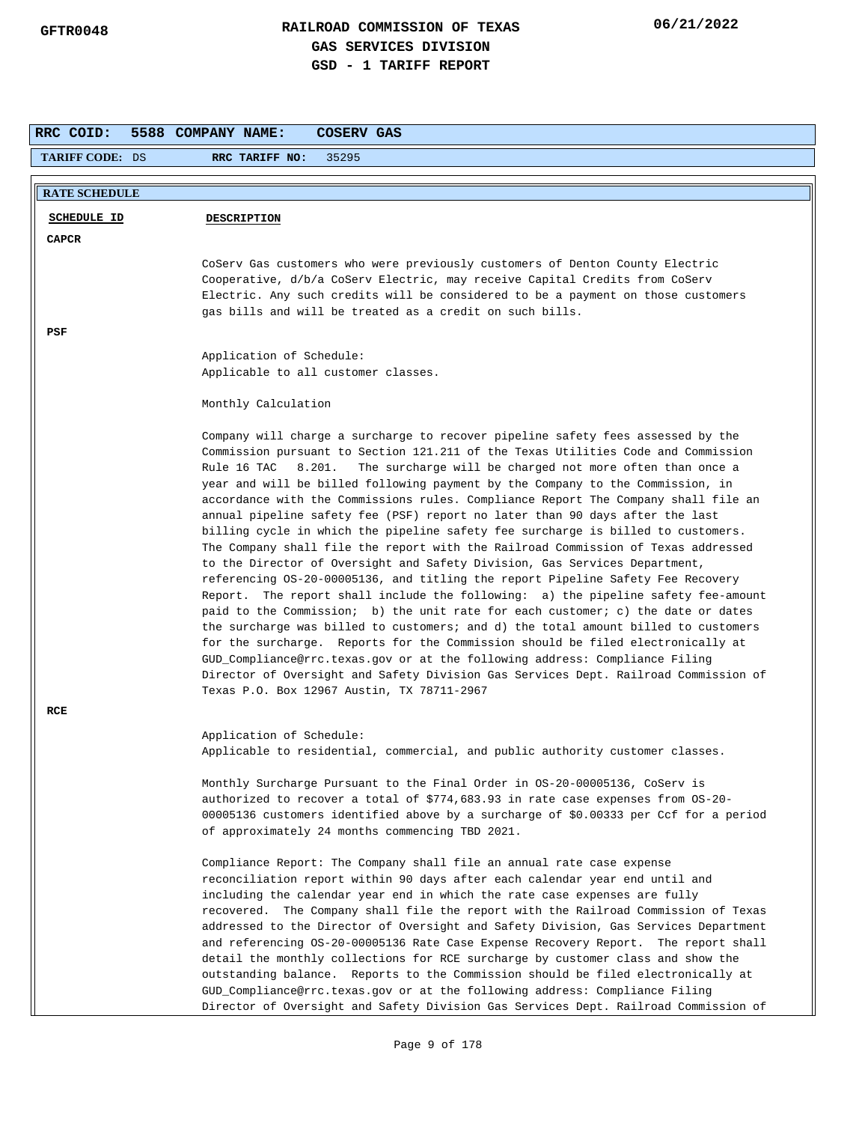| RRC COID:<br>5588 COMPANY NAME:<br>COSERV GAS |                                                                                                                                                                                                                                                                                                                                                                                                                                   |
|-----------------------------------------------|-----------------------------------------------------------------------------------------------------------------------------------------------------------------------------------------------------------------------------------------------------------------------------------------------------------------------------------------------------------------------------------------------------------------------------------|
| <b>TARIFF CODE: DS</b>                        | 35295<br>RRC TARIFF NO:                                                                                                                                                                                                                                                                                                                                                                                                           |
| <b>RATE SCHEDULE</b>                          |                                                                                                                                                                                                                                                                                                                                                                                                                                   |
|                                               |                                                                                                                                                                                                                                                                                                                                                                                                                                   |
| SCHEDULE ID                                   | <b>DESCRIPTION</b>                                                                                                                                                                                                                                                                                                                                                                                                                |
| CAPCR                                         |                                                                                                                                                                                                                                                                                                                                                                                                                                   |
|                                               | CoServ Gas customers who were previously customers of Denton County Electric                                                                                                                                                                                                                                                                                                                                                      |
|                                               | Cooperative, d/b/a CoServ Electric, may receive Capital Credits from CoServ                                                                                                                                                                                                                                                                                                                                                       |
|                                               | Electric. Any such credits will be considered to be a payment on those customers<br>gas bills and will be treated as a credit on such bills.                                                                                                                                                                                                                                                                                      |
|                                               |                                                                                                                                                                                                                                                                                                                                                                                                                                   |
| PSF                                           |                                                                                                                                                                                                                                                                                                                                                                                                                                   |
|                                               | Application of Schedule:                                                                                                                                                                                                                                                                                                                                                                                                          |
|                                               | Applicable to all customer classes.                                                                                                                                                                                                                                                                                                                                                                                               |
|                                               | Monthly Calculation                                                                                                                                                                                                                                                                                                                                                                                                               |
|                                               | Company will charge a surcharge to recover pipeline safety fees assessed by the<br>Commission pursuant to Section 121.211 of the Texas Utilities Code and Commission<br>Rule 16 TAC<br>8.201.<br>The surcharge will be charged not more often than once a                                                                                                                                                                         |
|                                               | year and will be billed following payment by the Company to the Commission, in<br>accordance with the Commissions rules. Compliance Report The Company shall file an<br>annual pipeline safety fee (PSF) report no later than 90 days after the last                                                                                                                                                                              |
|                                               | billing cycle in which the pipeline safety fee surcharge is billed to customers.<br>The Company shall file the report with the Railroad Commission of Texas addressed<br>to the Director of Oversight and Safety Division, Gas Services Department,                                                                                                                                                                               |
|                                               | referencing OS-20-00005136, and titling the report Pipeline Safety Fee Recovery<br>Report. The report shall include the following: a) the pipeline safety fee-amount<br>paid to the Commission; b) the unit rate for each customer; c) the date or dates<br>the surcharge was billed to customers; and d) the total amount billed to customers<br>for the surcharge. Reports for the Commission should be filed electronically at |
|                                               | GUD_Compliance@rrc.texas.gov or at the following address: Compliance Filing<br>Director of Oversight and Safety Division Gas Services Dept. Railroad Commission of<br>Texas P.O. Box 12967 Austin, TX 78711-2967                                                                                                                                                                                                                  |
| RCE                                           |                                                                                                                                                                                                                                                                                                                                                                                                                                   |
|                                               | Application of Schedule:                                                                                                                                                                                                                                                                                                                                                                                                          |
|                                               | Applicable to residential, commercial, and public authority customer classes.                                                                                                                                                                                                                                                                                                                                                     |
|                                               | Monthly Surcharge Pursuant to the Final Order in 0S-20-00005136, CoServ is                                                                                                                                                                                                                                                                                                                                                        |
|                                               | authorized to recover a total of \$774,683.93 in rate case expenses from OS-20-                                                                                                                                                                                                                                                                                                                                                   |
|                                               | 00005136 customers identified above by a surcharge of \$0.00333 per Ccf for a period                                                                                                                                                                                                                                                                                                                                              |
|                                               | of approximately 24 months commencing TBD 2021.                                                                                                                                                                                                                                                                                                                                                                                   |
|                                               | Compliance Report: The Company shall file an annual rate case expense                                                                                                                                                                                                                                                                                                                                                             |
|                                               | reconciliation report within 90 days after each calendar year end until and                                                                                                                                                                                                                                                                                                                                                       |
|                                               | including the calendar year end in which the rate case expenses are fully                                                                                                                                                                                                                                                                                                                                                         |
|                                               | recovered. The Company shall file the report with the Railroad Commission of Texas                                                                                                                                                                                                                                                                                                                                                |
|                                               | addressed to the Director of Oversight and Safety Division, Gas Services Department                                                                                                                                                                                                                                                                                                                                               |
|                                               | and referencing OS-20-00005136 Rate Case Expense Recovery Report. The report shall<br>detail the monthly collections for RCE surcharge by customer class and show the                                                                                                                                                                                                                                                             |
|                                               | outstanding balance. Reports to the Commission should be filed electronically at                                                                                                                                                                                                                                                                                                                                                  |
|                                               | GUD_Compliance@rrc.texas.gov or at the following address: Compliance Filing<br>Director of Oversight and Safety Division Gas Services Dept. Railroad Commission of                                                                                                                                                                                                                                                                |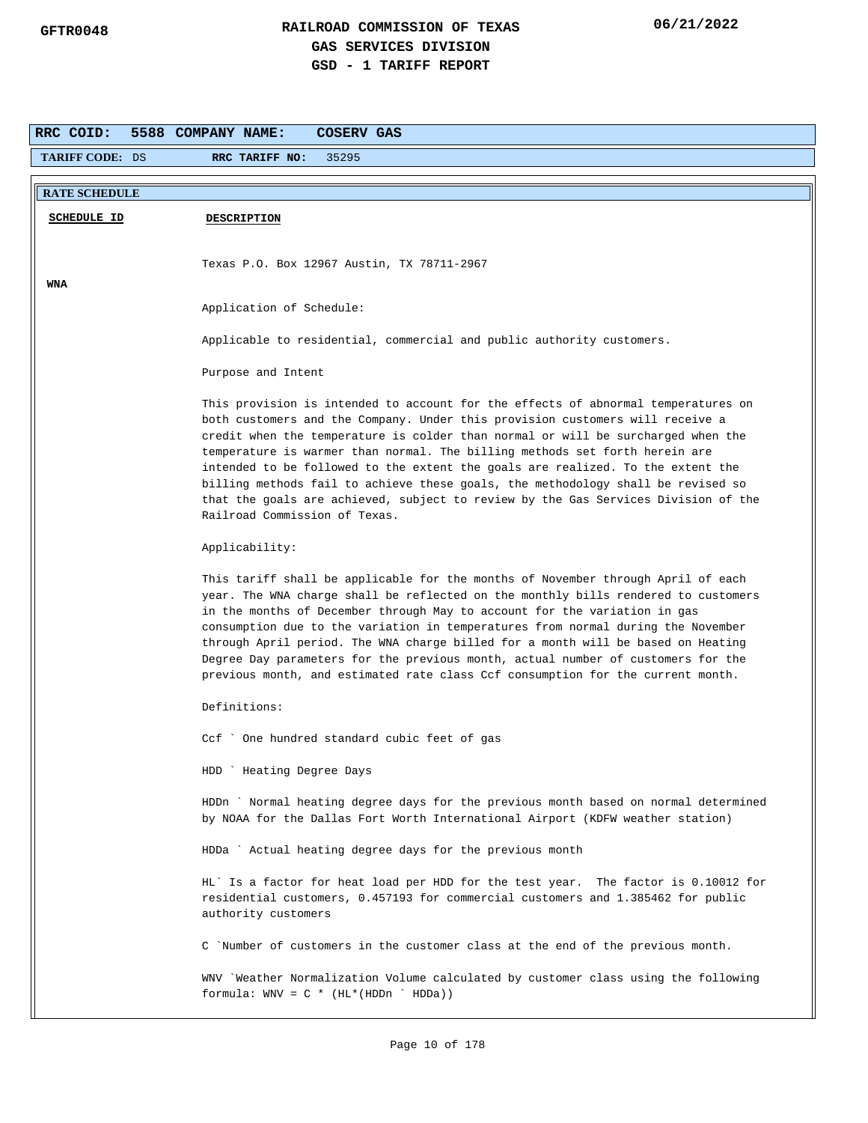| <b>TARIFF CODE: DS</b> |                                                                                                                                                                                                                                                                                                                                                                                                                                                                                                                                                                                                                                     |
|------------------------|-------------------------------------------------------------------------------------------------------------------------------------------------------------------------------------------------------------------------------------------------------------------------------------------------------------------------------------------------------------------------------------------------------------------------------------------------------------------------------------------------------------------------------------------------------------------------------------------------------------------------------------|
|                        | RRC TARIFF NO:<br>35295                                                                                                                                                                                                                                                                                                                                                                                                                                                                                                                                                                                                             |
| <b>RATE SCHEDULE</b>   |                                                                                                                                                                                                                                                                                                                                                                                                                                                                                                                                                                                                                                     |
|                        |                                                                                                                                                                                                                                                                                                                                                                                                                                                                                                                                                                                                                                     |
| <b>SCHEDULE ID</b>     | <b>DESCRIPTION</b>                                                                                                                                                                                                                                                                                                                                                                                                                                                                                                                                                                                                                  |
|                        |                                                                                                                                                                                                                                                                                                                                                                                                                                                                                                                                                                                                                                     |
|                        | Texas P.O. Box 12967 Austin, TX 78711-2967                                                                                                                                                                                                                                                                                                                                                                                                                                                                                                                                                                                          |
| <b>WNA</b>             |                                                                                                                                                                                                                                                                                                                                                                                                                                                                                                                                                                                                                                     |
|                        | Application of Schedule:                                                                                                                                                                                                                                                                                                                                                                                                                                                                                                                                                                                                            |
|                        |                                                                                                                                                                                                                                                                                                                                                                                                                                                                                                                                                                                                                                     |
|                        | Applicable to residential, commercial and public authority customers.                                                                                                                                                                                                                                                                                                                                                                                                                                                                                                                                                               |
|                        | Purpose and Intent                                                                                                                                                                                                                                                                                                                                                                                                                                                                                                                                                                                                                  |
|                        |                                                                                                                                                                                                                                                                                                                                                                                                                                                                                                                                                                                                                                     |
|                        | This provision is intended to account for the effects of abnormal temperatures on<br>both customers and the Company. Under this provision customers will receive a<br>credit when the temperature is colder than normal or will be surcharged when the<br>temperature is warmer than normal. The billing methods set forth herein are<br>intended to be followed to the extent the goals are realized. To the extent the<br>billing methods fail to achieve these goals, the methodology shall be revised so<br>that the goals are achieved, subject to review by the Gas Services Division of the<br>Railroad Commission of Texas. |
|                        | Applicability:                                                                                                                                                                                                                                                                                                                                                                                                                                                                                                                                                                                                                      |
|                        | This tariff shall be applicable for the months of November through April of each<br>year. The WNA charge shall be reflected on the monthly bills rendered to customers<br>in the months of December through May to account for the variation in gas<br>consumption due to the variation in temperatures from normal during the November<br>through April period. The WNA charge billed for a month will be based on Heating<br>Degree Day parameters for the previous month, actual number of customers for the<br>previous month, and estimated rate class Ccf consumption for the current month.                                  |
|                        | Definitions:                                                                                                                                                                                                                                                                                                                                                                                                                                                                                                                                                                                                                        |
|                        | Ccf ` One hundred standard cubic feet of gas                                                                                                                                                                                                                                                                                                                                                                                                                                                                                                                                                                                        |
|                        | HDD ` Heating Degree Days                                                                                                                                                                                                                                                                                                                                                                                                                                                                                                                                                                                                           |
|                        | HDDn ` Normal heating degree days for the previous month based on normal determined<br>by NOAA for the Dallas Fort Worth International Airport (KDFW weather station)                                                                                                                                                                                                                                                                                                                                                                                                                                                               |
|                        | HDDa ` Actual heating degree days for the previous month                                                                                                                                                                                                                                                                                                                                                                                                                                                                                                                                                                            |
|                        | HL' Is a factor for heat load per HDD for the test year. The factor is 0.10012 for<br>residential customers, 0.457193 for commercial customers and 1.385462 for public<br>authority customers                                                                                                                                                                                                                                                                                                                                                                                                                                       |
|                        | C Number of customers in the customer class at the end of the previous month.                                                                                                                                                                                                                                                                                                                                                                                                                                                                                                                                                       |
|                        | WNV `Weather Normalization Volume calculated by customer class using the following<br>formula: $WW = C * (HL * (HDDn ' HDDa))$                                                                                                                                                                                                                                                                                                                                                                                                                                                                                                      |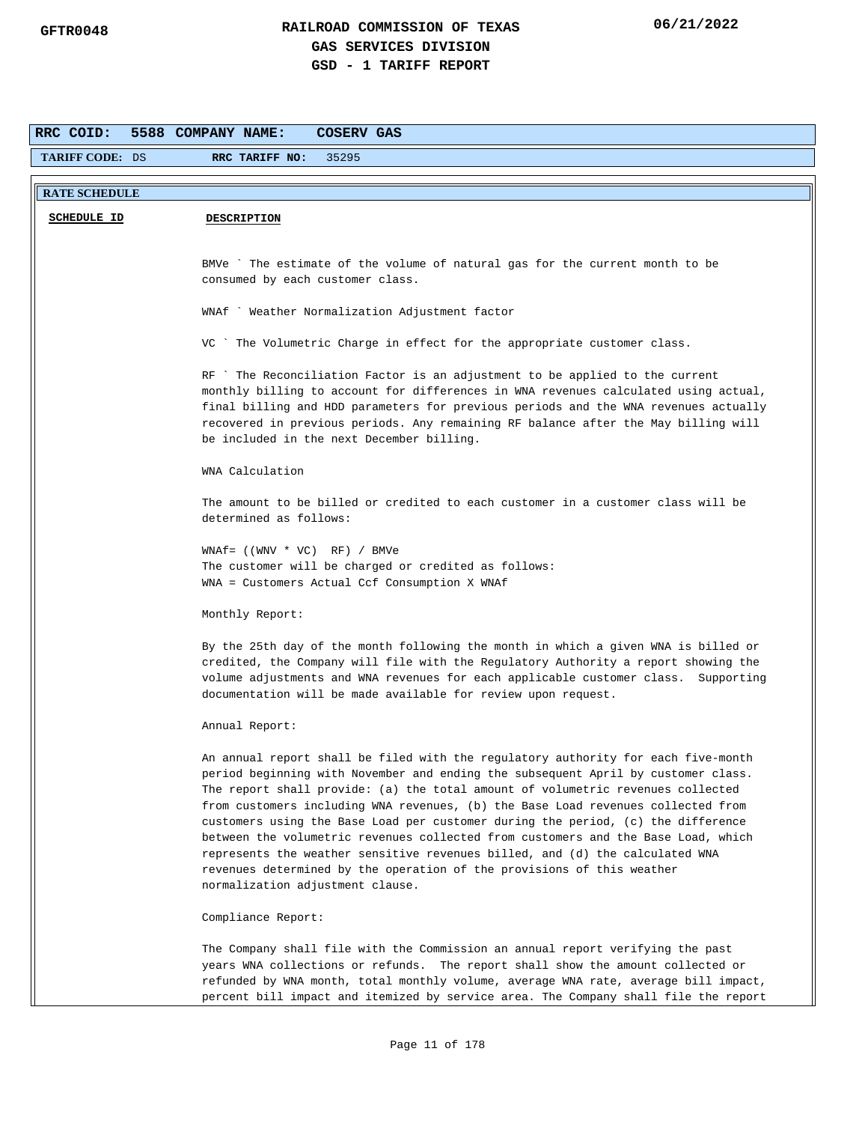| RRC COID:              | 5588 COMPANY NAME:<br><b>COSERV GAS</b>                                                                                                                                                                                                                                                                                                                                                                                                                                                                                                                                                                                                                                                                              |
|------------------------|----------------------------------------------------------------------------------------------------------------------------------------------------------------------------------------------------------------------------------------------------------------------------------------------------------------------------------------------------------------------------------------------------------------------------------------------------------------------------------------------------------------------------------------------------------------------------------------------------------------------------------------------------------------------------------------------------------------------|
| <b>TARIFF CODE: DS</b> | RRC TARIFF NO:<br>35295                                                                                                                                                                                                                                                                                                                                                                                                                                                                                                                                                                                                                                                                                              |
| <b>RATE SCHEDULE</b>   |                                                                                                                                                                                                                                                                                                                                                                                                                                                                                                                                                                                                                                                                                                                      |
| <b>SCHEDULE ID</b>     | <b>DESCRIPTION</b>                                                                                                                                                                                                                                                                                                                                                                                                                                                                                                                                                                                                                                                                                                   |
|                        |                                                                                                                                                                                                                                                                                                                                                                                                                                                                                                                                                                                                                                                                                                                      |
|                        |                                                                                                                                                                                                                                                                                                                                                                                                                                                                                                                                                                                                                                                                                                                      |
|                        | BMVe `The estimate of the volume of natural gas for the current month to be<br>consumed by each customer class.                                                                                                                                                                                                                                                                                                                                                                                                                                                                                                                                                                                                      |
|                        |                                                                                                                                                                                                                                                                                                                                                                                                                                                                                                                                                                                                                                                                                                                      |
|                        | WNAf ` Weather Normalization Adjustment factor                                                                                                                                                                                                                                                                                                                                                                                                                                                                                                                                                                                                                                                                       |
|                        | VC ` The Volumetric Charge in effect for the appropriate customer class.                                                                                                                                                                                                                                                                                                                                                                                                                                                                                                                                                                                                                                             |
|                        | RF ` The Reconciliation Factor is an adjustment to be applied to the current<br>monthly billing to account for differences in WNA revenues calculated using actual,<br>final billing and HDD parameters for previous periods and the WNA revenues actually<br>recovered in previous periods. Any remaining RF balance after the May billing will<br>be included in the next December billing.                                                                                                                                                                                                                                                                                                                        |
|                        | WNA Calculation                                                                                                                                                                                                                                                                                                                                                                                                                                                                                                                                                                                                                                                                                                      |
|                        | The amount to be billed or credited to each customer in a customer class will be<br>determined as follows:                                                                                                                                                                                                                                                                                                                                                                                                                                                                                                                                                                                                           |
|                        | $WNAf = ((WW * VC) RF) / BMVe$                                                                                                                                                                                                                                                                                                                                                                                                                                                                                                                                                                                                                                                                                       |
|                        | The customer will be charged or credited as follows:<br>WNA = Customers Actual Ccf Consumption X WNAf                                                                                                                                                                                                                                                                                                                                                                                                                                                                                                                                                                                                                |
|                        | Monthly Report:                                                                                                                                                                                                                                                                                                                                                                                                                                                                                                                                                                                                                                                                                                      |
|                        | By the 25th day of the month following the month in which a given WNA is billed or<br>credited, the Company will file with the Regulatory Authority a report showing the<br>volume adjustments and WNA revenues for each applicable customer class. Supporting<br>documentation will be made available for review upon request.                                                                                                                                                                                                                                                                                                                                                                                      |
|                        | Annual Report:                                                                                                                                                                                                                                                                                                                                                                                                                                                                                                                                                                                                                                                                                                       |
|                        | An annual report shall be filed with the regulatory authority for each five-month<br>period beginning with November and ending the subsequent April by customer class.<br>The report shall provide: (a) the total amount of volumetric revenues collected<br>from customers including WNA revenues, (b) the Base Load revenues collected from<br>customers using the Base Load per customer during the period, (c) the difference<br>between the volumetric revenues collected from customers and the Base Load, which<br>represents the weather sensitive revenues billed, and (d) the calculated WNA<br>revenues determined by the operation of the provisions of this weather<br>normalization adjustment clause. |
|                        |                                                                                                                                                                                                                                                                                                                                                                                                                                                                                                                                                                                                                                                                                                                      |
|                        | Compliance Report:                                                                                                                                                                                                                                                                                                                                                                                                                                                                                                                                                                                                                                                                                                   |
|                        | The Company shall file with the Commission an annual report verifying the past                                                                                                                                                                                                                                                                                                                                                                                                                                                                                                                                                                                                                                       |
|                        | years WNA collections or refunds. The report shall show the amount collected or                                                                                                                                                                                                                                                                                                                                                                                                                                                                                                                                                                                                                                      |
|                        | refunded by WNA month, total monthly volume, average WNA rate, average bill impact,<br>percent bill impact and itemized by service area. The Company shall file the report                                                                                                                                                                                                                                                                                                                                                                                                                                                                                                                                           |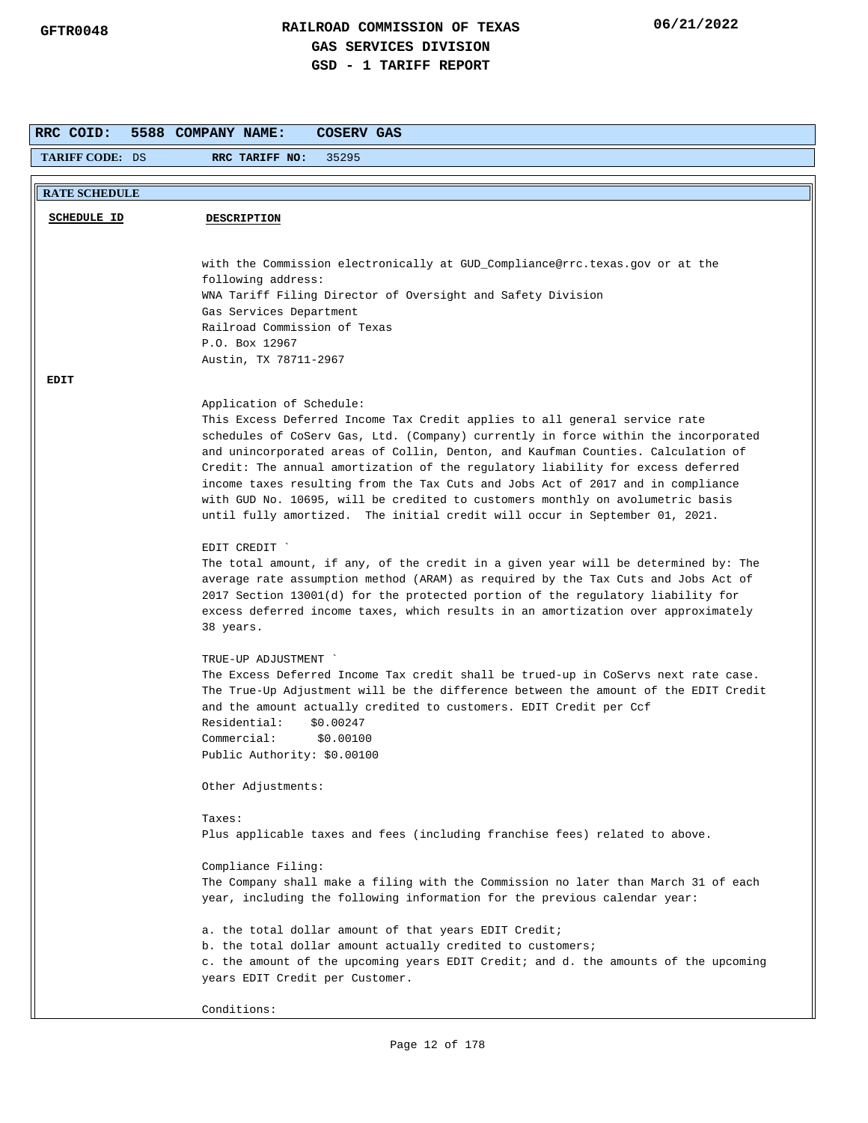| RRC COID:              | 5588 COMPANY NAME:<br>COSERV GAS                                                                                                                                  |
|------------------------|-------------------------------------------------------------------------------------------------------------------------------------------------------------------|
| <b>TARIFF CODE: DS</b> | RRC TARIFF NO:<br>35295                                                                                                                                           |
| <b>RATE SCHEDULE</b>   |                                                                                                                                                                   |
|                        |                                                                                                                                                                   |
| <b>SCHEDULE ID</b>     | <b>DESCRIPTION</b>                                                                                                                                                |
|                        |                                                                                                                                                                   |
|                        | with the Commission electronically at GUD_Compliance@rrc.texas.gov or at the                                                                                      |
|                        | following address:                                                                                                                                                |
|                        | WNA Tariff Filing Director of Oversight and Safety Division                                                                                                       |
|                        | Gas Services Department                                                                                                                                           |
|                        | Railroad Commission of Texas                                                                                                                                      |
|                        | P.O. Box 12967                                                                                                                                                    |
|                        | Austin, TX 78711-2967                                                                                                                                             |
| EDIT                   |                                                                                                                                                                   |
|                        | Application of Schedule:                                                                                                                                          |
|                        | This Excess Deferred Income Tax Credit applies to all general service rate                                                                                        |
|                        | schedules of CoServ Gas, Ltd. (Company) currently in force within the incorporated                                                                                |
|                        | and unincorporated areas of Collin, Denton, and Kaufman Counties. Calculation of                                                                                  |
|                        | Credit: The annual amortization of the regulatory liability for excess deferred                                                                                   |
|                        | income taxes resulting from the Tax Cuts and Jobs Act of 2017 and in compliance<br>with GUD No. 10695, will be credited to customers monthly on avolumetric basis |
|                        | until fully amortized. The initial credit will occur in September 01, 2021.                                                                                       |
|                        |                                                                                                                                                                   |
|                        | EDIT CREDIT `                                                                                                                                                     |
|                        | The total amount, if any, of the credit in a given year will be determined by: The                                                                                |
|                        | average rate assumption method (ARAM) as required by the Tax Cuts and Jobs Act of                                                                                 |
|                        | 2017 Section 13001(d) for the protected portion of the regulatory liability for                                                                                   |
|                        | excess deferred income taxes, which results in an amortization over approximately                                                                                 |
|                        | 38 years.                                                                                                                                                         |
|                        | TRUE-UP ADJUSTMENT                                                                                                                                                |
|                        | The Excess Deferred Income Tax credit shall be trued-up in CoServs next rate case.                                                                                |
|                        | The True-Up Adjustment will be the difference between the amount of the EDIT Credit                                                                               |
|                        | and the amount actually credited to customers. EDIT Credit per Ccf                                                                                                |
|                        | Residential:<br>\$0.00247                                                                                                                                         |
|                        | Commercial:<br>\$0.00100                                                                                                                                          |
|                        | Public Authority: \$0.00100                                                                                                                                       |
|                        | Other Adjustments:                                                                                                                                                |
|                        |                                                                                                                                                                   |
|                        | Taxes:                                                                                                                                                            |
|                        | Plus applicable taxes and fees (including franchise fees) related to above.                                                                                       |
|                        |                                                                                                                                                                   |
|                        | Compliance Filing:                                                                                                                                                |
|                        | The Company shall make a filing with the Commission no later than March 31 of each                                                                                |
|                        | year, including the following information for the previous calendar year:                                                                                         |
|                        | a. the total dollar amount of that years EDIT Credit;                                                                                                             |
|                        | b. the total dollar amount actually credited to customers;                                                                                                        |
|                        | c. the amount of the upcoming years EDIT Credit; and d. the amounts of the upcoming                                                                               |
|                        | years EDIT Credit per Customer.                                                                                                                                   |
|                        |                                                                                                                                                                   |
|                        | Conditions:                                                                                                                                                       |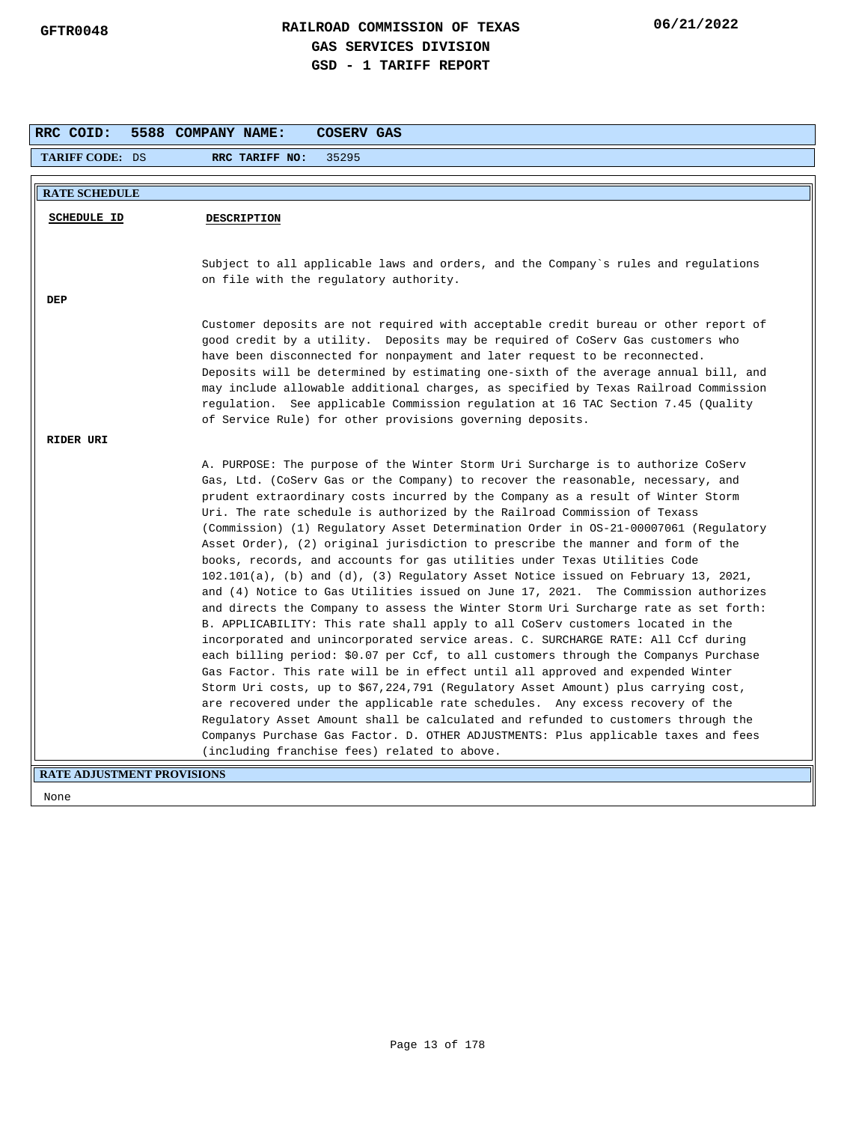| RRC COID:                         | 5588 COMPANY NAME:<br>COSERV GAS                                                                                                                                   |
|-----------------------------------|--------------------------------------------------------------------------------------------------------------------------------------------------------------------|
| <b>TARIFF CODE: DS</b>            | 35295<br>RRC TARIFF NO:                                                                                                                                            |
| <b>RATE SCHEDULE</b>              |                                                                                                                                                                    |
|                                   |                                                                                                                                                                    |
| SCHEDULE ID                       | <b>DESCRIPTION</b>                                                                                                                                                 |
|                                   |                                                                                                                                                                    |
|                                   | Subject to all applicable laws and orders, and the Company's rules and regulations                                                                                 |
|                                   | on file with the regulatory authority.                                                                                                                             |
| DEP                               |                                                                                                                                                                    |
|                                   | Customer deposits are not required with acceptable credit bureau or other report of                                                                                |
|                                   | good credit by a utility. Deposits may be required of CoServ Gas customers who                                                                                     |
|                                   | have been disconnected for nonpayment and later request to be reconnected.                                                                                         |
|                                   | Deposits will be determined by estimating one-sixth of the average annual bill, and                                                                                |
|                                   | may include allowable additional charges, as specified by Texas Railroad Commission                                                                                |
|                                   | regulation. See applicable Commission regulation at 16 TAC Section 7.45 (Quality<br>of Service Rule) for other provisions governing deposits.                      |
|                                   |                                                                                                                                                                    |
| RIDER URI                         |                                                                                                                                                                    |
|                                   | A. PURPOSE: The purpose of the Winter Storm Uri Surcharge is to authorize CoServ                                                                                   |
|                                   | Gas, Ltd. (CoServ Gas or the Company) to recover the reasonable, necessary, and                                                                                    |
|                                   | prudent extraordinary costs incurred by the Company as a result of Winter Storm                                                                                    |
|                                   | Uri. The rate schedule is authorized by the Railroad Commission of Texass<br>(Commission) (1) Regulatory Asset Determination Order in 0S-21-00007061 (Regulatory   |
|                                   | Asset Order), (2) original jurisdiction to prescribe the manner and form of the                                                                                    |
|                                   | books, records, and accounts for gas utilities under Texas Utilities Code                                                                                          |
|                                   | $102.101(a)$ , (b) and (d), (3) Regulatory Asset Notice issued on February 13, 2021,                                                                               |
|                                   | and (4) Notice to Gas Utilities issued on June 17, 2021. The Commission authorizes                                                                                 |
|                                   | and directs the Company to assess the Winter Storm Uri Surcharge rate as set forth:                                                                                |
|                                   | B. APPLICABILITY: This rate shall apply to all CoServ customers located in the                                                                                     |
|                                   | incorporated and unincorporated service areas. C. SURCHARGE RATE: All Ccf during                                                                                   |
|                                   | each billing period: \$0.07 per Ccf, to all customers through the Companys Purchase                                                                                |
|                                   | Gas Factor. This rate will be in effect until all approved and expended Winter                                                                                     |
|                                   | Storm Uri costs, up to \$67,224,791 (Regulatory Asset Amount) plus carrying cost,<br>are recovered under the applicable rate schedules. Any excess recovery of the |
|                                   | Regulatory Asset Amount shall be calculated and refunded to customers through the                                                                                  |
|                                   | Companys Purchase Gas Factor. D. OTHER ADJUSTMENTS: Plus applicable taxes and fees                                                                                 |
|                                   | (including franchise fees) related to above.                                                                                                                       |
| <b>RATE ADJUSTMENT PROVISIONS</b> |                                                                                                                                                                    |
|                                   |                                                                                                                                                                    |
| None                              |                                                                                                                                                                    |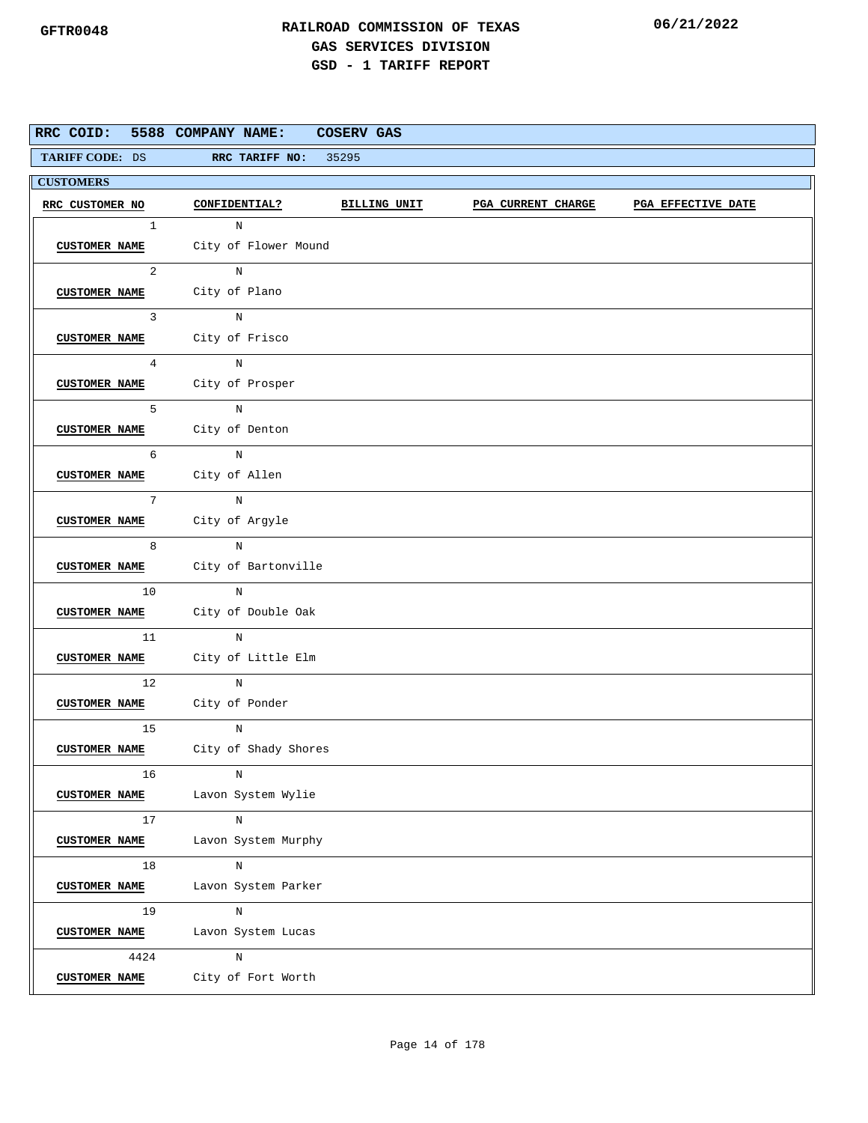|                      | RRC COID: 5588 COMPANY NAME:              | <b>COSERV GAS</b>   |                           |                    |
|----------------------|-------------------------------------------|---------------------|---------------------------|--------------------|
| TARIFF CODE: DS      | RRC TARIFF NO:                            | 35295               |                           |                    |
| <b>CUSTOMERS</b>     |                                           |                     |                           |                    |
| RRC CUSTOMER NO      | <b>CONFIDENTIAL?</b>                      | <b>BILLING UNIT</b> | <b>PGA CURRENT CHARGE</b> | PGA EFFECTIVE DATE |
| 1                    | $_{\rm N}$                                |                     |                           |                    |
|                      | <b>CUSTOMER NAME</b> City of Flower Mound |                     |                           |                    |
| $\overline{a}$       | $\mathbb N$                               |                     |                           |                    |
|                      | CUSTOMER NAME City of Plano               |                     |                           |                    |
| $\mathbf{3}$         | $_{\rm N}$                                |                     |                           |                    |
|                      | CUSTOMER NAME City of Frisco              |                     |                           |                    |
| $\overline{4}$       | $\mathbf N$                               |                     |                           |                    |
|                      | CUSTOMER NAME City of Prosper             |                     |                           |                    |
| 5                    | N                                         |                     |                           |                    |
|                      | CUSTOMER NAME City of Denton              |                     |                           |                    |
| 6                    | $\mathbb N$                               |                     |                           |                    |
| <b>CUSTOMER NAME</b> | City of Allen                             |                     |                           |                    |
| 7 <sup>1</sup>       | N                                         |                     |                           |                    |
| <b>CUSTOMER NAME</b> | City of Argyle                            |                     |                           |                    |
| 8                    | $_{\rm N}$                                |                     |                           |                    |
|                      | CUSTOMER NAME City of Bartonville         |                     |                           |                    |
| 10 <sub>1</sub>      | N                                         |                     |                           |                    |
|                      | CUSTOMER NAME City of Double Oak          |                     |                           |                    |
| 11                   | N                                         |                     |                           |                    |
| <b>CUSTOMER NAME</b> | City of Little Elm                        |                     |                           |                    |
| 12                   | N                                         |                     |                           |                    |
|                      | CUSTOMER NAME City of Ponder              |                     |                           |                    |
| 15                   | N                                         |                     |                           |                    |
| <b>CUSTOMER NAME</b> | City of Shady Shores                      |                     |                           |                    |
| 16                   | N                                         |                     |                           |                    |
| <b>CUSTOMER NAME</b> | Lavon System Wylie                        |                     |                           |                    |
| 17                   | N                                         |                     |                           |                    |
| <b>CUSTOMER NAME</b> | Lavon System Murphy                       |                     |                           |                    |
| 18                   | N                                         |                     |                           |                    |
| <b>CUSTOMER NAME</b> | Lavon System Parker                       |                     |                           |                    |
| 19                   | $\, {\rm N}$                              |                     |                           |                    |
| <b>CUSTOMER NAME</b> | Lavon System Lucas                        |                     |                           |                    |
| 4424                 | $\mathbf N$                               |                     |                           |                    |
| <b>CUSTOMER NAME</b> | City of Fort Worth                        |                     |                           |                    |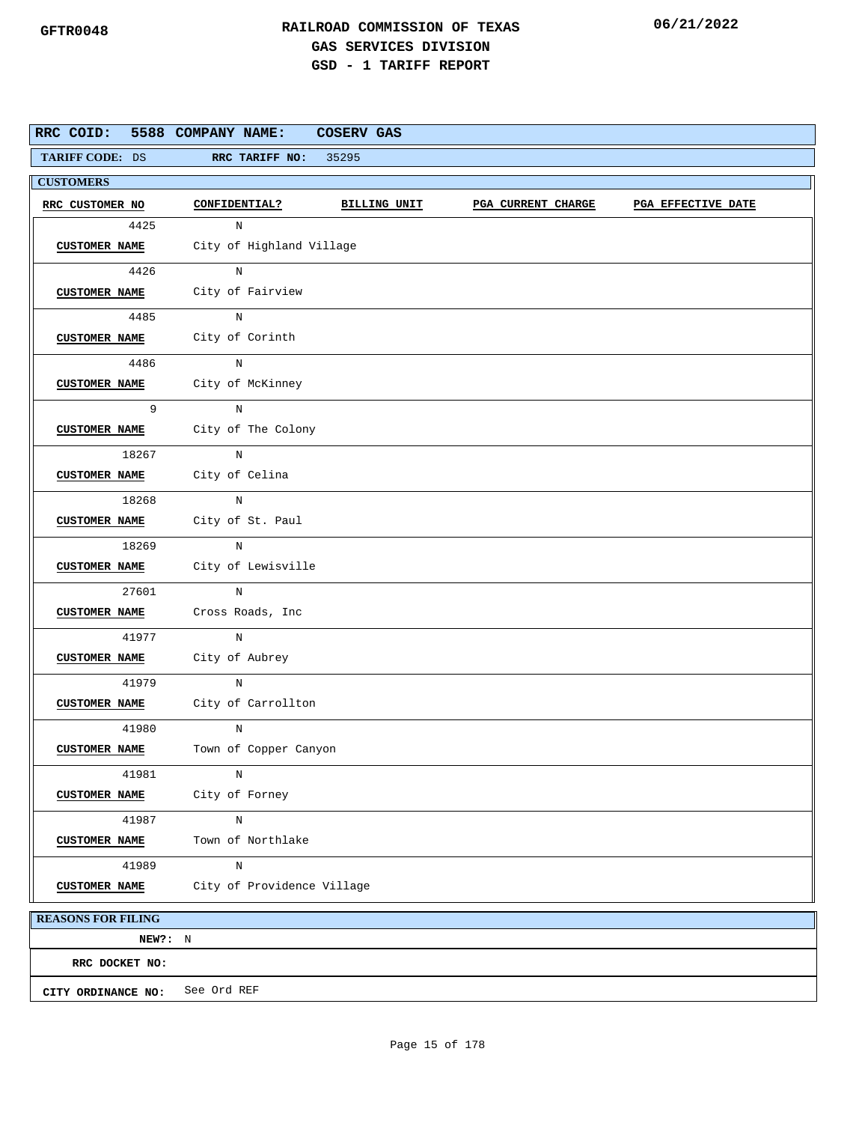|                           | RRC COID: 5588 COMPANY NAME:     | COSERV GAS   |                           |                    |
|---------------------------|----------------------------------|--------------|---------------------------|--------------------|
| TARIFF CODE: DS           | RRC TARIFF NO:                   | 35295        |                           |                    |
| <b>CUSTOMERS</b>          |                                  |              |                           |                    |
| RRC CUSTOMER NO           | CONFIDENTIAL?                    | BILLING UNIT | <b>PGA CURRENT CHARGE</b> | PGA EFFECTIVE DATE |
| 4425                      | N                                |              |                           |                    |
| <b>CUSTOMER NAME</b>      | City of Highland Village         |              |                           |                    |
| 4426                      | N                                |              |                           |                    |
|                           | CUSTOMER NAME City of Fairview   |              |                           |                    |
| 4485                      | N                                |              |                           |                    |
|                           | CUSTOMER NAME City of Corinth    |              |                           |                    |
| 4486                      | $\rm N$                          |              |                           |                    |
| <b>CUSTOMER NAME</b>      | City of McKinney                 |              |                           |                    |
| 9                         | N                                |              |                           |                    |
| <b>CUSTOMER NAME</b>      | City of The Colony               |              |                           |                    |
| 18267                     | N                                |              |                           |                    |
| <b>CUSTOMER NAME</b>      | City of Celina                   |              |                           |                    |
| 18268                     | N                                |              |                           |                    |
| <b>CUSTOMER NAME</b>      | City of St. Paul                 |              |                           |                    |
| 18269                     | N                                |              |                           |                    |
|                           | CUSTOMER NAME City of Lewisville |              |                           |                    |
| 27601                     | N                                |              |                           |                    |
| <b>CUSTOMER NAME</b>      | Cross Roads, Inc                 |              |                           |                    |
| 41977                     | N                                |              |                           |                    |
| <b>CUSTOMER NAME</b>      | City of Aubrey                   |              |                           |                    |
| 41979                     | N                                |              |                           |                    |
| CUSTOMER NAME             | City of Carrollton               |              |                           |                    |
| 41980                     | N                                |              |                           |                    |
| <b>CUSTOMER NAME</b>      | Town of Copper Canyon            |              |                           |                    |
| 41981                     | N                                |              |                           |                    |
| <b>CUSTOMER NAME</b>      | City of Forney                   |              |                           |                    |
| 41987                     | N                                |              |                           |                    |
| <b>CUSTOMER NAME</b>      | Town of Northlake                |              |                           |                    |
| 41989                     | $\rm N$                          |              |                           |                    |
| <b>CUSTOMER NAME</b>      | City of Providence Village       |              |                           |                    |
| <b>REASONS FOR FILING</b> |                                  |              |                           |                    |

**NEW?:** N **CITY ORDINANCE NO:** See Ord REF **RRC DOCKET NO:**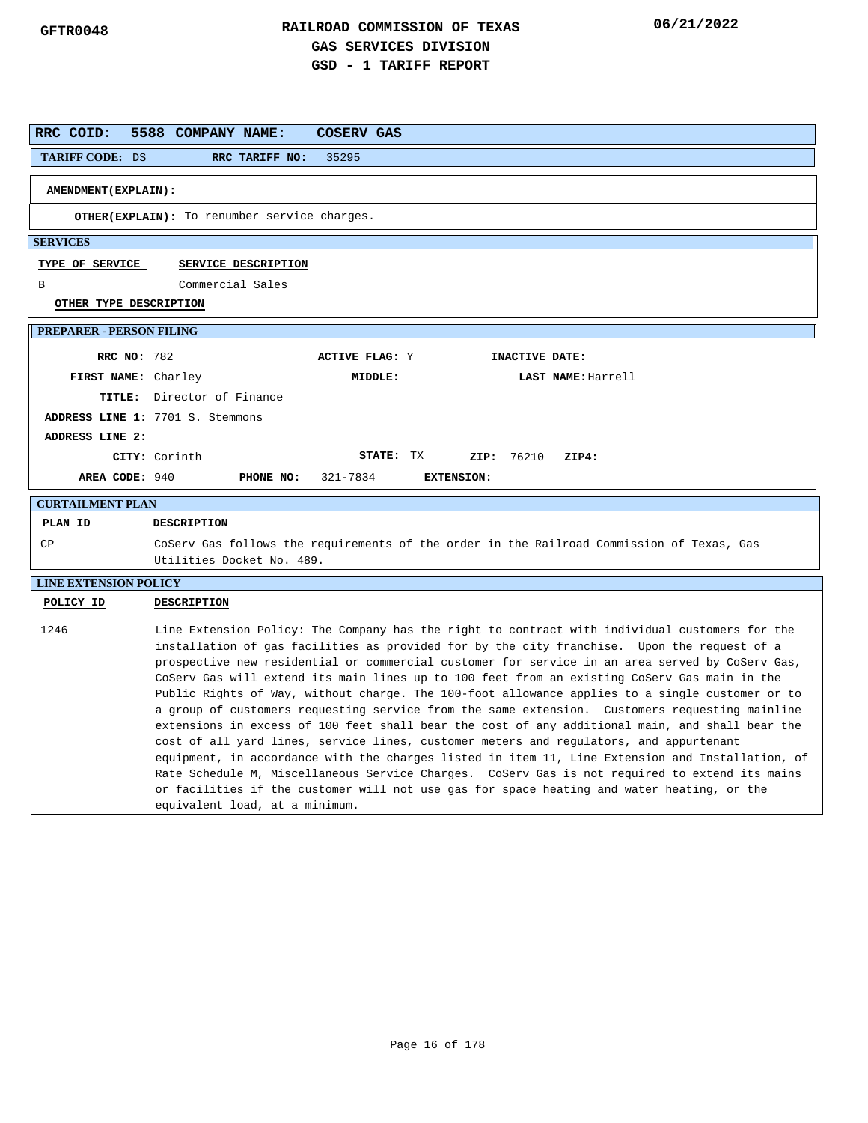| RRC COID:                       | 5588 COMPANY NAME:<br><b>COSERV GAS</b>                                                                                                                                                                                                                                                                                                                                                                                                                                                                                                                                                                                                                                                                                                                                                                                                                                                                                                                                                                                                                                                                                                  |
|---------------------------------|------------------------------------------------------------------------------------------------------------------------------------------------------------------------------------------------------------------------------------------------------------------------------------------------------------------------------------------------------------------------------------------------------------------------------------------------------------------------------------------------------------------------------------------------------------------------------------------------------------------------------------------------------------------------------------------------------------------------------------------------------------------------------------------------------------------------------------------------------------------------------------------------------------------------------------------------------------------------------------------------------------------------------------------------------------------------------------------------------------------------------------------|
| <b>TARIFF CODE: DS</b>          | 35295<br>RRC TARIFF NO:                                                                                                                                                                                                                                                                                                                                                                                                                                                                                                                                                                                                                                                                                                                                                                                                                                                                                                                                                                                                                                                                                                                  |
| AMENDMENT (EXPLAIN):            |                                                                                                                                                                                                                                                                                                                                                                                                                                                                                                                                                                                                                                                                                                                                                                                                                                                                                                                                                                                                                                                                                                                                          |
|                                 | <b>OTHER(EXPLAIN):</b> To renumber service charges.                                                                                                                                                                                                                                                                                                                                                                                                                                                                                                                                                                                                                                                                                                                                                                                                                                                                                                                                                                                                                                                                                      |
|                                 |                                                                                                                                                                                                                                                                                                                                                                                                                                                                                                                                                                                                                                                                                                                                                                                                                                                                                                                                                                                                                                                                                                                                          |
| <b>SERVICES</b>                 |                                                                                                                                                                                                                                                                                                                                                                                                                                                                                                                                                                                                                                                                                                                                                                                                                                                                                                                                                                                                                                                                                                                                          |
| <b>TYPE OF SERVICE</b>          | SERVICE DESCRIPTION                                                                                                                                                                                                                                                                                                                                                                                                                                                                                                                                                                                                                                                                                                                                                                                                                                                                                                                                                                                                                                                                                                                      |
| B                               | Commercial Sales                                                                                                                                                                                                                                                                                                                                                                                                                                                                                                                                                                                                                                                                                                                                                                                                                                                                                                                                                                                                                                                                                                                         |
| OTHER TYPE DESCRIPTION          |                                                                                                                                                                                                                                                                                                                                                                                                                                                                                                                                                                                                                                                                                                                                                                                                                                                                                                                                                                                                                                                                                                                                          |
| <b>PREPARER - PERSON FILING</b> |                                                                                                                                                                                                                                                                                                                                                                                                                                                                                                                                                                                                                                                                                                                                                                                                                                                                                                                                                                                                                                                                                                                                          |
| <b>RRC NO: 782</b>              | <b>ACTIVE FLAG: Y</b><br>INACTIVE DATE:                                                                                                                                                                                                                                                                                                                                                                                                                                                                                                                                                                                                                                                                                                                                                                                                                                                                                                                                                                                                                                                                                                  |
| FIRST NAME: Charley             | MIDDLE:<br>LAST NAME: Harrell                                                                                                                                                                                                                                                                                                                                                                                                                                                                                                                                                                                                                                                                                                                                                                                                                                                                                                                                                                                                                                                                                                            |
|                                 | TITLE: Director of Finance                                                                                                                                                                                                                                                                                                                                                                                                                                                                                                                                                                                                                                                                                                                                                                                                                                                                                                                                                                                                                                                                                                               |
|                                 | ADDRESS LINE 1: 7701 S. Stemmons                                                                                                                                                                                                                                                                                                                                                                                                                                                                                                                                                                                                                                                                                                                                                                                                                                                                                                                                                                                                                                                                                                         |
| ADDRESS LINE 2:                 |                                                                                                                                                                                                                                                                                                                                                                                                                                                                                                                                                                                                                                                                                                                                                                                                                                                                                                                                                                                                                                                                                                                                          |
|                                 | CITY: Corinth<br>STATE: TX<br>ZIP: 76210<br>ZIP4:                                                                                                                                                                                                                                                                                                                                                                                                                                                                                                                                                                                                                                                                                                                                                                                                                                                                                                                                                                                                                                                                                        |
| AREA CODE: 940                  | 321-7834<br>PHONE NO:<br><b>EXTENSION:</b>                                                                                                                                                                                                                                                                                                                                                                                                                                                                                                                                                                                                                                                                                                                                                                                                                                                                                                                                                                                                                                                                                               |
| <b>CURTAILMENT PLAN</b>         |                                                                                                                                                                                                                                                                                                                                                                                                                                                                                                                                                                                                                                                                                                                                                                                                                                                                                                                                                                                                                                                                                                                                          |
| PLAN ID                         | <b>DESCRIPTION</b>                                                                                                                                                                                                                                                                                                                                                                                                                                                                                                                                                                                                                                                                                                                                                                                                                                                                                                                                                                                                                                                                                                                       |
| СP                              | CoServ Gas follows the requirements of the order in the Railroad Commission of Texas, Gas<br>Utilities Docket No. 489.                                                                                                                                                                                                                                                                                                                                                                                                                                                                                                                                                                                                                                                                                                                                                                                                                                                                                                                                                                                                                   |
| <b>LINE EXTENSION POLICY</b>    |                                                                                                                                                                                                                                                                                                                                                                                                                                                                                                                                                                                                                                                                                                                                                                                                                                                                                                                                                                                                                                                                                                                                          |
| POLICY ID                       | DESCRIPTION                                                                                                                                                                                                                                                                                                                                                                                                                                                                                                                                                                                                                                                                                                                                                                                                                                                                                                                                                                                                                                                                                                                              |
| 1246                            | Line Extension Policy: The Company has the right to contract with individual customers for the<br>installation of gas facilities as provided for by the city franchise. Upon the request of a<br>prospective new residential or commercial customer for service in an area served by CoServ Gas,<br>CoServ Gas will extend its main lines up to 100 feet from an existing CoServ Gas main in the<br>Public Rights of Way, without charge. The 100-foot allowance applies to a single customer or to<br>a group of customers requesting service from the same extension. Customers requesting mainline<br>extensions in excess of 100 feet shall bear the cost of any additional main, and shall bear the<br>cost of all yard lines, service lines, customer meters and regulators, and appurtenant<br>equipment, in accordance with the charges listed in item 11, Line Extension and Installation, of<br>Rate Schedule M, Miscellaneous Service Charges. CoServ Gas is not required to extend its mains<br>or facilities if the customer will not use gas for space heating and water heating, or the<br>equivalent load, at a minimum. |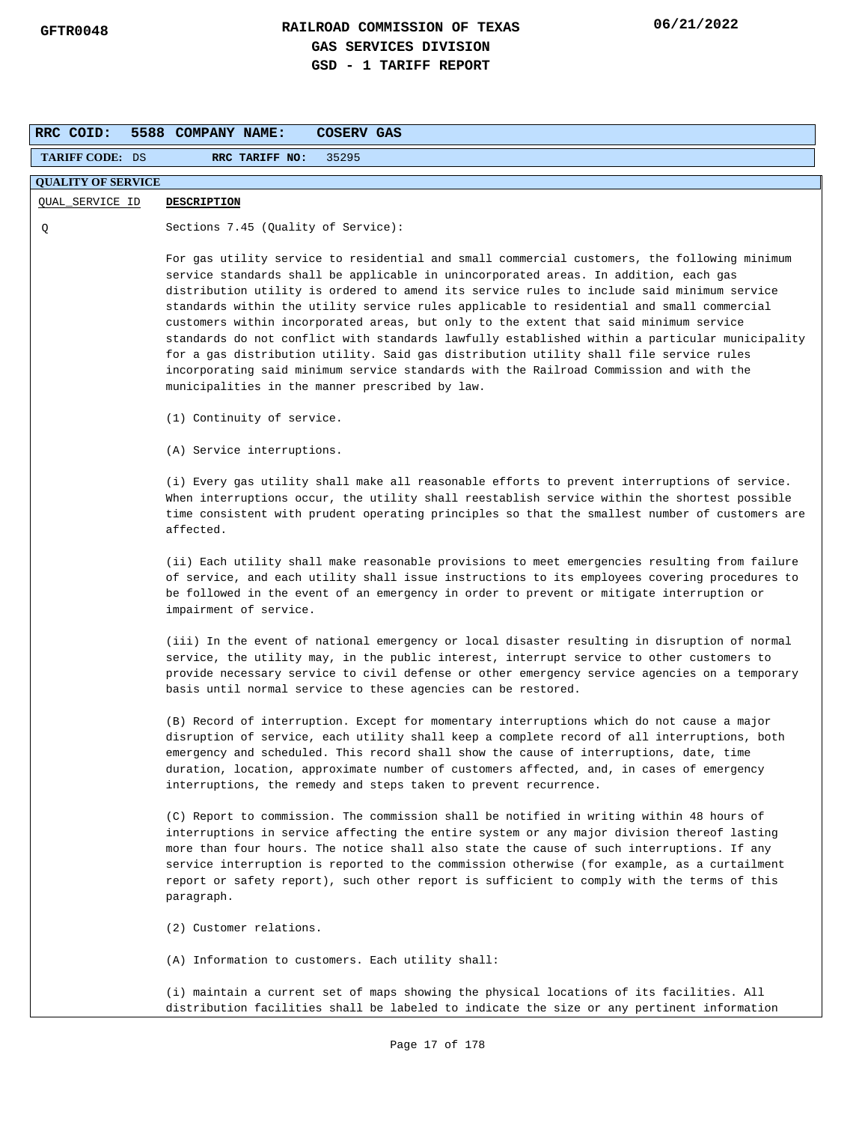| RRC COID:                 | 5588 COMPANY NAME:<br><b>COSERV GAS</b>                                                                                                                                                                                                                                                                                                                                                                                                                                                                                                                                                                                                                                                                                                                                                                           |
|---------------------------|-------------------------------------------------------------------------------------------------------------------------------------------------------------------------------------------------------------------------------------------------------------------------------------------------------------------------------------------------------------------------------------------------------------------------------------------------------------------------------------------------------------------------------------------------------------------------------------------------------------------------------------------------------------------------------------------------------------------------------------------------------------------------------------------------------------------|
| <b>TARIFF CODE: DS</b>    | RRC TARIFF NO:<br>35295                                                                                                                                                                                                                                                                                                                                                                                                                                                                                                                                                                                                                                                                                                                                                                                           |
| <b>QUALITY OF SERVICE</b> |                                                                                                                                                                                                                                                                                                                                                                                                                                                                                                                                                                                                                                                                                                                                                                                                                   |
| QUAL_SERVICE ID           | <b>DESCRIPTION</b>                                                                                                                                                                                                                                                                                                                                                                                                                                                                                                                                                                                                                                                                                                                                                                                                |
| Q                         | Sections $7.45$ (Quality of Service):                                                                                                                                                                                                                                                                                                                                                                                                                                                                                                                                                                                                                                                                                                                                                                             |
|                           | For gas utility service to residential and small commercial customers, the following minimum<br>service standards shall be applicable in unincorporated areas. In addition, each gas<br>distribution utility is ordered to amend its service rules to include said minimum service<br>standards within the utility service rules applicable to residential and small commercial<br>customers within incorporated areas, but only to the extent that said minimum service<br>standards do not conflict with standards lawfully established within a particular municipality<br>for a gas distribution utility. Said gas distribution utility shall file service rules<br>incorporating said minimum service standards with the Railroad Commission and with the<br>municipalities in the manner prescribed by law. |
|                           | (1) Continuity of service.                                                                                                                                                                                                                                                                                                                                                                                                                                                                                                                                                                                                                                                                                                                                                                                        |
|                           | (A) Service interruptions.                                                                                                                                                                                                                                                                                                                                                                                                                                                                                                                                                                                                                                                                                                                                                                                        |
|                           | (i) Every gas utility shall make all reasonable efforts to prevent interruptions of service.<br>When interruptions occur, the utility shall reestablish service within the shortest possible<br>time consistent with prudent operating principles so that the smallest number of customers are<br>affected.                                                                                                                                                                                                                                                                                                                                                                                                                                                                                                       |
|                           | (ii) Each utility shall make reasonable provisions to meet emergencies resulting from failure<br>of service, and each utility shall issue instructions to its employees covering procedures to<br>be followed in the event of an emergency in order to prevent or mitigate interruption or<br>impairment of service.                                                                                                                                                                                                                                                                                                                                                                                                                                                                                              |
|                           | (iii) In the event of national emergency or local disaster resulting in disruption of normal<br>service, the utility may, in the public interest, interrupt service to other customers to<br>provide necessary service to civil defense or other emergency service agencies on a temporary<br>basis until normal service to these agencies can be restored.                                                                                                                                                                                                                                                                                                                                                                                                                                                       |
|                           | (B) Record of interruption. Except for momentary interruptions which do not cause a major<br>disruption of service, each utility shall keep a complete record of all interruptions, both<br>emergency and scheduled. This record shall show the cause of interruptions, date, time<br>duration, location, approximate number of customers affected, and, in cases of emergency<br>interruptions, the remedy and steps taken to prevent recurrence.                                                                                                                                                                                                                                                                                                                                                                |
|                           | (C) Report to commission. The commission shall be notified in writing within 48 hours of<br>interruptions in service affecting the entire system or any major division thereof lasting<br>more than four hours. The notice shall also state the cause of such interruptions. If any<br>service interruption is reported to the commission otherwise (for example, as a curtailment<br>report or safety report), such other report is sufficient to comply with the terms of this<br>paragraph.                                                                                                                                                                                                                                                                                                                    |
|                           | (2) Customer relations.                                                                                                                                                                                                                                                                                                                                                                                                                                                                                                                                                                                                                                                                                                                                                                                           |
|                           | (A) Information to customers. Each utility shall:                                                                                                                                                                                                                                                                                                                                                                                                                                                                                                                                                                                                                                                                                                                                                                 |
|                           | (i) maintain a current set of maps showing the physical locations of its facilities. All<br>distribution facilities shall be labeled to indicate the size or any pertinent information                                                                                                                                                                                                                                                                                                                                                                                                                                                                                                                                                                                                                            |
|                           | Page 17 of 178                                                                                                                                                                                                                                                                                                                                                                                                                                                                                                                                                                                                                                                                                                                                                                                                    |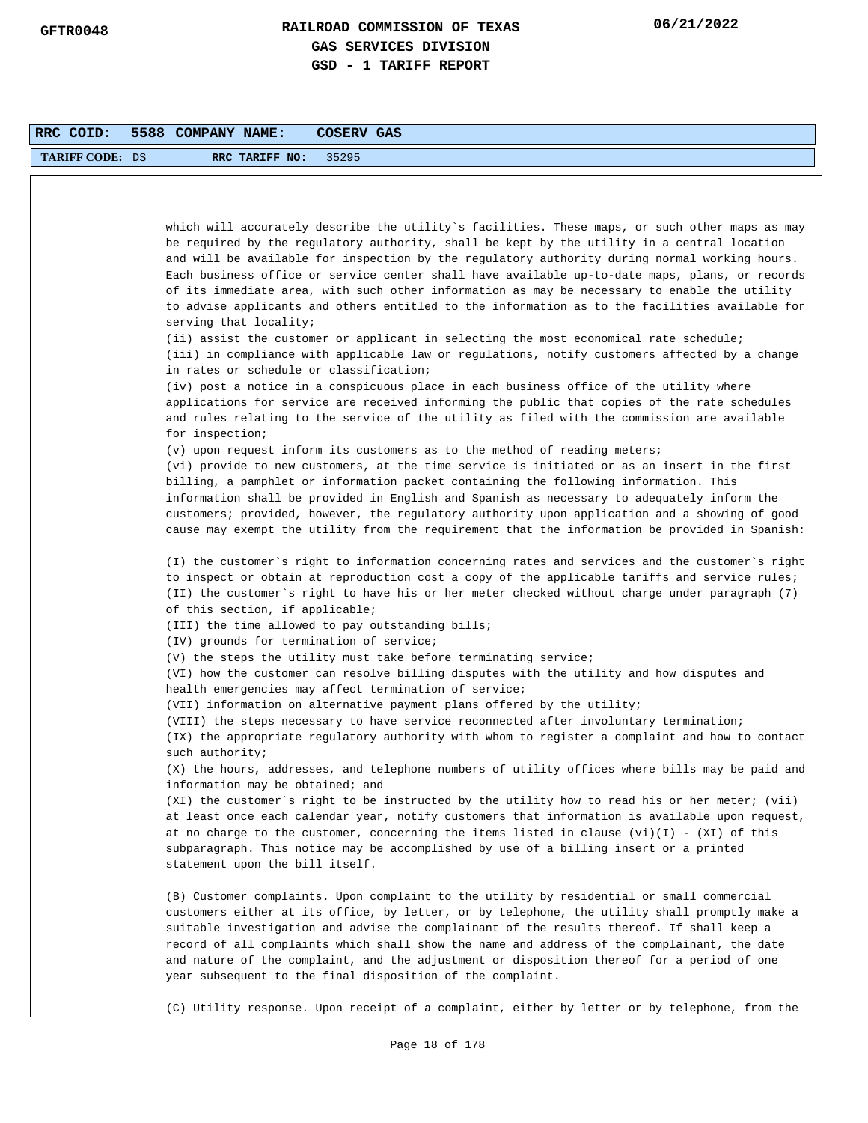| RRC COID:              | 5588 COMPANY NAME:<br>COSERV GAS                                                                                                                                                                                                                                                                                                                                                                                                                                                                                                                                                                   |
|------------------------|----------------------------------------------------------------------------------------------------------------------------------------------------------------------------------------------------------------------------------------------------------------------------------------------------------------------------------------------------------------------------------------------------------------------------------------------------------------------------------------------------------------------------------------------------------------------------------------------------|
| <b>TARIFF CODE: DS</b> | RRC TARIFF NO:<br>35295                                                                                                                                                                                                                                                                                                                                                                                                                                                                                                                                                                            |
|                        |                                                                                                                                                                                                                                                                                                                                                                                                                                                                                                                                                                                                    |
|                        |                                                                                                                                                                                                                                                                                                                                                                                                                                                                                                                                                                                                    |
|                        | which will accurately describe the utility`s facilities. These maps, or such other maps as may<br>be required by the regulatory authority, shall be kept by the utility in a central location<br>and will be available for inspection by the regulatory authority during normal working hours.<br>Each business office or service center shall have available up-to-date maps, plans, or records<br>of its immediate area, with such other information as may be necessary to enable the utility<br>to advise applicants and others entitled to the information as to the facilities available for |
|                        | serving that locality;<br>(ii) assist the customer or applicant in selecting the most economical rate schedule;<br>(iii) in compliance with applicable law or regulations, notify customers affected by a change<br>in rates or schedule or classification;                                                                                                                                                                                                                                                                                                                                        |
|                        | (iv) post a notice in a conspicuous place in each business office of the utility where<br>applications for service are received informing the public that copies of the rate schedules<br>and rules relating to the service of the utility as filed with the commission are available<br>for inspection;                                                                                                                                                                                                                                                                                           |
|                        | (v) upon request inform its customers as to the method of reading meters;                                                                                                                                                                                                                                                                                                                                                                                                                                                                                                                          |
|                        | (vi) provide to new customers, at the time service is initiated or as an insert in the first<br>billing, a pamphlet or information packet containing the following information. This<br>information shall be provided in English and Spanish as necessary to adequately inform the<br>customers; provided, however, the regulatory authority upon application and a showing of good<br>cause may exempt the utility from the requirement that the information be provided in Spanish:                                                                                                              |
|                        | (I) the customer's right to information concerning rates and services and the customer's right<br>to inspect or obtain at reproduction cost a copy of the applicable tariffs and service rules;<br>(II) the customer`s right to have his or her meter checked without charge under paragraph (7)<br>of this section, if applicable;                                                                                                                                                                                                                                                                |
|                        | (III) the time allowed to pay outstanding bills;                                                                                                                                                                                                                                                                                                                                                                                                                                                                                                                                                   |
|                        | (IV) grounds for termination of service;                                                                                                                                                                                                                                                                                                                                                                                                                                                                                                                                                           |
|                        | (V) the steps the utility must take before terminating service;<br>(VI) how the customer can resolve billing disputes with the utility and how disputes and<br>health emergencies may affect termination of service;                                                                                                                                                                                                                                                                                                                                                                               |
|                        | (VII) information on alternative payment plans offered by the utility;                                                                                                                                                                                                                                                                                                                                                                                                                                                                                                                             |
|                        | (VIII) the steps necessary to have service reconnected after involuntary termination;<br>(IX) the appropriate regulatory authority with whom to register a complaint and how to contact                                                                                                                                                                                                                                                                                                                                                                                                            |
|                        | such authority;<br>(X) the hours, addresses, and telephone numbers of utility offices where bills may be paid and<br>information may be obtained; and                                                                                                                                                                                                                                                                                                                                                                                                                                              |
|                        | (XI) the customer's right to be instructed by the utility how to read his or her meter; (vii)<br>at least once each calendar year, notify customers that information is available upon request,<br>at no charge to the customer, concerning the items listed in clause $(vi)(I)$ - $(XI)$ of this<br>subparagraph. This notice may be accomplished by use of a billing insert or a printed<br>statement upon the bill itself.                                                                                                                                                                      |
|                        | (B) Customer complaints. Upon complaint to the utility by residential or small commercial<br>customers either at its office, by letter, or by telephone, the utility shall promptly make a<br>suitable investigation and advise the complainant of the results thereof. If shall keep a<br>record of all complaints which shall show the name and address of the complainant, the date<br>and nature of the complaint, and the adjustment or disposition thereof for a period of one<br>year subsequent to the final disposition of the complaint.                                                 |
|                        | (C) Utility response. Upon receipt of a complaint, either by letter or by telephone, from the                                                                                                                                                                                                                                                                                                                                                                                                                                                                                                      |
|                        | Page 18 of 178                                                                                                                                                                                                                                                                                                                                                                                                                                                                                                                                                                                     |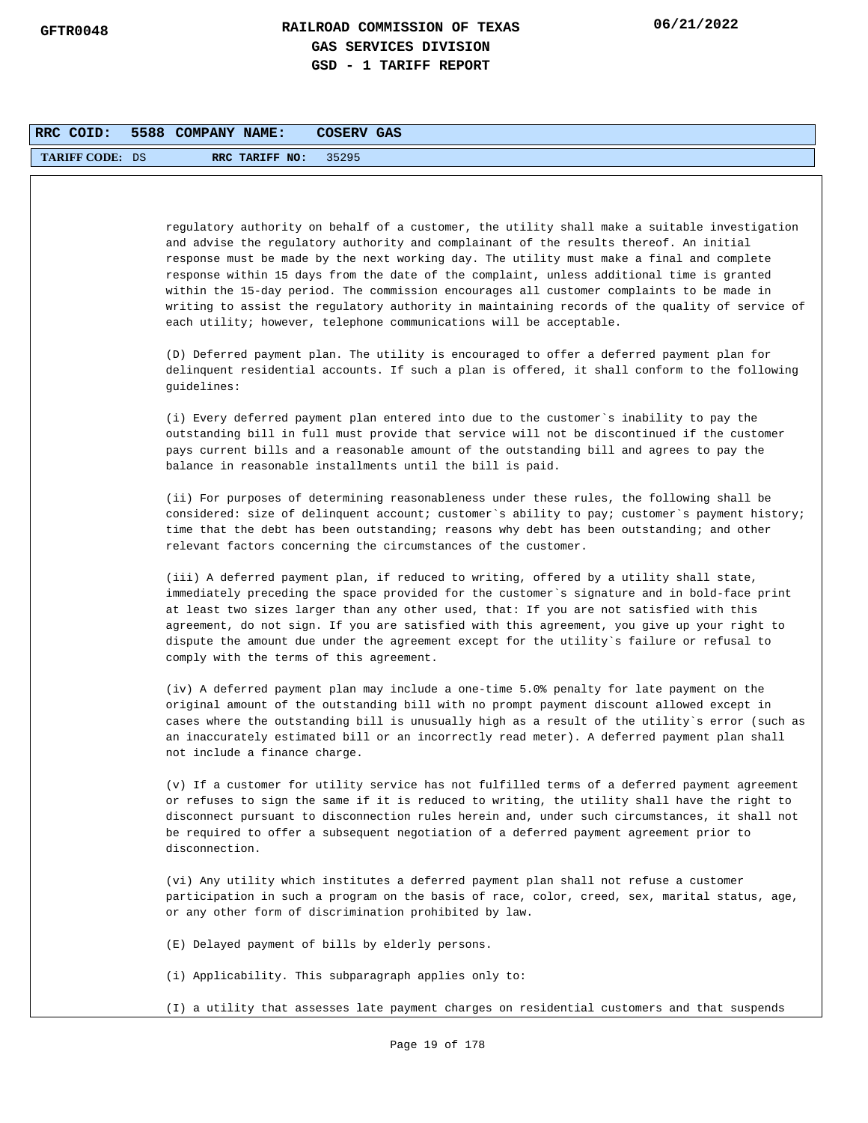| RRC COID:              | 5588 COMPANY NAME:            |                | COSERV GAS                                                                                                                                                                                                                                                                                                                                                                                                                                                                                                                                                                                                                                              |
|------------------------|-------------------------------|----------------|---------------------------------------------------------------------------------------------------------------------------------------------------------------------------------------------------------------------------------------------------------------------------------------------------------------------------------------------------------------------------------------------------------------------------------------------------------------------------------------------------------------------------------------------------------------------------------------------------------------------------------------------------------|
| <b>TARIFF CODE: DS</b> |                               | RRC TARIFF NO: | 35295                                                                                                                                                                                                                                                                                                                                                                                                                                                                                                                                                                                                                                                   |
|                        |                               |                |                                                                                                                                                                                                                                                                                                                                                                                                                                                                                                                                                                                                                                                         |
|                        |                               |                | regulatory authority on behalf of a customer, the utility shall make a suitable investigation<br>and advise the regulatory authority and complainant of the results thereof. An initial<br>response must be made by the next working day. The utility must make a final and complete<br>response within 15 days from the date of the complaint, unless additional time is granted<br>within the 15-day period. The commission encourages all customer complaints to be made in<br>writing to assist the regulatory authority in maintaining records of the quality of service of<br>each utility; however, telephone communications will be acceptable. |
|                        | guidelines:                   |                | (D) Deferred payment plan. The utility is encouraged to offer a deferred payment plan for<br>delinquent residential accounts. If such a plan is offered, it shall conform to the following                                                                                                                                                                                                                                                                                                                                                                                                                                                              |
|                        |                               |                | (i) Every deferred payment plan entered into due to the customer`s inability to pay the<br>outstanding bill in full must provide that service will not be discontinued if the customer<br>pays current bills and a reasonable amount of the outstanding bill and agrees to pay the<br>balance in reasonable installments until the bill is paid.                                                                                                                                                                                                                                                                                                        |
|                        |                               |                | (ii) For purposes of determining reasonableness under these rules, the following shall be<br>considered: size of delinquent account; customer's ability to pay; customer's payment history;<br>time that the debt has been outstanding; reasons why debt has been outstanding; and other<br>relevant factors concerning the circumstances of the customer.                                                                                                                                                                                                                                                                                              |
|                        |                               |                | (iii) A deferred payment plan, if reduced to writing, offered by a utility shall state,<br>immediately preceding the space provided for the customer`s signature and in bold-face print<br>at least two sizes larger than any other used, that: If you are not satisfied with this<br>agreement, do not sign. If you are satisfied with this agreement, you give up your right to<br>dispute the amount due under the agreement except for the utility`s failure or refusal to<br>comply with the terms of this agreement.                                                                                                                              |
|                        | not include a finance charge. |                | (iv) A deferred payment plan may include a one-time 5.0% penalty for late payment on the<br>original amount of the outstanding bill with no prompt payment discount allowed except in<br>cases where the outstanding bill is unusually high as a result of the utility's error (such as<br>an inaccurately estimated bill or an incorrectly read meter). A deferred payment plan shall                                                                                                                                                                                                                                                                  |
|                        | disconnection.                |                | (v) If a customer for utility service has not fulfilled terms of a deferred payment agreement<br>or refuses to sign the same if it is reduced to writing, the utility shall have the right to<br>disconnect pursuant to disconnection rules herein and, under such circumstances, it shall not<br>be required to offer a subsequent negotiation of a deferred payment agreement prior to                                                                                                                                                                                                                                                                |
|                        |                               |                | (vi) Any utility which institutes a deferred payment plan shall not refuse a customer<br>participation in such a program on the basis of race, color, creed, sex, marital status, age,<br>or any other form of discrimination prohibited by law.                                                                                                                                                                                                                                                                                                                                                                                                        |
|                        |                               |                | (E) Delayed payment of bills by elderly persons.                                                                                                                                                                                                                                                                                                                                                                                                                                                                                                                                                                                                        |
|                        |                               |                | (i) Applicability. This subparagraph applies only to:                                                                                                                                                                                                                                                                                                                                                                                                                                                                                                                                                                                                   |
|                        |                               |                | (I) a utility that assesses late payment charges on residential customers and that suspends                                                                                                                                                                                                                                                                                                                                                                                                                                                                                                                                                             |
|                        |                               |                | Page 19 of 178                                                                                                                                                                                                                                                                                                                                                                                                                                                                                                                                                                                                                                          |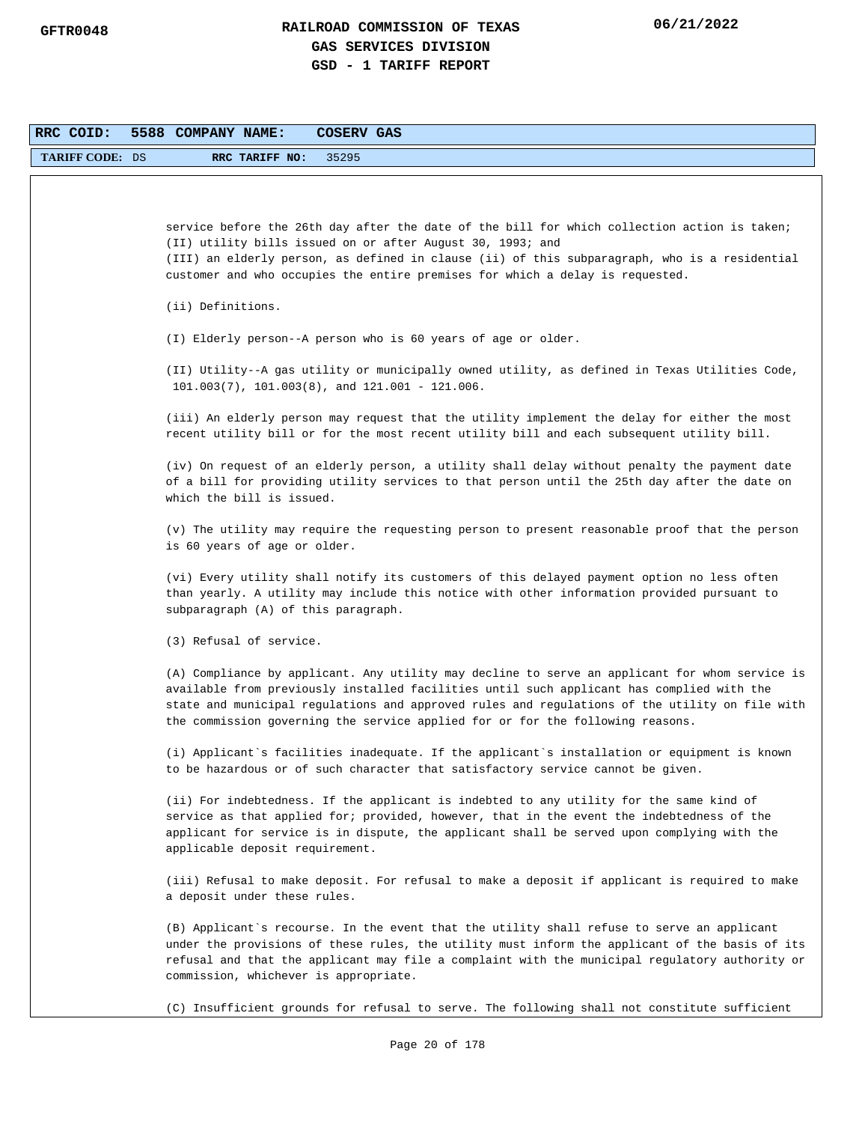| RRC COID:              | 5588 COMPANY NAME:<br>COSERV GAS                                                                                                                                                                                                                                                                                                                                                |
|------------------------|---------------------------------------------------------------------------------------------------------------------------------------------------------------------------------------------------------------------------------------------------------------------------------------------------------------------------------------------------------------------------------|
| <b>TARIFF CODE: DS</b> | 35295<br>RRC TARIFF NO:                                                                                                                                                                                                                                                                                                                                                         |
|                        |                                                                                                                                                                                                                                                                                                                                                                                 |
|                        | service before the 26th day after the date of the bill for which collection action is taken;<br>(II) utility bills issued on or after August 30, 1993; and<br>(III) an elderly person, as defined in clause (ii) of this subparagraph, who is a residential<br>customer and who occupies the entire premises for which a delay is requested.                                    |
|                        | (ii) Definitions.                                                                                                                                                                                                                                                                                                                                                               |
|                        | (I) Elderly person--A person who is 60 years of age or older.                                                                                                                                                                                                                                                                                                                   |
|                        | (II) Utility--A gas utility or municipally owned utility, as defined in Texas Utilities Code,<br>$101.003(7)$ , $101.003(8)$ , and $121.001 - 121.006$ .                                                                                                                                                                                                                        |
|                        | (iii) An elderly person may request that the utility implement the delay for either the most<br>recent utility bill or for the most recent utility bill and each subsequent utility bill.                                                                                                                                                                                       |
|                        | (iv) On request of an elderly person, a utility shall delay without penalty the payment date<br>of a bill for providing utility services to that person until the 25th day after the date on<br>which the bill is issued.                                                                                                                                                       |
|                        | (v) The utility may require the requesting person to present reasonable proof that the person<br>is 60 years of age or older.                                                                                                                                                                                                                                                   |
|                        | (vi) Every utility shall notify its customers of this delayed payment option no less often<br>than yearly. A utility may include this notice with other information provided pursuant to<br>subparagraph (A) of this paragraph.                                                                                                                                                 |
|                        | (3) Refusal of service.                                                                                                                                                                                                                                                                                                                                                         |
|                        | (A) Compliance by applicant. Any utility may decline to serve an applicant for whom service is<br>available from previously installed facilities until such applicant has complied with the<br>state and municipal regulations and approved rules and regulations of the utility on file with<br>the commission governing the service applied for or for the following reasons. |
|                        | (i) Applicant's facilities inadequate. If the applicant's installation or equipment is known<br>to be hazardous or of such character that satisfactory service cannot be given.                                                                                                                                                                                                 |
|                        | (ii) For indebtedness. If the applicant is indebted to any utility for the same kind of<br>service as that applied for; provided, however, that in the event the indebtedness of the<br>applicant for service is in dispute, the applicant shall be served upon complying with the<br>applicable deposit requirement.                                                           |
|                        | (iii) Refusal to make deposit. For refusal to make a deposit if applicant is required to make<br>a deposit under these rules.                                                                                                                                                                                                                                                   |
|                        | (B) Applicant`s recourse. In the event that the utility shall refuse to serve an applicant<br>under the provisions of these rules, the utility must inform the applicant of the basis of its<br>refusal and that the applicant may file a complaint with the municipal regulatory authority or<br>commission, whichever is appropriate.                                         |
|                        | (C) Insufficient grounds for refusal to serve. The following shall not constitute sufficient                                                                                                                                                                                                                                                                                    |
|                        | Page 20 of 178                                                                                                                                                                                                                                                                                                                                                                  |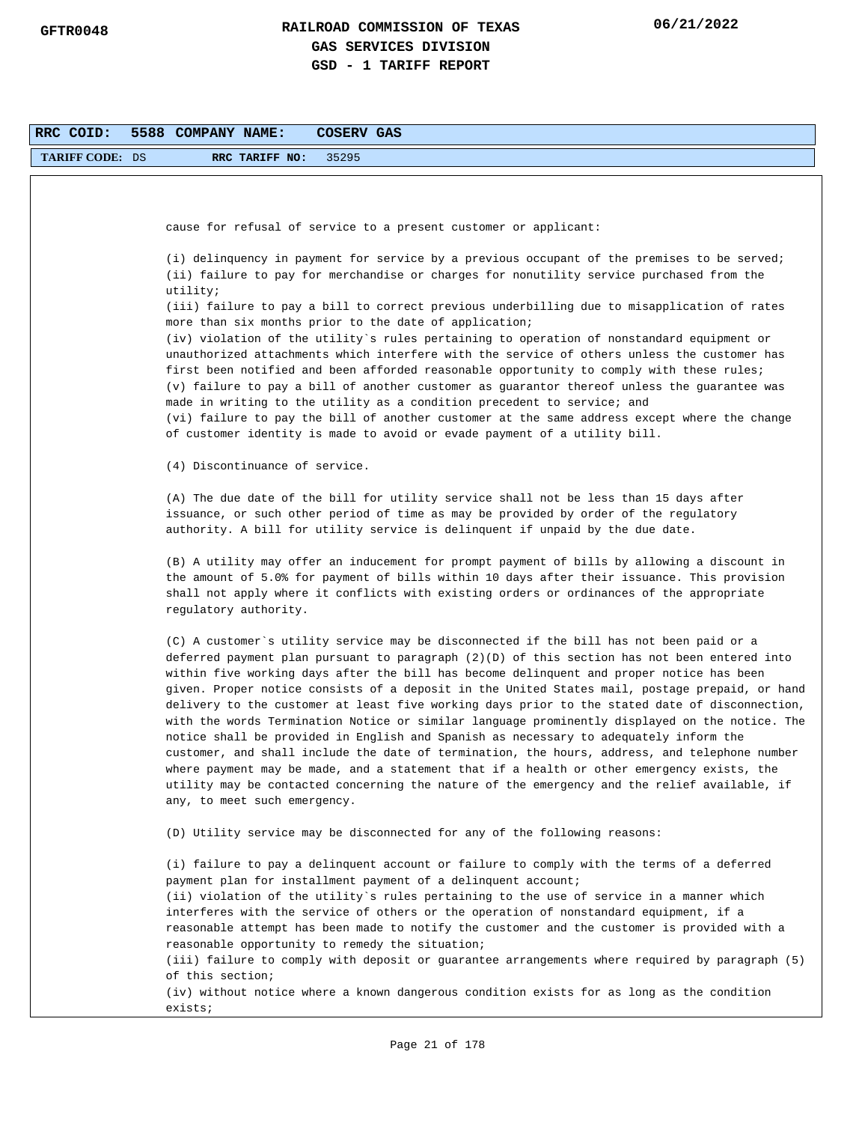| RRC COID:              | 5588 COMPANY NAME:<br>COSERV GAS                                                                                                                                                                                                                                                                                                                                                                                                                                                                                                                                                                                                                                                                                                                                                                                                                                                                                                                                                                                  |
|------------------------|-------------------------------------------------------------------------------------------------------------------------------------------------------------------------------------------------------------------------------------------------------------------------------------------------------------------------------------------------------------------------------------------------------------------------------------------------------------------------------------------------------------------------------------------------------------------------------------------------------------------------------------------------------------------------------------------------------------------------------------------------------------------------------------------------------------------------------------------------------------------------------------------------------------------------------------------------------------------------------------------------------------------|
| <b>TARIFF CODE: DS</b> | 35295<br>RRC TARIFF NO:                                                                                                                                                                                                                                                                                                                                                                                                                                                                                                                                                                                                                                                                                                                                                                                                                                                                                                                                                                                           |
|                        |                                                                                                                                                                                                                                                                                                                                                                                                                                                                                                                                                                                                                                                                                                                                                                                                                                                                                                                                                                                                                   |
|                        | cause for refusal of service to a present customer or applicant:                                                                                                                                                                                                                                                                                                                                                                                                                                                                                                                                                                                                                                                                                                                                                                                                                                                                                                                                                  |
|                        |                                                                                                                                                                                                                                                                                                                                                                                                                                                                                                                                                                                                                                                                                                                                                                                                                                                                                                                                                                                                                   |
|                        | (i) delinguency in payment for service by a previous occupant of the premises to be served;<br>(ii) failure to pay for merchandise or charges for nonutility service purchased from the<br>utility;                                                                                                                                                                                                                                                                                                                                                                                                                                                                                                                                                                                                                                                                                                                                                                                                               |
|                        | (iii) failure to pay a bill to correct previous underbilling due to misapplication of rates<br>more than six months prior to the date of application;                                                                                                                                                                                                                                                                                                                                                                                                                                                                                                                                                                                                                                                                                                                                                                                                                                                             |
|                        | (iv) violation of the utility`s rules pertaining to operation of nonstandard equipment or                                                                                                                                                                                                                                                                                                                                                                                                                                                                                                                                                                                                                                                                                                                                                                                                                                                                                                                         |
|                        | unauthorized attachments which interfere with the service of others unless the customer has<br>first been notified and been afforded reasonable opportunity to comply with these rules;<br>(v) failure to pay a bill of another customer as guarantor thereof unless the guarantee was<br>made in writing to the utility as a condition precedent to service; and<br>(vi) failure to pay the bill of another customer at the same address except where the change<br>of customer identity is made to avoid or evade payment of a utility bill.                                                                                                                                                                                                                                                                                                                                                                                                                                                                    |
|                        | (4) Discontinuance of service.                                                                                                                                                                                                                                                                                                                                                                                                                                                                                                                                                                                                                                                                                                                                                                                                                                                                                                                                                                                    |
|                        | (A) The due date of the bill for utility service shall not be less than 15 days after<br>issuance, or such other period of time as may be provided by order of the regulatory<br>authority. A bill for utility service is delinquent if unpaid by the due date.                                                                                                                                                                                                                                                                                                                                                                                                                                                                                                                                                                                                                                                                                                                                                   |
|                        | (B) A utility may offer an inducement for prompt payment of bills by allowing a discount in<br>the amount of 5.0% for payment of bills within 10 days after their issuance. This provision<br>shall not apply where it conflicts with existing orders or ordinances of the appropriate<br>regulatory authority.                                                                                                                                                                                                                                                                                                                                                                                                                                                                                                                                                                                                                                                                                                   |
|                        | (C) A customer`s utility service may be disconnected if the bill has not been paid or a<br>deferred payment plan pursuant to paragraph (2)(D) of this section has not been entered into<br>within five working days after the bill has become delinquent and proper notice has been<br>given. Proper notice consists of a deposit in the United States mail, postage prepaid, or hand<br>delivery to the customer at least five working days prior to the stated date of disconnection,<br>with the words Termination Notice or similar language prominently displayed on the notice. The<br>notice shall be provided in English and Spanish as necessary to adequately inform the<br>customer, and shall include the date of termination, the hours, address, and telephone number<br>where payment may be made, and a statement that if a health or other emergency exists, the<br>utility may be contacted concerning the nature of the emergency and the relief available, if<br>any, to meet such emergency. |
|                        | (D) Utility service may be disconnected for any of the following reasons:                                                                                                                                                                                                                                                                                                                                                                                                                                                                                                                                                                                                                                                                                                                                                                                                                                                                                                                                         |
|                        | (i) failure to pay a delinquent account or failure to comply with the terms of a deferred<br>payment plan for installment payment of a delinquent account;<br>(ii) violation of the utility's rules pertaining to the use of service in a manner which<br>interferes with the service of others or the operation of nonstandard equipment, if a<br>reasonable attempt has been made to notify the customer and the customer is provided with a<br>reasonable opportunity to remedy the situation;<br>(iii) failure to comply with deposit or guarantee arrangements where required by paragraph (5)<br>of this section;<br>(iv) without notice where a known dangerous condition exists for as long as the condition                                                                                                                                                                                                                                                                                              |
|                        | exists;                                                                                                                                                                                                                                                                                                                                                                                                                                                                                                                                                                                                                                                                                                                                                                                                                                                                                                                                                                                                           |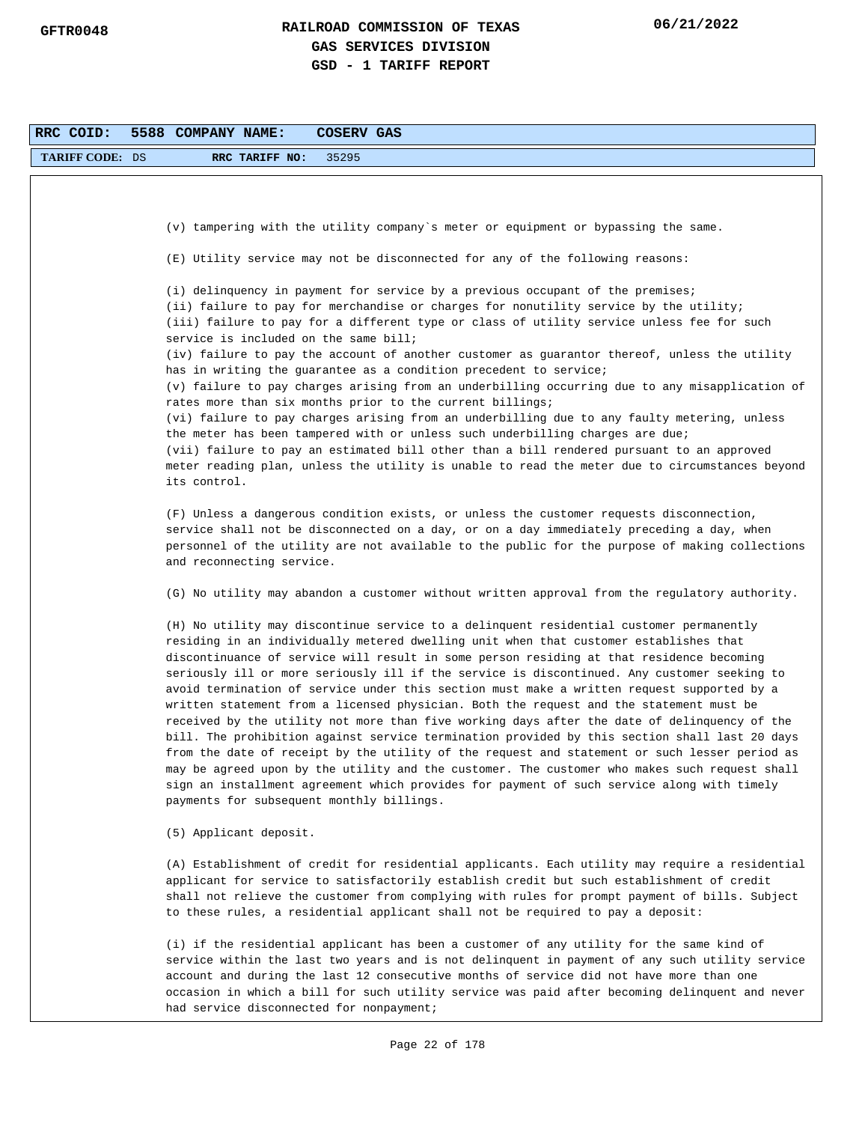| RRC COID:              | 5588 COMPANY NAME:<br>COSERV GAS                                                                                                                                                                                                                                                                                                                                                                                                                                                                                                                                                                                                                                                                                                                                                                                                                                                                                                                                                                                                                                                                                   |
|------------------------|--------------------------------------------------------------------------------------------------------------------------------------------------------------------------------------------------------------------------------------------------------------------------------------------------------------------------------------------------------------------------------------------------------------------------------------------------------------------------------------------------------------------------------------------------------------------------------------------------------------------------------------------------------------------------------------------------------------------------------------------------------------------------------------------------------------------------------------------------------------------------------------------------------------------------------------------------------------------------------------------------------------------------------------------------------------------------------------------------------------------|
| <b>TARIFF CODE: DS</b> | RRC TARIFF NO:<br>35295                                                                                                                                                                                                                                                                                                                                                                                                                                                                                                                                                                                                                                                                                                                                                                                                                                                                                                                                                                                                                                                                                            |
|                        |                                                                                                                                                                                                                                                                                                                                                                                                                                                                                                                                                                                                                                                                                                                                                                                                                                                                                                                                                                                                                                                                                                                    |
|                        |                                                                                                                                                                                                                                                                                                                                                                                                                                                                                                                                                                                                                                                                                                                                                                                                                                                                                                                                                                                                                                                                                                                    |
|                        | (v) tampering with the utility company's meter or equipment or bypassing the same.                                                                                                                                                                                                                                                                                                                                                                                                                                                                                                                                                                                                                                                                                                                                                                                                                                                                                                                                                                                                                                 |
|                        | (E) Utility service may not be disconnected for any of the following reasons:                                                                                                                                                                                                                                                                                                                                                                                                                                                                                                                                                                                                                                                                                                                                                                                                                                                                                                                                                                                                                                      |
|                        | (i) delinquency in payment for service by a previous occupant of the premises;<br>(ii) failure to pay for merchandise or charges for nonutility service by the utility;<br>(iii) failure to pay for a different type or class of utility service unless fee for such<br>service is included on the same bill;                                                                                                                                                                                                                                                                                                                                                                                                                                                                                                                                                                                                                                                                                                                                                                                                      |
|                        | (iv) failure to pay the account of another customer as guarantor thereof, unless the utility                                                                                                                                                                                                                                                                                                                                                                                                                                                                                                                                                                                                                                                                                                                                                                                                                                                                                                                                                                                                                       |
|                        | has in writing the guarantee as a condition precedent to service;<br>(v) failure to pay charges arising from an underbilling occurring due to any misapplication of<br>rates more than six months prior to the current billings;                                                                                                                                                                                                                                                                                                                                                                                                                                                                                                                                                                                                                                                                                                                                                                                                                                                                                   |
|                        | (vi) failure to pay charges arising from an underbilling due to any faulty metering, unless<br>the meter has been tampered with or unless such underbilling charges are due;<br>(vii) failure to pay an estimated bill other than a bill rendered pursuant to an approved<br>meter reading plan, unless the utility is unable to read the meter due to circumstances beyond                                                                                                                                                                                                                                                                                                                                                                                                                                                                                                                                                                                                                                                                                                                                        |
|                        | its control.                                                                                                                                                                                                                                                                                                                                                                                                                                                                                                                                                                                                                                                                                                                                                                                                                                                                                                                                                                                                                                                                                                       |
|                        | (F) Unless a dangerous condition exists, or unless the customer requests disconnection,<br>service shall not be disconnected on a day, or on a day immediately preceding a day, when<br>personnel of the utility are not available to the public for the purpose of making collections<br>and reconnecting service.                                                                                                                                                                                                                                                                                                                                                                                                                                                                                                                                                                                                                                                                                                                                                                                                |
|                        | (G) No utility may abandon a customer without written approval from the regulatory authority.                                                                                                                                                                                                                                                                                                                                                                                                                                                                                                                                                                                                                                                                                                                                                                                                                                                                                                                                                                                                                      |
|                        | (H) No utility may discontinue service to a delinquent residential customer permanently<br>residing in an individually metered dwelling unit when that customer establishes that<br>discontinuance of service will result in some person residing at that residence becoming<br>seriously ill or more seriously ill if the service is discontinued. Any customer seeking to<br>avoid termination of service under this section must make a written request supported by a<br>written statement from a licensed physician. Both the request and the statement must be<br>received by the utility not more than five working days after the date of delinguency of the<br>bill. The prohibition against service termination provided by this section shall last 20 days<br>from the date of receipt by the utility of the request and statement or such lesser period as<br>may be agreed upon by the utility and the customer. The customer who makes such request shall<br>sign an installment agreement which provides for payment of such service along with timely<br>payments for subsequent monthly billings. |
|                        | (5) Applicant deposit.                                                                                                                                                                                                                                                                                                                                                                                                                                                                                                                                                                                                                                                                                                                                                                                                                                                                                                                                                                                                                                                                                             |
|                        | (A) Establishment of credit for residential applicants. Each utility may require a residential<br>applicant for service to satisfactorily establish credit but such establishment of credit<br>shall not relieve the customer from complying with rules for prompt payment of bills. Subject<br>to these rules, a residential applicant shall not be required to pay a deposit:                                                                                                                                                                                                                                                                                                                                                                                                                                                                                                                                                                                                                                                                                                                                    |
|                        | (i) if the residential applicant has been a customer of any utility for the same kind of<br>service within the last two years and is not delinquent in payment of any such utility service<br>account and during the last 12 consecutive months of service did not have more than one<br>occasion in which a bill for such utility service was paid after becoming delinquent and never<br>had service disconnected for nonpayment;                                                                                                                                                                                                                                                                                                                                                                                                                                                                                                                                                                                                                                                                                |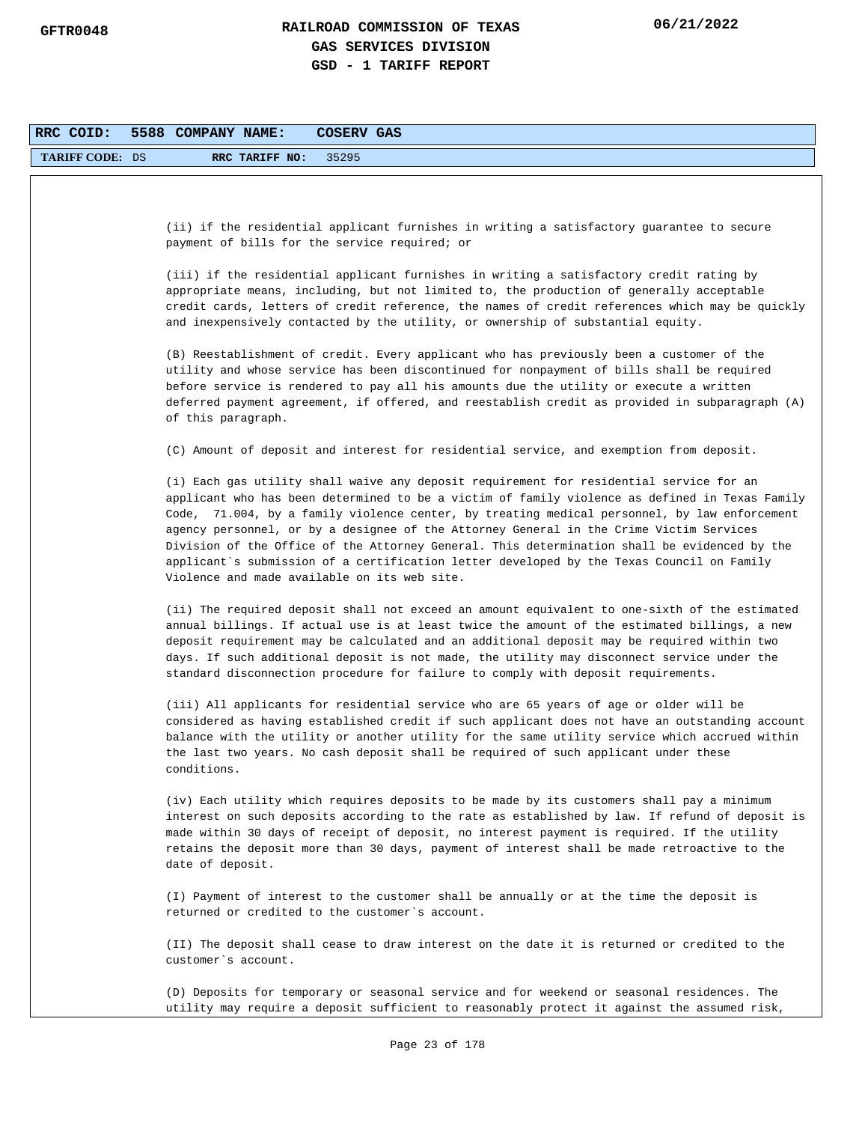| RRC COID:              | 5588 COMPANY NAME:<br>COSERV GAS                                                                                                                                                                                                                                                                                                                                                                                                                                                                                                                                                                                                  |
|------------------------|-----------------------------------------------------------------------------------------------------------------------------------------------------------------------------------------------------------------------------------------------------------------------------------------------------------------------------------------------------------------------------------------------------------------------------------------------------------------------------------------------------------------------------------------------------------------------------------------------------------------------------------|
| <b>TARIFF CODE: DS</b> | 35295<br>RRC TARIFF NO:                                                                                                                                                                                                                                                                                                                                                                                                                                                                                                                                                                                                           |
|                        |                                                                                                                                                                                                                                                                                                                                                                                                                                                                                                                                                                                                                                   |
|                        | (ii) if the residential applicant furnishes in writing a satisfactory guarantee to secure<br>payment of bills for the service required; or                                                                                                                                                                                                                                                                                                                                                                                                                                                                                        |
|                        | (iii) if the residential applicant furnishes in writing a satisfactory credit rating by<br>appropriate means, including, but not limited to, the production of generally acceptable<br>credit cards, letters of credit reference, the names of credit references which may be quickly<br>and inexpensively contacted by the utility, or ownership of substantial equity.                                                                                                                                                                                                                                                          |
|                        | (B) Reestablishment of credit. Every applicant who has previously been a customer of the<br>utility and whose service has been discontinued for nonpayment of bills shall be required<br>before service is rendered to pay all his amounts due the utility or execute a written<br>deferred payment agreement, if offered, and reestablish credit as provided in subparagraph (A)<br>of this paragraph.                                                                                                                                                                                                                           |
|                        | (C) Amount of deposit and interest for residential service, and exemption from deposit.                                                                                                                                                                                                                                                                                                                                                                                                                                                                                                                                           |
|                        | (i) Each gas utility shall waive any deposit requirement for residential service for an<br>applicant who has been determined to be a victim of family violence as defined in Texas Family<br>Code, 71.004, by a family violence center, by treating medical personnel, by law enforcement<br>agency personnel, or by a designee of the Attorney General in the Crime Victim Services<br>Division of the Office of the Attorney General. This determination shall be evidenced by the<br>applicant`s submission of a certification letter developed by the Texas Council on Family<br>Violence and made available on its web site. |
|                        | (ii) The required deposit shall not exceed an amount equivalent to one-sixth of the estimated<br>annual billings. If actual use is at least twice the amount of the estimated billings, a new<br>deposit requirement may be calculated and an additional deposit may be required within two<br>days. If such additional deposit is not made, the utility may disconnect service under the<br>standard disconnection procedure for failure to comply with deposit requirements.                                                                                                                                                    |
|                        | (iii) All applicants for residential service who are 65 years of age or older will be<br>considered as having established credit if such applicant does not have an outstanding account<br>balance with the utility or another utility for the same utility service which accrued within<br>the last two years. No cash deposit shall be required of such applicant under these<br>conditions.                                                                                                                                                                                                                                    |
|                        | (iv) Each utility which requires deposits to be made by its customers shall pay a minimum<br>interest on such deposits according to the rate as established by law. If refund of deposit is<br>made within 30 days of receipt of deposit, no interest payment is required. If the utility<br>retains the deposit more than 30 days, payment of interest shall be made retroactive to the<br>date of deposit.                                                                                                                                                                                                                      |
|                        | (I) Payment of interest to the customer shall be annually or at the time the deposit is<br>returned or credited to the customer's account.                                                                                                                                                                                                                                                                                                                                                                                                                                                                                        |
|                        | (II) The deposit shall cease to draw interest on the date it is returned or credited to the<br>customer's account.                                                                                                                                                                                                                                                                                                                                                                                                                                                                                                                |
|                        | (D) Deposits for temporary or seasonal service and for weekend or seasonal residences. The<br>utility may require a deposit sufficient to reasonably protect it against the assumed risk,                                                                                                                                                                                                                                                                                                                                                                                                                                         |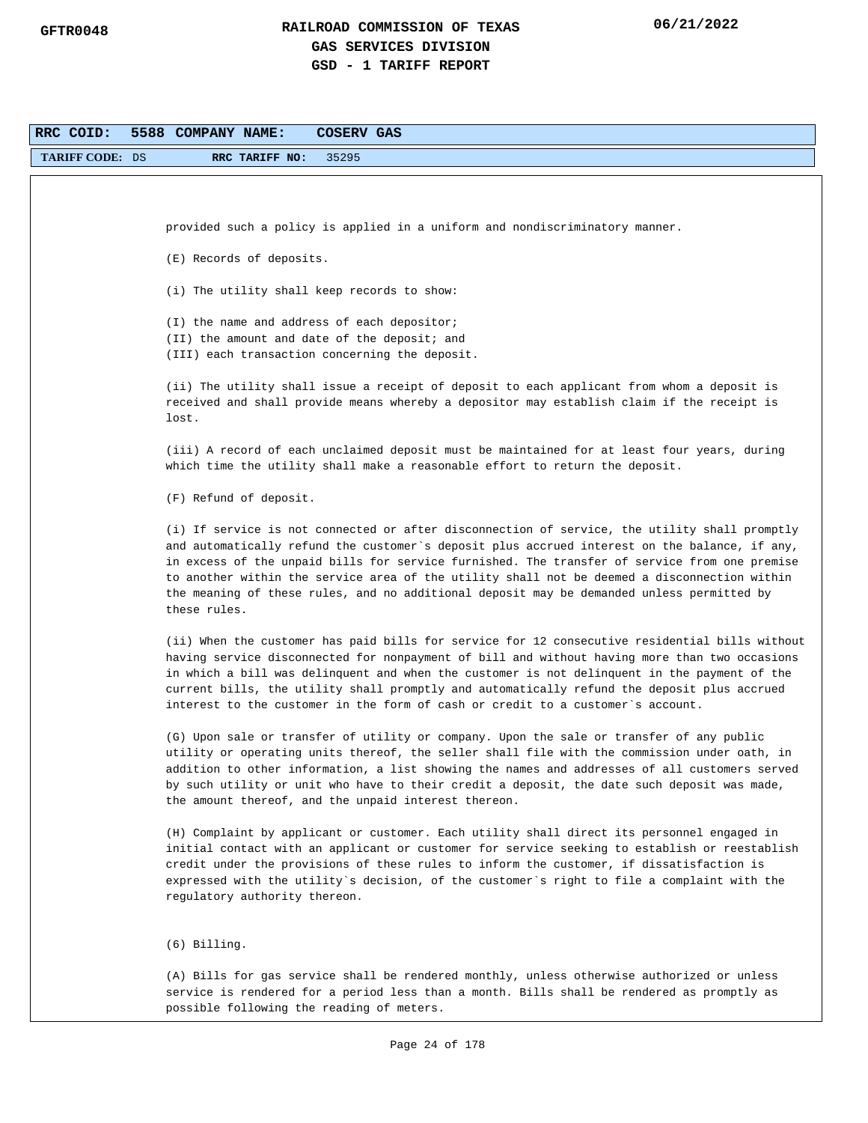| RRC COID:              | 5588 COMPANY NAME:<br>COSERV GAS                                                                                                                                                              |
|------------------------|-----------------------------------------------------------------------------------------------------------------------------------------------------------------------------------------------|
| <b>TARIFF CODE: DS</b> | RRC TARIFF NO:<br>35295                                                                                                                                                                       |
|                        |                                                                                                                                                                                               |
|                        |                                                                                                                                                                                               |
|                        | provided such a policy is applied in a uniform and nondiscriminatory manner.                                                                                                                  |
|                        | (E) Records of deposits.                                                                                                                                                                      |
|                        |                                                                                                                                                                                               |
|                        | (i) The utility shall keep records to show:                                                                                                                                                   |
|                        | (I) the name and address of each depositor;                                                                                                                                                   |
|                        | (II) the amount and date of the deposit; and                                                                                                                                                  |
|                        | (III) each transaction concerning the deposit.                                                                                                                                                |
|                        | (ii) The utility shall issue a receipt of deposit to each applicant from whom a deposit is                                                                                                    |
|                        | received and shall provide means whereby a depositor may establish claim if the receipt is                                                                                                    |
|                        | lost.                                                                                                                                                                                         |
|                        | (iii) A record of each unclaimed deposit must be maintained for at least four years, during                                                                                                   |
|                        | which time the utility shall make a reasonable effort to return the deposit.                                                                                                                  |
|                        |                                                                                                                                                                                               |
|                        | (F) Refund of deposit.                                                                                                                                                                        |
|                        | (i) If service is not connected or after disconnection of service, the utility shall promptly                                                                                                 |
|                        | and automatically refund the customer's deposit plus accrued interest on the balance, if any,                                                                                                 |
|                        | in excess of the unpaid bills for service furnished. The transfer of service from one premise<br>to another within the service area of the utility shall not be deemed a disconnection within |
|                        | the meaning of these rules, and no additional deposit may be demanded unless permitted by                                                                                                     |
|                        | these rules.                                                                                                                                                                                  |
|                        | (ii) When the customer has paid bills for service for 12 consecutive residential bills without                                                                                                |
|                        | having service disconnected for nonpayment of bill and without having more than two occasions                                                                                                 |
|                        | in which a bill was delinquent and when the customer is not delinquent in the payment of the                                                                                                  |
|                        | current bills, the utility shall promptly and automatically refund the deposit plus accrued                                                                                                   |
|                        | interest to the customer in the form of cash or credit to a customer's account.                                                                                                               |
|                        | (G) Upon sale or transfer of utility or company. Upon the sale or transfer of any public                                                                                                      |
|                        | utility or operating units thereof, the seller shall file with the commission under oath, in                                                                                                  |
|                        | addition to other information, a list showing the names and addresses of all customers served                                                                                                 |
|                        | by such utility or unit who have to their credit a deposit, the date such deposit was made,<br>the amount thereof, and the unpaid interest thereon.                                           |
|                        |                                                                                                                                                                                               |
|                        | (H) Complaint by applicant or customer. Each utility shall direct its personnel engaged in                                                                                                    |
|                        | initial contact with an applicant or customer for service seeking to establish or reestablish                                                                                                 |
|                        | credit under the provisions of these rules to inform the customer, if dissatisfaction is<br>expressed with the utility's decision, of the customer's right to file a complaint with the       |
|                        | regulatory authority thereon.                                                                                                                                                                 |
|                        |                                                                                                                                                                                               |
|                        | $(6)$ Billing.                                                                                                                                                                                |
|                        | (A) Bills for gas service shall be rendered monthly, unless otherwise authorized or unless                                                                                                    |
|                        | service is rendered for a period less than a month. Bills shall be rendered as promptly as                                                                                                    |
|                        | possible following the reading of meters.                                                                                                                                                     |
|                        |                                                                                                                                                                                               |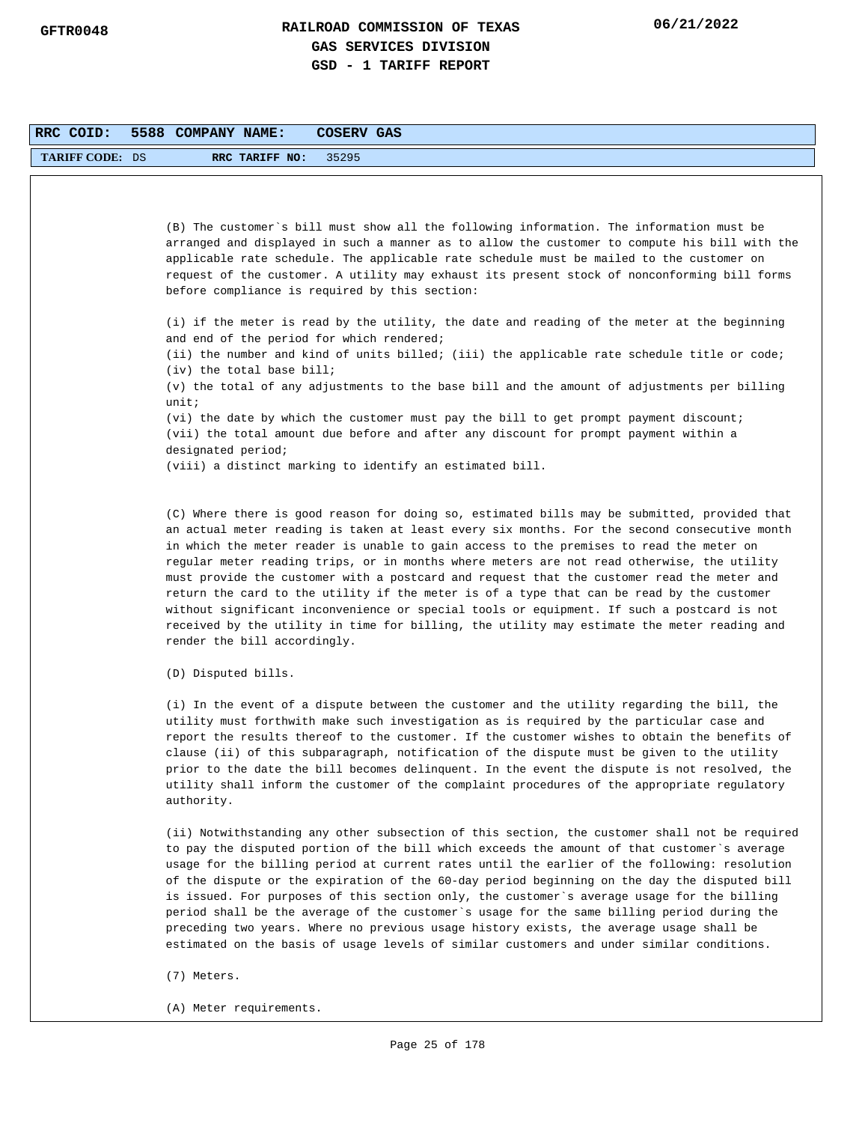| RRC COID:              | 5588 COMPANY NAME:           | COSERV GAS                                                                                                                                                                                                                                                                                                                                                                                                                                                                                                                                                                                                                                                                                                                                                                    |
|------------------------|------------------------------|-------------------------------------------------------------------------------------------------------------------------------------------------------------------------------------------------------------------------------------------------------------------------------------------------------------------------------------------------------------------------------------------------------------------------------------------------------------------------------------------------------------------------------------------------------------------------------------------------------------------------------------------------------------------------------------------------------------------------------------------------------------------------------|
| <b>TARIFF CODE: DS</b> | RRC TARIFF NO:               | 35295                                                                                                                                                                                                                                                                                                                                                                                                                                                                                                                                                                                                                                                                                                                                                                         |
|                        |                              |                                                                                                                                                                                                                                                                                                                                                                                                                                                                                                                                                                                                                                                                                                                                                                               |
|                        |                              |                                                                                                                                                                                                                                                                                                                                                                                                                                                                                                                                                                                                                                                                                                                                                                               |
|                        |                              | (B) The customer's bill must show all the following information. The information must be                                                                                                                                                                                                                                                                                                                                                                                                                                                                                                                                                                                                                                                                                      |
|                        |                              | arranged and displayed in such a manner as to allow the customer to compute his bill with the<br>applicable rate schedule. The applicable rate schedule must be mailed to the customer on                                                                                                                                                                                                                                                                                                                                                                                                                                                                                                                                                                                     |
|                        |                              | request of the customer. A utility may exhaust its present stock of nonconforming bill forms                                                                                                                                                                                                                                                                                                                                                                                                                                                                                                                                                                                                                                                                                  |
|                        |                              | before compliance is required by this section:                                                                                                                                                                                                                                                                                                                                                                                                                                                                                                                                                                                                                                                                                                                                |
|                        |                              | (i) if the meter is read by the utility, the date and reading of the meter at the beginning                                                                                                                                                                                                                                                                                                                                                                                                                                                                                                                                                                                                                                                                                   |
|                        |                              | and end of the period for which rendered;                                                                                                                                                                                                                                                                                                                                                                                                                                                                                                                                                                                                                                                                                                                                     |
|                        | $(iv)$ the total base bill;  | (ii) the number and kind of units billed; (iii) the applicable rate schedule title or code;                                                                                                                                                                                                                                                                                                                                                                                                                                                                                                                                                                                                                                                                                   |
|                        |                              | (v) the total of any adjustments to the base bill and the amount of adjustments per billing                                                                                                                                                                                                                                                                                                                                                                                                                                                                                                                                                                                                                                                                                   |
|                        | unit:                        |                                                                                                                                                                                                                                                                                                                                                                                                                                                                                                                                                                                                                                                                                                                                                                               |
|                        |                              | (vi) the date by which the customer must pay the bill to get prompt payment discount;<br>(vii) the total amount due before and after any discount for prompt payment within a                                                                                                                                                                                                                                                                                                                                                                                                                                                                                                                                                                                                 |
|                        | designated period;           |                                                                                                                                                                                                                                                                                                                                                                                                                                                                                                                                                                                                                                                                                                                                                                               |
|                        |                              | (viii) a distinct marking to identify an estimated bill.                                                                                                                                                                                                                                                                                                                                                                                                                                                                                                                                                                                                                                                                                                                      |
|                        |                              |                                                                                                                                                                                                                                                                                                                                                                                                                                                                                                                                                                                                                                                                                                                                                                               |
|                        | render the bill accordingly. | (C) Where there is good reason for doing so, estimated bills may be submitted, provided that<br>an actual meter reading is taken at least every six months. For the second consecutive month<br>in which the meter reader is unable to gain access to the premises to read the meter on<br>regular meter reading trips, or in months where meters are not read otherwise, the utility<br>must provide the customer with a postcard and request that the customer read the meter and<br>return the card to the utility if the meter is of a type that can be read by the customer<br>without significant inconvenience or special tools or equipment. If such a postcard is not<br>received by the utility in time for billing, the utility may estimate the meter reading and |
|                        | (D) Disputed bills.          |                                                                                                                                                                                                                                                                                                                                                                                                                                                                                                                                                                                                                                                                                                                                                                               |
|                        | authority.                   | (i) In the event of a dispute between the customer and the utility regarding the bill, the<br>utility must forthwith make such investigation as is required by the particular case and<br>report the results thereof to the customer. If the customer wishes to obtain the benefits of<br>clause (ii) of this subparagraph, notification of the dispute must be given to the utility<br>prior to the date the bill becomes delinguent. In the event the dispute is not resolved, the<br>utility shall inform the customer of the complaint procedures of the appropriate regulatory                                                                                                                                                                                           |
|                        |                              | (ii) Notwithstanding any other subsection of this section, the customer shall not be required<br>to pay the disputed portion of the bill which exceeds the amount of that customer's average<br>usage for the billing period at current rates until the earlier of the following: resolution<br>of the dispute or the expiration of the 60-day period beginning on the day the disputed bill<br>is issued. For purposes of this section only, the customer's average usage for the billing                                                                                                                                                                                                                                                                                    |

(7) Meters.

(A) Meter requirements.

period shall be the average of the customer`s usage for the same billing period during the preceding two years. Where no previous usage history exists, the average usage shall be estimated on the basis of usage levels of similar customers and under similar conditions.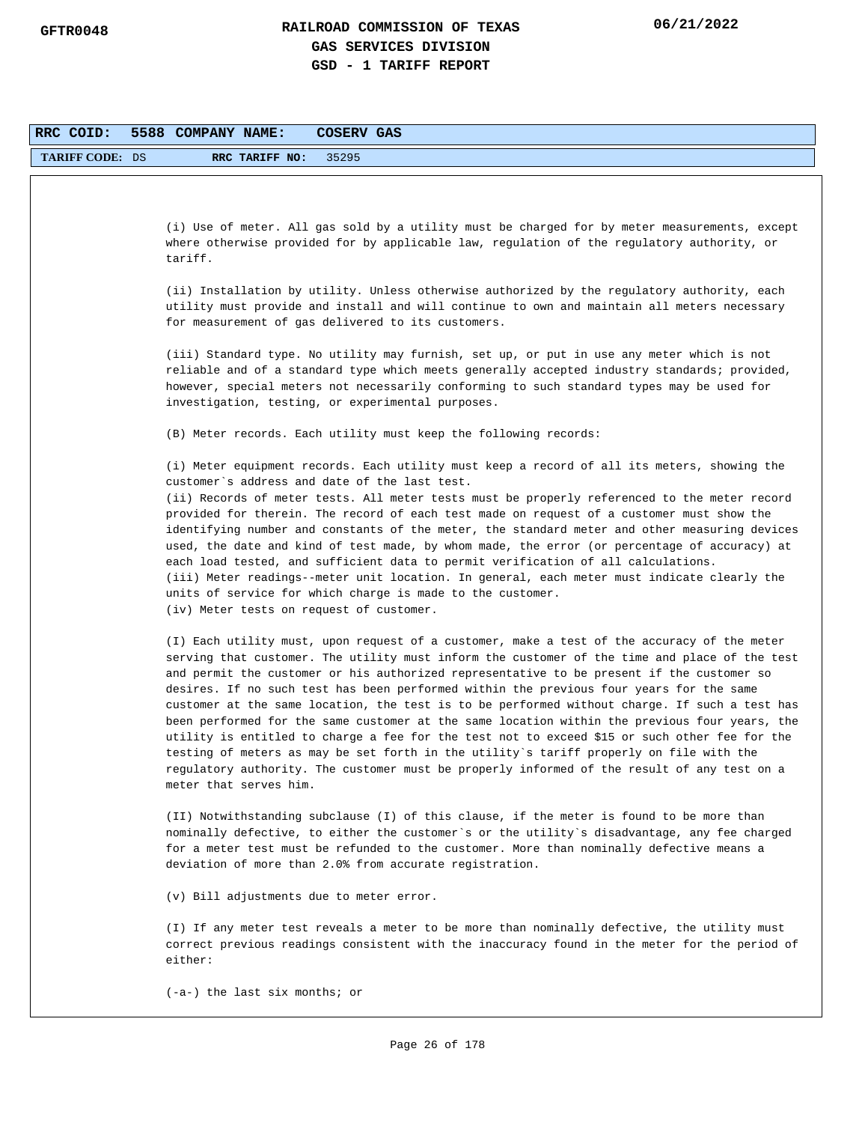| RRC COID:              | 5588 COMPANY NAME:<br><b>COSERV GAS</b>                                                                                                                                                        |
|------------------------|------------------------------------------------------------------------------------------------------------------------------------------------------------------------------------------------|
| <b>TARIFF CODE: DS</b> | 35295<br>RRC TARIFF NO:                                                                                                                                                                        |
|                        |                                                                                                                                                                                                |
|                        |                                                                                                                                                                                                |
|                        | (i) Use of meter. All gas sold by a utility must be charged for by meter measurements, except<br>where otherwise provided for by applicable law, regulation of the regulatory authority, or    |
|                        | tariff.                                                                                                                                                                                        |
|                        | (ii) Installation by utility. Unless otherwise authorized by the regulatory authority, each                                                                                                    |
|                        | utility must provide and install and will continue to own and maintain all meters necessary                                                                                                    |
|                        | for measurement of gas delivered to its customers.                                                                                                                                             |
|                        | (iii) Standard type. No utility may furnish, set up, or put in use any meter which is not                                                                                                      |
|                        | reliable and of a standard type which meets generally accepted industry standards; provided,<br>however, special meters not necessarily conforming to such standard types may be used for      |
|                        | investigation, testing, or experimental purposes.                                                                                                                                              |
|                        | (B) Meter records. Each utility must keep the following records:                                                                                                                               |
|                        | (i) Meter equipment records. Each utility must keep a record of all its meters, showing the                                                                                                    |
|                        | customer's address and date of the last test.<br>(ii) Records of meter tests. All meter tests must be properly referenced to the meter record                                                  |
|                        | provided for therein. The record of each test made on request of a customer must show the                                                                                                      |
|                        | identifying number and constants of the meter, the standard meter and other measuring devices<br>used, the date and kind of test made, by whom made, the error (or percentage of accuracy) at  |
|                        | each load tested, and sufficient data to permit verification of all calculations.                                                                                                              |
|                        | (iii) Meter readings--meter unit location. In general, each meter must indicate clearly the<br>units of service for which charge is made to the customer.                                      |
|                        | (iv) Meter tests on request of customer.                                                                                                                                                       |
|                        | (I) Each utility must, upon request of a customer, make a test of the accuracy of the meter                                                                                                    |
|                        | serving that customer. The utility must inform the customer of the time and place of the test                                                                                                  |
|                        | and permit the customer or his authorized representative to be present if the customer so<br>desires. If no such test has been performed within the previous four years for the same           |
|                        | customer at the same location, the test is to be performed without charge. If such a test has                                                                                                  |
|                        | been performed for the same customer at the same location within the previous four years, the<br>utility is entitled to charge a fee for the test not to exceed \$15 or such other fee for the |
|                        | testing of meters as may be set forth in the utility's tariff properly on file with the                                                                                                        |
|                        | regulatory authority. The customer must be properly informed of the result of any test on a<br>meter that serves him.                                                                          |
|                        |                                                                                                                                                                                                |
|                        | (II) Notwithstanding subclause (I) of this clause, if the meter is found to be more than<br>nominally defective, to either the customer's or the utility's disadvantage, any fee charged       |
|                        | for a meter test must be refunded to the customer. More than nominally defective means a                                                                                                       |
|                        | deviation of more than 2.0% from accurate registration.                                                                                                                                        |
|                        | (v) Bill adjustments due to meter error.                                                                                                                                                       |
|                        | (I) If any meter test reveals a meter to be more than nominally defective, the utility must                                                                                                    |
|                        | correct previous readings consistent with the inaccuracy found in the meter for the period of<br>either:                                                                                       |
|                        | $(-a-)$ the last six months; or                                                                                                                                                                |
|                        |                                                                                                                                                                                                |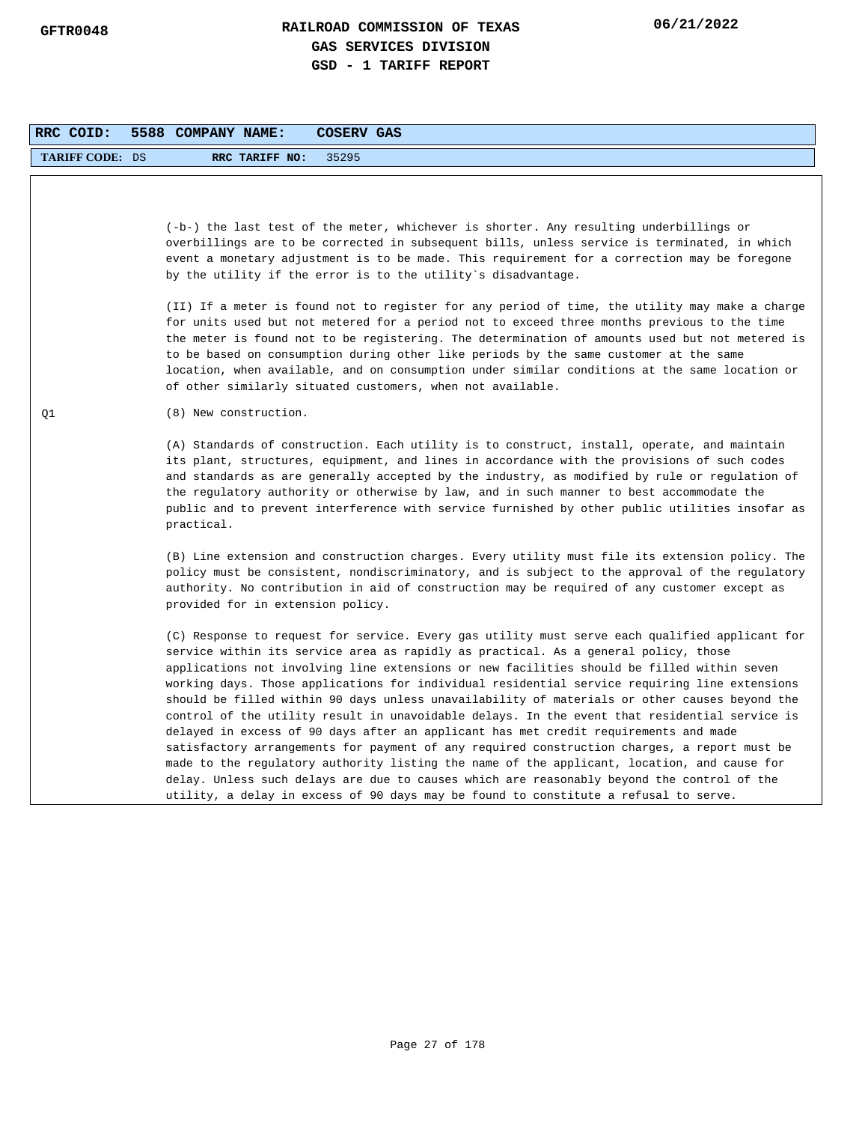| RRC COID:              | 5588 COMPANY NAME:<br><b>COSERV GAS</b>                                                                                                                                                                                                                                                                                                                                                                                                                                                                                                                                                                                                                                                                                                                                                                                                                                                                                                                                                                                                                             |
|------------------------|---------------------------------------------------------------------------------------------------------------------------------------------------------------------------------------------------------------------------------------------------------------------------------------------------------------------------------------------------------------------------------------------------------------------------------------------------------------------------------------------------------------------------------------------------------------------------------------------------------------------------------------------------------------------------------------------------------------------------------------------------------------------------------------------------------------------------------------------------------------------------------------------------------------------------------------------------------------------------------------------------------------------------------------------------------------------|
| <b>TARIFF CODE: DS</b> | RRC TARIFF NO:<br>35295                                                                                                                                                                                                                                                                                                                                                                                                                                                                                                                                                                                                                                                                                                                                                                                                                                                                                                                                                                                                                                             |
|                        | (-b-) the last test of the meter, whichever is shorter. Any resulting underbillings or<br>overbillings are to be corrected in subsequent bills, unless service is terminated, in which<br>event a monetary adjustment is to be made. This requirement for a correction may be foregone<br>by the utility if the error is to the utility's disadvantage.                                                                                                                                                                                                                                                                                                                                                                                                                                                                                                                                                                                                                                                                                                             |
|                        | (II) If a meter is found not to register for any period of time, the utility may make a charge<br>for units used but not metered for a period not to exceed three months previous to the time<br>the meter is found not to be registering. The determination of amounts used but not metered is<br>to be based on consumption during other like periods by the same customer at the same<br>location, when available, and on consumption under similar conditions at the same location or<br>of other similarly situated customers, when not available.                                                                                                                                                                                                                                                                                                                                                                                                                                                                                                             |
| Q1                     | (8) New construction.                                                                                                                                                                                                                                                                                                                                                                                                                                                                                                                                                                                                                                                                                                                                                                                                                                                                                                                                                                                                                                               |
|                        | (A) Standards of construction. Each utility is to construct, install, operate, and maintain<br>its plant, structures, equipment, and lines in accordance with the provisions of such codes<br>and standards as are generally accepted by the industry, as modified by rule or regulation of<br>the regulatory authority or otherwise by law, and in such manner to best accommodate the<br>public and to prevent interference with service furnished by other public utilities insofar as<br>practical.                                                                                                                                                                                                                                                                                                                                                                                                                                                                                                                                                             |
|                        | (B) Line extension and construction charges. Every utility must file its extension policy. The<br>policy must be consistent, nondiscriminatory, and is subject to the approval of the regulatory<br>authority. No contribution in aid of construction may be required of any customer except as<br>provided for in extension policy.                                                                                                                                                                                                                                                                                                                                                                                                                                                                                                                                                                                                                                                                                                                                |
|                        | (C) Response to request for service. Every gas utility must serve each qualified applicant for<br>service within its service area as rapidly as practical. As a general policy, those<br>applications not involving line extensions or new facilities should be filled within seven<br>working days. Those applications for individual residential service requiring line extensions<br>should be filled within 90 days unless unavailability of materials or other causes beyond the<br>control of the utility result in unavoidable delays. In the event that residential service is<br>delayed in excess of 90 days after an applicant has met credit requirements and made<br>satisfactory arrangements for payment of any required construction charges, a report must be<br>made to the regulatory authority listing the name of the applicant, location, and cause for<br>delay. Unless such delays are due to causes which are reasonably beyond the control of the<br>utility, a delay in excess of 90 days may be found to constitute a refusal to serve. |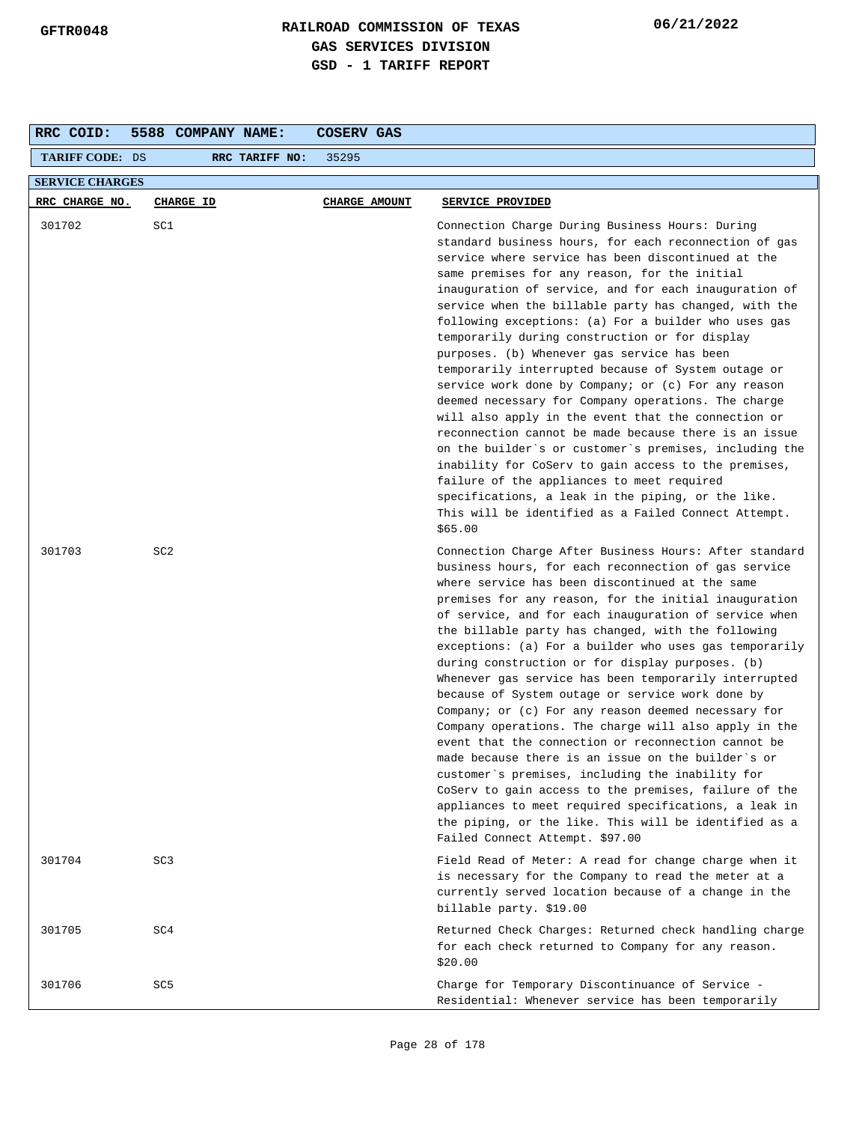| RRC COID:              | 5588 COMPANY NAME: | COSERV GAS           |                                                                                                                                                                                                                                                                                                                                                                                                                                                                                                                                                                                                                                                                                                                                                                                                                                                                                                                                                                                                                                                                          |  |  |
|------------------------|--------------------|----------------------|--------------------------------------------------------------------------------------------------------------------------------------------------------------------------------------------------------------------------------------------------------------------------------------------------------------------------------------------------------------------------------------------------------------------------------------------------------------------------------------------------------------------------------------------------------------------------------------------------------------------------------------------------------------------------------------------------------------------------------------------------------------------------------------------------------------------------------------------------------------------------------------------------------------------------------------------------------------------------------------------------------------------------------------------------------------------------|--|--|
| <b>TARIFF CODE: DS</b> | RRC TARIFF NO:     | 35295                |                                                                                                                                                                                                                                                                                                                                                                                                                                                                                                                                                                                                                                                                                                                                                                                                                                                                                                                                                                                                                                                                          |  |  |
| <b>SERVICE CHARGES</b> |                    |                      |                                                                                                                                                                                                                                                                                                                                                                                                                                                                                                                                                                                                                                                                                                                                                                                                                                                                                                                                                                                                                                                                          |  |  |
| RRC CHARGE NO.         | <b>CHARGE ID</b>   | <b>CHARGE AMOUNT</b> | SERVICE PROVIDED                                                                                                                                                                                                                                                                                                                                                                                                                                                                                                                                                                                                                                                                                                                                                                                                                                                                                                                                                                                                                                                         |  |  |
| 301702                 | SC1                |                      | Connection Charge During Business Hours: During<br>standard business hours, for each reconnection of gas<br>service where service has been discontinued at the<br>same premises for any reason, for the initial<br>inauguration of service, and for each inauguration of<br>service when the billable party has changed, with the<br>following exceptions: (a) For a builder who uses gas<br>temporarily during construction or for display<br>purposes. (b) Whenever gas service has been<br>temporarily interrupted because of System outage or<br>service work done by Company; or (c) For any reason<br>deemed necessary for Company operations. The charge<br>will also apply in the event that the connection or<br>reconnection cannot be made because there is an issue<br>on the builder's or customer's premises, including the<br>inability for CoServ to gain access to the premises,<br>failure of the appliances to meet required<br>specifications, a leak in the piping, or the like.<br>This will be identified as a Failed Connect Attempt.<br>\$65.00 |  |  |
| 301703                 | SC <sub>2</sub>    |                      | Connection Charge After Business Hours: After standard<br>business hours, for each reconnection of gas service<br>where service has been discontinued at the same<br>premises for any reason, for the initial inauguration<br>of service, and for each inauguration of service when<br>the billable party has changed, with the following<br>exceptions: (a) For a builder who uses gas temporarily<br>during construction or for display purposes. (b)<br>Whenever gas service has been temporarily interrupted<br>because of System outage or service work done by<br>Company; or (c) For any reason deemed necessary for<br>Company operations. The charge will also apply in the<br>event that the connection or reconnection cannot be<br>made because there is an issue on the builder`s or<br>customer's premises, including the inability for<br>CoServ to gain access to the premises, failure of the<br>appliances to meet required specifications, a leak in<br>the piping, or the like. This will be identified as a<br>Failed Connect Attempt. \$97.00      |  |  |
| 301704                 | SC <sub>3</sub>    |                      | Field Read of Meter: A read for change charge when it<br>is necessary for the Company to read the meter at a<br>currently served location because of a change in the<br>billable party. \$19.00                                                                                                                                                                                                                                                                                                                                                                                                                                                                                                                                                                                                                                                                                                                                                                                                                                                                          |  |  |
| 301705                 | SC4                |                      | Returned Check Charges: Returned check handling charge<br>for each check returned to Company for any reason.<br>\$20.00                                                                                                                                                                                                                                                                                                                                                                                                                                                                                                                                                                                                                                                                                                                                                                                                                                                                                                                                                  |  |  |
| 301706                 | SC <sub>5</sub>    |                      | Charge for Temporary Discontinuance of Service -<br>Residential: Whenever service has been temporarily                                                                                                                                                                                                                                                                                                                                                                                                                                                                                                                                                                                                                                                                                                                                                                                                                                                                                                                                                                   |  |  |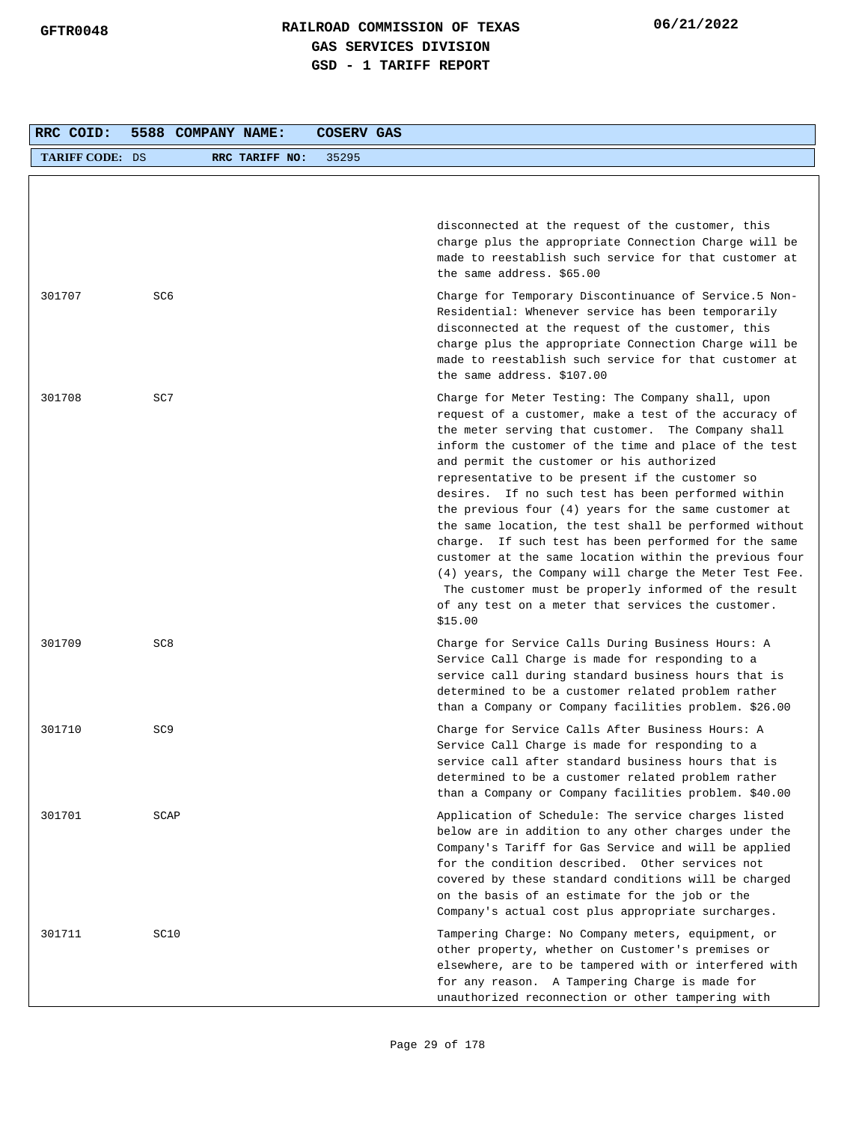| RRC COID:              | 5588 COMPANY NAME: |                | COSERV GAS |                                                                                                                                                                                                                                                                                                                                                                                                                                                                                                                                                                                                                                                                                                                                                                                                          |
|------------------------|--------------------|----------------|------------|----------------------------------------------------------------------------------------------------------------------------------------------------------------------------------------------------------------------------------------------------------------------------------------------------------------------------------------------------------------------------------------------------------------------------------------------------------------------------------------------------------------------------------------------------------------------------------------------------------------------------------------------------------------------------------------------------------------------------------------------------------------------------------------------------------|
| <b>TARIFF CODE: DS</b> |                    | RRC TARIFF NO: | 35295      |                                                                                                                                                                                                                                                                                                                                                                                                                                                                                                                                                                                                                                                                                                                                                                                                          |
|                        |                    |                |            |                                                                                                                                                                                                                                                                                                                                                                                                                                                                                                                                                                                                                                                                                                                                                                                                          |
|                        |                    |                |            | disconnected at the request of the customer, this<br>charge plus the appropriate Connection Charge will be<br>made to reestablish such service for that customer at<br>the same address. \$65.00                                                                                                                                                                                                                                                                                                                                                                                                                                                                                                                                                                                                         |
| 301707                 | SC6                |                |            | Charge for Temporary Discontinuance of Service.5 Non-<br>Residential: Whenever service has been temporarily<br>disconnected at the request of the customer, this<br>charge plus the appropriate Connection Charge will be<br>made to reestablish such service for that customer at<br>the same address. \$107.00                                                                                                                                                                                                                                                                                                                                                                                                                                                                                         |
| 301708                 | SC7                |                |            | Charge for Meter Testing: The Company shall, upon<br>request of a customer, make a test of the accuracy of<br>the meter serving that customer. The Company shall<br>inform the customer of the time and place of the test<br>and permit the customer or his authorized<br>representative to be present if the customer so<br>desires. If no such test has been performed within<br>the previous four $(4)$ years for the same customer at<br>the same location, the test shall be performed without<br>charge. If such test has been performed for the same<br>customer at the same location within the previous four<br>(4) years, the Company will charge the Meter Test Fee.<br>The customer must be properly informed of the result<br>of any test on a meter that services the customer.<br>\$15.00 |
| 301709                 | SC <sub>8</sub>    |                |            | Charge for Service Calls During Business Hours: A<br>Service Call Charge is made for responding to a<br>service call during standard business hours that is<br>determined to be a customer related problem rather<br>than a Company or Company facilities problem. \$26.00                                                                                                                                                                                                                                                                                                                                                                                                                                                                                                                               |
| 301710                 | SC <sub>9</sub>    |                |            | Charge for Service Calls After Business Hours: A<br>Service Call Charge is made for responding to a<br>service call after standard business hours that is<br>determined to be a customer related problem rather<br>than a Company or Company facilities problem. \$40.00                                                                                                                                                                                                                                                                                                                                                                                                                                                                                                                                 |
| 301701                 | SCAP               |                |            | Application of Schedule: The service charges listed<br>below are in addition to any other charges under the<br>Company's Tariff for Gas Service and will be applied<br>for the condition described. Other services not<br>covered by these standard conditions will be charged<br>on the basis of an estimate for the job or the<br>Company's actual cost plus appropriate surcharges.                                                                                                                                                                                                                                                                                                                                                                                                                   |
| 301711                 | SC10               |                |            | Tampering Charge: No Company meters, equipment, or<br>other property, whether on Customer's premises or<br>elsewhere, are to be tampered with or interfered with<br>for any reason. A Tampering Charge is made for<br>unauthorized reconnection or other tampering with                                                                                                                                                                                                                                                                                                                                                                                                                                                                                                                                  |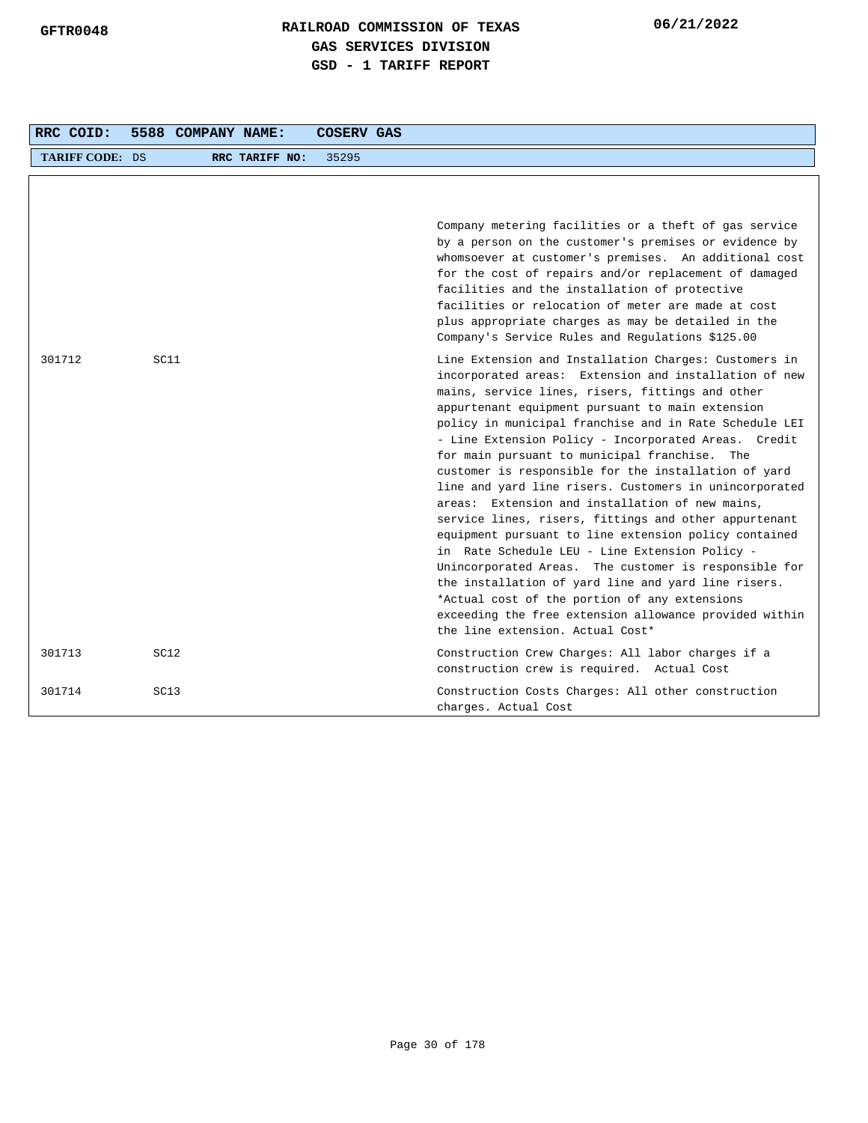| RRC COID:              |      | 5588 COMPANY NAME: | <b>COSERV GAS</b> |                                                                                                                                                                                                                                                                                                                                                                                                                                                                                                                                                                                                                                                                                                                                                                                                                                                                                                                                                                                                   |
|------------------------|------|--------------------|-------------------|---------------------------------------------------------------------------------------------------------------------------------------------------------------------------------------------------------------------------------------------------------------------------------------------------------------------------------------------------------------------------------------------------------------------------------------------------------------------------------------------------------------------------------------------------------------------------------------------------------------------------------------------------------------------------------------------------------------------------------------------------------------------------------------------------------------------------------------------------------------------------------------------------------------------------------------------------------------------------------------------------|
| <b>TARIFF CODE: DS</b> |      | RRC TARIFF NO:     | 35295             |                                                                                                                                                                                                                                                                                                                                                                                                                                                                                                                                                                                                                                                                                                                                                                                                                                                                                                                                                                                                   |
|                        |      |                    |                   | Company metering facilities or a theft of gas service<br>by a person on the customer's premises or evidence by<br>whomsoever at customer's premises. An additional cost<br>for the cost of repairs and/or replacement of damaged<br>facilities and the installation of protective<br>facilities or relocation of meter are made at cost<br>plus appropriate charges as may be detailed in the<br>Company's Service Rules and Regulations \$125.00                                                                                                                                                                                                                                                                                                                                                                                                                                                                                                                                                 |
| 301712                 | SC11 |                    |                   | Line Extension and Installation Charges: Customers in<br>incorporated areas: Extension and installation of new<br>mains, service lines, risers, fittings and other<br>appurtenant equipment pursuant to main extension<br>policy in municipal franchise and in Rate Schedule LEI<br>- Line Extension Policy - Incorporated Areas. Credit<br>for main pursuant to municipal franchise. The<br>customer is responsible for the installation of yard<br>line and yard line risers. Customers in unincorporated<br>areas: Extension and installation of new mains,<br>service lines, risers, fittings and other appurtenant<br>equipment pursuant to line extension policy contained<br>in Rate Schedule LEU - Line Extension Policy -<br>Unincorporated Areas. The customer is responsible for<br>the installation of yard line and yard line risers.<br>*Actual cost of the portion of any extensions<br>exceeding the free extension allowance provided within<br>the line extension. Actual Cost* |
| 301713                 | SC12 |                    |                   | Construction Crew Charges: All labor charges if a<br>construction crew is required. Actual Cost                                                                                                                                                                                                                                                                                                                                                                                                                                                                                                                                                                                                                                                                                                                                                                                                                                                                                                   |
| 301714                 | SC13 |                    |                   | Construction Costs Charges: All other construction<br>charges. Actual Cost                                                                                                                                                                                                                                                                                                                                                                                                                                                                                                                                                                                                                                                                                                                                                                                                                                                                                                                        |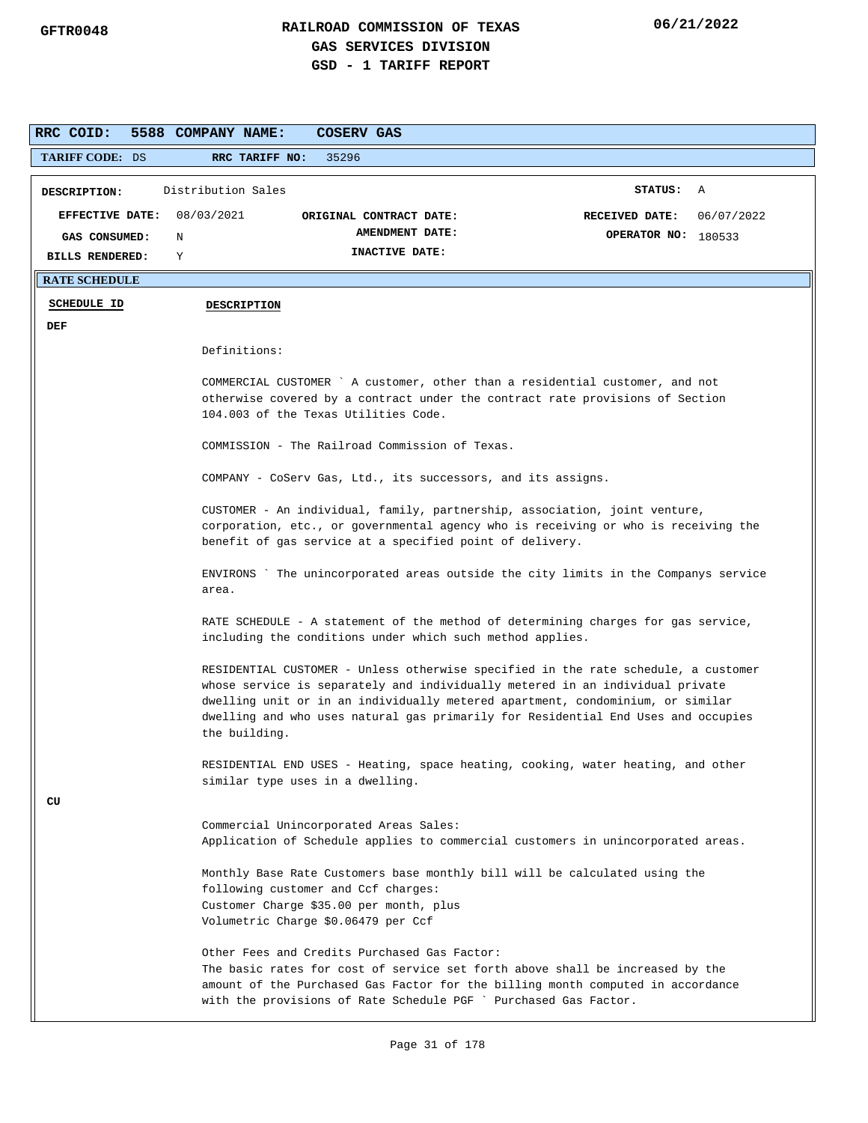| RRC COID:                             | 5588 COMPANY NAME:<br>COSERV GAS                                                                                                                                                                                                                                                                                                                            |  |
|---------------------------------------|-------------------------------------------------------------------------------------------------------------------------------------------------------------------------------------------------------------------------------------------------------------------------------------------------------------------------------------------------------------|--|
| <b>TARIFF CODE: DS</b>                | RRC TARIFF NO:<br>35296                                                                                                                                                                                                                                                                                                                                     |  |
| DESCRIPTION:                          | Distribution Sales<br>STATUS: A                                                                                                                                                                                                                                                                                                                             |  |
| EFFECTIVE DATE:<br>GAS CONSUMED:<br>Ν | 08/03/2021<br><b>RECEIVED DATE:</b><br>06/07/2022<br>ORIGINAL CONTRACT DATE:<br>AMENDMENT DATE:<br>OPERATOR NO: 180533                                                                                                                                                                                                                                      |  |
| <b>BILLS RENDERED:</b><br>Y           | INACTIVE DATE:                                                                                                                                                                                                                                                                                                                                              |  |
| <b>RATE SCHEDULE</b>                  |                                                                                                                                                                                                                                                                                                                                                             |  |
| <b>SCHEDULE ID</b>                    | <b>DESCRIPTION</b>                                                                                                                                                                                                                                                                                                                                          |  |
| DEF                                   |                                                                                                                                                                                                                                                                                                                                                             |  |
|                                       | Definitions:                                                                                                                                                                                                                                                                                                                                                |  |
|                                       | COMMERCIAL CUSTOMER ` A customer, other than a residential customer, and not                                                                                                                                                                                                                                                                                |  |
|                                       | otherwise covered by a contract under the contract rate provisions of Section<br>104.003 of the Texas Utilities Code.                                                                                                                                                                                                                                       |  |
|                                       | COMMISSION - The Railroad Commission of Texas.                                                                                                                                                                                                                                                                                                              |  |
|                                       | COMPANY - CoServ Gas, Ltd., its successors, and its assigns.                                                                                                                                                                                                                                                                                                |  |
|                                       | CUSTOMER - An individual, family, partnership, association, joint venture,<br>corporation, etc., or governmental agency who is receiving or who is receiving the<br>benefit of gas service at a specified point of delivery.                                                                                                                                |  |
|                                       | The unincorporated areas outside the city limits in the Companys service<br>ENVIRONS<br>area.                                                                                                                                                                                                                                                               |  |
|                                       | RATE SCHEDULE - A statement of the method of determining charges for gas service,<br>including the conditions under which such method applies.                                                                                                                                                                                                              |  |
|                                       | RESIDENTIAL CUSTOMER - Unless otherwise specified in the rate schedule, a customer<br>whose service is separately and individually metered in an individual private<br>dwelling unit or in an individually metered apartment, condominium, or similar<br>dwelling and who uses natural gas primarily for Residential End Uses and occupies<br>the building. |  |
| CU                                    | RESIDENTIAL END USES - Heating, space heating, cooking, water heating, and other<br>similar type uses in a dwelling.                                                                                                                                                                                                                                        |  |
|                                       | Commercial Unincorporated Areas Sales:<br>Application of Schedule applies to commercial customers in unincorporated areas.                                                                                                                                                                                                                                  |  |
|                                       | Monthly Base Rate Customers base monthly bill will be calculated using the<br>following customer and Ccf charges:<br>Customer Charge \$35.00 per month, plus<br>Volumetric Charge \$0.06479 per Ccf                                                                                                                                                         |  |
|                                       | Other Fees and Credits Purchased Gas Factor:<br>The basic rates for cost of service set forth above shall be increased by the<br>amount of the Purchased Gas Factor for the billing month computed in accordance<br>with the provisions of Rate Schedule PGF ` Purchased Gas Factor.                                                                        |  |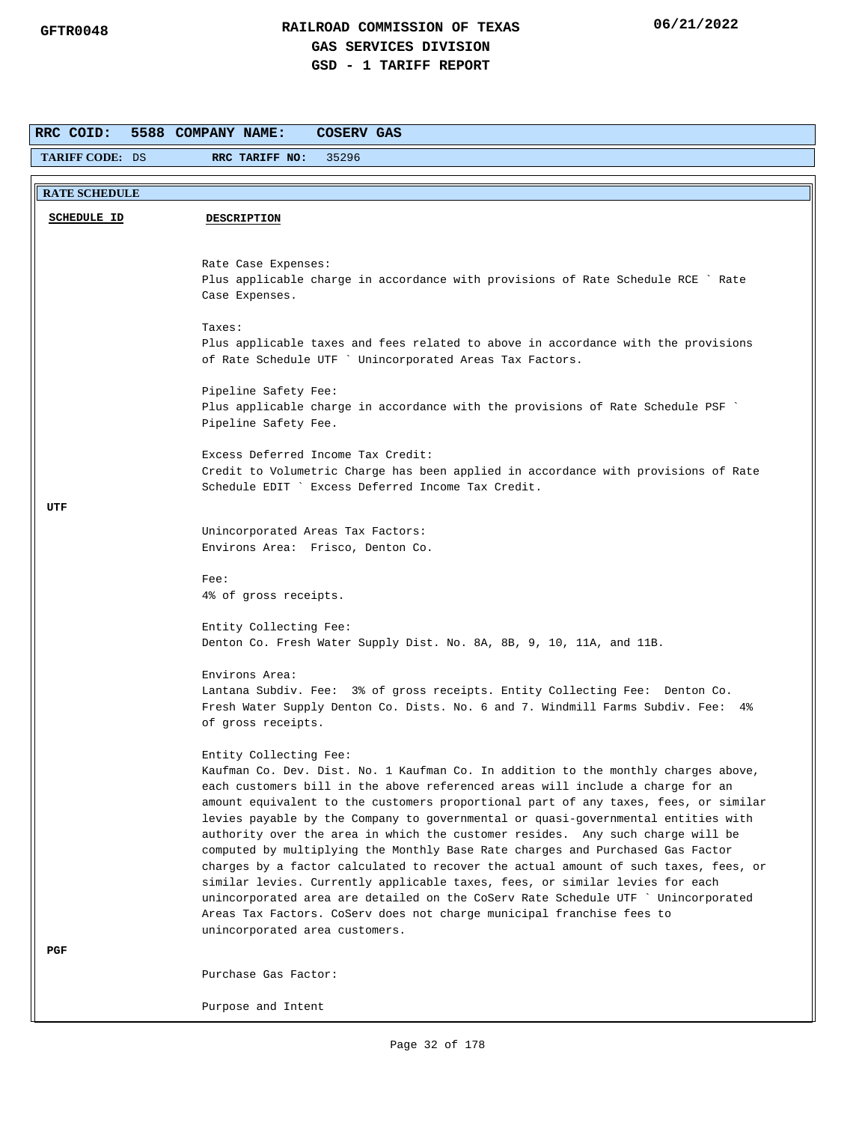| RRC COID:              | 5588 COMPANY NAME:<br>COSERV GAS                                                                                                                                     |
|------------------------|----------------------------------------------------------------------------------------------------------------------------------------------------------------------|
| <b>TARIFF CODE: DS</b> | 35296<br>RRC TARIFF NO:                                                                                                                                              |
|                        |                                                                                                                                                                      |
| <b>RATE SCHEDULE</b>   |                                                                                                                                                                      |
| <b>SCHEDULE ID</b>     | <b>DESCRIPTION</b>                                                                                                                                                   |
|                        |                                                                                                                                                                      |
|                        | Rate Case Expenses:                                                                                                                                                  |
|                        | Plus applicable charge in accordance with provisions of Rate Schedule RCE ` Rate                                                                                     |
|                        | Case Expenses.                                                                                                                                                       |
|                        | Taxes:                                                                                                                                                               |
|                        | Plus applicable taxes and fees related to above in accordance with the provisions                                                                                    |
|                        | of Rate Schedule UTF ` Unincorporated Areas Tax Factors.                                                                                                             |
|                        | Pipeline Safety Fee:                                                                                                                                                 |
|                        | Plus applicable charge in accordance with the provisions of Rate Schedule PSF `                                                                                      |
|                        | Pipeline Safety Fee.                                                                                                                                                 |
|                        | Excess Deferred Income Tax Credit:                                                                                                                                   |
|                        | Credit to Volumetric Charge has been applied in accordance with provisions of Rate                                                                                   |
|                        | Schedule EDIT ` Excess Deferred Income Tax Credit.                                                                                                                   |
| UTF                    |                                                                                                                                                                      |
|                        | Unincorporated Areas Tax Factors:                                                                                                                                    |
|                        | Environs Area: Frisco, Denton Co.                                                                                                                                    |
|                        | $Fee$ :                                                                                                                                                              |
|                        | 4% of gross receipts.                                                                                                                                                |
|                        |                                                                                                                                                                      |
|                        | Entity Collecting Fee:                                                                                                                                               |
|                        | Denton Co. Fresh Water Supply Dist. No. 8A, 8B, 9, 10, 11A, and 11B.                                                                                                 |
|                        | Environs Area:                                                                                                                                                       |
|                        | Lantana Subdiv. Fee: 3% of gross receipts. Entity Collecting Fee: Denton Co.                                                                                         |
|                        | Fresh Water Supply Denton Co. Dists. No. 6 and 7. Windmill Farms Subdiv. Fee: 4%<br>of gross receipts.                                                               |
|                        |                                                                                                                                                                      |
|                        | Entity Collecting Fee:                                                                                                                                               |
|                        | Kaufman Co. Dev. Dist. No. 1 Kaufman Co. In addition to the monthly charges above,<br>each customers bill in the above referenced areas will include a charge for an |
|                        | amount equivalent to the customers proportional part of any taxes, fees, or similar                                                                                  |
|                        | levies payable by the Company to governmental or quasi-governmental entities with                                                                                    |
|                        | authority over the area in which the customer resides. Any such charge will be                                                                                       |
|                        | computed by multiplying the Monthly Base Rate charges and Purchased Gas Factor                                                                                       |
|                        | charges by a factor calculated to recover the actual amount of such taxes, fees, or<br>similar levies. Currently applicable taxes, fees, or similar levies for each  |
|                        | unincorporated area are detailed on the CoServ Rate Schedule UTF ` Unincorporated                                                                                    |
|                        | Areas Tax Factors. CoServ does not charge municipal franchise fees to                                                                                                |
|                        | unincorporated area customers.                                                                                                                                       |
| PGF                    |                                                                                                                                                                      |
|                        | Purchase Gas Factor:                                                                                                                                                 |
|                        | Purpose and Intent                                                                                                                                                   |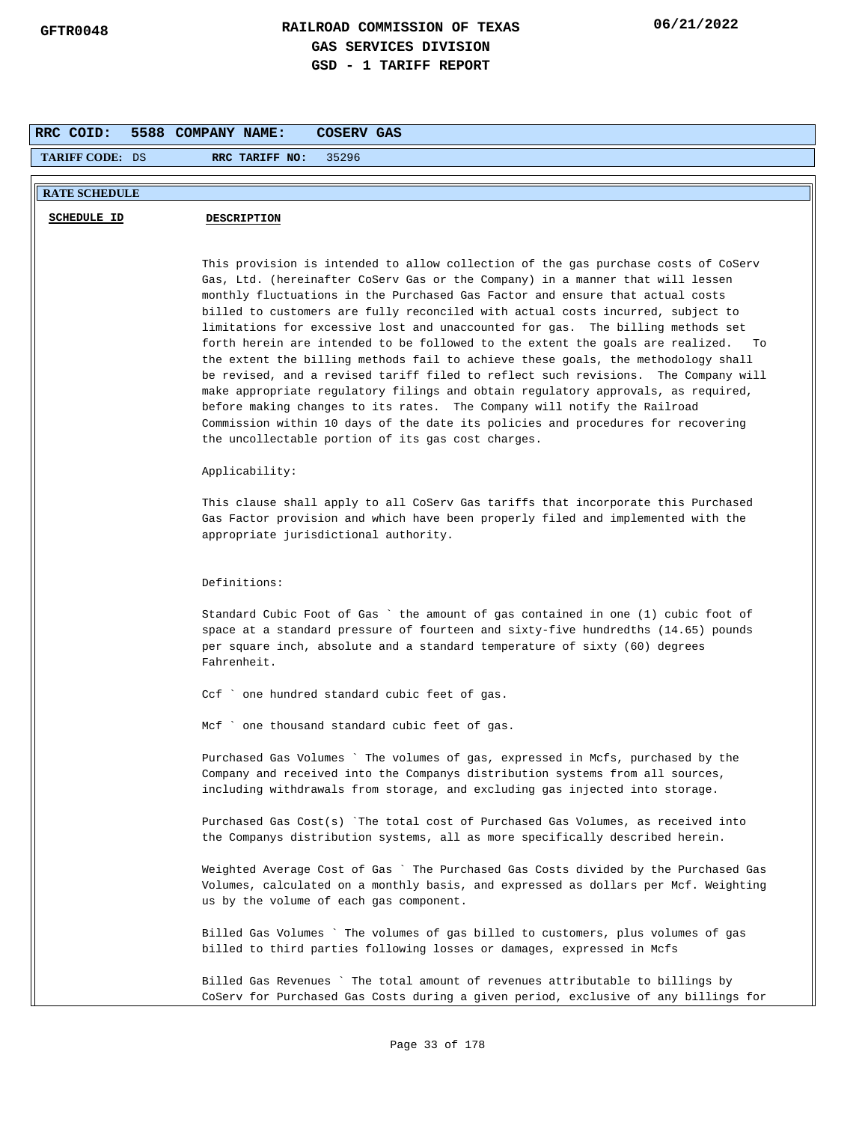| RRC COID:              | 5588 COMPANY NAME:<br>COSERV GAS                                                                                                                                                                                                                                                                                                                                                                                                                                                                                                                                                                                                                                                                                                                                                                                                                                                                                                                                                                          |
|------------------------|-----------------------------------------------------------------------------------------------------------------------------------------------------------------------------------------------------------------------------------------------------------------------------------------------------------------------------------------------------------------------------------------------------------------------------------------------------------------------------------------------------------------------------------------------------------------------------------------------------------------------------------------------------------------------------------------------------------------------------------------------------------------------------------------------------------------------------------------------------------------------------------------------------------------------------------------------------------------------------------------------------------|
| <b>TARIFF CODE: DS</b> | 35296<br>RRC TARIFF NO:                                                                                                                                                                                                                                                                                                                                                                                                                                                                                                                                                                                                                                                                                                                                                                                                                                                                                                                                                                                   |
| <b>RATE SCHEDULE</b>   |                                                                                                                                                                                                                                                                                                                                                                                                                                                                                                                                                                                                                                                                                                                                                                                                                                                                                                                                                                                                           |
| <b>SCHEDULE ID</b>     | <b>DESCRIPTION</b>                                                                                                                                                                                                                                                                                                                                                                                                                                                                                                                                                                                                                                                                                                                                                                                                                                                                                                                                                                                        |
|                        |                                                                                                                                                                                                                                                                                                                                                                                                                                                                                                                                                                                                                                                                                                                                                                                                                                                                                                                                                                                                           |
|                        | This provision is intended to allow collection of the gas purchase costs of CoServ<br>Gas, Ltd. (hereinafter CoServ Gas or the Company) in a manner that will lessen<br>monthly fluctuations in the Purchased Gas Factor and ensure that actual costs<br>billed to customers are fully reconciled with actual costs incurred, subject to<br>limitations for excessive lost and unaccounted for gas. The billing methods set<br>forth herein are intended to be followed to the extent the goals are realized.<br>To<br>the extent the billing methods fail to achieve these goals, the methodology shall<br>be revised, and a revised tariff filed to reflect such revisions. The Company will<br>make appropriate regulatory filings and obtain regulatory approvals, as required,<br>before making changes to its rates. The Company will notify the Railroad<br>Commission within 10 days of the date its policies and procedures for recovering<br>the uncollectable portion of its gas cost charges. |
|                        | Applicability:                                                                                                                                                                                                                                                                                                                                                                                                                                                                                                                                                                                                                                                                                                                                                                                                                                                                                                                                                                                            |
|                        | This clause shall apply to all CoServ Gas tariffs that incorporate this Purchased<br>Gas Factor provision and which have been properly filed and implemented with the<br>appropriate jurisdictional authority.                                                                                                                                                                                                                                                                                                                                                                                                                                                                                                                                                                                                                                                                                                                                                                                            |
|                        | Definitions:                                                                                                                                                                                                                                                                                                                                                                                                                                                                                                                                                                                                                                                                                                                                                                                                                                                                                                                                                                                              |
|                        | Standard Cubic Foot of Gas `the amount of gas contained in one (1) cubic foot of<br>space at a standard pressure of fourteen and sixty-five hundredths (14.65) pounds<br>per square inch, absolute and a standard temperature of sixty (60) degrees<br>Fahrenheit.                                                                                                                                                                                                                                                                                                                                                                                                                                                                                                                                                                                                                                                                                                                                        |
|                        | Ccf ` one hundred standard cubic feet of gas.                                                                                                                                                                                                                                                                                                                                                                                                                                                                                                                                                                                                                                                                                                                                                                                                                                                                                                                                                             |
|                        | Mcf ` one thousand standard cubic feet of gas.                                                                                                                                                                                                                                                                                                                                                                                                                                                                                                                                                                                                                                                                                                                                                                                                                                                                                                                                                            |
|                        | Purchased Gas Volumes – The volumes of gas, expressed in Mcfs, purchased by the<br>Company and received into the Companys distribution systems from all sources,<br>including withdrawals from storage, and excluding gas injected into storage.                                                                                                                                                                                                                                                                                                                                                                                                                                                                                                                                                                                                                                                                                                                                                          |
|                        | Purchased Gas Cost(s) `The total cost of Purchased Gas Volumes, as received into<br>the Companys distribution systems, all as more specifically described herein.                                                                                                                                                                                                                                                                                                                                                                                                                                                                                                                                                                                                                                                                                                                                                                                                                                         |
|                        | Weighted Average Cost of Gas ` The Purchased Gas Costs divided by the Purchased Gas<br>Volumes, calculated on a monthly basis, and expressed as dollars per Mcf. Weighting<br>us by the volume of each gas component.                                                                                                                                                                                                                                                                                                                                                                                                                                                                                                                                                                                                                                                                                                                                                                                     |
|                        | Billed Gas Volumes `The volumes of gas billed to customers, plus volumes of gas<br>billed to third parties following losses or damages, expressed in Mcfs                                                                                                                                                                                                                                                                                                                                                                                                                                                                                                                                                                                                                                                                                                                                                                                                                                                 |
|                        | Billed Gas Revenues ` The total amount of revenues attributable to billings by<br>CoServ for Purchased Gas Costs during a given period, exclusive of any billings for                                                                                                                                                                                                                                                                                                                                                                                                                                                                                                                                                                                                                                                                                                                                                                                                                                     |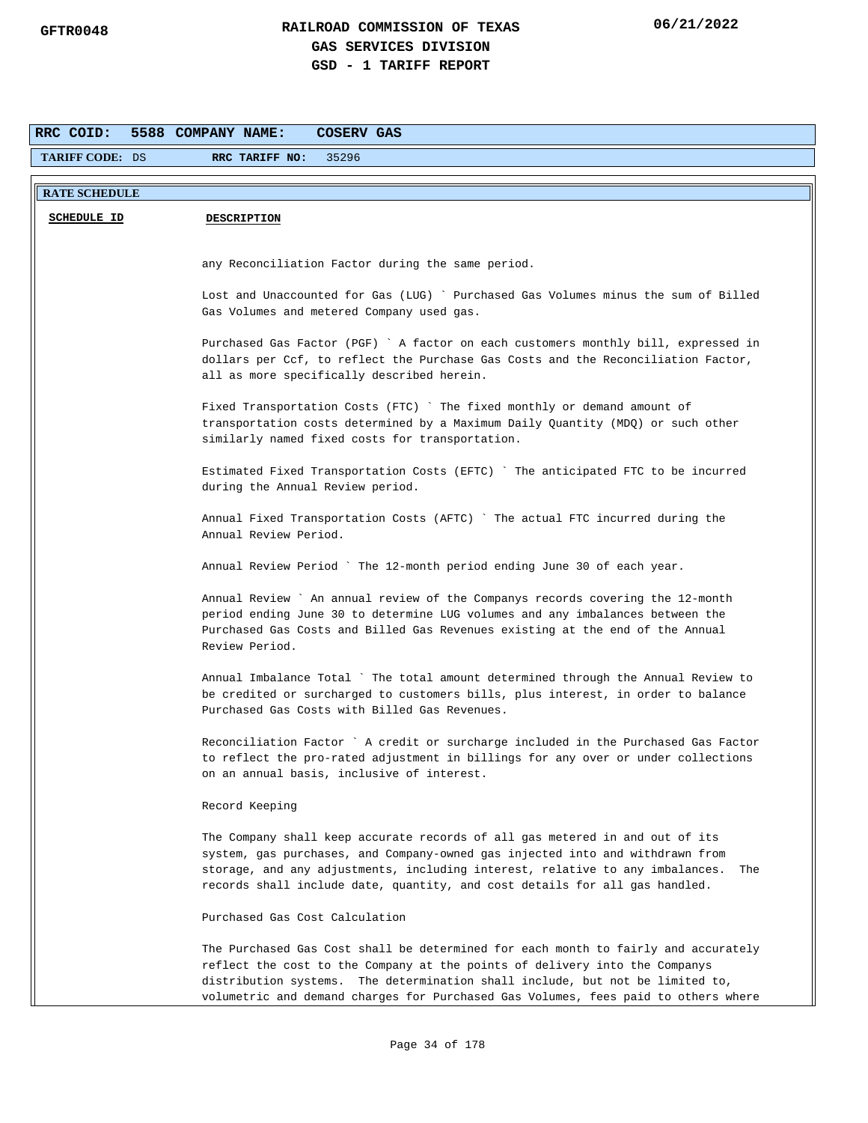| RRC COID:              | 5588 COMPANY NAME:<br><b>COSERV GAS</b>                                                                                                                                 |
|------------------------|-------------------------------------------------------------------------------------------------------------------------------------------------------------------------|
| <b>TARIFF CODE: DS</b> | RRC TARIFF NO:<br>35296                                                                                                                                                 |
|                        |                                                                                                                                                                         |
| <b>RATE SCHEDULE</b>   |                                                                                                                                                                         |
| SCHEDULE ID            | <b>DESCRIPTION</b>                                                                                                                                                      |
|                        |                                                                                                                                                                         |
|                        | any Reconciliation Factor during the same period.                                                                                                                       |
|                        | Lost and Unaccounted for Gas (LUG) ` Purchased Gas Volumes minus the sum of Billed                                                                                      |
|                        | Gas Volumes and metered Company used gas.                                                                                                                               |
|                        | Purchased Gas Factor (PGF) ` A factor on each customers monthly bill, expressed in                                                                                      |
|                        | dollars per Ccf, to reflect the Purchase Gas Costs and the Reconciliation Factor,                                                                                       |
|                        | all as more specifically described herein.                                                                                                                              |
|                        | Fixed Transportation Costs (FTC) ` The fixed monthly or demand amount of                                                                                                |
|                        | transportation costs determined by a Maximum Daily Quantity (MDQ) or such other                                                                                         |
|                        | similarly named fixed costs for transportation.                                                                                                                         |
|                        | Estimated Fixed Transportation Costs (EFTC) ` The anticipated FTC to be incurred                                                                                        |
|                        | during the Annual Review period.                                                                                                                                        |
|                        | Annual Fixed Transportation Costs (AFTC) `The actual FTC incurred during the                                                                                            |
|                        | Annual Review Period.                                                                                                                                                   |
|                        |                                                                                                                                                                         |
|                        | Annual Review Period ` The 12-month period ending June 30 of each year.                                                                                                 |
|                        | Annual Review ` An annual review of the Companys records covering the 12-month                                                                                          |
|                        | period ending June 30 to determine LUG volumes and any imbalances between the                                                                                           |
|                        | Purchased Gas Costs and Billed Gas Revenues existing at the end of the Annual<br>Review Period.                                                                         |
|                        |                                                                                                                                                                         |
|                        | Annual Imbalance Total ` The total amount determined through the Annual Review to<br>be credited or surcharged to customers bills, plus interest, in order to balance   |
|                        | Purchased Gas Costs with Billed Gas Revenues.                                                                                                                           |
|                        |                                                                                                                                                                         |
|                        | Reconciliation Factor ` A credit or surcharge included in the Purchased Gas Factor<br>to reflect the pro-rated adjustment in billings for any over or under collections |
|                        | on an annual basis, inclusive of interest.                                                                                                                              |
|                        | Record Keeping                                                                                                                                                          |
|                        |                                                                                                                                                                         |
|                        | The Company shall keep accurate records of all gas metered in and out of its<br>system, gas purchases, and Company-owned gas injected into and withdrawn from           |
|                        | storage, and any adjustments, including interest, relative to any imbalances.<br>The                                                                                    |
|                        | records shall include date, quantity, and cost details for all gas handled.                                                                                             |
|                        | Purchased Gas Cost Calculation                                                                                                                                          |
|                        | The Purchased Gas Cost shall be determined for each month to fairly and accurately                                                                                      |
|                        | reflect the cost to the Company at the points of delivery into the Companys                                                                                             |
|                        | distribution systems. The determination shall include, but not be limited to,                                                                                           |
|                        | volumetric and demand charges for Purchased Gas Volumes, fees paid to others where                                                                                      |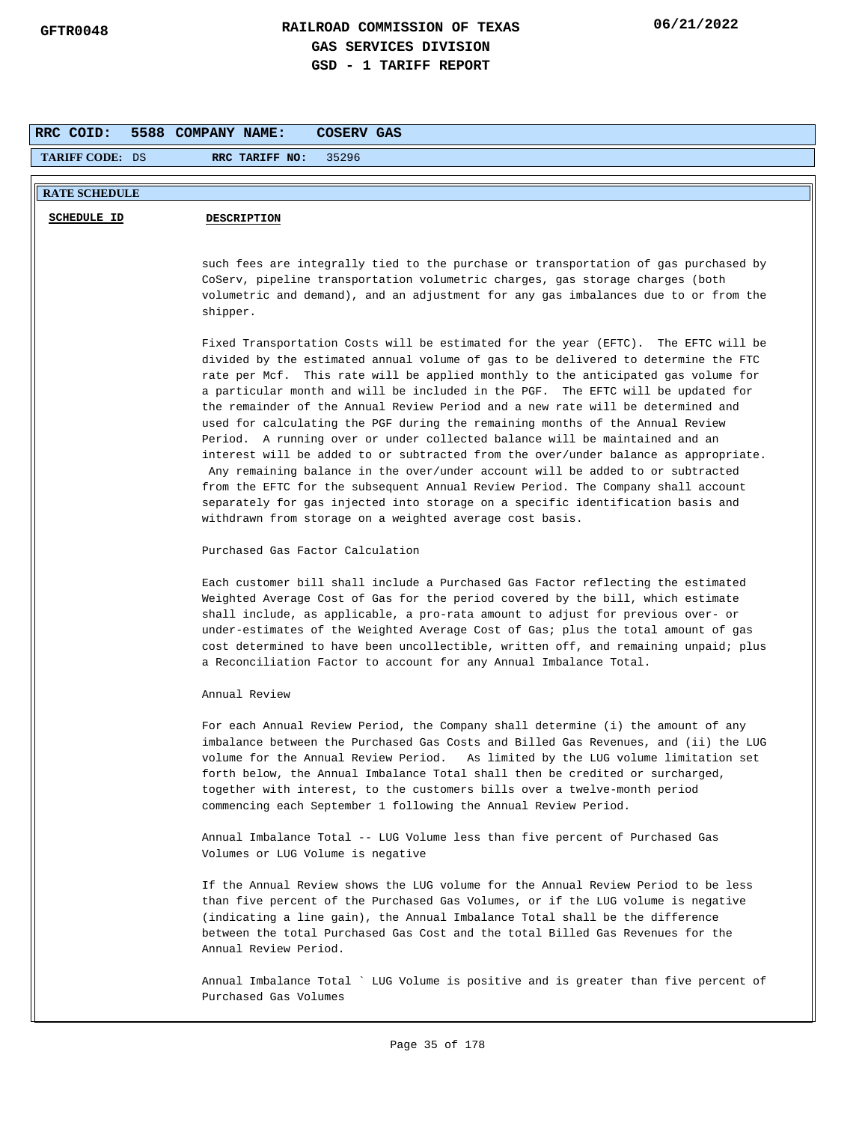| RRC COID:              | 5588 COMPANY NAME:<br><b>COSERV GAS</b>                                                                                                                                                                                                                                                                                                                                                                                                                                                                                                                                                                                                                                                                                                                                                                                                                                                                                                                                                                          |
|------------------------|------------------------------------------------------------------------------------------------------------------------------------------------------------------------------------------------------------------------------------------------------------------------------------------------------------------------------------------------------------------------------------------------------------------------------------------------------------------------------------------------------------------------------------------------------------------------------------------------------------------------------------------------------------------------------------------------------------------------------------------------------------------------------------------------------------------------------------------------------------------------------------------------------------------------------------------------------------------------------------------------------------------|
| <b>TARIFF CODE: DS</b> | 35296<br>RRC TARIFF NO:                                                                                                                                                                                                                                                                                                                                                                                                                                                                                                                                                                                                                                                                                                                                                                                                                                                                                                                                                                                          |
| <b>RATE SCHEDULE</b>   |                                                                                                                                                                                                                                                                                                                                                                                                                                                                                                                                                                                                                                                                                                                                                                                                                                                                                                                                                                                                                  |
| SCHEDULE ID            | <b>DESCRIPTION</b>                                                                                                                                                                                                                                                                                                                                                                                                                                                                                                                                                                                                                                                                                                                                                                                                                                                                                                                                                                                               |
|                        | such fees are integrally tied to the purchase or transportation of gas purchased by<br>CoServ, pipeline transportation volumetric charges, gas storage charges (both<br>volumetric and demand), and an adjustment for any gas imbalances due to or from the<br>shipper.                                                                                                                                                                                                                                                                                                                                                                                                                                                                                                                                                                                                                                                                                                                                          |
|                        | Fixed Transportation Costs will be estimated for the year (EFTC). The EFTC will be<br>divided by the estimated annual volume of gas to be delivered to determine the FTC<br>rate per Mcf. This rate will be applied monthly to the anticipated gas volume for<br>a particular month and will be included in the PGF. The EFTC will be updated for<br>the remainder of the Annual Review Period and a new rate will be determined and<br>used for calculating the PGF during the remaining months of the Annual Review<br>Period. A running over or under collected balance will be maintained and an<br>interest will be added to or subtracted from the over/under balance as appropriate.<br>Any remaining balance in the over/under account will be added to or subtracted<br>from the EFTC for the subsequent Annual Review Period. The Company shall account<br>separately for gas injected into storage on a specific identification basis and<br>withdrawn from storage on a weighted average cost basis. |
|                        | Purchased Gas Factor Calculation                                                                                                                                                                                                                                                                                                                                                                                                                                                                                                                                                                                                                                                                                                                                                                                                                                                                                                                                                                                 |
|                        | Each customer bill shall include a Purchased Gas Factor reflecting the estimated<br>Weighted Average Cost of Gas for the period covered by the bill, which estimate<br>shall include, as applicable, a pro-rata amount to adjust for previous over- or<br>under-estimates of the Weighted Average Cost of Gas; plus the total amount of gas<br>cost determined to have been uncollectible, written off, and remaining unpaid; plus<br>a Reconciliation Factor to account for any Annual Imbalance Total.                                                                                                                                                                                                                                                                                                                                                                                                                                                                                                         |
|                        | Annual Review                                                                                                                                                                                                                                                                                                                                                                                                                                                                                                                                                                                                                                                                                                                                                                                                                                                                                                                                                                                                    |
|                        | For each Annual Review Period, the Company shall determine (i) the amount of any<br>imbalance between the Purchased Gas Costs and Billed Gas Revenues, and (ii) the LUG<br>volume for the Annual Review Period. As limited by the LUG volume limitation set<br>forth below, the Annual Imbalance Total shall then be credited or surcharged,<br>together with interest, to the customers bills over a twelve-month period<br>commencing each September 1 following the Annual Review Period.                                                                                                                                                                                                                                                                                                                                                                                                                                                                                                                     |
|                        | Annual Imbalance Total -- LUG Volume less than five percent of Purchased Gas<br>Volumes or LUG Volume is negative                                                                                                                                                                                                                                                                                                                                                                                                                                                                                                                                                                                                                                                                                                                                                                                                                                                                                                |
|                        | If the Annual Review shows the LUG volume for the Annual Review Period to be less<br>than five percent of the Purchased Gas Volumes, or if the LUG volume is negative<br>(indicating a line gain), the Annual Imbalance Total shall be the difference<br>between the total Purchased Gas Cost and the total Billed Gas Revenues for the<br>Annual Review Period.                                                                                                                                                                                                                                                                                                                                                                                                                                                                                                                                                                                                                                                 |
|                        | Annual Imbalance Total ` LUG Volume is positive and is greater than five percent of<br>Purchased Gas Volumes                                                                                                                                                                                                                                                                                                                                                                                                                                                                                                                                                                                                                                                                                                                                                                                                                                                                                                     |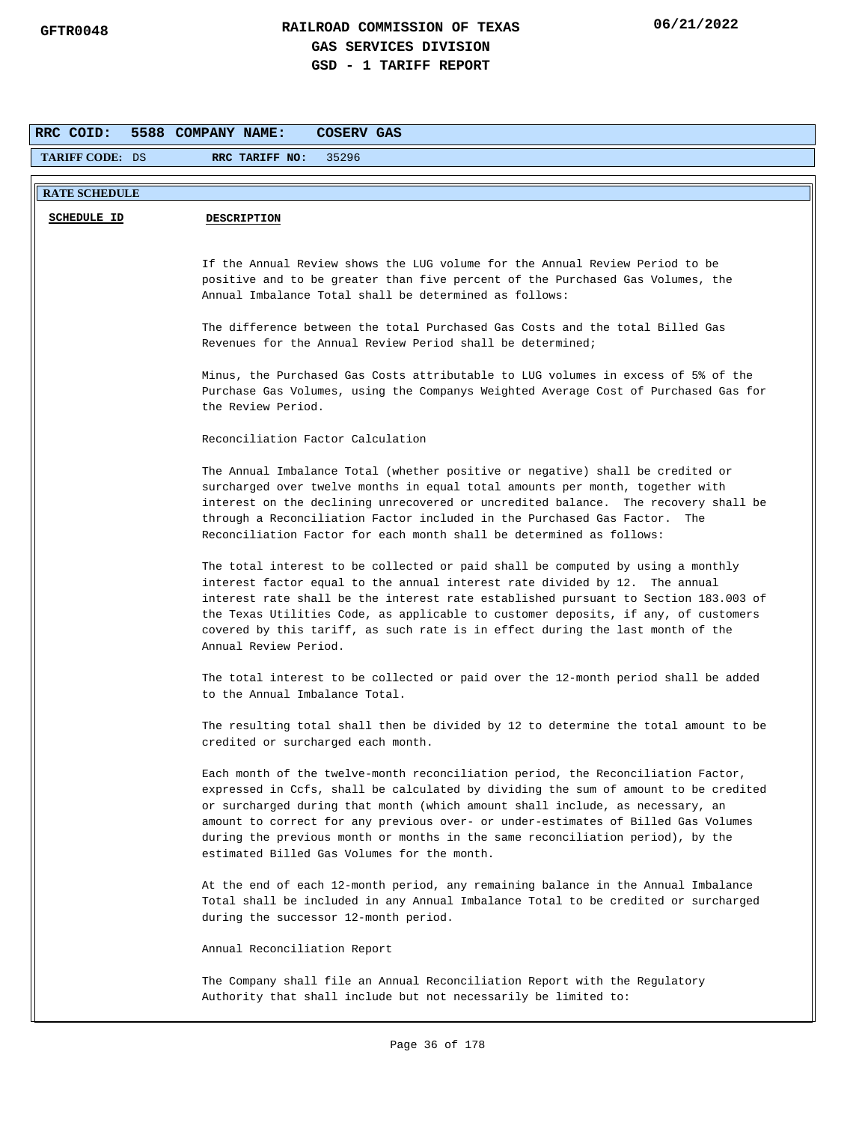| RRC COID:              | 5588 COMPANY NAME:<br>COSERV GAS                                                                                                                                                                                                                                                                                                                                                                                                                                               |
|------------------------|--------------------------------------------------------------------------------------------------------------------------------------------------------------------------------------------------------------------------------------------------------------------------------------------------------------------------------------------------------------------------------------------------------------------------------------------------------------------------------|
| <b>TARIFF CODE: DS</b> | RRC TARIFF NO:<br>35296                                                                                                                                                                                                                                                                                                                                                                                                                                                        |
| <b>RATE SCHEDULE</b>   |                                                                                                                                                                                                                                                                                                                                                                                                                                                                                |
| <b>SCHEDULE ID</b>     | <b>DESCRIPTION</b>                                                                                                                                                                                                                                                                                                                                                                                                                                                             |
|                        | If the Annual Review shows the LUG volume for the Annual Review Period to be<br>positive and to be greater than five percent of the Purchased Gas Volumes, the<br>Annual Imbalance Total shall be determined as follows:                                                                                                                                                                                                                                                       |
|                        | The difference between the total Purchased Gas Costs and the total Billed Gas<br>Revenues for the Annual Review Period shall be determined;                                                                                                                                                                                                                                                                                                                                    |
|                        | Minus, the Purchased Gas Costs attributable to LUG volumes in excess of 5% of the<br>Purchase Gas Volumes, using the Companys Weighted Average Cost of Purchased Gas for<br>the Review Period.                                                                                                                                                                                                                                                                                 |
|                        | Reconciliation Factor Calculation                                                                                                                                                                                                                                                                                                                                                                                                                                              |
|                        | The Annual Imbalance Total (whether positive or negative) shall be credited or<br>surcharged over twelve months in equal total amounts per month, together with<br>interest on the declining unrecovered or uncredited balance. The recovery shall be<br>through a Reconciliation Factor included in the Purchased Gas Factor. The<br>Reconciliation Factor for each month shall be determined as follows:                                                                     |
|                        | The total interest to be collected or paid shall be computed by using a monthly<br>interest factor equal to the annual interest rate divided by 12. The annual<br>interest rate shall be the interest rate established pursuant to Section 183.003 of<br>the Texas Utilities Code, as applicable to customer deposits, if any, of customers<br>covered by this tariff, as such rate is in effect during the last month of the<br>Annual Review Period.                         |
|                        | The total interest to be collected or paid over the 12-month period shall be added<br>to the Annual Imbalance Total.                                                                                                                                                                                                                                                                                                                                                           |
|                        | The resulting total shall then be divided by 12 to determine the total amount to be<br>credited or surcharged each month.                                                                                                                                                                                                                                                                                                                                                      |
|                        | Each month of the twelve-month reconciliation period, the Reconciliation Factor,<br>expressed in Ccfs, shall be calculated by dividing the sum of amount to be credited<br>or surcharged during that month (which amount shall include, as necessary, an<br>amount to correct for any previous over- or under-estimates of Billed Gas Volumes<br>during the previous month or months in the same reconciliation period), by the<br>estimated Billed Gas Volumes for the month. |
|                        | At the end of each 12-month period, any remaining balance in the Annual Imbalance<br>Total shall be included in any Annual Imbalance Total to be credited or surcharged<br>during the successor 12-month period.                                                                                                                                                                                                                                                               |
|                        | Annual Reconciliation Report                                                                                                                                                                                                                                                                                                                                                                                                                                                   |
|                        | The Company shall file an Annual Reconciliation Report with the Regulatory<br>Authority that shall include but not necessarily be limited to:                                                                                                                                                                                                                                                                                                                                  |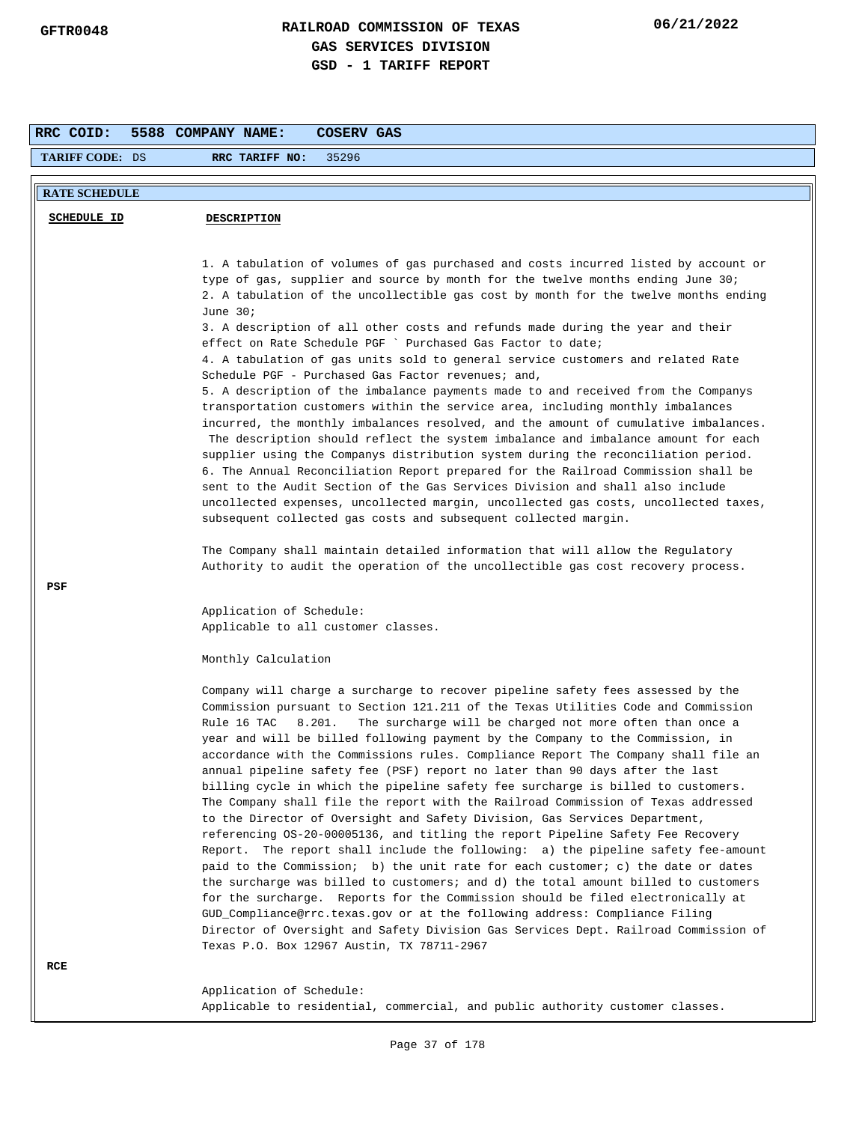| RRC COID:              | 5588 COMPANY NAME:<br><b>COSERV GAS</b>                                                                                                                                                                                                                                                                                                                                                                                                                                                                                                                                                                                                                                                                                                                                                                                                                                                                                                                                                                                                                                                                                                                                                                                                                                                                                                                                                                                           |
|------------------------|-----------------------------------------------------------------------------------------------------------------------------------------------------------------------------------------------------------------------------------------------------------------------------------------------------------------------------------------------------------------------------------------------------------------------------------------------------------------------------------------------------------------------------------------------------------------------------------------------------------------------------------------------------------------------------------------------------------------------------------------------------------------------------------------------------------------------------------------------------------------------------------------------------------------------------------------------------------------------------------------------------------------------------------------------------------------------------------------------------------------------------------------------------------------------------------------------------------------------------------------------------------------------------------------------------------------------------------------------------------------------------------------------------------------------------------|
| <b>TARIFF CODE: DS</b> | 35296<br>RRC TARIFF NO:                                                                                                                                                                                                                                                                                                                                                                                                                                                                                                                                                                                                                                                                                                                                                                                                                                                                                                                                                                                                                                                                                                                                                                                                                                                                                                                                                                                                           |
| <b>RATE SCHEDULE</b>   |                                                                                                                                                                                                                                                                                                                                                                                                                                                                                                                                                                                                                                                                                                                                                                                                                                                                                                                                                                                                                                                                                                                                                                                                                                                                                                                                                                                                                                   |
| <b>SCHEDULE ID</b>     | <b>DESCRIPTION</b>                                                                                                                                                                                                                                                                                                                                                                                                                                                                                                                                                                                                                                                                                                                                                                                                                                                                                                                                                                                                                                                                                                                                                                                                                                                                                                                                                                                                                |
|                        | 1. A tabulation of volumes of gas purchased and costs incurred listed by account or<br>type of gas, supplier and source by month for the twelve months ending June 30;<br>2. A tabulation of the uncollectible gas cost by month for the twelve months ending<br>June $30i$<br>3. A description of all other costs and refunds made during the year and their<br>effect on Rate Schedule PGF ` Purchased Gas Factor to date;<br>4. A tabulation of gas units sold to general service customers and related Rate<br>Schedule PGF - Purchased Gas Factor revenues; and,<br>5. A description of the imbalance payments made to and received from the Companys<br>transportation customers within the service area, including monthly imbalances<br>incurred, the monthly imbalances resolved, and the amount of cumulative imbalances.<br>The description should reflect the system imbalance and imbalance amount for each<br>supplier using the Companys distribution system during the reconciliation period.<br>6. The Annual Reconciliation Report prepared for the Railroad Commission shall be<br>sent to the Audit Section of the Gas Services Division and shall also include<br>uncollected expenses, uncollected margin, uncollected gas costs, uncollected taxes,<br>subsequent collected gas costs and subsequent collected margin.                                                                                     |
|                        | The Company shall maintain detailed information that will allow the Regulatory<br>Authority to audit the operation of the uncollectible gas cost recovery process.                                                                                                                                                                                                                                                                                                                                                                                                                                                                                                                                                                                                                                                                                                                                                                                                                                                                                                                                                                                                                                                                                                                                                                                                                                                                |
| PSF                    | Application of Schedule:<br>Applicable to all customer classes.<br>Monthly Calculation                                                                                                                                                                                                                                                                                                                                                                                                                                                                                                                                                                                                                                                                                                                                                                                                                                                                                                                                                                                                                                                                                                                                                                                                                                                                                                                                            |
|                        | Company will charge a surcharge to recover pipeline safety fees assessed by the<br>Commission pursuant to Section 121.211 of the Texas Utilities Code and Commission<br>Rule 16 TAC<br>8.201.<br>The surcharge will be charged not more often than once a<br>year and will be billed following payment by the Company to the Commission, in<br>accordance with the Commissions rules. Compliance Report The Company shall file an<br>annual pipeline safety fee (PSF) report no later than 90 days after the last<br>billing cycle in which the pipeline safety fee surcharge is billed to customers.<br>The Company shall file the report with the Railroad Commission of Texas addressed<br>to the Director of Oversight and Safety Division, Gas Services Department,<br>referencing OS-20-00005136, and titling the report Pipeline Safety Fee Recovery<br>Report. The report shall include the following: a) the pipeline safety fee-amount<br>paid to the Commission; b) the unit rate for each customer; c) the date or dates<br>the surcharge was billed to customers; and d) the total amount billed to customers<br>for the surcharge. Reports for the Commission should be filed electronically at<br>GUD_Compliance@rrc.texas.gov or at the following address: Compliance Filing<br>Director of Oversight and Safety Division Gas Services Dept. Railroad Commission of<br>Texas P.O. Box 12967 Austin, TX 78711-2967 |
| RCE                    | Application of Schedule:<br>Applicable to residential, commercial, and public authority customer classes.                                                                                                                                                                                                                                                                                                                                                                                                                                                                                                                                                                                                                                                                                                                                                                                                                                                                                                                                                                                                                                                                                                                                                                                                                                                                                                                         |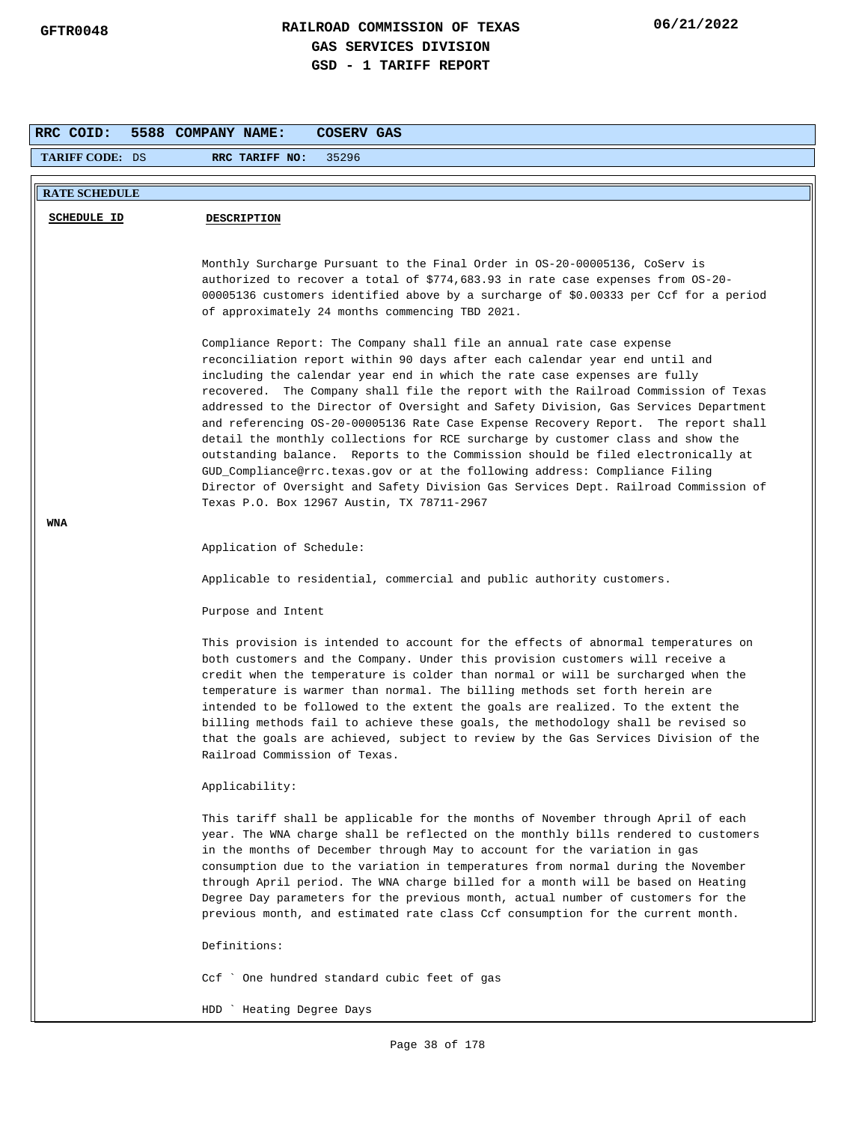| RRC COID:<br>5588 COMPANY NAME:<br>COSERV GAS |                                                                                                                                                                                                                                                                                                                                                                                                                                                                                                                                                                                                                                                            |  |  |  |  |
|-----------------------------------------------|------------------------------------------------------------------------------------------------------------------------------------------------------------------------------------------------------------------------------------------------------------------------------------------------------------------------------------------------------------------------------------------------------------------------------------------------------------------------------------------------------------------------------------------------------------------------------------------------------------------------------------------------------------|--|--|--|--|
| <b>TARIFF CODE: DS</b>                        | 35296<br>RRC TARIFF NO:                                                                                                                                                                                                                                                                                                                                                                                                                                                                                                                                                                                                                                    |  |  |  |  |
| <b>RATE SCHEDULE</b>                          |                                                                                                                                                                                                                                                                                                                                                                                                                                                                                                                                                                                                                                                            |  |  |  |  |
|                                               |                                                                                                                                                                                                                                                                                                                                                                                                                                                                                                                                                                                                                                                            |  |  |  |  |
| <b>SCHEDULE ID</b>                            | <b>DESCRIPTION</b>                                                                                                                                                                                                                                                                                                                                                                                                                                                                                                                                                                                                                                         |  |  |  |  |
|                                               | Monthly Surcharge Pursuant to the Final Order in OS-20-00005136, CoServ is<br>authorized to recover a total of \$774,683.93 in rate case expenses from OS-20-<br>00005136 customers identified above by a surcharge of \$0.00333 per Ccf for a period<br>of approximately 24 months commencing TBD 2021.<br>Compliance Report: The Company shall file an annual rate case expense<br>reconciliation report within 90 days after each calendar year end until and<br>including the calendar year end in which the rate case expenses are fully                                                                                                              |  |  |  |  |
|                                               | recovered. The Company shall file the report with the Railroad Commission of Texas<br>addressed to the Director of Oversight and Safety Division, Gas Services Department<br>and referencing OS-20-00005136 Rate Case Expense Recovery Report. The report shall<br>detail the monthly collections for RCE surcharge by customer class and show the<br>outstanding balance. Reports to the Commission should be filed electronically at<br>GUD_Compliance@rrc.texas.gov or at the following address: Compliance Filing<br>Director of Oversight and Safety Division Gas Services Dept. Railroad Commission of<br>Texas P.O. Box 12967 Austin, TX 78711-2967 |  |  |  |  |
| WNA                                           | Application of Schedule:                                                                                                                                                                                                                                                                                                                                                                                                                                                                                                                                                                                                                                   |  |  |  |  |
|                                               | Applicable to residential, commercial and public authority customers.                                                                                                                                                                                                                                                                                                                                                                                                                                                                                                                                                                                      |  |  |  |  |
|                                               | Purpose and Intent                                                                                                                                                                                                                                                                                                                                                                                                                                                                                                                                                                                                                                         |  |  |  |  |
|                                               | This provision is intended to account for the effects of abnormal temperatures on<br>both customers and the Company. Under this provision customers will receive a<br>credit when the temperature is colder than normal or will be surcharged when the<br>temperature is warmer than normal. The billing methods set forth herein are<br>intended to be followed to the extent the goals are realized. To the extent the<br>billing methods fail to achieve these goals, the methodology shall be revised so<br>that the goals are achieved, subject to review by the Gas Services Division of the<br>Railroad Commission of Texas.                        |  |  |  |  |
|                                               | Applicability:                                                                                                                                                                                                                                                                                                                                                                                                                                                                                                                                                                                                                                             |  |  |  |  |
|                                               | This tariff shall be applicable for the months of November through April of each<br>year. The WNA charge shall be reflected on the monthly bills rendered to customers<br>in the months of December through May to account for the variation in gas<br>consumption due to the variation in temperatures from normal during the November<br>through April period. The WNA charge billed for a month will be based on Heating<br>Degree Day parameters for the previous month, actual number of customers for the<br>previous month, and estimated rate class Ccf consumption for the current month.                                                         |  |  |  |  |
|                                               | Definitions:                                                                                                                                                                                                                                                                                                                                                                                                                                                                                                                                                                                                                                               |  |  |  |  |
|                                               | Ccf ` One hundred standard cubic feet of gas                                                                                                                                                                                                                                                                                                                                                                                                                                                                                                                                                                                                               |  |  |  |  |
|                                               | HDD ` Heating Degree Days                                                                                                                                                                                                                                                                                                                                                                                                                                                                                                                                                                                                                                  |  |  |  |  |

HDD ` Heating Degree Days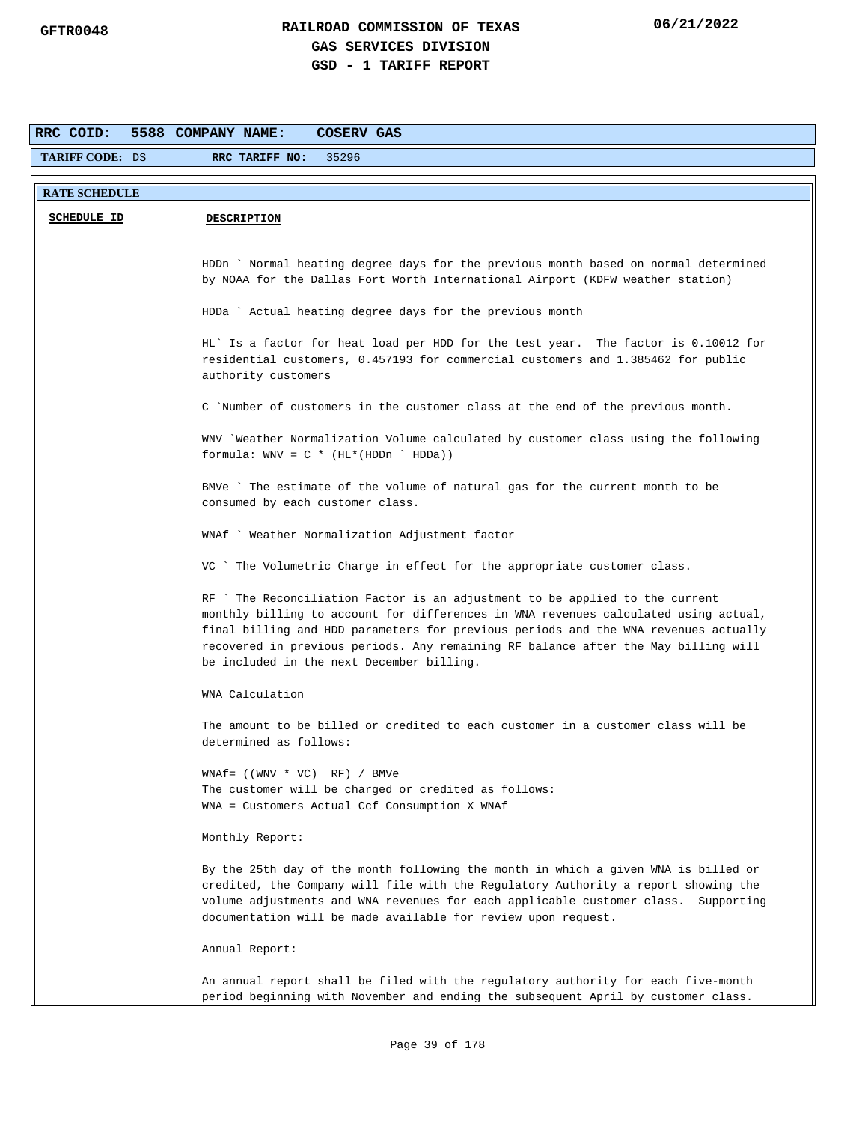| RRC COID:                                                                                                                                                                                                                                                                                                                                                                                    | 5588 COMPANY NAME:<br>COSERV GAS                                                                                                                                                                                                                                                                                                |  |  |  |  |  |
|----------------------------------------------------------------------------------------------------------------------------------------------------------------------------------------------------------------------------------------------------------------------------------------------------------------------------------------------------------------------------------------------|---------------------------------------------------------------------------------------------------------------------------------------------------------------------------------------------------------------------------------------------------------------------------------------------------------------------------------|--|--|--|--|--|
| TARIFF CODE: DS                                                                                                                                                                                                                                                                                                                                                                              | 35296<br>RRC TARIFF NO:                                                                                                                                                                                                                                                                                                         |  |  |  |  |  |
| <b>RATE SCHEDULE</b>                                                                                                                                                                                                                                                                                                                                                                         |                                                                                                                                                                                                                                                                                                                                 |  |  |  |  |  |
|                                                                                                                                                                                                                                                                                                                                                                                              |                                                                                                                                                                                                                                                                                                                                 |  |  |  |  |  |
| <b>SCHEDULE ID</b><br><b>DESCRIPTION</b>                                                                                                                                                                                                                                                                                                                                                     |                                                                                                                                                                                                                                                                                                                                 |  |  |  |  |  |
|                                                                                                                                                                                                                                                                                                                                                                                              |                                                                                                                                                                                                                                                                                                                                 |  |  |  |  |  |
|                                                                                                                                                                                                                                                                                                                                                                                              | HDDn ` Normal heating degree days for the previous month based on normal determined<br>by NOAA for the Dallas Fort Worth International Airport (KDFW weather station)                                                                                                                                                           |  |  |  |  |  |
|                                                                                                                                                                                                                                                                                                                                                                                              |                                                                                                                                                                                                                                                                                                                                 |  |  |  |  |  |
|                                                                                                                                                                                                                                                                                                                                                                                              | HDDa ` Actual heating degree days for the previous month                                                                                                                                                                                                                                                                        |  |  |  |  |  |
|                                                                                                                                                                                                                                                                                                                                                                                              | HL' Is a factor for heat load per HDD for the test year. The factor is 0.10012 for<br>residential customers, 0.457193 for commercial customers and 1.385462 for public<br>authority customers                                                                                                                                   |  |  |  |  |  |
|                                                                                                                                                                                                                                                                                                                                                                                              | C `Number of customers in the customer class at the end of the previous month.                                                                                                                                                                                                                                                  |  |  |  |  |  |
|                                                                                                                                                                                                                                                                                                                                                                                              | WNV `Weather Normalization Volume calculated by customer class using the following<br>formula: $WW = C * (HL * (HDDn ' HDDa))$                                                                                                                                                                                                  |  |  |  |  |  |
|                                                                                                                                                                                                                                                                                                                                                                                              | BMVe ` The estimate of the volume of natural gas for the current month to be<br>consumed by each customer class.                                                                                                                                                                                                                |  |  |  |  |  |
|                                                                                                                                                                                                                                                                                                                                                                                              | WNAf ` Weather Normalization Adjustment factor                                                                                                                                                                                                                                                                                  |  |  |  |  |  |
|                                                                                                                                                                                                                                                                                                                                                                                              | VC ` The Volumetric Charge in effect for the appropriate customer class.                                                                                                                                                                                                                                                        |  |  |  |  |  |
| RF `The Reconciliation Factor is an adjustment to be applied to the current<br>monthly billing to account for differences in WNA revenues calculated using actual,<br>final billing and HDD parameters for previous periods and the WNA revenues actually<br>recovered in previous periods. Any remaining RF balance after the May billing will<br>be included in the next December billing. |                                                                                                                                                                                                                                                                                                                                 |  |  |  |  |  |
|                                                                                                                                                                                                                                                                                                                                                                                              | WNA Calculation                                                                                                                                                                                                                                                                                                                 |  |  |  |  |  |
|                                                                                                                                                                                                                                                                                                                                                                                              | The amount to be billed or credited to each customer in a customer class will be<br>determined as follows:                                                                                                                                                                                                                      |  |  |  |  |  |
|                                                                                                                                                                                                                                                                                                                                                                                              | $WNAf = ((WWV * VC) RF) / BMVe$                                                                                                                                                                                                                                                                                                 |  |  |  |  |  |
|                                                                                                                                                                                                                                                                                                                                                                                              | The customer will be charged or credited as follows:                                                                                                                                                                                                                                                                            |  |  |  |  |  |
|                                                                                                                                                                                                                                                                                                                                                                                              | WNA = Customers Actual Ccf Consumption X WNAf                                                                                                                                                                                                                                                                                   |  |  |  |  |  |
|                                                                                                                                                                                                                                                                                                                                                                                              | Monthly Report:                                                                                                                                                                                                                                                                                                                 |  |  |  |  |  |
|                                                                                                                                                                                                                                                                                                                                                                                              | By the 25th day of the month following the month in which a given WNA is billed or<br>credited, the Company will file with the Regulatory Authority a report showing the<br>volume adjustments and WNA revenues for each applicable customer class. Supporting<br>documentation will be made available for review upon request. |  |  |  |  |  |
|                                                                                                                                                                                                                                                                                                                                                                                              | Annual Report:                                                                                                                                                                                                                                                                                                                  |  |  |  |  |  |
|                                                                                                                                                                                                                                                                                                                                                                                              | An annual report shall be filed with the regulatory authority for each five-month<br>period beginning with November and ending the subsequent April by customer class.                                                                                                                                                          |  |  |  |  |  |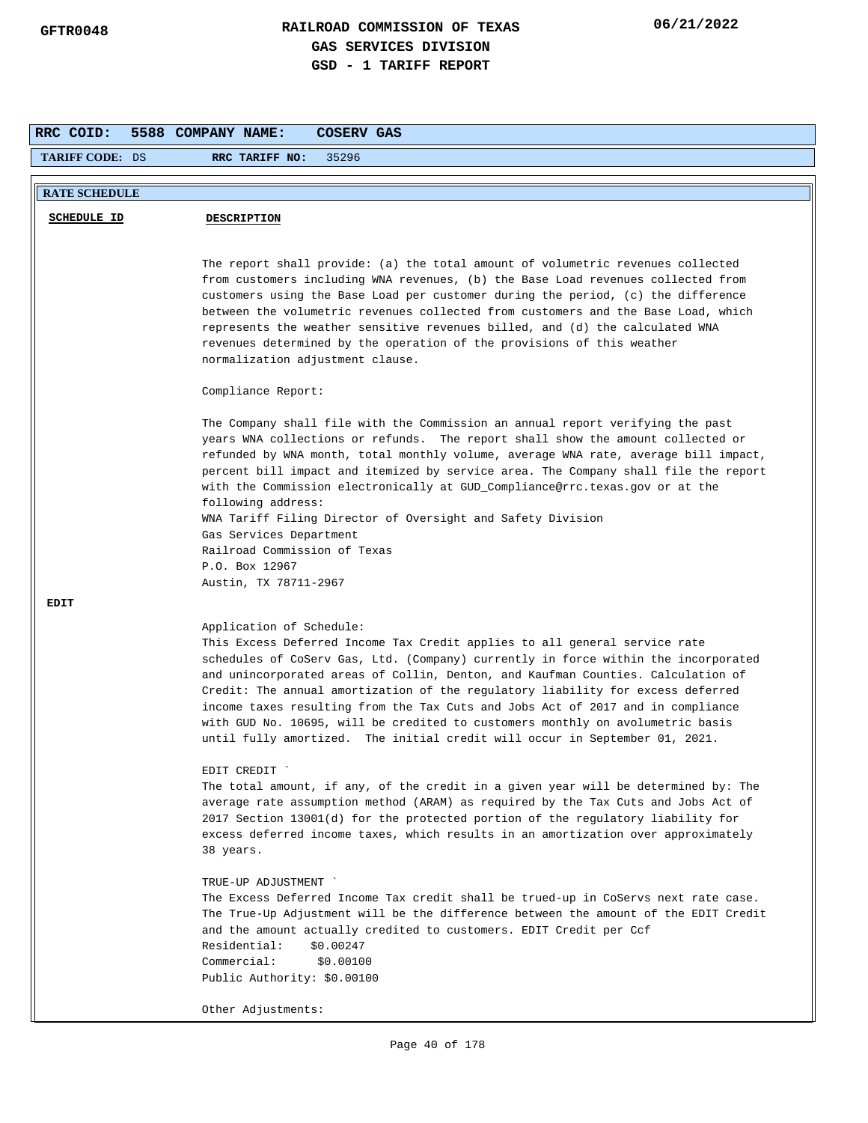| RRC COID:              | <b>COSERV GAS</b><br>5588 COMPANY NAME:                                                                                                                                                                                                                                                                                                                                                                                                                                                                                                                                                                                    |
|------------------------|----------------------------------------------------------------------------------------------------------------------------------------------------------------------------------------------------------------------------------------------------------------------------------------------------------------------------------------------------------------------------------------------------------------------------------------------------------------------------------------------------------------------------------------------------------------------------------------------------------------------------|
| <b>TARIFF CODE: DS</b> | 35296<br>RRC TARIFF NO:                                                                                                                                                                                                                                                                                                                                                                                                                                                                                                                                                                                                    |
| <b>RATE SCHEDULE</b>   |                                                                                                                                                                                                                                                                                                                                                                                                                                                                                                                                                                                                                            |
|                        |                                                                                                                                                                                                                                                                                                                                                                                                                                                                                                                                                                                                                            |
| <b>SCHEDULE ID</b>     | <b>DESCRIPTION</b>                                                                                                                                                                                                                                                                                                                                                                                                                                                                                                                                                                                                         |
|                        | The report shall provide: (a) the total amount of volumetric revenues collected<br>from customers including WNA revenues, (b) the Base Load revenues collected from<br>customers using the Base Load per customer during the period, (c) the difference<br>between the volumetric revenues collected from customers and the Base Load, which<br>represents the weather sensitive revenues billed, and (d) the calculated WNA<br>revenues determined by the operation of the provisions of this weather<br>normalization adjustment clause.                                                                                 |
|                        | Compliance Report:                                                                                                                                                                                                                                                                                                                                                                                                                                                                                                                                                                                                         |
|                        | The Company shall file with the Commission an annual report verifying the past<br>years WNA collections or refunds. The report shall show the amount collected or<br>refunded by WNA month, total monthly volume, average WNA rate, average bill impact,<br>percent bill impact and itemized by service area. The Company shall file the report<br>with the Commission electronically at GUD_Compliance@rrc.texas.gov or at the<br>following address:<br>WNA Tariff Filing Director of Oversight and Safety Division<br>Gas Services Department<br>Railroad Commission of Texas<br>P.O. Box 12967<br>Austin, TX 78711-2967 |
| <b>EDIT</b>            |                                                                                                                                                                                                                                                                                                                                                                                                                                                                                                                                                                                                                            |
|                        | Application of Schedule:<br>This Excess Deferred Income Tax Credit applies to all general service rate<br>schedules of CoServ Gas, Ltd. (Company) currently in force within the incorporated<br>and unincorporated areas of Collin, Denton, and Kaufman Counties. Calculation of<br>Credit: The annual amortization of the regulatory liability for excess deferred<br>income taxes resulting from the Tax Cuts and Jobs Act of 2017 and in compliance<br>with GUD No. 10695, will be credited to customers monthly on avolumetric basis<br>until fully amortized. The initial credit will occur in September 01, 2021.    |
|                        | EDIT CREDIT<br>The total amount, if any, of the credit in a given year will be determined by: The<br>average rate assumption method (ARAM) as required by the Tax Cuts and Jobs Act of<br>2017 Section 13001(d) for the protected portion of the regulatory liability for<br>excess deferred income taxes, which results in an amortization over approximately<br>38 years.<br>TRUE-UP ADJUSTMENT<br>The Excess Deferred Income Tax credit shall be trued-up in CoServs next rate case.                                                                                                                                    |
|                        | The True-Up Adjustment will be the difference between the amount of the EDIT Credit<br>and the amount actually credited to customers. EDIT Credit per Ccf<br>Residential:<br>\$0.00247<br>Commercial:<br>\$0.00100<br>Public Authority: \$0.00100                                                                                                                                                                                                                                                                                                                                                                          |
|                        | Other Adjustments:                                                                                                                                                                                                                                                                                                                                                                                                                                                                                                                                                                                                         |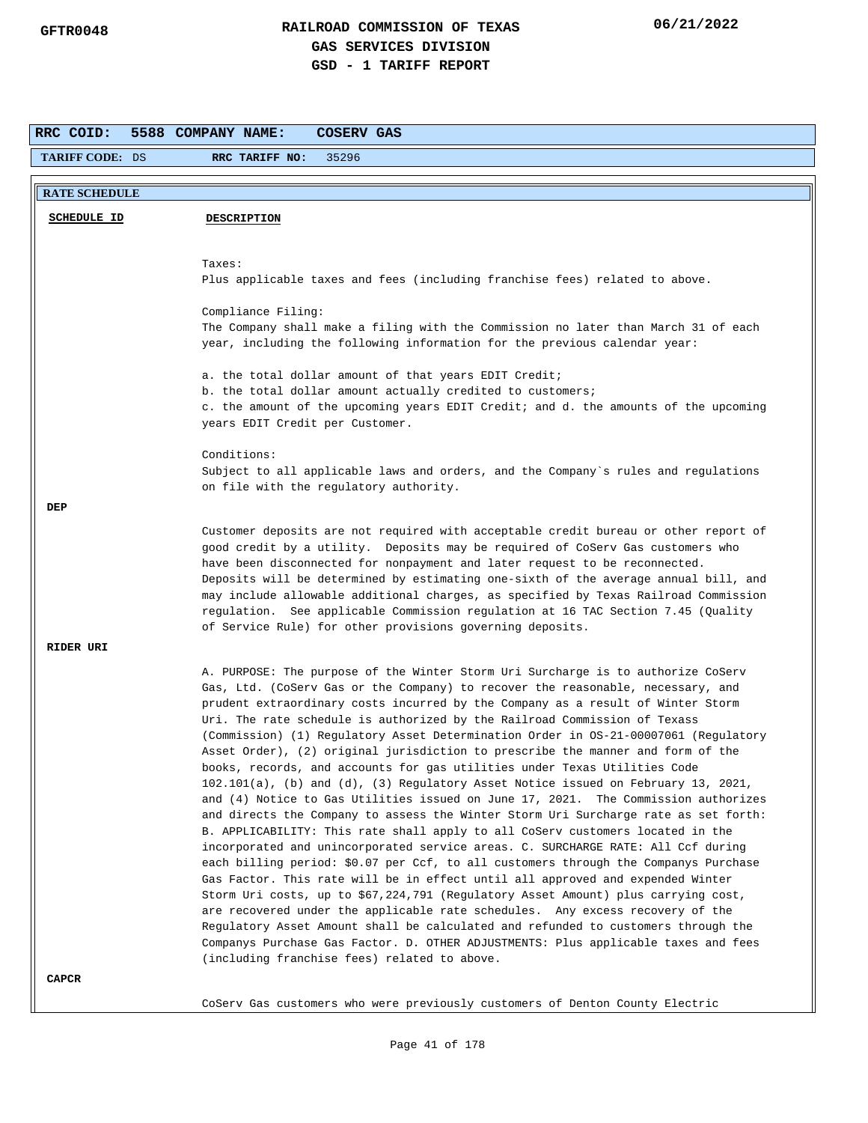| RRC COID:              | 5588 COMPANY NAME:<br>COSERV GAS                                                                                                                                                                                                                                                                                                                                                                                                                                                                                                                                                                                                                                                                                                                                                                                                                                                                                                                                                                                                                                                                                                                                                                                                                                                                                                                                                                                                                                                                                                                                                                             |  |  |  |  |  |  |
|------------------------|--------------------------------------------------------------------------------------------------------------------------------------------------------------------------------------------------------------------------------------------------------------------------------------------------------------------------------------------------------------------------------------------------------------------------------------------------------------------------------------------------------------------------------------------------------------------------------------------------------------------------------------------------------------------------------------------------------------------------------------------------------------------------------------------------------------------------------------------------------------------------------------------------------------------------------------------------------------------------------------------------------------------------------------------------------------------------------------------------------------------------------------------------------------------------------------------------------------------------------------------------------------------------------------------------------------------------------------------------------------------------------------------------------------------------------------------------------------------------------------------------------------------------------------------------------------------------------------------------------------|--|--|--|--|--|--|
| <b>TARIFF CODE: DS</b> | RRC TARIFF NO:<br>35296                                                                                                                                                                                                                                                                                                                                                                                                                                                                                                                                                                                                                                                                                                                                                                                                                                                                                                                                                                                                                                                                                                                                                                                                                                                                                                                                                                                                                                                                                                                                                                                      |  |  |  |  |  |  |
| <b>RATE SCHEDULE</b>   |                                                                                                                                                                                                                                                                                                                                                                                                                                                                                                                                                                                                                                                                                                                                                                                                                                                                                                                                                                                                                                                                                                                                                                                                                                                                                                                                                                                                                                                                                                                                                                                                              |  |  |  |  |  |  |
| <b>SCHEDULE ID</b>     | <b>DESCRIPTION</b>                                                                                                                                                                                                                                                                                                                                                                                                                                                                                                                                                                                                                                                                                                                                                                                                                                                                                                                                                                                                                                                                                                                                                                                                                                                                                                                                                                                                                                                                                                                                                                                           |  |  |  |  |  |  |
|                        | Taxes:<br>Plus applicable taxes and fees (including franchise fees) related to above.                                                                                                                                                                                                                                                                                                                                                                                                                                                                                                                                                                                                                                                                                                                                                                                                                                                                                                                                                                                                                                                                                                                                                                                                                                                                                                                                                                                                                                                                                                                        |  |  |  |  |  |  |
|                        | Compliance Filing:<br>The Company shall make a filing with the Commission no later than March 31 of each<br>year, including the following information for the previous calendar year:                                                                                                                                                                                                                                                                                                                                                                                                                                                                                                                                                                                                                                                                                                                                                                                                                                                                                                                                                                                                                                                                                                                                                                                                                                                                                                                                                                                                                        |  |  |  |  |  |  |
|                        | a. the total dollar amount of that years EDIT Credit;<br>b. the total dollar amount actually credited to customers;<br>c. the amount of the upcoming years EDIT Credit; and d. the amounts of the upcoming<br>years EDIT Credit per Customer.                                                                                                                                                                                                                                                                                                                                                                                                                                                                                                                                                                                                                                                                                                                                                                                                                                                                                                                                                                                                                                                                                                                                                                                                                                                                                                                                                                |  |  |  |  |  |  |
|                        | Conditions:<br>Subject to all applicable laws and orders, and the Company's rules and regulations<br>on file with the regulatory authority.                                                                                                                                                                                                                                                                                                                                                                                                                                                                                                                                                                                                                                                                                                                                                                                                                                                                                                                                                                                                                                                                                                                                                                                                                                                                                                                                                                                                                                                                  |  |  |  |  |  |  |
| DEP                    |                                                                                                                                                                                                                                                                                                                                                                                                                                                                                                                                                                                                                                                                                                                                                                                                                                                                                                                                                                                                                                                                                                                                                                                                                                                                                                                                                                                                                                                                                                                                                                                                              |  |  |  |  |  |  |
|                        | Customer deposits are not required with acceptable credit bureau or other report of<br>good credit by a utility. Deposits may be required of CoServ Gas customers who<br>have been disconnected for nonpayment and later request to be reconnected.<br>Deposits will be determined by estimating one-sixth of the average annual bill, and<br>may include allowable additional charges, as specified by Texas Railroad Commission<br>regulation. See applicable Commission regulation at 16 TAC Section 7.45 (Quality<br>of Service Rule) for other provisions governing deposits.                                                                                                                                                                                                                                                                                                                                                                                                                                                                                                                                                                                                                                                                                                                                                                                                                                                                                                                                                                                                                           |  |  |  |  |  |  |
| RIDER URI              |                                                                                                                                                                                                                                                                                                                                                                                                                                                                                                                                                                                                                                                                                                                                                                                                                                                                                                                                                                                                                                                                                                                                                                                                                                                                                                                                                                                                                                                                                                                                                                                                              |  |  |  |  |  |  |
|                        | A. PURPOSE: The purpose of the Winter Storm Uri Surcharge is to authorize CoServ<br>Gas, Ltd. (CoServ Gas or the Company) to recover the reasonable, necessary, and<br>prudent extraordinary costs incurred by the Company as a result of Winter Storm<br>Uri. The rate schedule is authorized by the Railroad Commission of Texass<br>(Commission) (1) Regulatory Asset Determination Order in OS-21-00007061 (Regulatory<br>Asset Order), (2) original jurisdiction to prescribe the manner and form of the<br>books, records, and accounts for gas utilities under Texas Utilities Code<br>102.101(a), (b) and (d), (3) Regulatory Asset Notice issued on February 13, 2021,<br>and (4) Notice to Gas Utilities issued on June 17, 2021. The Commission authorizes<br>and directs the Company to assess the Winter Storm Uri Surcharge rate as set forth:<br>B. APPLICABILITY: This rate shall apply to all CoServ customers located in the<br>incorporated and unincorporated service areas. C. SURCHARGE RATE: All Ccf during<br>each billing period: \$0.07 per Ccf, to all customers through the Companys Purchase<br>Gas Factor. This rate will be in effect until all approved and expended Winter<br>Storm Uri costs, up to \$67,224,791 (Regulatory Asset Amount) plus carrying cost,<br>are recovered under the applicable rate schedules. Any excess recovery of the<br>Regulatory Asset Amount shall be calculated and refunded to customers through the<br>Companys Purchase Gas Factor. D. OTHER ADJUSTMENTS: Plus applicable taxes and fees<br>(including franchise fees) related to above. |  |  |  |  |  |  |
| CAPCR                  |                                                                                                                                                                                                                                                                                                                                                                                                                                                                                                                                                                                                                                                                                                                                                                                                                                                                                                                                                                                                                                                                                                                                                                                                                                                                                                                                                                                                                                                                                                                                                                                                              |  |  |  |  |  |  |
|                        | CoServ Gas customers who were previously customers of Denton County Electric                                                                                                                                                                                                                                                                                                                                                                                                                                                                                                                                                                                                                                                                                                                                                                                                                                                                                                                                                                                                                                                                                                                                                                                                                                                                                                                                                                                                                                                                                                                                 |  |  |  |  |  |  |

Page 41 of 178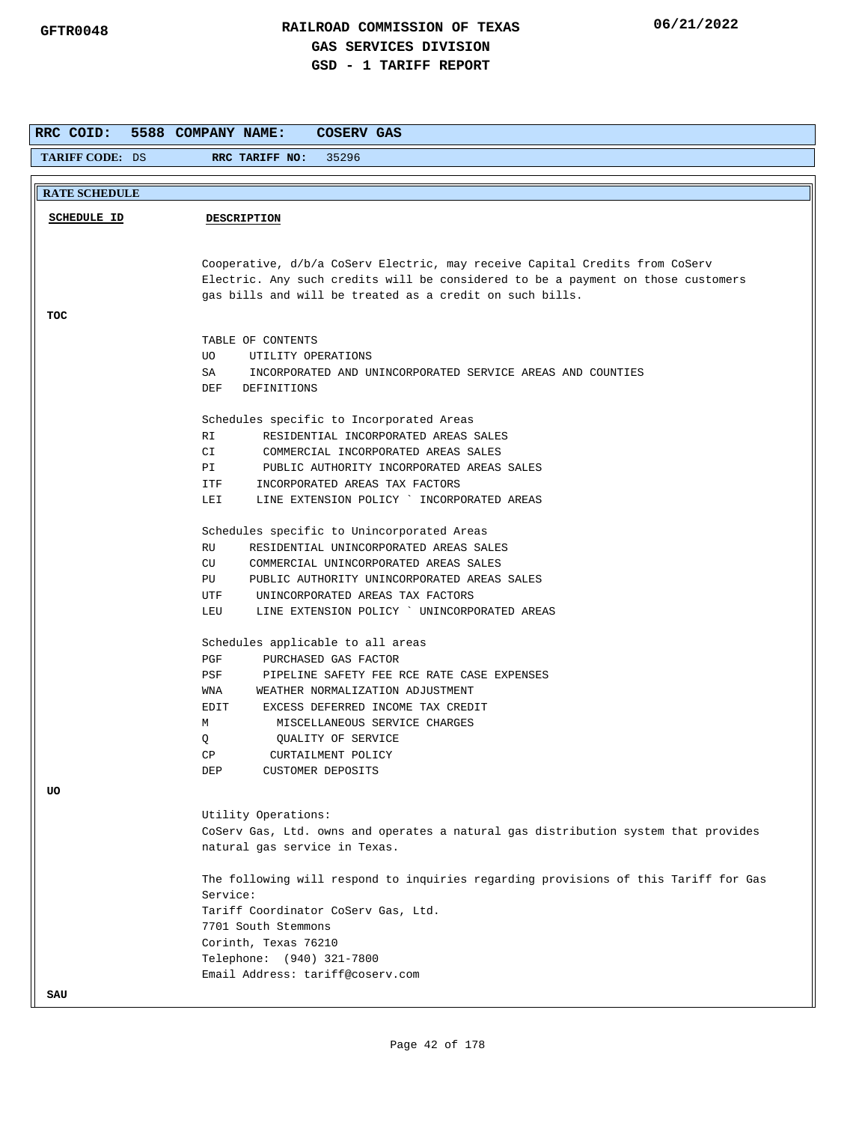| RRC COID:                                                                        | 5588 COMPANY NAME:<br>COSERV GAS                                                    |  |  |  |  |
|----------------------------------------------------------------------------------|-------------------------------------------------------------------------------------|--|--|--|--|
| <b>TARIFF CODE: DS</b>                                                           | 35296<br>RRC TARIFF NO:                                                             |  |  |  |  |
|                                                                                  |                                                                                     |  |  |  |  |
| <b>RATE SCHEDULE</b>                                                             |                                                                                     |  |  |  |  |
|                                                                                  |                                                                                     |  |  |  |  |
| <b>SCHEDULE ID</b><br><b>DESCRIPTION</b>                                         |                                                                                     |  |  |  |  |
|                                                                                  |                                                                                     |  |  |  |  |
|                                                                                  | Cooperative, d/b/a CoServ Electric, may receive Capital Credits from CoServ         |  |  |  |  |
| Electric. Any such credits will be considered to be a payment on those customers |                                                                                     |  |  |  |  |
|                                                                                  | gas bills and will be treated as a credit on such bills.                            |  |  |  |  |
| TOC                                                                              |                                                                                     |  |  |  |  |
|                                                                                  |                                                                                     |  |  |  |  |
|                                                                                  | TABLE OF CONTENTS                                                                   |  |  |  |  |
|                                                                                  | UO<br>UTILITY OPERATIONS                                                            |  |  |  |  |
|                                                                                  | INCORPORATED AND UNINCORPORATED SERVICE AREAS AND COUNTIES<br>SA                    |  |  |  |  |
|                                                                                  | DEF<br>DEFINITIONS                                                                  |  |  |  |  |
|                                                                                  | Schedules specific to Incorporated Areas                                            |  |  |  |  |
|                                                                                  | RESIDENTIAL INCORPORATED AREAS SALES<br>RI                                          |  |  |  |  |
|                                                                                  | CI<br>COMMERCIAL INCORPORATED AREAS SALES                                           |  |  |  |  |
|                                                                                  | PI<br>PUBLIC AUTHORITY INCORPORATED AREAS SALES                                     |  |  |  |  |
|                                                                                  | INCORPORATED AREAS TAX FACTORS<br>ITF                                               |  |  |  |  |
|                                                                                  | LINE EXTENSION POLICY ` INCORPORATED AREAS<br>LEI                                   |  |  |  |  |
|                                                                                  |                                                                                     |  |  |  |  |
|                                                                                  | Schedules specific to Unincorporated Areas                                          |  |  |  |  |
|                                                                                  | RESIDENTIAL UNINCORPORATED AREAS SALES<br>RU                                        |  |  |  |  |
|                                                                                  | CU<br>COMMERCIAL UNINCORPORATED AREAS SALES                                         |  |  |  |  |
|                                                                                  | PUBLIC AUTHORITY UNINCORPORATED AREAS SALES<br>PU                                   |  |  |  |  |
|                                                                                  | UTF<br>UNINCORPORATED AREAS TAX FACTORS                                             |  |  |  |  |
|                                                                                  | LINE EXTENSION POLICY ` UNINCORPORATED AREAS<br>LEU                                 |  |  |  |  |
|                                                                                  |                                                                                     |  |  |  |  |
|                                                                                  | Schedules applicable to all areas                                                   |  |  |  |  |
|                                                                                  | PGF<br>PURCHASED GAS FACTOR                                                         |  |  |  |  |
|                                                                                  | PSF<br>PIPELINE SAFETY FEE RCE RATE CASE EXPENSES                                   |  |  |  |  |
|                                                                                  | WNA<br>WEATHER NORMALIZATION ADJUSTMENT<br>EDIT                                     |  |  |  |  |
|                                                                                  | EXCESS DEFERRED INCOME TAX CREDIT<br>М<br>MISCELLANEOUS SERVICE CHARGES             |  |  |  |  |
|                                                                                  | Q<br>QUALITY OF SERVICE                                                             |  |  |  |  |
|                                                                                  | CP<br>CURTAILMENT POLICY                                                            |  |  |  |  |
|                                                                                  | DEP<br>CUSTOMER DEPOSITS                                                            |  |  |  |  |
| <b>UO</b>                                                                        |                                                                                     |  |  |  |  |
|                                                                                  |                                                                                     |  |  |  |  |
|                                                                                  | Utility Operations:                                                                 |  |  |  |  |
|                                                                                  | CoServ Gas, Ltd. owns and operates a natural gas distribution system that provides  |  |  |  |  |
|                                                                                  | natural gas service in Texas.                                                       |  |  |  |  |
|                                                                                  |                                                                                     |  |  |  |  |
|                                                                                  | The following will respond to inquiries regarding provisions of this Tariff for Gas |  |  |  |  |
|                                                                                  | Service:                                                                            |  |  |  |  |
|                                                                                  | Tariff Coordinator CoServ Gas, Ltd.<br>7701 South Stemmons                          |  |  |  |  |
|                                                                                  | Corinth, Texas 76210                                                                |  |  |  |  |
|                                                                                  | Telephone: (940) 321-7800                                                           |  |  |  |  |
|                                                                                  | Email Address: tariff@coserv.com                                                    |  |  |  |  |
|                                                                                  |                                                                                     |  |  |  |  |
| SAU                                                                              |                                                                                     |  |  |  |  |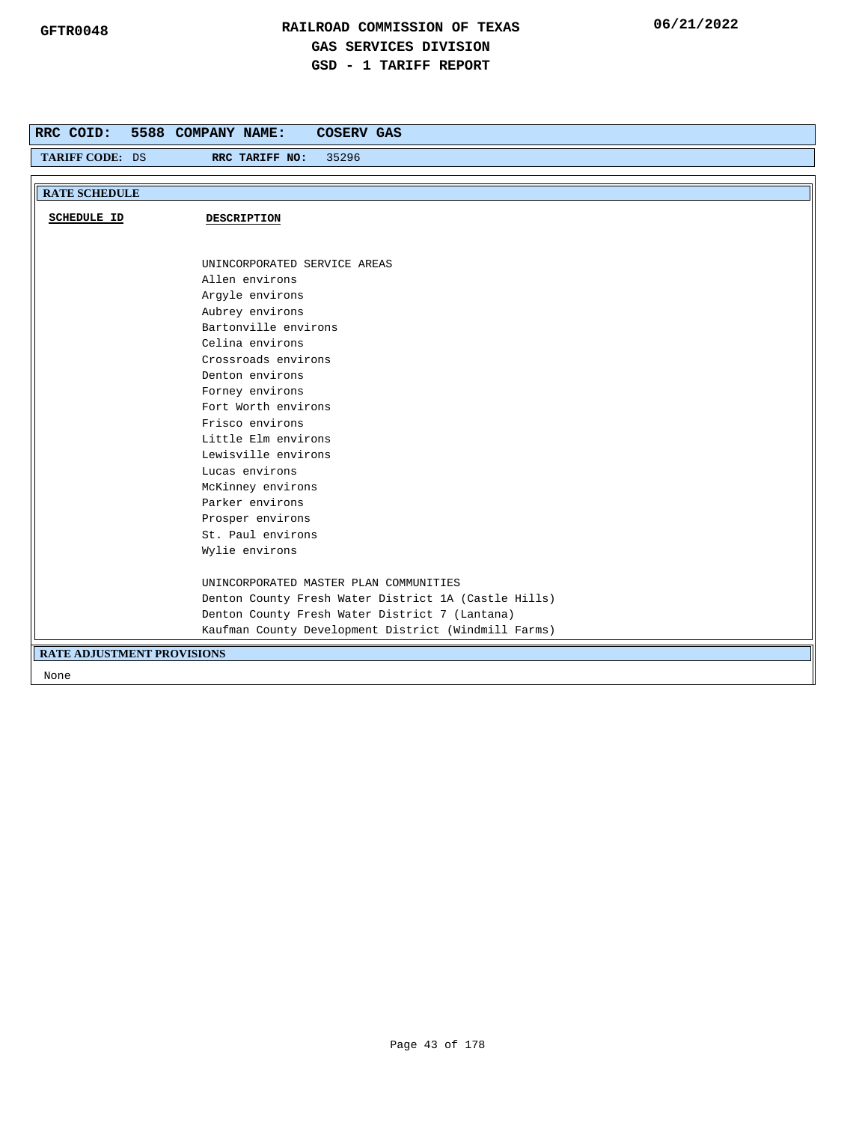| RRC COID:                         | 5588 COMPANY NAME:<br><b>COSERV GAS</b>              |
|-----------------------------------|------------------------------------------------------|
| TARIFF CODE: DS                   | 35296<br>RRC TARIFF NO:                              |
|                                   |                                                      |
| <b>RATE SCHEDULE</b>              |                                                      |
| <b>SCHEDULE ID</b>                | DESCRIPTION                                          |
|                                   |                                                      |
|                                   |                                                      |
|                                   | UNINCORPORATED SERVICE AREAS                         |
|                                   | Allen environs                                       |
|                                   | Argyle environs                                      |
|                                   | Aubrey environs                                      |
|                                   | Bartonville environs                                 |
|                                   | Celina environs                                      |
|                                   | Crossroads environs                                  |
|                                   | Denton environs                                      |
|                                   | Forney environs                                      |
|                                   | Fort Worth environs                                  |
|                                   | Frisco environs                                      |
|                                   | Little Elm environs                                  |
|                                   | Lewisville environs                                  |
|                                   | Lucas environs                                       |
|                                   | McKinney environs                                    |
|                                   | Parker environs                                      |
|                                   | Prosper environs                                     |
|                                   | St. Paul environs                                    |
|                                   | Wylie environs                                       |
|                                   | UNINCORPORATED MASTER PLAN COMMUNITIES               |
|                                   | Denton County Fresh Water District 1A (Castle Hills) |
|                                   | Denton County Fresh Water District 7 (Lantana)       |
|                                   | Kaufman County Development District (Windmill Farms) |
| <b>RATE ADJUSTMENT PROVISIONS</b> |                                                      |
| None                              |                                                      |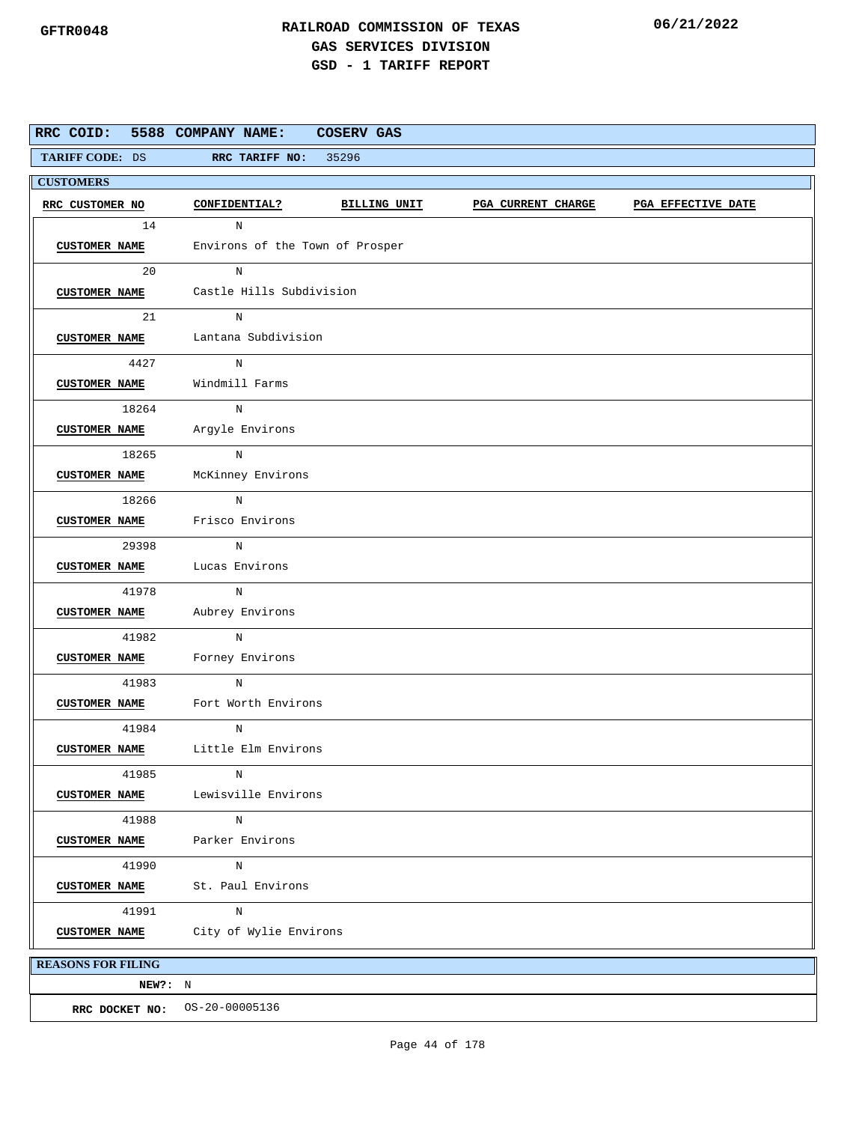| RRC COID: 5588 COMPANY NAME: |                                                                                  | COSERV GAS                             |  |  |  |  |  |  |  |
|------------------------------|----------------------------------------------------------------------------------|----------------------------------------|--|--|--|--|--|--|--|
| <b>TARIFF CODE: DS</b>       | REC TARIFF NO: 35296                                                             |                                        |  |  |  |  |  |  |  |
| <b>CUSTOMERS</b>             |                                                                                  |                                        |  |  |  |  |  |  |  |
| RRC CUSTOMER NO              | CONFIDENTIAL?<br>BILLING UNIT<br><b>PGA CURRENT CHARGE</b><br>PGA EFFECTIVE DATE |                                        |  |  |  |  |  |  |  |
| 14                           | N                                                                                |                                        |  |  |  |  |  |  |  |
| <b>CUSTOMER NAME</b>         | Environs of the Town of Prosper                                                  |                                        |  |  |  |  |  |  |  |
| 20                           | N                                                                                |                                        |  |  |  |  |  |  |  |
|                              |                                                                                  | CUSTOMER NAME Castle Hills Subdivision |  |  |  |  |  |  |  |
| 21                           |                                                                                  |                                        |  |  |  |  |  |  |  |
|                              |                                                                                  | CUSTOMER NAME Lantana Subdivision      |  |  |  |  |  |  |  |
| 4427                         | $_{\rm N}$                                                                       |                                        |  |  |  |  |  |  |  |
|                              | CUSTOMER NAME Windmill Farms                                                     |                                        |  |  |  |  |  |  |  |
| 18264                        | N                                                                                |                                        |  |  |  |  |  |  |  |
|                              | <b>CUSTOMER NAME</b> Argyle Environs                                             |                                        |  |  |  |  |  |  |  |
| 18265                        | N                                                                                |                                        |  |  |  |  |  |  |  |
| <b>CUSTOMER NAME</b>         | McKinney Environs                                                                |                                        |  |  |  |  |  |  |  |
| 18266                        | $_{\rm N}$                                                                       |                                        |  |  |  |  |  |  |  |
|                              | <b>CUSTOMER NAME</b> Frisco Environs                                             |                                        |  |  |  |  |  |  |  |
| 29398                        | N                                                                                |                                        |  |  |  |  |  |  |  |
|                              | <b>CUSTOMER NAME</b> Lucas Environs                                              |                                        |  |  |  |  |  |  |  |
| 41978                        | N                                                                                |                                        |  |  |  |  |  |  |  |
|                              | CUSTOMER NAME Aubrey Environs                                                    |                                        |  |  |  |  |  |  |  |
| 41982                        | $\mathbf N$                                                                      |                                        |  |  |  |  |  |  |  |
| <b>CUSTOMER NAME</b>         | Forney Environs                                                                  |                                        |  |  |  |  |  |  |  |
| 41983                        | $_{\rm N}$                                                                       |                                        |  |  |  |  |  |  |  |
| <b>CUSTOMER NAME</b>         | Fort Worth Environs                                                              |                                        |  |  |  |  |  |  |  |
| 41984                        | N                                                                                |                                        |  |  |  |  |  |  |  |
|                              | CUSTOMER NAME Little Elm Environs                                                |                                        |  |  |  |  |  |  |  |
| 41985                        | N                                                                                |                                        |  |  |  |  |  |  |  |
| <b>CUSTOMER NAME</b>         | Lewisville Environs                                                              |                                        |  |  |  |  |  |  |  |
| 41988                        | N                                                                                |                                        |  |  |  |  |  |  |  |
| <b>CUSTOMER NAME</b>         | Parker Environs                                                                  |                                        |  |  |  |  |  |  |  |
| 41990                        | N                                                                                |                                        |  |  |  |  |  |  |  |
| <b>CUSTOMER NAME</b>         | St. Paul Environs                                                                |                                        |  |  |  |  |  |  |  |
| 41991                        | N                                                                                |                                        |  |  |  |  |  |  |  |
| <b>CUSTOMER NAME</b>         | City of Wylie Environs                                                           |                                        |  |  |  |  |  |  |  |
| <b>REASONS FOR FILING</b>    |                                                                                  |                                        |  |  |  |  |  |  |  |
| NEW?: N                      |                                                                                  |                                        |  |  |  |  |  |  |  |
|                              | RRC DOCKET NO: 0S-20-00005136                                                    |                                        |  |  |  |  |  |  |  |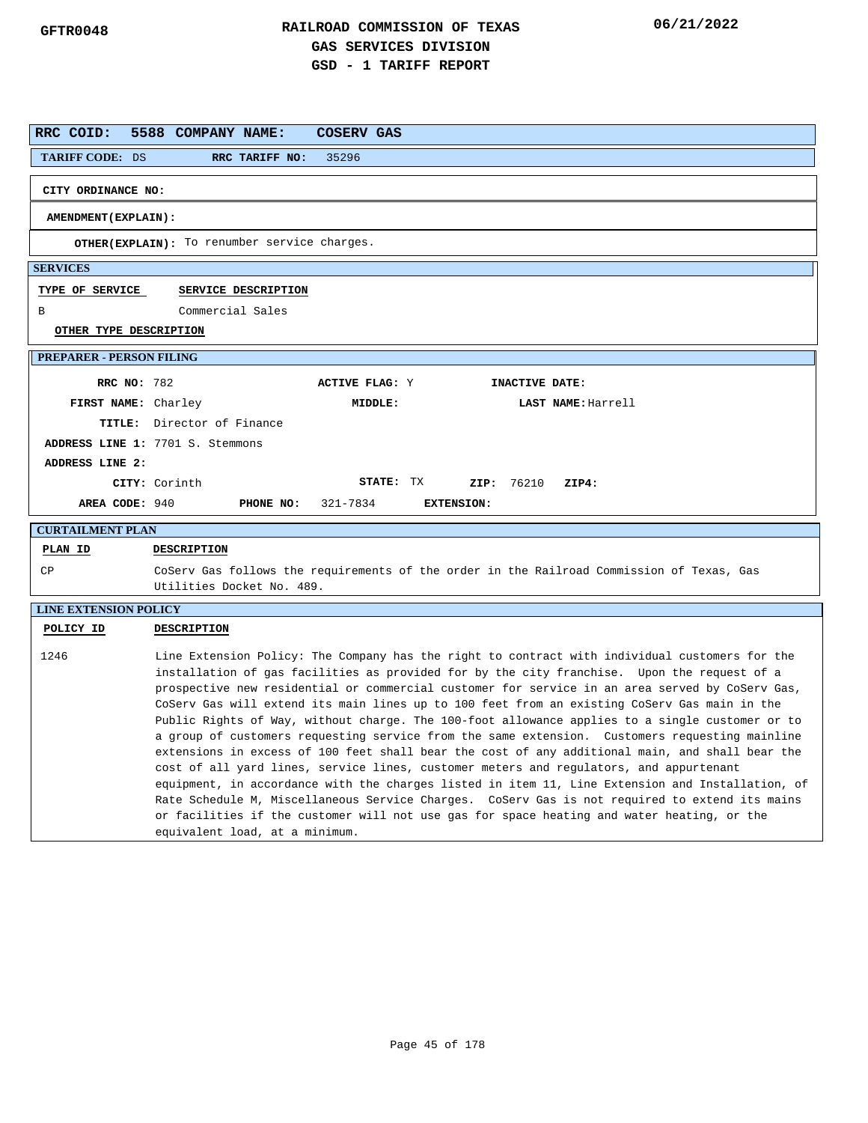| RRC COID:                       | 5588 COMPANY NAME:<br>COSERV GAS                                                                                                                                                                                                                                                                                                                                                                                                                                                                                                                                                                                                                                                                                                                                                                                                                                                                                                                                                                                                                                                                                                         |
|---------------------------------|------------------------------------------------------------------------------------------------------------------------------------------------------------------------------------------------------------------------------------------------------------------------------------------------------------------------------------------------------------------------------------------------------------------------------------------------------------------------------------------------------------------------------------------------------------------------------------------------------------------------------------------------------------------------------------------------------------------------------------------------------------------------------------------------------------------------------------------------------------------------------------------------------------------------------------------------------------------------------------------------------------------------------------------------------------------------------------------------------------------------------------------|
| <b>TARIFF CODE: DS</b>          | RRC TARIFF NO:<br>35296                                                                                                                                                                                                                                                                                                                                                                                                                                                                                                                                                                                                                                                                                                                                                                                                                                                                                                                                                                                                                                                                                                                  |
| CITY ORDINANCE NO:              |                                                                                                                                                                                                                                                                                                                                                                                                                                                                                                                                                                                                                                                                                                                                                                                                                                                                                                                                                                                                                                                                                                                                          |
| AMENDMENT (EXPLAIN):            |                                                                                                                                                                                                                                                                                                                                                                                                                                                                                                                                                                                                                                                                                                                                                                                                                                                                                                                                                                                                                                                                                                                                          |
|                                 | OTHER(EXPLAIN): To renumber service charges.                                                                                                                                                                                                                                                                                                                                                                                                                                                                                                                                                                                                                                                                                                                                                                                                                                                                                                                                                                                                                                                                                             |
| <b>SERVICES</b>                 |                                                                                                                                                                                                                                                                                                                                                                                                                                                                                                                                                                                                                                                                                                                                                                                                                                                                                                                                                                                                                                                                                                                                          |
| TYPE OF SERVICE                 | SERVICE DESCRIPTION                                                                                                                                                                                                                                                                                                                                                                                                                                                                                                                                                                                                                                                                                                                                                                                                                                                                                                                                                                                                                                                                                                                      |
| В                               | Commercial Sales                                                                                                                                                                                                                                                                                                                                                                                                                                                                                                                                                                                                                                                                                                                                                                                                                                                                                                                                                                                                                                                                                                                         |
| OTHER TYPE DESCRIPTION          |                                                                                                                                                                                                                                                                                                                                                                                                                                                                                                                                                                                                                                                                                                                                                                                                                                                                                                                                                                                                                                                                                                                                          |
| <b>PREPARER - PERSON FILING</b> |                                                                                                                                                                                                                                                                                                                                                                                                                                                                                                                                                                                                                                                                                                                                                                                                                                                                                                                                                                                                                                                                                                                                          |
| <b>RRC NO: 782</b>              | <b>ACTIVE FLAG: Y</b><br>INACTIVE DATE:                                                                                                                                                                                                                                                                                                                                                                                                                                                                                                                                                                                                                                                                                                                                                                                                                                                                                                                                                                                                                                                                                                  |
| FIRST NAME: Charley             | MIDDLE:<br>LAST NAME: Harrell                                                                                                                                                                                                                                                                                                                                                                                                                                                                                                                                                                                                                                                                                                                                                                                                                                                                                                                                                                                                                                                                                                            |
|                                 | <b>TITLE:</b> Director of Finance                                                                                                                                                                                                                                                                                                                                                                                                                                                                                                                                                                                                                                                                                                                                                                                                                                                                                                                                                                                                                                                                                                        |
|                                 | ADDRESS LINE 1: 7701 S. Stemmons                                                                                                                                                                                                                                                                                                                                                                                                                                                                                                                                                                                                                                                                                                                                                                                                                                                                                                                                                                                                                                                                                                         |
| ADDRESS LINE 2:                 |                                                                                                                                                                                                                                                                                                                                                                                                                                                                                                                                                                                                                                                                                                                                                                                                                                                                                                                                                                                                                                                                                                                                          |
|                                 | STATE: TX<br>CITY: Corinth<br>ZIP: 76210<br>ZIP4:                                                                                                                                                                                                                                                                                                                                                                                                                                                                                                                                                                                                                                                                                                                                                                                                                                                                                                                                                                                                                                                                                        |
| AREA CODE: 940                  | PHONE NO:<br>321-7834<br><b>EXTENSION:</b>                                                                                                                                                                                                                                                                                                                                                                                                                                                                                                                                                                                                                                                                                                                                                                                                                                                                                                                                                                                                                                                                                               |
| <b>CURTAILMENT PLAN</b>         |                                                                                                                                                                                                                                                                                                                                                                                                                                                                                                                                                                                                                                                                                                                                                                                                                                                                                                                                                                                                                                                                                                                                          |
| PLAN ID                         | <b>DESCRIPTION</b>                                                                                                                                                                                                                                                                                                                                                                                                                                                                                                                                                                                                                                                                                                                                                                                                                                                                                                                                                                                                                                                                                                                       |
| СP                              | CoServ Gas follows the requirements of the order in the Railroad Commission of Texas, Gas<br>Utilities Docket No. 489.                                                                                                                                                                                                                                                                                                                                                                                                                                                                                                                                                                                                                                                                                                                                                                                                                                                                                                                                                                                                                   |
| <b>LINE EXTENSION POLICY</b>    |                                                                                                                                                                                                                                                                                                                                                                                                                                                                                                                                                                                                                                                                                                                                                                                                                                                                                                                                                                                                                                                                                                                                          |
| POLICY ID                       | DESCRIPTION                                                                                                                                                                                                                                                                                                                                                                                                                                                                                                                                                                                                                                                                                                                                                                                                                                                                                                                                                                                                                                                                                                                              |
| 1246                            | Line Extension Policy: The Company has the right to contract with individual customers for the<br>installation of gas facilities as provided for by the city franchise. Upon the request of a<br>prospective new residential or commercial customer for service in an area served by CoServ Gas,<br>CoServ Gas will extend its main lines up to 100 feet from an existing CoServ Gas main in the<br>Public Rights of Way, without charge. The 100-foot allowance applies to a single customer or to<br>a group of customers requesting service from the same extension. Customers requesting mainline<br>extensions in excess of 100 feet shall bear the cost of any additional main, and shall bear the<br>cost of all yard lines, service lines, customer meters and regulators, and appurtenant<br>equipment, in accordance with the charges listed in item 11, Line Extension and Installation, of<br>Rate Schedule M, Miscellaneous Service Charges. CoServ Gas is not required to extend its mains<br>or facilities if the customer will not use gas for space heating and water heating, or the<br>equivalent load, at a minimum. |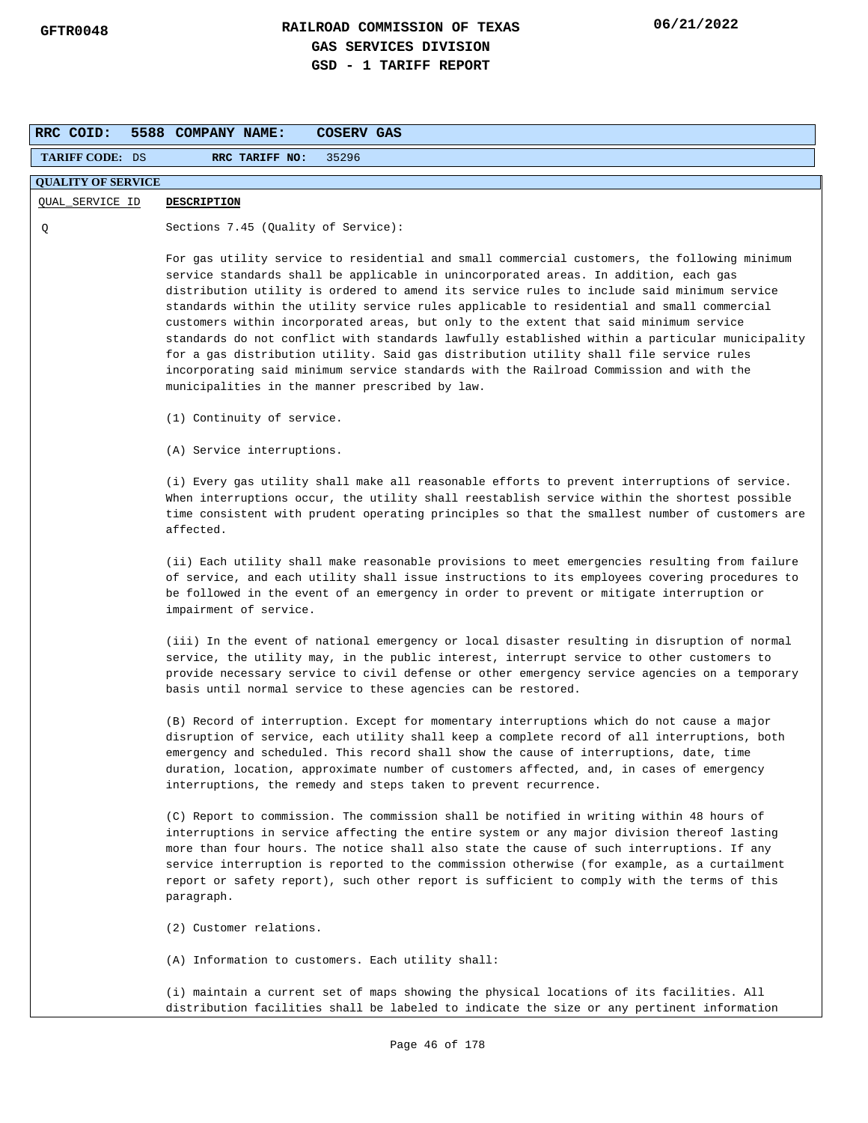| RRC COID:                 | <b>COSERV GAS</b><br>5588 COMPANY NAME:                                                                                                                                                                                                                                                                                                                                                                                                                                                                                                                                                                                                                                                                                                                                                                           |  |  |  |  |
|---------------------------|-------------------------------------------------------------------------------------------------------------------------------------------------------------------------------------------------------------------------------------------------------------------------------------------------------------------------------------------------------------------------------------------------------------------------------------------------------------------------------------------------------------------------------------------------------------------------------------------------------------------------------------------------------------------------------------------------------------------------------------------------------------------------------------------------------------------|--|--|--|--|
| <b>TARIFF CODE: DS</b>    | RRC TARIFF NO:<br>35296                                                                                                                                                                                                                                                                                                                                                                                                                                                                                                                                                                                                                                                                                                                                                                                           |  |  |  |  |
| <b>QUALITY OF SERVICE</b> |                                                                                                                                                                                                                                                                                                                                                                                                                                                                                                                                                                                                                                                                                                                                                                                                                   |  |  |  |  |
| QUAL_SERVICE ID           | <b>DESCRIPTION</b>                                                                                                                                                                                                                                                                                                                                                                                                                                                                                                                                                                                                                                                                                                                                                                                                |  |  |  |  |
| Q                         | Sections 7.45 (Quality of Service):                                                                                                                                                                                                                                                                                                                                                                                                                                                                                                                                                                                                                                                                                                                                                                               |  |  |  |  |
|                           | For gas utility service to residential and small commercial customers, the following minimum<br>service standards shall be applicable in unincorporated areas. In addition, each gas<br>distribution utility is ordered to amend its service rules to include said minimum service<br>standards within the utility service rules applicable to residential and small commercial<br>customers within incorporated areas, but only to the extent that said minimum service<br>standards do not conflict with standards lawfully established within a particular municipality<br>for a gas distribution utility. Said gas distribution utility shall file service rules<br>incorporating said minimum service standards with the Railroad Commission and with the<br>municipalities in the manner prescribed by law. |  |  |  |  |
|                           | (1) Continuity of service.                                                                                                                                                                                                                                                                                                                                                                                                                                                                                                                                                                                                                                                                                                                                                                                        |  |  |  |  |
|                           | (A) Service interruptions.                                                                                                                                                                                                                                                                                                                                                                                                                                                                                                                                                                                                                                                                                                                                                                                        |  |  |  |  |
|                           | (i) Every gas utility shall make all reasonable efforts to prevent interruptions of service.<br>When interruptions occur, the utility shall reestablish service within the shortest possible<br>time consistent with prudent operating principles so that the smallest number of customers are<br>affected.                                                                                                                                                                                                                                                                                                                                                                                                                                                                                                       |  |  |  |  |
|                           | (ii) Each utility shall make reasonable provisions to meet emergencies resulting from failure<br>of service, and each utility shall issue instructions to its employees covering procedures to<br>be followed in the event of an emergency in order to prevent or mitigate interruption or<br>impairment of service.                                                                                                                                                                                                                                                                                                                                                                                                                                                                                              |  |  |  |  |
|                           | (iii) In the event of national emergency or local disaster resulting in disruption of normal<br>service, the utility may, in the public interest, interrupt service to other customers to<br>provide necessary service to civil defense or other emergency service agencies on a temporary<br>basis until normal service to these agencies can be restored.                                                                                                                                                                                                                                                                                                                                                                                                                                                       |  |  |  |  |
|                           | (B) Record of interruption. Except for momentary interruptions which do not cause a major<br>disruption of service, each utility shall keep a complete record of all interruptions, both<br>emergency and scheduled. This record shall show the cause of interruptions, date, time<br>duration, location, approximate number of customers affected, and, in cases of emergency<br>interruptions, the remedy and steps taken to prevent recurrence.                                                                                                                                                                                                                                                                                                                                                                |  |  |  |  |
|                           | (C) Report to commission. The commission shall be notified in writing within 48 hours of<br>interruptions in service affecting the entire system or any major division thereof lasting<br>more than four hours. The notice shall also state the cause of such interruptions. If any<br>service interruption is reported to the commission otherwise (for example, as a curtailment<br>report or safety report), such other report is sufficient to comply with the terms of this<br>paragraph.                                                                                                                                                                                                                                                                                                                    |  |  |  |  |
|                           | (2) Customer relations.                                                                                                                                                                                                                                                                                                                                                                                                                                                                                                                                                                                                                                                                                                                                                                                           |  |  |  |  |
|                           | (A) Information to customers. Each utility shall:                                                                                                                                                                                                                                                                                                                                                                                                                                                                                                                                                                                                                                                                                                                                                                 |  |  |  |  |
|                           | (i) maintain a current set of maps showing the physical locations of its facilities. All<br>distribution facilities shall be labeled to indicate the size or any pertinent information                                                                                                                                                                                                                                                                                                                                                                                                                                                                                                                                                                                                                            |  |  |  |  |
|                           | Page 46 of 178                                                                                                                                                                                                                                                                                                                                                                                                                                                                                                                                                                                                                                                                                                                                                                                                    |  |  |  |  |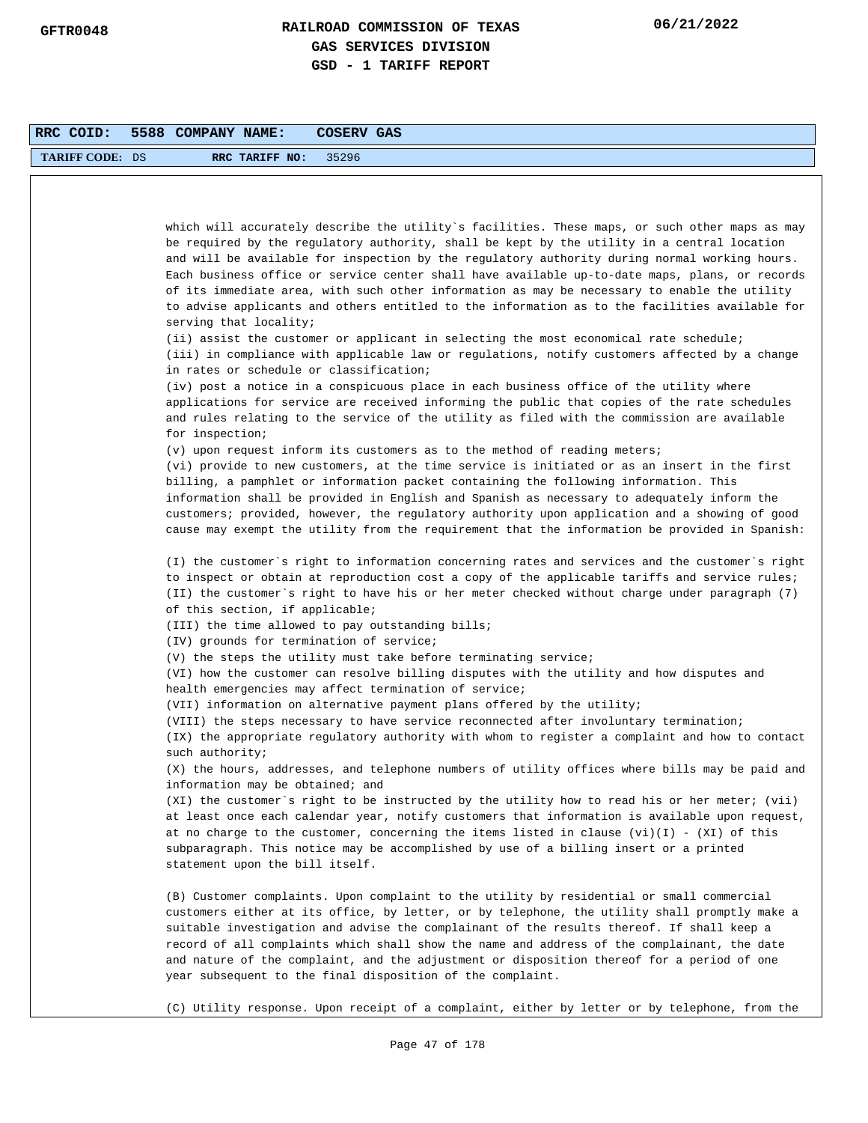| RRC COID:              | 5588 COMPANY NAME:<br>COSERV GAS                                                                                                                                                                                                                                                                                                                                                                                                                                                                                                                                                                   |
|------------------------|----------------------------------------------------------------------------------------------------------------------------------------------------------------------------------------------------------------------------------------------------------------------------------------------------------------------------------------------------------------------------------------------------------------------------------------------------------------------------------------------------------------------------------------------------------------------------------------------------|
| <b>TARIFF CODE: DS</b> | RRC TARIFF NO:<br>35296                                                                                                                                                                                                                                                                                                                                                                                                                                                                                                                                                                            |
|                        |                                                                                                                                                                                                                                                                                                                                                                                                                                                                                                                                                                                                    |
|                        |                                                                                                                                                                                                                                                                                                                                                                                                                                                                                                                                                                                                    |
|                        | which will accurately describe the utility`s facilities. These maps, or such other maps as may<br>be required by the regulatory authority, shall be kept by the utility in a central location<br>and will be available for inspection by the regulatory authority during normal working hours.<br>Each business office or service center shall have available up-to-date maps, plans, or records<br>of its immediate area, with such other information as may be necessary to enable the utility<br>to advise applicants and others entitled to the information as to the facilities available for |
|                        | serving that locality;<br>(ii) assist the customer or applicant in selecting the most economical rate schedule;<br>(iii) in compliance with applicable law or regulations, notify customers affected by a change<br>in rates or schedule or classification;                                                                                                                                                                                                                                                                                                                                        |
|                        | (iv) post a notice in a conspicuous place in each business office of the utility where<br>applications for service are received informing the public that copies of the rate schedules<br>and rules relating to the service of the utility as filed with the commission are available<br>for inspection;                                                                                                                                                                                                                                                                                           |
|                        | $(v)$ upon request inform its customers as to the method of reading meters;                                                                                                                                                                                                                                                                                                                                                                                                                                                                                                                        |
|                        | (vi) provide to new customers, at the time service is initiated or as an insert in the first<br>billing, a pamphlet or information packet containing the following information. This<br>information shall be provided in English and Spanish as necessary to adequately inform the<br>customers; provided, however, the regulatory authority upon application and a showing of good<br>cause may exempt the utility from the requirement that the information be provided in Spanish:                                                                                                              |
|                        | (I) the customer's right to information concerning rates and services and the customer's right<br>to inspect or obtain at reproduction cost a copy of the applicable tariffs and service rules;<br>(II) the customer`s right to have his or her meter checked without charge under paragraph (7)<br>of this section, if applicable;                                                                                                                                                                                                                                                                |
|                        | (III) the time allowed to pay outstanding bills;                                                                                                                                                                                                                                                                                                                                                                                                                                                                                                                                                   |
|                        | (IV) grounds for termination of service;                                                                                                                                                                                                                                                                                                                                                                                                                                                                                                                                                           |
|                        | (V) the steps the utility must take before terminating service;<br>(VI) how the customer can resolve billing disputes with the utility and how disputes and<br>health emergencies may affect termination of service;                                                                                                                                                                                                                                                                                                                                                                               |
|                        | (VII) information on alternative payment plans offered by the utility;                                                                                                                                                                                                                                                                                                                                                                                                                                                                                                                             |
|                        | (VIII) the steps necessary to have service reconnected after involuntary termination;<br>(IX) the appropriate regulatory authority with whom to register a complaint and how to contact                                                                                                                                                                                                                                                                                                                                                                                                            |
|                        | such authority;<br>(X) the hours, addresses, and telephone numbers of utility offices where bills may be paid and<br>information may be obtained; and                                                                                                                                                                                                                                                                                                                                                                                                                                              |
|                        | (XI) the customer's right to be instructed by the utility how to read his or her meter; (vii)<br>at least once each calendar year, notify customers that information is available upon request,<br>at no charge to the customer, concerning the items listed in clause $(vi)(I)$ - $(XI)$ of this<br>subparagraph. This notice may be accomplished by use of a billing insert or a printed<br>statement upon the bill itself.                                                                                                                                                                      |
|                        | (B) Customer complaints. Upon complaint to the utility by residential or small commercial<br>customers either at its office, by letter, or by telephone, the utility shall promptly make a<br>suitable investigation and advise the complainant of the results thereof. If shall keep a<br>record of all complaints which shall show the name and address of the complainant, the date<br>and nature of the complaint, and the adjustment or disposition thereof for a period of one<br>year subsequent to the final disposition of the complaint.                                                 |
|                        | (C) Utility response. Upon receipt of a complaint, either by letter or by telephone, from the                                                                                                                                                                                                                                                                                                                                                                                                                                                                                                      |
|                        | Page 47 of 178                                                                                                                                                                                                                                                                                                                                                                                                                                                                                                                                                                                     |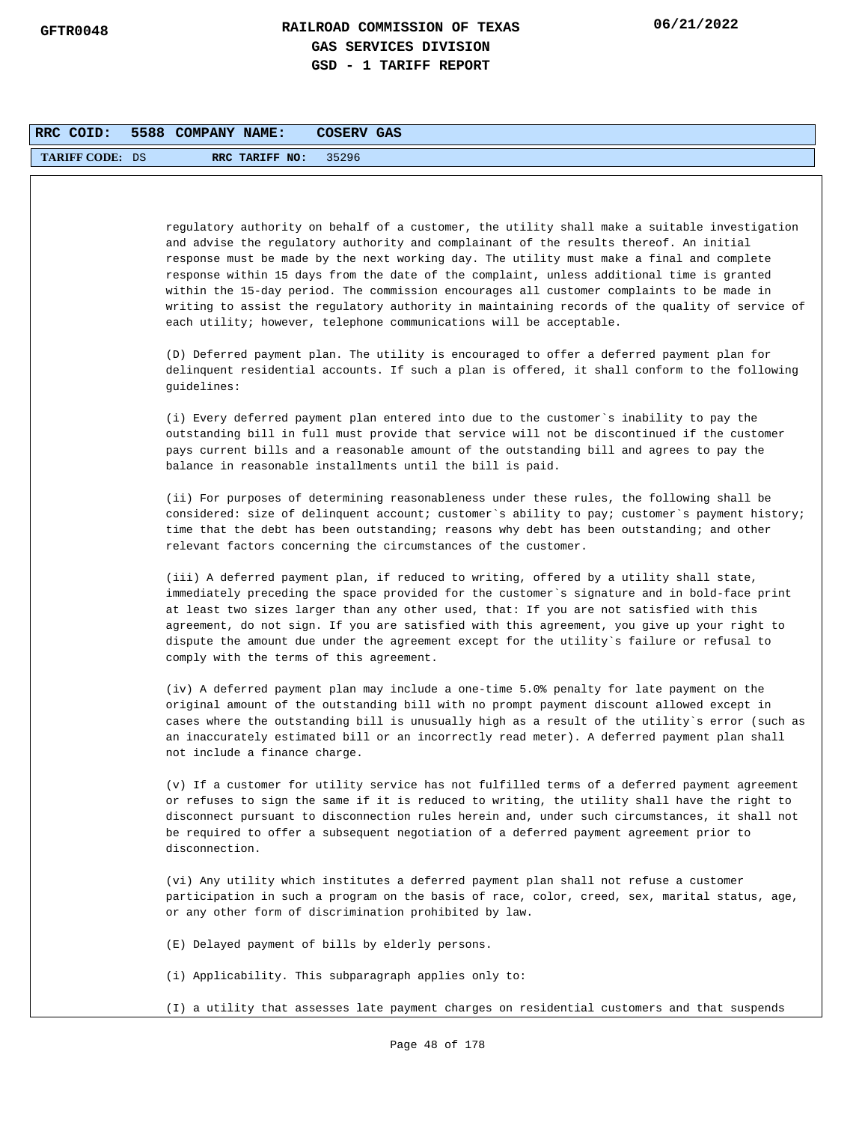| RRC COID:              | 5588 COMPANY NAME: |                               | COSERV GAS                                                                                                                                                                                                                                                                                                                                                                                                                                                                                                                                                                                                                                              |
|------------------------|--------------------|-------------------------------|---------------------------------------------------------------------------------------------------------------------------------------------------------------------------------------------------------------------------------------------------------------------------------------------------------------------------------------------------------------------------------------------------------------------------------------------------------------------------------------------------------------------------------------------------------------------------------------------------------------------------------------------------------|
| <b>TARIFF CODE: DS</b> |                    | RRC TARIFF NO:                | 35296                                                                                                                                                                                                                                                                                                                                                                                                                                                                                                                                                                                                                                                   |
|                        |                    |                               |                                                                                                                                                                                                                                                                                                                                                                                                                                                                                                                                                                                                                                                         |
|                        |                    |                               | regulatory authority on behalf of a customer, the utility shall make a suitable investigation<br>and advise the regulatory authority and complainant of the results thereof. An initial<br>response must be made by the next working day. The utility must make a final and complete<br>response within 15 days from the date of the complaint, unless additional time is granted<br>within the 15-day period. The commission encourages all customer complaints to be made in<br>writing to assist the regulatory authority in maintaining records of the quality of service of<br>each utility; however, telephone communications will be acceptable. |
|                        | guidelines:        |                               | (D) Deferred payment plan. The utility is encouraged to offer a deferred payment plan for<br>delinquent residential accounts. If such a plan is offered, it shall conform to the following                                                                                                                                                                                                                                                                                                                                                                                                                                                              |
|                        |                    |                               | (i) Every deferred payment plan entered into due to the customer`s inability to pay the<br>outstanding bill in full must provide that service will not be discontinued if the customer<br>pays current bills and a reasonable amount of the outstanding bill and agrees to pay the<br>balance in reasonable installments until the bill is paid.                                                                                                                                                                                                                                                                                                        |
|                        |                    |                               | (ii) For purposes of determining reasonableness under these rules, the following shall be<br>considered: size of delinquent account; customer's ability to pay; customer's payment history;<br>time that the debt has been outstanding; reasons why debt has been outstanding; and other<br>relevant factors concerning the circumstances of the customer.                                                                                                                                                                                                                                                                                              |
|                        |                    |                               | (iii) A deferred payment plan, if reduced to writing, offered by a utility shall state,<br>immediately preceding the space provided for the customer's signature and in bold-face print<br>at least two sizes larger than any other used, that: If you are not satisfied with this<br>agreement, do not sign. If you are satisfied with this agreement, you give up your right to<br>dispute the amount due under the agreement except for the utility`s failure or refusal to<br>comply with the terms of this agreement.                                                                                                                              |
|                        |                    | not include a finance charge. | (iv) A deferred payment plan may include a one-time 5.0% penalty for late payment on the<br>original amount of the outstanding bill with no prompt payment discount allowed except in<br>cases where the outstanding bill is unusually high as a result of the utility's error (such as<br>an inaccurately estimated bill or an incorrectly read meter). A deferred payment plan shall                                                                                                                                                                                                                                                                  |
|                        | disconnection.     |                               | (v) If a customer for utility service has not fulfilled terms of a deferred payment agreement<br>or refuses to sign the same if it is reduced to writing, the utility shall have the right to<br>disconnect pursuant to disconnection rules herein and, under such circumstances, it shall not<br>be required to offer a subsequent negotiation of a deferred payment agreement prior to                                                                                                                                                                                                                                                                |
|                        |                    |                               | (vi) Any utility which institutes a deferred payment plan shall not refuse a customer<br>participation in such a program on the basis of race, color, creed, sex, marital status, age,<br>or any other form of discrimination prohibited by law.                                                                                                                                                                                                                                                                                                                                                                                                        |
|                        |                    |                               | (E) Delayed payment of bills by elderly persons.                                                                                                                                                                                                                                                                                                                                                                                                                                                                                                                                                                                                        |
|                        |                    |                               | (i) Applicability. This subparagraph applies only to:                                                                                                                                                                                                                                                                                                                                                                                                                                                                                                                                                                                                   |
|                        |                    |                               | (I) a utility that assesses late payment charges on residential customers and that suspends                                                                                                                                                                                                                                                                                                                                                                                                                                                                                                                                                             |
|                        |                    |                               | Page 48 of 178                                                                                                                                                                                                                                                                                                                                                                                                                                                                                                                                                                                                                                          |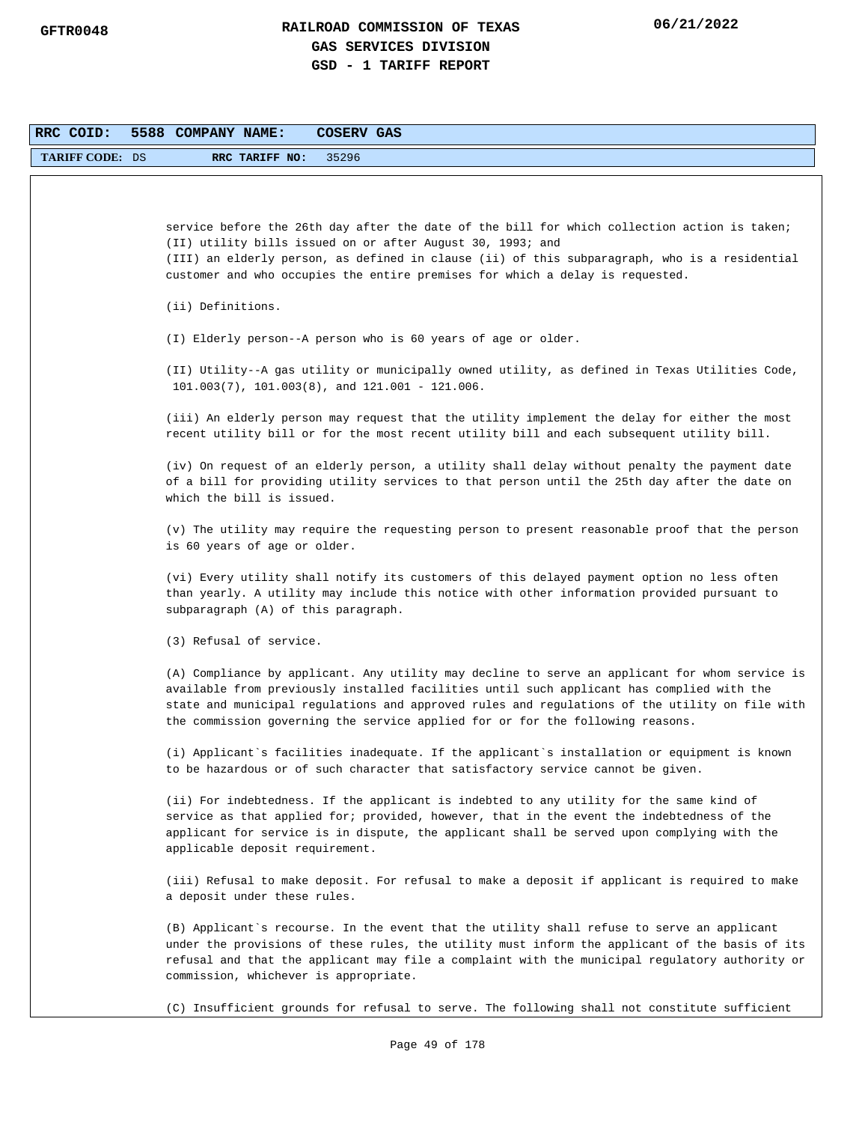| RRC COID:              | 5588 COMPANY NAME:<br>COSERV GAS                                                                                                                                                                                                                                                                                                                                                |
|------------------------|---------------------------------------------------------------------------------------------------------------------------------------------------------------------------------------------------------------------------------------------------------------------------------------------------------------------------------------------------------------------------------|
| <b>TARIFF CODE: DS</b> | 35296<br>RRC TARIFF NO:                                                                                                                                                                                                                                                                                                                                                         |
|                        |                                                                                                                                                                                                                                                                                                                                                                                 |
|                        | service before the 26th day after the date of the bill for which collection action is taken;<br>(II) utility bills issued on or after August 30, 1993; and<br>(III) an elderly person, as defined in clause (ii) of this subparagraph, who is a residential<br>customer and who occupies the entire premises for which a delay is requested.                                    |
|                        | (ii) Definitions.                                                                                                                                                                                                                                                                                                                                                               |
|                        | (I) Elderly person--A person who is 60 years of age or older.                                                                                                                                                                                                                                                                                                                   |
|                        | (II) Utility--A gas utility or municipally owned utility, as defined in Texas Utilities Code,<br>$101.003(7)$ , $101.003(8)$ , and $121.001 - 121.006$ .                                                                                                                                                                                                                        |
|                        | (iii) An elderly person may request that the utility implement the delay for either the most<br>recent utility bill or for the most recent utility bill and each subsequent utility bill.                                                                                                                                                                                       |
|                        | (iv) On request of an elderly person, a utility shall delay without penalty the payment date<br>of a bill for providing utility services to that person until the 25th day after the date on<br>which the bill is issued.                                                                                                                                                       |
|                        | (v) The utility may require the requesting person to present reasonable proof that the person<br>is 60 years of age or older.                                                                                                                                                                                                                                                   |
|                        | (vi) Every utility shall notify its customers of this delayed payment option no less often<br>than yearly. A utility may include this notice with other information provided pursuant to<br>subparagraph (A) of this paragraph.                                                                                                                                                 |
|                        | (3) Refusal of service.                                                                                                                                                                                                                                                                                                                                                         |
|                        | (A) Compliance by applicant. Any utility may decline to serve an applicant for whom service is<br>available from previously installed facilities until such applicant has complied with the<br>state and municipal regulations and approved rules and regulations of the utility on file with<br>the commission governing the service applied for or for the following reasons. |
|                        | (i) Applicant's facilities inadequate. If the applicant's installation or equipment is known<br>to be hazardous or of such character that satisfactory service cannot be given.                                                                                                                                                                                                 |
|                        | (ii) For indebtedness. If the applicant is indebted to any utility for the same kind of<br>service as that applied for; provided, however, that in the event the indebtedness of the<br>applicant for service is in dispute, the applicant shall be served upon complying with the<br>applicable deposit requirement.                                                           |
|                        | (iii) Refusal to make deposit. For refusal to make a deposit if applicant is required to make<br>a deposit under these rules.                                                                                                                                                                                                                                                   |
|                        | (B) Applicant's recourse. In the event that the utility shall refuse to serve an applicant<br>under the provisions of these rules, the utility must inform the applicant of the basis of its<br>refusal and that the applicant may file a complaint with the municipal regulatory authority or<br>commission, whichever is appropriate.                                         |
|                        | (C) Insufficient grounds for refusal to serve. The following shall not constitute sufficient                                                                                                                                                                                                                                                                                    |
|                        | Page 49 of 178                                                                                                                                                                                                                                                                                                                                                                  |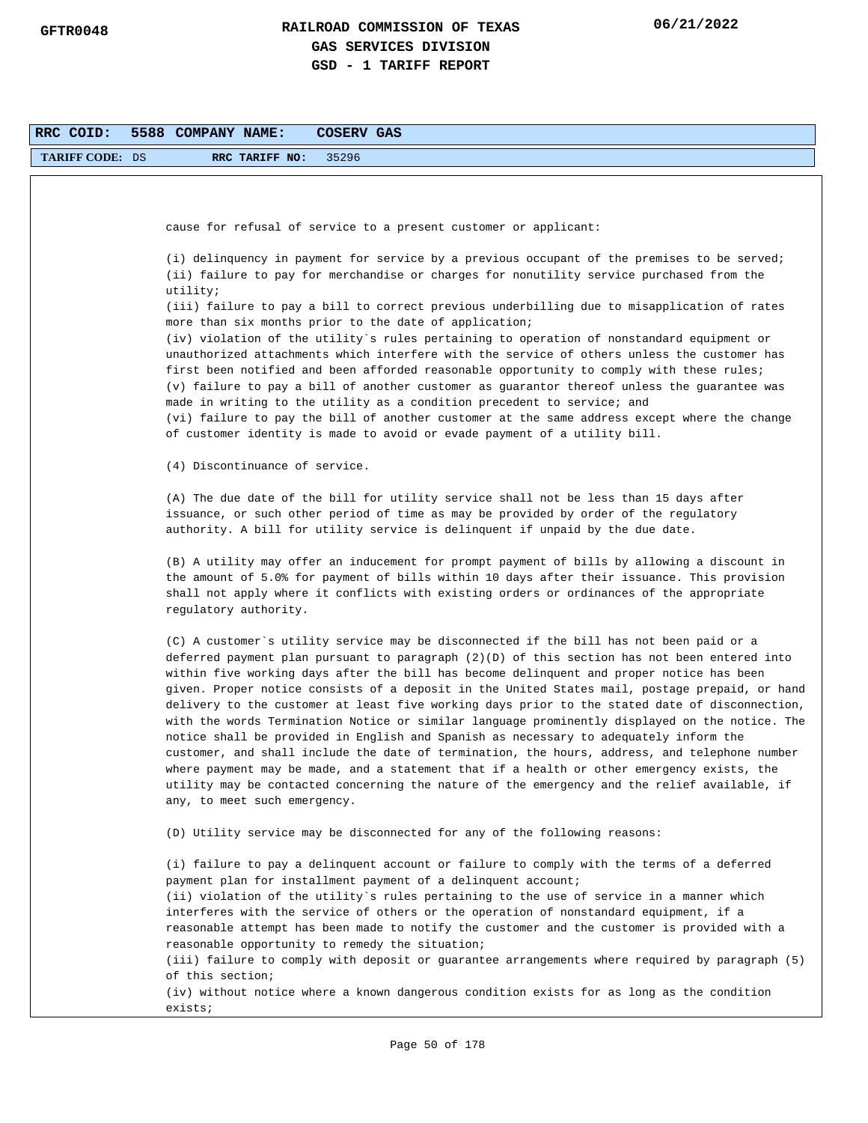| RRC COID:              | 5588 COMPANY NAME:<br>COSERV GAS                                                                                                                                                                                                                                                                                                                                                                                                                                                                                                                                                                                                                                                                                                                                                                                                                                                                                                                                                                                  |
|------------------------|-------------------------------------------------------------------------------------------------------------------------------------------------------------------------------------------------------------------------------------------------------------------------------------------------------------------------------------------------------------------------------------------------------------------------------------------------------------------------------------------------------------------------------------------------------------------------------------------------------------------------------------------------------------------------------------------------------------------------------------------------------------------------------------------------------------------------------------------------------------------------------------------------------------------------------------------------------------------------------------------------------------------|
| <b>TARIFF CODE: DS</b> | RRC TARIFF NO:<br>35296                                                                                                                                                                                                                                                                                                                                                                                                                                                                                                                                                                                                                                                                                                                                                                                                                                                                                                                                                                                           |
|                        |                                                                                                                                                                                                                                                                                                                                                                                                                                                                                                                                                                                                                                                                                                                                                                                                                                                                                                                                                                                                                   |
|                        |                                                                                                                                                                                                                                                                                                                                                                                                                                                                                                                                                                                                                                                                                                                                                                                                                                                                                                                                                                                                                   |
|                        | cause for refusal of service to a present customer or applicant:                                                                                                                                                                                                                                                                                                                                                                                                                                                                                                                                                                                                                                                                                                                                                                                                                                                                                                                                                  |
|                        | (i) delinquency in payment for service by a previous occupant of the premises to be served;<br>(ii) failure to pay for merchandise or charges for nonutility service purchased from the<br>utility;                                                                                                                                                                                                                                                                                                                                                                                                                                                                                                                                                                                                                                                                                                                                                                                                               |
|                        | (iii) failure to pay a bill to correct previous underbilling due to misapplication of rates<br>more than six months prior to the date of application;                                                                                                                                                                                                                                                                                                                                                                                                                                                                                                                                                                                                                                                                                                                                                                                                                                                             |
|                        | (iv) violation of the utility`s rules pertaining to operation of nonstandard equipment or<br>unauthorized attachments which interfere with the service of others unless the customer has<br>first been notified and been afforded reasonable opportunity to comply with these rules;<br>(v) failure to pay a bill of another customer as guarantor thereof unless the guarantee was<br>made in writing to the utility as a condition precedent to service; and<br>(vi) failure to pay the bill of another customer at the same address except where the change<br>of customer identity is made to avoid or evade payment of a utility bill.                                                                                                                                                                                                                                                                                                                                                                       |
|                        | (4) Discontinuance of service.                                                                                                                                                                                                                                                                                                                                                                                                                                                                                                                                                                                                                                                                                                                                                                                                                                                                                                                                                                                    |
|                        |                                                                                                                                                                                                                                                                                                                                                                                                                                                                                                                                                                                                                                                                                                                                                                                                                                                                                                                                                                                                                   |
|                        | (A) The due date of the bill for utility service shall not be less than 15 days after<br>issuance, or such other period of time as may be provided by order of the regulatory<br>authority. A bill for utility service is delinquent if unpaid by the due date.                                                                                                                                                                                                                                                                                                                                                                                                                                                                                                                                                                                                                                                                                                                                                   |
|                        | (B) A utility may offer an inducement for prompt payment of bills by allowing a discount in<br>the amount of 5.0% for payment of bills within 10 days after their issuance. This provision<br>shall not apply where it conflicts with existing orders or ordinances of the appropriate<br>regulatory authority.                                                                                                                                                                                                                                                                                                                                                                                                                                                                                                                                                                                                                                                                                                   |
|                        | (C) A customer's utility service may be disconnected if the bill has not been paid or a<br>deferred payment plan pursuant to paragraph (2)(D) of this section has not been entered into<br>within five working days after the bill has become delinquent and proper notice has been<br>given. Proper notice consists of a deposit in the United States mail, postage prepaid, or hand<br>delivery to the customer at least five working days prior to the stated date of disconnection,<br>with the words Termination Notice or similar language prominently displayed on the notice. The<br>notice shall be provided in English and Spanish as necessary to adequately inform the<br>customer, and shall include the date of termination, the hours, address, and telephone number<br>where payment may be made, and a statement that if a health or other emergency exists, the<br>utility may be contacted concerning the nature of the emergency and the relief available, if<br>any, to meet such emergency. |
|                        | (D) Utility service may be disconnected for any of the following reasons:                                                                                                                                                                                                                                                                                                                                                                                                                                                                                                                                                                                                                                                                                                                                                                                                                                                                                                                                         |
|                        | (i) failure to pay a delinquent account or failure to comply with the terms of a deferred<br>payment plan for installment payment of a delinquent account;<br>(ii) violation of the utility's rules pertaining to the use of service in a manner which<br>interferes with the service of others or the operation of nonstandard equipment, if a<br>reasonable attempt has been made to notify the customer and the customer is provided with a<br>reasonable opportunity to remedy the situation;<br>(iii) failure to comply with deposit or guarantee arrangements where required by paragraph (5)<br>of this section;<br>(iv) without notice where a known dangerous condition exists for as long as the condition                                                                                                                                                                                                                                                                                              |
|                        | exists;                                                                                                                                                                                                                                                                                                                                                                                                                                                                                                                                                                                                                                                                                                                                                                                                                                                                                                                                                                                                           |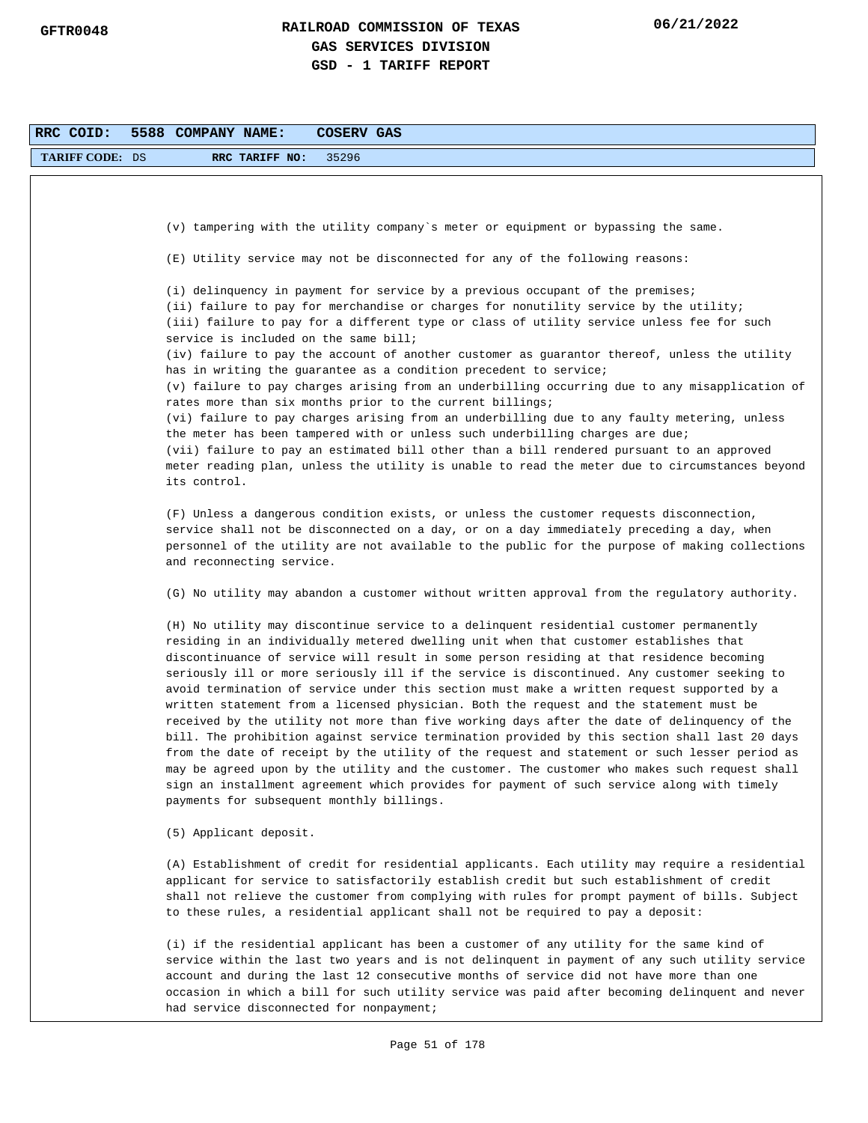| RRC COID:              | 5588 COMPANY NAME:<br>COSERV GAS                                                                                                                                                                                                                                                                                                                                                                                                                                                                                                                                                                                                                                                                                                                                                                                                                                                                                                                                                                                                                                                                                   |
|------------------------|--------------------------------------------------------------------------------------------------------------------------------------------------------------------------------------------------------------------------------------------------------------------------------------------------------------------------------------------------------------------------------------------------------------------------------------------------------------------------------------------------------------------------------------------------------------------------------------------------------------------------------------------------------------------------------------------------------------------------------------------------------------------------------------------------------------------------------------------------------------------------------------------------------------------------------------------------------------------------------------------------------------------------------------------------------------------------------------------------------------------|
| <b>TARIFF CODE: DS</b> | RRC TARIFF NO:<br>35296                                                                                                                                                                                                                                                                                                                                                                                                                                                                                                                                                                                                                                                                                                                                                                                                                                                                                                                                                                                                                                                                                            |
|                        |                                                                                                                                                                                                                                                                                                                                                                                                                                                                                                                                                                                                                                                                                                                                                                                                                                                                                                                                                                                                                                                                                                                    |
|                        | (v) tampering with the utility company's meter or equipment or bypassing the same.                                                                                                                                                                                                                                                                                                                                                                                                                                                                                                                                                                                                                                                                                                                                                                                                                                                                                                                                                                                                                                 |
|                        |                                                                                                                                                                                                                                                                                                                                                                                                                                                                                                                                                                                                                                                                                                                                                                                                                                                                                                                                                                                                                                                                                                                    |
|                        | (E) Utility service may not be disconnected for any of the following reasons:                                                                                                                                                                                                                                                                                                                                                                                                                                                                                                                                                                                                                                                                                                                                                                                                                                                                                                                                                                                                                                      |
|                        | (i) delinquency in payment for service by a previous occupant of the premises;<br>(ii) failure to pay for merchandise or charges for nonutility service by the utility;<br>(iii) failure to pay for a different type or class of utility service unless fee for such<br>service is included on the same bill;                                                                                                                                                                                                                                                                                                                                                                                                                                                                                                                                                                                                                                                                                                                                                                                                      |
|                        | (iv) failure to pay the account of another customer as guarantor thereof, unless the utility<br>has in writing the guarantee as a condition precedent to service;                                                                                                                                                                                                                                                                                                                                                                                                                                                                                                                                                                                                                                                                                                                                                                                                                                                                                                                                                  |
|                        | (v) failure to pay charges arising from an underbilling occurring due to any misapplication of<br>rates more than six months prior to the current billings;                                                                                                                                                                                                                                                                                                                                                                                                                                                                                                                                                                                                                                                                                                                                                                                                                                                                                                                                                        |
|                        | (vi) failure to pay charges arising from an underbilling due to any faulty metering, unless<br>the meter has been tampered with or unless such underbilling charges are due;<br>(vii) failure to pay an estimated bill other than a bill rendered pursuant to an approved                                                                                                                                                                                                                                                                                                                                                                                                                                                                                                                                                                                                                                                                                                                                                                                                                                          |
|                        | meter reading plan, unless the utility is unable to read the meter due to circumstances beyond<br>its control.                                                                                                                                                                                                                                                                                                                                                                                                                                                                                                                                                                                                                                                                                                                                                                                                                                                                                                                                                                                                     |
|                        | (F) Unless a dangerous condition exists, or unless the customer requests disconnection,<br>service shall not be disconnected on a day, or on a day immediately preceding a day, when<br>personnel of the utility are not available to the public for the purpose of making collections<br>and reconnecting service.                                                                                                                                                                                                                                                                                                                                                                                                                                                                                                                                                                                                                                                                                                                                                                                                |
|                        | (G) No utility may abandon a customer without written approval from the regulatory authority.                                                                                                                                                                                                                                                                                                                                                                                                                                                                                                                                                                                                                                                                                                                                                                                                                                                                                                                                                                                                                      |
|                        | (H) No utility may discontinue service to a delinquent residential customer permanently<br>residing in an individually metered dwelling unit when that customer establishes that<br>discontinuance of service will result in some person residing at that residence becoming<br>seriously ill or more seriously ill if the service is discontinued. Any customer seeking to<br>avoid termination of service under this section must make a written request supported by a<br>written statement from a licensed physician. Both the request and the statement must be<br>received by the utility not more than five working days after the date of delinquency of the<br>bill. The prohibition against service termination provided by this section shall last 20 days<br>from the date of receipt by the utility of the request and statement or such lesser period as<br>may be agreed upon by the utility and the customer. The customer who makes such request shall<br>sign an installment agreement which provides for payment of such service along with timely<br>payments for subsequent monthly billings. |
|                        | (5) Applicant deposit.                                                                                                                                                                                                                                                                                                                                                                                                                                                                                                                                                                                                                                                                                                                                                                                                                                                                                                                                                                                                                                                                                             |
|                        | (A) Establishment of credit for residential applicants. Each utility may require a residential<br>applicant for service to satisfactorily establish credit but such establishment of credit<br>shall not relieve the customer from complying with rules for prompt payment of bills. Subject<br>to these rules, a residential applicant shall not be required to pay a deposit:                                                                                                                                                                                                                                                                                                                                                                                                                                                                                                                                                                                                                                                                                                                                    |
|                        | (i) if the residential applicant has been a customer of any utility for the same kind of<br>service within the last two years and is not delinguent in payment of any such utility service<br>account and during the last 12 consecutive months of service did not have more than one<br>occasion in which a bill for such utility service was paid after becoming delinquent and never<br>had service disconnected for nonpayment;                                                                                                                                                                                                                                                                                                                                                                                                                                                                                                                                                                                                                                                                                |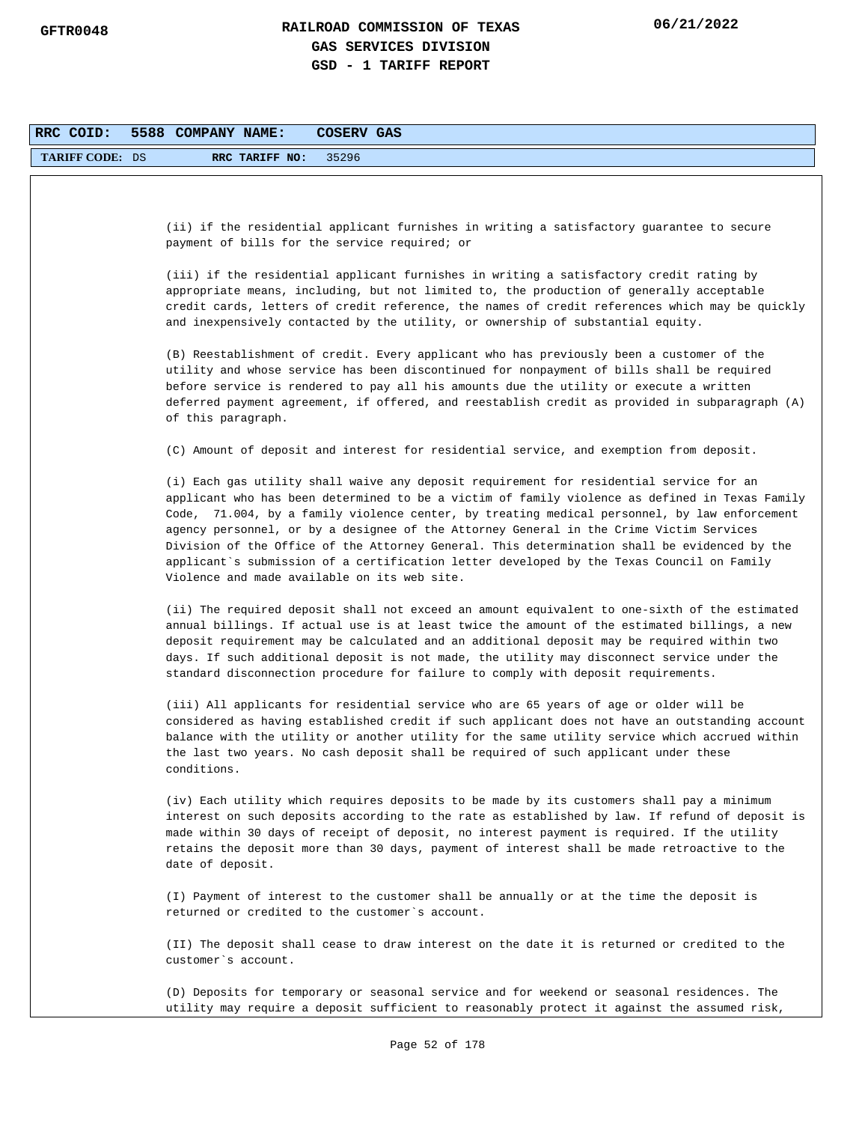| RRC COID:              | 5588 COMPANY NAME:<br><b>COSERV GAS</b>                                                                                                                                                                                                                                                                                                                                                                                                                                                                                                                                                                                           |
|------------------------|-----------------------------------------------------------------------------------------------------------------------------------------------------------------------------------------------------------------------------------------------------------------------------------------------------------------------------------------------------------------------------------------------------------------------------------------------------------------------------------------------------------------------------------------------------------------------------------------------------------------------------------|
| <b>TARIFF CODE: DS</b> | 35296<br>RRC TARIFF NO:                                                                                                                                                                                                                                                                                                                                                                                                                                                                                                                                                                                                           |
|                        |                                                                                                                                                                                                                                                                                                                                                                                                                                                                                                                                                                                                                                   |
|                        | (ii) if the residential applicant furnishes in writing a satisfactory guarantee to secure<br>payment of bills for the service required; or                                                                                                                                                                                                                                                                                                                                                                                                                                                                                        |
|                        | (iii) if the residential applicant furnishes in writing a satisfactory credit rating by<br>appropriate means, including, but not limited to, the production of generally acceptable<br>credit cards, letters of credit reference, the names of credit references which may be quickly<br>and inexpensively contacted by the utility, or ownership of substantial equity.                                                                                                                                                                                                                                                          |
|                        | (B) Reestablishment of credit. Every applicant who has previously been a customer of the<br>utility and whose service has been discontinued for nonpayment of bills shall be required<br>before service is rendered to pay all his amounts due the utility or execute a written<br>deferred payment agreement, if offered, and reestablish credit as provided in subparagraph (A)<br>of this paragraph.                                                                                                                                                                                                                           |
|                        | (C) Amount of deposit and interest for residential service, and exemption from deposit.                                                                                                                                                                                                                                                                                                                                                                                                                                                                                                                                           |
|                        | (i) Each gas utility shall waive any deposit requirement for residential service for an<br>applicant who has been determined to be a victim of family violence as defined in Texas Family<br>Code, 71.004, by a family violence center, by treating medical personnel, by law enforcement<br>agency personnel, or by a designee of the Attorney General in the Crime Victim Services<br>Division of the Office of the Attorney General. This determination shall be evidenced by the<br>applicant`s submission of a certification letter developed by the Texas Council on Family<br>Violence and made available on its web site. |
|                        | (ii) The required deposit shall not exceed an amount equivalent to one-sixth of the estimated<br>annual billings. If actual use is at least twice the amount of the estimated billings, a new<br>deposit requirement may be calculated and an additional deposit may be required within two<br>days. If such additional deposit is not made, the utility may disconnect service under the<br>standard disconnection procedure for failure to comply with deposit requirements.                                                                                                                                                    |
|                        | (iii) All applicants for residential service who are 65 years of age or older will be<br>considered as having established credit if such applicant does not have an outstanding account<br>balance with the utility or another utility for the same utility service which accrued within<br>the last two years. No cash deposit shall be required of such applicant under these<br>conditions.                                                                                                                                                                                                                                    |
|                        | (iv) Each utility which requires deposits to be made by its customers shall pay a minimum<br>interest on such deposits according to the rate as established by law. If refund of deposit is<br>made within 30 days of receipt of deposit, no interest payment is required. If the utility<br>retains the deposit more than 30 days, payment of interest shall be made retroactive to the<br>date of deposit.                                                                                                                                                                                                                      |
|                        | (I) Payment of interest to the customer shall be annually or at the time the deposit is<br>returned or credited to the customer's account.                                                                                                                                                                                                                                                                                                                                                                                                                                                                                        |
|                        | (II) The deposit shall cease to draw interest on the date it is returned or credited to the<br>customer's account.                                                                                                                                                                                                                                                                                                                                                                                                                                                                                                                |
|                        | (D) Deposits for temporary or seasonal service and for weekend or seasonal residences. The<br>utility may require a deposit sufficient to reasonably protect it against the assumed risk,                                                                                                                                                                                                                                                                                                                                                                                                                                         |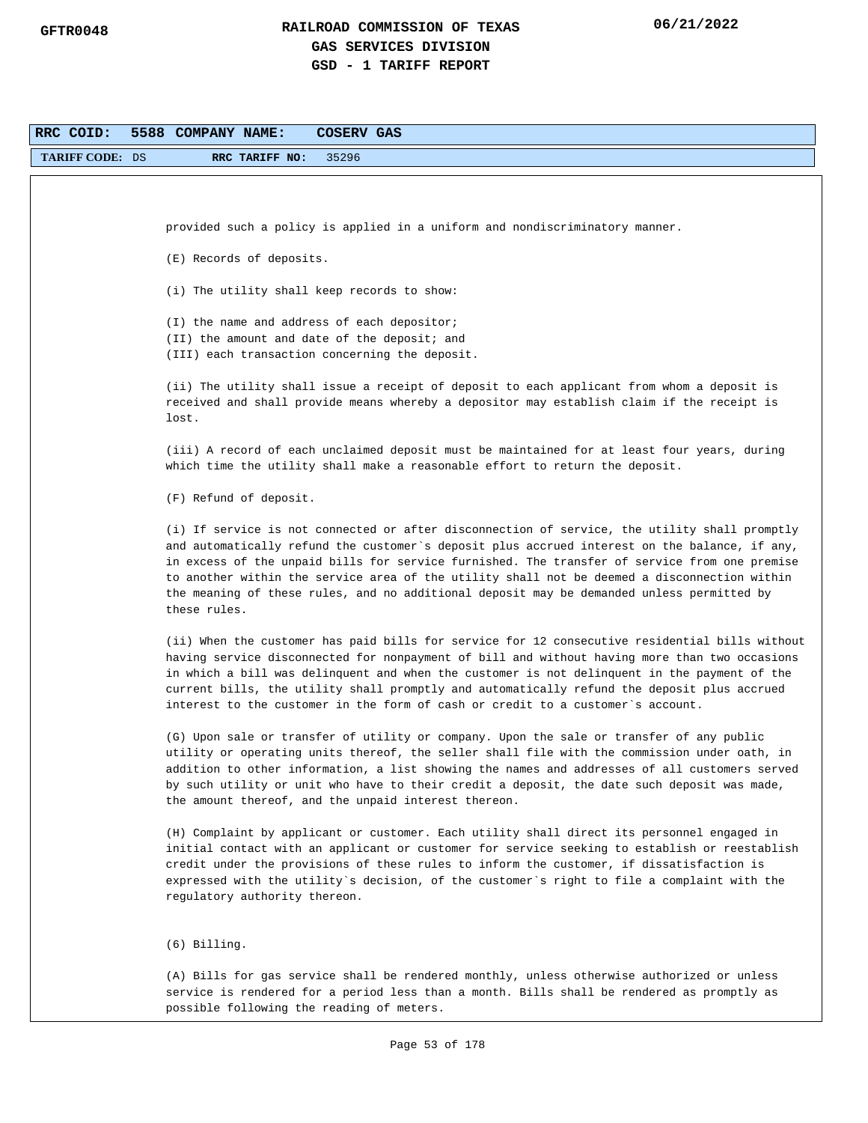| RRC COID:              | 5588 COMPANY NAME:<br>COSERV GAS                                                                                                                                                               |
|------------------------|------------------------------------------------------------------------------------------------------------------------------------------------------------------------------------------------|
| <b>TARIFF CODE: DS</b> | 35296<br>RRC TARIFF NO:                                                                                                                                                                        |
|                        |                                                                                                                                                                                                |
|                        |                                                                                                                                                                                                |
|                        | provided such a policy is applied in a uniform and nondiscriminatory manner.                                                                                                                   |
|                        | (E) Records of deposits.                                                                                                                                                                       |
|                        |                                                                                                                                                                                                |
|                        | (i) The utility shall keep records to show:                                                                                                                                                    |
|                        | (I) the name and address of each depositor;                                                                                                                                                    |
|                        | (II) the amount and date of the deposit; and                                                                                                                                                   |
|                        | (III) each transaction concerning the deposit.                                                                                                                                                 |
|                        | (ii) The utility shall issue a receipt of deposit to each applicant from whom a deposit is                                                                                                     |
|                        | received and shall provide means whereby a depositor may establish claim if the receipt is                                                                                                     |
|                        | lost.                                                                                                                                                                                          |
|                        | (iii) A record of each unclaimed deposit must be maintained for at least four years, during                                                                                                    |
|                        | which time the utility shall make a reasonable effort to return the deposit.                                                                                                                   |
|                        | (F) Refund of deposit.                                                                                                                                                                         |
|                        |                                                                                                                                                                                                |
|                        | (i) If service is not connected or after disconnection of service, the utility shall promptly                                                                                                  |
|                        | and automatically refund the customer's deposit plus accrued interest on the balance, if any,<br>in excess of the unpaid bills for service furnished. The transfer of service from one premise |
|                        | to another within the service area of the utility shall not be deemed a disconnection within                                                                                                   |
|                        | the meaning of these rules, and no additional deposit may be demanded unless permitted by                                                                                                      |
|                        | these rules.                                                                                                                                                                                   |
|                        | (ii) When the customer has paid bills for service for 12 consecutive residential bills without                                                                                                 |
|                        | having service disconnected for nonpayment of bill and without having more than two occasions                                                                                                  |
|                        | in which a bill was delinquent and when the customer is not delinquent in the payment of the                                                                                                   |
|                        | current bills, the utility shall promptly and automatically refund the deposit plus accrued                                                                                                    |
|                        | interest to the customer in the form of cash or credit to a customer's account.                                                                                                                |
|                        | (G) Upon sale or transfer of utility or company. Upon the sale or transfer of any public                                                                                                       |
|                        | utility or operating units thereof, the seller shall file with the commission under oath, in                                                                                                   |
|                        | addition to other information, a list showing the names and addresses of all customers served<br>by such utility or unit who have to their credit a deposit, the date such deposit was made,   |
|                        | the amount thereof, and the unpaid interest thereon.                                                                                                                                           |
|                        |                                                                                                                                                                                                |
|                        | (H) Complaint by applicant or customer. Each utility shall direct its personnel engaged in<br>initial contact with an applicant or customer for service seeking to establish or reestablish    |
|                        | credit under the provisions of these rules to inform the customer, if dissatisfaction is                                                                                                       |
|                        | expressed with the utility's decision, of the customer's right to file a complaint with the                                                                                                    |
|                        | regulatory authority thereon.                                                                                                                                                                  |
|                        |                                                                                                                                                                                                |
|                        | $(6)$ Billing.                                                                                                                                                                                 |
|                        | (A) Bills for gas service shall be rendered monthly, unless otherwise authorized or unless                                                                                                     |
|                        | service is rendered for a period less than a month. Bills shall be rendered as promptly as                                                                                                     |
|                        | possible following the reading of meters.                                                                                                                                                      |
|                        |                                                                                                                                                                                                |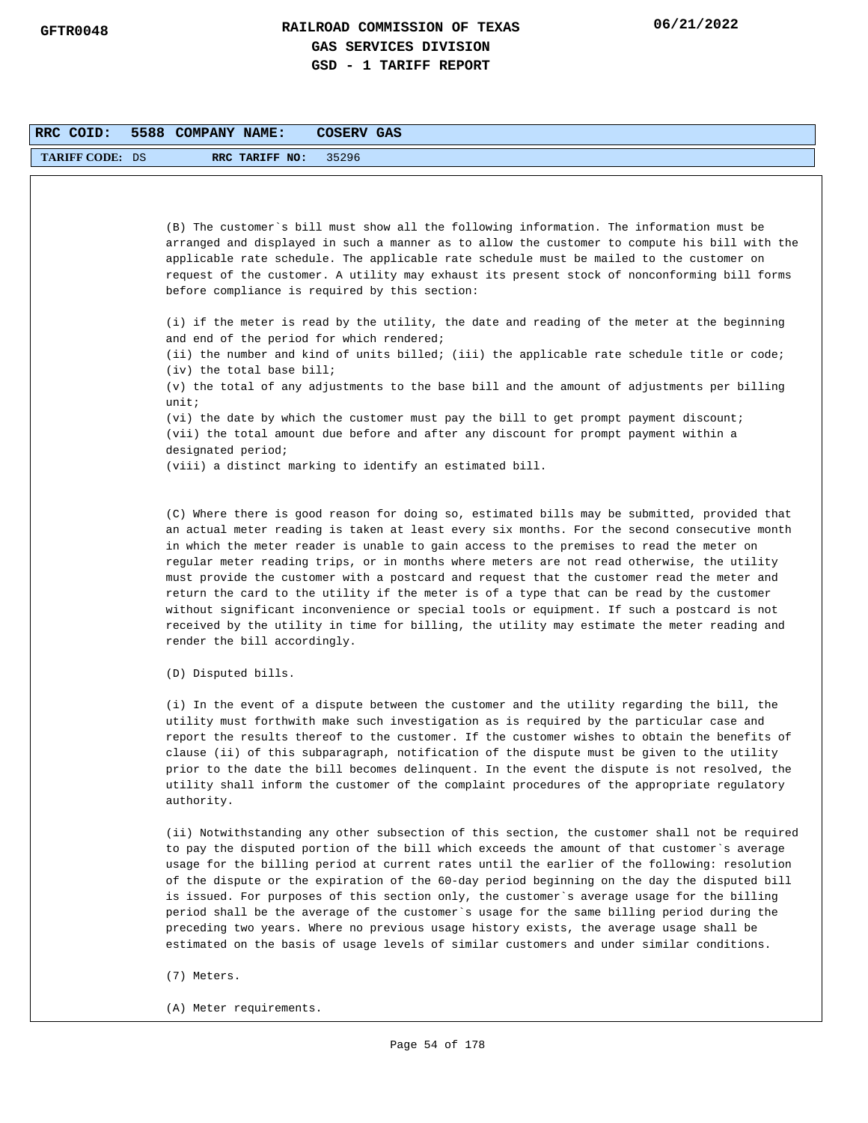| RRC COID:              | 5588 COMPANY NAME:<br><b>COSERV GAS</b>                                                                                                                                                                                                                                                                                                                                                                                                                                                                                                                                                                                                                                                                                                                                                                       |
|------------------------|---------------------------------------------------------------------------------------------------------------------------------------------------------------------------------------------------------------------------------------------------------------------------------------------------------------------------------------------------------------------------------------------------------------------------------------------------------------------------------------------------------------------------------------------------------------------------------------------------------------------------------------------------------------------------------------------------------------------------------------------------------------------------------------------------------------|
| <b>TARIFF CODE: DS</b> | 35296<br>RRC TARIFF NO:                                                                                                                                                                                                                                                                                                                                                                                                                                                                                                                                                                                                                                                                                                                                                                                       |
|                        |                                                                                                                                                                                                                                                                                                                                                                                                                                                                                                                                                                                                                                                                                                                                                                                                               |
|                        |                                                                                                                                                                                                                                                                                                                                                                                                                                                                                                                                                                                                                                                                                                                                                                                                               |
|                        | (B) The customer's bill must show all the following information. The information must be<br>arranged and displayed in such a manner as to allow the customer to compute his bill with the<br>applicable rate schedule. The applicable rate schedule must be mailed to the customer on<br>request of the customer. A utility may exhaust its present stock of nonconforming bill forms<br>before compliance is required by this section:                                                                                                                                                                                                                                                                                                                                                                       |
|                        | (i) if the meter is read by the utility, the date and reading of the meter at the beginning<br>and end of the period for which rendered;                                                                                                                                                                                                                                                                                                                                                                                                                                                                                                                                                                                                                                                                      |
|                        | (ii) the number and kind of units billed; (iii) the applicable rate schedule title or code;<br>$(iv)$ the total base bill;                                                                                                                                                                                                                                                                                                                                                                                                                                                                                                                                                                                                                                                                                    |
|                        | (v) the total of any adjustments to the base bill and the amount of adjustments per billing<br>unit:                                                                                                                                                                                                                                                                                                                                                                                                                                                                                                                                                                                                                                                                                                          |
|                        | $(vi)$ the date by which the customer must pay the bill to get prompt payment discount;<br>(vii) the total amount due before and after any discount for prompt payment within a<br>designated period;                                                                                                                                                                                                                                                                                                                                                                                                                                                                                                                                                                                                         |
|                        | (viii) a distinct marking to identify an estimated bill.                                                                                                                                                                                                                                                                                                                                                                                                                                                                                                                                                                                                                                                                                                                                                      |
|                        | (C) Where there is good reason for doing so, estimated bills may be submitted, provided that<br>an actual meter reading is taken at least every six months. For the second consecutive month<br>in which the meter reader is unable to gain access to the premises to read the meter on<br>regular meter reading trips, or in months where meters are not read otherwise, the utility<br>must provide the customer with a postcard and request that the customer read the meter and<br>return the card to the utility if the meter is of a type that can be read by the customer<br>without significant inconvenience or special tools or equipment. If such a postcard is not<br>received by the utility in time for billing, the utility may estimate the meter reading and<br>render the bill accordingly. |
|                        | (D) Disputed bills.                                                                                                                                                                                                                                                                                                                                                                                                                                                                                                                                                                                                                                                                                                                                                                                           |
|                        | (i) In the event of a dispute between the customer and the utility regarding the bill, the<br>utility must forthwith make such investigation as is required by the particular case and<br>report the results thereof to the customer. If the customer wishes to obtain the benefits of<br>clause (ii) of this subparagraph, notification of the dispute must be given to the utility<br>prior to the date the bill becomes delinquent. In the event the dispute is not resolved, the<br>utility shall inform the customer of the complaint procedures of the appropriate regulatory<br>authority.                                                                                                                                                                                                             |
|                        | (ii) Notwithstanding any other subsection of this section, the customer shall not be required<br>to pay the disputed portion of the bill which exceeds the amount of that customer's average<br>usage for the billing period at current rates until the earlier of the following: resolution<br>of the dispute or the expiration of the 60-day period beginning on the day the disputed bill<br>is issued. For purposes of this section only, the customer's average usage for the billing<br>period shall be the average of the customer's usage for the same billing period during the<br>preceding two years. Where no previous usage history exists, the average usage shall be                                                                                                                           |

- (7) Meters.
- (A) Meter requirements.

estimated on the basis of usage levels of similar customers and under similar conditions.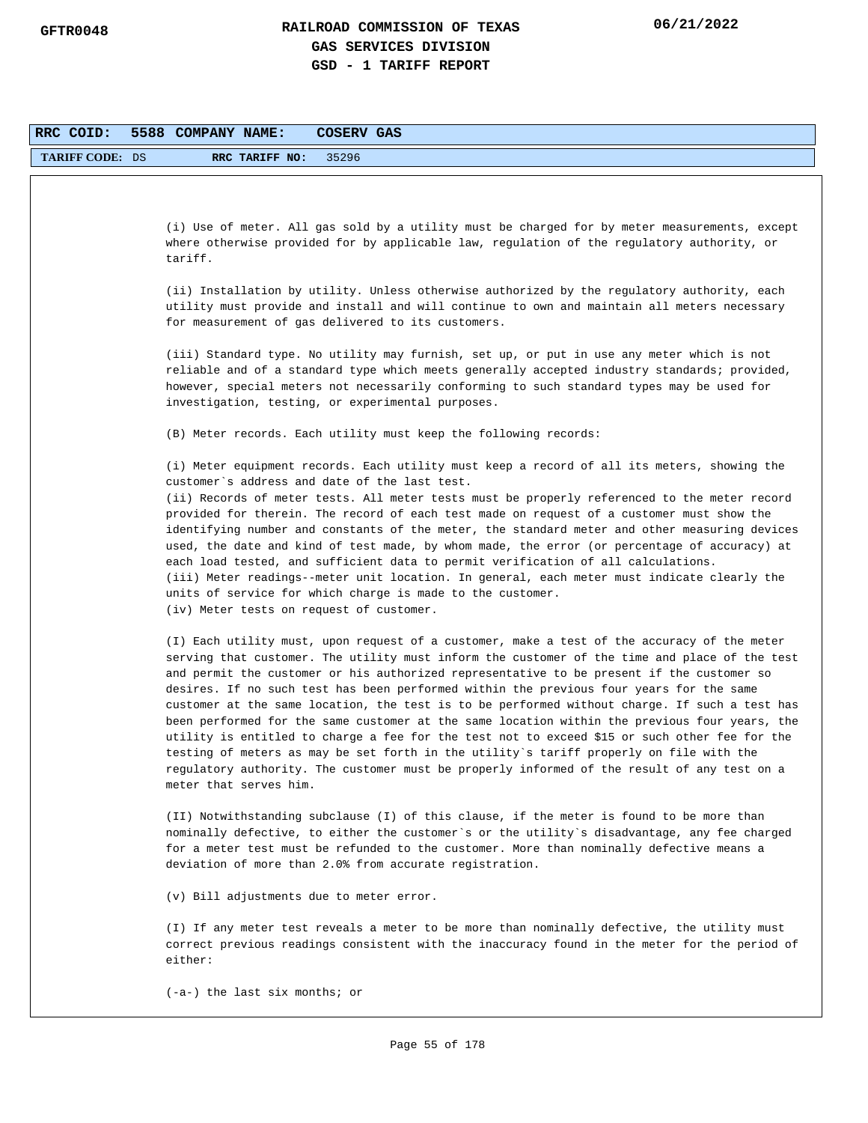| RRC COID:              | 5588 COMPANY NAME:<br>COSERV GAS                                                                                                                                                         |
|------------------------|------------------------------------------------------------------------------------------------------------------------------------------------------------------------------------------|
| <b>TARIFF CODE: DS</b> | RRC TARIFF NO:<br>35296                                                                                                                                                                  |
|                        |                                                                                                                                                                                          |
|                        |                                                                                                                                                                                          |
|                        | (i) Use of meter. All gas sold by a utility must be charged for by meter measurements, except                                                                                            |
|                        | where otherwise provided for by applicable law, regulation of the regulatory authority, or                                                                                               |
|                        | tariff.                                                                                                                                                                                  |
|                        | (ii) Installation by utility. Unless otherwise authorized by the regulatory authority, each                                                                                              |
|                        | utility must provide and install and will continue to own and maintain all meters necessary                                                                                              |
|                        | for measurement of gas delivered to its customers.                                                                                                                                       |
|                        | (iii) Standard type. No utility may furnish, set up, or put in use any meter which is not                                                                                                |
|                        | reliable and of a standard type which meets generally accepted industry standards; provided,                                                                                             |
|                        | however, special meters not necessarily conforming to such standard types may be used for                                                                                                |
|                        | investigation, testing, or experimental purposes.                                                                                                                                        |
|                        | (B) Meter records. Each utility must keep the following records:                                                                                                                         |
|                        |                                                                                                                                                                                          |
|                        | (i) Meter equipment records. Each utility must keep a record of all its meters, showing the<br>customer's address and date of the last test.                                             |
|                        | (ii) Records of meter tests. All meter tests must be properly referenced to the meter record                                                                                             |
|                        | provided for therein. The record of each test made on request of a customer must show the                                                                                                |
|                        | identifying number and constants of the meter, the standard meter and other measuring devices                                                                                            |
|                        | used, the date and kind of test made, by whom made, the error (or percentage of accuracy) at<br>each load tested, and sufficient data to permit verification of all calculations.        |
|                        | (iii) Meter readings--meter unit location. In general, each meter must indicate clearly the                                                                                              |
|                        | units of service for which charge is made to the customer.                                                                                                                               |
|                        | (iv) Meter tests on request of customer.                                                                                                                                                 |
|                        | (I) Each utility must, upon request of a customer, make a test of the accuracy of the meter                                                                                              |
|                        | serving that customer. The utility must inform the customer of the time and place of the test                                                                                            |
|                        | and permit the customer or his authorized representative to be present if the customer so                                                                                                |
|                        | desires. If no such test has been performed within the previous four years for the same<br>customer at the same location, the test is to be performed without charge. If such a test has |
|                        | been performed for the same customer at the same location within the previous four years, the                                                                                            |
|                        | utility is entitled to charge a fee for the test not to exceed \$15 or such other fee for the                                                                                            |
|                        | testing of meters as may be set forth in the utility's tariff properly on file with the<br>regulatory authority. The customer must be properly informed of the result of any test on a   |
|                        | meter that serves him.                                                                                                                                                                   |
|                        |                                                                                                                                                                                          |
|                        | (II) Notwithstanding subclause (I) of this clause, if the meter is found to be more than                                                                                                 |
|                        | nominally defective, to either the customer's or the utility's disadvantage, any fee charged<br>for a meter test must be refunded to the customer. More than nominally defective means a |
|                        | deviation of more than 2.0% from accurate registration.                                                                                                                                  |
|                        | (v) Bill adjustments due to meter error.                                                                                                                                                 |
|                        | (I) If any meter test reveals a meter to be more than nominally defective, the utility must                                                                                              |
|                        | correct previous readings consistent with the inaccuracy found in the meter for the period of<br>either:                                                                                 |
|                        | $(-a-)$ the last six months; or                                                                                                                                                          |
|                        |                                                                                                                                                                                          |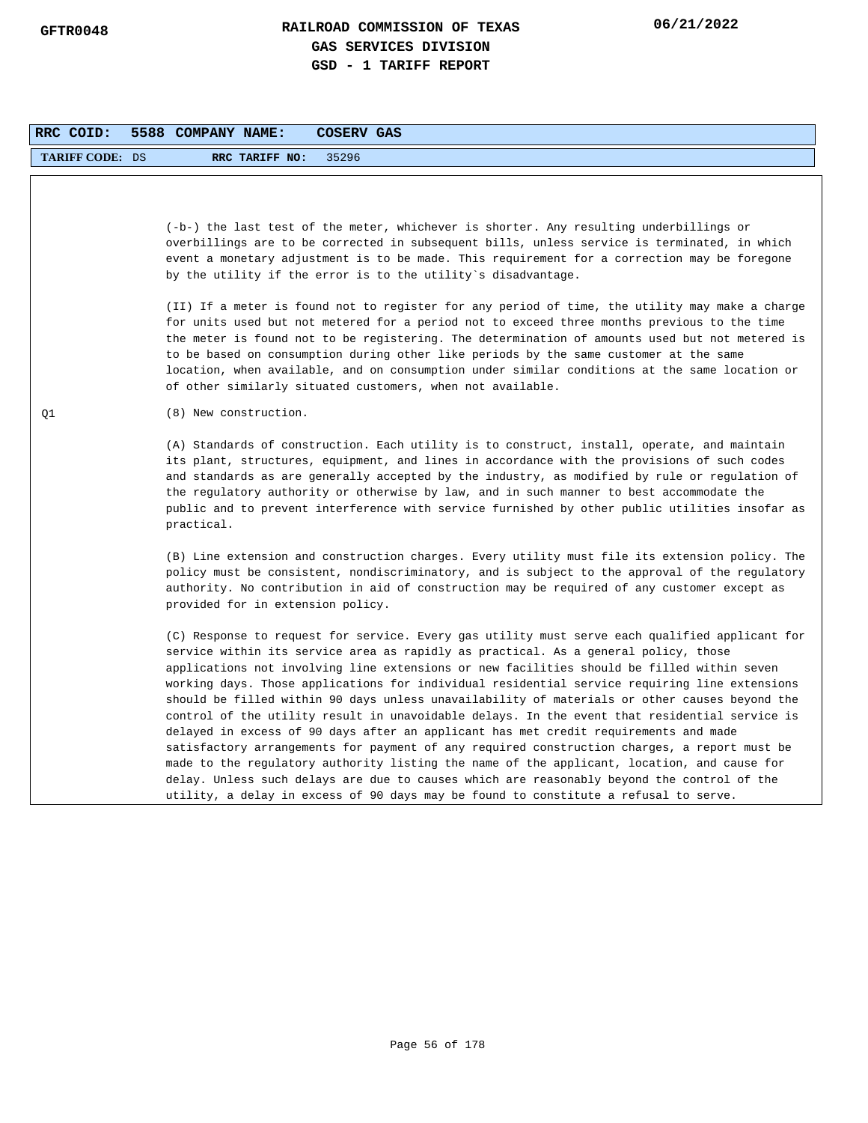| RRC COID:              | 5588 COMPANY NAME:<br>COSERV GAS                                                                                                                                                                                                                                                                                                                                                                                                                                                                                                                                                                                                                                                                                                                                                                                                                                                                                                                                                                                                                                    |
|------------------------|---------------------------------------------------------------------------------------------------------------------------------------------------------------------------------------------------------------------------------------------------------------------------------------------------------------------------------------------------------------------------------------------------------------------------------------------------------------------------------------------------------------------------------------------------------------------------------------------------------------------------------------------------------------------------------------------------------------------------------------------------------------------------------------------------------------------------------------------------------------------------------------------------------------------------------------------------------------------------------------------------------------------------------------------------------------------|
| <b>TARIFF CODE: DS</b> | RRC TARIFF NO:<br>35296                                                                                                                                                                                                                                                                                                                                                                                                                                                                                                                                                                                                                                                                                                                                                                                                                                                                                                                                                                                                                                             |
|                        | (-b-) the last test of the meter, whichever is shorter. Any resulting underbillings or<br>overbillings are to be corrected in subsequent bills, unless service is terminated, in which<br>event a monetary adjustment is to be made. This requirement for a correction may be foregone<br>by the utility if the error is to the utility's disadvantage.                                                                                                                                                                                                                                                                                                                                                                                                                                                                                                                                                                                                                                                                                                             |
|                        | (II) If a meter is found not to register for any period of time, the utility may make a charge<br>for units used but not metered for a period not to exceed three months previous to the time<br>the meter is found not to be registering. The determination of amounts used but not metered is<br>to be based on consumption during other like periods by the same customer at the same<br>location, when available, and on consumption under similar conditions at the same location or<br>of other similarly situated customers, when not available.                                                                                                                                                                                                                                                                                                                                                                                                                                                                                                             |
| Q1                     | (8) New construction.                                                                                                                                                                                                                                                                                                                                                                                                                                                                                                                                                                                                                                                                                                                                                                                                                                                                                                                                                                                                                                               |
|                        | (A) Standards of construction. Each utility is to construct, install, operate, and maintain<br>its plant, structures, equipment, and lines in accordance with the provisions of such codes<br>and standards as are generally accepted by the industry, as modified by rule or regulation of<br>the regulatory authority or otherwise by law, and in such manner to best accommodate the<br>public and to prevent interference with service furnished by other public utilities insofar as<br>practical.                                                                                                                                                                                                                                                                                                                                                                                                                                                                                                                                                             |
|                        | (B) Line extension and construction charges. Every utility must file its extension policy. The<br>policy must be consistent, nondiscriminatory, and is subject to the approval of the regulatory<br>authority. No contribution in aid of construction may be required of any customer except as<br>provided for in extension policy.                                                                                                                                                                                                                                                                                                                                                                                                                                                                                                                                                                                                                                                                                                                                |
|                        | (C) Response to request for service. Every gas utility must serve each qualified applicant for<br>service within its service area as rapidly as practical. As a general policy, those<br>applications not involving line extensions or new facilities should be filled within seven<br>working days. Those applications for individual residential service requiring line extensions<br>should be filled within 90 days unless unavailability of materials or other causes beyond the<br>control of the utility result in unavoidable delays. In the event that residential service is<br>delayed in excess of 90 days after an applicant has met credit requirements and made<br>satisfactory arrangements for payment of any required construction charges, a report must be<br>made to the regulatory authority listing the name of the applicant, location, and cause for<br>delay. Unless such delays are due to causes which are reasonably beyond the control of the<br>utility, a delay in excess of 90 days may be found to constitute a refusal to serve. |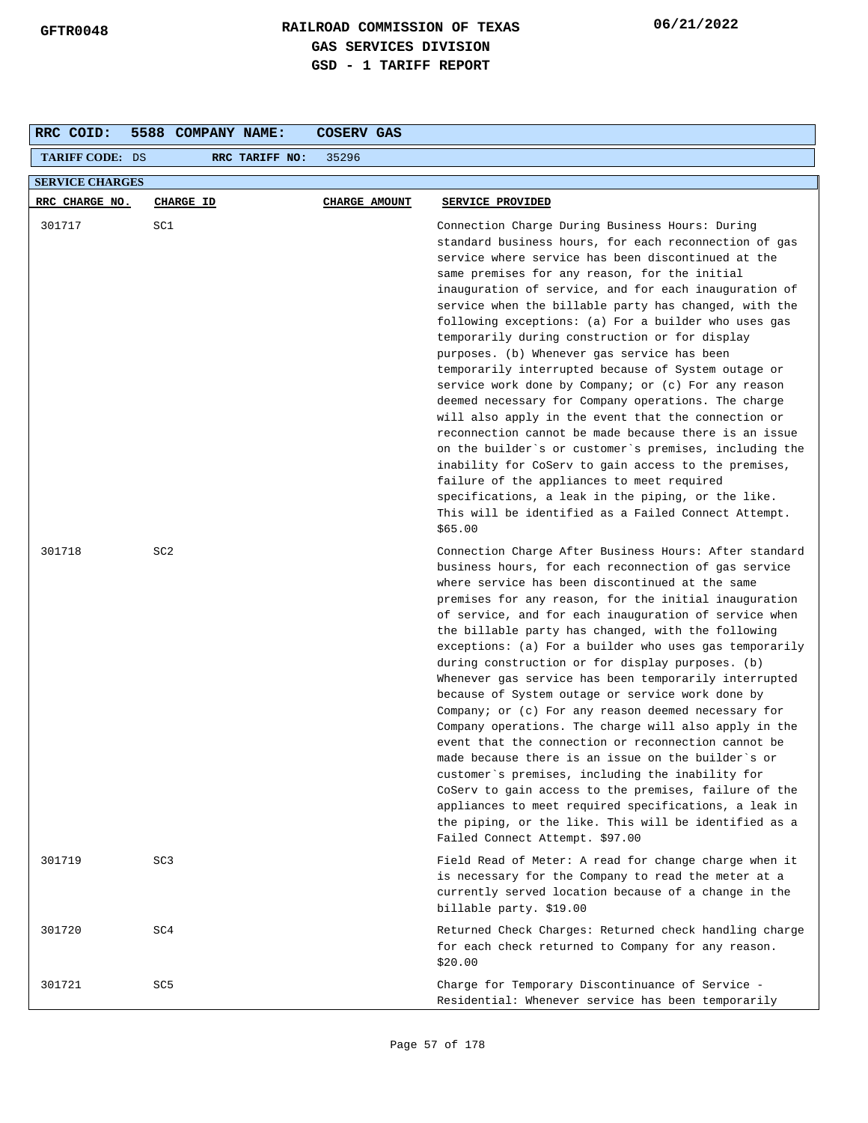| RRC COID:              | 5588 COMPANY NAME: | COSERV GAS           |                                                                                                                                                                                                                                                                                                                                                                                                                                                                                                                                                                                                                                                                                                                                                                                                                                                                                                                                                                                                                                                                          |  |  |  |
|------------------------|--------------------|----------------------|--------------------------------------------------------------------------------------------------------------------------------------------------------------------------------------------------------------------------------------------------------------------------------------------------------------------------------------------------------------------------------------------------------------------------------------------------------------------------------------------------------------------------------------------------------------------------------------------------------------------------------------------------------------------------------------------------------------------------------------------------------------------------------------------------------------------------------------------------------------------------------------------------------------------------------------------------------------------------------------------------------------------------------------------------------------------------|--|--|--|
| <b>TARIFF CODE: DS</b> | RRC TARIFF NO:     | 35296                |                                                                                                                                                                                                                                                                                                                                                                                                                                                                                                                                                                                                                                                                                                                                                                                                                                                                                                                                                                                                                                                                          |  |  |  |
| <b>SERVICE CHARGES</b> |                    |                      |                                                                                                                                                                                                                                                                                                                                                                                                                                                                                                                                                                                                                                                                                                                                                                                                                                                                                                                                                                                                                                                                          |  |  |  |
| RRC CHARGE NO.         | CHARGE ID          | <b>CHARGE AMOUNT</b> | SERVICE PROVIDED                                                                                                                                                                                                                                                                                                                                                                                                                                                                                                                                                                                                                                                                                                                                                                                                                                                                                                                                                                                                                                                         |  |  |  |
| 301717                 | SC1                |                      | Connection Charge During Business Hours: During<br>standard business hours, for each reconnection of gas<br>service where service has been discontinued at the<br>same premises for any reason, for the initial<br>inauguration of service, and for each inauguration of<br>service when the billable party has changed, with the<br>following exceptions: (a) For a builder who uses gas<br>temporarily during construction or for display<br>purposes. (b) Whenever gas service has been<br>temporarily interrupted because of System outage or<br>service work done by Company; or (c) For any reason<br>deemed necessary for Company operations. The charge<br>will also apply in the event that the connection or<br>reconnection cannot be made because there is an issue<br>on the builder's or customer's premises, including the<br>inability for CoServ to gain access to the premises,<br>failure of the appliances to meet required<br>specifications, a leak in the piping, or the like.<br>This will be identified as a Failed Connect Attempt.<br>\$65.00 |  |  |  |
| 301718                 | SC <sub>2</sub>    |                      | Connection Charge After Business Hours: After standard<br>business hours, for each reconnection of gas service<br>where service has been discontinued at the same<br>premises for any reason, for the initial inauguration<br>of service, and for each inauguration of service when<br>the billable party has changed, with the following<br>exceptions: (a) For a builder who uses gas temporarily<br>during construction or for display purposes. (b)<br>Whenever gas service has been temporarily interrupted<br>because of System outage or service work done by<br>Company; or $(c)$ For any reason deemed necessary for<br>Company operations. The charge will also apply in the<br>event that the connection or reconnection cannot be<br>made because there is an issue on the builder`s or<br>customer's premises, including the inability for<br>CoServ to gain access to the premises, failure of the<br>appliances to meet required specifications, a leak in<br>the piping, or the like. This will be identified as a<br>Failed Connect Attempt. \$97.00    |  |  |  |
| 301719                 | SC <sub>3</sub>    |                      | Field Read of Meter: A read for change charge when it<br>is necessary for the Company to read the meter at a<br>currently served location because of a change in the<br>billable party. \$19.00                                                                                                                                                                                                                                                                                                                                                                                                                                                                                                                                                                                                                                                                                                                                                                                                                                                                          |  |  |  |
| 301720                 | SC4                |                      | Returned Check Charges: Returned check handling charge<br>for each check returned to Company for any reason.<br>\$20.00                                                                                                                                                                                                                                                                                                                                                                                                                                                                                                                                                                                                                                                                                                                                                                                                                                                                                                                                                  |  |  |  |
| 301721                 | SC <sub>5</sub>    |                      | Charge for Temporary Discontinuance of Service -<br>Residential: Whenever service has been temporarily                                                                                                                                                                                                                                                                                                                                                                                                                                                                                                                                                                                                                                                                                                                                                                                                                                                                                                                                                                   |  |  |  |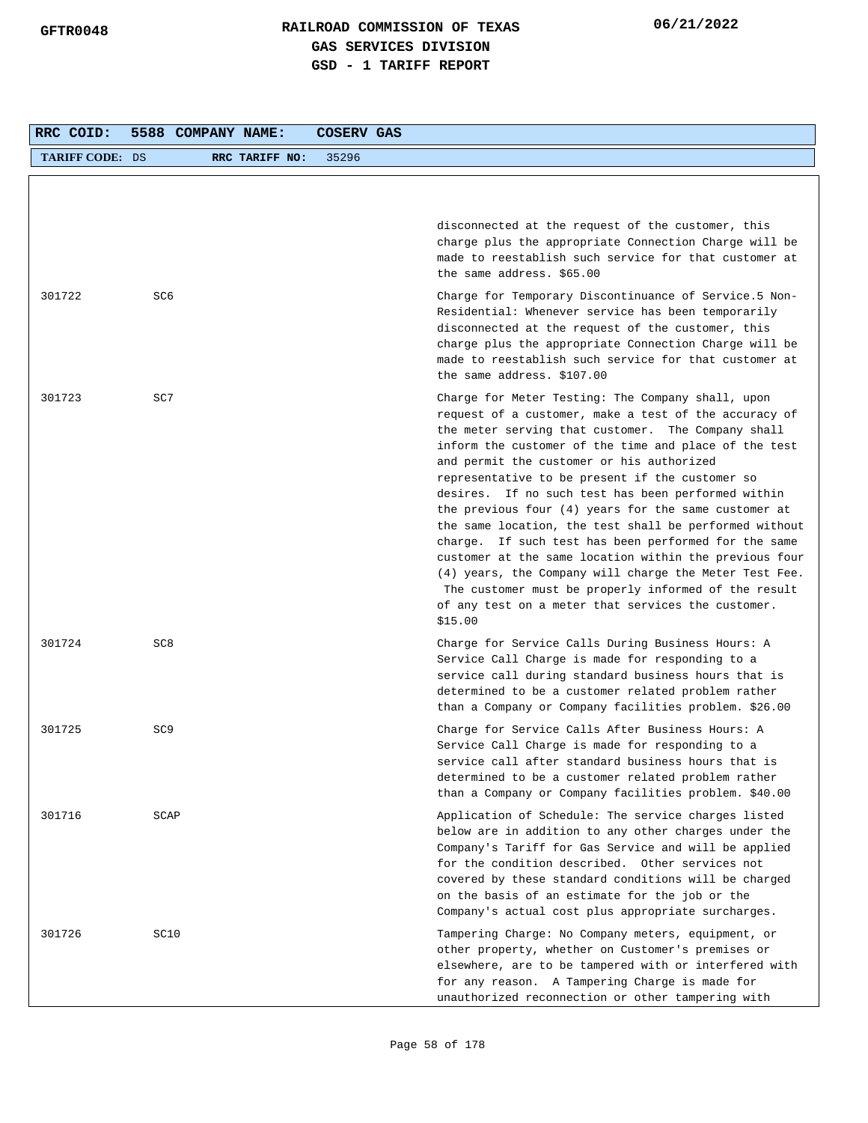| RRC COID:              | 5588 COMPANY NAME: |                | COSERV GAS |                                                                                                                                                                                                                                                                                                                                                                                                                                                                                                                                                                                                                                                                                                                                                                                                          |
|------------------------|--------------------|----------------|------------|----------------------------------------------------------------------------------------------------------------------------------------------------------------------------------------------------------------------------------------------------------------------------------------------------------------------------------------------------------------------------------------------------------------------------------------------------------------------------------------------------------------------------------------------------------------------------------------------------------------------------------------------------------------------------------------------------------------------------------------------------------------------------------------------------------|
| <b>TARIFF CODE: DS</b> |                    | RRC TARIFF NO: | 35296      |                                                                                                                                                                                                                                                                                                                                                                                                                                                                                                                                                                                                                                                                                                                                                                                                          |
|                        |                    |                |            |                                                                                                                                                                                                                                                                                                                                                                                                                                                                                                                                                                                                                                                                                                                                                                                                          |
|                        |                    |                |            | disconnected at the request of the customer, this<br>charge plus the appropriate Connection Charge will be<br>made to reestablish such service for that customer at<br>the same address. \$65.00                                                                                                                                                                                                                                                                                                                                                                                                                                                                                                                                                                                                         |
| 301722                 | SC6                |                |            | Charge for Temporary Discontinuance of Service.5 Non-<br>Residential: Whenever service has been temporarily<br>disconnected at the request of the customer, this<br>charge plus the appropriate Connection Charge will be<br>made to reestablish such service for that customer at<br>the same address. \$107.00                                                                                                                                                                                                                                                                                                                                                                                                                                                                                         |
| 301723                 | SC7                |                |            | Charge for Meter Testing: The Company shall, upon<br>request of a customer, make a test of the accuracy of<br>the meter serving that customer. The Company shall<br>inform the customer of the time and place of the test<br>and permit the customer or his authorized<br>representative to be present if the customer so<br>desires. If no such test has been performed within<br>the previous four $(4)$ years for the same customer at<br>the same location, the test shall be performed without<br>charge. If such test has been performed for the same<br>customer at the same location within the previous four<br>(4) years, the Company will charge the Meter Test Fee.<br>The customer must be properly informed of the result<br>of any test on a meter that services the customer.<br>\$15.00 |
| 301724                 | SC <sub>8</sub>    |                |            | Charge for Service Calls During Business Hours: A<br>Service Call Charge is made for responding to a<br>service call during standard business hours that is<br>determined to be a customer related problem rather<br>than a Company or Company facilities problem. \$26.00                                                                                                                                                                                                                                                                                                                                                                                                                                                                                                                               |
| 301725                 | SC <sub>9</sub>    |                |            | Charge for Service Calls After Business Hours: A<br>Service Call Charge is made for responding to a<br>service call after standard business hours that is<br>determined to be a customer related problem rather<br>than a Company or Company facilities problem. \$40.00                                                                                                                                                                                                                                                                                                                                                                                                                                                                                                                                 |
| 301716                 | SCAP               |                |            | Application of Schedule: The service charges listed<br>below are in addition to any other charges under the<br>Company's Tariff for Gas Service and will be applied<br>for the condition described. Other services not<br>covered by these standard conditions will be charged<br>on the basis of an estimate for the job or the<br>Company's actual cost plus appropriate surcharges.                                                                                                                                                                                                                                                                                                                                                                                                                   |
| 301726                 | SC10               |                |            | Tampering Charge: No Company meters, equipment, or<br>other property, whether on Customer's premises or<br>elsewhere, are to be tampered with or interfered with<br>for any reason. A Tampering Charge is made for<br>unauthorized reconnection or other tampering with                                                                                                                                                                                                                                                                                                                                                                                                                                                                                                                                  |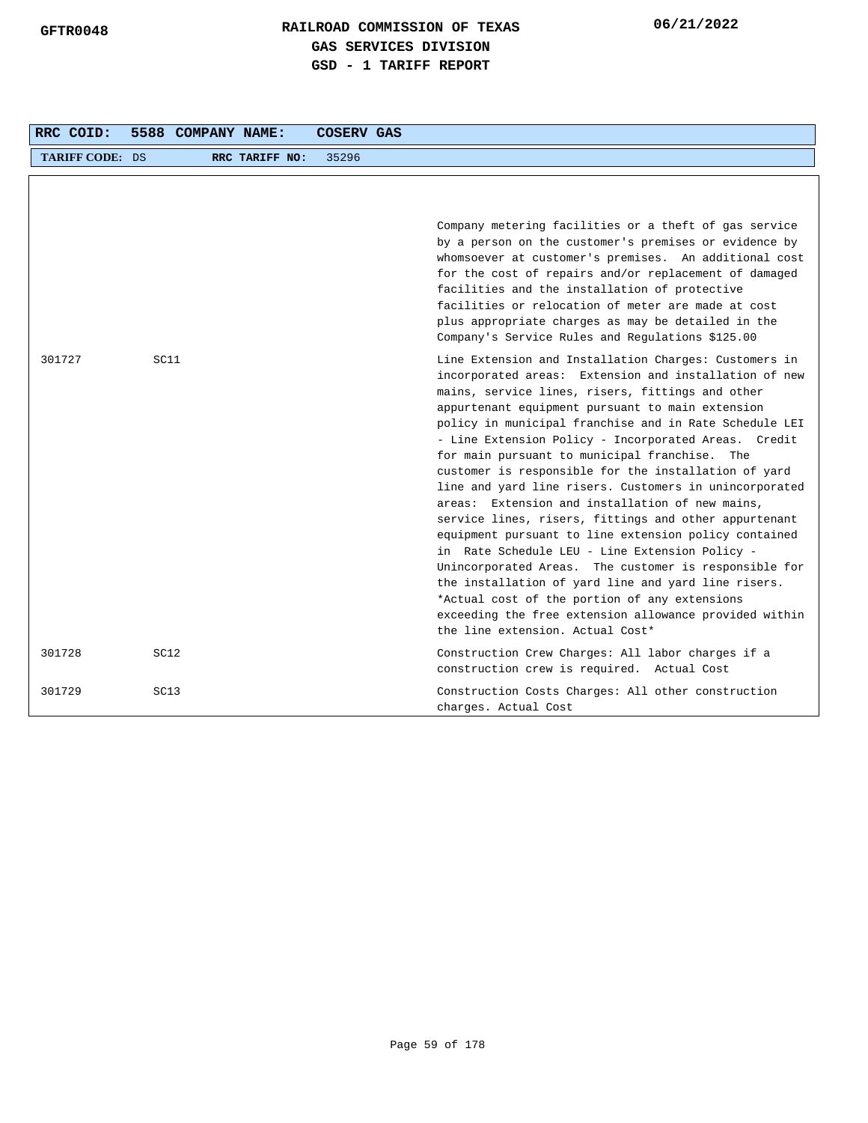| RRC COID:              |                  | 5588 COMPANY NAME: |                | <b>COSERV GAS</b> |                                                                                                                                                                                                                                                                                                                                                                                                                                                                                                                                                                                                                                                                                                                                                                                                                                                                                                                                                                                                   |  |
|------------------------|------------------|--------------------|----------------|-------------------|---------------------------------------------------------------------------------------------------------------------------------------------------------------------------------------------------------------------------------------------------------------------------------------------------------------------------------------------------------------------------------------------------------------------------------------------------------------------------------------------------------------------------------------------------------------------------------------------------------------------------------------------------------------------------------------------------------------------------------------------------------------------------------------------------------------------------------------------------------------------------------------------------------------------------------------------------------------------------------------------------|--|
| <b>TARIFF CODE: DS</b> |                  |                    | RRC TARIFF NO: | 35296             |                                                                                                                                                                                                                                                                                                                                                                                                                                                                                                                                                                                                                                                                                                                                                                                                                                                                                                                                                                                                   |  |
|                        |                  |                    |                |                   | Company metering facilities or a theft of gas service<br>by a person on the customer's premises or evidence by<br>whomsoever at customer's premises. An additional cost<br>for the cost of repairs and/or replacement of damaged<br>facilities and the installation of protective<br>facilities or relocation of meter are made at cost<br>plus appropriate charges as may be detailed in the<br>Company's Service Rules and Regulations \$125.00                                                                                                                                                                                                                                                                                                                                                                                                                                                                                                                                                 |  |
| 301727                 | SC11             |                    |                |                   | Line Extension and Installation Charges: Customers in<br>incorporated areas: Extension and installation of new<br>mains, service lines, risers, fittings and other<br>appurtenant equipment pursuant to main extension<br>policy in municipal franchise and in Rate Schedule LEI<br>- Line Extension Policy - Incorporated Areas. Credit<br>for main pursuant to municipal franchise. The<br>customer is responsible for the installation of yard<br>line and yard line risers. Customers in unincorporated<br>areas: Extension and installation of new mains,<br>service lines, risers, fittings and other appurtenant<br>equipment pursuant to line extension policy contained<br>in Rate Schedule LEU - Line Extension Policy -<br>Unincorporated Areas. The customer is responsible for<br>the installation of yard line and yard line risers.<br>*Actual cost of the portion of any extensions<br>exceeding the free extension allowance provided within<br>the line extension. Actual Cost* |  |
| 301728                 | SC <sub>12</sub> |                    |                |                   | Construction Crew Charges: All labor charges if a<br>construction crew is required. Actual Cost                                                                                                                                                                                                                                                                                                                                                                                                                                                                                                                                                                                                                                                                                                                                                                                                                                                                                                   |  |
| 301729                 | SC <sub>13</sub> |                    |                |                   | Construction Costs Charges: All other construction<br>charges. Actual Cost                                                                                                                                                                                                                                                                                                                                                                                                                                                                                                                                                                                                                                                                                                                                                                                                                                                                                                                        |  |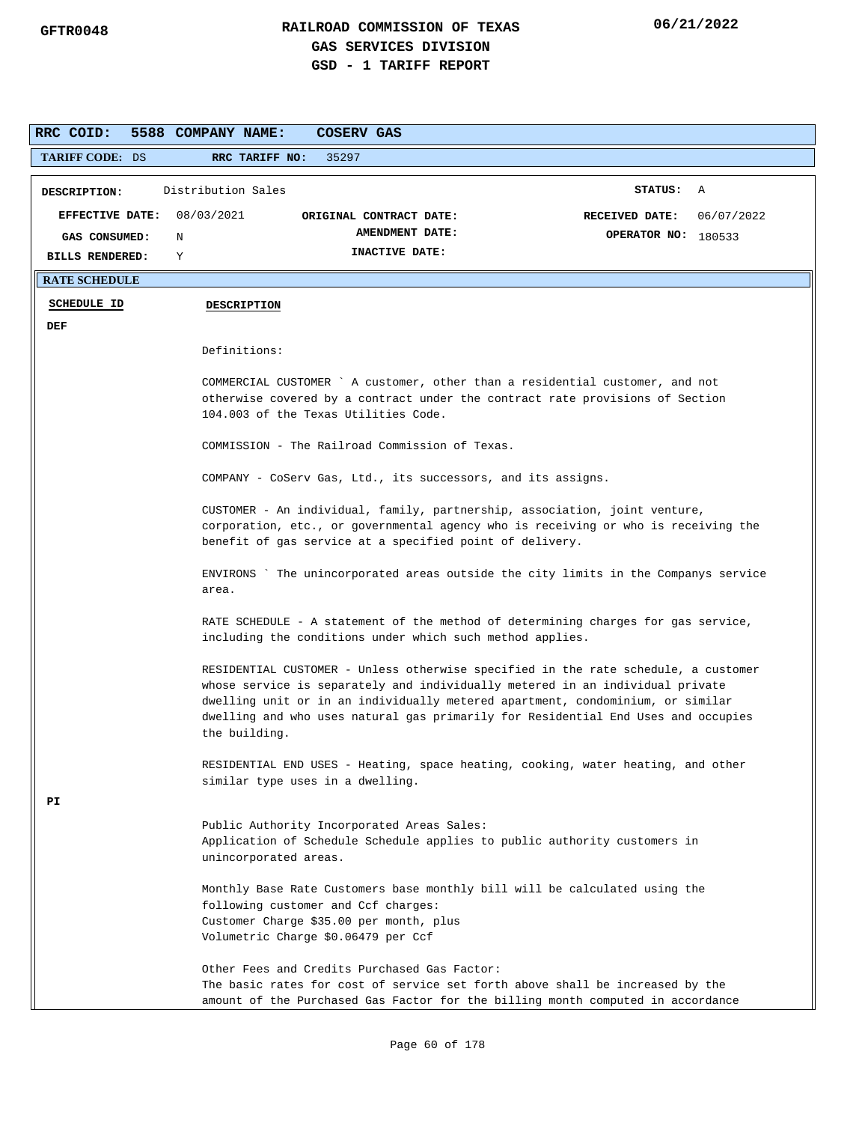| RRC COID:                    | 5588 COMPANY NAME:<br>COSERV GAS                                                                                                                                                                                                                                                                                                                            |                                     |  |  |  |  |  |  |
|------------------------------|-------------------------------------------------------------------------------------------------------------------------------------------------------------------------------------------------------------------------------------------------------------------------------------------------------------------------------------------------------------|-------------------------------------|--|--|--|--|--|--|
| TARIFF CODE: DS              | RRC TARIFF NO:<br>35297                                                                                                                                                                                                                                                                                                                                     |                                     |  |  |  |  |  |  |
| DESCRIPTION:                 | Distribution Sales                                                                                                                                                                                                                                                                                                                                          | STATUS: A                           |  |  |  |  |  |  |
| EFFECTIVE DATE: $08/03/2021$ | ORIGINAL CONTRACT DATE:                                                                                                                                                                                                                                                                                                                                     | 06/07/2022<br><b>RECEIVED DATE:</b> |  |  |  |  |  |  |
| GAS CONSUMED:                | AMENDMENT DATE:<br>N                                                                                                                                                                                                                                                                                                                                        | OPERATOR NO: 180533                 |  |  |  |  |  |  |
| <b>BILLS RENDERED:</b>       | INACTIVE DATE:<br>Y                                                                                                                                                                                                                                                                                                                                         |                                     |  |  |  |  |  |  |
| <b>RATE SCHEDULE</b>         |                                                                                                                                                                                                                                                                                                                                                             |                                     |  |  |  |  |  |  |
| <b>SCHEDULE ID</b>           | <b>DESCRIPTION</b>                                                                                                                                                                                                                                                                                                                                          |                                     |  |  |  |  |  |  |
| DEF                          |                                                                                                                                                                                                                                                                                                                                                             |                                     |  |  |  |  |  |  |
|                              | Definitions:                                                                                                                                                                                                                                                                                                                                                |                                     |  |  |  |  |  |  |
|                              | COMMERCIAL CUSTOMER `A customer, other than a residential customer, and not<br>otherwise covered by a contract under the contract rate provisions of Section<br>104.003 of the Texas Utilities Code.                                                                                                                                                        |                                     |  |  |  |  |  |  |
|                              | COMMISSION - The Railroad Commission of Texas.                                                                                                                                                                                                                                                                                                              |                                     |  |  |  |  |  |  |
|                              | COMPANY - CoServ Gas, Ltd., its successors, and its assigns.                                                                                                                                                                                                                                                                                                |                                     |  |  |  |  |  |  |
|                              | CUSTOMER - An individual, family, partnership, association, joint venture,<br>corporation, etc., or governmental agency who is receiving or who is receiving the<br>benefit of gas service at a specified point of delivery.                                                                                                                                |                                     |  |  |  |  |  |  |
|                              | ENVIRONS `The unincorporated areas outside the city limits in the Companys service<br>area.                                                                                                                                                                                                                                                                 |                                     |  |  |  |  |  |  |
|                              | RATE SCHEDULE - A statement of the method of determining charges for gas service,<br>including the conditions under which such method applies.                                                                                                                                                                                                              |                                     |  |  |  |  |  |  |
|                              | RESIDENTIAL CUSTOMER - Unless otherwise specified in the rate schedule, a customer<br>whose service is separately and individually metered in an individual private<br>dwelling unit or in an individually metered apartment, condominium, or similar<br>dwelling and who uses natural gas primarily for Residential End Uses and occupies<br>the building. |                                     |  |  |  |  |  |  |
|                              | RESIDENTIAL END USES - Heating, space heating, cooking, water heating, and other<br>similar type uses in a dwelling.                                                                                                                                                                                                                                        |                                     |  |  |  |  |  |  |
| PI                           | Public Authority Incorporated Areas Sales:<br>Application of Schedule Schedule applies to public authority customers in<br>unincorporated areas.                                                                                                                                                                                                            |                                     |  |  |  |  |  |  |
|                              | Monthly Base Rate Customers base monthly bill will be calculated using the<br>following customer and Ccf charges:<br>Customer Charge \$35.00 per month, plus<br>Volumetric Charge \$0.06479 per Ccf                                                                                                                                                         |                                     |  |  |  |  |  |  |
|                              | Other Fees and Credits Purchased Gas Factor:<br>The basic rates for cost of service set forth above shall be increased by the<br>amount of the Purchased Gas Factor for the billing month computed in accordance                                                                                                                                            |                                     |  |  |  |  |  |  |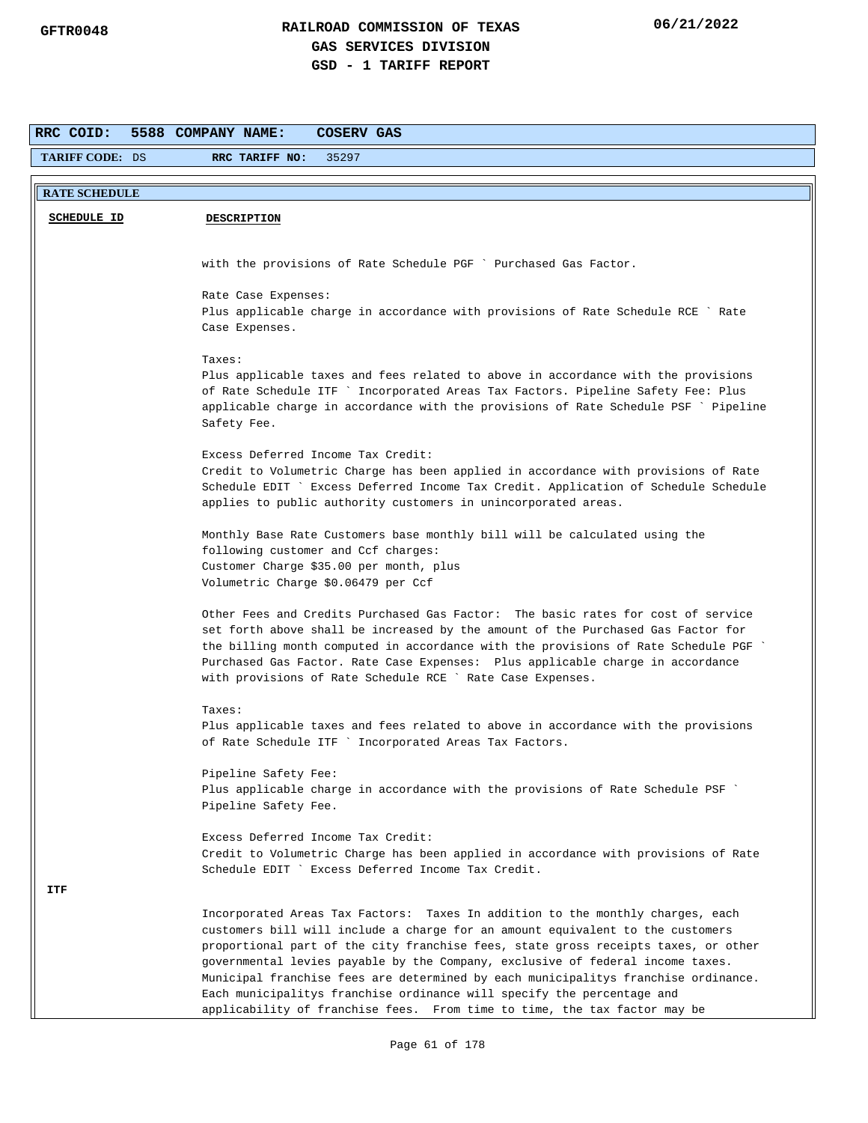| RRC COID:              | 5588 COMPANY NAME:<br>COSERV GAS                                                                                                                                          |
|------------------------|---------------------------------------------------------------------------------------------------------------------------------------------------------------------------|
| <b>TARIFF CODE: DS</b> | RRC TARIFF NO:<br>35297                                                                                                                                                   |
|                        |                                                                                                                                                                           |
| <b>RATE SCHEDULE</b>   |                                                                                                                                                                           |
| <b>SCHEDULE ID</b>     | <b>DESCRIPTION</b>                                                                                                                                                        |
|                        |                                                                                                                                                                           |
|                        | with the provisions of Rate Schedule PGF ` Purchased Gas Factor.                                                                                                          |
|                        | Rate Case Expenses:                                                                                                                                                       |
|                        | Plus applicable charge in accordance with provisions of Rate Schedule RCE ` Rate                                                                                          |
|                        | Case Expenses.                                                                                                                                                            |
|                        | Taxes:                                                                                                                                                                    |
|                        | Plus applicable taxes and fees related to above in accordance with the provisions                                                                                         |
|                        | of Rate Schedule ITF ` Incorporated Areas Tax Factors. Pipeline Safety Fee: Plus                                                                                          |
|                        | applicable charge in accordance with the provisions of Rate Schedule PSF ` Pipeline<br>Safety Fee.                                                                        |
|                        |                                                                                                                                                                           |
|                        | Excess Deferred Income Tax Credit:                                                                                                                                        |
|                        | Credit to Volumetric Charge has been applied in accordance with provisions of Rate<br>Schedule EDIT ` Excess Deferred Income Tax Credit. Application of Schedule Schedule |
|                        | applies to public authority customers in unincorporated areas.                                                                                                            |
|                        |                                                                                                                                                                           |
|                        | Monthly Base Rate Customers base monthly bill will be calculated using the<br>following customer and Ccf charges:                                                         |
|                        | Customer Charge \$35.00 per month, plus                                                                                                                                   |
|                        | Volumetric Charge \$0.06479 per Ccf                                                                                                                                       |
|                        | Other Fees and Credits Purchased Gas Factor: The basic rates for cost of service                                                                                          |
|                        | set forth above shall be increased by the amount of the Purchased Gas Factor for                                                                                          |
|                        | the billing month computed in accordance with the provisions of Rate Schedule PGF                                                                                         |
|                        | Purchased Gas Factor. Rate Case Expenses: Plus applicable charge in accordance<br>with provisions of Rate Schedule RCE ` Rate Case Expenses.                              |
|                        |                                                                                                                                                                           |
|                        | Taxes:                                                                                                                                                                    |
|                        | Plus applicable taxes and fees related to above in accordance with the provisions<br>of Rate Schedule ITF ` Incorporated Areas Tax Factors.                               |
|                        |                                                                                                                                                                           |
|                        | Pipeline Safety Fee:<br>Plus applicable charge in accordance with the provisions of Rate Schedule PSF                                                                     |
|                        | Pipeline Safety Fee.                                                                                                                                                      |
|                        |                                                                                                                                                                           |
|                        | Excess Deferred Income Tax Credit:                                                                                                                                        |
|                        | Credit to Volumetric Charge has been applied in accordance with provisions of Rate<br>Schedule EDIT ` Excess Deferred Income Tax Credit.                                  |
| ITF                    |                                                                                                                                                                           |
|                        | Incorporated Areas Tax Factors: Taxes In addition to the monthly charges, each                                                                                            |
|                        | customers bill will include a charge for an amount equivalent to the customers                                                                                            |
|                        | proportional part of the city franchise fees, state gross receipts taxes, or other                                                                                        |
|                        | governmental levies payable by the Company, exclusive of federal income taxes.<br>Municipal franchise fees are determined by each municipalitys franchise ordinance.      |
|                        | Each municipalitys franchise ordinance will specify the percentage and                                                                                                    |
|                        | applicability of franchise fees. From time to time, the tax factor may be                                                                                                 |
|                        | Page 61 of 178                                                                                                                                                            |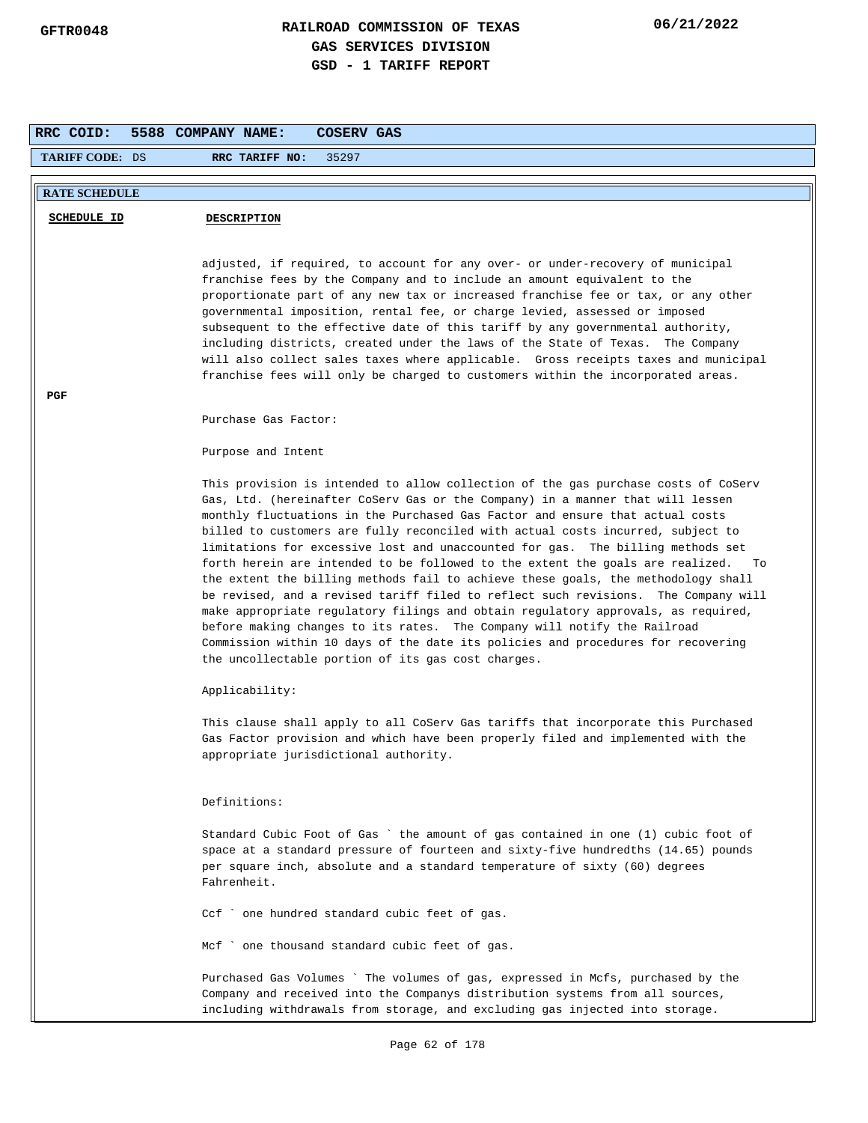| RRC COID:              | 5588 COMPANY NAME:<br><b>COSERV GAS</b>                                                                                                                                                                                                          |
|------------------------|--------------------------------------------------------------------------------------------------------------------------------------------------------------------------------------------------------------------------------------------------|
| <b>TARIFF CODE: DS</b> | RRC TARIFF NO:<br>35297                                                                                                                                                                                                                          |
|                        |                                                                                                                                                                                                                                                  |
| <b>RATE SCHEDULE</b>   |                                                                                                                                                                                                                                                  |
| <b>SCHEDULE ID</b>     | <b>DESCRIPTION</b>                                                                                                                                                                                                                               |
|                        |                                                                                                                                                                                                                                                  |
|                        | adjusted, if required, to account for any over- or under-recovery of municipal                                                                                                                                                                   |
|                        | franchise fees by the Company and to include an amount equivalent to the                                                                                                                                                                         |
|                        | proportionate part of any new tax or increased franchise fee or tax, or any other<br>governmental imposition, rental fee, or charge levied, assessed or imposed                                                                                  |
|                        | subsequent to the effective date of this tariff by any governmental authority,                                                                                                                                                                   |
|                        | including districts, created under the laws of the State of Texas. The Company                                                                                                                                                                   |
|                        | will also collect sales taxes where applicable. Gross receipts taxes and municipal                                                                                                                                                               |
|                        | franchise fees will only be charged to customers within the incorporated areas.                                                                                                                                                                  |
| PGF                    |                                                                                                                                                                                                                                                  |
|                        | Purchase Gas Factor:                                                                                                                                                                                                                             |
|                        | Purpose and Intent                                                                                                                                                                                                                               |
|                        |                                                                                                                                                                                                                                                  |
|                        | This provision is intended to allow collection of the gas purchase costs of CoServ                                                                                                                                                               |
|                        | Gas, Ltd. (hereinafter CoServ Gas or the Company) in a manner that will lessen                                                                                                                                                                   |
|                        | monthly fluctuations in the Purchased Gas Factor and ensure that actual costs<br>billed to customers are fully reconciled with actual costs incurred, subject to                                                                                 |
|                        | limitations for excessive lost and unaccounted for gas. The billing methods set                                                                                                                                                                  |
|                        | forth herein are intended to be followed to the extent the goals are realized.<br>To                                                                                                                                                             |
|                        | the extent the billing methods fail to achieve these goals, the methodology shall                                                                                                                                                                |
|                        | be revised, and a revised tariff filed to reflect such revisions. The Company will                                                                                                                                                               |
|                        | make appropriate regulatory filings and obtain regulatory approvals, as required,<br>before making changes to its rates. The Company will notify the Railroad                                                                                    |
|                        | Commission within 10 days of the date its policies and procedures for recovering                                                                                                                                                                 |
|                        | the uncollectable portion of its gas cost charges.                                                                                                                                                                                               |
|                        | Applicability:                                                                                                                                                                                                                                   |
|                        | This clause shall apply to all CoServ Gas tariffs that incorporate this Purchased                                                                                                                                                                |
|                        | Gas Factor provision and which have been properly filed and implemented with the                                                                                                                                                                 |
|                        | appropriate jurisdictional authority.                                                                                                                                                                                                            |
|                        | Definitions:                                                                                                                                                                                                                                     |
|                        | Standard Cubic Foot of Gas `the amount of gas contained in one (1) cubic foot of                                                                                                                                                                 |
|                        | space at a standard pressure of fourteen and sixty-five hundredths (14.65) pounds                                                                                                                                                                |
|                        | per square inch, absolute and a standard temperature of sixty (60) degrees<br>Fahrenheit.                                                                                                                                                        |
|                        |                                                                                                                                                                                                                                                  |
|                        | Ccf ` one hundred standard cubic feet of gas.                                                                                                                                                                                                    |
|                        | Mcf ` one thousand standard cubic feet of gas.                                                                                                                                                                                                   |
|                        | Purchased Gas Volumes ` The volumes of gas, expressed in Mcfs, purchased by the<br>Company and received into the Companys distribution systems from all sources,<br>including withdrawals from storage, and excluding gas injected into storage. |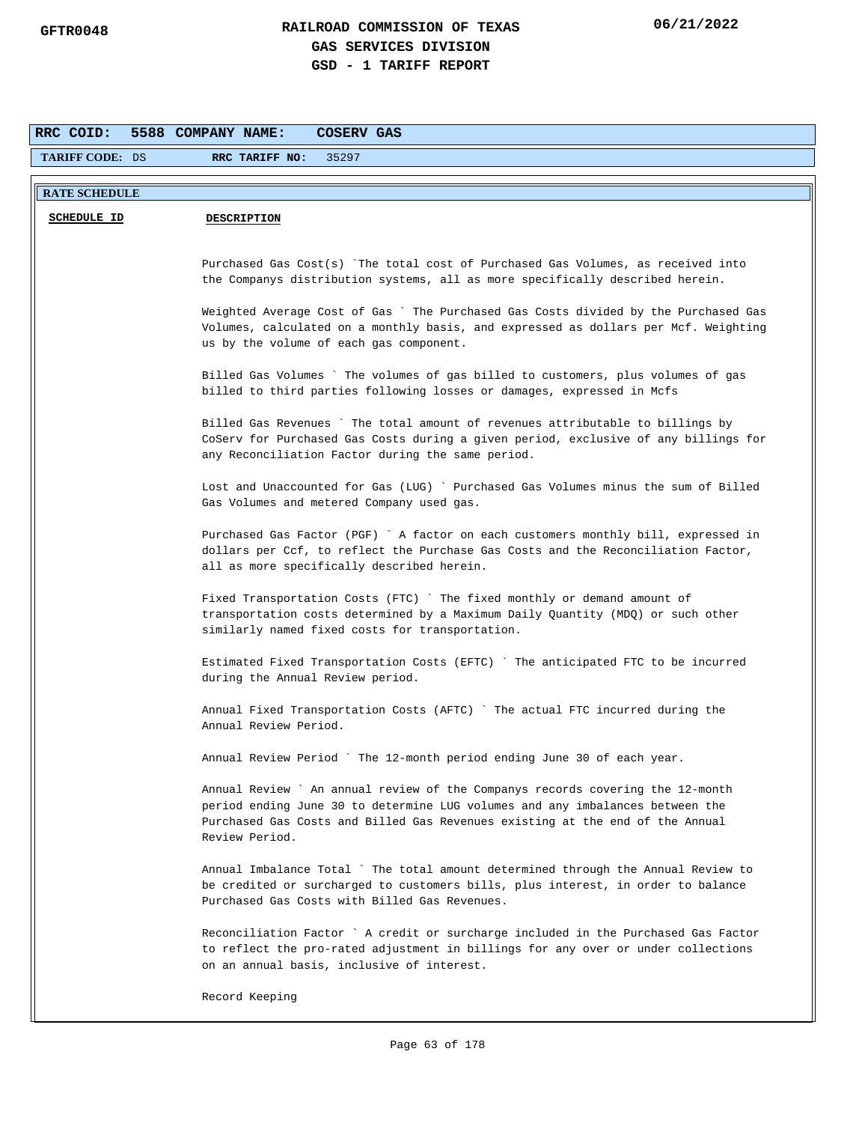| RRC COID:              | 5588 COMPANY NAME:<br>COSERV GAS                                                                                                                                      |
|------------------------|-----------------------------------------------------------------------------------------------------------------------------------------------------------------------|
| <b>TARIFF CODE: DS</b> | RRC TARIFF NO:<br>35297                                                                                                                                               |
|                        |                                                                                                                                                                       |
| <b>RATE SCHEDULE</b>   |                                                                                                                                                                       |
| <b>SCHEDULE ID</b>     | <b>DESCRIPTION</b>                                                                                                                                                    |
|                        |                                                                                                                                                                       |
|                        | Purchased Gas Cost(s) `The total cost of Purchased Gas Volumes, as received into                                                                                      |
|                        | the Companys distribution systems, all as more specifically described herein.                                                                                         |
|                        | Weighted Average Cost of Gas ` The Purchased Gas Costs divided by the Purchased Gas                                                                                   |
|                        | Volumes, calculated on a monthly basis, and expressed as dollars per Mcf. Weighting                                                                                   |
|                        | us by the volume of each gas component.                                                                                                                               |
|                        | Billed Gas Volumes `The volumes of gas billed to customers, plus volumes of gas                                                                                       |
|                        | billed to third parties following losses or damages, expressed in Mcfs                                                                                                |
|                        |                                                                                                                                                                       |
|                        | Billed Gas Revenues ` The total amount of revenues attributable to billings by<br>CoServ for Purchased Gas Costs during a given period, exclusive of any billings for |
|                        | any Reconciliation Factor during the same period.                                                                                                                     |
|                        |                                                                                                                                                                       |
|                        | Lost and Unaccounted for Gas (LUG) ` Purchased Gas Volumes minus the sum of Billed<br>Gas Volumes and metered Company used gas.                                       |
|                        |                                                                                                                                                                       |
|                        | Purchased Gas Factor (PGF) ` A factor on each customers monthly bill, expressed in                                                                                    |
|                        | dollars per Ccf, to reflect the Purchase Gas Costs and the Reconciliation Factor,<br>all as more specifically described herein.                                       |
|                        |                                                                                                                                                                       |
|                        | Fixed Transportation Costs (FTC) ` The fixed monthly or demand amount of                                                                                              |
|                        | transportation costs determined by a Maximum Daily Quantity (MDQ) or such other<br>similarly named fixed costs for transportation.                                    |
|                        |                                                                                                                                                                       |
|                        | Estimated Fixed Transportation Costs (EFTC) `The anticipated FTC to be incurred                                                                                       |
|                        | during the Annual Review period.                                                                                                                                      |
|                        | Annual Fixed Transportation Costs (AFTC) ` The actual FTC incurred during the                                                                                         |
|                        | Annual Review Period.                                                                                                                                                 |
|                        | Annual Review Period ` The 12-month period ending June 30 of each year.                                                                                               |
|                        |                                                                                                                                                                       |
|                        | Annual Review ` An annual review of the Companys records covering the 12-month                                                                                        |
|                        | period ending June 30 to determine LUG volumes and any imbalances between the                                                                                         |
|                        | Purchased Gas Costs and Billed Gas Revenues existing at the end of the Annual<br>Review Period.                                                                       |
|                        |                                                                                                                                                                       |
|                        | Annual Imbalance Total ` The total amount determined through the Annual Review to                                                                                     |
|                        | be credited or surcharged to customers bills, plus interest, in order to balance<br>Purchased Gas Costs with Billed Gas Revenues.                                     |
|                        |                                                                                                                                                                       |
|                        | Reconciliation Factor ` A credit or surcharge included in the Purchased Gas Factor                                                                                    |
|                        | to reflect the pro-rated adjustment in billings for any over or under collections<br>on an annual basis, inclusive of interest.                                       |
|                        |                                                                                                                                                                       |
|                        | Record Keeping                                                                                                                                                        |
|                        |                                                                                                                                                                       |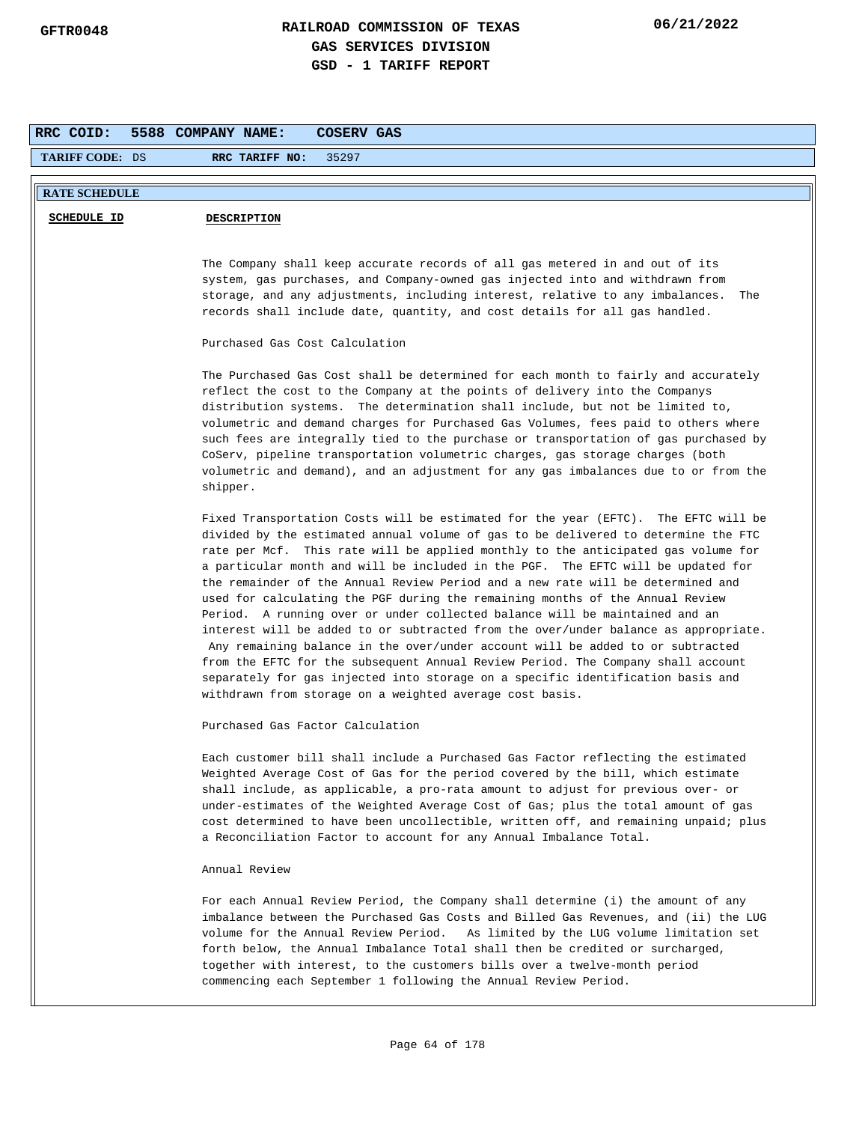| <b>TARIFF CODE: DS</b> | 35297<br>RRC TARIFF NO:                                                                                                                                                                                                                                                                                                                                                                                                                                                                                                                                                                                                                                                                                                                                                                                                                                                                                                                                                                                          |
|------------------------|------------------------------------------------------------------------------------------------------------------------------------------------------------------------------------------------------------------------------------------------------------------------------------------------------------------------------------------------------------------------------------------------------------------------------------------------------------------------------------------------------------------------------------------------------------------------------------------------------------------------------------------------------------------------------------------------------------------------------------------------------------------------------------------------------------------------------------------------------------------------------------------------------------------------------------------------------------------------------------------------------------------|
|                        |                                                                                                                                                                                                                                                                                                                                                                                                                                                                                                                                                                                                                                                                                                                                                                                                                                                                                                                                                                                                                  |
| <b>RATE SCHEDULE</b>   |                                                                                                                                                                                                                                                                                                                                                                                                                                                                                                                                                                                                                                                                                                                                                                                                                                                                                                                                                                                                                  |
| <b>SCHEDULE ID</b>     | <b>DESCRIPTION</b>                                                                                                                                                                                                                                                                                                                                                                                                                                                                                                                                                                                                                                                                                                                                                                                                                                                                                                                                                                                               |
|                        |                                                                                                                                                                                                                                                                                                                                                                                                                                                                                                                                                                                                                                                                                                                                                                                                                                                                                                                                                                                                                  |
|                        | The Company shall keep accurate records of all gas metered in and out of its<br>system, gas purchases, and Company-owned gas injected into and withdrawn from<br>storage, and any adjustments, including interest, relative to any imbalances.<br>The<br>records shall include date, quantity, and cost details for all gas handled.                                                                                                                                                                                                                                                                                                                                                                                                                                                                                                                                                                                                                                                                             |
|                        | Purchased Gas Cost Calculation                                                                                                                                                                                                                                                                                                                                                                                                                                                                                                                                                                                                                                                                                                                                                                                                                                                                                                                                                                                   |
|                        | The Purchased Gas Cost shall be determined for each month to fairly and accurately<br>reflect the cost to the Company at the points of delivery into the Companys<br>distribution systems. The determination shall include, but not be limited to,<br>volumetric and demand charges for Purchased Gas Volumes, fees paid to others where<br>such fees are integrally tied to the purchase or transportation of gas purchased by<br>CoServ, pipeline transportation volumetric charges, gas storage charges (both<br>volumetric and demand), and an adjustment for any gas imbalances due to or from the<br>shipper.                                                                                                                                                                                                                                                                                                                                                                                              |
|                        | Fixed Transportation Costs will be estimated for the year (EFTC). The EFTC will be<br>divided by the estimated annual volume of gas to be delivered to determine the FTC<br>rate per Mcf. This rate will be applied monthly to the anticipated gas volume for<br>a particular month and will be included in the PGF. The EFTC will be updated for<br>the remainder of the Annual Review Period and a new rate will be determined and<br>used for calculating the PGF during the remaining months of the Annual Review<br>Period. A running over or under collected balance will be maintained and an<br>interest will be added to or subtracted from the over/under balance as appropriate.<br>Any remaining balance in the over/under account will be added to or subtracted<br>from the EFTC for the subsequent Annual Review Period. The Company shall account<br>separately for gas injected into storage on a specific identification basis and<br>withdrawn from storage on a weighted average cost basis. |
|                        | Purchased Gas Factor Calculation                                                                                                                                                                                                                                                                                                                                                                                                                                                                                                                                                                                                                                                                                                                                                                                                                                                                                                                                                                                 |
|                        | Each customer bill shall include a Purchased Gas Factor reflecting the estimated<br>Weighted Average Cost of Gas for the period covered by the bill, which estimate<br>shall include, as applicable, a pro-rata amount to adjust for previous over- or<br>under-estimates of the Weighted Average Cost of Gas; plus the total amount of gas<br>cost determined to have been uncollectible, written off, and remaining unpaid; plus<br>a Reconciliation Factor to account for any Annual Imbalance Total.                                                                                                                                                                                                                                                                                                                                                                                                                                                                                                         |
|                        | Annual Review                                                                                                                                                                                                                                                                                                                                                                                                                                                                                                                                                                                                                                                                                                                                                                                                                                                                                                                                                                                                    |
|                        | For each Annual Review Period, the Company shall determine (i) the amount of any<br>imbalance between the Purchased Gas Costs and Billed Gas Revenues, and (ii) the LUG<br>volume for the Annual Review Period. As limited by the LUG volume limitation set<br>forth below, the Annual Imbalance Total shall then be credited or surcharged,<br>together with interest, to the customers bills over a twelve-month period<br>commencing each September 1 following the Annual Review Period.                                                                                                                                                                                                                                                                                                                                                                                                                                                                                                                     |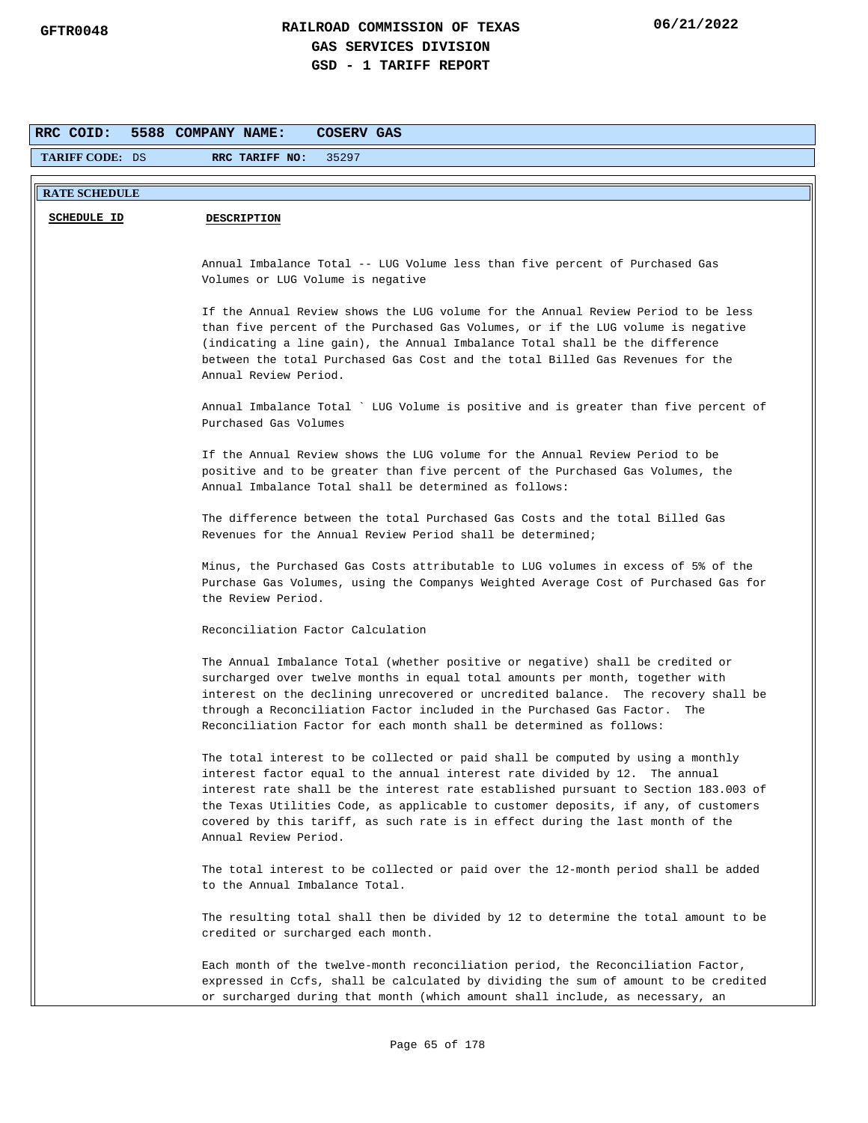|                        | 5588 COMPANY NAME:<br>COSERV GAS                                                                                                                                        |
|------------------------|-------------------------------------------------------------------------------------------------------------------------------------------------------------------------|
| <b>TARIFF CODE: DS</b> | RRC TARIFF NO:<br>35297                                                                                                                                                 |
|                        |                                                                                                                                                                         |
| <b>RATE SCHEDULE</b>   |                                                                                                                                                                         |
| <b>SCHEDULE ID</b>     | <b>DESCRIPTION</b>                                                                                                                                                      |
|                        |                                                                                                                                                                         |
|                        | Annual Imbalance Total -- LUG Volume less than five percent of Purchased Gas<br>Volumes or LUG Volume is negative                                                       |
|                        |                                                                                                                                                                         |
|                        | If the Annual Review shows the LUG volume for the Annual Review Period to be less<br>than five percent of the Purchased Gas Volumes, or if the LUG volume is negative   |
|                        | (indicating a line gain), the Annual Imbalance Total shall be the difference                                                                                            |
|                        | between the total Purchased Gas Cost and the total Billed Gas Revenues for the                                                                                          |
|                        | Annual Review Period.                                                                                                                                                   |
|                        | Annual Imbalance Total ` LUG Volume is positive and is greater than five percent of                                                                                     |
|                        | Purchased Gas Volumes                                                                                                                                                   |
|                        | If the Annual Review shows the LUG volume for the Annual Review Period to be                                                                                            |
|                        | positive and to be greater than five percent of the Purchased Gas Volumes, the                                                                                          |
|                        | Annual Imbalance Total shall be determined as follows:                                                                                                                  |
|                        | The difference between the total Purchased Gas Costs and the total Billed Gas                                                                                           |
|                        | Revenues for the Annual Review Period shall be determined;                                                                                                              |
|                        | Minus, the Purchased Gas Costs attributable to LUG volumes in excess of 5% of the                                                                                       |
|                        | Purchase Gas Volumes, using the Companys Weighted Average Cost of Purchased Gas for                                                                                     |
|                        | the Review Period.                                                                                                                                                      |
|                        | Reconciliation Factor Calculation                                                                                                                                       |
|                        | The Annual Imbalance Total (whether positive or negative) shall be credited or                                                                                          |
|                        | surcharged over twelve months in equal total amounts per month, together with                                                                                           |
|                        | interest on the declining unrecovered or uncredited balance. The recovery shall be<br>through a Reconciliation Factor included in the Purchased Gas Factor. The         |
|                        | Reconciliation Factor for each month shall be determined as follows:                                                                                                    |
|                        |                                                                                                                                                                         |
|                        | The total interest to be collected or paid shall be computed by using a monthly<br>interest factor equal to the annual interest rate divided by 12. The annual          |
|                        | interest rate shall be the interest rate established pursuant to Section 183.003 of                                                                                     |
|                        | the Texas Utilities Code, as applicable to customer deposits, if any, of customers                                                                                      |
|                        | covered by this tariff, as such rate is in effect during the last month of the<br>Annual Review Period.                                                                 |
|                        |                                                                                                                                                                         |
|                        | The total interest to be collected or paid over the 12-month period shall be added<br>to the Annual Imbalance Total.                                                    |
|                        |                                                                                                                                                                         |
|                        | The resulting total shall then be divided by 12 to determine the total amount to be<br>credited or surcharged each month.                                               |
|                        |                                                                                                                                                                         |
|                        | Each month of the twelve-month reconciliation period, the Reconciliation Factor,<br>expressed in Ccfs, shall be calculated by dividing the sum of amount to be credited |
|                        | or surcharged during that month (which amount shall include, as necessary, an                                                                                           |
|                        |                                                                                                                                                                         |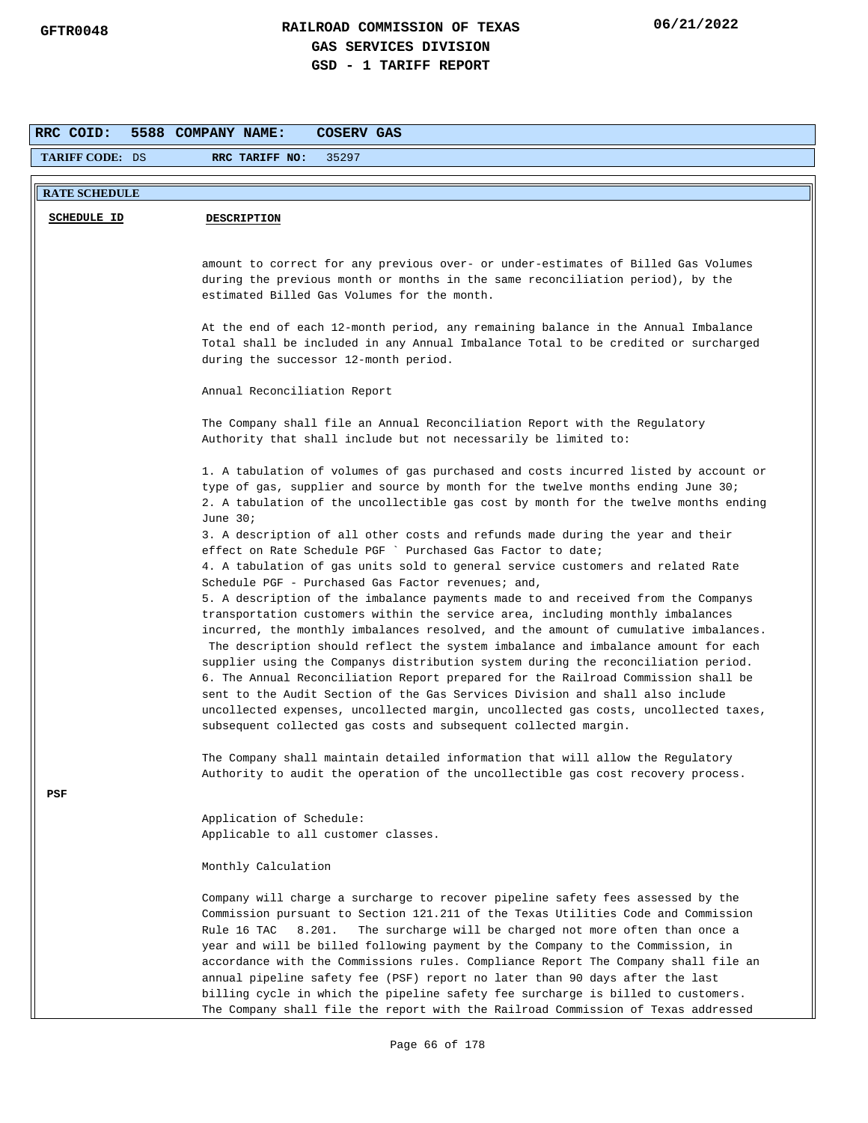| RRC COID:            | 5588 COMPANY NAME:<br><b>COSERV GAS</b>                                                                                                                                                                                                                                                                                                                                                                                                                                                                                                                                                                                                                                                                                                                              |
|----------------------|----------------------------------------------------------------------------------------------------------------------------------------------------------------------------------------------------------------------------------------------------------------------------------------------------------------------------------------------------------------------------------------------------------------------------------------------------------------------------------------------------------------------------------------------------------------------------------------------------------------------------------------------------------------------------------------------------------------------------------------------------------------------|
| TARIFF CODE: DS      | 35297<br>RRC TARIFF NO:                                                                                                                                                                                                                                                                                                                                                                                                                                                                                                                                                                                                                                                                                                                                              |
| <b>RATE SCHEDULE</b> |                                                                                                                                                                                                                                                                                                                                                                                                                                                                                                                                                                                                                                                                                                                                                                      |
| <b>SCHEDULE ID</b>   | <b>DESCRIPTION</b>                                                                                                                                                                                                                                                                                                                                                                                                                                                                                                                                                                                                                                                                                                                                                   |
|                      | amount to correct for any previous over- or under-estimates of Billed Gas Volumes<br>during the previous month or months in the same reconciliation period), by the<br>estimated Billed Gas Volumes for the month.                                                                                                                                                                                                                                                                                                                                                                                                                                                                                                                                                   |
|                      | At the end of each 12-month period, any remaining balance in the Annual Imbalance<br>Total shall be included in any Annual Imbalance Total to be credited or surcharged<br>during the successor 12-month period.                                                                                                                                                                                                                                                                                                                                                                                                                                                                                                                                                     |
|                      | Annual Reconciliation Report                                                                                                                                                                                                                                                                                                                                                                                                                                                                                                                                                                                                                                                                                                                                         |
|                      | The Company shall file an Annual Reconciliation Report with the Regulatory<br>Authority that shall include but not necessarily be limited to:                                                                                                                                                                                                                                                                                                                                                                                                                                                                                                                                                                                                                        |
|                      | 1. A tabulation of volumes of gas purchased and costs incurred listed by account or<br>type of gas, supplier and source by month for the twelve months ending June 30;<br>2. A tabulation of the uncollectible gas cost by month for the twelve months ending<br>June $30i$                                                                                                                                                                                                                                                                                                                                                                                                                                                                                          |
|                      | 3. A description of all other costs and refunds made during the year and their<br>effect on Rate Schedule PGF ` Purchased Gas Factor to date;<br>4. A tabulation of gas units sold to general service customers and related Rate<br>Schedule PGF - Purchased Gas Factor revenues; and,                                                                                                                                                                                                                                                                                                                                                                                                                                                                               |
|                      | 5. A description of the imbalance payments made to and received from the Companys<br>transportation customers within the service area, including monthly imbalances<br>incurred, the monthly imbalances resolved, and the amount of cumulative imbalances.<br>The description should reflect the system imbalance and imbalance amount for each<br>supplier using the Companys distribution system during the reconciliation period.<br>6. The Annual Reconciliation Report prepared for the Railroad Commission shall be<br>sent to the Audit Section of the Gas Services Division and shall also include<br>uncollected expenses, uncollected margin, uncollected gas costs, uncollected taxes,<br>subsequent collected gas costs and subsequent collected margin. |
|                      | The Company shall maintain detailed information that will allow the Regulatory<br>Authority to audit the operation of the uncollectible gas cost recovery process.                                                                                                                                                                                                                                                                                                                                                                                                                                                                                                                                                                                                   |
| PSF                  | Application of Schedule:<br>Applicable to all customer classes.                                                                                                                                                                                                                                                                                                                                                                                                                                                                                                                                                                                                                                                                                                      |
|                      | Monthly Calculation                                                                                                                                                                                                                                                                                                                                                                                                                                                                                                                                                                                                                                                                                                                                                  |
|                      | Company will charge a surcharge to recover pipeline safety fees assessed by the<br>Commission pursuant to Section 121.211 of the Texas Utilities Code and Commission<br>Rule 16 TAC<br>8.201.<br>The surcharge will be charged not more often than once a<br>year and will be billed following payment by the Company to the Commission, in<br>accordance with the Commissions rules. Compliance Report The Company shall file an<br>annual pipeline safety fee (PSF) report no later than 90 days after the last<br>billing cycle in which the pipeline safety fee surcharge is billed to customers.<br>The Company shall file the report with the Railroad Commission of Texas addressed                                                                           |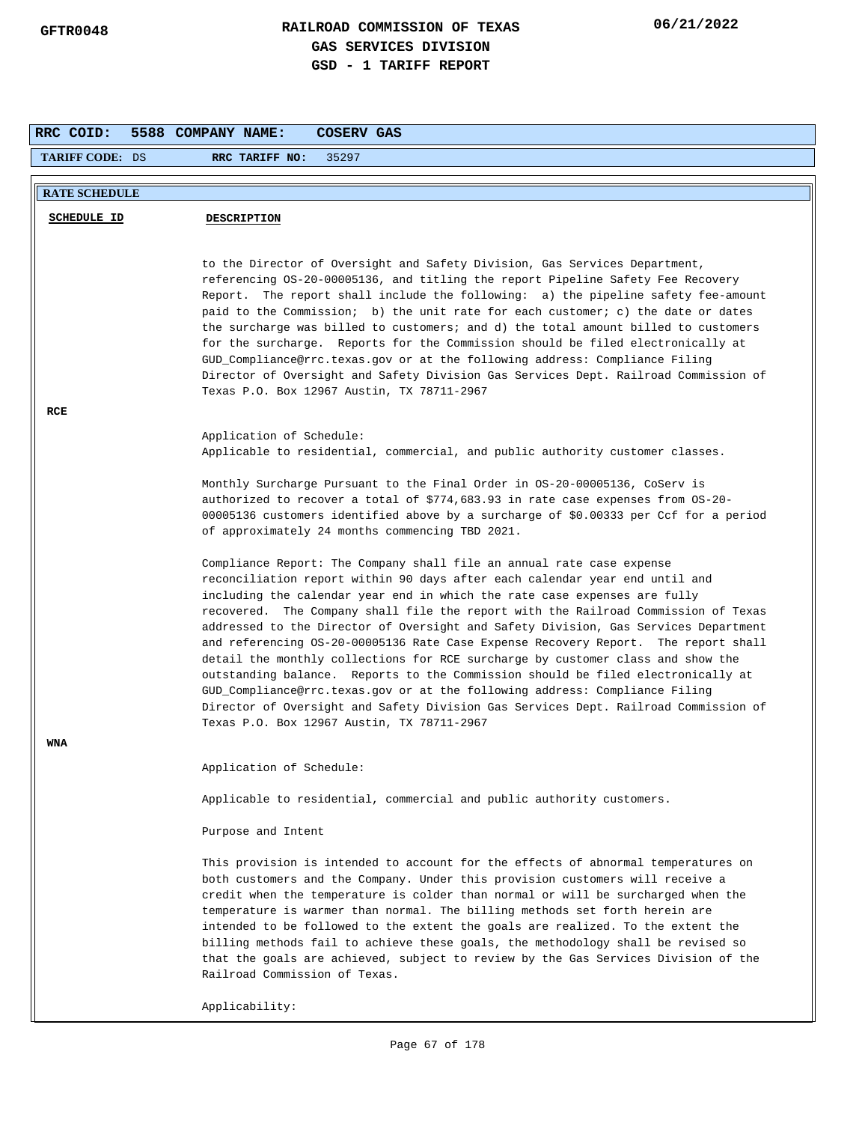| RRC COID:              | <b>COSERV GAS</b><br>5588 COMPANY NAME:                                                                                                                                                                                                                                                                                                                                                                                                                                                                                                                                                                                                                                                                                                                                                                                                                                                         |
|------------------------|-------------------------------------------------------------------------------------------------------------------------------------------------------------------------------------------------------------------------------------------------------------------------------------------------------------------------------------------------------------------------------------------------------------------------------------------------------------------------------------------------------------------------------------------------------------------------------------------------------------------------------------------------------------------------------------------------------------------------------------------------------------------------------------------------------------------------------------------------------------------------------------------------|
| <b>TARIFF CODE: DS</b> | RRC TARIFF NO:<br>35297                                                                                                                                                                                                                                                                                                                                                                                                                                                                                                                                                                                                                                                                                                                                                                                                                                                                         |
| <b>RATE SCHEDULE</b>   |                                                                                                                                                                                                                                                                                                                                                                                                                                                                                                                                                                                                                                                                                                                                                                                                                                                                                                 |
| <b>SCHEDULE ID</b>     | <b>DESCRIPTION</b>                                                                                                                                                                                                                                                                                                                                                                                                                                                                                                                                                                                                                                                                                                                                                                                                                                                                              |
|                        |                                                                                                                                                                                                                                                                                                                                                                                                                                                                                                                                                                                                                                                                                                                                                                                                                                                                                                 |
| RCE                    | to the Director of Oversight and Safety Division, Gas Services Department,<br>referencing OS-20-00005136, and titling the report Pipeline Safety Fee Recovery<br>Report. The report shall include the following: a) the pipeline safety fee-amount<br>paid to the Commission; b) the unit rate for each customer; c) the date or dates<br>the surcharge was billed to customers; and d) the total amount billed to customers<br>for the surcharge. Reports for the Commission should be filed electronically at<br>GUD_Compliance@rrc.texas.gov or at the following address: Compliance Filing<br>Director of Oversight and Safety Division Gas Services Dept. Railroad Commission of<br>Texas P.O. Box 12967 Austin, TX 78711-2967                                                                                                                                                             |
|                        | Application of Schedule:                                                                                                                                                                                                                                                                                                                                                                                                                                                                                                                                                                                                                                                                                                                                                                                                                                                                        |
|                        | Applicable to residential, commercial, and public authority customer classes.                                                                                                                                                                                                                                                                                                                                                                                                                                                                                                                                                                                                                                                                                                                                                                                                                   |
|                        | Monthly Surcharge Pursuant to the Final Order in OS-20-00005136, CoServ is<br>authorized to recover a total of \$774,683.93 in rate case expenses from OS-20-<br>00005136 customers identified above by a surcharge of \$0.00333 per Ccf for a period<br>of approximately 24 months commencing TBD 2021.                                                                                                                                                                                                                                                                                                                                                                                                                                                                                                                                                                                        |
|                        | Compliance Report: The Company shall file an annual rate case expense<br>reconciliation report within 90 days after each calendar year end until and<br>including the calendar year end in which the rate case expenses are fully<br>recovered. The Company shall file the report with the Railroad Commission of Texas<br>addressed to the Director of Oversight and Safety Division, Gas Services Department<br>and referencing OS-20-00005136 Rate Case Expense Recovery Report. The report shall<br>detail the monthly collections for RCE surcharge by customer class and show the<br>outstanding balance. Reports to the Commission should be filed electronically at<br>GUD_Compliance@rrc.texas.gov or at the following address: Compliance Filing<br>Director of Oversight and Safety Division Gas Services Dept. Railroad Commission of<br>Texas P.O. Box 12967 Austin, TX 78711-2967 |
| <b>WNA</b>             |                                                                                                                                                                                                                                                                                                                                                                                                                                                                                                                                                                                                                                                                                                                                                                                                                                                                                                 |
|                        | Application of Schedule:                                                                                                                                                                                                                                                                                                                                                                                                                                                                                                                                                                                                                                                                                                                                                                                                                                                                        |
|                        | Applicable to residential, commercial and public authority customers.                                                                                                                                                                                                                                                                                                                                                                                                                                                                                                                                                                                                                                                                                                                                                                                                                           |
|                        | Purpose and Intent                                                                                                                                                                                                                                                                                                                                                                                                                                                                                                                                                                                                                                                                                                                                                                                                                                                                              |
|                        | This provision is intended to account for the effects of abnormal temperatures on<br>both customers and the Company. Under this provision customers will receive a<br>credit when the temperature is colder than normal or will be surcharged when the<br>temperature is warmer than normal. The billing methods set forth herein are<br>intended to be followed to the extent the goals are realized. To the extent the<br>billing methods fail to achieve these goals, the methodology shall be revised so<br>that the goals are achieved, subject to review by the Gas Services Division of the<br>Railroad Commission of Texas.                                                                                                                                                                                                                                                             |
|                        | Applicability:                                                                                                                                                                                                                                                                                                                                                                                                                                                                                                                                                                                                                                                                                                                                                                                                                                                                                  |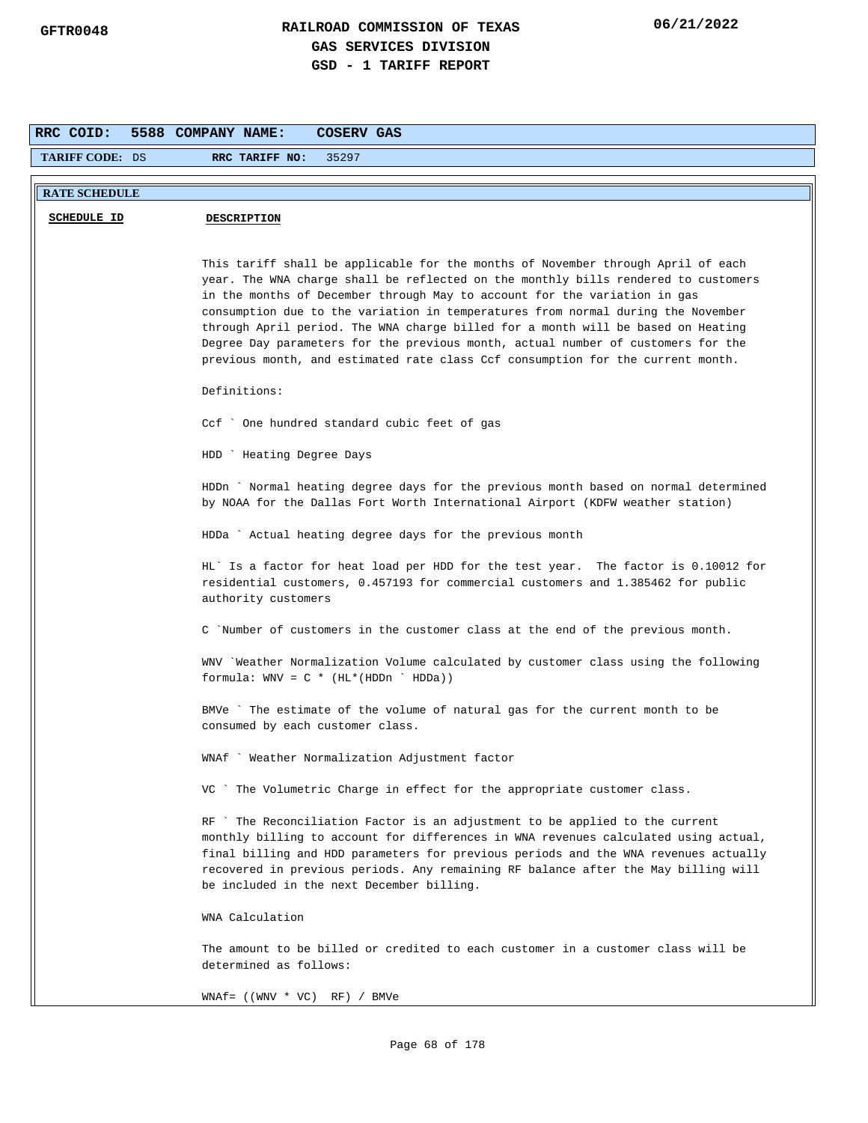| RRC COID:              | 5588 COMPANY NAME:<br>COSERV GAS                                                                                                                                                                                                                                                                                                                                                                                                                                                                                                                                                                   |
|------------------------|----------------------------------------------------------------------------------------------------------------------------------------------------------------------------------------------------------------------------------------------------------------------------------------------------------------------------------------------------------------------------------------------------------------------------------------------------------------------------------------------------------------------------------------------------------------------------------------------------|
| <b>TARIFF CODE: DS</b> | RRC TARIFF NO:<br>35297                                                                                                                                                                                                                                                                                                                                                                                                                                                                                                                                                                            |
| <b>RATE SCHEDULE</b>   |                                                                                                                                                                                                                                                                                                                                                                                                                                                                                                                                                                                                    |
| SCHEDULE ID            | <b>DESCRIPTION</b>                                                                                                                                                                                                                                                                                                                                                                                                                                                                                                                                                                                 |
|                        | This tariff shall be applicable for the months of November through April of each<br>year. The WNA charge shall be reflected on the monthly bills rendered to customers<br>in the months of December through May to account for the variation in gas<br>consumption due to the variation in temperatures from normal during the November<br>through April period. The WNA charge billed for a month will be based on Heating<br>Degree Day parameters for the previous month, actual number of customers for the<br>previous month, and estimated rate class Ccf consumption for the current month. |
|                        | Definitions:                                                                                                                                                                                                                                                                                                                                                                                                                                                                                                                                                                                       |
|                        | Ccf ` One hundred standard cubic feet of gas                                                                                                                                                                                                                                                                                                                                                                                                                                                                                                                                                       |
|                        | HDD ` Heating Degree Days                                                                                                                                                                                                                                                                                                                                                                                                                                                                                                                                                                          |
|                        | HDDn ` Normal heating degree days for the previous month based on normal determined<br>by NOAA for the Dallas Fort Worth International Airport (KDFW weather station)                                                                                                                                                                                                                                                                                                                                                                                                                              |
|                        | HDDa ` Actual heating degree days for the previous month                                                                                                                                                                                                                                                                                                                                                                                                                                                                                                                                           |
|                        | HL' Is a factor for heat load per HDD for the test year. The factor is 0.10012 for<br>residential customers, 0.457193 for commercial customers and 1.385462 for public<br>authority customers                                                                                                                                                                                                                                                                                                                                                                                                      |
|                        | C `Number of customers in the customer class at the end of the previous month.                                                                                                                                                                                                                                                                                                                                                                                                                                                                                                                     |
|                        | WNV `Weather Normalization Volume calculated by customer class using the following<br>formula: $WW = C * (HL * (HDDn ' HDDa))$                                                                                                                                                                                                                                                                                                                                                                                                                                                                     |
|                        | BMVe `The estimate of the volume of natural gas for the current month to be<br>consumed by each customer class.                                                                                                                                                                                                                                                                                                                                                                                                                                                                                    |
|                        | Weather Normalization Adjustment factor<br>WNAt                                                                                                                                                                                                                                                                                                                                                                                                                                                                                                                                                    |
|                        | VC ` The Volumetric Charge in effect for the appropriate customer class.                                                                                                                                                                                                                                                                                                                                                                                                                                                                                                                           |
|                        | RF `The Reconciliation Factor is an adjustment to be applied to the current<br>monthly billing to account for differences in WNA revenues calculated using actual,<br>final billing and HDD parameters for previous periods and the WNA revenues actually<br>recovered in previous periods. Any remaining RF balance after the May billing will<br>be included in the next December billing.                                                                                                                                                                                                       |
|                        | WNA Calculation                                                                                                                                                                                                                                                                                                                                                                                                                                                                                                                                                                                    |
|                        | The amount to be billed or credited to each customer in a customer class will be<br>determined as follows:                                                                                                                                                                                                                                                                                                                                                                                                                                                                                         |
|                        | $WNAf = ((WWV * VC) RF) / BMVe$                                                                                                                                                                                                                                                                                                                                                                                                                                                                                                                                                                    |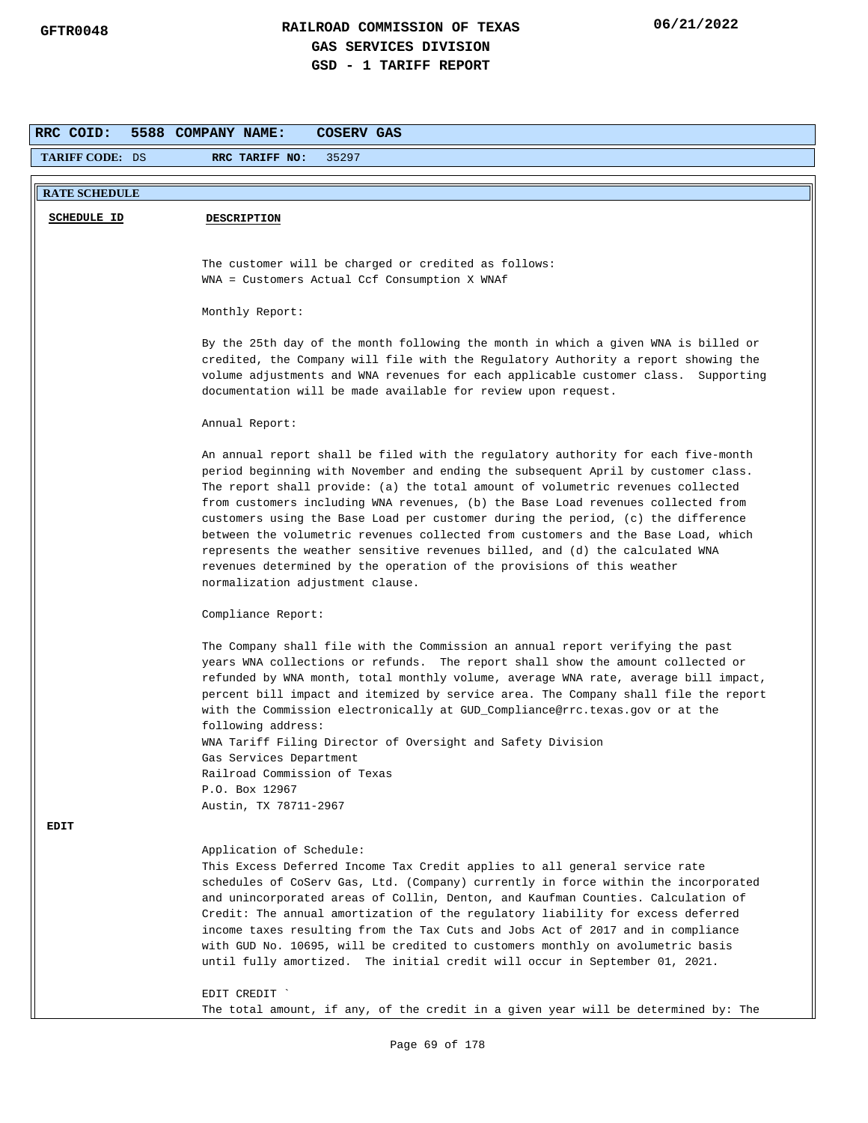| RRC COID:              | 5588 COMPANY NAME:<br>COSERV GAS                                                                                                                                                                                                                                                                                                                                                                                                                                                                                                                                                                                                                                                                                     |
|------------------------|----------------------------------------------------------------------------------------------------------------------------------------------------------------------------------------------------------------------------------------------------------------------------------------------------------------------------------------------------------------------------------------------------------------------------------------------------------------------------------------------------------------------------------------------------------------------------------------------------------------------------------------------------------------------------------------------------------------------|
| <b>TARIFF CODE: DS</b> | 35297<br>RRC TARIFF NO:                                                                                                                                                                                                                                                                                                                                                                                                                                                                                                                                                                                                                                                                                              |
| <b>RATE SCHEDULE</b>   |                                                                                                                                                                                                                                                                                                                                                                                                                                                                                                                                                                                                                                                                                                                      |
| <b>SCHEDULE ID</b>     | <b>DESCRIPTION</b>                                                                                                                                                                                                                                                                                                                                                                                                                                                                                                                                                                                                                                                                                                   |
|                        |                                                                                                                                                                                                                                                                                                                                                                                                                                                                                                                                                                                                                                                                                                                      |
|                        | The customer will be charged or credited as follows:                                                                                                                                                                                                                                                                                                                                                                                                                                                                                                                                                                                                                                                                 |
|                        | WNA = Customers Actual Ccf Consumption X WNAf                                                                                                                                                                                                                                                                                                                                                                                                                                                                                                                                                                                                                                                                        |
|                        | Monthly Report:                                                                                                                                                                                                                                                                                                                                                                                                                                                                                                                                                                                                                                                                                                      |
|                        | By the 25th day of the month following the month in which a given WNA is billed or<br>credited, the Company will file with the Regulatory Authority a report showing the<br>volume adjustments and WNA revenues for each applicable customer class. Supporting<br>documentation will be made available for review upon request.                                                                                                                                                                                                                                                                                                                                                                                      |
|                        | Annual Report:                                                                                                                                                                                                                                                                                                                                                                                                                                                                                                                                                                                                                                                                                                       |
|                        | An annual report shall be filed with the regulatory authority for each five-month<br>period beginning with November and ending the subsequent April by customer class.<br>The report shall provide: (a) the total amount of volumetric revenues collected<br>from customers including WNA revenues, (b) the Base Load revenues collected from<br>customers using the Base Load per customer during the period, (c) the difference<br>between the volumetric revenues collected from customers and the Base Load, which<br>represents the weather sensitive revenues billed, and (d) the calculated WNA<br>revenues determined by the operation of the provisions of this weather<br>normalization adjustment clause. |
|                        | Compliance Report:                                                                                                                                                                                                                                                                                                                                                                                                                                                                                                                                                                                                                                                                                                   |
|                        | The Company shall file with the Commission an annual report verifying the past<br>years WNA collections or refunds. The report shall show the amount collected or<br>refunded by WNA month, total monthly volume, average WNA rate, average bill impact,<br>percent bill impact and itemized by service area. The Company shall file the report<br>with the Commission electronically at GUD_Compliance@rrc.texas.gov or at the<br>following address:                                                                                                                                                                                                                                                                |
|                        | WNA Tariff Filing Director of Oversight and Safety Division<br>Gas Services Department                                                                                                                                                                                                                                                                                                                                                                                                                                                                                                                                                                                                                               |
|                        | Railroad Commission of Texas                                                                                                                                                                                                                                                                                                                                                                                                                                                                                                                                                                                                                                                                                         |
|                        | P.O. Box 12967<br>Austin, TX 78711-2967                                                                                                                                                                                                                                                                                                                                                                                                                                                                                                                                                                                                                                                                              |
| <b>EDIT</b>            |                                                                                                                                                                                                                                                                                                                                                                                                                                                                                                                                                                                                                                                                                                                      |
|                        | Application of Schedule:<br>This Excess Deferred Income Tax Credit applies to all general service rate<br>schedules of CoServ Gas, Ltd. (Company) currently in force within the incorporated<br>and unincorporated areas of Collin, Denton, and Kaufman Counties. Calculation of<br>Credit: The annual amortization of the regulatory liability for excess deferred<br>income taxes resulting from the Tax Cuts and Jobs Act of 2017 and in compliance<br>with GUD No. 10695, will be credited to customers monthly on avolumetric basis<br>until fully amortized. The initial credit will occur in September 01, 2021.                                                                                              |
|                        | EDIT CREDIT `<br>The total amount, if any, of the credit in a given year will be determined by: The                                                                                                                                                                                                                                                                                                                                                                                                                                                                                                                                                                                                                  |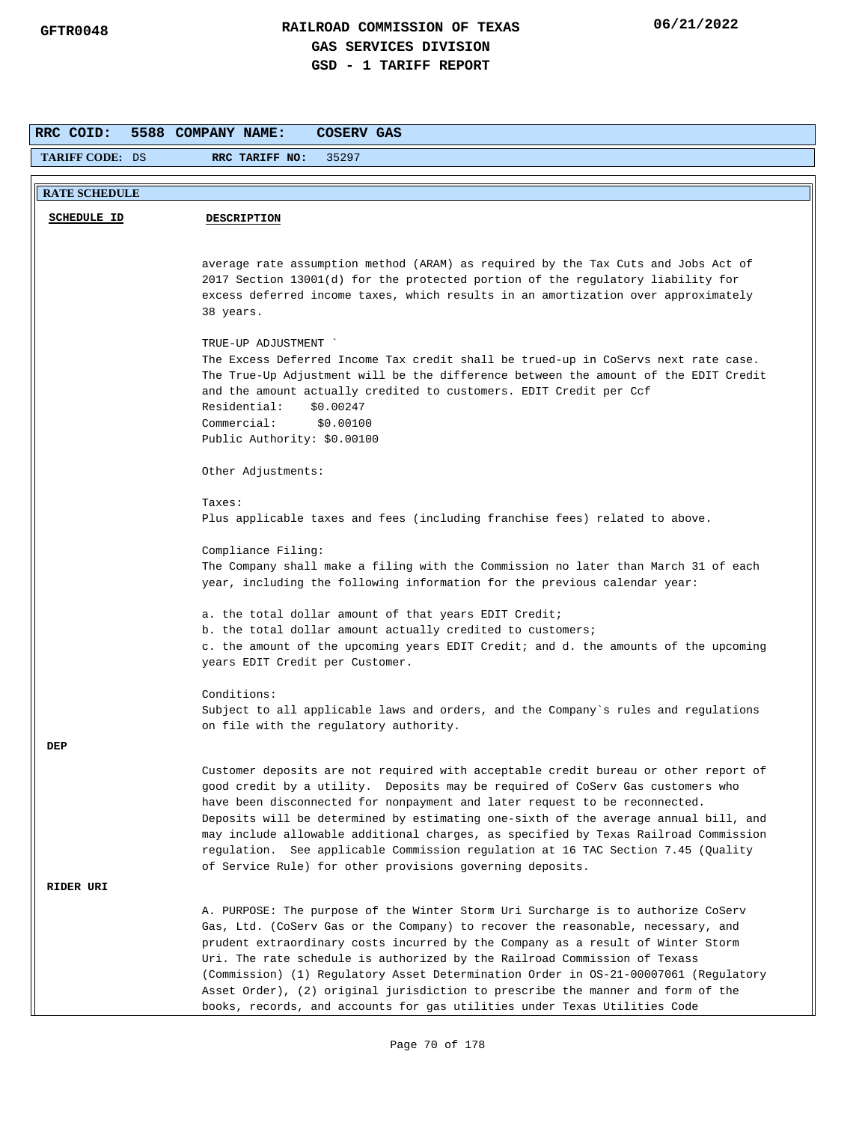| RRC COID:              | 5588 COMPANY NAME:<br>COSERV GAS                                                                                                                                                                                                                                                                                                                                                                                                                                                                                                                                                           |
|------------------------|--------------------------------------------------------------------------------------------------------------------------------------------------------------------------------------------------------------------------------------------------------------------------------------------------------------------------------------------------------------------------------------------------------------------------------------------------------------------------------------------------------------------------------------------------------------------------------------------|
| <b>TARIFF CODE: DS</b> | RRC TARIFF NO:<br>35297                                                                                                                                                                                                                                                                                                                                                                                                                                                                                                                                                                    |
|                        |                                                                                                                                                                                                                                                                                                                                                                                                                                                                                                                                                                                            |
| <b>RATE SCHEDULE</b>   |                                                                                                                                                                                                                                                                                                                                                                                                                                                                                                                                                                                            |
| SCHEDULE ID            | <b>DESCRIPTION</b>                                                                                                                                                                                                                                                                                                                                                                                                                                                                                                                                                                         |
|                        | average rate assumption method (ARAM) as required by the Tax Cuts and Jobs Act of<br>2017 Section 13001(d) for the protected portion of the regulatory liability for<br>excess deferred income taxes, which results in an amortization over approximately<br>38 years.                                                                                                                                                                                                                                                                                                                     |
|                        | TRUE-UP ADJUSTMENT                                                                                                                                                                                                                                                                                                                                                                                                                                                                                                                                                                         |
|                        | The Excess Deferred Income Tax credit shall be trued-up in CoServs next rate case.<br>The True-Up Adjustment will be the difference between the amount of the EDIT Credit<br>and the amount actually credited to customers. EDIT Credit per Ccf<br>Residential:<br>\$0.00247<br>Commercial:<br>\$0.00100<br>Public Authority: \$0.00100                                                                                                                                                                                                                                                    |
|                        |                                                                                                                                                                                                                                                                                                                                                                                                                                                                                                                                                                                            |
|                        | Other Adjustments:                                                                                                                                                                                                                                                                                                                                                                                                                                                                                                                                                                         |
|                        | Taxes:                                                                                                                                                                                                                                                                                                                                                                                                                                                                                                                                                                                     |
|                        | Plus applicable taxes and fees (including franchise fees) related to above.                                                                                                                                                                                                                                                                                                                                                                                                                                                                                                                |
|                        | Compliance Filing:<br>The Company shall make a filing with the Commission no later than March 31 of each<br>year, including the following information for the previous calendar year:                                                                                                                                                                                                                                                                                                                                                                                                      |
|                        | a. the total dollar amount of that years EDIT Credit;                                                                                                                                                                                                                                                                                                                                                                                                                                                                                                                                      |
|                        | b. the total dollar amount actually credited to customers;<br>c. the amount of the upcoming years EDIT Credit; and d. the amounts of the upcoming<br>years EDIT Credit per Customer.                                                                                                                                                                                                                                                                                                                                                                                                       |
|                        | Conditions:                                                                                                                                                                                                                                                                                                                                                                                                                                                                                                                                                                                |
|                        | Subject to all applicable laws and orders, and the Company's rules and regulations<br>on file with the regulatory authority.                                                                                                                                                                                                                                                                                                                                                                                                                                                               |
| DEP                    |                                                                                                                                                                                                                                                                                                                                                                                                                                                                                                                                                                                            |
|                        | Customer deposits are not required with acceptable credit bureau or other report of<br>good credit by a utility. Deposits may be required of CoServ Gas customers who<br>have been disconnected for nonpayment and later request to be reconnected.<br>Deposits will be determined by estimating one-sixth of the average annual bill, and<br>may include allowable additional charges, as specified by Texas Railroad Commission<br>regulation. See applicable Commission regulation at 16 TAC Section 7.45 (Quality<br>of Service Rule) for other provisions governing deposits.         |
| RIDER URI              |                                                                                                                                                                                                                                                                                                                                                                                                                                                                                                                                                                                            |
|                        | A. PURPOSE: The purpose of the Winter Storm Uri Surcharge is to authorize CoServ<br>Gas, Ltd. (CoServ Gas or the Company) to recover the reasonable, necessary, and<br>prudent extraordinary costs incurred by the Company as a result of Winter Storm<br>Uri. The rate schedule is authorized by the Railroad Commission of Texass<br>(Commission) (1) Regulatory Asset Determination Order in OS-21-00007061 (Regulatory<br>Asset Order), (2) original jurisdiction to prescribe the manner and form of the<br>books, records, and accounts for gas utilities under Texas Utilities Code |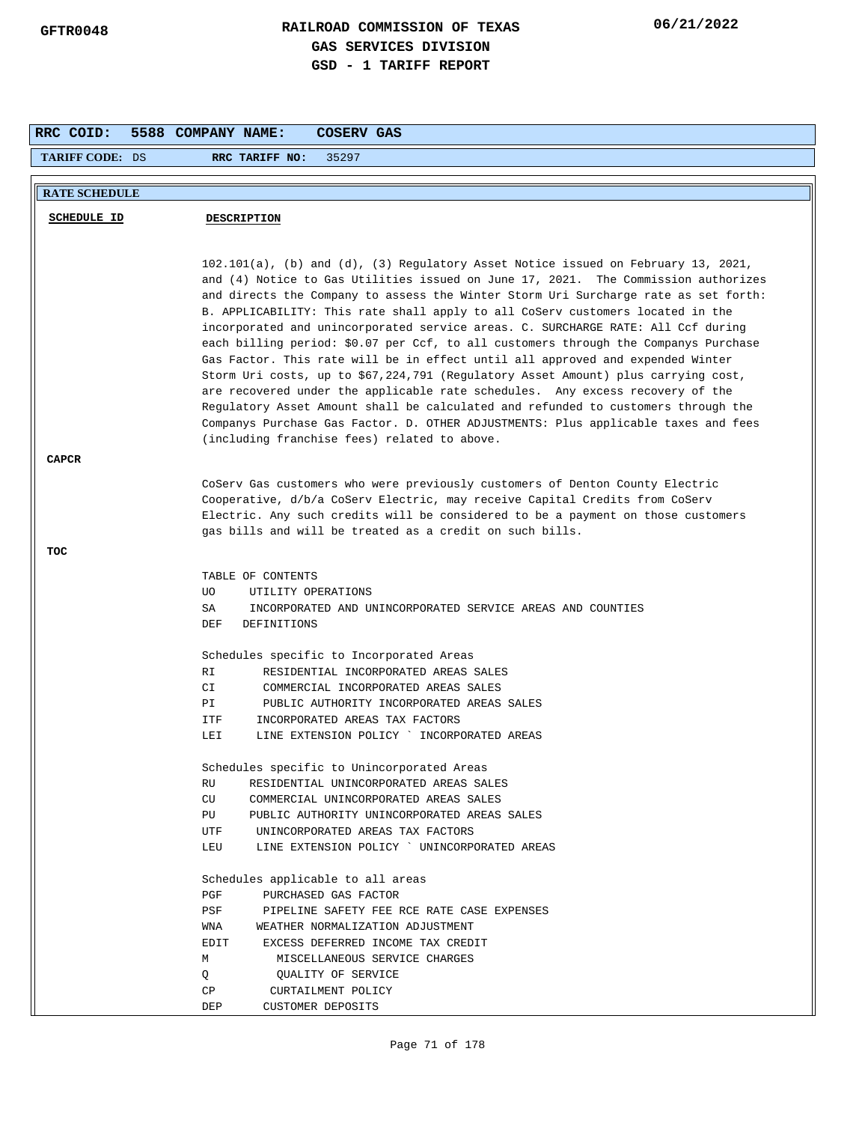| <b>TARIFF CODE: DS</b><br>RRC TARIFF NO:<br>35297<br><b>RATE SCHEDULE</b><br><b>SCHEDULE ID</b><br><b>DESCRIPTION</b><br>102.101(a), (b) and (d), (3) Regulatory Asset Notice issued on February 13, 2021,<br>and (4) Notice to Gas Utilities issued on June 17, 2021. The Commission authorizes<br>and directs the Company to assess the Winter Storm Uri Surcharge rate as set forth:<br>B. APPLICABILITY: This rate shall apply to all CoServ customers located in the<br>incorporated and unincorporated service areas. C. SURCHARGE RATE: All Ccf during<br>each billing period: \$0.07 per Ccf, to all customers through the Companys Purchase<br>Gas Factor. This rate will be in effect until all approved and expended Winter<br>Storm Uri costs, up to \$67,224,791 (Regulatory Asset Amount) plus carrying cost,<br>are recovered under the applicable rate schedules. Any excess recovery of the<br>Regulatory Asset Amount shall be calculated and refunded to customers through the<br>Companys Purchase Gas Factor. D. OTHER ADJUSTMENTS: Plus applicable taxes and fees<br>(including franchise fees) related to above.<br><b>CAPCR</b><br>CoServ Gas customers who were previously customers of Denton County Electric<br>Cooperative, d/b/a CoServ Electric, may receive Capital Credits from CoServ<br>Electric. Any such credits will be considered to be a payment on those customers<br>gas bills and will be treated as a credit on such bills.<br>TOC<br>TABLE OF CONTENTS<br>UO.<br>UTILITY OPERATIONS<br>SA<br>INCORPORATED AND UNINCORPORATED SERVICE AREAS AND COUNTIES<br>DEF<br><b>DEFINITIONS</b><br>Schedules specific to Incorporated Areas<br>RI<br>RESIDENTIAL INCORPORATED AREAS SALES<br>CI<br>COMMERCIAL INCORPORATED AREAS SALES<br>PUBLIC AUTHORITY INCORPORATED AREAS SALES<br>PI<br>ITF<br>INCORPORATED AREAS TAX FACTORS<br>LINE EXTENSION POLICY ` INCORPORATED AREAS<br>LEI<br>Schedules specific to Unincorporated Areas<br>RESIDENTIAL UNINCORPORATED AREAS SALES<br>RU<br>CU<br>COMMERCIAL UNINCORPORATED AREAS SALES<br>PU<br>PUBLIC AUTHORITY UNINCORPORATED AREAS SALES<br>UNINCORPORATED AREAS TAX FACTORS<br>UTF<br>LINE EXTENSION POLICY ` UNINCORPORATED AREAS<br>LEU<br>Schedules applicable to all areas<br>PGF<br>PURCHASED GAS FACTOR<br>PSF<br>PIPELINE SAFETY FEE RCE RATE CASE EXPENSES<br>WEATHER NORMALIZATION ADJUSTMENT<br>WNA<br><b>EDIT</b><br>EXCESS DEFERRED INCOME TAX CREDIT<br>MISCELLANEOUS SERVICE CHARGES<br>М | RRC COID: | 5588 COMPANY NAME:<br>COSERV GAS |
|--------------------------------------------------------------------------------------------------------------------------------------------------------------------------------------------------------------------------------------------------------------------------------------------------------------------------------------------------------------------------------------------------------------------------------------------------------------------------------------------------------------------------------------------------------------------------------------------------------------------------------------------------------------------------------------------------------------------------------------------------------------------------------------------------------------------------------------------------------------------------------------------------------------------------------------------------------------------------------------------------------------------------------------------------------------------------------------------------------------------------------------------------------------------------------------------------------------------------------------------------------------------------------------------------------------------------------------------------------------------------------------------------------------------------------------------------------------------------------------------------------------------------------------------------------------------------------------------------------------------------------------------------------------------------------------------------------------------------------------------------------------------------------------------------------------------------------------------------------------------------------------------------------------------------------------------------------------------------------------------------------------------------------------------------------------------------------------------------------------------------------------------------------------------------------------------------------------------------------------------------------------------------------------------------------------------------------------------------------------------------------------------------------------------------------------------------------------------------------------------|-----------|----------------------------------|
|                                                                                                                                                                                                                                                                                                                                                                                                                                                                                                                                                                                                                                                                                                                                                                                                                                                                                                                                                                                                                                                                                                                                                                                                                                                                                                                                                                                                                                                                                                                                                                                                                                                                                                                                                                                                                                                                                                                                                                                                                                                                                                                                                                                                                                                                                                                                                                                                                                                                                            |           |                                  |
|                                                                                                                                                                                                                                                                                                                                                                                                                                                                                                                                                                                                                                                                                                                                                                                                                                                                                                                                                                                                                                                                                                                                                                                                                                                                                                                                                                                                                                                                                                                                                                                                                                                                                                                                                                                                                                                                                                                                                                                                                                                                                                                                                                                                                                                                                                                                                                                                                                                                                            |           |                                  |
|                                                                                                                                                                                                                                                                                                                                                                                                                                                                                                                                                                                                                                                                                                                                                                                                                                                                                                                                                                                                                                                                                                                                                                                                                                                                                                                                                                                                                                                                                                                                                                                                                                                                                                                                                                                                                                                                                                                                                                                                                                                                                                                                                                                                                                                                                                                                                                                                                                                                                            |           |                                  |
|                                                                                                                                                                                                                                                                                                                                                                                                                                                                                                                                                                                                                                                                                                                                                                                                                                                                                                                                                                                                                                                                                                                                                                                                                                                                                                                                                                                                                                                                                                                                                                                                                                                                                                                                                                                                                                                                                                                                                                                                                                                                                                                                                                                                                                                                                                                                                                                                                                                                                            |           |                                  |
|                                                                                                                                                                                                                                                                                                                                                                                                                                                                                                                                                                                                                                                                                                                                                                                                                                                                                                                                                                                                                                                                                                                                                                                                                                                                                                                                                                                                                                                                                                                                                                                                                                                                                                                                                                                                                                                                                                                                                                                                                                                                                                                                                                                                                                                                                                                                                                                                                                                                                            |           |                                  |
|                                                                                                                                                                                                                                                                                                                                                                                                                                                                                                                                                                                                                                                                                                                                                                                                                                                                                                                                                                                                                                                                                                                                                                                                                                                                                                                                                                                                                                                                                                                                                                                                                                                                                                                                                                                                                                                                                                                                                                                                                                                                                                                                                                                                                                                                                                                                                                                                                                                                                            |           |                                  |
|                                                                                                                                                                                                                                                                                                                                                                                                                                                                                                                                                                                                                                                                                                                                                                                                                                                                                                                                                                                                                                                                                                                                                                                                                                                                                                                                                                                                                                                                                                                                                                                                                                                                                                                                                                                                                                                                                                                                                                                                                                                                                                                                                                                                                                                                                                                                                                                                                                                                                            |           |                                  |
|                                                                                                                                                                                                                                                                                                                                                                                                                                                                                                                                                                                                                                                                                                                                                                                                                                                                                                                                                                                                                                                                                                                                                                                                                                                                                                                                                                                                                                                                                                                                                                                                                                                                                                                                                                                                                                                                                                                                                                                                                                                                                                                                                                                                                                                                                                                                                                                                                                                                                            |           |                                  |
|                                                                                                                                                                                                                                                                                                                                                                                                                                                                                                                                                                                                                                                                                                                                                                                                                                                                                                                                                                                                                                                                                                                                                                                                                                                                                                                                                                                                                                                                                                                                                                                                                                                                                                                                                                                                                                                                                                                                                                                                                                                                                                                                                                                                                                                                                                                                                                                                                                                                                            |           |                                  |
|                                                                                                                                                                                                                                                                                                                                                                                                                                                                                                                                                                                                                                                                                                                                                                                                                                                                                                                                                                                                                                                                                                                                                                                                                                                                                                                                                                                                                                                                                                                                                                                                                                                                                                                                                                                                                                                                                                                                                                                                                                                                                                                                                                                                                                                                                                                                                                                                                                                                                            |           |                                  |
|                                                                                                                                                                                                                                                                                                                                                                                                                                                                                                                                                                                                                                                                                                                                                                                                                                                                                                                                                                                                                                                                                                                                                                                                                                                                                                                                                                                                                                                                                                                                                                                                                                                                                                                                                                                                                                                                                                                                                                                                                                                                                                                                                                                                                                                                                                                                                                                                                                                                                            |           |                                  |
|                                                                                                                                                                                                                                                                                                                                                                                                                                                                                                                                                                                                                                                                                                                                                                                                                                                                                                                                                                                                                                                                                                                                                                                                                                                                                                                                                                                                                                                                                                                                                                                                                                                                                                                                                                                                                                                                                                                                                                                                                                                                                                                                                                                                                                                                                                                                                                                                                                                                                            |           |                                  |
|                                                                                                                                                                                                                                                                                                                                                                                                                                                                                                                                                                                                                                                                                                                                                                                                                                                                                                                                                                                                                                                                                                                                                                                                                                                                                                                                                                                                                                                                                                                                                                                                                                                                                                                                                                                                                                                                                                                                                                                                                                                                                                                                                                                                                                                                                                                                                                                                                                                                                            |           |                                  |
|                                                                                                                                                                                                                                                                                                                                                                                                                                                                                                                                                                                                                                                                                                                                                                                                                                                                                                                                                                                                                                                                                                                                                                                                                                                                                                                                                                                                                                                                                                                                                                                                                                                                                                                                                                                                                                                                                                                                                                                                                                                                                                                                                                                                                                                                                                                                                                                                                                                                                            |           |                                  |
|                                                                                                                                                                                                                                                                                                                                                                                                                                                                                                                                                                                                                                                                                                                                                                                                                                                                                                                                                                                                                                                                                                                                                                                                                                                                                                                                                                                                                                                                                                                                                                                                                                                                                                                                                                                                                                                                                                                                                                                                                                                                                                                                                                                                                                                                                                                                                                                                                                                                                            |           |                                  |
|                                                                                                                                                                                                                                                                                                                                                                                                                                                                                                                                                                                                                                                                                                                                                                                                                                                                                                                                                                                                                                                                                                                                                                                                                                                                                                                                                                                                                                                                                                                                                                                                                                                                                                                                                                                                                                                                                                                                                                                                                                                                                                                                                                                                                                                                                                                                                                                                                                                                                            |           |                                  |
|                                                                                                                                                                                                                                                                                                                                                                                                                                                                                                                                                                                                                                                                                                                                                                                                                                                                                                                                                                                                                                                                                                                                                                                                                                                                                                                                                                                                                                                                                                                                                                                                                                                                                                                                                                                                                                                                                                                                                                                                                                                                                                                                                                                                                                                                                                                                                                                                                                                                                            |           |                                  |
|                                                                                                                                                                                                                                                                                                                                                                                                                                                                                                                                                                                                                                                                                                                                                                                                                                                                                                                                                                                                                                                                                                                                                                                                                                                                                                                                                                                                                                                                                                                                                                                                                                                                                                                                                                                                                                                                                                                                                                                                                                                                                                                                                                                                                                                                                                                                                                                                                                                                                            |           |                                  |
|                                                                                                                                                                                                                                                                                                                                                                                                                                                                                                                                                                                                                                                                                                                                                                                                                                                                                                                                                                                                                                                                                                                                                                                                                                                                                                                                                                                                                                                                                                                                                                                                                                                                                                                                                                                                                                                                                                                                                                                                                                                                                                                                                                                                                                                                                                                                                                                                                                                                                            |           |                                  |
|                                                                                                                                                                                                                                                                                                                                                                                                                                                                                                                                                                                                                                                                                                                                                                                                                                                                                                                                                                                                                                                                                                                                                                                                                                                                                                                                                                                                                                                                                                                                                                                                                                                                                                                                                                                                                                                                                                                                                                                                                                                                                                                                                                                                                                                                                                                                                                                                                                                                                            |           |                                  |
|                                                                                                                                                                                                                                                                                                                                                                                                                                                                                                                                                                                                                                                                                                                                                                                                                                                                                                                                                                                                                                                                                                                                                                                                                                                                                                                                                                                                                                                                                                                                                                                                                                                                                                                                                                                                                                                                                                                                                                                                                                                                                                                                                                                                                                                                                                                                                                                                                                                                                            |           |                                  |
|                                                                                                                                                                                                                                                                                                                                                                                                                                                                                                                                                                                                                                                                                                                                                                                                                                                                                                                                                                                                                                                                                                                                                                                                                                                                                                                                                                                                                                                                                                                                                                                                                                                                                                                                                                                                                                                                                                                                                                                                                                                                                                                                                                                                                                                                                                                                                                                                                                                                                            |           |                                  |
|                                                                                                                                                                                                                                                                                                                                                                                                                                                                                                                                                                                                                                                                                                                                                                                                                                                                                                                                                                                                                                                                                                                                                                                                                                                                                                                                                                                                                                                                                                                                                                                                                                                                                                                                                                                                                                                                                                                                                                                                                                                                                                                                                                                                                                                                                                                                                                                                                                                                                            |           |                                  |
|                                                                                                                                                                                                                                                                                                                                                                                                                                                                                                                                                                                                                                                                                                                                                                                                                                                                                                                                                                                                                                                                                                                                                                                                                                                                                                                                                                                                                                                                                                                                                                                                                                                                                                                                                                                                                                                                                                                                                                                                                                                                                                                                                                                                                                                                                                                                                                                                                                                                                            |           |                                  |
|                                                                                                                                                                                                                                                                                                                                                                                                                                                                                                                                                                                                                                                                                                                                                                                                                                                                                                                                                                                                                                                                                                                                                                                                                                                                                                                                                                                                                                                                                                                                                                                                                                                                                                                                                                                                                                                                                                                                                                                                                                                                                                                                                                                                                                                                                                                                                                                                                                                                                            |           |                                  |
|                                                                                                                                                                                                                                                                                                                                                                                                                                                                                                                                                                                                                                                                                                                                                                                                                                                                                                                                                                                                                                                                                                                                                                                                                                                                                                                                                                                                                                                                                                                                                                                                                                                                                                                                                                                                                                                                                                                                                                                                                                                                                                                                                                                                                                                                                                                                                                                                                                                                                            |           |                                  |
|                                                                                                                                                                                                                                                                                                                                                                                                                                                                                                                                                                                                                                                                                                                                                                                                                                                                                                                                                                                                                                                                                                                                                                                                                                                                                                                                                                                                                                                                                                                                                                                                                                                                                                                                                                                                                                                                                                                                                                                                                                                                                                                                                                                                                                                                                                                                                                                                                                                                                            |           |                                  |
|                                                                                                                                                                                                                                                                                                                                                                                                                                                                                                                                                                                                                                                                                                                                                                                                                                                                                                                                                                                                                                                                                                                                                                                                                                                                                                                                                                                                                                                                                                                                                                                                                                                                                                                                                                                                                                                                                                                                                                                                                                                                                                                                                                                                                                                                                                                                                                                                                                                                                            |           |                                  |
|                                                                                                                                                                                                                                                                                                                                                                                                                                                                                                                                                                                                                                                                                                                                                                                                                                                                                                                                                                                                                                                                                                                                                                                                                                                                                                                                                                                                                                                                                                                                                                                                                                                                                                                                                                                                                                                                                                                                                                                                                                                                                                                                                                                                                                                                                                                                                                                                                                                                                            |           |                                  |
|                                                                                                                                                                                                                                                                                                                                                                                                                                                                                                                                                                                                                                                                                                                                                                                                                                                                                                                                                                                                                                                                                                                                                                                                                                                                                                                                                                                                                                                                                                                                                                                                                                                                                                                                                                                                                                                                                                                                                                                                                                                                                                                                                                                                                                                                                                                                                                                                                                                                                            |           |                                  |
|                                                                                                                                                                                                                                                                                                                                                                                                                                                                                                                                                                                                                                                                                                                                                                                                                                                                                                                                                                                                                                                                                                                                                                                                                                                                                                                                                                                                                                                                                                                                                                                                                                                                                                                                                                                                                                                                                                                                                                                                                                                                                                                                                                                                                                                                                                                                                                                                                                                                                            |           |                                  |
|                                                                                                                                                                                                                                                                                                                                                                                                                                                                                                                                                                                                                                                                                                                                                                                                                                                                                                                                                                                                                                                                                                                                                                                                                                                                                                                                                                                                                                                                                                                                                                                                                                                                                                                                                                                                                                                                                                                                                                                                                                                                                                                                                                                                                                                                                                                                                                                                                                                                                            |           |                                  |
|                                                                                                                                                                                                                                                                                                                                                                                                                                                                                                                                                                                                                                                                                                                                                                                                                                                                                                                                                                                                                                                                                                                                                                                                                                                                                                                                                                                                                                                                                                                                                                                                                                                                                                                                                                                                                                                                                                                                                                                                                                                                                                                                                                                                                                                                                                                                                                                                                                                                                            |           |                                  |
| Q<br>QUALITY OF SERVICE                                                                                                                                                                                                                                                                                                                                                                                                                                                                                                                                                                                                                                                                                                                                                                                                                                                                                                                                                                                                                                                                                                                                                                                                                                                                                                                                                                                                                                                                                                                                                                                                                                                                                                                                                                                                                                                                                                                                                                                                                                                                                                                                                                                                                                                                                                                                                                                                                                                                    |           |                                  |
| СP<br>CURTAILMENT POLICY<br>DEP<br><b>CUSTOMER DEPOSITS</b>                                                                                                                                                                                                                                                                                                                                                                                                                                                                                                                                                                                                                                                                                                                                                                                                                                                                                                                                                                                                                                                                                                                                                                                                                                                                                                                                                                                                                                                                                                                                                                                                                                                                                                                                                                                                                                                                                                                                                                                                                                                                                                                                                                                                                                                                                                                                                                                                                                |           |                                  |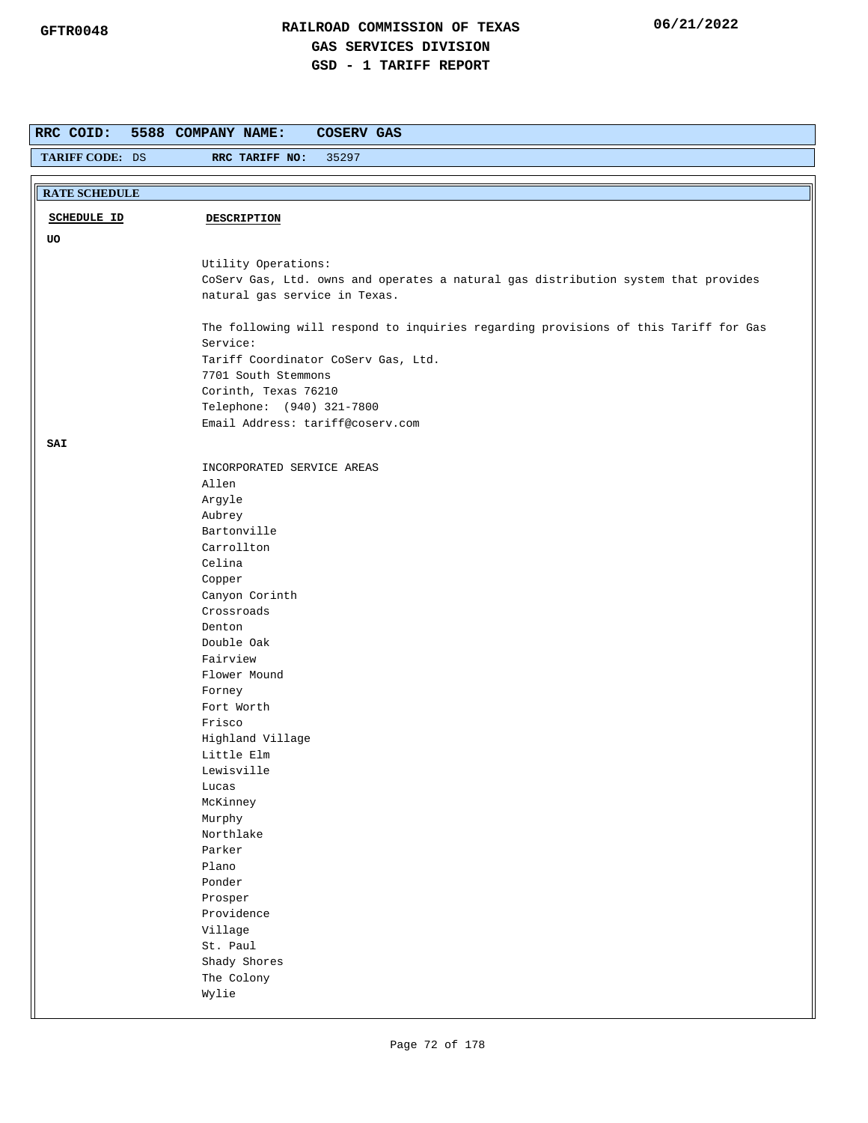| RRC COID:            | 5588 COMPANY NAME:<br><b>COSERV GAS</b>                                             |
|----------------------|-------------------------------------------------------------------------------------|
| TARIFF CODE: DS      | 35297<br>RRC TARIFF NO:                                                             |
|                      |                                                                                     |
| <b>RATE SCHEDULE</b> |                                                                                     |
| <b>SCHEDULE ID</b>   | <b>DESCRIPTION</b>                                                                  |
|                      |                                                                                     |
| UO                   |                                                                                     |
|                      | Utility Operations:                                                                 |
|                      | CoServ Gas, Ltd. owns and operates a natural gas distribution system that provides  |
|                      | natural gas service in Texas.                                                       |
|                      | The following will respond to inquiries regarding provisions of this Tariff for Gas |
|                      | Service:                                                                            |
|                      | Tariff Coordinator CoServ Gas, Ltd.                                                 |
|                      | 7701 South Stemmons                                                                 |
|                      | Corinth, Texas 76210                                                                |
|                      | Telephone: (940) 321-7800                                                           |
|                      | Email Address: tariff@coserv.com                                                    |
| SAI                  |                                                                                     |
|                      | INCORPORATED SERVICE AREAS                                                          |
|                      | Allen                                                                               |
|                      | Argyle                                                                              |
|                      | Aubrey                                                                              |
|                      | Bartonville                                                                         |
|                      | Carrollton                                                                          |
|                      | Celina                                                                              |
|                      | Copper                                                                              |
|                      | Canyon Corinth                                                                      |
|                      | Crossroads<br>Denton                                                                |
|                      | Double Oak                                                                          |
|                      | Fairview                                                                            |
|                      | Flower Mound                                                                        |
|                      | Forney                                                                              |
|                      | Fort Worth                                                                          |
|                      | Frisco                                                                              |
|                      | Highland Village                                                                    |
|                      | Little Elm                                                                          |
|                      | Lewisville                                                                          |
|                      | Lucas<br>McKinney                                                                   |
|                      | Murphy                                                                              |
|                      | Northlake                                                                           |
|                      | Parker                                                                              |
|                      | Plano                                                                               |
|                      | Ponder                                                                              |
|                      | Prosper                                                                             |
|                      | Providence                                                                          |
|                      | Village                                                                             |
|                      | St. Paul                                                                            |
|                      | Shady Shores                                                                        |
|                      | The Colony<br>Wylie                                                                 |
|                      |                                                                                     |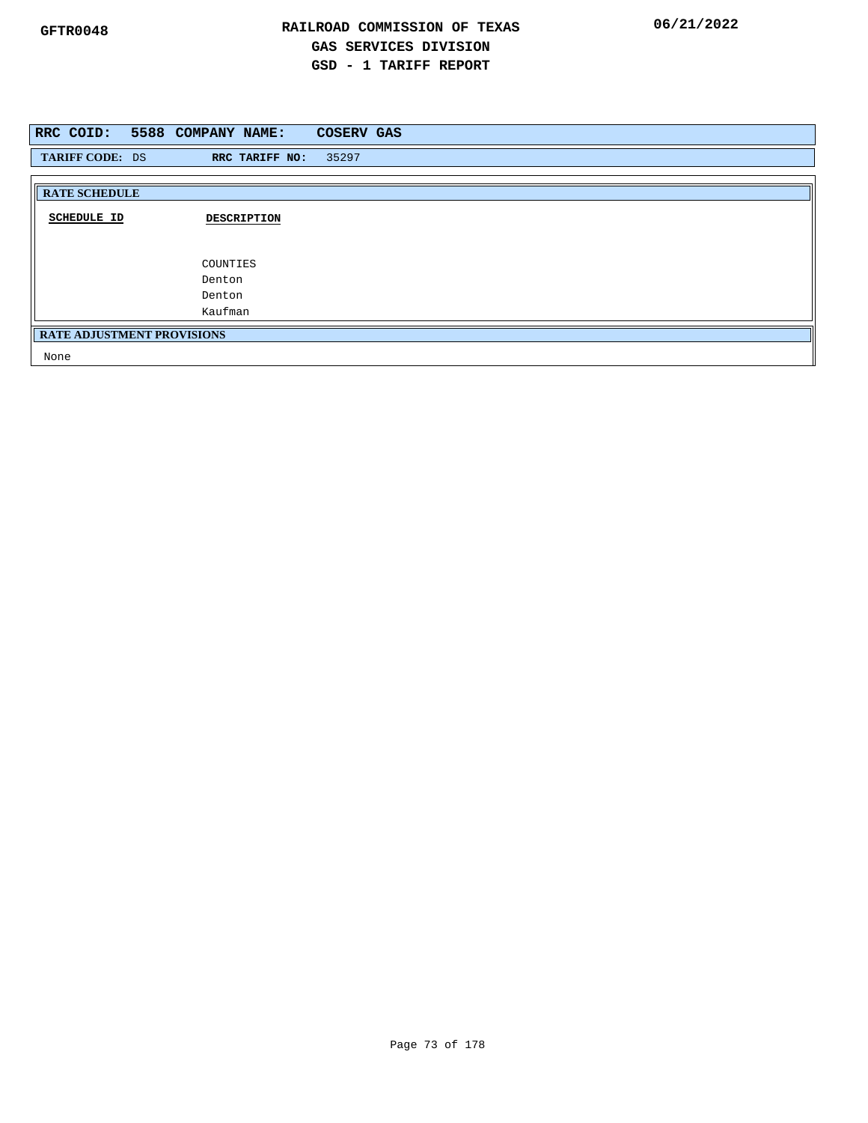|                                   | RRC COID: 5588 COMPANY NAME: | <b>COSERV GAS</b> |
|-----------------------------------|------------------------------|-------------------|
| TARIFF CODE: DS                   | RRC TARIFF NO:               | 35297             |
|                                   |                              |                   |
| <b>RATE SCHEDULE</b>              |                              |                   |
| <b>SCHEDULE ID</b>                | <b>DESCRIPTION</b>           |                   |
|                                   | COUNTIES                     |                   |
|                                   | Denton                       |                   |
|                                   | Denton                       |                   |
|                                   | Kaufman                      |                   |
| <b>RATE ADJUSTMENT PROVISIONS</b> |                              |                   |
| None                              |                              |                   |

Page 73 of 178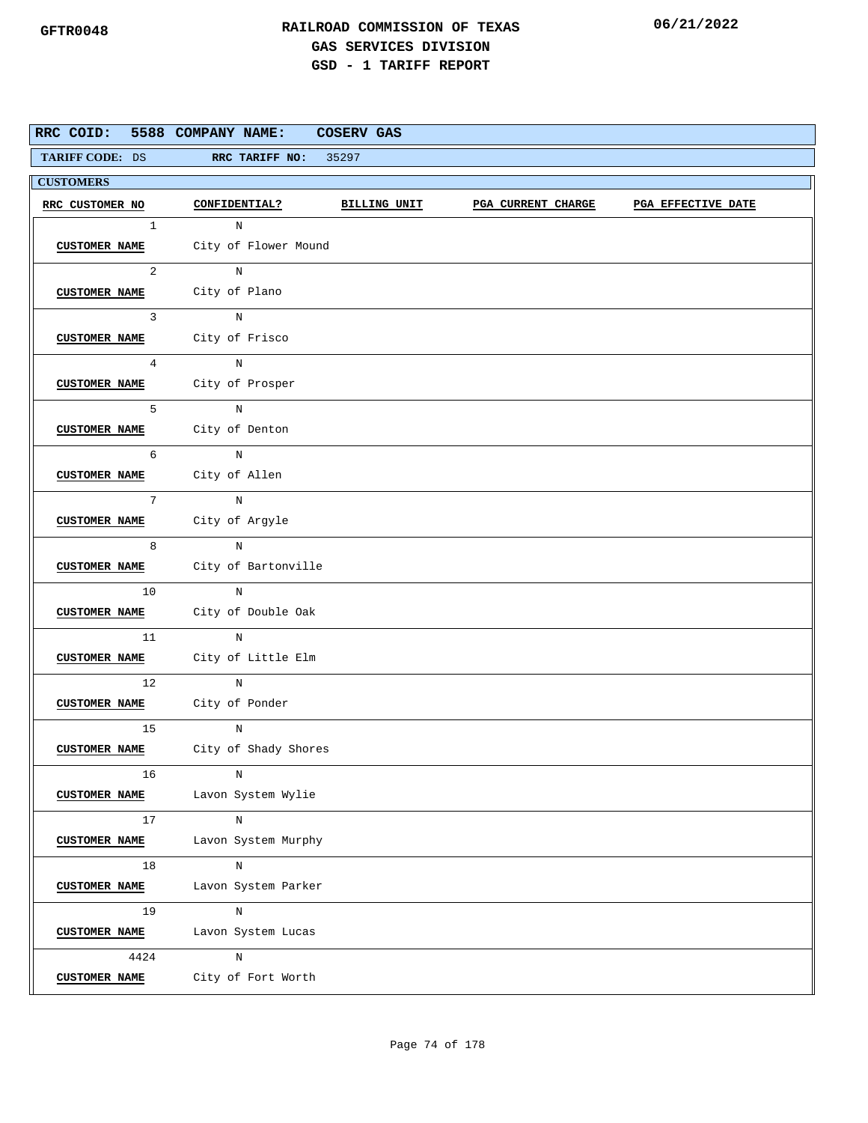| RRC COID:            | 5588 COMPANY NAME:                                                                                                                   | COSERV GAS |                           |                    |
|----------------------|--------------------------------------------------------------------------------------------------------------------------------------|------------|---------------------------|--------------------|
|                      | TARIFF CODE: DS RRC TARIFF NO: 35297                                                                                                 |            |                           |                    |
| <b>CUSTOMERS</b>     |                                                                                                                                      |            |                           |                    |
| RRC CUSTOMER NO      | CONFIDENTIAL? BILLING UNIT                                                                                                           |            | <b>PGA CURRENT CHARGE</b> | PGA EFFECTIVE DATE |
| $1 \quad$            | $\mathbb N$                                                                                                                          |            |                           |                    |
|                      | CUSTOMER NAME City of Flower Mound                                                                                                   |            |                           |                    |
|                      | $2 \left( \frac{1}{2} \right)$<br>N                                                                                                  |            |                           |                    |
|                      | CUSTOMER NAME City of Plano                                                                                                          |            |                           |                    |
| $\mathbf{3}$         | N                                                                                                                                    |            |                           |                    |
|                      | CUSTOMER NAME City of Frisco                                                                                                         |            |                           |                    |
| $4\overline{ }$      | $\overline{N}$                                                                                                                       |            |                           |                    |
|                      | CUSTOMER NAME City of Prosper                                                                                                        |            |                           |                    |
| $5^{\circ}$          | $_{\rm N}$                                                                                                                           |            |                           |                    |
|                      | CUSTOMER NAME City of Denton                                                                                                         |            |                           |                    |
|                      | $6\overline{6}$<br>$\, {\rm N}$                                                                                                      |            |                           |                    |
|                      | CUSTOMER NAME City of Allen                                                                                                          |            |                           |                    |
| 7                    | $\frac{1}{\sqrt{2\pi}}\int_{0}^{\pi}\frac{1}{\sqrt{2\pi}}\left( \frac{1}{\sqrt{2\pi}}\right) \frac{d\mu}{2}d\mu d\nu$<br>$\mathbb N$ |            |                           |                    |
|                      | CUSTOMER NAME City of Argyle                                                                                                         |            |                           |                    |
| 8                    | N                                                                                                                                    |            |                           |                    |
|                      | CUSTOMER NAME City of Bartonville                                                                                                    |            |                           |                    |
| 10                   | N                                                                                                                                    |            |                           |                    |
|                      | CUSTOMER NAME City of Double Oak                                                                                                     |            |                           |                    |
| 11                   | $_{\rm N}$                                                                                                                           |            |                           |                    |
|                      | CUSTOMER NAME City of Little Elm                                                                                                     |            |                           |                    |
|                      | 12<br>$\mathbf N$                                                                                                                    |            |                           |                    |
|                      | CUSTOMER NAME City of Ponder                                                                                                         |            |                           |                    |
| 15                   | N                                                                                                                                    |            |                           |                    |
|                      | CUSTOMER NAME City of Shady Shores                                                                                                   |            |                           |                    |
| 16                   | N                                                                                                                                    |            |                           |                    |
| <b>CUSTOMER NAME</b> | Lavon System Wylie                                                                                                                   |            |                           |                    |
| 17                   | $\, {\rm N}$                                                                                                                         |            |                           |                    |
| <b>CUSTOMER NAME</b> | Lavon System Murphy                                                                                                                  |            |                           |                    |
| 18                   | N                                                                                                                                    |            |                           |                    |
| <b>CUSTOMER NAME</b> | Lavon System Parker                                                                                                                  |            |                           |                    |
| 19                   | $\mathbf N$                                                                                                                          |            |                           |                    |
| <b>CUSTOMER NAME</b> | Lavon System Lucas                                                                                                                   |            |                           |                    |
| 4424                 | $\, {\rm N}$                                                                                                                         |            |                           |                    |
| <b>CUSTOMER NAME</b> | City of Fort Worth                                                                                                                   |            |                           |                    |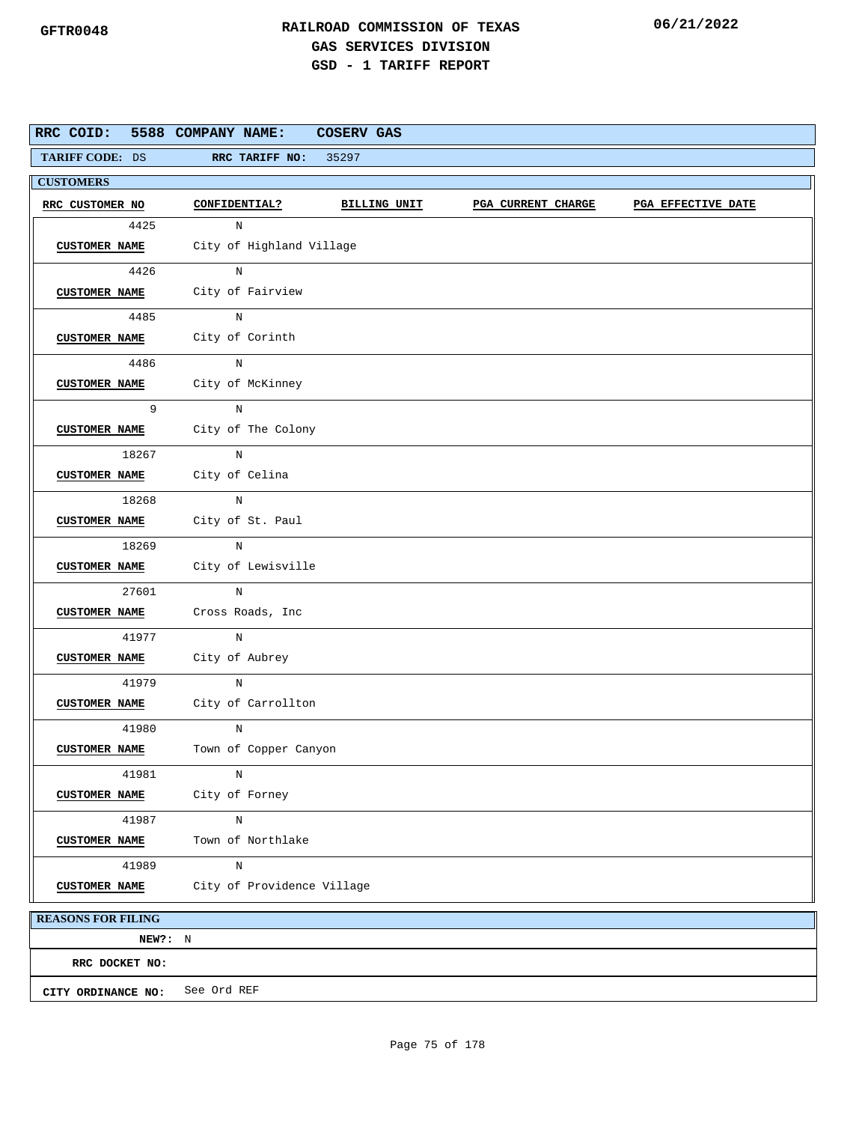| RRC COID: 5588 COMPANY NAME: | <b>COSERV GAS</b>                                                                       |
|------------------------------|-----------------------------------------------------------------------------------------|
| <b>TARIFF CODE: DS</b>       | 35297<br>RRC TARIFF NO:                                                                 |
| <b>CUSTOMERS</b>             |                                                                                         |
| RRC CUSTOMER NO              | <b>CONFIDENTIAL?</b><br>BILLING UNIT<br><b>PGA CURRENT CHARGE</b><br>PGA EFFECTIVE DATE |
| 4425                         | N                                                                                       |
| <b>CUSTOMER NAME</b>         | City of Highland Village                                                                |
| 4426                         | N                                                                                       |
| <b>CUSTOMER NAME</b>         | City of Fairview                                                                        |
| 4485                         | N                                                                                       |
| <b>CUSTOMER NAME</b>         | City of Corinth                                                                         |
| 4486                         | N                                                                                       |
| <b>CUSTOMER NAME</b>         | City of McKinney                                                                        |
| 9                            | N                                                                                       |
| <b>CUSTOMER NAME</b>         | City of The Colony                                                                      |
| 18267                        | N                                                                                       |
|                              | CUSTOMER NAME City of Celina                                                            |
| 18268                        | $\mathbf N$                                                                             |
|                              | CUSTOMER NAME City of St. Paul                                                          |
| 18269                        | N                                                                                       |
| <b>CUSTOMER NAME</b>         | City of Lewisville                                                                      |
| 27601                        | N                                                                                       |
| <b>CUSTOMER NAME</b>         | Cross Roads, Inc                                                                        |
| 41977                        | $\, {\rm N}$                                                                            |
| <b>CUSTOMER NAME</b>         | City of Aubrey                                                                          |
| 41979                        | N                                                                                       |
| <b>CUSTOMER NAME</b>         | City of Carrollton                                                                      |
| 41980                        | N                                                                                       |
| <b>CUSTOMER NAME</b>         | Town of Copper Canyon                                                                   |
| 41981                        | $\rm N$                                                                                 |
| <b>CUSTOMER NAME</b>         | City of Forney                                                                          |
| 41987                        | $\rm N$                                                                                 |
| <b>CUSTOMER NAME</b>         | Town of Northlake                                                                       |
| 41989                        | $\mathbf N$                                                                             |
| <b>CUSTOMER NAME</b>         | City of Providence Village                                                              |
| <b>REASONS FOR FILING</b>    |                                                                                         |

**NEW?:** N **CITY ORDINANCE NO:** See Ord REF **RRC DOCKET NO:**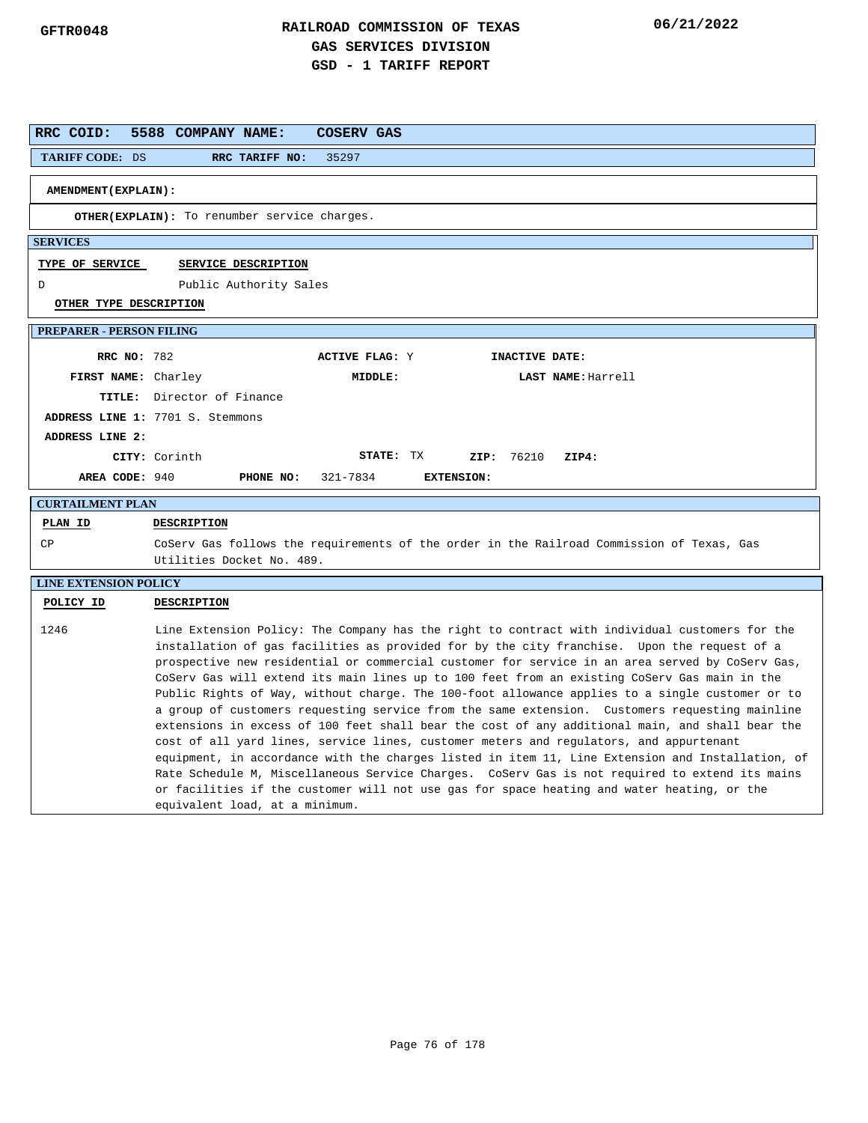| RRC COID:                       | 5588 COMPANY NAME:<br><b>COSERV GAS</b>                                                                                                                                                                                                                                                                                                                                                                                                                                                                                                                                                                                                                                                                                                                                                                                                                                                                                                                                                                                                                                                                                                  |
|---------------------------------|------------------------------------------------------------------------------------------------------------------------------------------------------------------------------------------------------------------------------------------------------------------------------------------------------------------------------------------------------------------------------------------------------------------------------------------------------------------------------------------------------------------------------------------------------------------------------------------------------------------------------------------------------------------------------------------------------------------------------------------------------------------------------------------------------------------------------------------------------------------------------------------------------------------------------------------------------------------------------------------------------------------------------------------------------------------------------------------------------------------------------------------|
| TARIFF CODE: DS                 | 35297<br>RRC TARIFF NO:                                                                                                                                                                                                                                                                                                                                                                                                                                                                                                                                                                                                                                                                                                                                                                                                                                                                                                                                                                                                                                                                                                                  |
| <b>AMENDMENT (EXPLAIN):</b>     |                                                                                                                                                                                                                                                                                                                                                                                                                                                                                                                                                                                                                                                                                                                                                                                                                                                                                                                                                                                                                                                                                                                                          |
|                                 |                                                                                                                                                                                                                                                                                                                                                                                                                                                                                                                                                                                                                                                                                                                                                                                                                                                                                                                                                                                                                                                                                                                                          |
|                                 | OTHER(EXPLAIN): To renumber service charges.                                                                                                                                                                                                                                                                                                                                                                                                                                                                                                                                                                                                                                                                                                                                                                                                                                                                                                                                                                                                                                                                                             |
| <b>SERVICES</b>                 |                                                                                                                                                                                                                                                                                                                                                                                                                                                                                                                                                                                                                                                                                                                                                                                                                                                                                                                                                                                                                                                                                                                                          |
| <b>TYPE OF SERVICE</b>          | SERVICE DESCRIPTION                                                                                                                                                                                                                                                                                                                                                                                                                                                                                                                                                                                                                                                                                                                                                                                                                                                                                                                                                                                                                                                                                                                      |
| D                               | Public Authority Sales                                                                                                                                                                                                                                                                                                                                                                                                                                                                                                                                                                                                                                                                                                                                                                                                                                                                                                                                                                                                                                                                                                                   |
| OTHER TYPE DESCRIPTION          |                                                                                                                                                                                                                                                                                                                                                                                                                                                                                                                                                                                                                                                                                                                                                                                                                                                                                                                                                                                                                                                                                                                                          |
| <b>PREPARER - PERSON FILING</b> |                                                                                                                                                                                                                                                                                                                                                                                                                                                                                                                                                                                                                                                                                                                                                                                                                                                                                                                                                                                                                                                                                                                                          |
| <b>RRC NO: 782</b>              | <b>ACTIVE FLAG: Y</b><br>INACTIVE DATE:                                                                                                                                                                                                                                                                                                                                                                                                                                                                                                                                                                                                                                                                                                                                                                                                                                                                                                                                                                                                                                                                                                  |
| FIRST NAME: Charley             | MIDDLE:<br>LAST NAME: Harrell                                                                                                                                                                                                                                                                                                                                                                                                                                                                                                                                                                                                                                                                                                                                                                                                                                                                                                                                                                                                                                                                                                            |
|                                 | TITLE: Director of Finance                                                                                                                                                                                                                                                                                                                                                                                                                                                                                                                                                                                                                                                                                                                                                                                                                                                                                                                                                                                                                                                                                                               |
|                                 | ADDRESS LINE 1: 7701 S. Stemmons                                                                                                                                                                                                                                                                                                                                                                                                                                                                                                                                                                                                                                                                                                                                                                                                                                                                                                                                                                                                                                                                                                         |
| ADDRESS LINE 2:                 |                                                                                                                                                                                                                                                                                                                                                                                                                                                                                                                                                                                                                                                                                                                                                                                                                                                                                                                                                                                                                                                                                                                                          |
|                                 | STATE: TX<br>CITY: Corinth<br>ZIP: 76210<br>ZIP4:                                                                                                                                                                                                                                                                                                                                                                                                                                                                                                                                                                                                                                                                                                                                                                                                                                                                                                                                                                                                                                                                                        |
| AREA CODE: 940                  | 321-7834<br><b>EXTENSION:</b><br>PHONE NO:                                                                                                                                                                                                                                                                                                                                                                                                                                                                                                                                                                                                                                                                                                                                                                                                                                                                                                                                                                                                                                                                                               |
| <b>CURTAILMENT PLAN</b>         |                                                                                                                                                                                                                                                                                                                                                                                                                                                                                                                                                                                                                                                                                                                                                                                                                                                                                                                                                                                                                                                                                                                                          |
| PLAN ID                         | <b>DESCRIPTION</b>                                                                                                                                                                                                                                                                                                                                                                                                                                                                                                                                                                                                                                                                                                                                                                                                                                                                                                                                                                                                                                                                                                                       |
| CP                              | CoServ Gas follows the requirements of the order in the Railroad Commission of Texas, Gas<br>Utilities Docket No. 489.                                                                                                                                                                                                                                                                                                                                                                                                                                                                                                                                                                                                                                                                                                                                                                                                                                                                                                                                                                                                                   |
| <b>LINE EXTENSION POLICY</b>    |                                                                                                                                                                                                                                                                                                                                                                                                                                                                                                                                                                                                                                                                                                                                                                                                                                                                                                                                                                                                                                                                                                                                          |
| POLICY ID                       | <b>DESCRIPTION</b>                                                                                                                                                                                                                                                                                                                                                                                                                                                                                                                                                                                                                                                                                                                                                                                                                                                                                                                                                                                                                                                                                                                       |
| 1246                            | Line Extension Policy: The Company has the right to contract with individual customers for the<br>installation of gas facilities as provided for by the city franchise. Upon the request of a<br>prospective new residential or commercial customer for service in an area served by CoServ Gas,<br>CoServ Gas will extend its main lines up to 100 feet from an existing CoServ Gas main in the<br>Public Rights of Way, without charge. The 100-foot allowance applies to a single customer or to<br>a group of customers requesting service from the same extension. Customers requesting mainline<br>extensions in excess of 100 feet shall bear the cost of any additional main, and shall bear the<br>cost of all yard lines, service lines, customer meters and regulators, and appurtenant<br>equipment, in accordance with the charges listed in item 11, Line Extension and Installation, of<br>Rate Schedule M, Miscellaneous Service Charges. CoServ Gas is not required to extend its mains<br>or facilities if the customer will not use gas for space heating and water heating, or the<br>equivalent load, at a minimum. |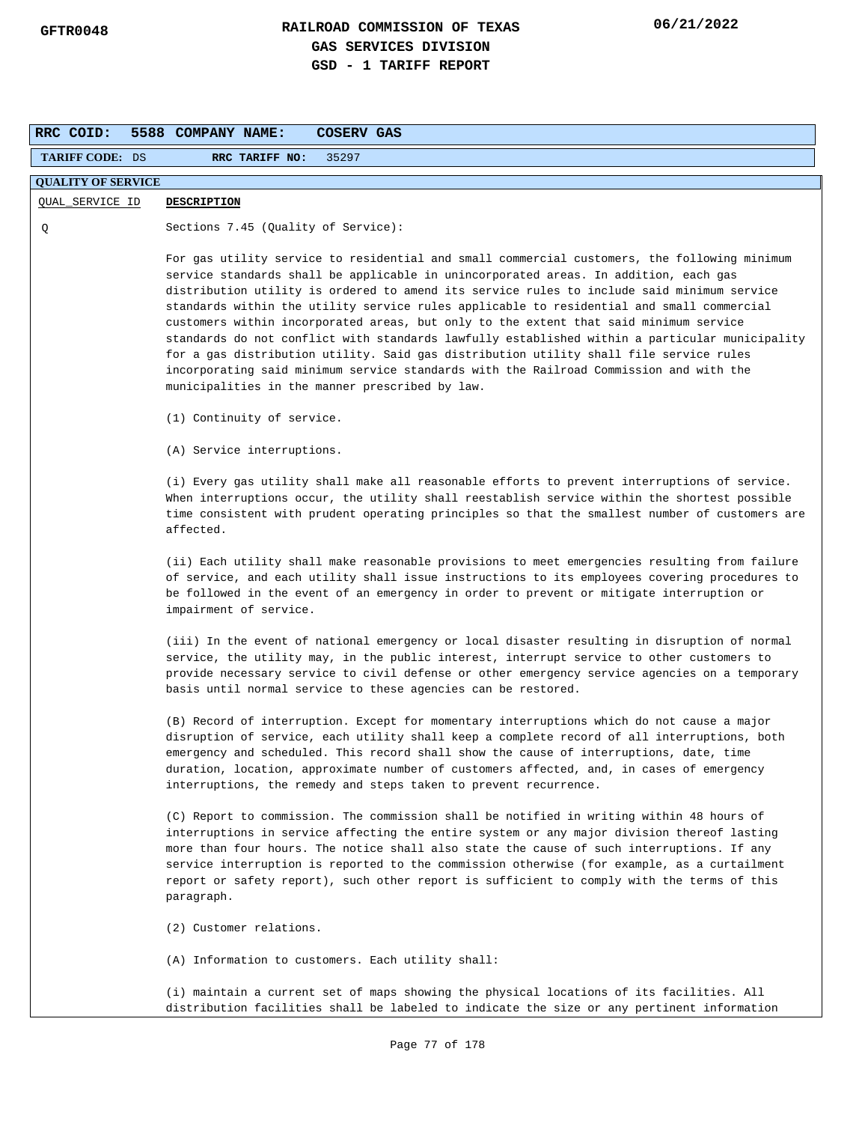| RRC COID:                 | <b>COSERV GAS</b><br>5588 COMPANY NAME:                                                                                                                                                                                                                                                                                                                                                                                                                                                                                                                                                                                                                                                                                                                                                                           |
|---------------------------|-------------------------------------------------------------------------------------------------------------------------------------------------------------------------------------------------------------------------------------------------------------------------------------------------------------------------------------------------------------------------------------------------------------------------------------------------------------------------------------------------------------------------------------------------------------------------------------------------------------------------------------------------------------------------------------------------------------------------------------------------------------------------------------------------------------------|
| <b>TARIFF CODE: DS</b>    | RRC TARIFF NO:<br>35297                                                                                                                                                                                                                                                                                                                                                                                                                                                                                                                                                                                                                                                                                                                                                                                           |
| <b>QUALITY OF SERVICE</b> |                                                                                                                                                                                                                                                                                                                                                                                                                                                                                                                                                                                                                                                                                                                                                                                                                   |
| QUAL_SERVICE ID           | <b>DESCRIPTION</b>                                                                                                                                                                                                                                                                                                                                                                                                                                                                                                                                                                                                                                                                                                                                                                                                |
| Q                         | Sections 7.45 (Quality of Service):                                                                                                                                                                                                                                                                                                                                                                                                                                                                                                                                                                                                                                                                                                                                                                               |
|                           | For gas utility service to residential and small commercial customers, the following minimum<br>service standards shall be applicable in unincorporated areas. In addition, each gas<br>distribution utility is ordered to amend its service rules to include said minimum service<br>standards within the utility service rules applicable to residential and small commercial<br>customers within incorporated areas, but only to the extent that said minimum service<br>standards do not conflict with standards lawfully established within a particular municipality<br>for a gas distribution utility. Said gas distribution utility shall file service rules<br>incorporating said minimum service standards with the Railroad Commission and with the<br>municipalities in the manner prescribed by law. |
|                           | (1) Continuity of service.                                                                                                                                                                                                                                                                                                                                                                                                                                                                                                                                                                                                                                                                                                                                                                                        |
|                           | (A) Service interruptions.                                                                                                                                                                                                                                                                                                                                                                                                                                                                                                                                                                                                                                                                                                                                                                                        |
|                           | (i) Every gas utility shall make all reasonable efforts to prevent interruptions of service.<br>When interruptions occur, the utility shall reestablish service within the shortest possible<br>time consistent with prudent operating principles so that the smallest number of customers are<br>affected.                                                                                                                                                                                                                                                                                                                                                                                                                                                                                                       |
|                           | (ii) Each utility shall make reasonable provisions to meet emergencies resulting from failure<br>of service, and each utility shall issue instructions to its employees covering procedures to<br>be followed in the event of an emergency in order to prevent or mitigate interruption or<br>impairment of service.                                                                                                                                                                                                                                                                                                                                                                                                                                                                                              |
|                           | (iii) In the event of national emergency or local disaster resulting in disruption of normal<br>service, the utility may, in the public interest, interrupt service to other customers to<br>provide necessary service to civil defense or other emergency service agencies on a temporary<br>basis until normal service to these agencies can be restored.                                                                                                                                                                                                                                                                                                                                                                                                                                                       |
|                           | (B) Record of interruption. Except for momentary interruptions which do not cause a major<br>disruption of service, each utility shall keep a complete record of all interruptions, both<br>emergency and scheduled. This record shall show the cause of interruptions, date, time<br>duration, location, approximate number of customers affected, and, in cases of emergency<br>interruptions, the remedy and steps taken to prevent recurrence.                                                                                                                                                                                                                                                                                                                                                                |
|                           | (C) Report to commission. The commission shall be notified in writing within 48 hours of<br>interruptions in service affecting the entire system or any major division thereof lasting<br>more than four hours. The notice shall also state the cause of such interruptions. If any<br>service interruption is reported to the commission otherwise (for example, as a curtailment<br>report or safety report), such other report is sufficient to comply with the terms of this<br>paragraph.                                                                                                                                                                                                                                                                                                                    |
|                           | (2) Customer relations.                                                                                                                                                                                                                                                                                                                                                                                                                                                                                                                                                                                                                                                                                                                                                                                           |
|                           | (A) Information to customers. Each utility shall:                                                                                                                                                                                                                                                                                                                                                                                                                                                                                                                                                                                                                                                                                                                                                                 |
|                           | (i) maintain a current set of maps showing the physical locations of its facilities. All<br>distribution facilities shall be labeled to indicate the size or any pertinent information                                                                                                                                                                                                                                                                                                                                                                                                                                                                                                                                                                                                                            |
|                           | Page 77 of 178                                                                                                                                                                                                                                                                                                                                                                                                                                                                                                                                                                                                                                                                                                                                                                                                    |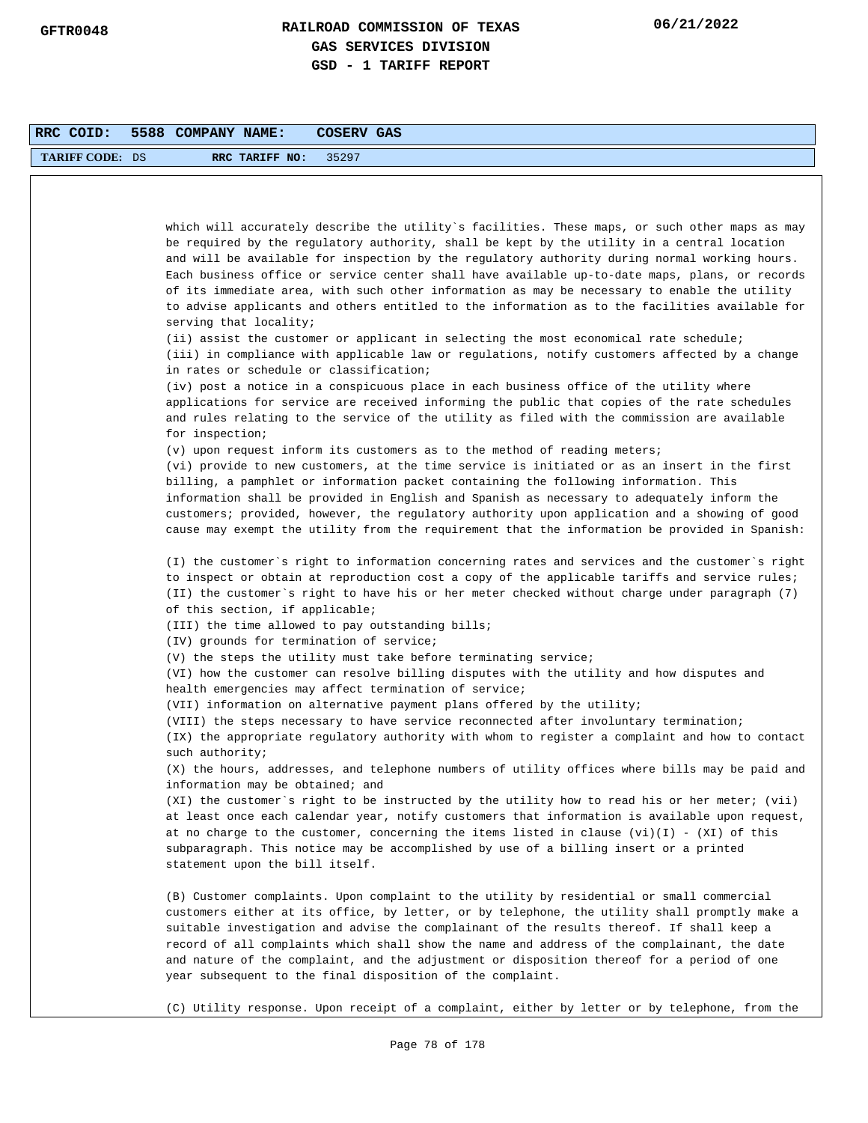| RRC COID:              | 5588 COMPANY NAME:<br>COSERV GAS                                                                                                                                                                                                                                                                                                                                                                                                                                                                                                                                                                                             |
|------------------------|------------------------------------------------------------------------------------------------------------------------------------------------------------------------------------------------------------------------------------------------------------------------------------------------------------------------------------------------------------------------------------------------------------------------------------------------------------------------------------------------------------------------------------------------------------------------------------------------------------------------------|
| <b>TARIFF CODE: DS</b> | RRC TARIFF NO:<br>35297                                                                                                                                                                                                                                                                                                                                                                                                                                                                                                                                                                                                      |
|                        |                                                                                                                                                                                                                                                                                                                                                                                                                                                                                                                                                                                                                              |
|                        |                                                                                                                                                                                                                                                                                                                                                                                                                                                                                                                                                                                                                              |
|                        | which will accurately describe the utility`s facilities. These maps, or such other maps as may<br>be required by the regulatory authority, shall be kept by the utility in a central location<br>and will be available for inspection by the regulatory authority during normal working hours.<br>Each business office or service center shall have available up-to-date maps, plans, or records<br>of its immediate area, with such other information as may be necessary to enable the utility<br>to advise applicants and others entitled to the information as to the facilities available for<br>serving that locality; |
|                        | $(i)$ assist the customer or applicant in selecting the most economical rate schedule;<br>(iii) in compliance with applicable law or regulations, notify customers affected by a change<br>in rates or schedule or classification;                                                                                                                                                                                                                                                                                                                                                                                           |
|                        | (iv) post a notice in a conspicuous place in each business office of the utility where<br>applications for service are received informing the public that copies of the rate schedules<br>and rules relating to the service of the utility as filed with the commission are available<br>for inspection;                                                                                                                                                                                                                                                                                                                     |
|                        | (v) upon request inform its customers as to the method of reading meters;                                                                                                                                                                                                                                                                                                                                                                                                                                                                                                                                                    |
|                        | (vi) provide to new customers, at the time service is initiated or as an insert in the first<br>billing, a pamphlet or information packet containing the following information. This<br>information shall be provided in English and Spanish as necessary to adequately inform the<br>customers; provided, however, the regulatory authority upon application and a showing of good<br>cause may exempt the utility from the requirement that the information be provided in Spanish:                                                                                                                                        |
|                        | (I) the customer's right to information concerning rates and services and the customer's right<br>to inspect or obtain at reproduction cost a copy of the applicable tariffs and service rules;<br>(II) the customer`s right to have his or her meter checked without charge under paragraph (7)<br>of this section, if applicable;                                                                                                                                                                                                                                                                                          |
|                        | (III) the time allowed to pay outstanding bills;                                                                                                                                                                                                                                                                                                                                                                                                                                                                                                                                                                             |
|                        | (IV) grounds for termination of service;                                                                                                                                                                                                                                                                                                                                                                                                                                                                                                                                                                                     |
|                        | $(V)$ the steps the utility must take before terminating service;<br>(VI) how the customer can resolve billing disputes with the utility and how disputes and<br>health emergencies may affect termination of service;                                                                                                                                                                                                                                                                                                                                                                                                       |
|                        | (VII) information on alternative payment plans offered by the utility;                                                                                                                                                                                                                                                                                                                                                                                                                                                                                                                                                       |
|                        | (VIII) the steps necessary to have service reconnected after involuntary termination;<br>(IX) the appropriate regulatory authority with whom to register a complaint and how to contact                                                                                                                                                                                                                                                                                                                                                                                                                                      |
|                        | such authority;<br>(X) the hours, addresses, and telephone numbers of utility offices where bills may be paid and<br>information may be obtained; and                                                                                                                                                                                                                                                                                                                                                                                                                                                                        |
|                        | (XI) the customer's right to be instructed by the utility how to read his or her meter; (vii)<br>at least once each calendar year, notify customers that information is available upon request,<br>at no charge to the customer, concerning the items listed in clause (vi)(I) - (XI) of this<br>subparagraph. This notice may be accomplished by use of a billing insert or a printed<br>statement upon the bill itself.                                                                                                                                                                                                    |
|                        | (B) Customer complaints. Upon complaint to the utility by residential or small commercial<br>customers either at its office, by letter, or by telephone, the utility shall promptly make a<br>suitable investigation and advise the complainant of the results thereof. If shall keep a<br>record of all complaints which shall show the name and address of the complainant, the date<br>and nature of the complaint, and the adjustment or disposition thereof for a period of one<br>year subsequent to the final disposition of the complaint.                                                                           |
|                        | (C) Utility response. Upon receipt of a complaint, either by letter or by telephone, from the                                                                                                                                                                                                                                                                                                                                                                                                                                                                                                                                |
|                        | Page 78 of 178                                                                                                                                                                                                                                                                                                                                                                                                                                                                                                                                                                                                               |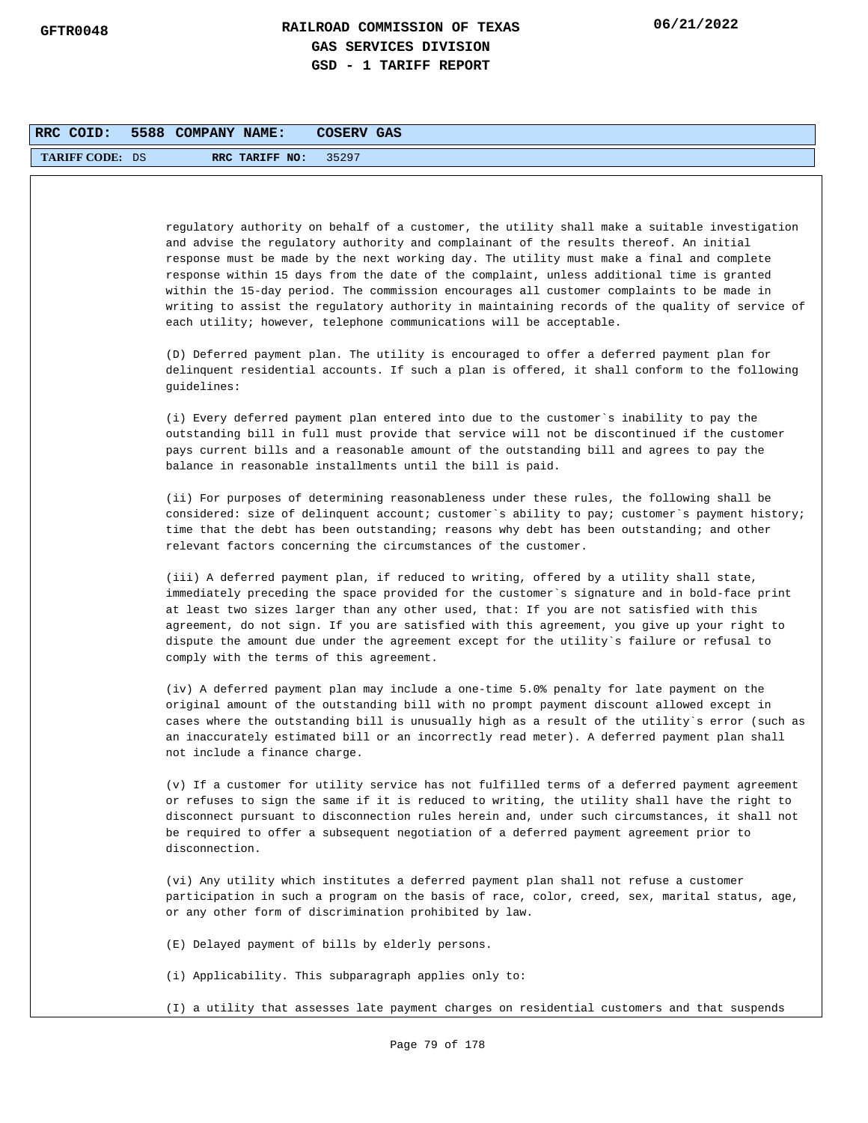| RRC COID:              | 5588 COMPANY NAME:<br>COSERV GAS                                                                                                                                                                                                                                                                                                                                                                                                                                                                                                                                                                                                                        |
|------------------------|---------------------------------------------------------------------------------------------------------------------------------------------------------------------------------------------------------------------------------------------------------------------------------------------------------------------------------------------------------------------------------------------------------------------------------------------------------------------------------------------------------------------------------------------------------------------------------------------------------------------------------------------------------|
| <b>TARIFF CODE: DS</b> | RRC TARIFF NO:<br>35297                                                                                                                                                                                                                                                                                                                                                                                                                                                                                                                                                                                                                                 |
|                        |                                                                                                                                                                                                                                                                                                                                                                                                                                                                                                                                                                                                                                                         |
|                        |                                                                                                                                                                                                                                                                                                                                                                                                                                                                                                                                                                                                                                                         |
|                        | regulatory authority on behalf of a customer, the utility shall make a suitable investigation<br>and advise the regulatory authority and complainant of the results thereof. An initial<br>response must be made by the next working day. The utility must make a final and complete<br>response within 15 days from the date of the complaint, unless additional time is granted<br>within the 15-day period. The commission encourages all customer complaints to be made in<br>writing to assist the regulatory authority in maintaining records of the quality of service of<br>each utility; however, telephone communications will be acceptable. |
|                        | (D) Deferred payment plan. The utility is encouraged to offer a deferred payment plan for<br>delinquent residential accounts. If such a plan is offered, it shall conform to the following<br>quidelines:                                                                                                                                                                                                                                                                                                                                                                                                                                               |
|                        | (i) Every deferred payment plan entered into due to the customer's inability to pay the<br>outstanding bill in full must provide that service will not be discontinued if the customer<br>pays current bills and a reasonable amount of the outstanding bill and agrees to pay the<br>balance in reasonable installments until the bill is paid.                                                                                                                                                                                                                                                                                                        |
|                        | (ii) For purposes of determining reasonableness under these rules, the following shall be<br>considered: size of delinquent account; customer's ability to pay; customer's payment history;<br>time that the debt has been outstanding; reasons why debt has been outstanding; and other<br>relevant factors concerning the circumstances of the customer.                                                                                                                                                                                                                                                                                              |
|                        | (iii) A deferred payment plan, if reduced to writing, offered by a utility shall state,<br>immediately preceding the space provided for the customer`s signature and in bold-face print<br>at least two sizes larger than any other used, that: If you are not satisfied with this<br>agreement, do not sign. If you are satisfied with this agreement, you give up your right to<br>dispute the amount due under the agreement except for the utility`s failure or refusal to<br>comply with the terms of this agreement.                                                                                                                              |
|                        | (iv) A deferred payment plan may include a one-time 5.0% penalty for late payment on the<br>original amount of the outstanding bill with no prompt payment discount allowed except in<br>cases where the outstanding bill is unusually high as a result of the utility`s error (such as<br>an inaccurately estimated bill or an incorrectly read meter). A deferred payment plan shall<br>not include a finance charge.                                                                                                                                                                                                                                 |
|                        | (v) If a customer for utility service has not fulfilled terms of a deferred payment agreement<br>or refuses to sign the same if it is reduced to writing, the utility shall have the right to<br>disconnect pursuant to disconnection rules herein and, under such circumstances, it shall not<br>be required to offer a subsequent negotiation of a deferred payment agreement prior to<br>disconnection.                                                                                                                                                                                                                                              |
|                        | (vi) Any utility which institutes a deferred payment plan shall not refuse a customer<br>participation in such a program on the basis of race, color, creed, sex, marital status, age,<br>or any other form of discrimination prohibited by law.                                                                                                                                                                                                                                                                                                                                                                                                        |
|                        | (E) Delayed payment of bills by elderly persons.                                                                                                                                                                                                                                                                                                                                                                                                                                                                                                                                                                                                        |
|                        | (i) Applicability. This subparagraph applies only to:                                                                                                                                                                                                                                                                                                                                                                                                                                                                                                                                                                                                   |
|                        | (I) a utility that assesses late payment charges on residential customers and that suspends                                                                                                                                                                                                                                                                                                                                                                                                                                                                                                                                                             |
|                        | Page 79 of 178                                                                                                                                                                                                                                                                                                                                                                                                                                                                                                                                                                                                                                          |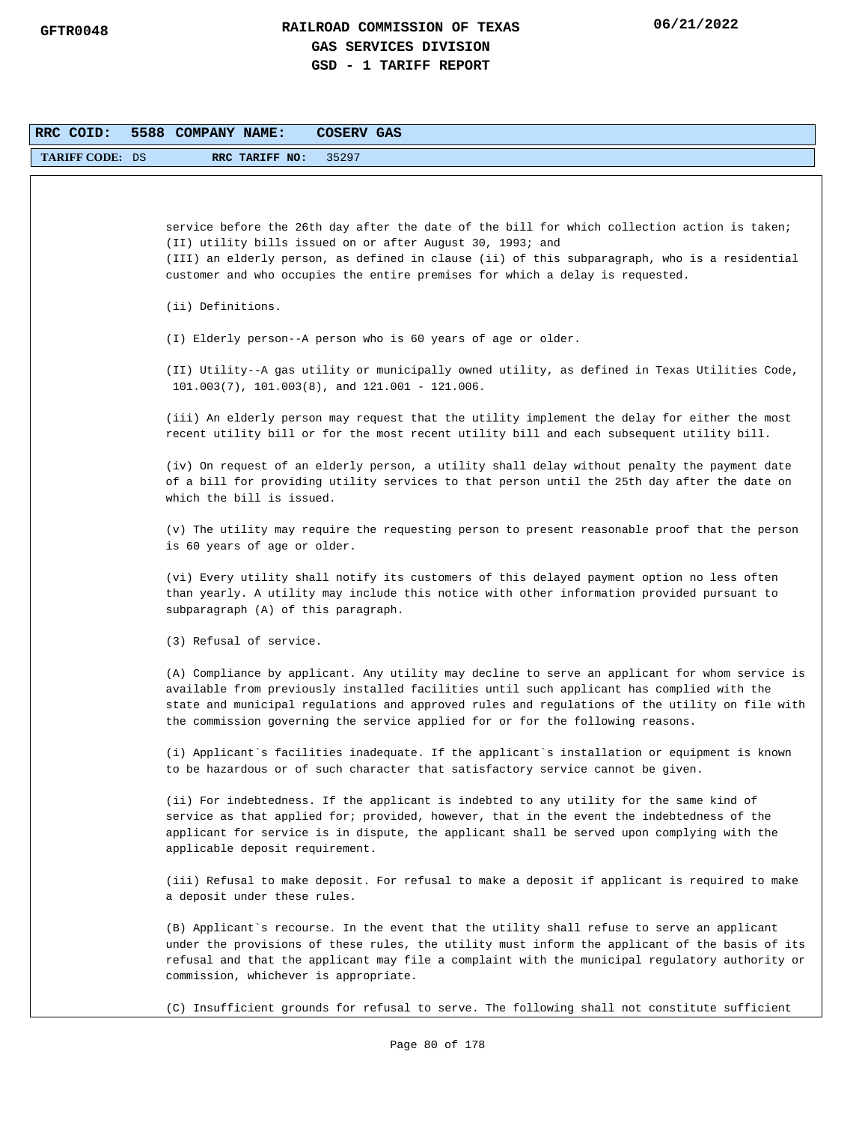| RRC COID:              | 5588 COMPANY NAME:<br>COSERV GAS                                                                                                                                                                                                                                                                                                                                                |
|------------------------|---------------------------------------------------------------------------------------------------------------------------------------------------------------------------------------------------------------------------------------------------------------------------------------------------------------------------------------------------------------------------------|
| <b>TARIFF CODE: DS</b> | RRC TARIFF NO:<br>35297                                                                                                                                                                                                                                                                                                                                                         |
|                        |                                                                                                                                                                                                                                                                                                                                                                                 |
|                        | service before the 26th day after the date of the bill for which collection action is taken;<br>(II) utility bills issued on or after August 30, 1993; and<br>(III) an elderly person, as defined in clause (ii) of this subparagraph, who is a residential<br>customer and who occupies the entire premises for which a delay is requested.                                    |
|                        | (ii) Definitions.                                                                                                                                                                                                                                                                                                                                                               |
|                        | (I) Elderly person--A person who is 60 years of age or older.                                                                                                                                                                                                                                                                                                                   |
|                        | (II) Utility--A gas utility or municipally owned utility, as defined in Texas Utilities Code,<br>$101.003(7)$ , $101.003(8)$ , and $121.001 - 121.006$ .                                                                                                                                                                                                                        |
|                        | (iii) An elderly person may request that the utility implement the delay for either the most<br>recent utility bill or for the most recent utility bill and each subsequent utility bill.                                                                                                                                                                                       |
|                        | (iv) On request of an elderly person, a utility shall delay without penalty the payment date<br>of a bill for providing utility services to that person until the 25th day after the date on<br>which the bill is issued.                                                                                                                                                       |
|                        | (v) The utility may require the requesting person to present reasonable proof that the person<br>is 60 years of age or older.                                                                                                                                                                                                                                                   |
|                        | (vi) Every utility shall notify its customers of this delayed payment option no less often<br>than yearly. A utility may include this notice with other information provided pursuant to<br>subparagraph (A) of this paragraph.                                                                                                                                                 |
|                        | (3) Refusal of service.                                                                                                                                                                                                                                                                                                                                                         |
|                        | (A) Compliance by applicant. Any utility may decline to serve an applicant for whom service is<br>available from previously installed facilities until such applicant has complied with the<br>state and municipal regulations and approved rules and regulations of the utility on file with<br>the commission governing the service applied for or for the following reasons. |
|                        | (i) Applicant's facilities inadequate. If the applicant's installation or equipment is known<br>to be hazardous or of such character that satisfactory service cannot be given.                                                                                                                                                                                                 |
|                        | (ii) For indebtedness. If the applicant is indebted to any utility for the same kind of<br>service as that applied for; provided, however, that in the event the indebtedness of the<br>applicant for service is in dispute, the applicant shall be served upon complying with the<br>applicable deposit requirement.                                                           |
|                        | (iii) Refusal to make deposit. For refusal to make a deposit if applicant is required to make<br>a deposit under these rules.                                                                                                                                                                                                                                                   |
|                        | (B) Applicant's recourse. In the event that the utility shall refuse to serve an applicant<br>under the provisions of these rules, the utility must inform the applicant of the basis of its<br>refusal and that the applicant may file a complaint with the municipal regulatory authority or<br>commission, whichever is appropriate.                                         |
|                        | (C) Insufficient grounds for refusal to serve. The following shall not constitute sufficient                                                                                                                                                                                                                                                                                    |
|                        | Page 80 of 178                                                                                                                                                                                                                                                                                                                                                                  |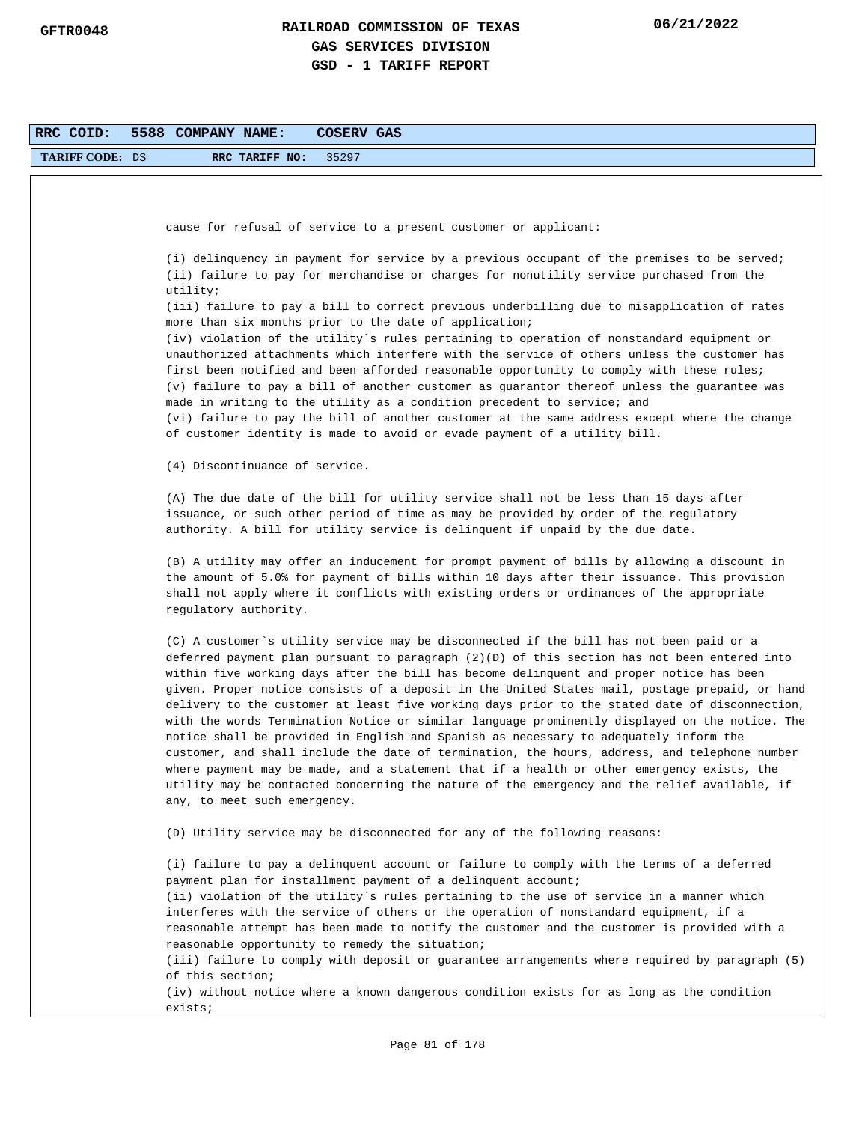| RRC COID:              | 5588 COMPANY NAME:<br>COSERV GAS                                                                                                                                                                                                                                                                                                                                                                                                                                                                                                                                                                                                                                                                                                                                                                                                                                                                                                                                                                                  |
|------------------------|-------------------------------------------------------------------------------------------------------------------------------------------------------------------------------------------------------------------------------------------------------------------------------------------------------------------------------------------------------------------------------------------------------------------------------------------------------------------------------------------------------------------------------------------------------------------------------------------------------------------------------------------------------------------------------------------------------------------------------------------------------------------------------------------------------------------------------------------------------------------------------------------------------------------------------------------------------------------------------------------------------------------|
| <b>TARIFF CODE: DS</b> | RRC TARIFF NO:<br>35297                                                                                                                                                                                                                                                                                                                                                                                                                                                                                                                                                                                                                                                                                                                                                                                                                                                                                                                                                                                           |
|                        |                                                                                                                                                                                                                                                                                                                                                                                                                                                                                                                                                                                                                                                                                                                                                                                                                                                                                                                                                                                                                   |
|                        |                                                                                                                                                                                                                                                                                                                                                                                                                                                                                                                                                                                                                                                                                                                                                                                                                                                                                                                                                                                                                   |
|                        | cause for refusal of service to a present customer or applicant:                                                                                                                                                                                                                                                                                                                                                                                                                                                                                                                                                                                                                                                                                                                                                                                                                                                                                                                                                  |
|                        | (i) delinquency in payment for service by a previous occupant of the premises to be served;<br>(ii) failure to pay for merchandise or charges for nonutility service purchased from the<br>utility;                                                                                                                                                                                                                                                                                                                                                                                                                                                                                                                                                                                                                                                                                                                                                                                                               |
|                        | (iii) failure to pay a bill to correct previous underbilling due to misapplication of rates<br>more than six months prior to the date of application;                                                                                                                                                                                                                                                                                                                                                                                                                                                                                                                                                                                                                                                                                                                                                                                                                                                             |
|                        | (iv) violation of the utility`s rules pertaining to operation of nonstandard equipment or                                                                                                                                                                                                                                                                                                                                                                                                                                                                                                                                                                                                                                                                                                                                                                                                                                                                                                                         |
|                        | unauthorized attachments which interfere with the service of others unless the customer has<br>first been notified and been afforded reasonable opportunity to comply with these rules;<br>(v) failure to pay a bill of another customer as guarantor thereof unless the guarantee was<br>made in writing to the utility as a condition precedent to service; and<br>(vi) failure to pay the bill of another customer at the same address except where the change<br>of customer identity is made to avoid or evade payment of a utility bill.                                                                                                                                                                                                                                                                                                                                                                                                                                                                    |
|                        | (4) Discontinuance of service.                                                                                                                                                                                                                                                                                                                                                                                                                                                                                                                                                                                                                                                                                                                                                                                                                                                                                                                                                                                    |
|                        | (A) The due date of the bill for utility service shall not be less than 15 days after<br>issuance, or such other period of time as may be provided by order of the regulatory<br>authority. A bill for utility service is delinquent if unpaid by the due date.                                                                                                                                                                                                                                                                                                                                                                                                                                                                                                                                                                                                                                                                                                                                                   |
|                        | (B) A utility may offer an inducement for prompt payment of bills by allowing a discount in<br>the amount of 5.0% for payment of bills within 10 days after their issuance. This provision<br>shall not apply where it conflicts with existing orders or ordinances of the appropriate<br>regulatory authority.                                                                                                                                                                                                                                                                                                                                                                                                                                                                                                                                                                                                                                                                                                   |
|                        | (C) A customer's utility service may be disconnected if the bill has not been paid or a<br>deferred payment plan pursuant to paragraph (2)(D) of this section has not been entered into<br>within five working days after the bill has become delinquent and proper notice has been<br>given. Proper notice consists of a deposit in the United States mail, postage prepaid, or hand<br>delivery to the customer at least five working days prior to the stated date of disconnection,<br>with the words Termination Notice or similar language prominently displayed on the notice. The<br>notice shall be provided in English and Spanish as necessary to adequately inform the<br>customer, and shall include the date of termination, the hours, address, and telephone number<br>where payment may be made, and a statement that if a health or other emergency exists, the<br>utility may be contacted concerning the nature of the emergency and the relief available, if<br>any, to meet such emergency. |
|                        | (D) Utility service may be disconnected for any of the following reasons:                                                                                                                                                                                                                                                                                                                                                                                                                                                                                                                                                                                                                                                                                                                                                                                                                                                                                                                                         |
|                        | (i) failure to pay a delinquent account or failure to comply with the terms of a deferred<br>payment plan for installment payment of a delinquent account;<br>(ii) violation of the utility's rules pertaining to the use of service in a manner which<br>interferes with the service of others or the operation of nonstandard equipment, if a<br>reasonable attempt has been made to notify the customer and the customer is provided with a<br>reasonable opportunity to remedy the situation;<br>(iii) failure to comply with deposit or guarantee arrangements where required by paragraph (5)<br>of this section;                                                                                                                                                                                                                                                                                                                                                                                           |
|                        | (iv) without notice where a known dangerous condition exists for as long as the condition<br>exists;                                                                                                                                                                                                                                                                                                                                                                                                                                                                                                                                                                                                                                                                                                                                                                                                                                                                                                              |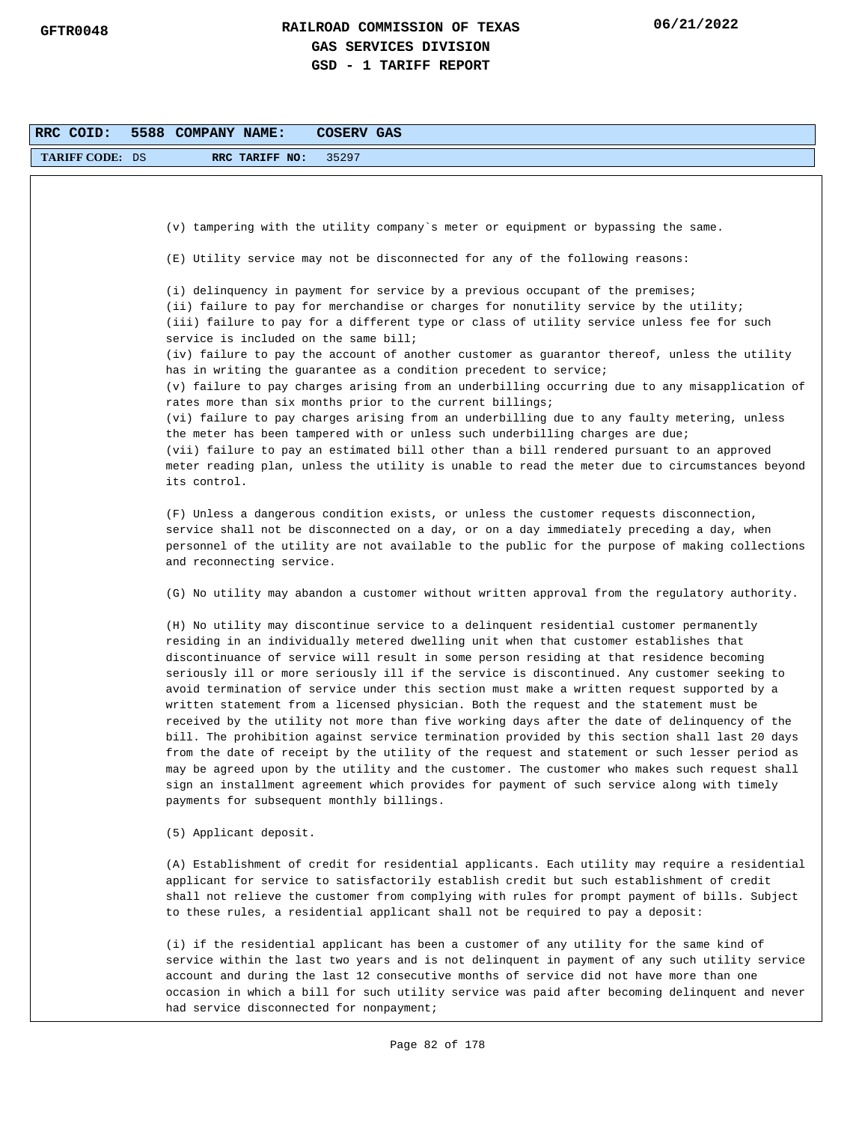| RRC COID:              | 5588 COMPANY NAME:<br>COSERV GAS                                                                                                                                                                                                                                                                                                                                                                                                                                                                                                                                                                                                                                                                                                                                                                                                                                                                                                                                                                                                                                                                                   |
|------------------------|--------------------------------------------------------------------------------------------------------------------------------------------------------------------------------------------------------------------------------------------------------------------------------------------------------------------------------------------------------------------------------------------------------------------------------------------------------------------------------------------------------------------------------------------------------------------------------------------------------------------------------------------------------------------------------------------------------------------------------------------------------------------------------------------------------------------------------------------------------------------------------------------------------------------------------------------------------------------------------------------------------------------------------------------------------------------------------------------------------------------|
| <b>TARIFF CODE: DS</b> | 35297<br>RRC TARIFF NO:                                                                                                                                                                                                                                                                                                                                                                                                                                                                                                                                                                                                                                                                                                                                                                                                                                                                                                                                                                                                                                                                                            |
|                        |                                                                                                                                                                                                                                                                                                                                                                                                                                                                                                                                                                                                                                                                                                                                                                                                                                                                                                                                                                                                                                                                                                                    |
|                        |                                                                                                                                                                                                                                                                                                                                                                                                                                                                                                                                                                                                                                                                                                                                                                                                                                                                                                                                                                                                                                                                                                                    |
|                        | (v) tampering with the utility company's meter or equipment or bypassing the same.                                                                                                                                                                                                                                                                                                                                                                                                                                                                                                                                                                                                                                                                                                                                                                                                                                                                                                                                                                                                                                 |
|                        | (E) Utility service may not be disconnected for any of the following reasons:                                                                                                                                                                                                                                                                                                                                                                                                                                                                                                                                                                                                                                                                                                                                                                                                                                                                                                                                                                                                                                      |
|                        | (i) delinquency in payment for service by a previous occupant of the premises;<br>(ii) failure to pay for merchandise or charges for nonutility service by the utility;<br>(iii) failure to pay for a different type or class of utility service unless fee for such<br>service is included on the same bill;<br>(iv) failure to pay the account of another customer as guarantor thereof, unless the utility                                                                                                                                                                                                                                                                                                                                                                                                                                                                                                                                                                                                                                                                                                      |
|                        | has in writing the guarantee as a condition precedent to service;<br>(v) failure to pay charges arising from an underbilling occurring due to any misapplication of                                                                                                                                                                                                                                                                                                                                                                                                                                                                                                                                                                                                                                                                                                                                                                                                                                                                                                                                                |
|                        | rates more than six months prior to the current billings;<br>(vi) failure to pay charges arising from an underbilling due to any faulty metering, unless<br>the meter has been tampered with or unless such underbilling charges are due;<br>(vii) failure to pay an estimated bill other than a bill rendered pursuant to an approved<br>meter reading plan, unless the utility is unable to read the meter due to circumstances beyond<br>its control.                                                                                                                                                                                                                                                                                                                                                                                                                                                                                                                                                                                                                                                           |
|                        | (F) Unless a dangerous condition exists, or unless the customer requests disconnection,<br>service shall not be disconnected on a day, or on a day immediately preceding a day, when<br>personnel of the utility are not available to the public for the purpose of making collections<br>and reconnecting service.                                                                                                                                                                                                                                                                                                                                                                                                                                                                                                                                                                                                                                                                                                                                                                                                |
|                        | (G) No utility may abandon a customer without written approval from the regulatory authority.                                                                                                                                                                                                                                                                                                                                                                                                                                                                                                                                                                                                                                                                                                                                                                                                                                                                                                                                                                                                                      |
|                        | (H) No utility may discontinue service to a delinquent residential customer permanently<br>residing in an individually metered dwelling unit when that customer establishes that<br>discontinuance of service will result in some person residing at that residence becoming<br>seriously ill or more seriously ill if the service is discontinued. Any customer seeking to<br>avoid termination of service under this section must make a written request supported by a<br>written statement from a licensed physician. Both the request and the statement must be<br>received by the utility not more than five working days after the date of delinquency of the<br>bill. The prohibition against service termination provided by this section shall last 20 days<br>from the date of receipt by the utility of the request and statement or such lesser period as<br>may be agreed upon by the utility and the customer. The customer who makes such request shall<br>sign an installment agreement which provides for payment of such service along with timely<br>payments for subsequent monthly billings. |
|                        | (5) Applicant deposit.                                                                                                                                                                                                                                                                                                                                                                                                                                                                                                                                                                                                                                                                                                                                                                                                                                                                                                                                                                                                                                                                                             |
|                        | (A) Establishment of credit for residential applicants. Each utility may require a residential<br>applicant for service to satisfactorily establish credit but such establishment of credit<br>shall not relieve the customer from complying with rules for prompt payment of bills. Subject<br>to these rules, a residential applicant shall not be required to pay a deposit:                                                                                                                                                                                                                                                                                                                                                                                                                                                                                                                                                                                                                                                                                                                                    |
|                        | (i) if the residential applicant has been a customer of any utility for the same kind of<br>service within the last two years and is not delinquent in payment of any such utility service<br>account and during the last 12 consecutive months of service did not have more than one<br>occasion in which a bill for such utility service was paid after becoming delinquent and never<br>had service disconnected for nonpayment;                                                                                                                                                                                                                                                                                                                                                                                                                                                                                                                                                                                                                                                                                |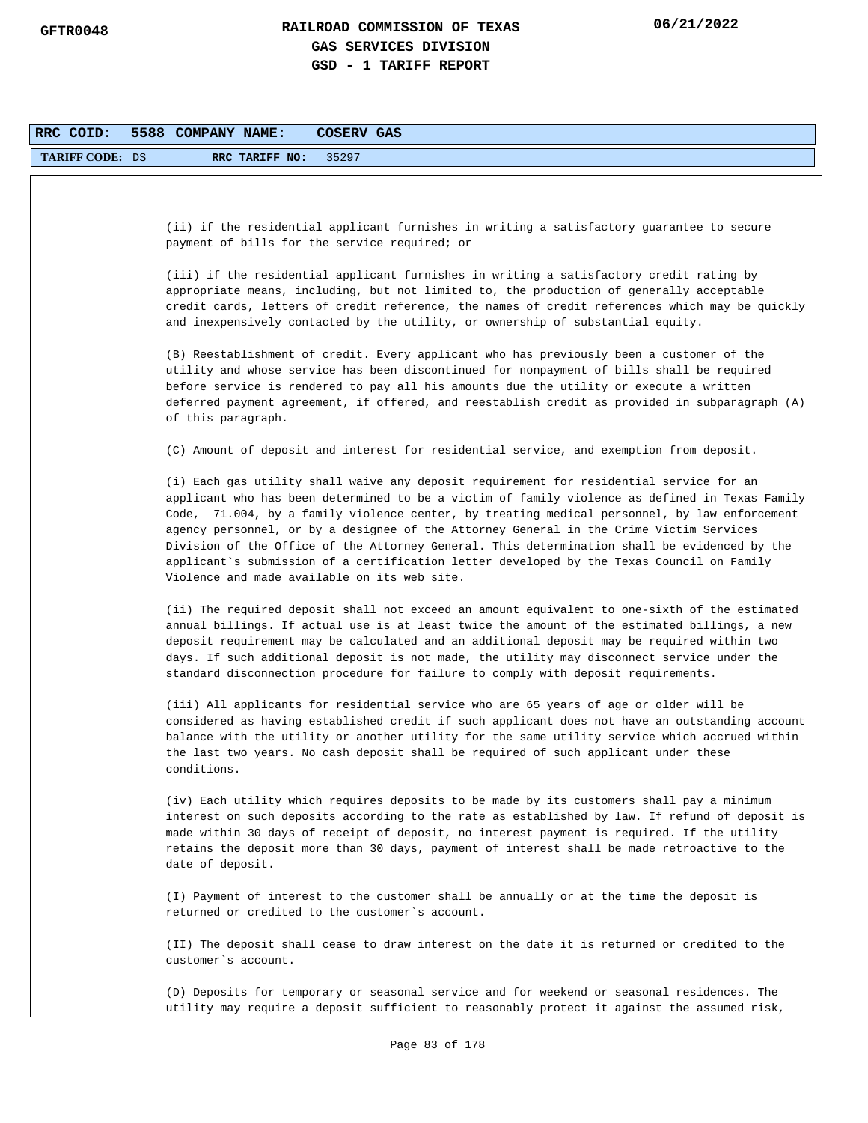| RRC COID:              | 5588 COMPANY NAME:<br><b>COSERV GAS</b>                                                                                                                                                                                                                                                                                                                                                                                                                                                                                                                                                                                           |
|------------------------|-----------------------------------------------------------------------------------------------------------------------------------------------------------------------------------------------------------------------------------------------------------------------------------------------------------------------------------------------------------------------------------------------------------------------------------------------------------------------------------------------------------------------------------------------------------------------------------------------------------------------------------|
| <b>TARIFF CODE: DS</b> | 35297<br>RRC TARIFF NO:                                                                                                                                                                                                                                                                                                                                                                                                                                                                                                                                                                                                           |
|                        |                                                                                                                                                                                                                                                                                                                                                                                                                                                                                                                                                                                                                                   |
|                        | (ii) if the residential applicant furnishes in writing a satisfactory guarantee to secure<br>payment of bills for the service required; or                                                                                                                                                                                                                                                                                                                                                                                                                                                                                        |
|                        | (iii) if the residential applicant furnishes in writing a satisfactory credit rating by<br>appropriate means, including, but not limited to, the production of generally acceptable<br>credit cards, letters of credit reference, the names of credit references which may be quickly<br>and inexpensively contacted by the utility, or ownership of substantial equity.                                                                                                                                                                                                                                                          |
|                        | (B) Reestablishment of credit. Every applicant who has previously been a customer of the<br>utility and whose service has been discontinued for nonpayment of bills shall be required<br>before service is rendered to pay all his amounts due the utility or execute a written<br>deferred payment agreement, if offered, and reestablish credit as provided in subparagraph (A)<br>of this paragraph.                                                                                                                                                                                                                           |
|                        | (C) Amount of deposit and interest for residential service, and exemption from deposit.                                                                                                                                                                                                                                                                                                                                                                                                                                                                                                                                           |
|                        | (i) Each gas utility shall waive any deposit requirement for residential service for an<br>applicant who has been determined to be a victim of family violence as defined in Texas Family<br>Code, 71.004, by a family violence center, by treating medical personnel, by law enforcement<br>agency personnel, or by a designee of the Attorney General in the Crime Victim Services<br>Division of the Office of the Attorney General. This determination shall be evidenced by the<br>applicant`s submission of a certification letter developed by the Texas Council on Family<br>Violence and made available on its web site. |
|                        | (ii) The required deposit shall not exceed an amount equivalent to one-sixth of the estimated<br>annual billings. If actual use is at least twice the amount of the estimated billings, a new<br>deposit requirement may be calculated and an additional deposit may be required within two<br>days. If such additional deposit is not made, the utility may disconnect service under the<br>standard disconnection procedure for failure to comply with deposit requirements.                                                                                                                                                    |
|                        | (iii) All applicants for residential service who are 65 years of age or older will be<br>considered as having established credit if such applicant does not have an outstanding account<br>balance with the utility or another utility for the same utility service which accrued within<br>the last two years. No cash deposit shall be required of such applicant under these<br>conditions.                                                                                                                                                                                                                                    |
|                        | (iv) Each utility which requires deposits to be made by its customers shall pay a minimum<br>interest on such deposits according to the rate as established by law. If refund of deposit is<br>made within 30 days of receipt of deposit, no interest payment is required. If the utility<br>retains the deposit more than 30 days, payment of interest shall be made retroactive to the<br>date of deposit.                                                                                                                                                                                                                      |
|                        | (I) Payment of interest to the customer shall be annually or at the time the deposit is<br>returned or credited to the customer's account.                                                                                                                                                                                                                                                                                                                                                                                                                                                                                        |
|                        | (II) The deposit shall cease to draw interest on the date it is returned or credited to the<br>customer's account.                                                                                                                                                                                                                                                                                                                                                                                                                                                                                                                |
|                        | (D) Deposits for temporary or seasonal service and for weekend or seasonal residences. The<br>utility may require a deposit sufficient to reasonably protect it against the assumed risk,                                                                                                                                                                                                                                                                                                                                                                                                                                         |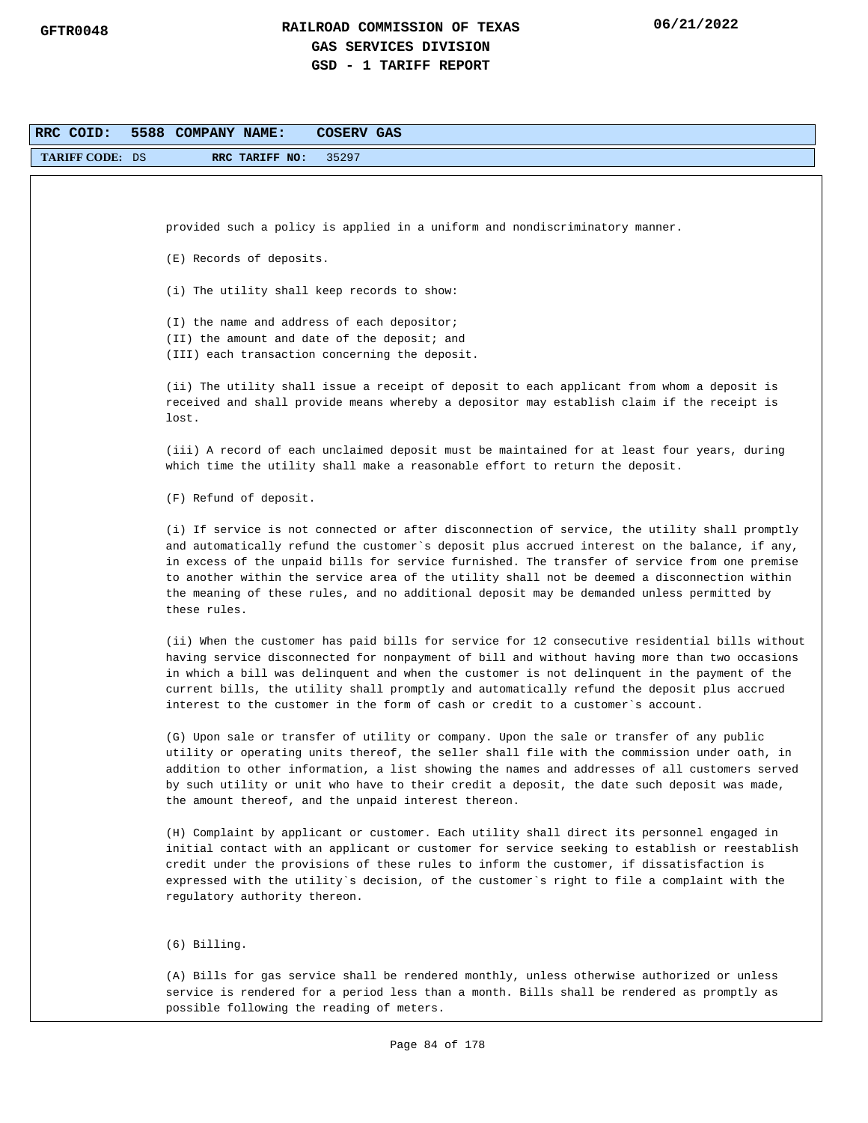| RRC COID:              | 5588 COMPANY NAME:<br>COSERV GAS                                                                                                                                                                                                                                                                                                                                                                                                                                                                             |
|------------------------|--------------------------------------------------------------------------------------------------------------------------------------------------------------------------------------------------------------------------------------------------------------------------------------------------------------------------------------------------------------------------------------------------------------------------------------------------------------------------------------------------------------|
| <b>TARIFF CODE: DS</b> | 35297<br>RRC TARIFF NO:                                                                                                                                                                                                                                                                                                                                                                                                                                                                                      |
|                        |                                                                                                                                                                                                                                                                                                                                                                                                                                                                                                              |
|                        |                                                                                                                                                                                                                                                                                                                                                                                                                                                                                                              |
|                        | provided such a policy is applied in a uniform and nondiscriminatory manner.                                                                                                                                                                                                                                                                                                                                                                                                                                 |
|                        | (E) Records of deposits.                                                                                                                                                                                                                                                                                                                                                                                                                                                                                     |
|                        | (i) The utility shall keep records to show:                                                                                                                                                                                                                                                                                                                                                                                                                                                                  |
|                        | (I) the name and address of each depositor;<br>(II) the amount and date of the deposit; and<br>(III) each transaction concerning the deposit.                                                                                                                                                                                                                                                                                                                                                                |
|                        | (ii) The utility shall issue a receipt of deposit to each applicant from whom a deposit is<br>received and shall provide means whereby a depositor may establish claim if the receipt is<br>lost.                                                                                                                                                                                                                                                                                                            |
|                        | (iii) A record of each unclaimed deposit must be maintained for at least four years, during<br>which time the utility shall make a reasonable effort to return the deposit.                                                                                                                                                                                                                                                                                                                                  |
|                        | (F) Refund of deposit.                                                                                                                                                                                                                                                                                                                                                                                                                                                                                       |
|                        | (i) If service is not connected or after disconnection of service, the utility shall promptly<br>and automatically refund the customer`s deposit plus accrued interest on the balance, if any,<br>in excess of the unpaid bills for service furnished. The transfer of service from one premise<br>to another within the service area of the utility shall not be deemed a disconnection within<br>the meaning of these rules, and no additional deposit may be demanded unless permitted by<br>these rules. |
|                        | (ii) When the customer has paid bills for service for 12 consecutive residential bills without<br>having service disconnected for nonpayment of bill and without having more than two occasions<br>in which a bill was delinquent and when the customer is not delinquent in the payment of the<br>current bills, the utility shall promptly and automatically refund the deposit plus accrued<br>interest to the customer in the form of cash or credit to a customer's account.                            |
|                        | (G) Upon sale or transfer of utility or company. Upon the sale or transfer of any public<br>utility or operating units thereof, the seller shall file with the commission under oath, in<br>addition to other information, a list showing the names and addresses of all customers served<br>by such utility or unit who have to their credit a deposit, the date such deposit was made,<br>the amount thereof, and the unpaid interest thereon.                                                             |
|                        | (H) Complaint by applicant or customer. Each utility shall direct its personnel engaged in<br>initial contact with an applicant or customer for service seeking to establish or reestablish<br>credit under the provisions of these rules to inform the customer, if dissatisfaction is<br>expressed with the utility`s decision, of the customer`s right to file a complaint with the<br>regulatory authority thereon.                                                                                      |
|                        | $(6)$ Billing.                                                                                                                                                                                                                                                                                                                                                                                                                                                                                               |
|                        | (A) Bills for gas service shall be rendered monthly, unless otherwise authorized or unless<br>service is rendered for a period less than a month. Bills shall be rendered as promptly as<br>possible following the reading of meters.                                                                                                                                                                                                                                                                        |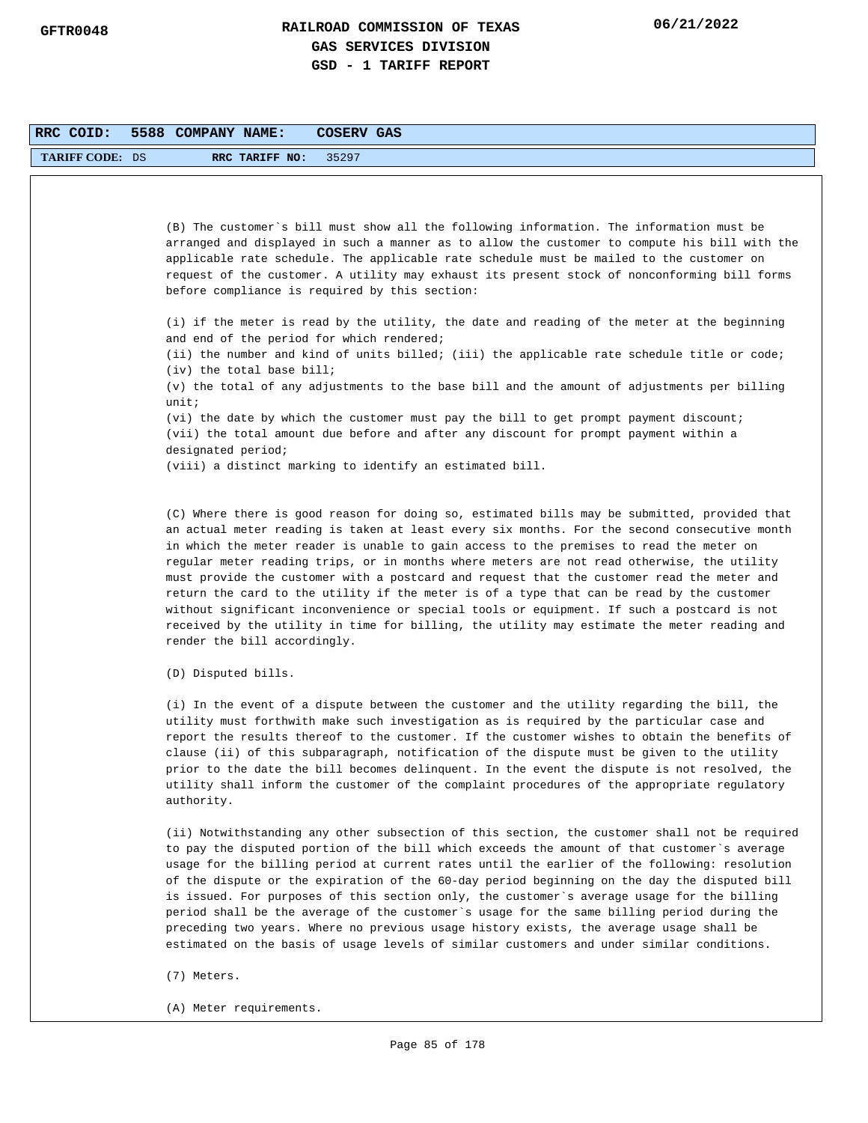| RRC COID:       | 5588 COMPANY NAME:  |                                           | <b>COSERV GAS</b> |                                                                                                                                                                                                                                                                                                                                                                                                                                                                                                                                                                                                                                                                                                                                                                               |
|-----------------|---------------------|-------------------------------------------|-------------------|-------------------------------------------------------------------------------------------------------------------------------------------------------------------------------------------------------------------------------------------------------------------------------------------------------------------------------------------------------------------------------------------------------------------------------------------------------------------------------------------------------------------------------------------------------------------------------------------------------------------------------------------------------------------------------------------------------------------------------------------------------------------------------|
| TARIFF CODE: DS |                     | RRC TARIFF NO:                            | 35297             |                                                                                                                                                                                                                                                                                                                                                                                                                                                                                                                                                                                                                                                                                                                                                                               |
|                 |                     |                                           |                   |                                                                                                                                                                                                                                                                                                                                                                                                                                                                                                                                                                                                                                                                                                                                                                               |
|                 |                     |                                           |                   | (B) The customer's bill must show all the following information. The information must be<br>arranged and displayed in such a manner as to allow the customer to compute his bill with the<br>applicable rate schedule. The applicable rate schedule must be mailed to the customer on<br>request of the customer. A utility may exhaust its present stock of nonconforming bill forms<br>before compliance is required by this section:                                                                                                                                                                                                                                                                                                                                       |
|                 |                     | and end of the period for which rendered; |                   | (i) if the meter is read by the utility, the date and reading of the meter at the beginning                                                                                                                                                                                                                                                                                                                                                                                                                                                                                                                                                                                                                                                                                   |
|                 |                     | $(iv)$ the total base bill;               |                   | (ii) the number and kind of units billed; (iii) the applicable rate schedule title or code;                                                                                                                                                                                                                                                                                                                                                                                                                                                                                                                                                                                                                                                                                   |
|                 | unit:               |                                           |                   | (v) the total of any adjustments to the base bill and the amount of adjustments per billing                                                                                                                                                                                                                                                                                                                                                                                                                                                                                                                                                                                                                                                                                   |
|                 | designated period;  |                                           |                   | (vi) the date by which the customer must pay the bill to get prompt payment discount;<br>(vii) the total amount due before and after any discount for prompt payment within a                                                                                                                                                                                                                                                                                                                                                                                                                                                                                                                                                                                                 |
|                 |                     |                                           |                   | (viii) a distinct marking to identify an estimated bill.                                                                                                                                                                                                                                                                                                                                                                                                                                                                                                                                                                                                                                                                                                                      |
|                 |                     | render the bill accordingly.              |                   | (C) Where there is good reason for doing so, estimated bills may be submitted, provided that<br>an actual meter reading is taken at least every six months. For the second consecutive month<br>in which the meter reader is unable to gain access to the premises to read the meter on<br>regular meter reading trips, or in months where meters are not read otherwise, the utility<br>must provide the customer with a postcard and request that the customer read the meter and<br>return the card to the utility if the meter is of a type that can be read by the customer<br>without significant inconvenience or special tools or equipment. If such a postcard is not<br>received by the utility in time for billing, the utility may estimate the meter reading and |
|                 | (D) Disputed bills. |                                           |                   |                                                                                                                                                                                                                                                                                                                                                                                                                                                                                                                                                                                                                                                                                                                                                                               |
|                 | authority.          |                                           |                   | (i) In the event of a dispute between the customer and the utility regarding the bill, the<br>utility must forthwith make such investigation as is required by the particular case and<br>report the results thereof to the customer. If the customer wishes to obtain the benefits of<br>clause (ii) of this subparagraph, notification of the dispute must be given to the utility<br>prior to the date the bill becomes delinquent. In the event the dispute is not resolved, the<br>utility shall inform the customer of the complaint procedures of the appropriate regulatory                                                                                                                                                                                           |
|                 |                     |                                           |                   | (ii) Notwithstanding any other subsection of this section, the customer shall not be required<br>to pay the disputed portion of the bill which exceeds the amount of that customer's average<br>usage for the billing period at current rates until the earlier of the following: resolution<br>of the dispute or the expiration of the 60-day period beginning on the day the disputed bill<br>is issued. For purposes of this section only, the customer's average usage for the billing<br>period shall be the average of the customer`s usage for the same billing period during the                                                                                                                                                                                      |

- (7) Meters.
- (A) Meter requirements.

preceding two years. Where no previous usage history exists, the average usage shall be estimated on the basis of usage levels of similar customers and under similar conditions.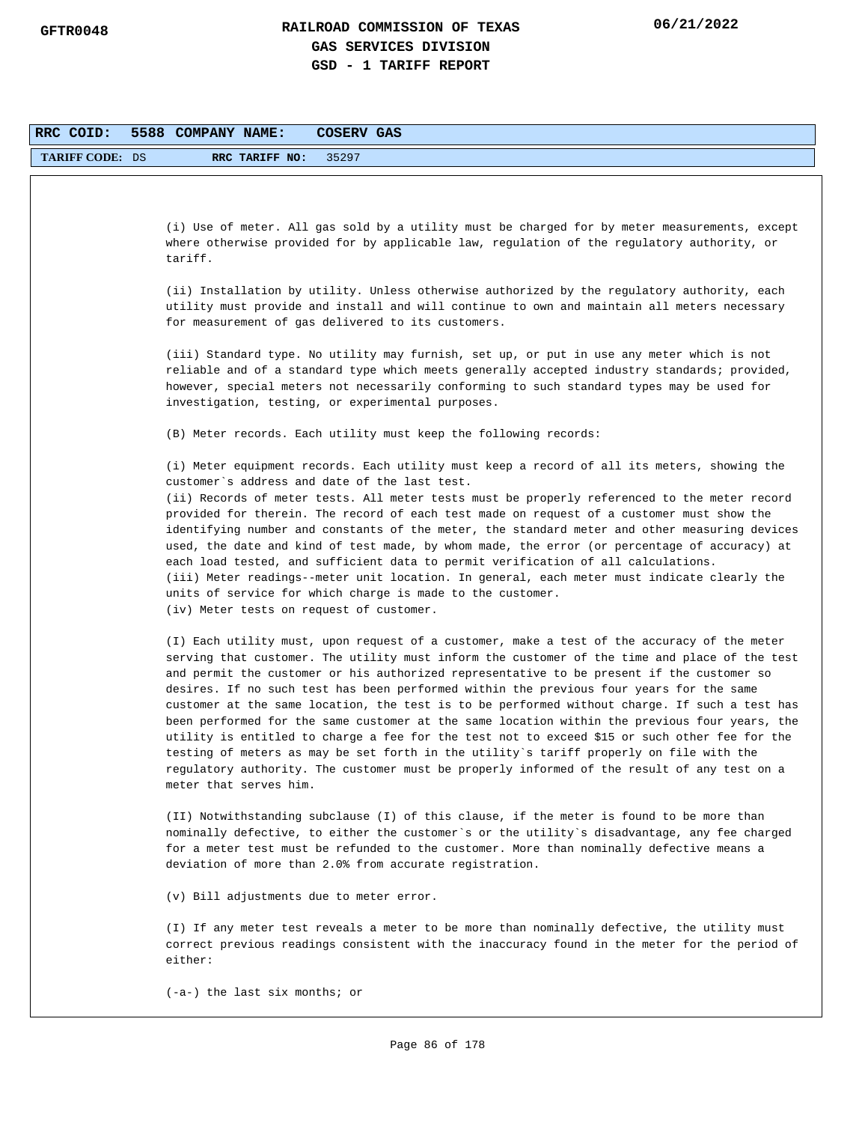| RRC COID:              | 5588 COMPANY NAME:<br>COSERV GAS                                                                                                                                                         |
|------------------------|------------------------------------------------------------------------------------------------------------------------------------------------------------------------------------------|
| <b>TARIFF CODE: DS</b> | RRC TARIFF NO:<br>35297                                                                                                                                                                  |
|                        |                                                                                                                                                                                          |
|                        |                                                                                                                                                                                          |
|                        | (i) Use of meter. All gas sold by a utility must be charged for by meter measurements, except                                                                                            |
|                        | where otherwise provided for by applicable law, regulation of the regulatory authority, or                                                                                               |
|                        | tariff.                                                                                                                                                                                  |
|                        | (ii) Installation by utility. Unless otherwise authorized by the regulatory authority, each                                                                                              |
|                        | utility must provide and install and will continue to own and maintain all meters necessary                                                                                              |
|                        | for measurement of gas delivered to its customers.                                                                                                                                       |
|                        | (iii) Standard type. No utility may furnish, set up, or put in use any meter which is not                                                                                                |
|                        | reliable and of a standard type which meets generally accepted industry standards; provided,                                                                                             |
|                        | however, special meters not necessarily conforming to such standard types may be used for                                                                                                |
|                        | investigation, testing, or experimental purposes.                                                                                                                                        |
|                        | (B) Meter records. Each utility must keep the following records:                                                                                                                         |
|                        |                                                                                                                                                                                          |
|                        | (i) Meter equipment records. Each utility must keep a record of all its meters, showing the<br>customer's address and date of the last test.                                             |
|                        | (ii) Records of meter tests. All meter tests must be properly referenced to the meter record                                                                                             |
|                        | provided for therein. The record of each test made on request of a customer must show the                                                                                                |
|                        | identifying number and constants of the meter, the standard meter and other measuring devices                                                                                            |
|                        | used, the date and kind of test made, by whom made, the error (or percentage of accuracy) at<br>each load tested, and sufficient data to permit verification of all calculations.        |
|                        | (iii) Meter readings--meter unit location. In general, each meter must indicate clearly the                                                                                              |
|                        | units of service for which charge is made to the customer.                                                                                                                               |
|                        | (iv) Meter tests on request of customer.                                                                                                                                                 |
|                        | (I) Each utility must, upon request of a customer, make a test of the accuracy of the meter                                                                                              |
|                        | serving that customer. The utility must inform the customer of the time and place of the test                                                                                            |
|                        | and permit the customer or his authorized representative to be present if the customer so                                                                                                |
|                        | desires. If no such test has been performed within the previous four years for the same<br>customer at the same location, the test is to be performed without charge. If such a test has |
|                        | been performed for the same customer at the same location within the previous four years, the                                                                                            |
|                        | utility is entitled to charge a fee for the test not to exceed \$15 or such other fee for the                                                                                            |
|                        | testing of meters as may be set forth in the utility's tariff properly on file with the<br>regulatory authority. The customer must be properly informed of the result of any test on a   |
|                        | meter that serves him.                                                                                                                                                                   |
|                        |                                                                                                                                                                                          |
|                        | (II) Notwithstanding subclause (I) of this clause, if the meter is found to be more than                                                                                                 |
|                        | nominally defective, to either the customer's or the utility's disadvantage, any fee charged<br>for a meter test must be refunded to the customer. More than nominally defective means a |
|                        | deviation of more than 2.0% from accurate registration.                                                                                                                                  |
|                        | (v) Bill adjustments due to meter error.                                                                                                                                                 |
|                        | (I) If any meter test reveals a meter to be more than nominally defective, the utility must                                                                                              |
|                        | correct previous readings consistent with the inaccuracy found in the meter for the period of<br>either:                                                                                 |
|                        | $(-a-)$ the last six months; or                                                                                                                                                          |
|                        |                                                                                                                                                                                          |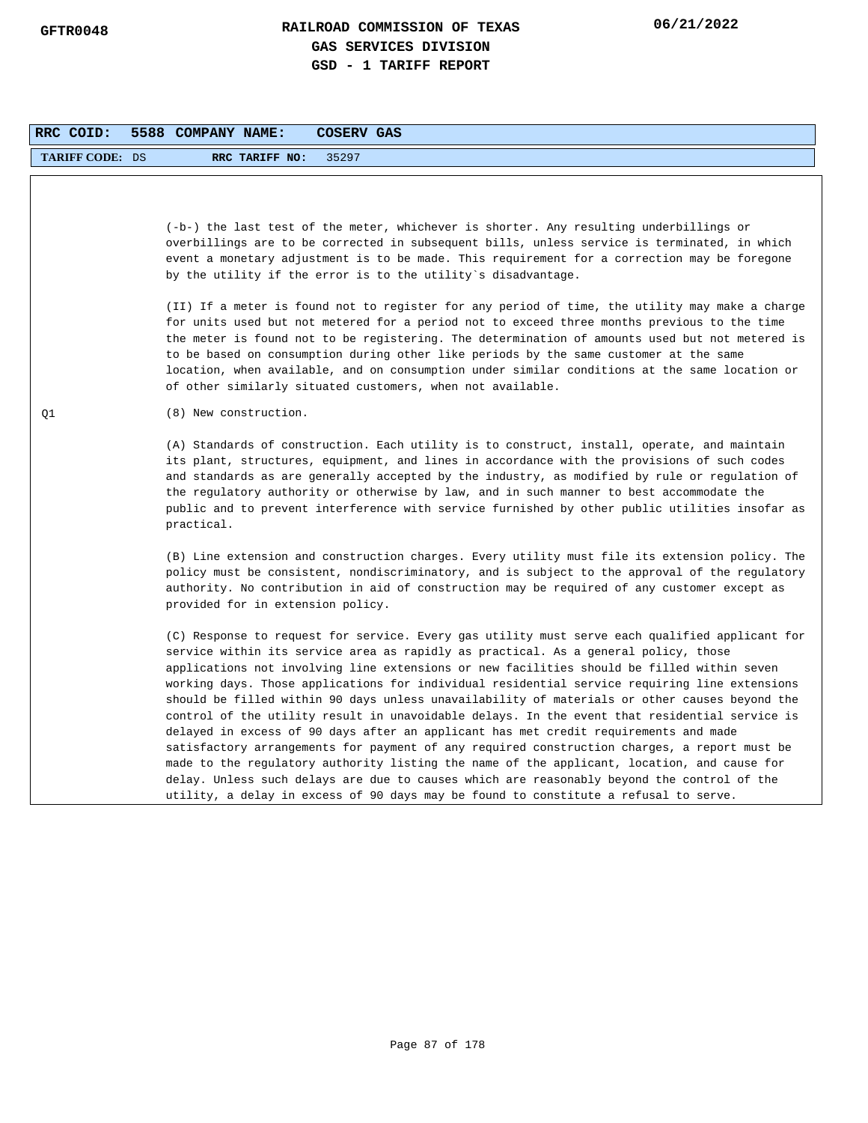| RRC COID:              | 5588 COMPANY NAME:<br><b>COSERV GAS</b>                                                                                                                                                                                                                                                                                                                                                                                                                                                                                                                                                                                                                                                                                                                                                                                                                                                                                                                                                                                                                             |
|------------------------|---------------------------------------------------------------------------------------------------------------------------------------------------------------------------------------------------------------------------------------------------------------------------------------------------------------------------------------------------------------------------------------------------------------------------------------------------------------------------------------------------------------------------------------------------------------------------------------------------------------------------------------------------------------------------------------------------------------------------------------------------------------------------------------------------------------------------------------------------------------------------------------------------------------------------------------------------------------------------------------------------------------------------------------------------------------------|
| <b>TARIFF CODE: DS</b> | RRC TARIFF NO:<br>35297                                                                                                                                                                                                                                                                                                                                                                                                                                                                                                                                                                                                                                                                                                                                                                                                                                                                                                                                                                                                                                             |
|                        | (-b-) the last test of the meter, whichever is shorter. Any resulting underbillings or<br>overbillings are to be corrected in subsequent bills, unless service is terminated, in which<br>event a monetary adjustment is to be made. This requirement for a correction may be foregone<br>by the utility if the error is to the utility's disadvantage.                                                                                                                                                                                                                                                                                                                                                                                                                                                                                                                                                                                                                                                                                                             |
|                        | (II) If a meter is found not to register for any period of time, the utility may make a charge<br>for units used but not metered for a period not to exceed three months previous to the time<br>the meter is found not to be registering. The determination of amounts used but not metered is<br>to be based on consumption during other like periods by the same customer at the same<br>location, when available, and on consumption under similar conditions at the same location or<br>of other similarly situated customers, when not available.                                                                                                                                                                                                                                                                                                                                                                                                                                                                                                             |
| Q1                     | (8) New construction.                                                                                                                                                                                                                                                                                                                                                                                                                                                                                                                                                                                                                                                                                                                                                                                                                                                                                                                                                                                                                                               |
|                        | (A) Standards of construction. Each utility is to construct, install, operate, and maintain<br>its plant, structures, equipment, and lines in accordance with the provisions of such codes<br>and standards as are generally accepted by the industry, as modified by rule or regulation of<br>the regulatory authority or otherwise by law, and in such manner to best accommodate the<br>public and to prevent interference with service furnished by other public utilities insofar as<br>practical.                                                                                                                                                                                                                                                                                                                                                                                                                                                                                                                                                             |
|                        | (B) Line extension and construction charges. Every utility must file its extension policy. The<br>policy must be consistent, nondiscriminatory, and is subject to the approval of the regulatory<br>authority. No contribution in aid of construction may be required of any customer except as<br>provided for in extension policy.                                                                                                                                                                                                                                                                                                                                                                                                                                                                                                                                                                                                                                                                                                                                |
|                        | (C) Response to request for service. Every gas utility must serve each qualified applicant for<br>service within its service area as rapidly as practical. As a general policy, those<br>applications not involving line extensions or new facilities should be filled within seven<br>working days. Those applications for individual residential service requiring line extensions<br>should be filled within 90 days unless unavailability of materials or other causes beyond the<br>control of the utility result in unavoidable delays. In the event that residential service is<br>delayed in excess of 90 days after an applicant has met credit requirements and made<br>satisfactory arrangements for payment of any required construction charges, a report must be<br>made to the regulatory authority listing the name of the applicant, location, and cause for<br>delay. Unless such delays are due to causes which are reasonably beyond the control of the<br>utility, a delay in excess of 90 days may be found to constitute a refusal to serve. |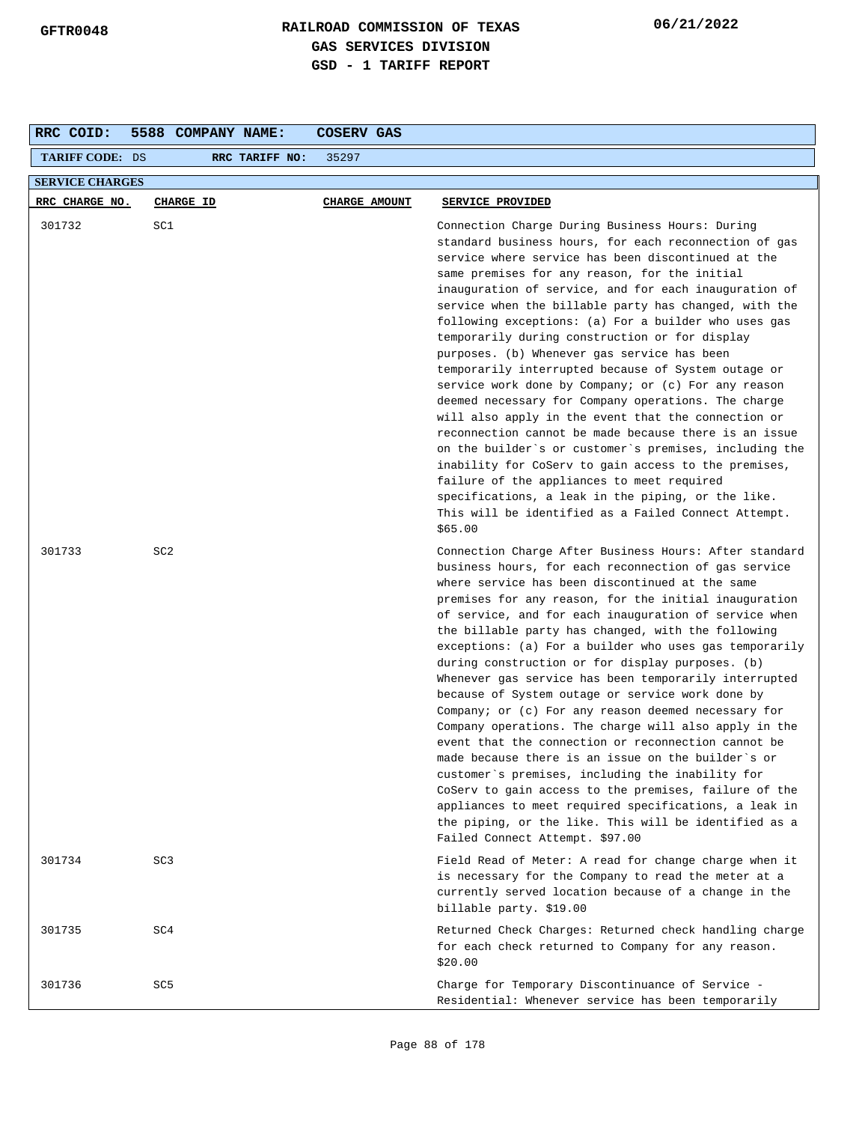| RRC COID:              | 5588 COMPANY NAME: | COSERV GAS    |                                                                                                                                                                                                                                                                                                                                                                                                                                                                                                                                                                                                                                                                                                                                                                                                                                                                                                                                                                                                                                                                          |  |  |
|------------------------|--------------------|---------------|--------------------------------------------------------------------------------------------------------------------------------------------------------------------------------------------------------------------------------------------------------------------------------------------------------------------------------------------------------------------------------------------------------------------------------------------------------------------------------------------------------------------------------------------------------------------------------------------------------------------------------------------------------------------------------------------------------------------------------------------------------------------------------------------------------------------------------------------------------------------------------------------------------------------------------------------------------------------------------------------------------------------------------------------------------------------------|--|--|
| <b>TARIFF CODE: DS</b> | RRC TARIFF NO:     | 35297         |                                                                                                                                                                                                                                                                                                                                                                                                                                                                                                                                                                                                                                                                                                                                                                                                                                                                                                                                                                                                                                                                          |  |  |
| <b>SERVICE CHARGES</b> |                    |               |                                                                                                                                                                                                                                                                                                                                                                                                                                                                                                                                                                                                                                                                                                                                                                                                                                                                                                                                                                                                                                                                          |  |  |
| RRC CHARGE NO.         | CHARGE ID          | CHARGE AMOUNT | SERVICE PROVIDED                                                                                                                                                                                                                                                                                                                                                                                                                                                                                                                                                                                                                                                                                                                                                                                                                                                                                                                                                                                                                                                         |  |  |
| 301732                 | SC1                |               | Connection Charge During Business Hours: During<br>standard business hours, for each reconnection of gas<br>service where service has been discontinued at the<br>same premises for any reason, for the initial<br>inauguration of service, and for each inauguration of<br>service when the billable party has changed, with the<br>following exceptions: (a) For a builder who uses gas<br>temporarily during construction or for display<br>purposes. (b) Whenever gas service has been<br>temporarily interrupted because of System outage or<br>service work done by Company; or (c) For any reason<br>deemed necessary for Company operations. The charge<br>will also apply in the event that the connection or<br>reconnection cannot be made because there is an issue<br>on the builder's or customer's premises, including the<br>inability for CoServ to gain access to the premises,<br>failure of the appliances to meet required<br>specifications, a leak in the piping, or the like.<br>This will be identified as a Failed Connect Attempt.<br>\$65.00 |  |  |
| 301733                 | SC <sub>2</sub>    |               | Connection Charge After Business Hours: After standard<br>business hours, for each reconnection of gas service<br>where service has been discontinued at the same<br>premises for any reason, for the initial inauguration<br>of service, and for each inauguration of service when<br>the billable party has changed, with the following<br>exceptions: (a) For a builder who uses gas temporarily<br>during construction or for display purposes. (b)<br>Whenever gas service has been temporarily interrupted<br>because of System outage or service work done by<br>Company; or $(c)$ For any reason deemed necessary for<br>Company operations. The charge will also apply in the<br>event that the connection or reconnection cannot be<br>made because there is an issue on the builder's or<br>customer's premises, including the inability for<br>CoServ to gain access to the premises, failure of the<br>appliances to meet required specifications, a leak in<br>the piping, or the like. This will be identified as a<br>Failed Connect Attempt. \$97.00    |  |  |
| 301734                 | SC <sub>3</sub>    |               | Field Read of Meter: A read for change charge when it<br>is necessary for the Company to read the meter at a<br>currently served location because of a change in the<br>billable party. \$19.00                                                                                                                                                                                                                                                                                                                                                                                                                                                                                                                                                                                                                                                                                                                                                                                                                                                                          |  |  |
| 301735                 | SC4                |               | Returned Check Charges: Returned check handling charge<br>for each check returned to Company for any reason.<br>\$20.00                                                                                                                                                                                                                                                                                                                                                                                                                                                                                                                                                                                                                                                                                                                                                                                                                                                                                                                                                  |  |  |
| 301736                 | SC <sub>5</sub>    |               | Charge for Temporary Discontinuance of Service -<br>Residential: Whenever service has been temporarily                                                                                                                                                                                                                                                                                                                                                                                                                                                                                                                                                                                                                                                                                                                                                                                                                                                                                                                                                                   |  |  |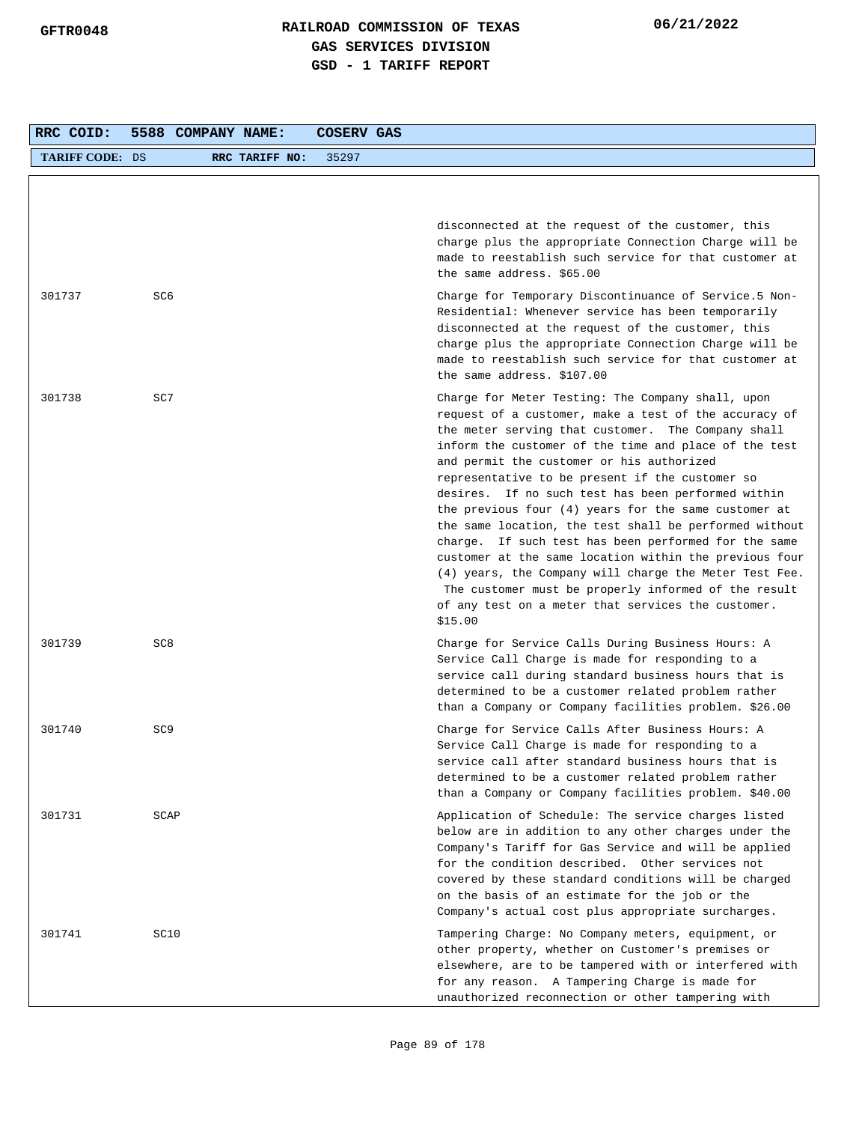| RRC COID:              | 5588 COMPANY NAME: |                | COSERV GAS |                                                                                                                                                                                                                                                                                                                                                                                                                                                                                                                                                                                                                                                                                                                                                                                                          |
|------------------------|--------------------|----------------|------------|----------------------------------------------------------------------------------------------------------------------------------------------------------------------------------------------------------------------------------------------------------------------------------------------------------------------------------------------------------------------------------------------------------------------------------------------------------------------------------------------------------------------------------------------------------------------------------------------------------------------------------------------------------------------------------------------------------------------------------------------------------------------------------------------------------|
| <b>TARIFF CODE: DS</b> |                    | RRC TARIFF NO: | 35297      |                                                                                                                                                                                                                                                                                                                                                                                                                                                                                                                                                                                                                                                                                                                                                                                                          |
|                        |                    |                |            |                                                                                                                                                                                                                                                                                                                                                                                                                                                                                                                                                                                                                                                                                                                                                                                                          |
|                        |                    |                |            | disconnected at the request of the customer, this<br>charge plus the appropriate Connection Charge will be<br>made to reestablish such service for that customer at<br>the same address. \$65.00                                                                                                                                                                                                                                                                                                                                                                                                                                                                                                                                                                                                         |
| 301737                 | SC6                |                |            | Charge for Temporary Discontinuance of Service.5 Non-<br>Residential: Whenever service has been temporarily<br>disconnected at the request of the customer, this<br>charge plus the appropriate Connection Charge will be<br>made to reestablish such service for that customer at<br>the same address. \$107.00                                                                                                                                                                                                                                                                                                                                                                                                                                                                                         |
| 301738                 | SC7                |                |            | Charge for Meter Testing: The Company shall, upon<br>request of a customer, make a test of the accuracy of<br>the meter serving that customer. The Company shall<br>inform the customer of the time and place of the test<br>and permit the customer or his authorized<br>representative to be present if the customer so<br>desires. If no such test has been performed within<br>the previous four $(4)$ years for the same customer at<br>the same location, the test shall be performed without<br>charge. If such test has been performed for the same<br>customer at the same location within the previous four<br>(4) years, the Company will charge the Meter Test Fee.<br>The customer must be properly informed of the result<br>of any test on a meter that services the customer.<br>\$15.00 |
| 301739                 | SC <sub>8</sub>    |                |            | Charge for Service Calls During Business Hours: A<br>Service Call Charge is made for responding to a<br>service call during standard business hours that is<br>determined to be a customer related problem rather<br>than a Company or Company facilities problem. \$26.00                                                                                                                                                                                                                                                                                                                                                                                                                                                                                                                               |
| 301740                 | SC <sub>9</sub>    |                |            | Charge for Service Calls After Business Hours: A<br>Service Call Charge is made for responding to a<br>service call after standard business hours that is<br>determined to be a customer related problem rather<br>than a Company or Company facilities problem. \$40.00                                                                                                                                                                                                                                                                                                                                                                                                                                                                                                                                 |
| 301731                 | SCAP               |                |            | Application of Schedule: The service charges listed<br>below are in addition to any other charges under the<br>Company's Tariff for Gas Service and will be applied<br>for the condition described. Other services not<br>covered by these standard conditions will be charged<br>on the basis of an estimate for the job or the<br>Company's actual cost plus appropriate surcharges.                                                                                                                                                                                                                                                                                                                                                                                                                   |
| 301741                 | SC10               |                |            | Tampering Charge: No Company meters, equipment, or<br>other property, whether on Customer's premises or<br>elsewhere, are to be tampered with or interfered with<br>for any reason. A Tampering Charge is made for<br>unauthorized reconnection or other tampering with                                                                                                                                                                                                                                                                                                                                                                                                                                                                                                                                  |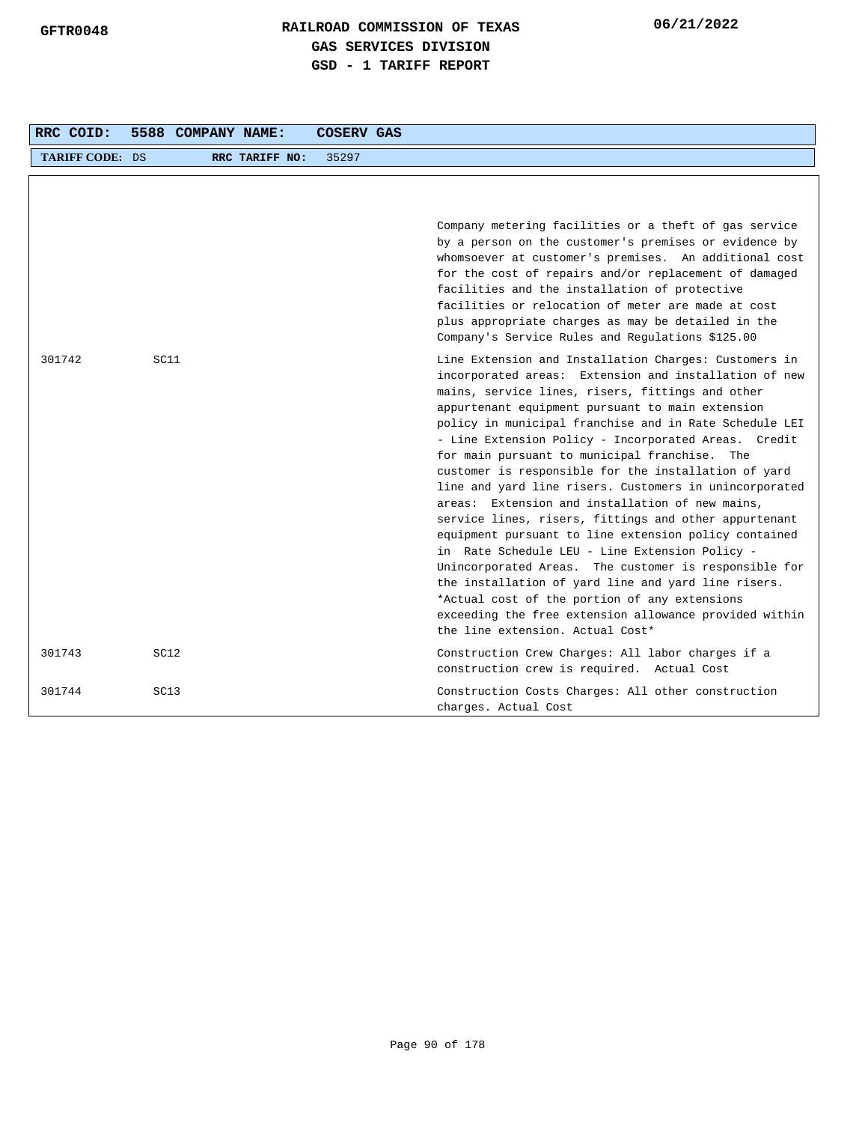| RRC COID:       |      | 5588 COMPANY NAME: |                | COSERV GAS |                                                                                                                                                                                                                                                                                                                                                                                                                                                                                                                                                                                                                                                                                                                                                                                                                                                                                                                                                                                                   |
|-----------------|------|--------------------|----------------|------------|---------------------------------------------------------------------------------------------------------------------------------------------------------------------------------------------------------------------------------------------------------------------------------------------------------------------------------------------------------------------------------------------------------------------------------------------------------------------------------------------------------------------------------------------------------------------------------------------------------------------------------------------------------------------------------------------------------------------------------------------------------------------------------------------------------------------------------------------------------------------------------------------------------------------------------------------------------------------------------------------------|
| TARIFF CODE: DS |      |                    | RRC TARIFF NO: | 35297      |                                                                                                                                                                                                                                                                                                                                                                                                                                                                                                                                                                                                                                                                                                                                                                                                                                                                                                                                                                                                   |
|                 |      |                    |                |            | Company metering facilities or a theft of gas service<br>by a person on the customer's premises or evidence by<br>whomsoever at customer's premises. An additional cost<br>for the cost of repairs and/or replacement of damaged<br>facilities and the installation of protective<br>facilities or relocation of meter are made at cost<br>plus appropriate charges as may be detailed in the<br>Company's Service Rules and Regulations \$125.00                                                                                                                                                                                                                                                                                                                                                                                                                                                                                                                                                 |
| 301742          | SC11 |                    |                |            | Line Extension and Installation Charges: Customers in<br>incorporated areas: Extension and installation of new<br>mains, service lines, risers, fittings and other<br>appurtenant equipment pursuant to main extension<br>policy in municipal franchise and in Rate Schedule LEI<br>- Line Extension Policy - Incorporated Areas. Credit<br>for main pursuant to municipal franchise. The<br>customer is responsible for the installation of yard<br>line and yard line risers. Customers in unincorporated<br>areas: Extension and installation of new mains,<br>service lines, risers, fittings and other appurtenant<br>equipment pursuant to line extension policy contained<br>in Rate Schedule LEU - Line Extension Policy -<br>Unincorporated Areas. The customer is responsible for<br>the installation of yard line and yard line risers.<br>*Actual cost of the portion of any extensions<br>exceeding the free extension allowance provided within<br>the line extension. Actual Cost* |
| 301743          | SC12 |                    |                |            | Construction Crew Charges: All labor charges if a<br>construction crew is required. Actual Cost                                                                                                                                                                                                                                                                                                                                                                                                                                                                                                                                                                                                                                                                                                                                                                                                                                                                                                   |
| 301744          | SC13 |                    |                |            | Construction Costs Charges: All other construction<br>charges. Actual Cost                                                                                                                                                                                                                                                                                                                                                                                                                                                                                                                                                                                                                                                                                                                                                                                                                                                                                                                        |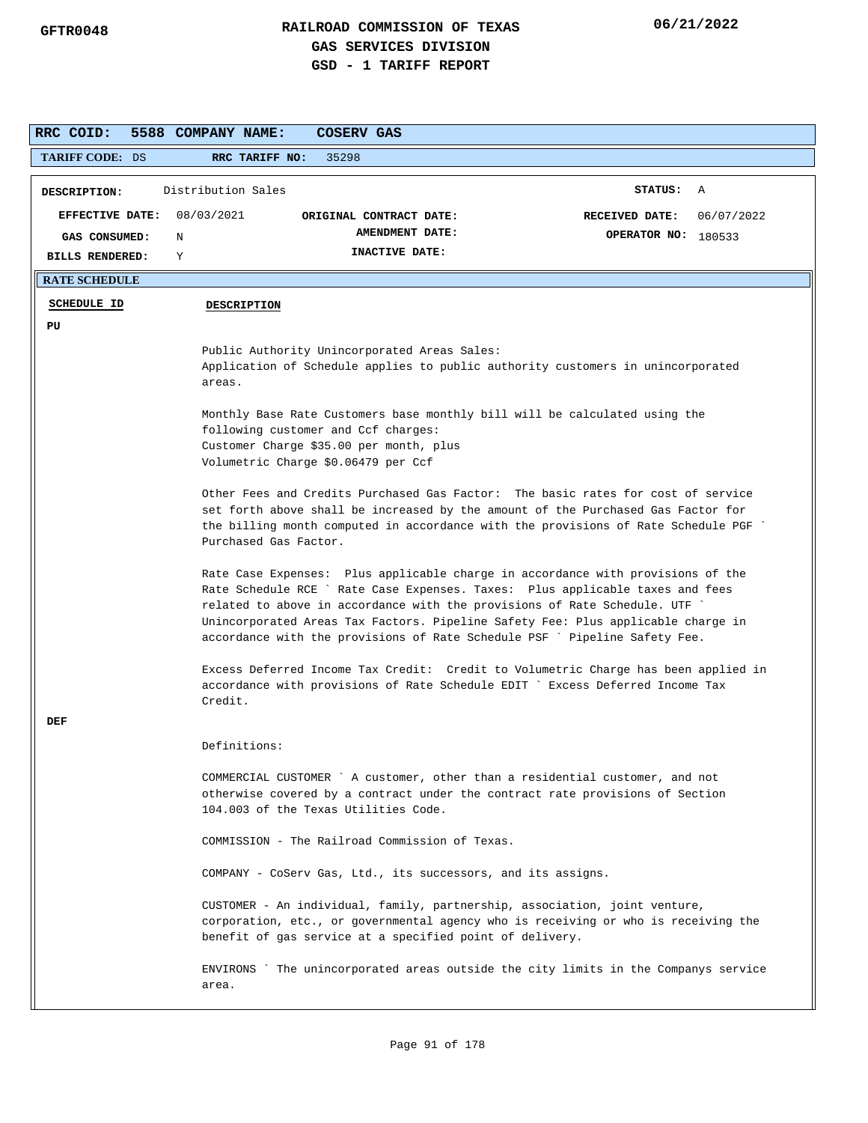| RRC COID:              | 5588 COMPANY NAME:<br><b>COSERV GAS</b>                                                                                                                                                                                                                                                                                                                                                                        |
|------------------------|----------------------------------------------------------------------------------------------------------------------------------------------------------------------------------------------------------------------------------------------------------------------------------------------------------------------------------------------------------------------------------------------------------------|
| <b>TARIFF CODE: DS</b> | 35298<br>RRC TARIFF NO:                                                                                                                                                                                                                                                                                                                                                                                        |
| DESCRIPTION:           | Distribution Sales<br><b>STATUS:</b><br>A                                                                                                                                                                                                                                                                                                                                                                      |
| <b>EFFECTIVE DATE:</b> | 08/03/2021<br>RECEIVED DATE:<br>06/07/2022<br>ORIGINAL CONTRACT DATE:                                                                                                                                                                                                                                                                                                                                          |
| GAS CONSUMED:          | AMENDMENT DATE:<br>OPERATOR NO: 180533<br>N                                                                                                                                                                                                                                                                                                                                                                    |
| <b>BILLS RENDERED:</b> | INACTIVE DATE:<br>Y                                                                                                                                                                                                                                                                                                                                                                                            |
| <b>RATE SCHEDULE</b>   |                                                                                                                                                                                                                                                                                                                                                                                                                |
| <b>SCHEDULE ID</b>     | <b>DESCRIPTION</b>                                                                                                                                                                                                                                                                                                                                                                                             |
| PU                     |                                                                                                                                                                                                                                                                                                                                                                                                                |
|                        | Public Authority Unincorporated Areas Sales:<br>Application of Schedule applies to public authority customers in unincorporated<br>areas.                                                                                                                                                                                                                                                                      |
|                        | Monthly Base Rate Customers base monthly bill will be calculated using the<br>following customer and Ccf charges:                                                                                                                                                                                                                                                                                              |
|                        | Customer Charge \$35.00 per month, plus<br>Volumetric Charge \$0.06479 per Ccf                                                                                                                                                                                                                                                                                                                                 |
|                        | Other Fees and Credits Purchased Gas Factor: The basic rates for cost of service<br>set forth above shall be increased by the amount of the Purchased Gas Factor for<br>the billing month computed in accordance with the provisions of Rate Schedule PGF<br>Purchased Gas Factor.                                                                                                                             |
|                        | Rate Case Expenses: Plus applicable charge in accordance with provisions of the<br>Rate Schedule RCE ` Rate Case Expenses. Taxes: Plus applicable taxes and fees<br>related to above in accordance with the provisions of Rate Schedule. UTF<br>Unincorporated Areas Tax Factors. Pipeline Safety Fee: Plus applicable charge in<br>accordance with the provisions of Rate Schedule PSF ` Pipeline Safety Fee. |
| DEF                    | Excess Deferred Income Tax Credit: Credit to Volumetric Charge has been applied in<br>accordance with provisions of Rate Schedule EDIT ` Excess Deferred Income Tax<br>Credit.                                                                                                                                                                                                                                 |
|                        | Definitions:                                                                                                                                                                                                                                                                                                                                                                                                   |
|                        | COMMERCIAL CUSTOMER `A customer, other than a residential customer, and not<br>otherwise covered by a contract under the contract rate provisions of Section<br>104.003 of the Texas Utilities Code.                                                                                                                                                                                                           |
|                        | COMMISSION - The Railroad Commission of Texas.                                                                                                                                                                                                                                                                                                                                                                 |
|                        | COMPANY - CoServ Gas, Ltd., its successors, and its assigns.                                                                                                                                                                                                                                                                                                                                                   |
|                        | CUSTOMER - An individual, family, partnership, association, joint venture,<br>corporation, etc., or governmental agency who is receiving or who is receiving the<br>benefit of gas service at a specified point of delivery.                                                                                                                                                                                   |
|                        | ENVIRONS `The unincorporated areas outside the city limits in the Companys service<br>area.                                                                                                                                                                                                                                                                                                                    |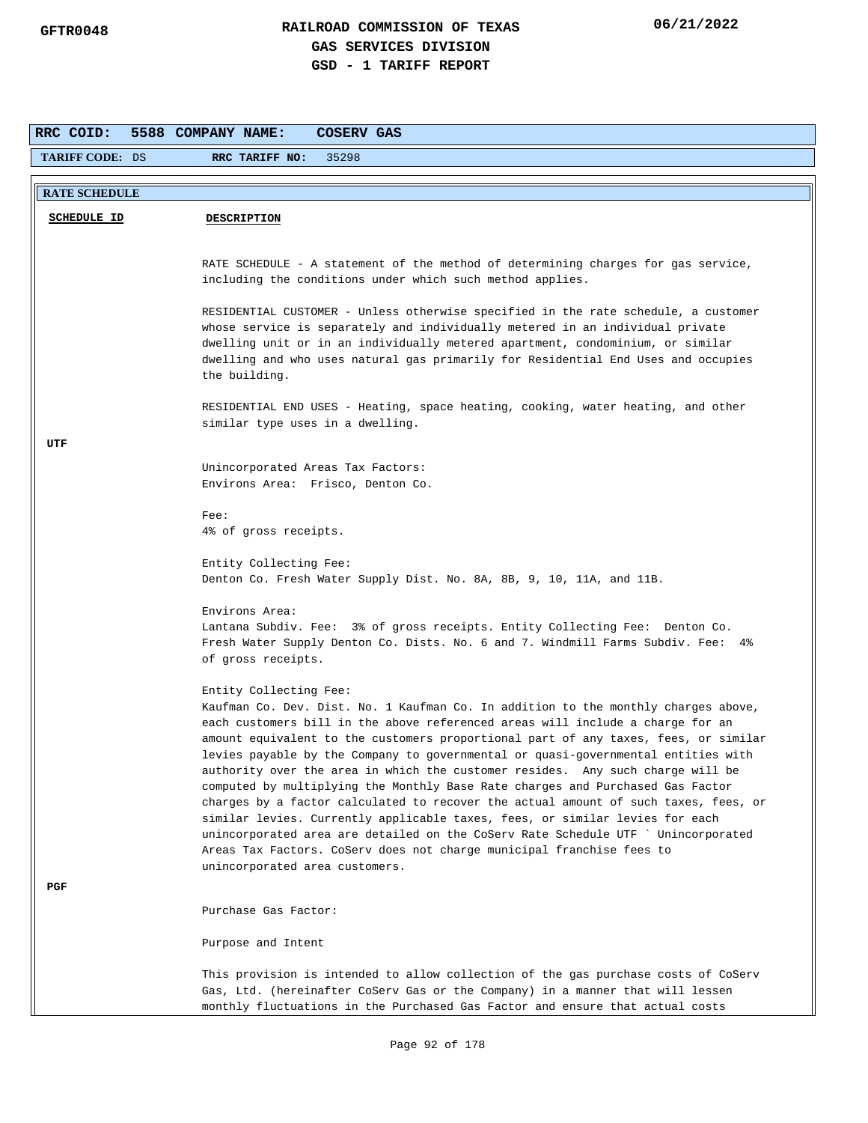| RRC COID:              | 5588 COMPANY NAME:<br>COSERV GAS                                                                                                                                     |
|------------------------|----------------------------------------------------------------------------------------------------------------------------------------------------------------------|
| <b>TARIFF CODE: DS</b> | 35298<br>RRC TARIFF NO:                                                                                                                                              |
|                        |                                                                                                                                                                      |
| <b>RATE SCHEDULE</b>   |                                                                                                                                                                      |
| <b>SCHEDULE ID</b>     | <b>DESCRIPTION</b>                                                                                                                                                   |
|                        |                                                                                                                                                                      |
|                        | RATE SCHEDULE - A statement of the method of determining charges for gas service,                                                                                    |
|                        | including the conditions under which such method applies.                                                                                                            |
|                        | RESIDENTIAL CUSTOMER - Unless otherwise specified in the rate schedule, a customer                                                                                   |
|                        | whose service is separately and individually metered in an individual private                                                                                        |
|                        | dwelling unit or in an individually metered apartment, condominium, or similar<br>dwelling and who uses natural gas primarily for Residential End Uses and occupies  |
|                        | the building.                                                                                                                                                        |
|                        |                                                                                                                                                                      |
|                        | RESIDENTIAL END USES - Heating, space heating, cooking, water heating, and other<br>similar type uses in a dwelling.                                                 |
| UTF                    |                                                                                                                                                                      |
|                        |                                                                                                                                                                      |
|                        | Unincorporated Areas Tax Factors:<br>Environs Area: Frisco, Denton Co.                                                                                               |
|                        |                                                                                                                                                                      |
|                        | $Fee$ :<br>4% of gross receipts.                                                                                                                                     |
|                        |                                                                                                                                                                      |
|                        | Entity Collecting Fee:                                                                                                                                               |
|                        | Denton Co. Fresh Water Supply Dist. No. 8A, 8B, 9, 10, 11A, and 11B.                                                                                                 |
|                        | Environs Area:                                                                                                                                                       |
|                        | Lantana Subdiv. Fee: 3% of gross receipts. Entity Collecting Fee: Denton Co.                                                                                         |
|                        | Fresh Water Supply Denton Co. Dists. No. 6 and 7. Windmill Farms Subdiv. Fee: 4%<br>of gross receipts.                                                               |
|                        |                                                                                                                                                                      |
|                        | Entity Collecting Fee:                                                                                                                                               |
|                        | Kaufman Co. Dev. Dist. No. 1 Kaufman Co. In addition to the monthly charges above,<br>each customers bill in the above referenced areas will include a charge for an |
|                        | amount equivalent to the customers proportional part of any taxes, fees, or similar                                                                                  |
|                        | levies payable by the Company to governmental or quasi-governmental entities with                                                                                    |
|                        | authority over the area in which the customer resides. Any such charge will be<br>computed by multiplying the Monthly Base Rate charges and Purchased Gas Factor     |
|                        | charges by a factor calculated to recover the actual amount of such taxes, fees, or                                                                                  |
|                        | similar levies. Currently applicable taxes, fees, or similar levies for each                                                                                         |
|                        | unincorporated area are detailed on the CoServ Rate Schedule UTF ` Unincorporated                                                                                    |
|                        | Areas Tax Factors. CoServ does not charge municipal franchise fees to<br>unincorporated area customers.                                                              |
| PGF                    |                                                                                                                                                                      |
|                        | Purchase Gas Factor:                                                                                                                                                 |
|                        |                                                                                                                                                                      |
|                        | Purpose and Intent                                                                                                                                                   |
|                        | This provision is intended to allow collection of the gas purchase costs of CoServ                                                                                   |
|                        | Gas, Ltd. (hereinafter CoServ Gas or the Company) in a manner that will lessen                                                                                       |
|                        | monthly fluctuations in the Purchased Gas Factor and ensure that actual costs                                                                                        |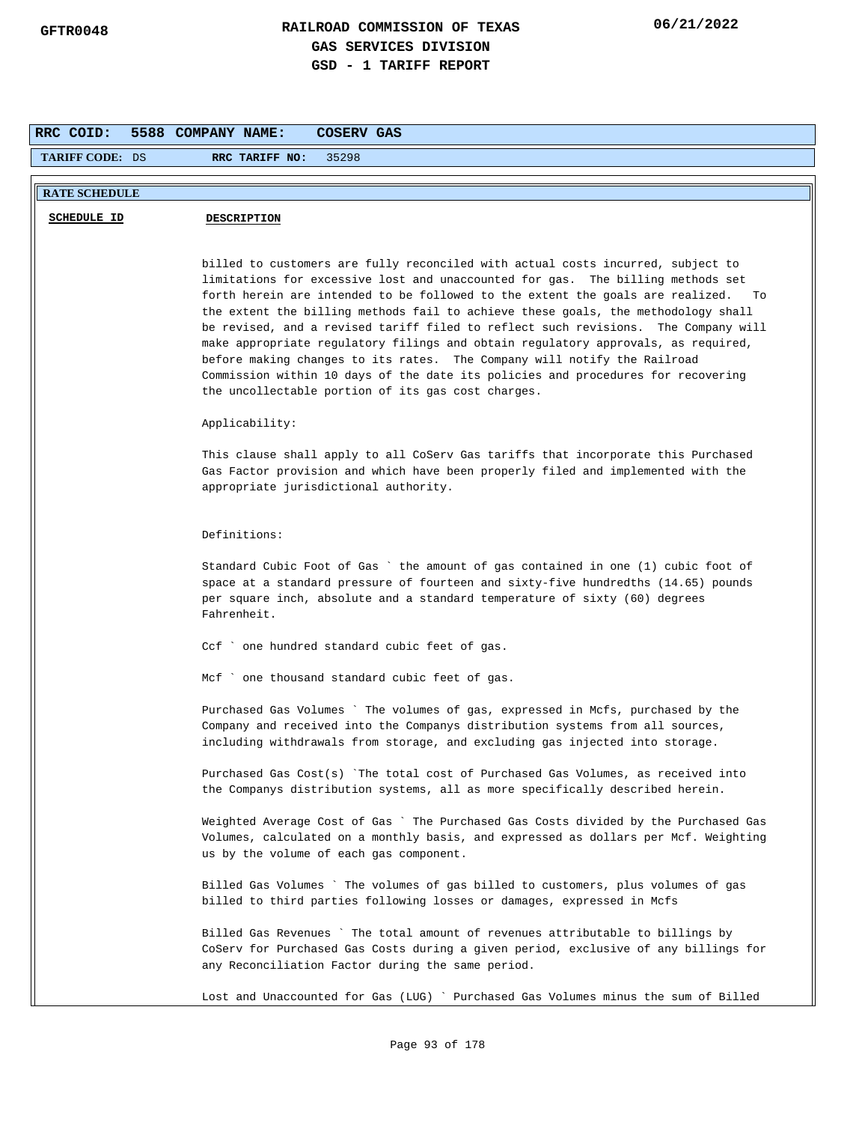| RRC COID:              | 5588 COMPANY NAME:<br>COSERV GAS                                                                                                                                                                                                                                                                                                                                                                                                                                                                                                                                                                                                                                                                                                                 |
|------------------------|--------------------------------------------------------------------------------------------------------------------------------------------------------------------------------------------------------------------------------------------------------------------------------------------------------------------------------------------------------------------------------------------------------------------------------------------------------------------------------------------------------------------------------------------------------------------------------------------------------------------------------------------------------------------------------------------------------------------------------------------------|
| <b>TARIFF CODE: DS</b> | 35298<br>RRC TARIFF NO:                                                                                                                                                                                                                                                                                                                                                                                                                                                                                                                                                                                                                                                                                                                          |
| <b>RATE SCHEDULE</b>   |                                                                                                                                                                                                                                                                                                                                                                                                                                                                                                                                                                                                                                                                                                                                                  |
| <b>SCHEDULE ID</b>     | DESCRIPTION                                                                                                                                                                                                                                                                                                                                                                                                                                                                                                                                                                                                                                                                                                                                      |
|                        |                                                                                                                                                                                                                                                                                                                                                                                                                                                                                                                                                                                                                                                                                                                                                  |
|                        | billed to customers are fully reconciled with actual costs incurred, subject to<br>limitations for excessive lost and unaccounted for gas. The billing methods set<br>forth herein are intended to be followed to the extent the goals are realized.<br>To<br>the extent the billing methods fail to achieve these goals, the methodology shall<br>be revised, and a revised tariff filed to reflect such revisions. The Company will<br>make appropriate regulatory filings and obtain regulatory approvals, as required,<br>before making changes to its rates. The Company will notify the Railroad<br>Commission within 10 days of the date its policies and procedures for recovering<br>the uncollectable portion of its gas cost charges. |
|                        | Applicability:                                                                                                                                                                                                                                                                                                                                                                                                                                                                                                                                                                                                                                                                                                                                   |
|                        | This clause shall apply to all CoServ Gas tariffs that incorporate this Purchased<br>Gas Factor provision and which have been properly filed and implemented with the<br>appropriate jurisdictional authority.                                                                                                                                                                                                                                                                                                                                                                                                                                                                                                                                   |
|                        | Definitions:                                                                                                                                                                                                                                                                                                                                                                                                                                                                                                                                                                                                                                                                                                                                     |
|                        | Standard Cubic Foot of Gas ` the amount of gas contained in one (1) cubic foot of<br>space at a standard pressure of fourteen and sixty-five hundredths (14.65) pounds<br>per square inch, absolute and a standard temperature of sixty (60) degrees<br>Fahrenheit.                                                                                                                                                                                                                                                                                                                                                                                                                                                                              |
|                        | Ccf ` one hundred standard cubic feet of gas.                                                                                                                                                                                                                                                                                                                                                                                                                                                                                                                                                                                                                                                                                                    |
|                        | Mcf ` one thousand standard cubic feet of gas.                                                                                                                                                                                                                                                                                                                                                                                                                                                                                                                                                                                                                                                                                                   |
|                        | Purchased Gas Volumes ` The volumes of gas, expressed in Mcfs, purchased by the<br>Company and received into the Companys distribution systems from all sources,<br>including withdrawals from storage, and excluding gas injected into storage.                                                                                                                                                                                                                                                                                                                                                                                                                                                                                                 |
|                        | Purchased Gas Cost(s) `The total cost of Purchased Gas Volumes, as received into<br>the Companys distribution systems, all as more specifically described herein.                                                                                                                                                                                                                                                                                                                                                                                                                                                                                                                                                                                |
|                        | Weighted Average Cost of Gas ` The Purchased Gas Costs divided by the Purchased Gas<br>Volumes, calculated on a monthly basis, and expressed as dollars per Mcf. Weighting<br>us by the volume of each gas component.                                                                                                                                                                                                                                                                                                                                                                                                                                                                                                                            |
|                        | Billed Gas Volumes `The volumes of gas billed to customers, plus volumes of gas<br>billed to third parties following losses or damages, expressed in Mcfs                                                                                                                                                                                                                                                                                                                                                                                                                                                                                                                                                                                        |
|                        | Billed Gas Revenues ` The total amount of revenues attributable to billings by<br>CoServ for Purchased Gas Costs during a given period, exclusive of any billings for<br>any Reconciliation Factor during the same period.                                                                                                                                                                                                                                                                                                                                                                                                                                                                                                                       |
|                        | Lost and Unaccounted for Gas (LUG) ` Purchased Gas Volumes minus the sum of Billed                                                                                                                                                                                                                                                                                                                                                                                                                                                                                                                                                                                                                                                               |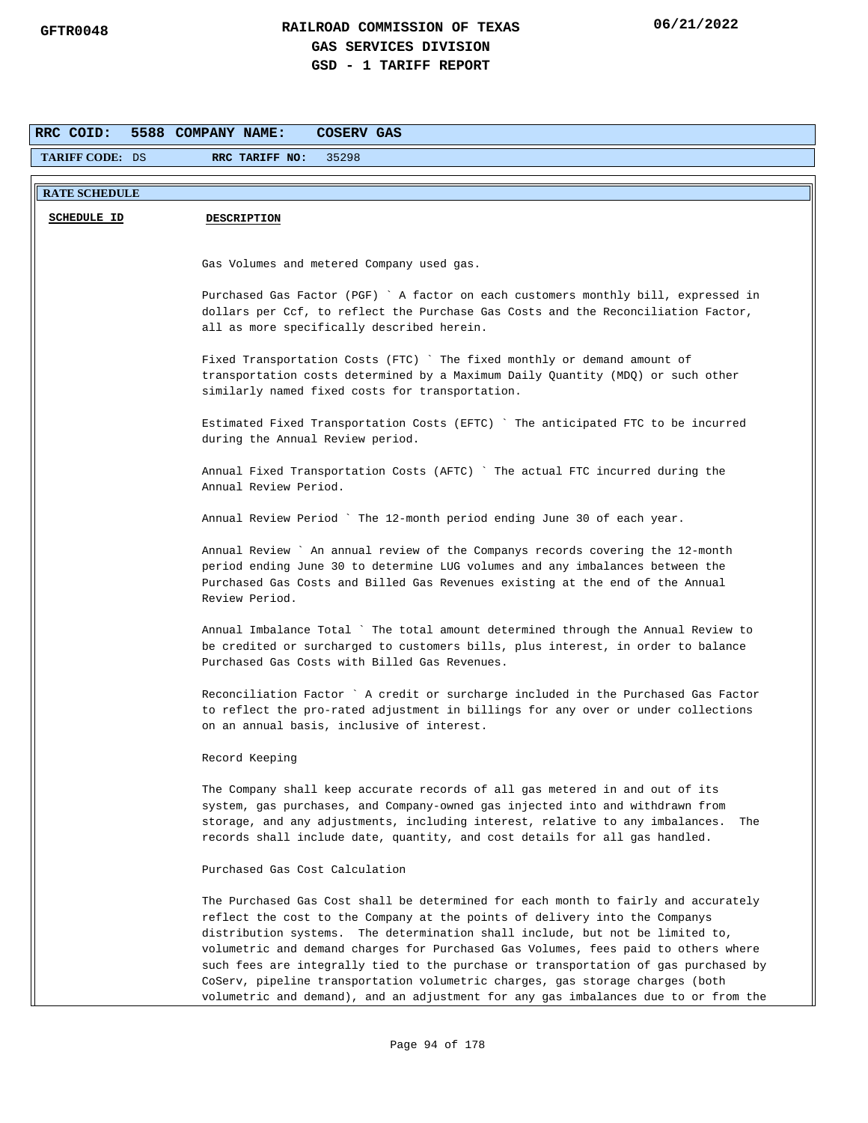| RRC COID:              | 5588 COMPANY NAME:<br>COSERV GAS                                                                                                                                                                                                                                                                                                                                                                                                                                                                                                                                                                        |
|------------------------|---------------------------------------------------------------------------------------------------------------------------------------------------------------------------------------------------------------------------------------------------------------------------------------------------------------------------------------------------------------------------------------------------------------------------------------------------------------------------------------------------------------------------------------------------------------------------------------------------------|
| <b>TARIFF CODE: DS</b> | RRC TARIFF NO:<br>35298                                                                                                                                                                                                                                                                                                                                                                                                                                                                                                                                                                                 |
| <b>RATE SCHEDULE</b>   |                                                                                                                                                                                                                                                                                                                                                                                                                                                                                                                                                                                                         |
|                        |                                                                                                                                                                                                                                                                                                                                                                                                                                                                                                                                                                                                         |
| <b>SCHEDULE ID</b>     | <b>DESCRIPTION</b>                                                                                                                                                                                                                                                                                                                                                                                                                                                                                                                                                                                      |
|                        |                                                                                                                                                                                                                                                                                                                                                                                                                                                                                                                                                                                                         |
|                        | Gas Volumes and metered Company used gas.                                                                                                                                                                                                                                                                                                                                                                                                                                                                                                                                                               |
|                        | Purchased Gas Factor (PGF) ` A factor on each customers monthly bill, expressed in<br>dollars per Ccf, to reflect the Purchase Gas Costs and the Reconciliation Factor,<br>all as more specifically described herein.                                                                                                                                                                                                                                                                                                                                                                                   |
|                        | Fixed Transportation Costs (FTC) `The fixed monthly or demand amount of<br>transportation costs determined by a Maximum Daily Quantity (MDQ) or such other<br>similarly named fixed costs for transportation.                                                                                                                                                                                                                                                                                                                                                                                           |
|                        | Estimated Fixed Transportation Costs (EFTC) `The anticipated FTC to be incurred<br>during the Annual Review period.                                                                                                                                                                                                                                                                                                                                                                                                                                                                                     |
|                        | Annual Fixed Transportation Costs (AFTC) `The actual FTC incurred during the<br>Annual Review Period.                                                                                                                                                                                                                                                                                                                                                                                                                                                                                                   |
|                        | Annual Review Period ` The 12-month period ending June 30 of each year.                                                                                                                                                                                                                                                                                                                                                                                                                                                                                                                                 |
|                        | Annual Review ` An annual review of the Companys records covering the 12-month<br>period ending June 30 to determine LUG volumes and any imbalances between the<br>Purchased Gas Costs and Billed Gas Revenues existing at the end of the Annual<br>Review Period.                                                                                                                                                                                                                                                                                                                                      |
|                        | Annual Imbalance Total `The total amount determined through the Annual Review to<br>be credited or surcharged to customers bills, plus interest, in order to balance<br>Purchased Gas Costs with Billed Gas Revenues.                                                                                                                                                                                                                                                                                                                                                                                   |
|                        | Reconciliation Factor ` A credit or surcharge included in the Purchased Gas Factor<br>to reflect the pro-rated adjustment in billings for any over or under collections<br>on an annual basis, inclusive of interest.                                                                                                                                                                                                                                                                                                                                                                                   |
|                        | Record Keeping                                                                                                                                                                                                                                                                                                                                                                                                                                                                                                                                                                                          |
|                        | The Company shall keep accurate records of all gas metered in and out of its<br>system, gas purchases, and Company-owned gas injected into and withdrawn from<br>storage, and any adjustments, including interest, relative to any imbalances.<br>The<br>records shall include date, quantity, and cost details for all gas handled.                                                                                                                                                                                                                                                                    |
|                        | Purchased Gas Cost Calculation                                                                                                                                                                                                                                                                                                                                                                                                                                                                                                                                                                          |
|                        | The Purchased Gas Cost shall be determined for each month to fairly and accurately<br>reflect the cost to the Company at the points of delivery into the Companys<br>distribution systems. The determination shall include, but not be limited to,<br>volumetric and demand charges for Purchased Gas Volumes, fees paid to others where<br>such fees are integrally tied to the purchase or transportation of gas purchased by<br>CoServ, pipeline transportation volumetric charges, gas storage charges (both<br>volumetric and demand), and an adjustment for any gas imbalances due to or from the |
|                        |                                                                                                                                                                                                                                                                                                                                                                                                                                                                                                                                                                                                         |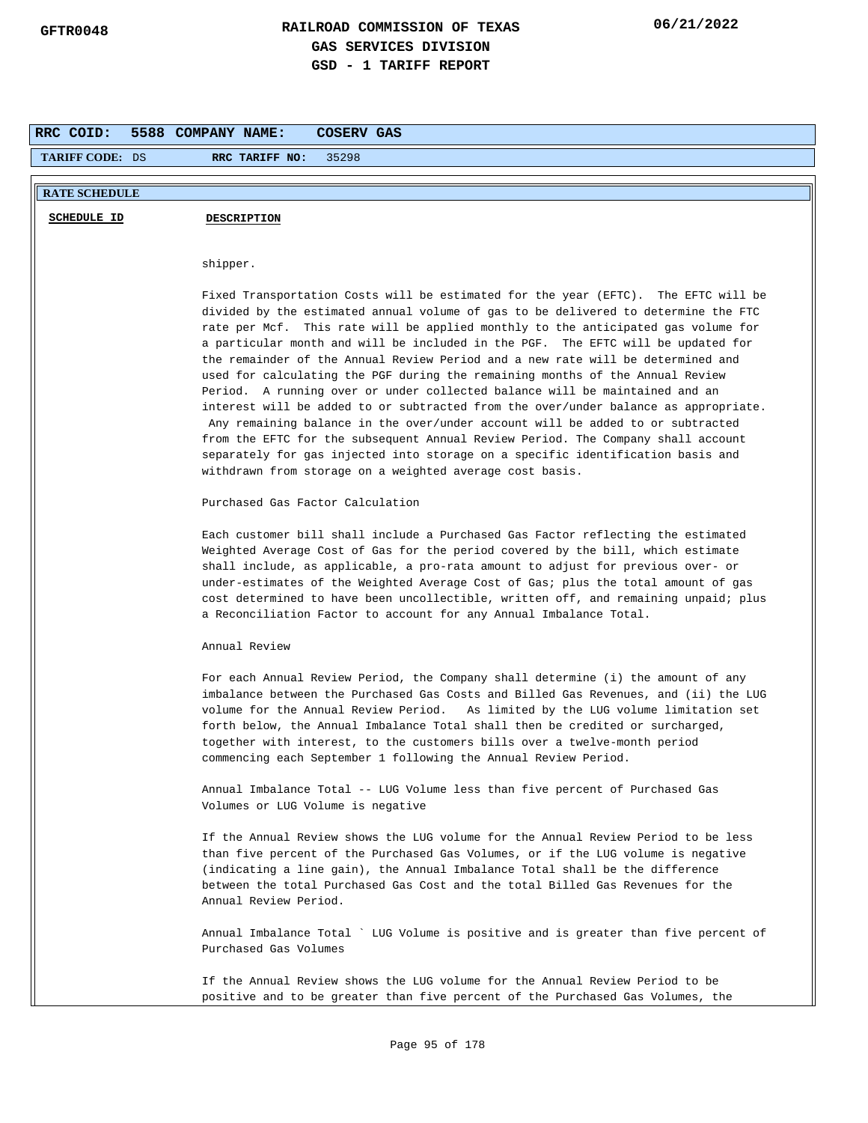| RRC COID:              | 5588 COMPANY NAME:<br>COSERV GAS                                                                                                                                                                                                                                                                                                                                                                                                                                                                                                                                                                                                                                                                                                                                                                                                                                                                                                                                                                                 |
|------------------------|------------------------------------------------------------------------------------------------------------------------------------------------------------------------------------------------------------------------------------------------------------------------------------------------------------------------------------------------------------------------------------------------------------------------------------------------------------------------------------------------------------------------------------------------------------------------------------------------------------------------------------------------------------------------------------------------------------------------------------------------------------------------------------------------------------------------------------------------------------------------------------------------------------------------------------------------------------------------------------------------------------------|
| <b>TARIFF CODE: DS</b> | 35298<br>RRC TARIFF NO:                                                                                                                                                                                                                                                                                                                                                                                                                                                                                                                                                                                                                                                                                                                                                                                                                                                                                                                                                                                          |
| <b>RATE SCHEDULE</b>   |                                                                                                                                                                                                                                                                                                                                                                                                                                                                                                                                                                                                                                                                                                                                                                                                                                                                                                                                                                                                                  |
| <b>SCHEDULE ID</b>     | <b>DESCRIPTION</b>                                                                                                                                                                                                                                                                                                                                                                                                                                                                                                                                                                                                                                                                                                                                                                                                                                                                                                                                                                                               |
|                        |                                                                                                                                                                                                                                                                                                                                                                                                                                                                                                                                                                                                                                                                                                                                                                                                                                                                                                                                                                                                                  |
|                        | shipper.                                                                                                                                                                                                                                                                                                                                                                                                                                                                                                                                                                                                                                                                                                                                                                                                                                                                                                                                                                                                         |
|                        | Fixed Transportation Costs will be estimated for the year (EFTC). The EFTC will be<br>divided by the estimated annual volume of gas to be delivered to determine the FTC<br>rate per Mcf. This rate will be applied monthly to the anticipated gas volume for<br>a particular month and will be included in the PGF. The EFTC will be updated for<br>the remainder of the Annual Review Period and a new rate will be determined and<br>used for calculating the PGF during the remaining months of the Annual Review<br>Period. A running over or under collected balance will be maintained and an<br>interest will be added to or subtracted from the over/under balance as appropriate.<br>Any remaining balance in the over/under account will be added to or subtracted<br>from the EFTC for the subsequent Annual Review Period. The Company shall account<br>separately for gas injected into storage on a specific identification basis and<br>withdrawn from storage on a weighted average cost basis. |
|                        | Purchased Gas Factor Calculation                                                                                                                                                                                                                                                                                                                                                                                                                                                                                                                                                                                                                                                                                                                                                                                                                                                                                                                                                                                 |
|                        | Each customer bill shall include a Purchased Gas Factor reflecting the estimated<br>Weighted Average Cost of Gas for the period covered by the bill, which estimate<br>shall include, as applicable, a pro-rata amount to adjust for previous over- or<br>under-estimates of the Weighted Average Cost of Gas; plus the total amount of gas<br>cost determined to have been uncollectible, written off, and remaining unpaid; plus<br>a Reconciliation Factor to account for any Annual Imbalance Total.                                                                                                                                                                                                                                                                                                                                                                                                                                                                                                         |
|                        | Annual Review                                                                                                                                                                                                                                                                                                                                                                                                                                                                                                                                                                                                                                                                                                                                                                                                                                                                                                                                                                                                    |
|                        | For each Annual Review Period, the Company shall determine (i) the amount of any<br>imbalance between the Purchased Gas Costs and Billed Gas Revenues, and (ii) the LUG<br>volume for the Annual Review Period. As limited by the LUG volume limitation set<br>forth below, the Annual Imbalance Total shall then be credited or surcharged,<br>together with interest, to the customers bills over a twelve-month period<br>commencing each September 1 following the Annual Review Period.                                                                                                                                                                                                                                                                                                                                                                                                                                                                                                                     |
|                        | Annual Imbalance Total -- LUG Volume less than five percent of Purchased Gas<br>Volumes or LUG Volume is negative                                                                                                                                                                                                                                                                                                                                                                                                                                                                                                                                                                                                                                                                                                                                                                                                                                                                                                |
|                        | If the Annual Review shows the LUG volume for the Annual Review Period to be less<br>than five percent of the Purchased Gas Volumes, or if the LUG volume is negative<br>(indicating a line gain), the Annual Imbalance Total shall be the difference<br>between the total Purchased Gas Cost and the total Billed Gas Revenues for the<br>Annual Review Period.                                                                                                                                                                                                                                                                                                                                                                                                                                                                                                                                                                                                                                                 |
|                        | Annual Imbalance Total ` LUG Volume is positive and is greater than five percent of<br>Purchased Gas Volumes                                                                                                                                                                                                                                                                                                                                                                                                                                                                                                                                                                                                                                                                                                                                                                                                                                                                                                     |
|                        | If the Annual Review shows the LUG volume for the Annual Review Period to be<br>positive and to be greater than five percent of the Purchased Gas Volumes, the                                                                                                                                                                                                                                                                                                                                                                                                                                                                                                                                                                                                                                                                                                                                                                                                                                                   |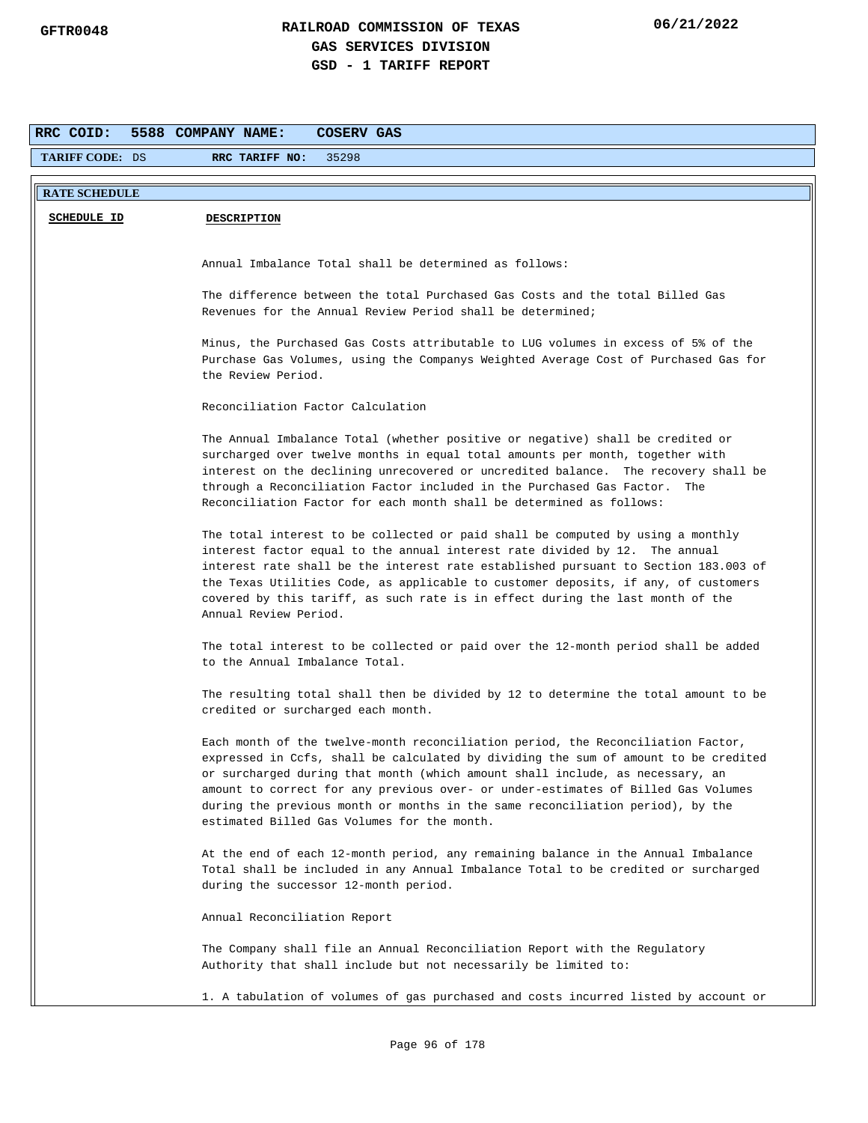| RRC COID:              | 5588 COMPANY NAME:<br>COSERV GAS                                                                                                                                                                                                                                                                                                                                                                                                                                               |
|------------------------|--------------------------------------------------------------------------------------------------------------------------------------------------------------------------------------------------------------------------------------------------------------------------------------------------------------------------------------------------------------------------------------------------------------------------------------------------------------------------------|
| <b>TARIFF CODE: DS</b> | 35298<br>RRC TARIFF NO:                                                                                                                                                                                                                                                                                                                                                                                                                                                        |
| <b>RATE SCHEDULE</b>   |                                                                                                                                                                                                                                                                                                                                                                                                                                                                                |
| <b>SCHEDULE ID</b>     | <b>DESCRIPTION</b>                                                                                                                                                                                                                                                                                                                                                                                                                                                             |
|                        |                                                                                                                                                                                                                                                                                                                                                                                                                                                                                |
|                        | Annual Imbalance Total shall be determined as follows:                                                                                                                                                                                                                                                                                                                                                                                                                         |
|                        | The difference between the total Purchased Gas Costs and the total Billed Gas<br>Revenues for the Annual Review Period shall be determined;                                                                                                                                                                                                                                                                                                                                    |
|                        | Minus, the Purchased Gas Costs attributable to LUG volumes in excess of 5% of the<br>Purchase Gas Volumes, using the Companys Weighted Average Cost of Purchased Gas for<br>the Review Period.                                                                                                                                                                                                                                                                                 |
|                        | Reconciliation Factor Calculation                                                                                                                                                                                                                                                                                                                                                                                                                                              |
|                        | The Annual Imbalance Total (whether positive or negative) shall be credited or<br>surcharged over twelve months in equal total amounts per month, together with<br>interest on the declining unrecovered or uncredited balance. The recovery shall be<br>through a Reconciliation Factor included in the Purchased Gas Factor. The<br>Reconciliation Factor for each month shall be determined as follows:                                                                     |
|                        | The total interest to be collected or paid shall be computed by using a monthly<br>interest factor equal to the annual interest rate divided by 12. The annual<br>interest rate shall be the interest rate established pursuant to Section 183.003 of<br>the Texas Utilities Code, as applicable to customer deposits, if any, of customers<br>covered by this tariff, as such rate is in effect during the last month of the<br>Annual Review Period.                         |
|                        | The total interest to be collected or paid over the 12-month period shall be added<br>to the Annual Imbalance Total.                                                                                                                                                                                                                                                                                                                                                           |
|                        | The resulting total shall then be divided by 12 to determine the total amount to be<br>credited or surcharged each month.                                                                                                                                                                                                                                                                                                                                                      |
|                        | Each month of the twelve-month reconciliation period, the Reconciliation Factor,<br>expressed in Ccfs, shall be calculated by dividing the sum of amount to be credited<br>or surcharged during that month (which amount shall include, as necessary, an<br>amount to correct for any previous over- or under-estimates of Billed Gas Volumes<br>during the previous month or months in the same reconciliation period), by the<br>estimated Billed Gas Volumes for the month. |
|                        | At the end of each 12-month period, any remaining balance in the Annual Imbalance<br>Total shall be included in any Annual Imbalance Total to be credited or surcharged<br>during the successor 12-month period.                                                                                                                                                                                                                                                               |
|                        | Annual Reconciliation Report                                                                                                                                                                                                                                                                                                                                                                                                                                                   |
|                        | The Company shall file an Annual Reconciliation Report with the Regulatory<br>Authority that shall include but not necessarily be limited to:                                                                                                                                                                                                                                                                                                                                  |
|                        | 1. A tabulation of volumes of gas purchased and costs incurred listed by account or                                                                                                                                                                                                                                                                                                                                                                                            |
|                        |                                                                                                                                                                                                                                                                                                                                                                                                                                                                                |
|                        | Page 96 of 178                                                                                                                                                                                                                                                                                                                                                                                                                                                                 |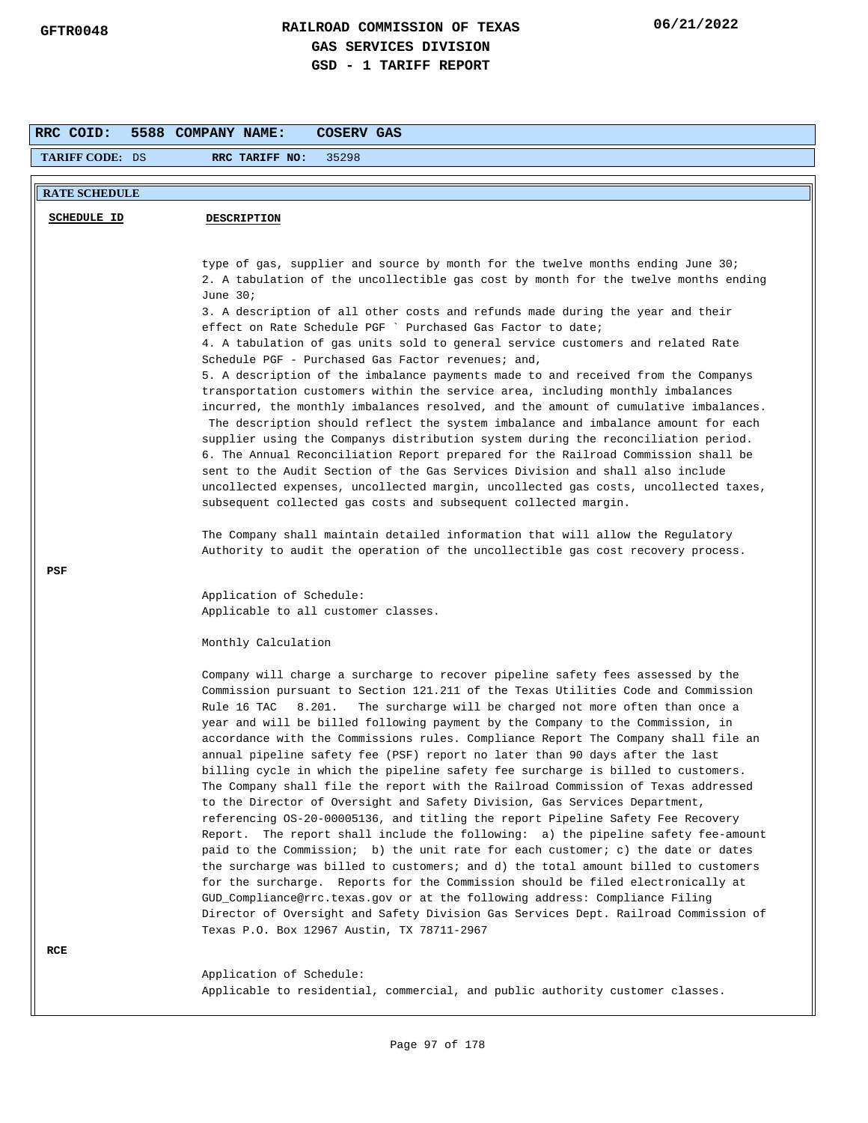| RRC COID:              | 5588 COMPANY NAME:<br>COSERV GAS                                                                                                                                                                                                                                                                                                                                                                                                                                                                                                                                                                                                                                                                                                                                                                                                                                                                                                                                                                                                                                                                                                                                                                                                                                                                                                                                                                                                  |
|------------------------|-----------------------------------------------------------------------------------------------------------------------------------------------------------------------------------------------------------------------------------------------------------------------------------------------------------------------------------------------------------------------------------------------------------------------------------------------------------------------------------------------------------------------------------------------------------------------------------------------------------------------------------------------------------------------------------------------------------------------------------------------------------------------------------------------------------------------------------------------------------------------------------------------------------------------------------------------------------------------------------------------------------------------------------------------------------------------------------------------------------------------------------------------------------------------------------------------------------------------------------------------------------------------------------------------------------------------------------------------------------------------------------------------------------------------------------|
| <b>TARIFF CODE: DS</b> | 35298<br>RRC TARIFF NO:                                                                                                                                                                                                                                                                                                                                                                                                                                                                                                                                                                                                                                                                                                                                                                                                                                                                                                                                                                                                                                                                                                                                                                                                                                                                                                                                                                                                           |
| <b>RATE SCHEDULE</b>   |                                                                                                                                                                                                                                                                                                                                                                                                                                                                                                                                                                                                                                                                                                                                                                                                                                                                                                                                                                                                                                                                                                                                                                                                                                                                                                                                                                                                                                   |
| <b>SCHEDULE ID</b>     | <b>DESCRIPTION</b>                                                                                                                                                                                                                                                                                                                                                                                                                                                                                                                                                                                                                                                                                                                                                                                                                                                                                                                                                                                                                                                                                                                                                                                                                                                                                                                                                                                                                |
|                        |                                                                                                                                                                                                                                                                                                                                                                                                                                                                                                                                                                                                                                                                                                                                                                                                                                                                                                                                                                                                                                                                                                                                                                                                                                                                                                                                                                                                                                   |
|                        | type of gas, supplier and source by month for the twelve months ending June 30;<br>2. A tabulation of the uncollectible gas cost by month for the twelve months ending<br>June $30i$<br>3. A description of all other costs and refunds made during the year and their<br>effect on Rate Schedule PGF ` Purchased Gas Factor to date;<br>4. A tabulation of gas units sold to general service customers and related Rate<br>Schedule PGF - Purchased Gas Factor revenues; and,<br>5. A description of the imbalance payments made to and received from the Companys<br>transportation customers within the service area, including monthly imbalances<br>incurred, the monthly imbalances resolved, and the amount of cumulative imbalances.<br>The description should reflect the system imbalance and imbalance amount for each<br>supplier using the Companys distribution system during the reconciliation period.<br>6. The Annual Reconciliation Report prepared for the Railroad Commission shall be<br>sent to the Audit Section of the Gas Services Division and shall also include<br>uncollected expenses, uncollected margin, uncollected gas costs, uncollected taxes,<br>subsequent collected gas costs and subsequent collected margin.<br>The Company shall maintain detailed information that will allow the Regulatory<br>Authority to audit the operation of the uncollectible gas cost recovery process.      |
| PSF                    |                                                                                                                                                                                                                                                                                                                                                                                                                                                                                                                                                                                                                                                                                                                                                                                                                                                                                                                                                                                                                                                                                                                                                                                                                                                                                                                                                                                                                                   |
|                        | Application of Schedule:<br>Applicable to all customer classes.                                                                                                                                                                                                                                                                                                                                                                                                                                                                                                                                                                                                                                                                                                                                                                                                                                                                                                                                                                                                                                                                                                                                                                                                                                                                                                                                                                   |
|                        | Monthly Calculation                                                                                                                                                                                                                                                                                                                                                                                                                                                                                                                                                                                                                                                                                                                                                                                                                                                                                                                                                                                                                                                                                                                                                                                                                                                                                                                                                                                                               |
| RCE                    | Company will charge a surcharge to recover pipeline safety fees assessed by the<br>Commission pursuant to Section 121.211 of the Texas Utilities Code and Commission<br>The surcharge will be charged not more often than once a<br>Rule 16 TAC<br>8.201.<br>year and will be billed following payment by the Company to the Commission, in<br>accordance with the Commissions rules. Compliance Report The Company shall file an<br>annual pipeline safety fee (PSF) report no later than 90 days after the last<br>billing cycle in which the pipeline safety fee surcharge is billed to customers.<br>The Company shall file the report with the Railroad Commission of Texas addressed<br>to the Director of Oversight and Safety Division, Gas Services Department,<br>referencing OS-20-00005136, and titling the report Pipeline Safety Fee Recovery<br>Report. The report shall include the following: a) the pipeline safety fee-amount<br>paid to the Commission; b) the unit rate for each customer; c) the date or dates<br>the surcharge was billed to customers; and d) the total amount billed to customers<br>for the surcharge. Reports for the Commission should be filed electronically at<br>GUD_Compliance@rrc.texas.gov or at the following address: Compliance Filing<br>Director of Oversight and Safety Division Gas Services Dept. Railroad Commission of<br>Texas P.O. Box 12967 Austin, TX 78711-2967 |
|                        | Application of Schedule:<br>Applicable to residential, commercial, and public authority customer classes.                                                                                                                                                                                                                                                                                                                                                                                                                                                                                                                                                                                                                                                                                                                                                                                                                                                                                                                                                                                                                                                                                                                                                                                                                                                                                                                         |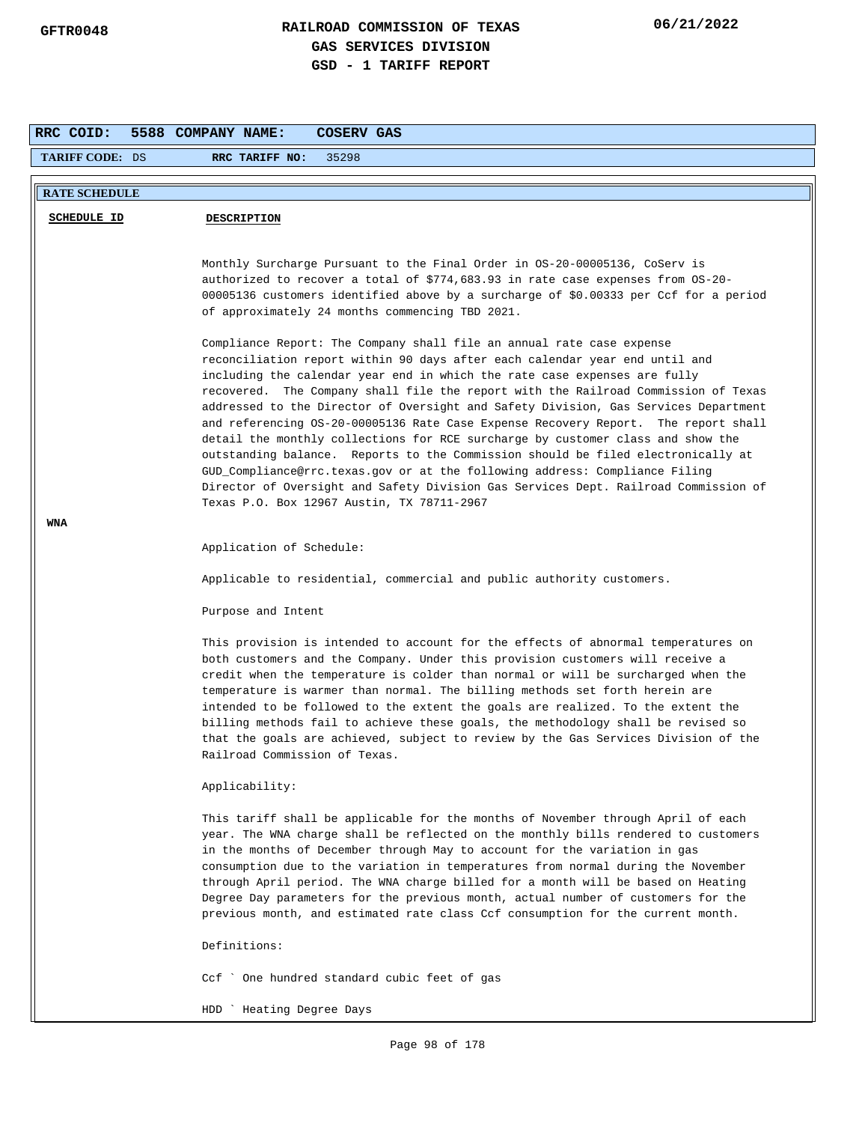| RRC COID:<br>5588 COMPANY NAME:<br>COSERV GAS |                                                                                                                                                                                                                                                                                                                                                                                                                                                                                                                                                                                                                                                                                                                                         |  |  |  |  |
|-----------------------------------------------|-----------------------------------------------------------------------------------------------------------------------------------------------------------------------------------------------------------------------------------------------------------------------------------------------------------------------------------------------------------------------------------------------------------------------------------------------------------------------------------------------------------------------------------------------------------------------------------------------------------------------------------------------------------------------------------------------------------------------------------------|--|--|--|--|
| <b>TARIFF CODE: DS</b>                        | 35298<br>RRC TARIFF NO:                                                                                                                                                                                                                                                                                                                                                                                                                                                                                                                                                                                                                                                                                                                 |  |  |  |  |
| <b>RATE SCHEDULE</b>                          |                                                                                                                                                                                                                                                                                                                                                                                                                                                                                                                                                                                                                                                                                                                                         |  |  |  |  |
|                                               |                                                                                                                                                                                                                                                                                                                                                                                                                                                                                                                                                                                                                                                                                                                                         |  |  |  |  |
| <b>SCHEDULE ID</b>                            | <b>DESCRIPTION</b>                                                                                                                                                                                                                                                                                                                                                                                                                                                                                                                                                                                                                                                                                                                      |  |  |  |  |
|                                               | Monthly Surcharge Pursuant to the Final Order in OS-20-00005136, CoServ is<br>authorized to recover a total of \$774,683.93 in rate case expenses from OS-20-<br>00005136 customers identified above by a surcharge of \$0.00333 per Ccf for a period<br>of approximately 24 months commencing TBD 2021.<br>Compliance Report: The Company shall file an annual rate case expense<br>reconciliation report within 90 days after each calendar year end until and                                                                                                                                                                                                                                                                        |  |  |  |  |
|                                               | including the calendar year end in which the rate case expenses are fully<br>recovered. The Company shall file the report with the Railroad Commission of Texas<br>addressed to the Director of Oversight and Safety Division, Gas Services Department<br>and referencing OS-20-00005136 Rate Case Expense Recovery Report. The report shall<br>detail the monthly collections for RCE surcharge by customer class and show the<br>outstanding balance. Reports to the Commission should be filed electronically at<br>GUD_Compliance@rrc.texas.gov or at the following address: Compliance Filing<br>Director of Oversight and Safety Division Gas Services Dept. Railroad Commission of<br>Texas P.O. Box 12967 Austin, TX 78711-2967 |  |  |  |  |
| WNA                                           | Application of Schedule:                                                                                                                                                                                                                                                                                                                                                                                                                                                                                                                                                                                                                                                                                                                |  |  |  |  |
|                                               | Applicable to residential, commercial and public authority customers.                                                                                                                                                                                                                                                                                                                                                                                                                                                                                                                                                                                                                                                                   |  |  |  |  |
|                                               | Purpose and Intent                                                                                                                                                                                                                                                                                                                                                                                                                                                                                                                                                                                                                                                                                                                      |  |  |  |  |
|                                               | This provision is intended to account for the effects of abnormal temperatures on<br>both customers and the Company. Under this provision customers will receive a<br>credit when the temperature is colder than normal or will be surcharged when the<br>temperature is warmer than normal. The billing methods set forth herein are<br>intended to be followed to the extent the goals are realized. To the extent the<br>billing methods fail to achieve these goals, the methodology shall be revised so<br>that the goals are achieved, subject to review by the Gas Services Division of the<br>Railroad Commission of Texas.                                                                                                     |  |  |  |  |
|                                               | Applicability:                                                                                                                                                                                                                                                                                                                                                                                                                                                                                                                                                                                                                                                                                                                          |  |  |  |  |
|                                               | This tariff shall be applicable for the months of November through April of each<br>year. The WNA charge shall be reflected on the monthly bills rendered to customers<br>in the months of December through May to account for the variation in gas<br>consumption due to the variation in temperatures from normal during the November<br>through April period. The WNA charge billed for a month will be based on Heating<br>Degree Day parameters for the previous month, actual number of customers for the<br>previous month, and estimated rate class Ccf consumption for the current month.                                                                                                                                      |  |  |  |  |
|                                               | Definitions:                                                                                                                                                                                                                                                                                                                                                                                                                                                                                                                                                                                                                                                                                                                            |  |  |  |  |
|                                               | Ccf ` One hundred standard cubic feet of gas                                                                                                                                                                                                                                                                                                                                                                                                                                                                                                                                                                                                                                                                                            |  |  |  |  |
|                                               | HDD ` Heating Degree Days                                                                                                                                                                                                                                                                                                                                                                                                                                                                                                                                                                                                                                                                                                               |  |  |  |  |

HDD ` Heating Degree Days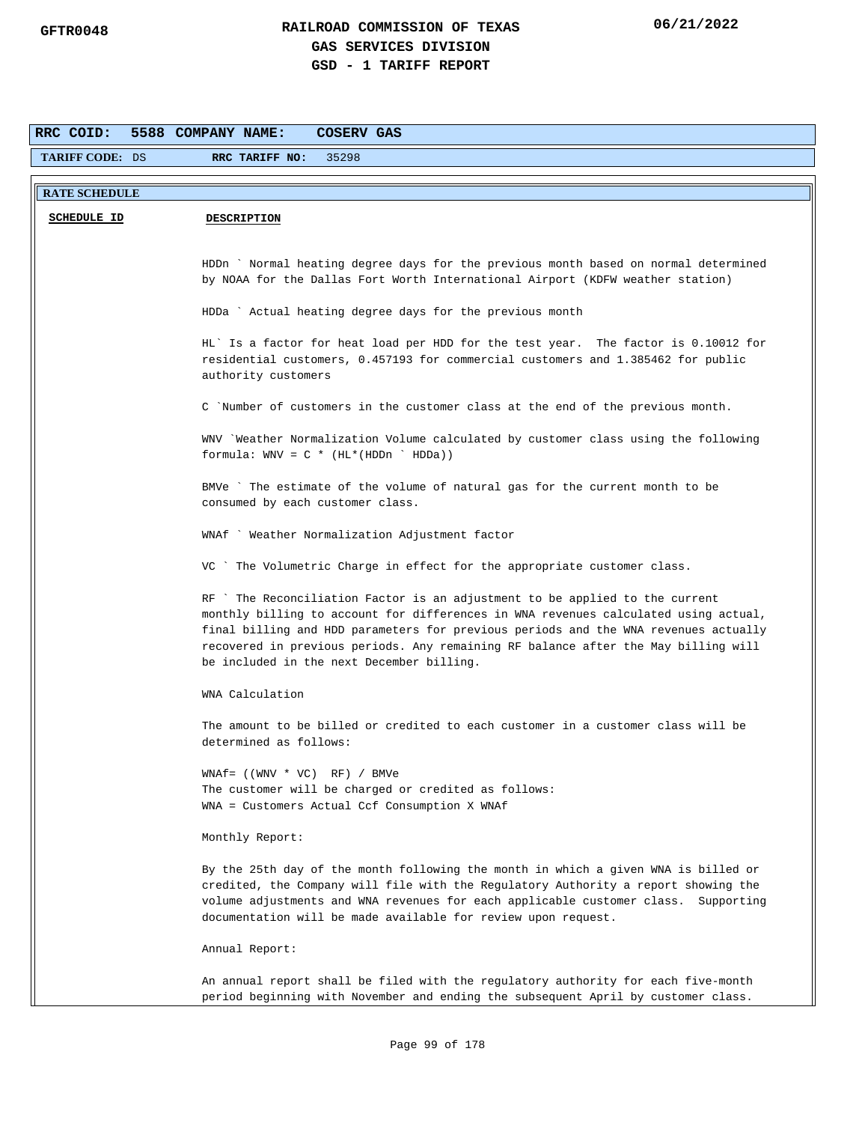| RRC COID:            | 5588 COMPANY NAME:<br>COSERV GAS                                                                                                                                                                                                                                                                                                                                                             |  |  |  |
|----------------------|----------------------------------------------------------------------------------------------------------------------------------------------------------------------------------------------------------------------------------------------------------------------------------------------------------------------------------------------------------------------------------------------|--|--|--|
| TARIFF CODE: DS      | 35298<br>RRC TARIFF NO:                                                                                                                                                                                                                                                                                                                                                                      |  |  |  |
| <b>RATE SCHEDULE</b> |                                                                                                                                                                                                                                                                                                                                                                                              |  |  |  |
|                      |                                                                                                                                                                                                                                                                                                                                                                                              |  |  |  |
| <b>SCHEDULE ID</b>   | <b>DESCRIPTION</b>                                                                                                                                                                                                                                                                                                                                                                           |  |  |  |
|                      |                                                                                                                                                                                                                                                                                                                                                                                              |  |  |  |
|                      | HDDn ` Normal heating degree days for the previous month based on normal determined<br>by NOAA for the Dallas Fort Worth International Airport (KDFW weather station)                                                                                                                                                                                                                        |  |  |  |
|                      |                                                                                                                                                                                                                                                                                                                                                                                              |  |  |  |
|                      | HDDa ` Actual heating degree days for the previous month                                                                                                                                                                                                                                                                                                                                     |  |  |  |
|                      | HL' Is a factor for heat load per HDD for the test year. The factor is 0.10012 for<br>residential customers, 0.457193 for commercial customers and 1.385462 for public<br>authority customers                                                                                                                                                                                                |  |  |  |
|                      | C `Number of customers in the customer class at the end of the previous month.                                                                                                                                                                                                                                                                                                               |  |  |  |
|                      | WNV `Weather Normalization Volume calculated by customer class using the following<br>formula: $WW = C * (HL * (HDDn ' HDDa))$                                                                                                                                                                                                                                                               |  |  |  |
|                      | BMVe ` The estimate of the volume of natural gas for the current month to be<br>consumed by each customer class.                                                                                                                                                                                                                                                                             |  |  |  |
|                      | WNAf ` Weather Normalization Adjustment factor                                                                                                                                                                                                                                                                                                                                               |  |  |  |
|                      | VC ` The Volumetric Charge in effect for the appropriate customer class.                                                                                                                                                                                                                                                                                                                     |  |  |  |
|                      | RF `The Reconciliation Factor is an adjustment to be applied to the current<br>monthly billing to account for differences in WNA revenues calculated using actual,<br>final billing and HDD parameters for previous periods and the WNA revenues actually<br>recovered in previous periods. Any remaining RF balance after the May billing will<br>be included in the next December billing. |  |  |  |
|                      | WNA Calculation                                                                                                                                                                                                                                                                                                                                                                              |  |  |  |
|                      | The amount to be billed or credited to each customer in a customer class will be<br>determined as follows:                                                                                                                                                                                                                                                                                   |  |  |  |
|                      | $WNAf = ((WWV * VC) RF) / BMVe$                                                                                                                                                                                                                                                                                                                                                              |  |  |  |
|                      | The customer will be charged or credited as follows:                                                                                                                                                                                                                                                                                                                                         |  |  |  |
|                      | WNA = Customers Actual Ccf Consumption X WNAf                                                                                                                                                                                                                                                                                                                                                |  |  |  |
|                      | Monthly Report:                                                                                                                                                                                                                                                                                                                                                                              |  |  |  |
|                      | By the 25th day of the month following the month in which a given WNA is billed or<br>credited, the Company will file with the Regulatory Authority a report showing the<br>volume adjustments and WNA revenues for each applicable customer class. Supporting<br>documentation will be made available for review upon request.                                                              |  |  |  |
|                      | Annual Report:                                                                                                                                                                                                                                                                                                                                                                               |  |  |  |
|                      | An annual report shall be filed with the regulatory authority for each five-month<br>period beginning with November and ending the subsequent April by customer class.                                                                                                                                                                                                                       |  |  |  |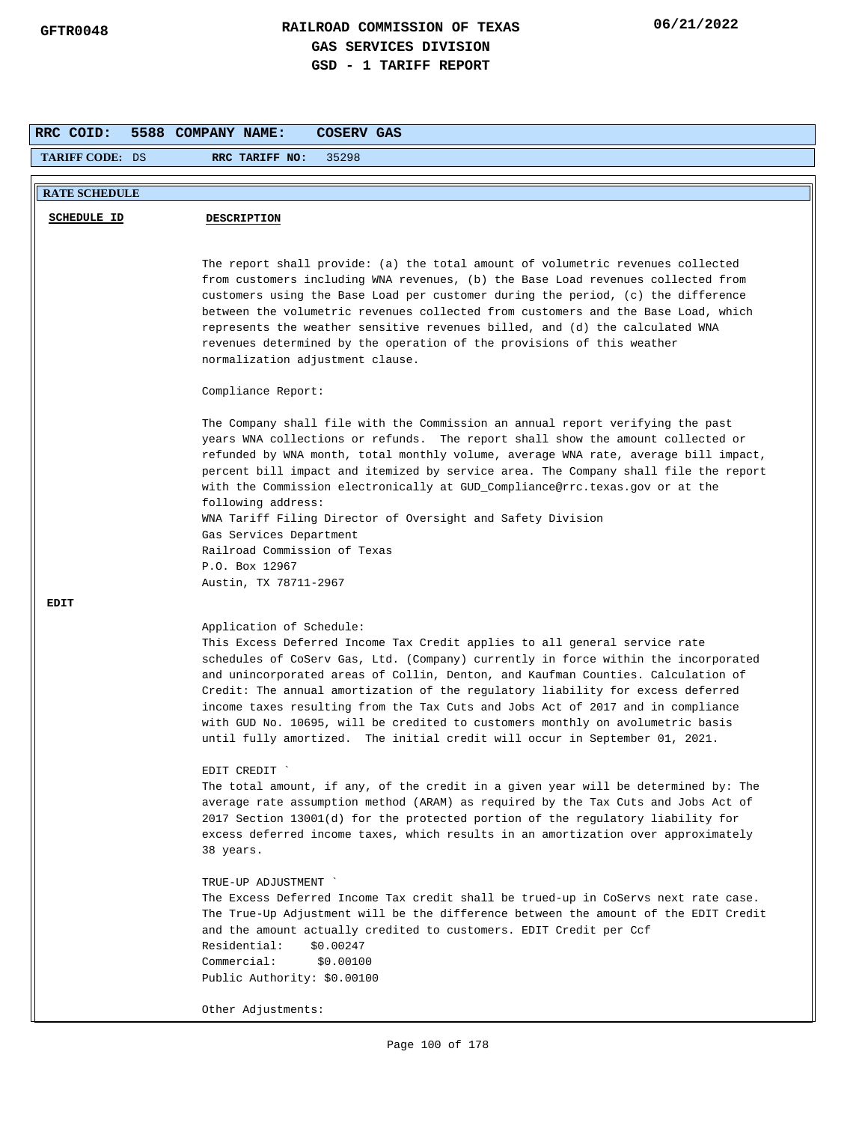| RRC COID:            | 5588 COMPANY NAME:<br>COSERV GAS                                                                                                                                           |  |  |  |  |
|----------------------|----------------------------------------------------------------------------------------------------------------------------------------------------------------------------|--|--|--|--|
| TARIFF CODE: DS      | 35298<br>RRC TARIFF NO:                                                                                                                                                    |  |  |  |  |
| <b>RATE SCHEDULE</b> |                                                                                                                                                                            |  |  |  |  |
|                      |                                                                                                                                                                            |  |  |  |  |
| <b>SCHEDULE ID</b>   | <b>DESCRIPTION</b>                                                                                                                                                         |  |  |  |  |
|                      |                                                                                                                                                                            |  |  |  |  |
|                      | The report shall provide: (a) the total amount of volumetric revenues collected                                                                                            |  |  |  |  |
|                      | from customers including WNA revenues, (b) the Base Load revenues collected from<br>customers using the Base Load per customer during the period, (c) the difference       |  |  |  |  |
|                      | between the volumetric revenues collected from customers and the Base Load, which                                                                                          |  |  |  |  |
|                      | represents the weather sensitive revenues billed, and (d) the calculated WNA                                                                                               |  |  |  |  |
|                      | revenues determined by the operation of the provisions of this weather                                                                                                     |  |  |  |  |
|                      | normalization adjustment clause.                                                                                                                                           |  |  |  |  |
|                      | Compliance Report:                                                                                                                                                         |  |  |  |  |
|                      | The Company shall file with the Commission an annual report verifying the past                                                                                             |  |  |  |  |
|                      | years WNA collections or refunds. The report shall show the amount collected or                                                                                            |  |  |  |  |
|                      | refunded by WNA month, total monthly volume, average WNA rate, average bill impact,<br>percent bill impact and itemized by service area. The Company shall file the report |  |  |  |  |
|                      | with the Commission electronically at GUD_Compliance@rrc.texas.gov or at the                                                                                               |  |  |  |  |
|                      | following address:                                                                                                                                                         |  |  |  |  |
|                      | WNA Tariff Filing Director of Oversight and Safety Division                                                                                                                |  |  |  |  |
|                      | Gas Services Department<br>Railroad Commission of Texas                                                                                                                    |  |  |  |  |
|                      | P.O. Box 12967                                                                                                                                                             |  |  |  |  |
|                      | Austin, TX 78711-2967                                                                                                                                                      |  |  |  |  |
| EDIT                 |                                                                                                                                                                            |  |  |  |  |
|                      | Application of Schedule:                                                                                                                                                   |  |  |  |  |
|                      | This Excess Deferred Income Tax Credit applies to all general service rate                                                                                                 |  |  |  |  |
|                      | schedules of CoServ Gas, Ltd. (Company) currently in force within the incorporated<br>and unincorporated areas of Collin, Denton, and Kaufman Counties. Calculation of     |  |  |  |  |
|                      | Credit: The annual amortization of the regulatory liability for excess deferred                                                                                            |  |  |  |  |
|                      | income taxes resulting from the Tax Cuts and Jobs Act of 2017 and in compliance                                                                                            |  |  |  |  |
|                      | with GUD No. 10695, will be credited to customers monthly on avolumetric basis                                                                                             |  |  |  |  |
|                      | until fully amortized. The initial credit will occur in September 01, 2021.                                                                                                |  |  |  |  |
|                      | EDIT CREDIT                                                                                                                                                                |  |  |  |  |
|                      | The total amount, if any, of the credit in a given year will be determined by: The                                                                                         |  |  |  |  |
|                      | average rate assumption method (ARAM) as required by the Tax Cuts and Jobs Act of<br>2017 Section 13001(d) for the protected portion of the regulatory liability for       |  |  |  |  |
|                      | excess deferred income taxes, which results in an amortization over approximately                                                                                          |  |  |  |  |
|                      | 38 years.                                                                                                                                                                  |  |  |  |  |
|                      | TRUE-UP ADJUSTMENT                                                                                                                                                         |  |  |  |  |
|                      | The Excess Deferred Income Tax credit shall be trued-up in CoServs next rate case.                                                                                         |  |  |  |  |
|                      | The True-Up Adjustment will be the difference between the amount of the EDIT Credit<br>and the amount actually credited to customers. EDIT Credit per Ccf                  |  |  |  |  |
|                      | Residential:<br>\$0.00247                                                                                                                                                  |  |  |  |  |
|                      | Commercial:<br>\$0.00100                                                                                                                                                   |  |  |  |  |
|                      | Public Authority: \$0.00100                                                                                                                                                |  |  |  |  |
|                      | Other Adjustments:                                                                                                                                                         |  |  |  |  |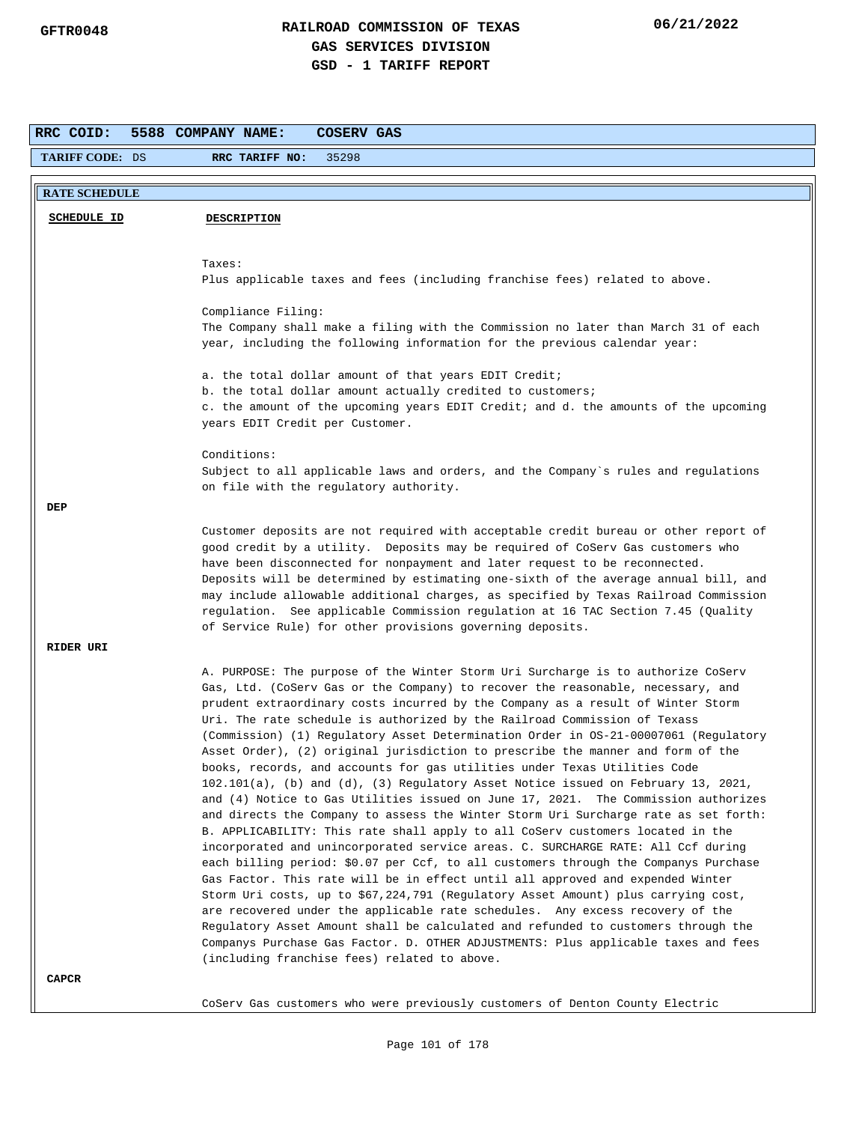| RRC COID:              | 5588 COMPANY NAME:<br>COSERV GAS                                                                                                                                                                                                                                                                                                       |
|------------------------|----------------------------------------------------------------------------------------------------------------------------------------------------------------------------------------------------------------------------------------------------------------------------------------------------------------------------------------|
| <b>TARIFF CODE: DS</b> | 35298<br>RRC TARIFF NO:                                                                                                                                                                                                                                                                                                                |
|                        |                                                                                                                                                                                                                                                                                                                                        |
| <b>RATE SCHEDULE</b>   |                                                                                                                                                                                                                                                                                                                                        |
| <b>SCHEDULE ID</b>     | <b>DESCRIPTION</b>                                                                                                                                                                                                                                                                                                                     |
|                        |                                                                                                                                                                                                                                                                                                                                        |
|                        | Taxes:                                                                                                                                                                                                                                                                                                                                 |
|                        | Plus applicable taxes and fees (including franchise fees) related to above.                                                                                                                                                                                                                                                            |
|                        |                                                                                                                                                                                                                                                                                                                                        |
|                        | Compliance Filing:<br>The Company shall make a filing with the Commission no later than March 31 of each                                                                                                                                                                                                                               |
|                        | year, including the following information for the previous calendar year:                                                                                                                                                                                                                                                              |
|                        | a. the total dollar amount of that years EDIT Credit;                                                                                                                                                                                                                                                                                  |
|                        | b. the total dollar amount actually credited to customers;                                                                                                                                                                                                                                                                             |
|                        | c. the amount of the upcoming years EDIT Credit; and d. the amounts of the upcoming<br>years EDIT Credit per Customer.                                                                                                                                                                                                                 |
|                        | Conditions:                                                                                                                                                                                                                                                                                                                            |
|                        | Subject to all applicable laws and orders, and the Company's rules and regulations                                                                                                                                                                                                                                                     |
|                        | on file with the regulatory authority.                                                                                                                                                                                                                                                                                                 |
| DEP                    |                                                                                                                                                                                                                                                                                                                                        |
|                        | Customer deposits are not required with acceptable credit bureau or other report of                                                                                                                                                                                                                                                    |
|                        | good credit by a utility. Deposits may be required of CoServ Gas customers who                                                                                                                                                                                                                                                         |
|                        | have been disconnected for nonpayment and later request to be reconnected.                                                                                                                                                                                                                                                             |
|                        | Deposits will be determined by estimating one-sixth of the average annual bill, and<br>may include allowable additional charges, as specified by Texas Railroad Commission<br>regulation. See applicable Commission regulation at 16 TAC Section 7.45 (Quality                                                                         |
|                        | of Service Rule) for other provisions governing deposits.                                                                                                                                                                                                                                                                              |
| RIDER URI              |                                                                                                                                                                                                                                                                                                                                        |
|                        | A. PURPOSE: The purpose of the Winter Storm Uri Surcharge is to authorize CoServ                                                                                                                                                                                                                                                       |
|                        | Gas, Ltd. (CoServ Gas or the Company) to recover the reasonable, necessary, and<br>prudent extraordinary costs incurred by the Company as a result of Winter Storm<br>Uri. The rate schedule is authorized by the Railroad Commission of Texass<br>(Commission) (1) Regulatory Asset Determination Order in OS-21-00007061 (Regulatory |
|                        | Asset Order), (2) original jurisdiction to prescribe the manner and form of the                                                                                                                                                                                                                                                        |
|                        | books, records, and accounts for gas utilities under Texas Utilities Code                                                                                                                                                                                                                                                              |
|                        | $102.101(a)$ , (b) and (d), (3) Regulatory Asset Notice issued on February 13, 2021,                                                                                                                                                                                                                                                   |
|                        | and (4) Notice to Gas Utilities issued on June 17, 2021. The Commission authorizes<br>and directs the Company to assess the Winter Storm Uri Surcharge rate as set forth:                                                                                                                                                              |
|                        | B. APPLICABILITY: This rate shall apply to all CoServ customers located in the                                                                                                                                                                                                                                                         |
|                        | incorporated and unincorporated service areas. C. SURCHARGE RATE: All Ccf during<br>each billing period: \$0.07 per Ccf, to all customers through the Companys Purchase                                                                                                                                                                |
|                        | Gas Factor. This rate will be in effect until all approved and expended Winter                                                                                                                                                                                                                                                         |
|                        | Storm Uri costs, up to \$67,224,791 (Regulatory Asset Amount) plus carrying cost,                                                                                                                                                                                                                                                      |
|                        | are recovered under the applicable rate schedules. Any excess recovery of the                                                                                                                                                                                                                                                          |
|                        | Regulatory Asset Amount shall be calculated and refunded to customers through the<br>Companys Purchase Gas Factor. D. OTHER ADJUSTMENTS: Plus applicable taxes and fees                                                                                                                                                                |
|                        | (including franchise fees) related to above.                                                                                                                                                                                                                                                                                           |
| CAPCR                  |                                                                                                                                                                                                                                                                                                                                        |
|                        |                                                                                                                                                                                                                                                                                                                                        |
|                        | CoServ Gas customers who were previously customers of Denton County Electric                                                                                                                                                                                                                                                           |

Page 101 of 178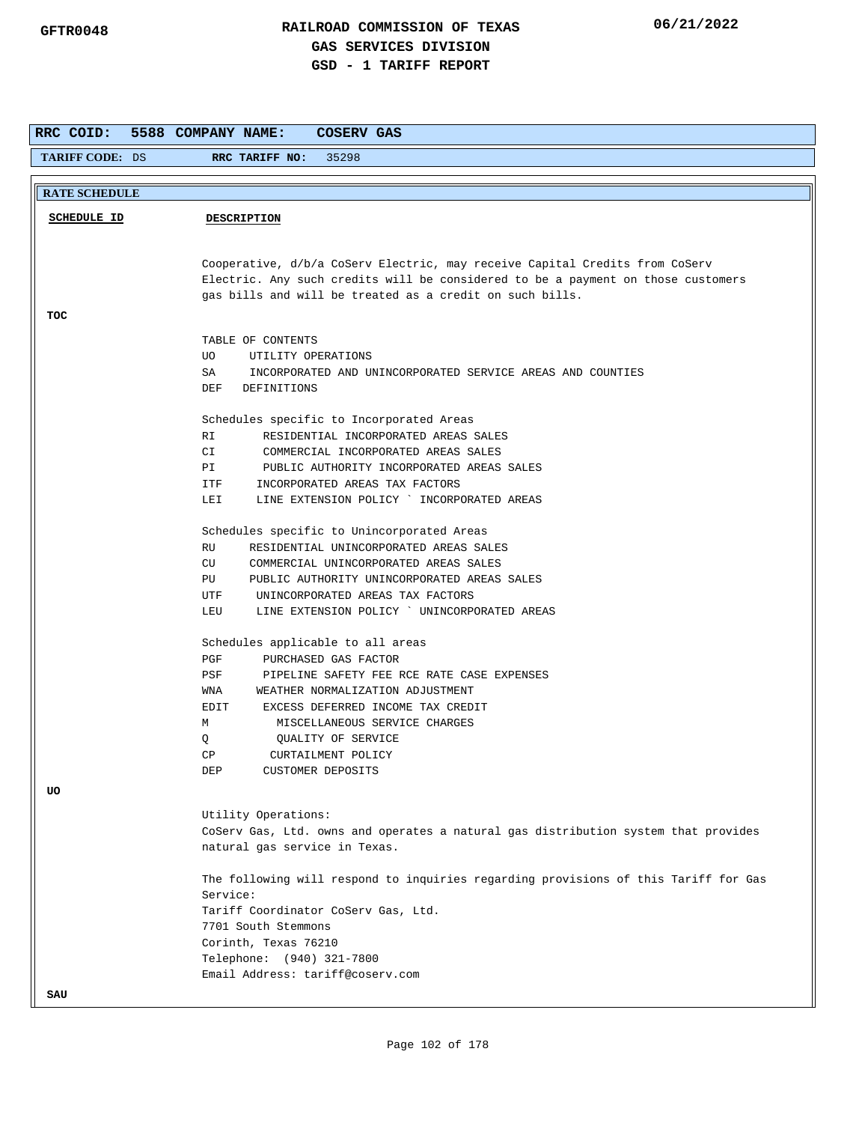| RRC COID:                                                                   | 5588 COMPANY NAME:<br>COSERV GAS                                                               |  |  |  |  |
|-----------------------------------------------------------------------------|------------------------------------------------------------------------------------------------|--|--|--|--|
| <b>TARIFF CODE: DS</b>                                                      | 35298<br>RRC TARIFF NO:                                                                        |  |  |  |  |
|                                                                             |                                                                                                |  |  |  |  |
| <b>RATE SCHEDULE</b>                                                        |                                                                                                |  |  |  |  |
| <b>SCHEDULE ID</b><br><b>DESCRIPTION</b>                                    |                                                                                                |  |  |  |  |
|                                                                             |                                                                                                |  |  |  |  |
|                                                                             |                                                                                                |  |  |  |  |
| Cooperative, d/b/a CoServ Electric, may receive Capital Credits from CoServ |                                                                                                |  |  |  |  |
|                                                                             | Electric. Any such credits will be considered to be a payment on those customers               |  |  |  |  |
|                                                                             | gas bills and will be treated as a credit on such bills.                                       |  |  |  |  |
| TOC                                                                         |                                                                                                |  |  |  |  |
|                                                                             | TABLE OF CONTENTS                                                                              |  |  |  |  |
|                                                                             | UO.<br>UTILITY OPERATIONS                                                                      |  |  |  |  |
|                                                                             | SA<br>INCORPORATED AND UNINCORPORATED SERVICE AREAS AND COUNTIES                               |  |  |  |  |
|                                                                             | DEF<br>DEFINITIONS                                                                             |  |  |  |  |
|                                                                             |                                                                                                |  |  |  |  |
|                                                                             | Schedules specific to Incorporated Areas<br>RESIDENTIAL INCORPORATED AREAS SALES<br>RI         |  |  |  |  |
|                                                                             | CI<br>COMMERCIAL INCORPORATED AREAS SALES                                                      |  |  |  |  |
|                                                                             | PI<br>PUBLIC AUTHORITY INCORPORATED AREAS SALES                                                |  |  |  |  |
|                                                                             | ITF<br>INCORPORATED AREAS TAX FACTORS                                                          |  |  |  |  |
|                                                                             | LINE EXTENSION POLICY ` INCORPORATED AREAS<br>LEI                                              |  |  |  |  |
|                                                                             |                                                                                                |  |  |  |  |
|                                                                             | Schedules specific to Unincorporated Areas                                                     |  |  |  |  |
|                                                                             | RU<br>RESIDENTIAL UNINCORPORATED AREAS SALES                                                   |  |  |  |  |
|                                                                             | COMMERCIAL UNINCORPORATED AREAS SALES<br>CU                                                    |  |  |  |  |
|                                                                             | PUBLIC AUTHORITY UNINCORPORATED AREAS SALES<br>PU                                              |  |  |  |  |
|                                                                             | UNINCORPORATED AREAS TAX FACTORS<br>UTF<br>LINE EXTENSION POLICY ` UNINCORPORATED AREAS<br>LEU |  |  |  |  |
|                                                                             |                                                                                                |  |  |  |  |
|                                                                             | Schedules applicable to all areas                                                              |  |  |  |  |
|                                                                             | PGF<br>PURCHASED GAS FACTOR                                                                    |  |  |  |  |
|                                                                             | PSF<br>PIPELINE SAFETY FEE RCE RATE CASE EXPENSES                                              |  |  |  |  |
|                                                                             | WNA<br>WEATHER NORMALIZATION ADJUSTMENT                                                        |  |  |  |  |
|                                                                             | EXCESS DEFERRED INCOME TAX CREDIT<br>EDIT                                                      |  |  |  |  |
|                                                                             | М<br>MISCELLANEOUS SERVICE CHARGES                                                             |  |  |  |  |
|                                                                             | Q<br>QUALITY OF SERVICE                                                                        |  |  |  |  |
|                                                                             | CP<br>CURTAILMENT POLICY                                                                       |  |  |  |  |
|                                                                             | DEP<br>CUSTOMER DEPOSITS                                                                       |  |  |  |  |
| UΟ                                                                          |                                                                                                |  |  |  |  |
|                                                                             | Utility Operations:                                                                            |  |  |  |  |
|                                                                             | CoServ Gas, Ltd. owns and operates a natural gas distribution system that provides             |  |  |  |  |
|                                                                             | natural gas service in Texas.                                                                  |  |  |  |  |
|                                                                             | The following will respond to inquiries regarding provisions of this Tariff for Gas            |  |  |  |  |
|                                                                             | Service:                                                                                       |  |  |  |  |
|                                                                             | Tariff Coordinator CoServ Gas, Ltd.                                                            |  |  |  |  |
|                                                                             | 7701 South Stemmons                                                                            |  |  |  |  |
|                                                                             | Corinth, Texas 76210                                                                           |  |  |  |  |
|                                                                             | Telephone: (940) 321-7800                                                                      |  |  |  |  |
|                                                                             | Email Address: tariff@coserv.com                                                               |  |  |  |  |
| SAU                                                                         |                                                                                                |  |  |  |  |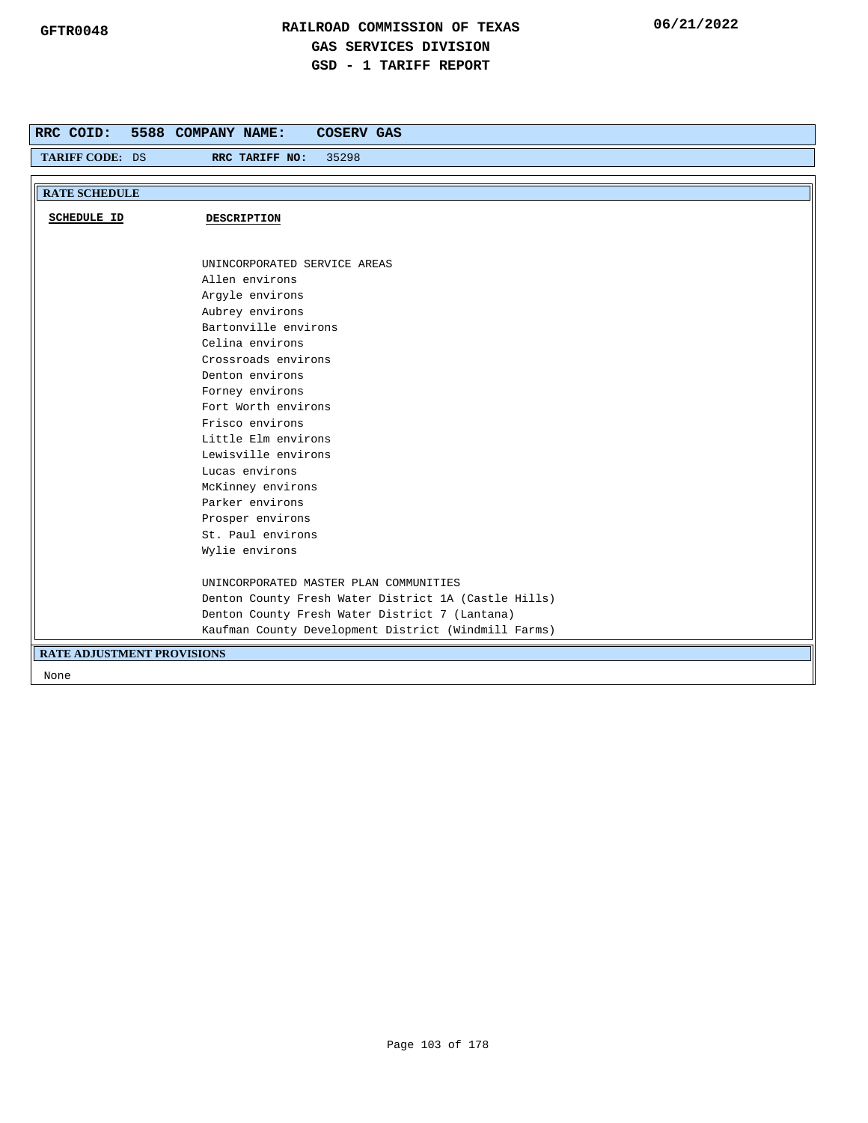| RRC COID:                         | 5588 COMPANY NAME:<br><b>COSERV GAS</b>              |
|-----------------------------------|------------------------------------------------------|
| TARIFF CODE: DS                   | 35298<br>RRC TARIFF NO:                              |
|                                   |                                                      |
| <b>RATE SCHEDULE</b>              |                                                      |
| <b>SCHEDULE ID</b>                | DESCRIPTION                                          |
|                                   |                                                      |
|                                   |                                                      |
|                                   | UNINCORPORATED SERVICE AREAS                         |
|                                   | Allen environs                                       |
|                                   | Argyle environs                                      |
|                                   | Aubrey environs                                      |
|                                   | Bartonville environs                                 |
|                                   | Celina environs                                      |
|                                   | Crossroads environs                                  |
|                                   | Denton environs                                      |
|                                   | Forney environs                                      |
|                                   | Fort Worth environs                                  |
|                                   | Frisco environs                                      |
|                                   | Little Elm environs                                  |
|                                   | Lewisville environs                                  |
|                                   | Lucas environs                                       |
|                                   | McKinney environs                                    |
|                                   | Parker environs                                      |
|                                   | Prosper environs<br>St. Paul environs                |
|                                   | Wylie environs                                       |
|                                   |                                                      |
|                                   | UNINCORPORATED MASTER PLAN COMMUNITIES               |
|                                   | Denton County Fresh Water District 1A (Castle Hills) |
|                                   | Denton County Fresh Water District 7 (Lantana)       |
|                                   | Kaufman County Development District (Windmill Farms) |
| <b>RATE ADJUSTMENT PROVISIONS</b> |                                                      |
| None                              |                                                      |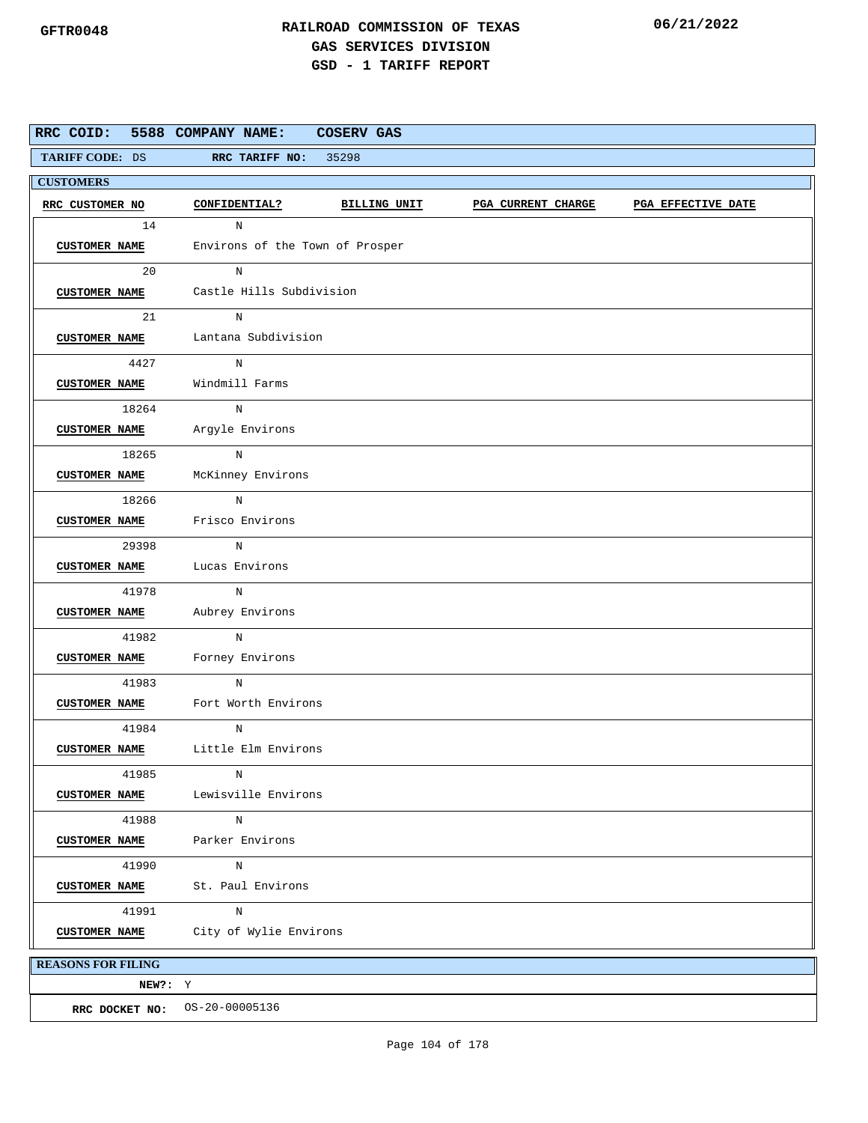| RRC COID:                 | 5588 COMPANY NAME:                   | <b>COSERV GAS</b>               |                           |                    |  |  |  |  |
|---------------------------|--------------------------------------|---------------------------------|---------------------------|--------------------|--|--|--|--|
| TARIFF CODE: DS           | RRC TARIFF NO: 35298                 |                                 |                           |                    |  |  |  |  |
| <b>CUSTOMERS</b>          |                                      |                                 |                           |                    |  |  |  |  |
| RRC CUSTOMER NO           | CONFIDENTIAL?                        | BILLING UNIT                    | <b>PGA CURRENT CHARGE</b> | PGA EFFECTIVE DATE |  |  |  |  |
| 14                        | $_{\rm N}$                           |                                 |                           |                    |  |  |  |  |
| <b>CUSTOMER NAME</b>      |                                      | Environs of the Town of Prosper |                           |                    |  |  |  |  |
| 20                        | N                                    |                                 |                           |                    |  |  |  |  |
| <b>CUSTOMER NAME</b>      |                                      | Castle Hills Subdivision        |                           |                    |  |  |  |  |
| 21                        | N                                    |                                 |                           |                    |  |  |  |  |
|                           | CUSTOMER NAME Lantana Subdivision    |                                 |                           |                    |  |  |  |  |
| 4427                      | N                                    |                                 |                           |                    |  |  |  |  |
| <b>CUSTOMER NAME</b>      | Windmill Farms                       |                                 |                           |                    |  |  |  |  |
| 18264                     | N                                    |                                 |                           |                    |  |  |  |  |
|                           | CUSTOMER NAME Argyle Environs        |                                 |                           |                    |  |  |  |  |
| 18265                     | N                                    |                                 |                           |                    |  |  |  |  |
| <b>CUSTOMER NAME</b>      | McKinney Environs                    |                                 |                           |                    |  |  |  |  |
| 18266                     | N                                    |                                 |                           |                    |  |  |  |  |
|                           | <b>CUSTOMER NAME</b> Frisco Environs |                                 |                           |                    |  |  |  |  |
| 29398                     | N                                    |                                 |                           |                    |  |  |  |  |
| <b>CUSTOMER NAME</b>      | Lucas Environs                       |                                 |                           |                    |  |  |  |  |
| 41978                     | N                                    |                                 |                           |                    |  |  |  |  |
| <b>CUSTOMER NAME</b>      | Aubrey Environs                      |                                 |                           |                    |  |  |  |  |
| 41982                     | $_{\rm N}$                           |                                 |                           |                    |  |  |  |  |
| <b>CUSTOMER NAME</b>      | Forney Environs                      |                                 |                           |                    |  |  |  |  |
| 41983                     | N                                    |                                 |                           |                    |  |  |  |  |
| <b>CUSTOMER NAME</b>      | Fort Worth Environs                  |                                 |                           |                    |  |  |  |  |
| 41984                     | N                                    |                                 |                           |                    |  |  |  |  |
| <b>CUSTOMER NAME</b>      | Little Elm Environs                  |                                 |                           |                    |  |  |  |  |
| 41985                     | N                                    |                                 |                           |                    |  |  |  |  |
| <b>CUSTOMER NAME</b>      | Lewisville Environs                  |                                 |                           |                    |  |  |  |  |
| 41988                     | $\, {\rm N}$                         |                                 |                           |                    |  |  |  |  |
| <b>CUSTOMER NAME</b>      | Parker Environs                      |                                 |                           |                    |  |  |  |  |
| 41990                     | N                                    |                                 |                           |                    |  |  |  |  |
| <b>CUSTOMER NAME</b>      | St. Paul Environs                    |                                 |                           |                    |  |  |  |  |
| 41991                     | N                                    |                                 |                           |                    |  |  |  |  |
| <b>CUSTOMER NAME</b>      | City of Wylie Environs               |                                 |                           |                    |  |  |  |  |
| <b>REASONS FOR FILING</b> |                                      |                                 |                           |                    |  |  |  |  |
| NEW?: Y                   |                                      |                                 |                           |                    |  |  |  |  |
|                           | RRC DOCKET NO: 0S-20-00005136        |                                 |                           |                    |  |  |  |  |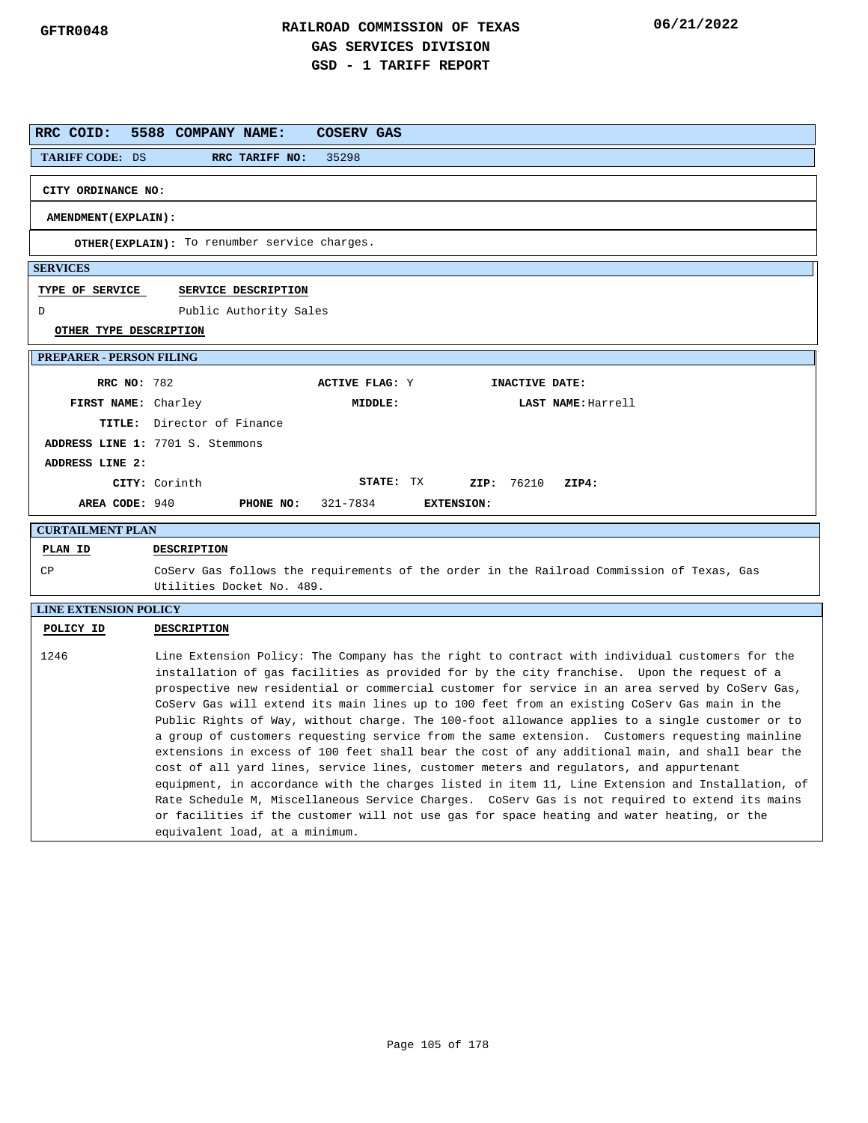| RRC COID:                       | 5588 COMPANY NAME:<br>COSERV GAS                                                                                                                                                                                                                                                                                                                                                                                                                                                                                                                                                                                                                                                                                                                                                                                                                                                                                                                                                                                                                                                                                                         |  |
|---------------------------------|------------------------------------------------------------------------------------------------------------------------------------------------------------------------------------------------------------------------------------------------------------------------------------------------------------------------------------------------------------------------------------------------------------------------------------------------------------------------------------------------------------------------------------------------------------------------------------------------------------------------------------------------------------------------------------------------------------------------------------------------------------------------------------------------------------------------------------------------------------------------------------------------------------------------------------------------------------------------------------------------------------------------------------------------------------------------------------------------------------------------------------------|--|
| <b>TARIFF CODE: DS</b>          | RRC TARIFF NO:<br>35298                                                                                                                                                                                                                                                                                                                                                                                                                                                                                                                                                                                                                                                                                                                                                                                                                                                                                                                                                                                                                                                                                                                  |  |
| CITY ORDINANCE NO:              |                                                                                                                                                                                                                                                                                                                                                                                                                                                                                                                                                                                                                                                                                                                                                                                                                                                                                                                                                                                                                                                                                                                                          |  |
| AMENDMENT (EXPLAIN) :           |                                                                                                                                                                                                                                                                                                                                                                                                                                                                                                                                                                                                                                                                                                                                                                                                                                                                                                                                                                                                                                                                                                                                          |  |
|                                 | OTHER(EXPLAIN): To renumber service charges.                                                                                                                                                                                                                                                                                                                                                                                                                                                                                                                                                                                                                                                                                                                                                                                                                                                                                                                                                                                                                                                                                             |  |
| <b>SERVICES</b>                 |                                                                                                                                                                                                                                                                                                                                                                                                                                                                                                                                                                                                                                                                                                                                                                                                                                                                                                                                                                                                                                                                                                                                          |  |
| TYPE OF SERVICE                 | SERVICE DESCRIPTION                                                                                                                                                                                                                                                                                                                                                                                                                                                                                                                                                                                                                                                                                                                                                                                                                                                                                                                                                                                                                                                                                                                      |  |
| D                               | Public Authority Sales                                                                                                                                                                                                                                                                                                                                                                                                                                                                                                                                                                                                                                                                                                                                                                                                                                                                                                                                                                                                                                                                                                                   |  |
| OTHER TYPE DESCRIPTION          |                                                                                                                                                                                                                                                                                                                                                                                                                                                                                                                                                                                                                                                                                                                                                                                                                                                                                                                                                                                                                                                                                                                                          |  |
| <b>PREPARER - PERSON FILING</b> |                                                                                                                                                                                                                                                                                                                                                                                                                                                                                                                                                                                                                                                                                                                                                                                                                                                                                                                                                                                                                                                                                                                                          |  |
| <b>RRC NO: 782</b>              | <b>ACTIVE FLAG: Y</b><br>INACTIVE DATE:                                                                                                                                                                                                                                                                                                                                                                                                                                                                                                                                                                                                                                                                                                                                                                                                                                                                                                                                                                                                                                                                                                  |  |
| FIRST NAME: Charley             | MIDDLE:<br>LAST NAME: Harrell                                                                                                                                                                                                                                                                                                                                                                                                                                                                                                                                                                                                                                                                                                                                                                                                                                                                                                                                                                                                                                                                                                            |  |
|                                 | TITLE: Director of Finance                                                                                                                                                                                                                                                                                                                                                                                                                                                                                                                                                                                                                                                                                                                                                                                                                                                                                                                                                                                                                                                                                                               |  |
|                                 | ADDRESS LINE 1: 7701 S. Stemmons                                                                                                                                                                                                                                                                                                                                                                                                                                                                                                                                                                                                                                                                                                                                                                                                                                                                                                                                                                                                                                                                                                         |  |
| ADDRESS LINE 2:                 |                                                                                                                                                                                                                                                                                                                                                                                                                                                                                                                                                                                                                                                                                                                                                                                                                                                                                                                                                                                                                                                                                                                                          |  |
|                                 | STATE: TX<br>CITY: Corinth<br>ZIP: 76210<br>ZIP4:                                                                                                                                                                                                                                                                                                                                                                                                                                                                                                                                                                                                                                                                                                                                                                                                                                                                                                                                                                                                                                                                                        |  |
| AREA CODE: 940                  | PHONE NO:<br>321-7834<br><b>EXTENSION:</b>                                                                                                                                                                                                                                                                                                                                                                                                                                                                                                                                                                                                                                                                                                                                                                                                                                                                                                                                                                                                                                                                                               |  |
| <b>CURTAILMENT PLAN</b>         |                                                                                                                                                                                                                                                                                                                                                                                                                                                                                                                                                                                                                                                                                                                                                                                                                                                                                                                                                                                                                                                                                                                                          |  |
| PLAN ID                         | DESCRIPTION                                                                                                                                                                                                                                                                                                                                                                                                                                                                                                                                                                                                                                                                                                                                                                                                                                                                                                                                                                                                                                                                                                                              |  |
| CP                              | CoServ Gas follows the requirements of the order in the Railroad Commission of Texas, Gas<br>Utilities Docket No. 489.                                                                                                                                                                                                                                                                                                                                                                                                                                                                                                                                                                                                                                                                                                                                                                                                                                                                                                                                                                                                                   |  |
| <b>LINE EXTENSION POLICY</b>    |                                                                                                                                                                                                                                                                                                                                                                                                                                                                                                                                                                                                                                                                                                                                                                                                                                                                                                                                                                                                                                                                                                                                          |  |
| POLICY ID                       | <b>DESCRIPTION</b>                                                                                                                                                                                                                                                                                                                                                                                                                                                                                                                                                                                                                                                                                                                                                                                                                                                                                                                                                                                                                                                                                                                       |  |
| 1246                            | Line Extension Policy: The Company has the right to contract with individual customers for the<br>installation of gas facilities as provided for by the city franchise. Upon the request of a<br>prospective new residential or commercial customer for service in an area served by CoServ Gas,<br>CoServ Gas will extend its main lines up to 100 feet from an existing CoServ Gas main in the<br>Public Rights of Way, without charge. The 100-foot allowance applies to a single customer or to<br>a group of customers requesting service from the same extension. Customers requesting mainline<br>extensions in excess of 100 feet shall bear the cost of any additional main, and shall bear the<br>cost of all yard lines, service lines, customer meters and regulators, and appurtenant<br>equipment, in accordance with the charges listed in item 11, Line Extension and Installation, of<br>Rate Schedule M, Miscellaneous Service Charges. CoServ Gas is not required to extend its mains<br>or facilities if the customer will not use gas for space heating and water heating, or the<br>equivalent load, at a minimum. |  |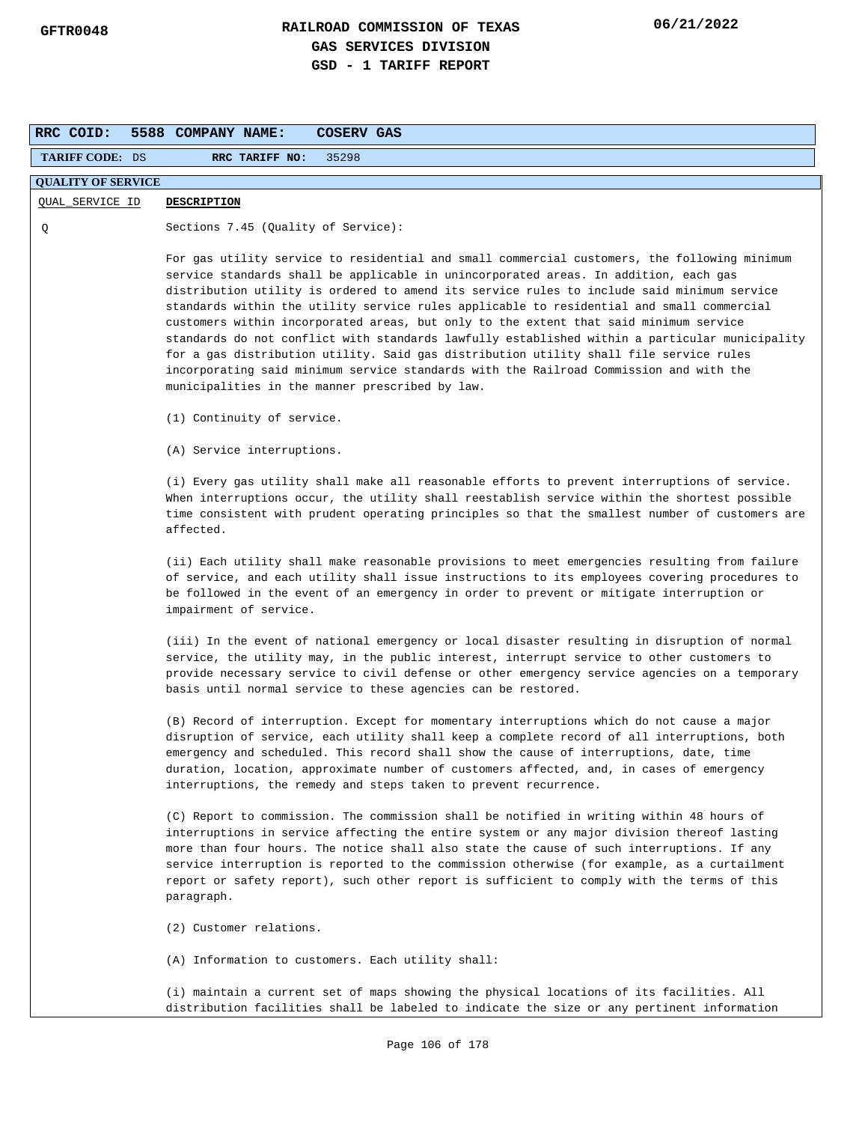| RRC COID:                 | <b>COSERV GAS</b><br>5588 COMPANY NAME:                                                                                                                                                                                                                                                                                                                                                                                                                                                                                                                                                                                                                                                                                                                                                                           |  |  |  |  |
|---------------------------|-------------------------------------------------------------------------------------------------------------------------------------------------------------------------------------------------------------------------------------------------------------------------------------------------------------------------------------------------------------------------------------------------------------------------------------------------------------------------------------------------------------------------------------------------------------------------------------------------------------------------------------------------------------------------------------------------------------------------------------------------------------------------------------------------------------------|--|--|--|--|
| <b>TARIFF CODE: DS</b>    | RRC TARIFF NO:<br>35298                                                                                                                                                                                                                                                                                                                                                                                                                                                                                                                                                                                                                                                                                                                                                                                           |  |  |  |  |
| <b>QUALITY OF SERVICE</b> |                                                                                                                                                                                                                                                                                                                                                                                                                                                                                                                                                                                                                                                                                                                                                                                                                   |  |  |  |  |
| QUAL_SERVICE ID           | <b>DESCRIPTION</b>                                                                                                                                                                                                                                                                                                                                                                                                                                                                                                                                                                                                                                                                                                                                                                                                |  |  |  |  |
| Q                         | Sections 7.45 (Quality of Service):                                                                                                                                                                                                                                                                                                                                                                                                                                                                                                                                                                                                                                                                                                                                                                               |  |  |  |  |
|                           | For gas utility service to residential and small commercial customers, the following minimum<br>service standards shall be applicable in unincorporated areas. In addition, each gas<br>distribution utility is ordered to amend its service rules to include said minimum service<br>standards within the utility service rules applicable to residential and small commercial<br>customers within incorporated areas, but only to the extent that said minimum service<br>standards do not conflict with standards lawfully established within a particular municipality<br>for a gas distribution utility. Said gas distribution utility shall file service rules<br>incorporating said minimum service standards with the Railroad Commission and with the<br>municipalities in the manner prescribed by law. |  |  |  |  |
|                           | (1) Continuity of service.                                                                                                                                                                                                                                                                                                                                                                                                                                                                                                                                                                                                                                                                                                                                                                                        |  |  |  |  |
|                           | (A) Service interruptions.                                                                                                                                                                                                                                                                                                                                                                                                                                                                                                                                                                                                                                                                                                                                                                                        |  |  |  |  |
|                           | (i) Every gas utility shall make all reasonable efforts to prevent interruptions of service.<br>When interruptions occur, the utility shall reestablish service within the shortest possible<br>time consistent with prudent operating principles so that the smallest number of customers are<br>affected.                                                                                                                                                                                                                                                                                                                                                                                                                                                                                                       |  |  |  |  |
|                           | (ii) Each utility shall make reasonable provisions to meet emergencies resulting from failure<br>of service, and each utility shall issue instructions to its employees covering procedures to<br>be followed in the event of an emergency in order to prevent or mitigate interruption or<br>impairment of service.                                                                                                                                                                                                                                                                                                                                                                                                                                                                                              |  |  |  |  |
|                           | (iii) In the event of national emergency or local disaster resulting in disruption of normal<br>service, the utility may, in the public interest, interrupt service to other customers to<br>provide necessary service to civil defense or other emergency service agencies on a temporary<br>basis until normal service to these agencies can be restored.                                                                                                                                                                                                                                                                                                                                                                                                                                                       |  |  |  |  |
|                           | (B) Record of interruption. Except for momentary interruptions which do not cause a major<br>disruption of service, each utility shall keep a complete record of all interruptions, both<br>emergency and scheduled. This record shall show the cause of interruptions, date, time<br>duration, location, approximate number of customers affected, and, in cases of emergency<br>interruptions, the remedy and steps taken to prevent recurrence.                                                                                                                                                                                                                                                                                                                                                                |  |  |  |  |
|                           | (C) Report to commission. The commission shall be notified in writing within 48 hours of<br>interruptions in service affecting the entire system or any major division thereof lasting<br>more than four hours. The notice shall also state the cause of such interruptions. If any<br>service interruption is reported to the commission otherwise (for example, as a curtailment<br>report or safety report), such other report is sufficient to comply with the terms of this<br>paragraph.                                                                                                                                                                                                                                                                                                                    |  |  |  |  |
|                           | (2) Customer relations.                                                                                                                                                                                                                                                                                                                                                                                                                                                                                                                                                                                                                                                                                                                                                                                           |  |  |  |  |
|                           | (A) Information to customers. Each utility shall:                                                                                                                                                                                                                                                                                                                                                                                                                                                                                                                                                                                                                                                                                                                                                                 |  |  |  |  |
|                           | (i) maintain a current set of maps showing the physical locations of its facilities. All<br>distribution facilities shall be labeled to indicate the size or any pertinent information                                                                                                                                                                                                                                                                                                                                                                                                                                                                                                                                                                                                                            |  |  |  |  |
|                           | Page 106 of 178                                                                                                                                                                                                                                                                                                                                                                                                                                                                                                                                                                                                                                                                                                                                                                                                   |  |  |  |  |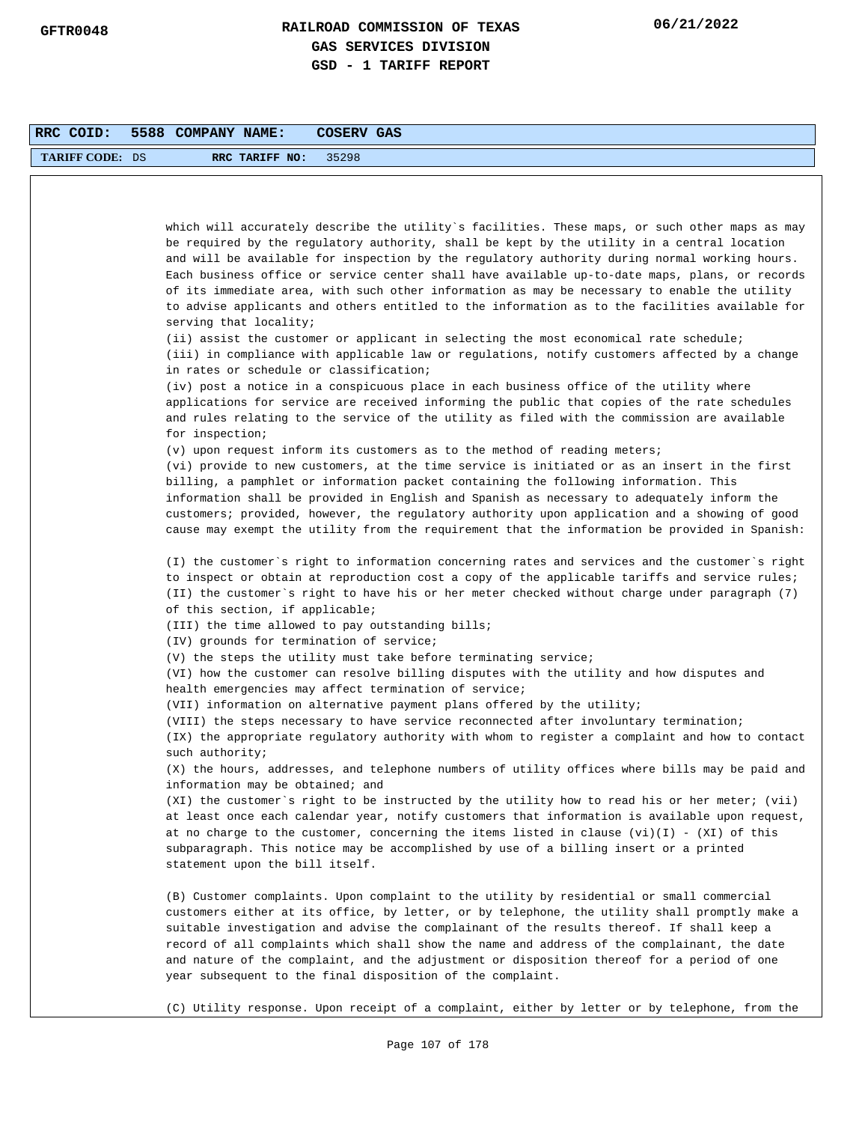| RRC COID:              | 5588 COMPANY NAME:<br>COSERV GAS                                                                                                                                                                                                                                                                                                                                                                                                                                                                                                                   |
|------------------------|----------------------------------------------------------------------------------------------------------------------------------------------------------------------------------------------------------------------------------------------------------------------------------------------------------------------------------------------------------------------------------------------------------------------------------------------------------------------------------------------------------------------------------------------------|
| <b>TARIFF CODE: DS</b> | RRC TARIFF NO:<br>35298                                                                                                                                                                                                                                                                                                                                                                                                                                                                                                                            |
|                        |                                                                                                                                                                                                                                                                                                                                                                                                                                                                                                                                                    |
|                        |                                                                                                                                                                                                                                                                                                                                                                                                                                                                                                                                                    |
|                        | which will accurately describe the utility`s facilities. These maps, or such other maps as may<br>be required by the regulatory authority, shall be kept by the utility in a central location<br>and will be available for inspection by the regulatory authority during normal working hours.<br>Each business office or service center shall have available up-to-date maps, plans, or records<br>of its immediate area, with such other information as may be necessary to enable the utility                                                   |
|                        | to advise applicants and others entitled to the information as to the facilities available for<br>serving that locality;                                                                                                                                                                                                                                                                                                                                                                                                                           |
|                        | $(i)$ assist the customer or applicant in selecting the most economical rate schedule;<br>(iii) in compliance with applicable law or regulations, notify customers affected by a change<br>in rates or schedule or classification;                                                                                                                                                                                                                                                                                                                 |
|                        | (iv) post a notice in a conspicuous place in each business office of the utility where<br>applications for service are received informing the public that copies of the rate schedules<br>and rules relating to the service of the utility as filed with the commission are available<br>for inspection;                                                                                                                                                                                                                                           |
|                        | $(v)$ upon request inform its customers as to the method of reading meters;                                                                                                                                                                                                                                                                                                                                                                                                                                                                        |
|                        | (vi) provide to new customers, at the time service is initiated or as an insert in the first<br>billing, a pamphlet or information packet containing the following information. This<br>information shall be provided in English and Spanish as necessary to adequately inform the<br>customers; provided, however, the regulatory authority upon application and a showing of good<br>cause may exempt the utility from the requirement that the information be provided in Spanish:                                                              |
|                        | (I) the customer's right to information concerning rates and services and the customer's right<br>to inspect or obtain at reproduction cost a copy of the applicable tariffs and service rules;<br>(II) the customer's right to have his or her meter checked without charge under paragraph (7)<br>of this section, if applicable;                                                                                                                                                                                                                |
|                        | (III) the time allowed to pay outstanding bills;<br>(IV) grounds for termination of service;                                                                                                                                                                                                                                                                                                                                                                                                                                                       |
|                        | $(V)$ the steps the utility must take before terminating service;<br>(VI) how the customer can resolve billing disputes with the utility and how disputes and<br>health emergencies may affect termination of service;                                                                                                                                                                                                                                                                                                                             |
|                        | (VII) information on alternative payment plans offered by the utility;                                                                                                                                                                                                                                                                                                                                                                                                                                                                             |
|                        | (VIII) the steps necessary to have service reconnected after involuntary termination;<br>(IX) the appropriate regulatory authority with whom to register a complaint and how to contact                                                                                                                                                                                                                                                                                                                                                            |
|                        | such authority;<br>(X) the hours, addresses, and telephone numbers of utility offices where bills may be paid and<br>information may be obtained; and                                                                                                                                                                                                                                                                                                                                                                                              |
|                        | (XI) the customer's right to be instructed by the utility how to read his or her meter; (vii)<br>at least once each calendar year, notify customers that information is available upon request,<br>at no charge to the customer, concerning the items listed in clause $(vi)(I) - (XI)$ of this<br>subparagraph. This notice may be accomplished by use of a billing insert or a printed<br>statement upon the bill itself.                                                                                                                        |
|                        | (B) Customer complaints. Upon complaint to the utility by residential or small commercial<br>customers either at its office, by letter, or by telephone, the utility shall promptly make a<br>suitable investigation and advise the complainant of the results thereof. If shall keep a<br>record of all complaints which shall show the name and address of the complainant, the date<br>and nature of the complaint, and the adjustment or disposition thereof for a period of one<br>year subsequent to the final disposition of the complaint. |
|                        | (C) Utility response. Upon receipt of a complaint, either by letter or by telephone, from the                                                                                                                                                                                                                                                                                                                                                                                                                                                      |
|                        | Page 107 of 178                                                                                                                                                                                                                                                                                                                                                                                                                                                                                                                                    |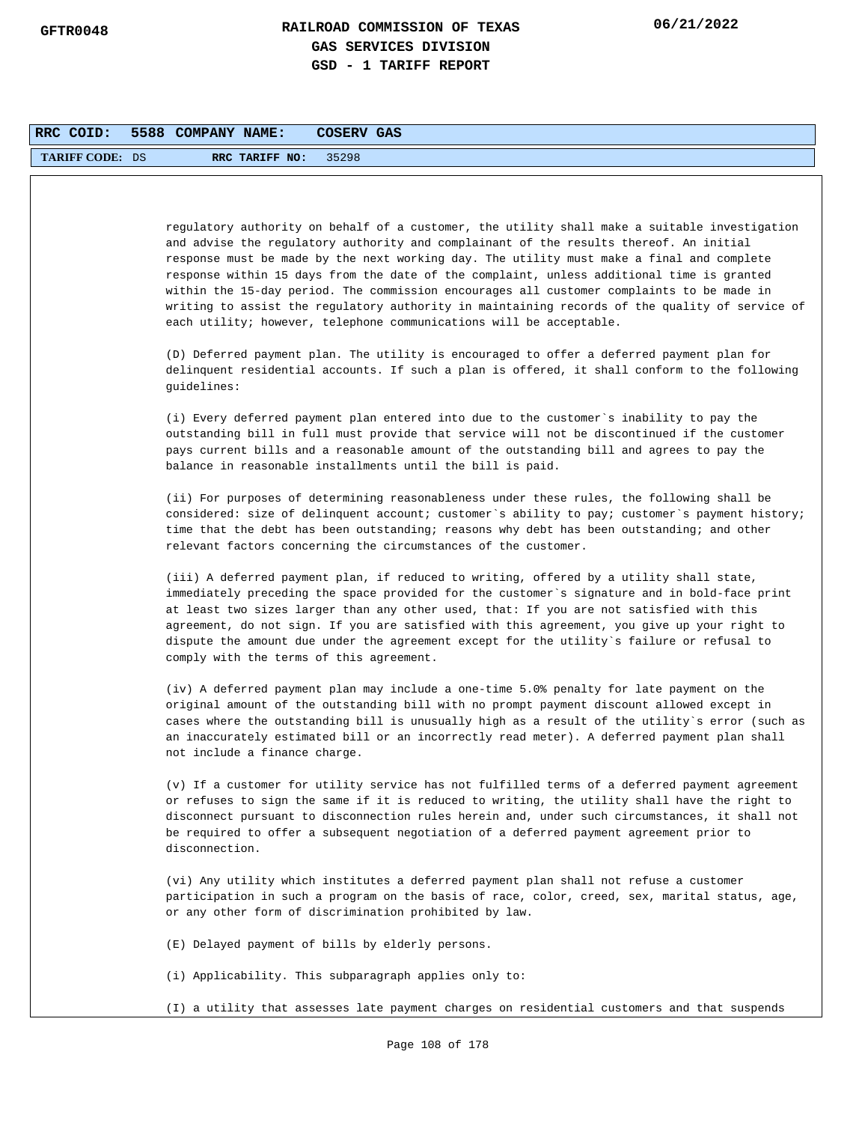| RRC COID:              | 5588 COMPANY NAME: |                               | COSERV GAS                                                                                                                                                                                                                                                                                                                                                                                                                                                                                                                                                                                                                                              |
|------------------------|--------------------|-------------------------------|---------------------------------------------------------------------------------------------------------------------------------------------------------------------------------------------------------------------------------------------------------------------------------------------------------------------------------------------------------------------------------------------------------------------------------------------------------------------------------------------------------------------------------------------------------------------------------------------------------------------------------------------------------|
| <b>TARIFF CODE: DS</b> |                    | RRC TARIFF NO:                | 35298                                                                                                                                                                                                                                                                                                                                                                                                                                                                                                                                                                                                                                                   |
|                        |                    |                               |                                                                                                                                                                                                                                                                                                                                                                                                                                                                                                                                                                                                                                                         |
|                        |                    |                               | regulatory authority on behalf of a customer, the utility shall make a suitable investigation<br>and advise the regulatory authority and complainant of the results thereof. An initial<br>response must be made by the next working day. The utility must make a final and complete<br>response within 15 days from the date of the complaint, unless additional time is granted<br>within the 15-day period. The commission encourages all customer complaints to be made in<br>writing to assist the regulatory authority in maintaining records of the quality of service of<br>each utility; however, telephone communications will be acceptable. |
|                        | guidelines:        |                               | (D) Deferred payment plan. The utility is encouraged to offer a deferred payment plan for<br>delinquent residential accounts. If such a plan is offered, it shall conform to the following                                                                                                                                                                                                                                                                                                                                                                                                                                                              |
|                        |                    |                               | (i) Every deferred payment plan entered into due to the customer`s inability to pay the<br>outstanding bill in full must provide that service will not be discontinued if the customer<br>pays current bills and a reasonable amount of the outstanding bill and agrees to pay the<br>balance in reasonable installments until the bill is paid.                                                                                                                                                                                                                                                                                                        |
|                        |                    |                               | (ii) For purposes of determining reasonableness under these rules, the following shall be<br>considered: size of delinquent account; customer's ability to pay; customer's payment history;<br>time that the debt has been outstanding; reasons why debt has been outstanding; and other<br>relevant factors concerning the circumstances of the customer.                                                                                                                                                                                                                                                                                              |
|                        |                    |                               | (iii) A deferred payment plan, if reduced to writing, offered by a utility shall state,<br>immediately preceding the space provided for the customer`s signature and in bold-face print<br>at least two sizes larger than any other used, that: If you are not satisfied with this<br>agreement, do not sign. If you are satisfied with this agreement, you give up your right to<br>dispute the amount due under the agreement except for the utility`s failure or refusal to<br>comply with the terms of this agreement.                                                                                                                              |
|                        |                    | not include a finance charge. | (iv) A deferred payment plan may include a one-time 5.0% penalty for late payment on the<br>original amount of the outstanding bill with no prompt payment discount allowed except in<br>cases where the outstanding bill is unusually high as a result of the utility's error (such as<br>an inaccurately estimated bill or an incorrectly read meter). A deferred payment plan shall                                                                                                                                                                                                                                                                  |
|                        | disconnection.     |                               | (v) If a customer for utility service has not fulfilled terms of a deferred payment agreement<br>or refuses to sign the same if it is reduced to writing, the utility shall have the right to<br>disconnect pursuant to disconnection rules herein and, under such circumstances, it shall not<br>be required to offer a subsequent negotiation of a deferred payment agreement prior to                                                                                                                                                                                                                                                                |
|                        |                    |                               | (vi) Any utility which institutes a deferred payment plan shall not refuse a customer<br>participation in such a program on the basis of race, color, creed, sex, marital status, age,<br>or any other form of discrimination prohibited by law.                                                                                                                                                                                                                                                                                                                                                                                                        |
|                        |                    |                               | (E) Delayed payment of bills by elderly persons.                                                                                                                                                                                                                                                                                                                                                                                                                                                                                                                                                                                                        |
|                        |                    |                               | (i) Applicability. This subparagraph applies only to:                                                                                                                                                                                                                                                                                                                                                                                                                                                                                                                                                                                                   |
|                        |                    |                               | (I) a utility that assesses late payment charges on residential customers and that suspends                                                                                                                                                                                                                                                                                                                                                                                                                                                                                                                                                             |
|                        |                    |                               | Page 108 of 178                                                                                                                                                                                                                                                                                                                                                                                                                                                                                                                                                                                                                                         |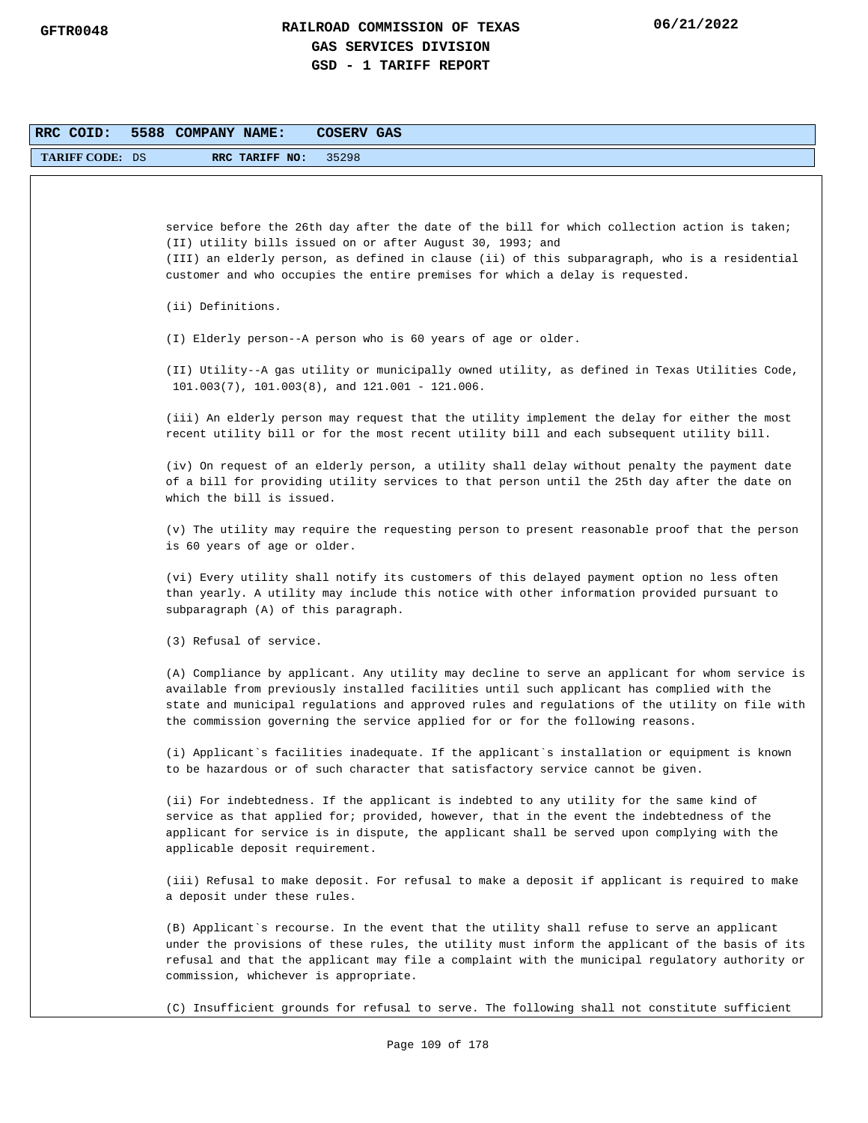| RRC COID:              | 5588 COMPANY NAME:<br>COSERV GAS                                                                                                                                                                                                                                                                                                                                                |
|------------------------|---------------------------------------------------------------------------------------------------------------------------------------------------------------------------------------------------------------------------------------------------------------------------------------------------------------------------------------------------------------------------------|
| <b>TARIFF CODE: DS</b> | RRC TARIFF NO:<br>35298                                                                                                                                                                                                                                                                                                                                                         |
|                        |                                                                                                                                                                                                                                                                                                                                                                                 |
|                        | service before the 26th day after the date of the bill for which collection action is taken;<br>(II) utility bills issued on or after August 30, 1993; and<br>(III) an elderly person, as defined in clause (ii) of this subparagraph, who is a residential<br>customer and who occupies the entire premises for which a delay is requested.                                    |
|                        | (ii) Definitions.                                                                                                                                                                                                                                                                                                                                                               |
|                        | (I) Elderly person--A person who is 60 years of age or older.                                                                                                                                                                                                                                                                                                                   |
|                        | (II) Utility--A gas utility or municipally owned utility, as defined in Texas Utilities Code,<br>$101.003(7)$ , $101.003(8)$ , and $121.001 - 121.006$ .                                                                                                                                                                                                                        |
|                        | (iii) An elderly person may request that the utility implement the delay for either the most<br>recent utility bill or for the most recent utility bill and each subsequent utility bill.                                                                                                                                                                                       |
|                        | (iv) On request of an elderly person, a utility shall delay without penalty the payment date<br>of a bill for providing utility services to that person until the 25th day after the date on<br>which the bill is issued.                                                                                                                                                       |
|                        | (v) The utility may require the requesting person to present reasonable proof that the person<br>is 60 years of age or older.                                                                                                                                                                                                                                                   |
|                        | (vi) Every utility shall notify its customers of this delayed payment option no less often<br>than yearly. A utility may include this notice with other information provided pursuant to<br>subparagraph (A) of this paragraph.                                                                                                                                                 |
|                        | (3) Refusal of service.                                                                                                                                                                                                                                                                                                                                                         |
|                        | (A) Compliance by applicant. Any utility may decline to serve an applicant for whom service is<br>available from previously installed facilities until such applicant has complied with the<br>state and municipal regulations and approved rules and regulations of the utility on file with<br>the commission governing the service applied for or for the following reasons. |
|                        | (i) Applicant's facilities inadequate. If the applicant's installation or equipment is known<br>to be hazardous or of such character that satisfactory service cannot be given.                                                                                                                                                                                                 |
|                        | (ii) For indebtedness. If the applicant is indebted to any utility for the same kind of<br>service as that applied for; provided, however, that in the event the indebtedness of the<br>applicant for service is in dispute, the applicant shall be served upon complying with the<br>applicable deposit requirement.                                                           |
|                        | (iii) Refusal to make deposit. For refusal to make a deposit if applicant is required to make<br>a deposit under these rules.                                                                                                                                                                                                                                                   |
|                        | (B) Applicant's recourse. In the event that the utility shall refuse to serve an applicant<br>under the provisions of these rules, the utility must inform the applicant of the basis of its<br>refusal and that the applicant may file a complaint with the municipal regulatory authority or<br>commission, whichever is appropriate.                                         |
|                        | (C) Insufficient grounds for refusal to serve. The following shall not constitute sufficient                                                                                                                                                                                                                                                                                    |
|                        | Page 109 of 178                                                                                                                                                                                                                                                                                                                                                                 |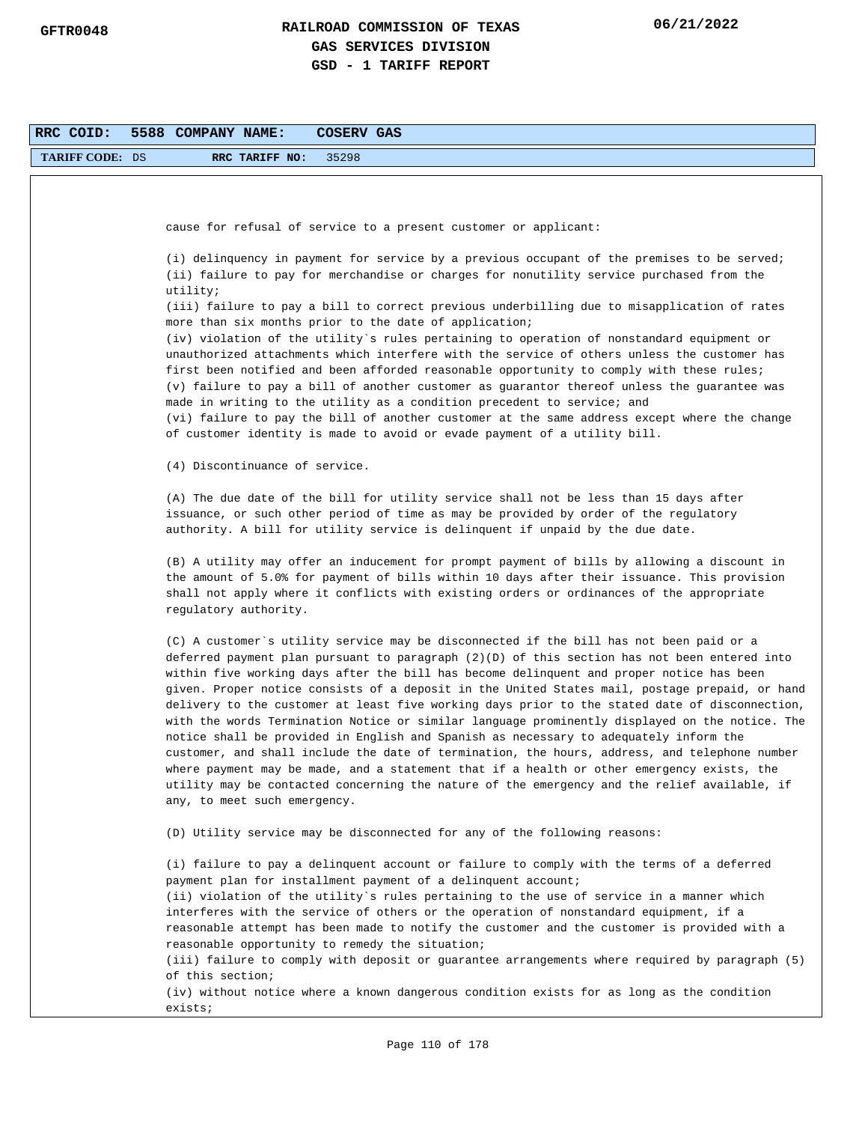| RRC COID:              | 5588 COMPANY NAME:<br>COSERV GAS                                                                                                                                                                                                                                                                                                                                                                                                                                                                                                                                                                                                                                                                                                                                                                                                                                                                                                                                                                                  |  |
|------------------------|-------------------------------------------------------------------------------------------------------------------------------------------------------------------------------------------------------------------------------------------------------------------------------------------------------------------------------------------------------------------------------------------------------------------------------------------------------------------------------------------------------------------------------------------------------------------------------------------------------------------------------------------------------------------------------------------------------------------------------------------------------------------------------------------------------------------------------------------------------------------------------------------------------------------------------------------------------------------------------------------------------------------|--|
| <b>TARIFF CODE: DS</b> | RRC TARIFF NO:<br>35298                                                                                                                                                                                                                                                                                                                                                                                                                                                                                                                                                                                                                                                                                                                                                                                                                                                                                                                                                                                           |  |
|                        |                                                                                                                                                                                                                                                                                                                                                                                                                                                                                                                                                                                                                                                                                                                                                                                                                                                                                                                                                                                                                   |  |
|                        |                                                                                                                                                                                                                                                                                                                                                                                                                                                                                                                                                                                                                                                                                                                                                                                                                                                                                                                                                                                                                   |  |
|                        | cause for refusal of service to a present customer or applicant:                                                                                                                                                                                                                                                                                                                                                                                                                                                                                                                                                                                                                                                                                                                                                                                                                                                                                                                                                  |  |
|                        | (i) delinquency in payment for service by a previous occupant of the premises to be served;<br>(ii) failure to pay for merchandise or charges for nonutility service purchased from the<br>utility;                                                                                                                                                                                                                                                                                                                                                                                                                                                                                                                                                                                                                                                                                                                                                                                                               |  |
|                        | (iii) failure to pay a bill to correct previous underbilling due to misapplication of rates<br>more than six months prior to the date of application;                                                                                                                                                                                                                                                                                                                                                                                                                                                                                                                                                                                                                                                                                                                                                                                                                                                             |  |
|                        | (iv) violation of the utility`s rules pertaining to operation of nonstandard equipment or<br>unauthorized attachments which interfere with the service of others unless the customer has<br>first been notified and been afforded reasonable opportunity to comply with these rules;<br>(v) failure to pay a bill of another customer as guarantor thereof unless the guarantee was                                                                                                                                                                                                                                                                                                                                                                                                                                                                                                                                                                                                                               |  |
|                        | made in writing to the utility as a condition precedent to service; and<br>(vi) failure to pay the bill of another customer at the same address except where the change<br>of customer identity is made to avoid or evade payment of a utility bill.                                                                                                                                                                                                                                                                                                                                                                                                                                                                                                                                                                                                                                                                                                                                                              |  |
|                        | (4) Discontinuance of service.                                                                                                                                                                                                                                                                                                                                                                                                                                                                                                                                                                                                                                                                                                                                                                                                                                                                                                                                                                                    |  |
|                        | (A) The due date of the bill for utility service shall not be less than 15 days after<br>issuance, or such other period of time as may be provided by order of the regulatory<br>authority. A bill for utility service is delinquent if unpaid by the due date.                                                                                                                                                                                                                                                                                                                                                                                                                                                                                                                                                                                                                                                                                                                                                   |  |
|                        | (B) A utility may offer an inducement for prompt payment of bills by allowing a discount in<br>the amount of 5.0% for payment of bills within 10 days after their issuance. This provision<br>shall not apply where it conflicts with existing orders or ordinances of the appropriate<br>regulatory authority.                                                                                                                                                                                                                                                                                                                                                                                                                                                                                                                                                                                                                                                                                                   |  |
|                        | (C) A customer's utility service may be disconnected if the bill has not been paid or a<br>deferred payment plan pursuant to paragraph (2)(D) of this section has not been entered into<br>within five working days after the bill has become delinquent and proper notice has been<br>given. Proper notice consists of a deposit in the United States mail, postage prepaid, or hand<br>delivery to the customer at least five working days prior to the stated date of disconnection,<br>with the words Termination Notice or similar language prominently displayed on the notice. The<br>notice shall be provided in English and Spanish as necessary to adequately inform the<br>customer, and shall include the date of termination, the hours, address, and telephone number<br>where payment may be made, and a statement that if a health or other emergency exists, the<br>utility may be contacted concerning the nature of the emergency and the relief available, if<br>any, to meet such emergency. |  |
|                        | (D) Utility service may be disconnected for any of the following reasons:                                                                                                                                                                                                                                                                                                                                                                                                                                                                                                                                                                                                                                                                                                                                                                                                                                                                                                                                         |  |
|                        | (i) failure to pay a delinquent account or failure to comply with the terms of a deferred<br>payment plan for installment payment of a delinquent account;<br>(ii) violation of the utility's rules pertaining to the use of service in a manner which<br>interferes with the service of others or the operation of nonstandard equipment, if a<br>reasonable attempt has been made to notify the customer and the customer is provided with a<br>reasonable opportunity to remedy the situation;<br>(iii) failure to comply with deposit or guarantee arrangements where required by paragraph (5)                                                                                                                                                                                                                                                                                                                                                                                                               |  |
|                        | of this section;<br>(iv) without notice where a known dangerous condition exists for as long as the condition<br>exists;                                                                                                                                                                                                                                                                                                                                                                                                                                                                                                                                                                                                                                                                                                                                                                                                                                                                                          |  |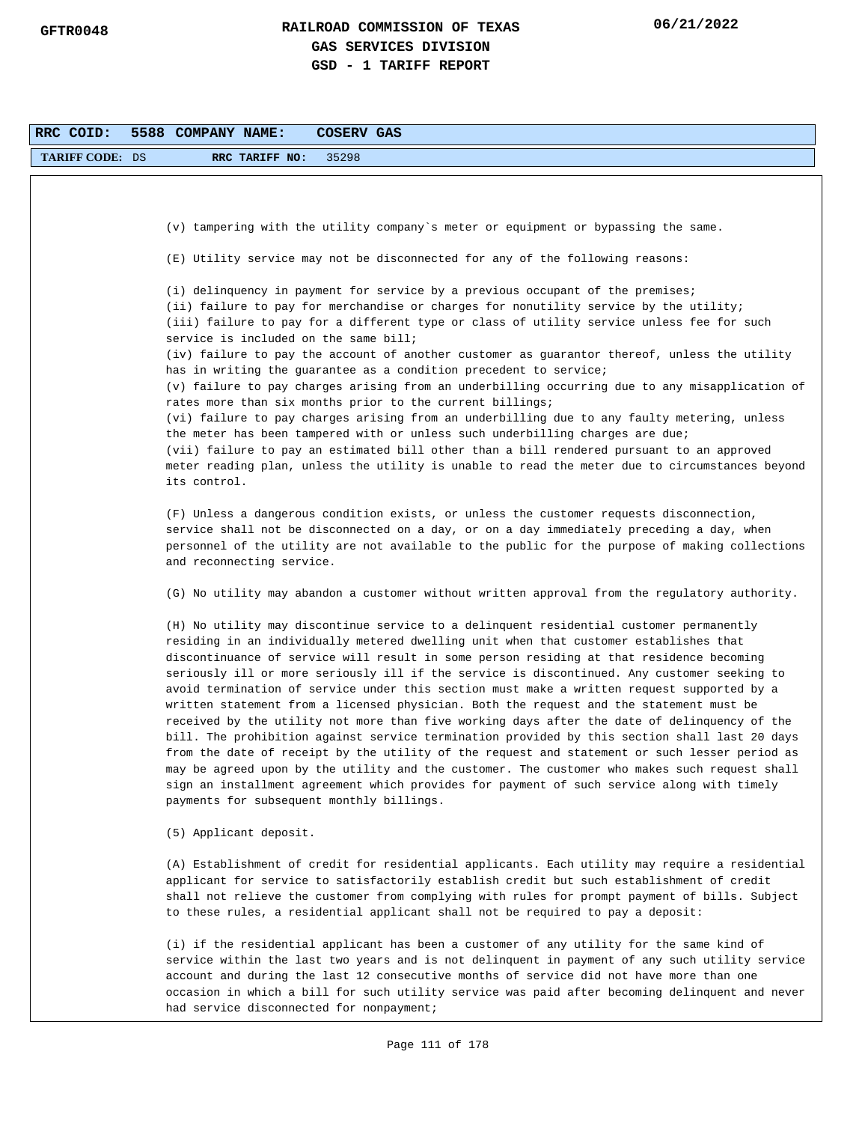| RRC COID:              | 5588 COMPANY NAME:<br>COSERV GAS                                                                                                                                                                                                                                                                                                                                                                                                                                                                                                                                                                                                                                                                                                                                                                                                                                                                                                                                                                                                                                                                                   |
|------------------------|--------------------------------------------------------------------------------------------------------------------------------------------------------------------------------------------------------------------------------------------------------------------------------------------------------------------------------------------------------------------------------------------------------------------------------------------------------------------------------------------------------------------------------------------------------------------------------------------------------------------------------------------------------------------------------------------------------------------------------------------------------------------------------------------------------------------------------------------------------------------------------------------------------------------------------------------------------------------------------------------------------------------------------------------------------------------------------------------------------------------|
| <b>TARIFF CODE: DS</b> | 35298<br>RRC TARIFF NO:                                                                                                                                                                                                                                                                                                                                                                                                                                                                                                                                                                                                                                                                                                                                                                                                                                                                                                                                                                                                                                                                                            |
|                        |                                                                                                                                                                                                                                                                                                                                                                                                                                                                                                                                                                                                                                                                                                                                                                                                                                                                                                                                                                                                                                                                                                                    |
|                        |                                                                                                                                                                                                                                                                                                                                                                                                                                                                                                                                                                                                                                                                                                                                                                                                                                                                                                                                                                                                                                                                                                                    |
|                        | (v) tampering with the utility company's meter or equipment or bypassing the same.                                                                                                                                                                                                                                                                                                                                                                                                                                                                                                                                                                                                                                                                                                                                                                                                                                                                                                                                                                                                                                 |
|                        | (E) Utility service may not be disconnected for any of the following reasons:                                                                                                                                                                                                                                                                                                                                                                                                                                                                                                                                                                                                                                                                                                                                                                                                                                                                                                                                                                                                                                      |
|                        | (i) delinquency in payment for service by a previous occupant of the premises;<br>(ii) failure to pay for merchandise or charges for nonutility service by the utility;<br>(iii) failure to pay for a different type or class of utility service unless fee for such<br>service is included on the same bill;<br>(iv) failure to pay the account of another customer as guarantor thereof, unless the utility                                                                                                                                                                                                                                                                                                                                                                                                                                                                                                                                                                                                                                                                                                      |
|                        | has in writing the guarantee as a condition precedent to service;<br>(v) failure to pay charges arising from an underbilling occurring due to any misapplication of                                                                                                                                                                                                                                                                                                                                                                                                                                                                                                                                                                                                                                                                                                                                                                                                                                                                                                                                                |
|                        | rates more than six months prior to the current billings;<br>(vi) failure to pay charges arising from an underbilling due to any faulty metering, unless<br>the meter has been tampered with or unless such underbilling charges are due;<br>(vii) failure to pay an estimated bill other than a bill rendered pursuant to an approved<br>meter reading plan, unless the utility is unable to read the meter due to circumstances beyond<br>its control.                                                                                                                                                                                                                                                                                                                                                                                                                                                                                                                                                                                                                                                           |
|                        | (F) Unless a dangerous condition exists, or unless the customer requests disconnection,<br>service shall not be disconnected on a day, or on a day immediately preceding a day, when<br>personnel of the utility are not available to the public for the purpose of making collections<br>and reconnecting service.                                                                                                                                                                                                                                                                                                                                                                                                                                                                                                                                                                                                                                                                                                                                                                                                |
|                        | (G) No utility may abandon a customer without written approval from the regulatory authority.                                                                                                                                                                                                                                                                                                                                                                                                                                                                                                                                                                                                                                                                                                                                                                                                                                                                                                                                                                                                                      |
|                        | (H) No utility may discontinue service to a delinquent residential customer permanently<br>residing in an individually metered dwelling unit when that customer establishes that<br>discontinuance of service will result in some person residing at that residence becoming<br>seriously ill or more seriously ill if the service is discontinued. Any customer seeking to<br>avoid termination of service under this section must make a written request supported by a<br>written statement from a licensed physician. Both the request and the statement must be<br>received by the utility not more than five working days after the date of delinquency of the<br>bill. The prohibition against service termination provided by this section shall last 20 days<br>from the date of receipt by the utility of the request and statement or such lesser period as<br>may be agreed upon by the utility and the customer. The customer who makes such request shall<br>sign an installment agreement which provides for payment of such service along with timely<br>payments for subsequent monthly billings. |
|                        | (5) Applicant deposit.                                                                                                                                                                                                                                                                                                                                                                                                                                                                                                                                                                                                                                                                                                                                                                                                                                                                                                                                                                                                                                                                                             |
|                        | (A) Establishment of credit for residential applicants. Each utility may require a residential<br>applicant for service to satisfactorily establish credit but such establishment of credit<br>shall not relieve the customer from complying with rules for prompt payment of bills. Subject<br>to these rules, a residential applicant shall not be required to pay a deposit:                                                                                                                                                                                                                                                                                                                                                                                                                                                                                                                                                                                                                                                                                                                                    |
|                        | (i) if the residential applicant has been a customer of any utility for the same kind of<br>service within the last two years and is not delinquent in payment of any such utility service<br>account and during the last 12 consecutive months of service did not have more than one<br>occasion in which a bill for such utility service was paid after becoming delinquent and never<br>had service disconnected for nonpayment;                                                                                                                                                                                                                                                                                                                                                                                                                                                                                                                                                                                                                                                                                |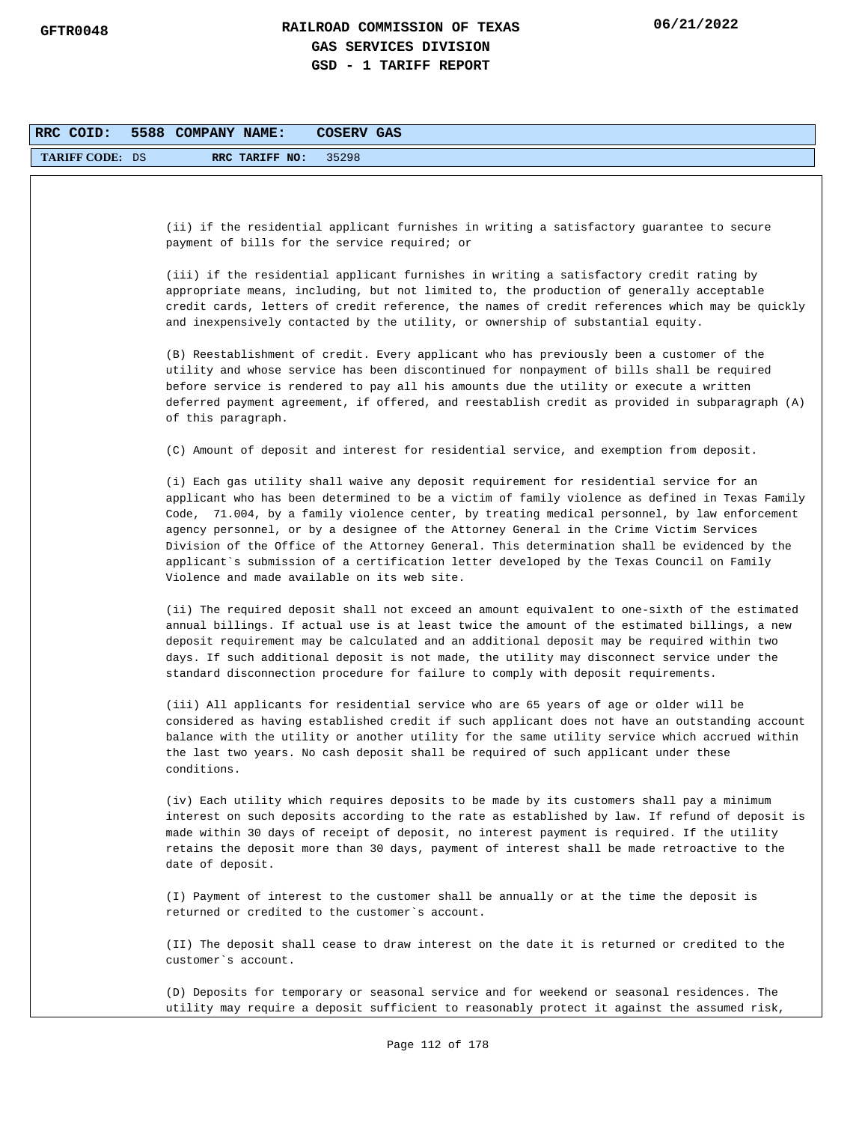| RRC COID:              | 5588 COMPANY NAME:<br>COSERV GAS                                                                                                                                                                                                                                                                                                                                                                                                                                                                                                                                                                                                  |
|------------------------|-----------------------------------------------------------------------------------------------------------------------------------------------------------------------------------------------------------------------------------------------------------------------------------------------------------------------------------------------------------------------------------------------------------------------------------------------------------------------------------------------------------------------------------------------------------------------------------------------------------------------------------|
| <b>TARIFF CODE: DS</b> | 35298<br>RRC TARIFF NO:                                                                                                                                                                                                                                                                                                                                                                                                                                                                                                                                                                                                           |
|                        |                                                                                                                                                                                                                                                                                                                                                                                                                                                                                                                                                                                                                                   |
|                        | (ii) if the residential applicant furnishes in writing a satisfactory guarantee to secure<br>payment of bills for the service required; or                                                                                                                                                                                                                                                                                                                                                                                                                                                                                        |
|                        | (iii) if the residential applicant furnishes in writing a satisfactory credit rating by<br>appropriate means, including, but not limited to, the production of generally acceptable<br>credit cards, letters of credit reference, the names of credit references which may be quickly<br>and inexpensively contacted by the utility, or ownership of substantial equity.                                                                                                                                                                                                                                                          |
|                        | (B) Reestablishment of credit. Every applicant who has previously been a customer of the<br>utility and whose service has been discontinued for nonpayment of bills shall be required<br>before service is rendered to pay all his amounts due the utility or execute a written<br>deferred payment agreement, if offered, and reestablish credit as provided in subparagraph (A)<br>of this paragraph.                                                                                                                                                                                                                           |
|                        | (C) Amount of deposit and interest for residential service, and exemption from deposit.                                                                                                                                                                                                                                                                                                                                                                                                                                                                                                                                           |
|                        | (i) Each gas utility shall waive any deposit requirement for residential service for an<br>applicant who has been determined to be a victim of family violence as defined in Texas Family<br>Code, 71.004, by a family violence center, by treating medical personnel, by law enforcement<br>agency personnel, or by a designee of the Attorney General in the Crime Victim Services<br>Division of the Office of the Attorney General. This determination shall be evidenced by the<br>applicant`s submission of a certification letter developed by the Texas Council on Family<br>Violence and made available on its web site. |
|                        | (ii) The required deposit shall not exceed an amount equivalent to one-sixth of the estimated<br>annual billings. If actual use is at least twice the amount of the estimated billings, a new<br>deposit requirement may be calculated and an additional deposit may be required within two<br>days. If such additional deposit is not made, the utility may disconnect service under the<br>standard disconnection procedure for failure to comply with deposit requirements.                                                                                                                                                    |
|                        | (iii) All applicants for residential service who are 65 years of age or older will be<br>considered as having established credit if such applicant does not have an outstanding account<br>balance with the utility or another utility for the same utility service which accrued within<br>the last two years. No cash deposit shall be required of such applicant under these<br>conditions.                                                                                                                                                                                                                                    |
|                        | (iv) Each utility which requires deposits to be made by its customers shall pay a minimum<br>interest on such deposits according to the rate as established by law. If refund of deposit is<br>made within 30 days of receipt of deposit, no interest payment is required. If the utility<br>retains the deposit more than 30 days, payment of interest shall be made retroactive to the<br>date of deposit.                                                                                                                                                                                                                      |
|                        | (I) Payment of interest to the customer shall be annually or at the time the deposit is<br>returned or credited to the customer's account.                                                                                                                                                                                                                                                                                                                                                                                                                                                                                        |
|                        | (II) The deposit shall cease to draw interest on the date it is returned or credited to the<br>customer's account.                                                                                                                                                                                                                                                                                                                                                                                                                                                                                                                |
|                        | (D) Deposits for temporary or seasonal service and for weekend or seasonal residences. The<br>utility may require a deposit sufficient to reasonably protect it against the assumed risk,                                                                                                                                                                                                                                                                                                                                                                                                                                         |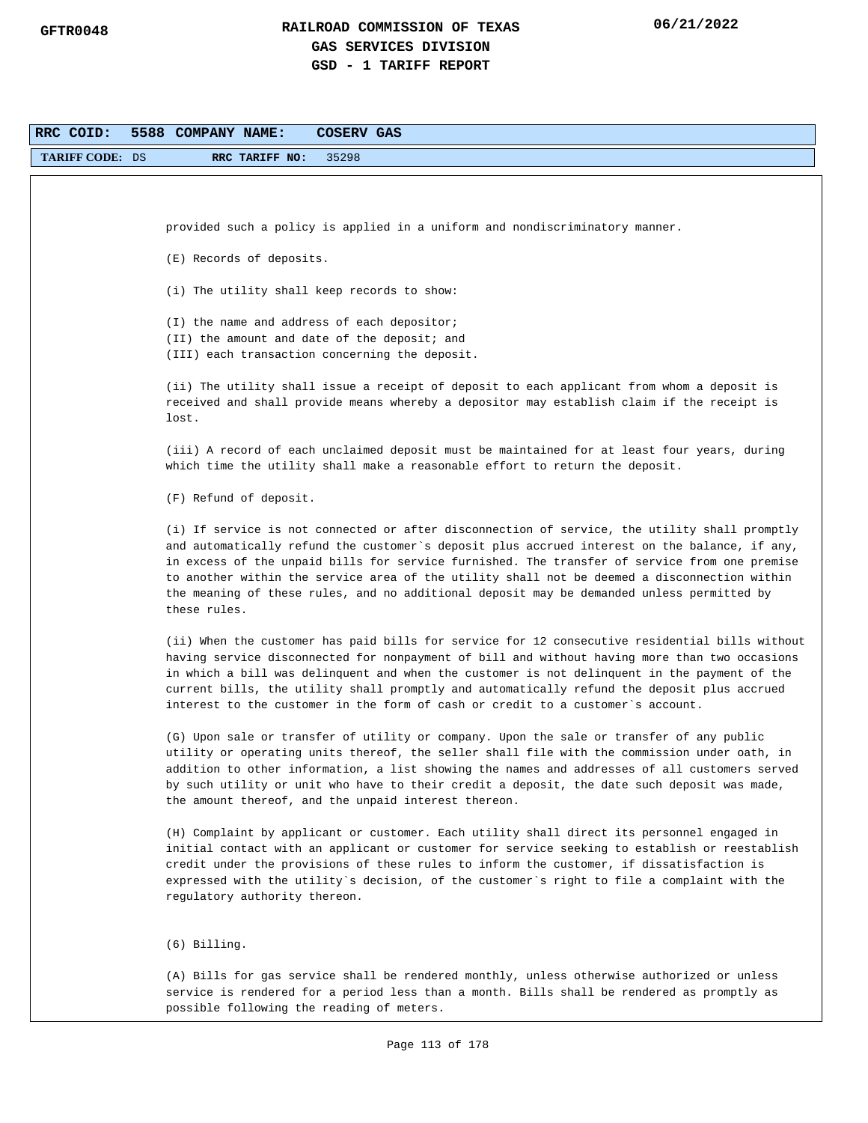| RRC COID:              | 5588 COMPANY NAME:<br>COSERV GAS                                                                                                                                                              |
|------------------------|-----------------------------------------------------------------------------------------------------------------------------------------------------------------------------------------------|
| <b>TARIFF CODE: DS</b> | 35298<br>RRC TARIFF NO:                                                                                                                                                                       |
|                        |                                                                                                                                                                                               |
|                        |                                                                                                                                                                                               |
|                        | provided such a policy is applied in a uniform and nondiscriminatory manner.                                                                                                                  |
|                        | (E) Records of deposits.                                                                                                                                                                      |
|                        |                                                                                                                                                                                               |
|                        | (i) The utility shall keep records to show:                                                                                                                                                   |
|                        | (I) the name and address of each depositor;                                                                                                                                                   |
|                        | (II) the amount and date of the deposit; and                                                                                                                                                  |
|                        | (III) each transaction concerning the deposit.                                                                                                                                                |
|                        | (ii) The utility shall issue a receipt of deposit to each applicant from whom a deposit is                                                                                                    |
|                        | received and shall provide means whereby a depositor may establish claim if the receipt is                                                                                                    |
|                        | lost.                                                                                                                                                                                         |
|                        | (iii) A record of each unclaimed deposit must be maintained for at least four years, during                                                                                                   |
|                        | which time the utility shall make a reasonable effort to return the deposit.                                                                                                                  |
|                        |                                                                                                                                                                                               |
|                        | (F) Refund of deposit.                                                                                                                                                                        |
|                        | (i) If service is not connected or after disconnection of service, the utility shall promptly                                                                                                 |
|                        | and automatically refund the customer's deposit plus accrued interest on the balance, if any,                                                                                                 |
|                        | in excess of the unpaid bills for service furnished. The transfer of service from one premise<br>to another within the service area of the utility shall not be deemed a disconnection within |
|                        | the meaning of these rules, and no additional deposit may be demanded unless permitted by                                                                                                     |
|                        | these rules.                                                                                                                                                                                  |
|                        | (ii) When the customer has paid bills for service for 12 consecutive residential bills without                                                                                                |
|                        | having service disconnected for nonpayment of bill and without having more than two occasions                                                                                                 |
|                        | in which a bill was delinquent and when the customer is not delinquent in the payment of the                                                                                                  |
|                        | current bills, the utility shall promptly and automatically refund the deposit plus accrued                                                                                                   |
|                        | interest to the customer in the form of cash or credit to a customer's account.                                                                                                               |
|                        | (G) Upon sale or transfer of utility or company. Upon the sale or transfer of any public                                                                                                      |
|                        | utility or operating units thereof, the seller shall file with the commission under oath, in                                                                                                  |
|                        | addition to other information, a list showing the names and addresses of all customers served                                                                                                 |
|                        | by such utility or unit who have to their credit a deposit, the date such deposit was made,<br>the amount thereof, and the unpaid interest thereon.                                           |
|                        |                                                                                                                                                                                               |
|                        | (H) Complaint by applicant or customer. Each utility shall direct its personnel engaged in                                                                                                    |
|                        | initial contact with an applicant or customer for service seeking to establish or reestablish                                                                                                 |
|                        | credit under the provisions of these rules to inform the customer, if dissatisfaction is<br>expressed with the utility's decision, of the customer's right to file a complaint with the       |
|                        | regulatory authority thereon.                                                                                                                                                                 |
|                        |                                                                                                                                                                                               |
|                        | $(6)$ Billing.                                                                                                                                                                                |
|                        | (A) Bills for gas service shall be rendered monthly, unless otherwise authorized or unless                                                                                                    |
|                        | service is rendered for a period less than a month. Bills shall be rendered as promptly as                                                                                                    |
|                        | possible following the reading of meters.                                                                                                                                                     |
|                        |                                                                                                                                                                                               |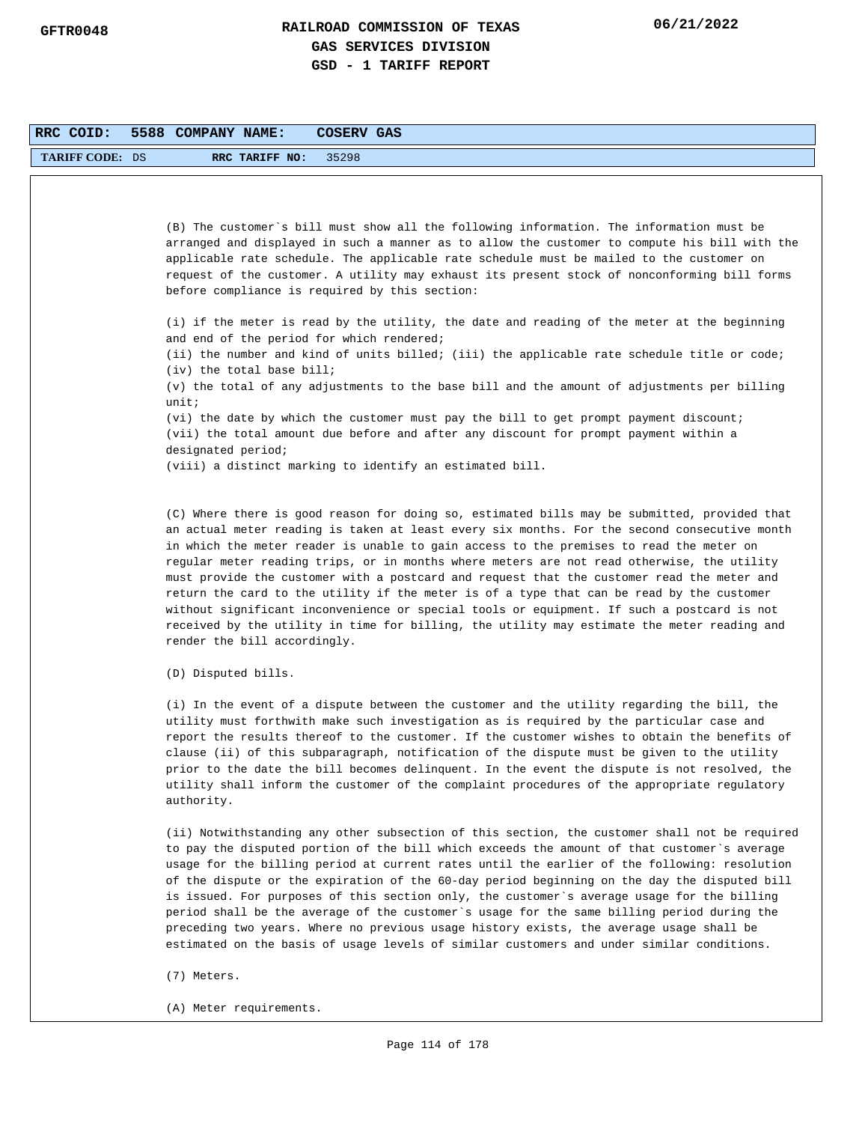| RRC COID:              | 5588 COMPANY NAME:<br>COSERV GAS                                                                                                                                                                                                                                                                                                                                                                                                                                                                                                                                                                                                                                                                                                                                                                              |
|------------------------|---------------------------------------------------------------------------------------------------------------------------------------------------------------------------------------------------------------------------------------------------------------------------------------------------------------------------------------------------------------------------------------------------------------------------------------------------------------------------------------------------------------------------------------------------------------------------------------------------------------------------------------------------------------------------------------------------------------------------------------------------------------------------------------------------------------|
| <b>TARIFF CODE: DS</b> | 35298<br>RRC TARIFF NO:                                                                                                                                                                                                                                                                                                                                                                                                                                                                                                                                                                                                                                                                                                                                                                                       |
|                        |                                                                                                                                                                                                                                                                                                                                                                                                                                                                                                                                                                                                                                                                                                                                                                                                               |
|                        | (B) The customer's bill must show all the following information. The information must be<br>arranged and displayed in such a manner as to allow the customer to compute his bill with the<br>applicable rate schedule. The applicable rate schedule must be mailed to the customer on<br>request of the customer. A utility may exhaust its present stock of nonconforming bill forms<br>before compliance is required by this section:                                                                                                                                                                                                                                                                                                                                                                       |
|                        | (i) if the meter is read by the utility, the date and reading of the meter at the beginning<br>and end of the period for which rendered;<br>(ii) the number and kind of units billed; (iii) the applicable rate schedule title or code;                                                                                                                                                                                                                                                                                                                                                                                                                                                                                                                                                                       |
|                        | $(iv)$ the total base bill;<br>(v) the total of any adjustments to the base bill and the amount of adjustments per billing<br>unit:                                                                                                                                                                                                                                                                                                                                                                                                                                                                                                                                                                                                                                                                           |
|                        | (vi) the date by which the customer must pay the bill to get prompt payment discount;<br>(vii) the total amount due before and after any discount for prompt payment within a<br>designated period;                                                                                                                                                                                                                                                                                                                                                                                                                                                                                                                                                                                                           |
|                        | (viii) a distinct marking to identify an estimated bill.                                                                                                                                                                                                                                                                                                                                                                                                                                                                                                                                                                                                                                                                                                                                                      |
|                        | (C) Where there is good reason for doing so, estimated bills may be submitted, provided that<br>an actual meter reading is taken at least every six months. For the second consecutive month<br>in which the meter reader is unable to gain access to the premises to read the meter on<br>regular meter reading trips, or in months where meters are not read otherwise, the utility<br>must provide the customer with a postcard and request that the customer read the meter and<br>return the card to the utility if the meter is of a type that can be read by the customer<br>without significant inconvenience or special tools or equipment. If such a postcard is not<br>received by the utility in time for billing, the utility may estimate the meter reading and<br>render the bill accordingly. |
|                        | (D) Disputed bills.                                                                                                                                                                                                                                                                                                                                                                                                                                                                                                                                                                                                                                                                                                                                                                                           |
|                        | (i) In the event of a dispute between the customer and the utility regarding the bill, the<br>utility must forthwith make such investigation as is required by the particular case and<br>report the results thereof to the customer. If the customer wishes to obtain the benefits of<br>clause (ii) of this subparagraph, notification of the dispute must be given to the utility<br>prior to the date the bill becomes delinquent. In the event the dispute is not resolved, the<br>utility shall inform the customer of the complaint procedures of the appropriate regulatory<br>authority.                                                                                                                                                                                                             |
|                        | (ii) Notwithstanding any other subsection of this section, the customer shall not be required<br>to pay the disputed portion of the bill which exceeds the amount of that customer's average<br>usage for the billing period at current rates until the earlier of the following: resolution<br>of the dispute or the expiration of the 60-day period beginning on the day the disputed bill<br>is issued. For purposes of this section only, the customer`s average usage for the billing<br>period shall be the average of the customer's usage for the same billing period during the<br>preceding two years. Where no previous usage history exists, the average usage shall be                                                                                                                           |

(7) Meters.

(A) Meter requirements.

estimated on the basis of usage levels of similar customers and under similar conditions.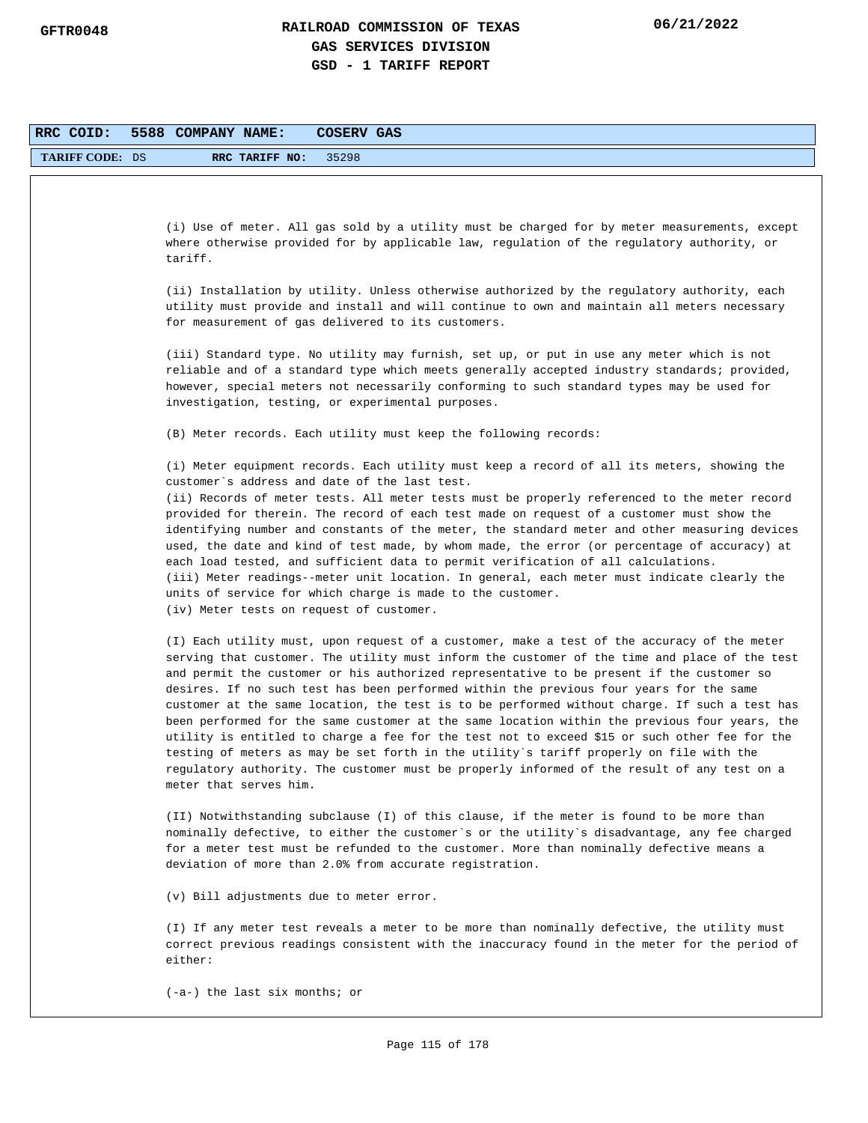| RRC COID:              | 5588 COMPANY NAME:<br>COSERV GAS                                                                                                                                                                                                                                                                                                                                                                                                                                                                                                                                                                                                                                                                                                                                                                                                                                                                            |
|------------------------|-------------------------------------------------------------------------------------------------------------------------------------------------------------------------------------------------------------------------------------------------------------------------------------------------------------------------------------------------------------------------------------------------------------------------------------------------------------------------------------------------------------------------------------------------------------------------------------------------------------------------------------------------------------------------------------------------------------------------------------------------------------------------------------------------------------------------------------------------------------------------------------------------------------|
| <b>TARIFF CODE: DS</b> | RRC TARIFF NO:<br>35298                                                                                                                                                                                                                                                                                                                                                                                                                                                                                                                                                                                                                                                                                                                                                                                                                                                                                     |
|                        |                                                                                                                                                                                                                                                                                                                                                                                                                                                                                                                                                                                                                                                                                                                                                                                                                                                                                                             |
|                        |                                                                                                                                                                                                                                                                                                                                                                                                                                                                                                                                                                                                                                                                                                                                                                                                                                                                                                             |
|                        | (i) Use of meter. All gas sold by a utility must be charged for by meter measurements, except<br>where otherwise provided for by applicable law, regulation of the regulatory authority, or<br>tariff.                                                                                                                                                                                                                                                                                                                                                                                                                                                                                                                                                                                                                                                                                                      |
|                        | (ii) Installation by utility. Unless otherwise authorized by the regulatory authority, each<br>utility must provide and install and will continue to own and maintain all meters necessary<br>for measurement of gas delivered to its customers.                                                                                                                                                                                                                                                                                                                                                                                                                                                                                                                                                                                                                                                            |
|                        | (iii) Standard type. No utility may furnish, set up, or put in use any meter which is not<br>reliable and of a standard type which meets generally accepted industry standards; provided,<br>however, special meters not necessarily conforming to such standard types may be used for<br>investigation, testing, or experimental purposes.                                                                                                                                                                                                                                                                                                                                                                                                                                                                                                                                                                 |
|                        | (B) Meter records. Each utility must keep the following records:                                                                                                                                                                                                                                                                                                                                                                                                                                                                                                                                                                                                                                                                                                                                                                                                                                            |
|                        | (i) Meter equipment records. Each utility must keep a record of all its meters, showing the<br>customer's address and date of the last test.<br>(ii) Records of meter tests. All meter tests must be properly referenced to the meter record<br>provided for therein. The record of each test made on request of a customer must show the<br>identifying number and constants of the meter, the standard meter and other measuring devices<br>used, the date and kind of test made, by whom made, the error (or percentage of accuracy) at<br>each load tested, and sufficient data to permit verification of all calculations.<br>(iii) Meter readings--meter unit location. In general, each meter must indicate clearly the<br>units of service for which charge is made to the customer.<br>(iv) Meter tests on request of customer.                                                                    |
|                        | (I) Each utility must, upon request of a customer, make a test of the accuracy of the meter<br>serving that customer. The utility must inform the customer of the time and place of the test<br>and permit the customer or his authorized representative to be present if the customer so<br>desires. If no such test has been performed within the previous four years for the same<br>customer at the same location, the test is to be performed without charge. If such a test has<br>been performed for the same customer at the same location within the previous four years, the<br>utility is entitled to charge a fee for the test not to exceed \$15 or such other fee for the<br>testing of meters as may be set forth in the utility's tariff properly on file with the<br>regulatory authority. The customer must be properly informed of the result of any test on a<br>meter that serves him. |
|                        | (II) Notwithstanding subclause (I) of this clause, if the meter is found to be more than<br>nominally defective, to either the customer's or the utility's disadvantage, any fee charged<br>for a meter test must be refunded to the customer. More than nominally defective means a<br>deviation of more than 2.0% from accurate registration.                                                                                                                                                                                                                                                                                                                                                                                                                                                                                                                                                             |
|                        | (v) Bill adjustments due to meter error.                                                                                                                                                                                                                                                                                                                                                                                                                                                                                                                                                                                                                                                                                                                                                                                                                                                                    |
|                        | (I) If any meter test reveals a meter to be more than nominally defective, the utility must<br>correct previous readings consistent with the inaccuracy found in the meter for the period of<br>either:                                                                                                                                                                                                                                                                                                                                                                                                                                                                                                                                                                                                                                                                                                     |
|                        | $(-a-)$ the last six months; or                                                                                                                                                                                                                                                                                                                                                                                                                                                                                                                                                                                                                                                                                                                                                                                                                                                                             |
|                        |                                                                                                                                                                                                                                                                                                                                                                                                                                                                                                                                                                                                                                                                                                                                                                                                                                                                                                             |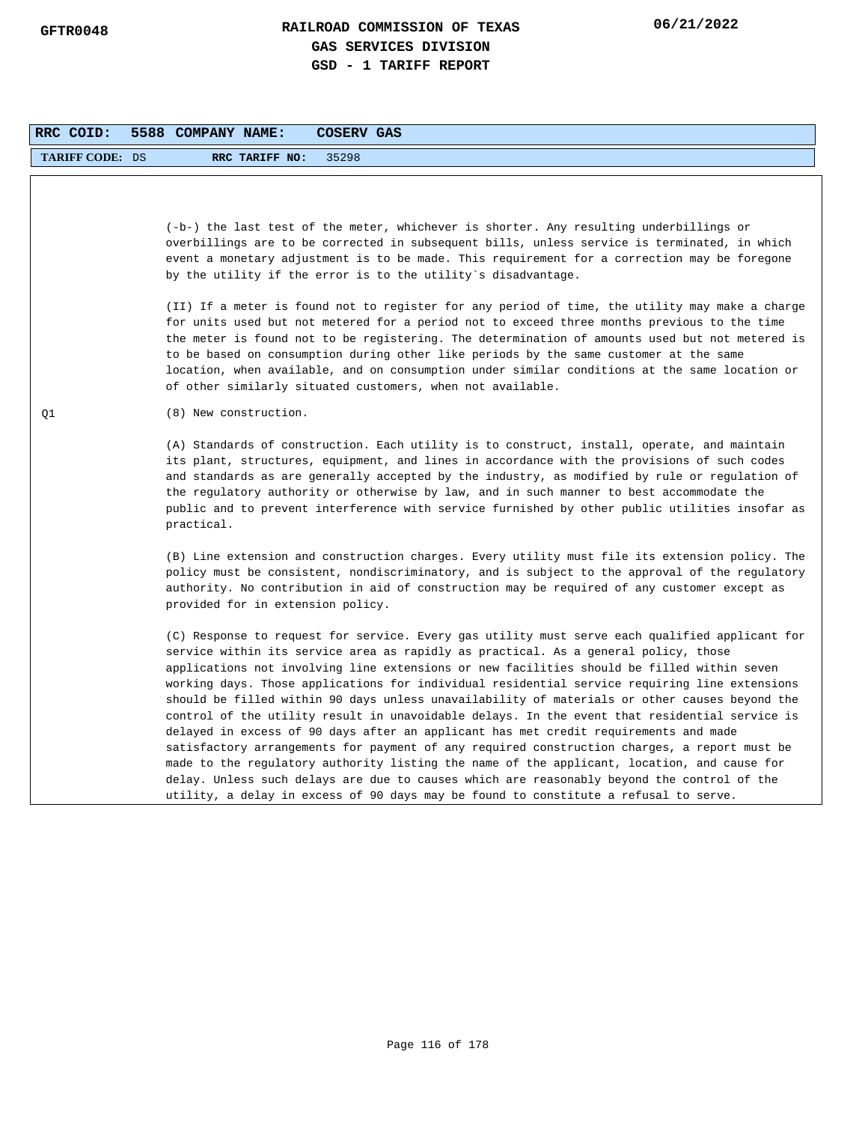| RRC COID:              | 5588 COMPANY NAME:<br><b>COSERV GAS</b>                                                                                                                                                                                                                                                                                                                                                                                                                                                                                                                                                                                                                                                                                                                                                                                                                                                                                                                                                                                                                             |
|------------------------|---------------------------------------------------------------------------------------------------------------------------------------------------------------------------------------------------------------------------------------------------------------------------------------------------------------------------------------------------------------------------------------------------------------------------------------------------------------------------------------------------------------------------------------------------------------------------------------------------------------------------------------------------------------------------------------------------------------------------------------------------------------------------------------------------------------------------------------------------------------------------------------------------------------------------------------------------------------------------------------------------------------------------------------------------------------------|
| <b>TARIFF CODE: DS</b> | RRC TARIFF NO:<br>35298                                                                                                                                                                                                                                                                                                                                                                                                                                                                                                                                                                                                                                                                                                                                                                                                                                                                                                                                                                                                                                             |
|                        | (-b-) the last test of the meter, whichever is shorter. Any resulting underbillings or<br>overbillings are to be corrected in subsequent bills, unless service is terminated, in which<br>event a monetary adjustment is to be made. This requirement for a correction may be foregone<br>by the utility if the error is to the utility's disadvantage.                                                                                                                                                                                                                                                                                                                                                                                                                                                                                                                                                                                                                                                                                                             |
|                        | (II) If a meter is found not to register for any period of time, the utility may make a charge<br>for units used but not metered for a period not to exceed three months previous to the time<br>the meter is found not to be registering. The determination of amounts used but not metered is<br>to be based on consumption during other like periods by the same customer at the same<br>location, when available, and on consumption under similar conditions at the same location or<br>of other similarly situated customers, when not available.                                                                                                                                                                                                                                                                                                                                                                                                                                                                                                             |
| Q1                     | (8) New construction.                                                                                                                                                                                                                                                                                                                                                                                                                                                                                                                                                                                                                                                                                                                                                                                                                                                                                                                                                                                                                                               |
|                        | (A) Standards of construction. Each utility is to construct, install, operate, and maintain<br>its plant, structures, equipment, and lines in accordance with the provisions of such codes<br>and standards as are generally accepted by the industry, as modified by rule or regulation of<br>the regulatory authority or otherwise by law, and in such manner to best accommodate the<br>public and to prevent interference with service furnished by other public utilities insofar as<br>practical.                                                                                                                                                                                                                                                                                                                                                                                                                                                                                                                                                             |
|                        | (B) Line extension and construction charges. Every utility must file its extension policy. The<br>policy must be consistent, nondiscriminatory, and is subject to the approval of the regulatory<br>authority. No contribution in aid of construction may be required of any customer except as<br>provided for in extension policy.                                                                                                                                                                                                                                                                                                                                                                                                                                                                                                                                                                                                                                                                                                                                |
|                        | (C) Response to request for service. Every gas utility must serve each qualified applicant for<br>service within its service area as rapidly as practical. As a general policy, those<br>applications not involving line extensions or new facilities should be filled within seven<br>working days. Those applications for individual residential service requiring line extensions<br>should be filled within 90 days unless unavailability of materials or other causes beyond the<br>control of the utility result in unavoidable delays. In the event that residential service is<br>delayed in excess of 90 days after an applicant has met credit requirements and made<br>satisfactory arrangements for payment of any required construction charges, a report must be<br>made to the regulatory authority listing the name of the applicant, location, and cause for<br>delay. Unless such delays are due to causes which are reasonably beyond the control of the<br>utility, a delay in excess of 90 days may be found to constitute a refusal to serve. |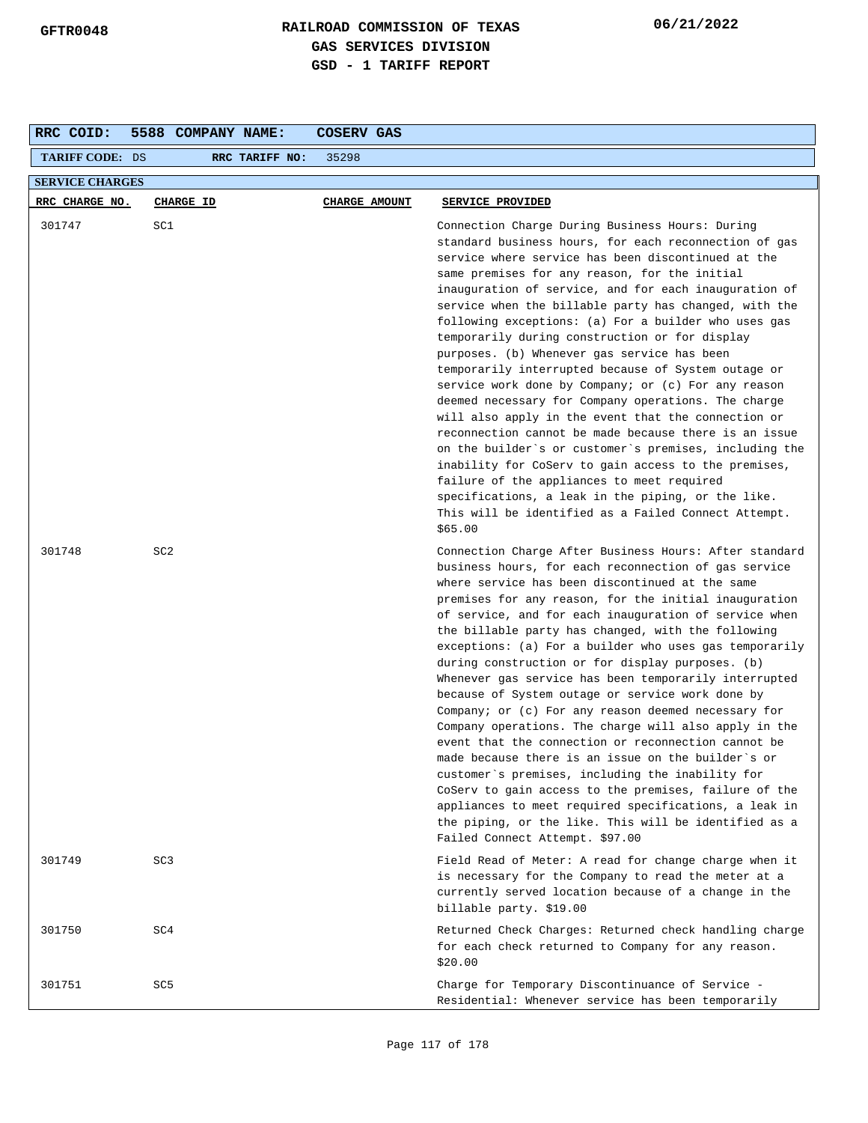| RRC COID:              | 5588 COMPANY NAME: | COSERV GAS    |                                                                                                                                                                                                                                                                                                                                                                                                                                                                                                                                                                                                                                                                                                                                                                                                                                                                                                                                                                                                                                                                          |  |  |  |  |
|------------------------|--------------------|---------------|--------------------------------------------------------------------------------------------------------------------------------------------------------------------------------------------------------------------------------------------------------------------------------------------------------------------------------------------------------------------------------------------------------------------------------------------------------------------------------------------------------------------------------------------------------------------------------------------------------------------------------------------------------------------------------------------------------------------------------------------------------------------------------------------------------------------------------------------------------------------------------------------------------------------------------------------------------------------------------------------------------------------------------------------------------------------------|--|--|--|--|
| <b>TARIFF CODE: DS</b> | RRC TARIFF NO:     | 35298         |                                                                                                                                                                                                                                                                                                                                                                                                                                                                                                                                                                                                                                                                                                                                                                                                                                                                                                                                                                                                                                                                          |  |  |  |  |
| <b>SERVICE CHARGES</b> |                    |               |                                                                                                                                                                                                                                                                                                                                                                                                                                                                                                                                                                                                                                                                                                                                                                                                                                                                                                                                                                                                                                                                          |  |  |  |  |
| RRC CHARGE NO.         | <b>CHARGE ID</b>   | CHARGE AMOUNT | SERVICE PROVIDED                                                                                                                                                                                                                                                                                                                                                                                                                                                                                                                                                                                                                                                                                                                                                                                                                                                                                                                                                                                                                                                         |  |  |  |  |
| 301747                 | SC1                |               | Connection Charge During Business Hours: During<br>standard business hours, for each reconnection of gas<br>service where service has been discontinued at the<br>same premises for any reason, for the initial<br>inauguration of service, and for each inauguration of<br>service when the billable party has changed, with the<br>following exceptions: (a) For a builder who uses gas<br>temporarily during construction or for display<br>purposes. (b) Whenever gas service has been<br>temporarily interrupted because of System outage or<br>service work done by Company; or (c) For any reason<br>deemed necessary for Company operations. The charge<br>will also apply in the event that the connection or<br>reconnection cannot be made because there is an issue<br>on the builder's or customer's premises, including the<br>inability for CoServ to gain access to the premises,<br>failure of the appliances to meet required<br>specifications, a leak in the piping, or the like.<br>This will be identified as a Failed Connect Attempt.<br>\$65.00 |  |  |  |  |
| 301748                 | SC <sub>2</sub>    |               | Connection Charge After Business Hours: After standard<br>business hours, for each reconnection of gas service<br>where service has been discontinued at the same<br>premises for any reason, for the initial inauguration<br>of service, and for each inauguration of service when<br>the billable party has changed, with the following<br>exceptions: (a) For a builder who uses gas temporarily<br>during construction or for display purposes. (b)<br>Whenever gas service has been temporarily interrupted<br>because of System outage or service work done by<br>Company; or $(c)$ For any reason deemed necessary for<br>Company operations. The charge will also apply in the<br>event that the connection or reconnection cannot be<br>made because there is an issue on the builder`s or<br>customer's premises, including the inability for<br>CoServ to gain access to the premises, failure of the<br>appliances to meet required specifications, a leak in<br>the piping, or the like. This will be identified as a<br>Failed Connect Attempt. \$97.00    |  |  |  |  |
| 301749                 | SC <sub>3</sub>    |               | Field Read of Meter: A read for change charge when it<br>is necessary for the Company to read the meter at a<br>currently served location because of a change in the<br>billable party. \$19.00                                                                                                                                                                                                                                                                                                                                                                                                                                                                                                                                                                                                                                                                                                                                                                                                                                                                          |  |  |  |  |
| 301750                 | SC4                |               | Returned Check Charges: Returned check handling charge<br>for each check returned to Company for any reason.<br>\$20.00                                                                                                                                                                                                                                                                                                                                                                                                                                                                                                                                                                                                                                                                                                                                                                                                                                                                                                                                                  |  |  |  |  |
| 301751                 | SC <sub>5</sub>    |               | Charge for Temporary Discontinuance of Service -<br>Residential: Whenever service has been temporarily                                                                                                                                                                                                                                                                                                                                                                                                                                                                                                                                                                                                                                                                                                                                                                                                                                                                                                                                                                   |  |  |  |  |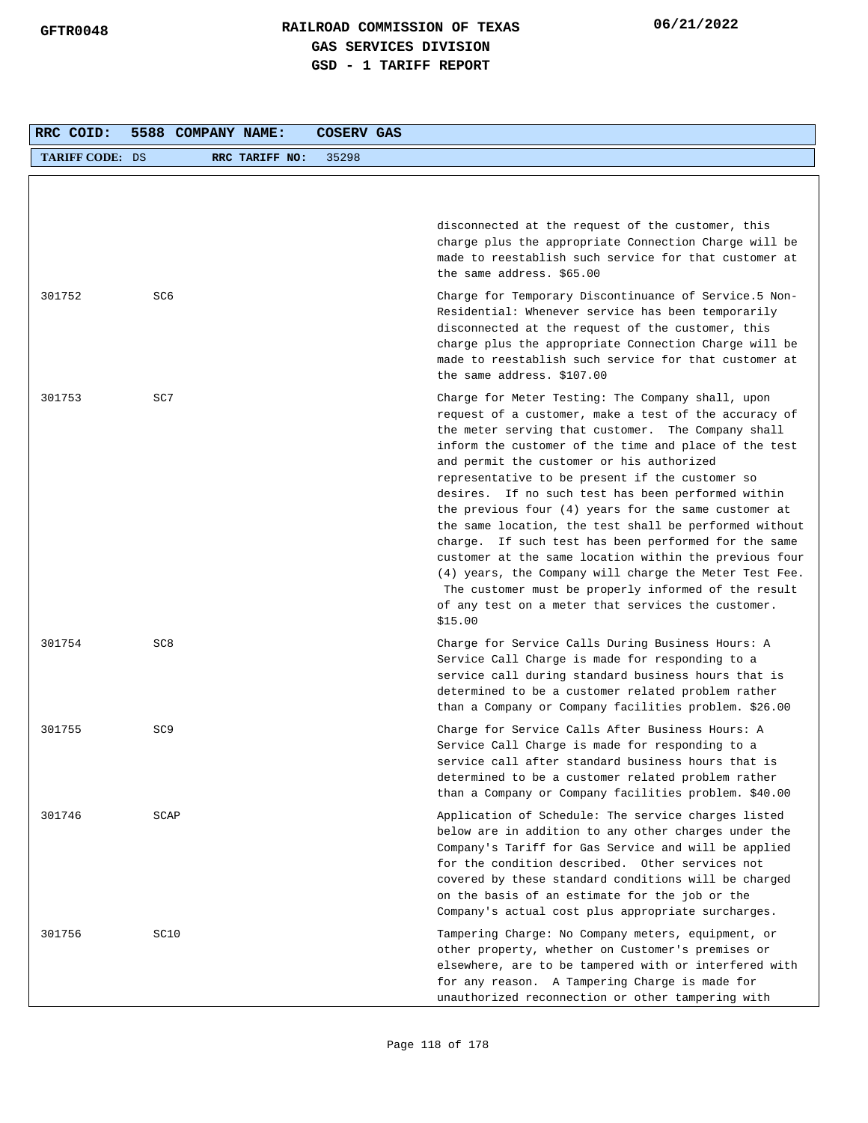| RRC COID:              | 5588 COMPANY NAME: |                | COSERV GAS |                                                                                                                                                                                                                                                                                                                                                                                                                                                                                                                                                                                                                                                                                                                                                                                                          |
|------------------------|--------------------|----------------|------------|----------------------------------------------------------------------------------------------------------------------------------------------------------------------------------------------------------------------------------------------------------------------------------------------------------------------------------------------------------------------------------------------------------------------------------------------------------------------------------------------------------------------------------------------------------------------------------------------------------------------------------------------------------------------------------------------------------------------------------------------------------------------------------------------------------|
| <b>TARIFF CODE: DS</b> |                    | RRC TARIFF NO: | 35298      |                                                                                                                                                                                                                                                                                                                                                                                                                                                                                                                                                                                                                                                                                                                                                                                                          |
|                        |                    |                |            |                                                                                                                                                                                                                                                                                                                                                                                                                                                                                                                                                                                                                                                                                                                                                                                                          |
|                        |                    |                |            | disconnected at the request of the customer, this<br>charge plus the appropriate Connection Charge will be<br>made to reestablish such service for that customer at<br>the same address. \$65.00                                                                                                                                                                                                                                                                                                                                                                                                                                                                                                                                                                                                         |
| 301752                 | SC6                |                |            | Charge for Temporary Discontinuance of Service.5 Non-<br>Residential: Whenever service has been temporarily<br>disconnected at the request of the customer, this<br>charge plus the appropriate Connection Charge will be<br>made to reestablish such service for that customer at<br>the same address. \$107.00                                                                                                                                                                                                                                                                                                                                                                                                                                                                                         |
| 301753                 | SC7                |                |            | Charge for Meter Testing: The Company shall, upon<br>request of a customer, make a test of the accuracy of<br>the meter serving that customer. The Company shall<br>inform the customer of the time and place of the test<br>and permit the customer or his authorized<br>representative to be present if the customer so<br>desires. If no such test has been performed within<br>the previous four $(4)$ years for the same customer at<br>the same location, the test shall be performed without<br>charge. If such test has been performed for the same<br>customer at the same location within the previous four<br>(4) years, the Company will charge the Meter Test Fee.<br>The customer must be properly informed of the result<br>of any test on a meter that services the customer.<br>\$15.00 |
| 301754                 | SC <sub>8</sub>    |                |            | Charge for Service Calls During Business Hours: A<br>Service Call Charge is made for responding to a<br>service call during standard business hours that is<br>determined to be a customer related problem rather<br>than a Company or Company facilities problem. \$26.00                                                                                                                                                                                                                                                                                                                                                                                                                                                                                                                               |
| 301755                 | SC <sub>9</sub>    |                |            | Charge for Service Calls After Business Hours: A<br>Service Call Charge is made for responding to a<br>service call after standard business hours that is<br>determined to be a customer related problem rather<br>than a Company or Company facilities problem. \$40.00                                                                                                                                                                                                                                                                                                                                                                                                                                                                                                                                 |
| 301746                 | SCAP               |                |            | Application of Schedule: The service charges listed<br>below are in addition to any other charges under the<br>Company's Tariff for Gas Service and will be applied<br>for the condition described. Other services not<br>covered by these standard conditions will be charged<br>on the basis of an estimate for the job or the<br>Company's actual cost plus appropriate surcharges.                                                                                                                                                                                                                                                                                                                                                                                                                   |
| 301756                 | SC10               |                |            | Tampering Charge: No Company meters, equipment, or<br>other property, whether on Customer's premises or<br>elsewhere, are to be tampered with or interfered with<br>for any reason. A Tampering Charge is made for<br>unauthorized reconnection or other tampering with                                                                                                                                                                                                                                                                                                                                                                                                                                                                                                                                  |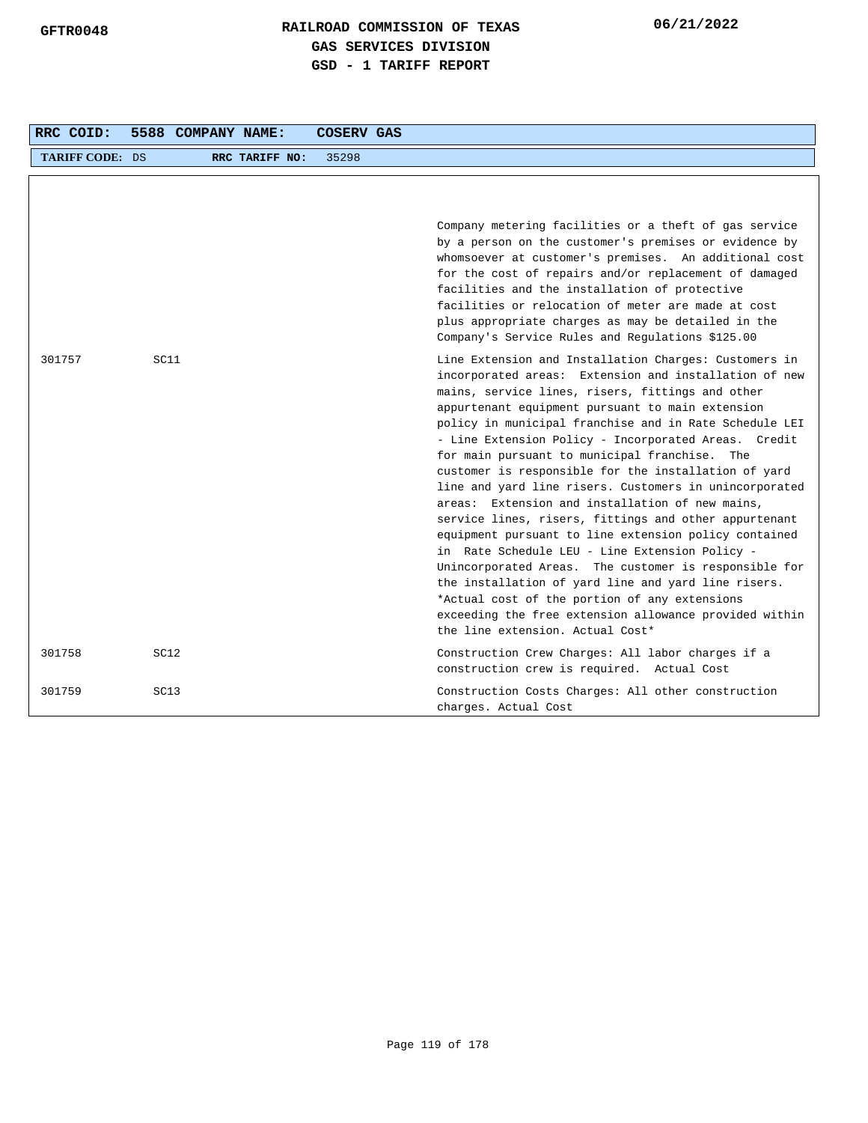| RRC COID:              | 5588 COMPANY NAME: |                | <b>COSERV GAS</b> |                                                                                                                                                                                                                                                                                                                                                                                                                                                                                                                                                                                                                                                                                                                                                                                                                                                                                                                                                                                                   |
|------------------------|--------------------|----------------|-------------------|---------------------------------------------------------------------------------------------------------------------------------------------------------------------------------------------------------------------------------------------------------------------------------------------------------------------------------------------------------------------------------------------------------------------------------------------------------------------------------------------------------------------------------------------------------------------------------------------------------------------------------------------------------------------------------------------------------------------------------------------------------------------------------------------------------------------------------------------------------------------------------------------------------------------------------------------------------------------------------------------------|
| <b>TARIFF CODE: DS</b> |                    | RRC TARIFF NO: | 35298             |                                                                                                                                                                                                                                                                                                                                                                                                                                                                                                                                                                                                                                                                                                                                                                                                                                                                                                                                                                                                   |
|                        |                    |                |                   | Company metering facilities or a theft of gas service<br>by a person on the customer's premises or evidence by<br>whomsoever at customer's premises. An additional cost<br>for the cost of repairs and/or replacement of damaged<br>facilities and the installation of protective<br>facilities or relocation of meter are made at cost<br>plus appropriate charges as may be detailed in the<br>Company's Service Rules and Regulations \$125.00                                                                                                                                                                                                                                                                                                                                                                                                                                                                                                                                                 |
| 301757                 | SC11               |                |                   | Line Extension and Installation Charges: Customers in<br>incorporated areas: Extension and installation of new<br>mains, service lines, risers, fittings and other<br>appurtenant equipment pursuant to main extension<br>policy in municipal franchise and in Rate Schedule LEI<br>- Line Extension Policy - Incorporated Areas. Credit<br>for main pursuant to municipal franchise. The<br>customer is responsible for the installation of yard<br>line and yard line risers. Customers in unincorporated<br>areas: Extension and installation of new mains,<br>service lines, risers, fittings and other appurtenant<br>equipment pursuant to line extension policy contained<br>in Rate Schedule LEU - Line Extension Policy -<br>Unincorporated Areas. The customer is responsible for<br>the installation of yard line and yard line risers.<br>*Actual cost of the portion of any extensions<br>exceeding the free extension allowance provided within<br>the line extension. Actual Cost* |
| 301758                 | SC <sub>12</sub>   |                |                   | Construction Crew Charges: All labor charges if a<br>construction crew is required. Actual Cost                                                                                                                                                                                                                                                                                                                                                                                                                                                                                                                                                                                                                                                                                                                                                                                                                                                                                                   |
| 301759                 | SC13               |                |                   | Construction Costs Charges: All other construction<br>charges. Actual Cost                                                                                                                                                                                                                                                                                                                                                                                                                                                                                                                                                                                                                                                                                                                                                                                                                                                                                                                        |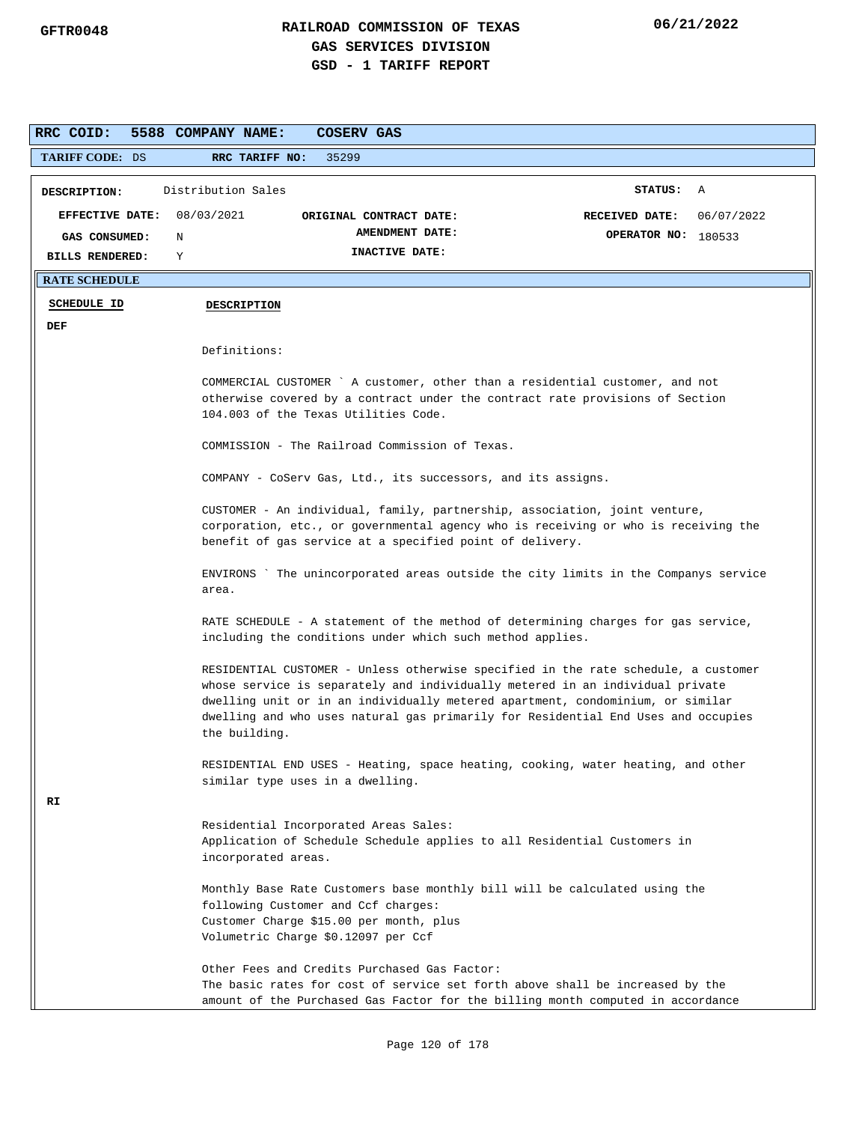| RRC COID:              | 5588 COMPANY NAME:                                                                                                                                                                                                                                                                                                                                          | COSERV GAS                                                                                                            |                                                                                                                                                                  |  |  |  |  |  |  |
|------------------------|-------------------------------------------------------------------------------------------------------------------------------------------------------------------------------------------------------------------------------------------------------------------------------------------------------------------------------------------------------------|-----------------------------------------------------------------------------------------------------------------------|------------------------------------------------------------------------------------------------------------------------------------------------------------------|--|--|--|--|--|--|
| <b>TARIFF CODE: DS</b> | RRC TARIFF NO:                                                                                                                                                                                                                                                                                                                                              | 35299                                                                                                                 |                                                                                                                                                                  |  |  |  |  |  |  |
| DESCRIPTION:           | Distribution Sales                                                                                                                                                                                                                                                                                                                                          |                                                                                                                       | STATUS: A                                                                                                                                                        |  |  |  |  |  |  |
| <b>EFFECTIVE DATE:</b> | 08/03/2021                                                                                                                                                                                                                                                                                                                                                  | ORIGINAL CONTRACT DATE:                                                                                               | 06/07/2022<br>RECEIVED DATE:                                                                                                                                     |  |  |  |  |  |  |
| GAS CONSUMED:          | N                                                                                                                                                                                                                                                                                                                                                           | AMENDMENT DATE:                                                                                                       | OPERATOR NO: 180533                                                                                                                                              |  |  |  |  |  |  |
| <b>BILLS RENDERED:</b> | Υ                                                                                                                                                                                                                                                                                                                                                           | INACTIVE DATE:                                                                                                        |                                                                                                                                                                  |  |  |  |  |  |  |
| <b>RATE SCHEDULE</b>   |                                                                                                                                                                                                                                                                                                                                                             |                                                                                                                       |                                                                                                                                                                  |  |  |  |  |  |  |
| <b>SCHEDULE ID</b>     | <b>DESCRIPTION</b>                                                                                                                                                                                                                                                                                                                                          |                                                                                                                       |                                                                                                                                                                  |  |  |  |  |  |  |
| DEF                    |                                                                                                                                                                                                                                                                                                                                                             |                                                                                                                       |                                                                                                                                                                  |  |  |  |  |  |  |
|                        | Definitions:                                                                                                                                                                                                                                                                                                                                                |                                                                                                                       |                                                                                                                                                                  |  |  |  |  |  |  |
|                        |                                                                                                                                                                                                                                                                                                                                                             |                                                                                                                       | COMMERCIAL CUSTOMER ` A customer, other than a residential customer, and not                                                                                     |  |  |  |  |  |  |
|                        |                                                                                                                                                                                                                                                                                                                                                             |                                                                                                                       | otherwise covered by a contract under the contract rate provisions of Section                                                                                    |  |  |  |  |  |  |
|                        |                                                                                                                                                                                                                                                                                                                                                             | 104.003 of the Texas Utilities Code.                                                                                  |                                                                                                                                                                  |  |  |  |  |  |  |
|                        |                                                                                                                                                                                                                                                                                                                                                             | COMMISSION - The Railroad Commission of Texas.                                                                        |                                                                                                                                                                  |  |  |  |  |  |  |
|                        |                                                                                                                                                                                                                                                                                                                                                             | COMPANY - CoServ Gas, Ltd., its successors, and its assigns.                                                          |                                                                                                                                                                  |  |  |  |  |  |  |
|                        |                                                                                                                                                                                                                                                                                                                                                             |                                                                                                                       | CUSTOMER - An individual, family, partnership, association, joint venture,                                                                                       |  |  |  |  |  |  |
|                        |                                                                                                                                                                                                                                                                                                                                                             |                                                                                                                       | corporation, etc., or governmental agency who is receiving or who is receiving the                                                                               |  |  |  |  |  |  |
|                        | benefit of gas service at a specified point of delivery.                                                                                                                                                                                                                                                                                                    |                                                                                                                       |                                                                                                                                                                  |  |  |  |  |  |  |
|                        | ENVIRONS `The unincorporated areas outside the city limits in the Companys service<br>area.                                                                                                                                                                                                                                                                 |                                                                                                                       |                                                                                                                                                                  |  |  |  |  |  |  |
|                        | RATE SCHEDULE - A statement of the method of determining charges for gas service,<br>including the conditions under which such method applies.                                                                                                                                                                                                              |                                                                                                                       |                                                                                                                                                                  |  |  |  |  |  |  |
|                        | RESIDENTIAL CUSTOMER - Unless otherwise specified in the rate schedule, a customer<br>whose service is separately and individually metered in an individual private<br>dwelling unit or in an individually metered apartment, condominium, or similar<br>dwelling and who uses natural gas primarily for Residential End Uses and occupies<br>the building. |                                                                                                                       |                                                                                                                                                                  |  |  |  |  |  |  |
|                        |                                                                                                                                                                                                                                                                                                                                                             | similar type uses in a dwelling.                                                                                      | RESIDENTIAL END USES - Heating, space heating, cooking, water heating, and other                                                                                 |  |  |  |  |  |  |
| RT                     |                                                                                                                                                                                                                                                                                                                                                             |                                                                                                                       |                                                                                                                                                                  |  |  |  |  |  |  |
|                        |                                                                                                                                                                                                                                                                                                                                                             | Residential Incorporated Areas Sales:                                                                                 |                                                                                                                                                                  |  |  |  |  |  |  |
|                        | incorporated areas.                                                                                                                                                                                                                                                                                                                                         |                                                                                                                       | Application of Schedule Schedule applies to all Residential Customers in                                                                                         |  |  |  |  |  |  |
|                        |                                                                                                                                                                                                                                                                                                                                                             | following Customer and Ccf charges:<br>Customer Charge \$15.00 per month, plus<br>Volumetric Charge \$0.12097 per Ccf | Monthly Base Rate Customers base monthly bill will be calculated using the                                                                                       |  |  |  |  |  |  |
|                        |                                                                                                                                                                                                                                                                                                                                                             | Other Fees and Credits Purchased Gas Factor:                                                                          | The basic rates for cost of service set forth above shall be increased by the<br>amount of the Purchased Gas Factor for the billing month computed in accordance |  |  |  |  |  |  |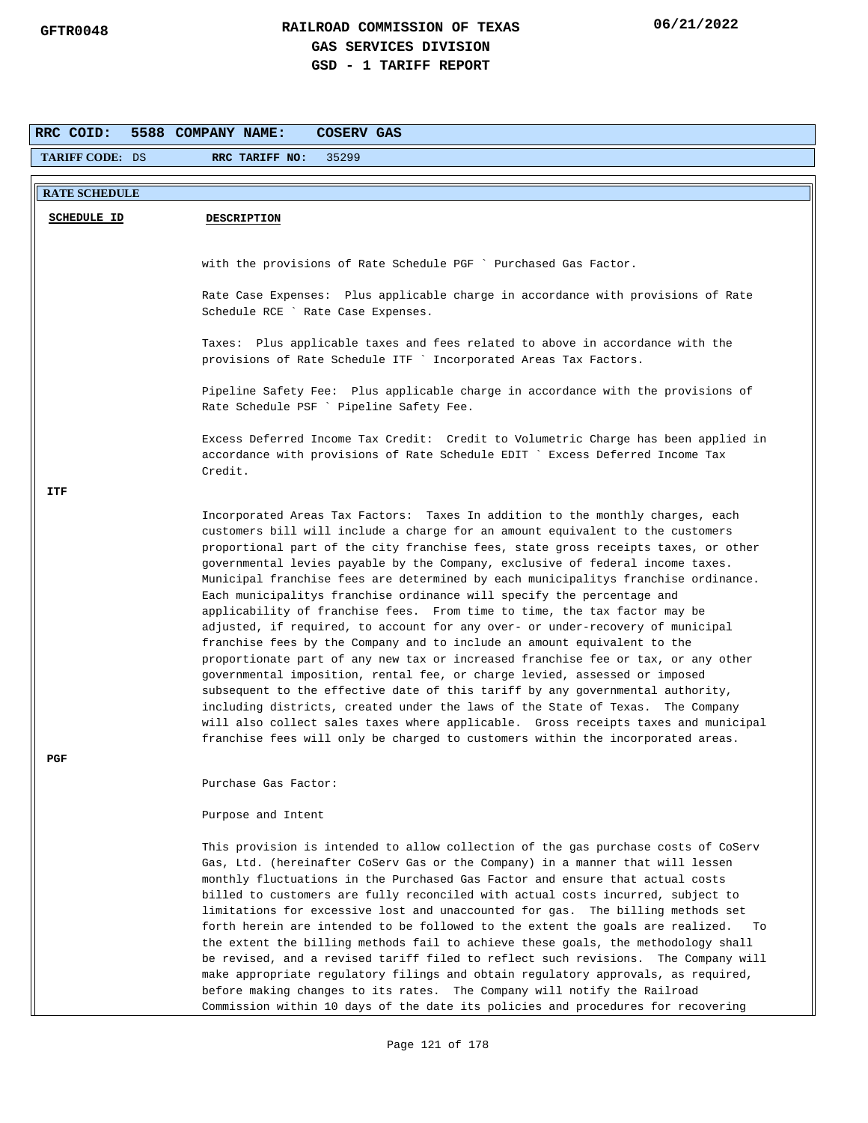| RRC COID:              | 5588 COMPANY NAME:<br>COSERV GAS                                                                                                                                        |
|------------------------|-------------------------------------------------------------------------------------------------------------------------------------------------------------------------|
| <b>TARIFF CODE: DS</b> | 35299<br>RRC TARIFF NO:                                                                                                                                                 |
| <b>RATE SCHEDULE</b>   |                                                                                                                                                                         |
|                        |                                                                                                                                                                         |
| <b>SCHEDULE ID</b>     | <b>DESCRIPTION</b>                                                                                                                                                      |
|                        |                                                                                                                                                                         |
|                        | with the provisions of Rate Schedule PGF ` Purchased Gas Factor.                                                                                                        |
|                        | Rate Case Expenses: Plus applicable charge in accordance with provisions of Rate                                                                                        |
|                        | Schedule RCE ` Rate Case Expenses.                                                                                                                                      |
|                        |                                                                                                                                                                         |
|                        | Taxes: Plus applicable taxes and fees related to above in accordance with the                                                                                           |
|                        | provisions of Rate Schedule ITF ` Incorporated Areas Tax Factors.                                                                                                       |
|                        | Pipeline Safety Fee: Plus applicable charge in accordance with the provisions of                                                                                        |
|                        | Rate Schedule PSF ` Pipeline Safety Fee.                                                                                                                                |
|                        |                                                                                                                                                                         |
|                        | Excess Deferred Income Tax Credit: Credit to Volumetric Charge has been applied in<br>accordance with provisions of Rate Schedule EDIT ` Excess Deferred Income Tax     |
|                        | Credit.                                                                                                                                                                 |
| ITF                    |                                                                                                                                                                         |
|                        | Incorporated Areas Tax Factors: Taxes In addition to the monthly charges, each                                                                                          |
|                        | customers bill will include a charge for an amount equivalent to the customers                                                                                          |
|                        | proportional part of the city franchise fees, state gross receipts taxes, or other                                                                                      |
|                        | governmental levies payable by the Company, exclusive of federal income taxes.                                                                                          |
|                        | Municipal franchise fees are determined by each municipalitys franchise ordinance.<br>Each municipalitys franchise ordinance will specify the percentage and            |
|                        | applicability of franchise fees. From time to time, the tax factor may be                                                                                               |
|                        | adjusted, if required, to account for any over- or under-recovery of municipal                                                                                          |
|                        | franchise fees by the Company and to include an amount equivalent to the                                                                                                |
|                        | proportionate part of any new tax or increased franchise fee or tax, or any other<br>governmental imposition, rental fee, or charge levied, assessed or imposed         |
|                        | subsequent to the effective date of this tariff by any governmental authority,                                                                                          |
|                        | including districts, created under the laws of the State of Texas. The Company                                                                                          |
|                        | will also collect sales taxes where applicable. Gross receipts taxes and municipal                                                                                      |
|                        | franchise fees will only be charged to customers within the incorporated areas.                                                                                         |
| PGF                    |                                                                                                                                                                         |
|                        | Purchase Gas Factor:                                                                                                                                                    |
|                        | Purpose and Intent                                                                                                                                                      |
|                        |                                                                                                                                                                         |
|                        | This provision is intended to allow collection of the gas purchase costs of CoServ                                                                                      |
|                        | Gas, Ltd. (hereinafter CoServ Gas or the Company) in a manner that will lessen                                                                                          |
|                        | monthly fluctuations in the Purchased Gas Factor and ensure that actual costs<br>billed to customers are fully reconciled with actual costs incurred, subject to        |
|                        | limitations for excessive lost and unaccounted for gas. The billing methods set                                                                                         |
|                        | forth herein are intended to be followed to the extent the goals are realized.<br>To                                                                                    |
|                        | the extent the billing methods fail to achieve these goals, the methodology shall                                                                                       |
|                        | be revised, and a revised tariff filed to reflect such revisions. The Company will<br>make appropriate regulatory filings and obtain regulatory approvals, as required, |
|                        | before making changes to its rates. The Company will notify the Railroad                                                                                                |
|                        | Commission within 10 days of the date its policies and procedures for recovering                                                                                        |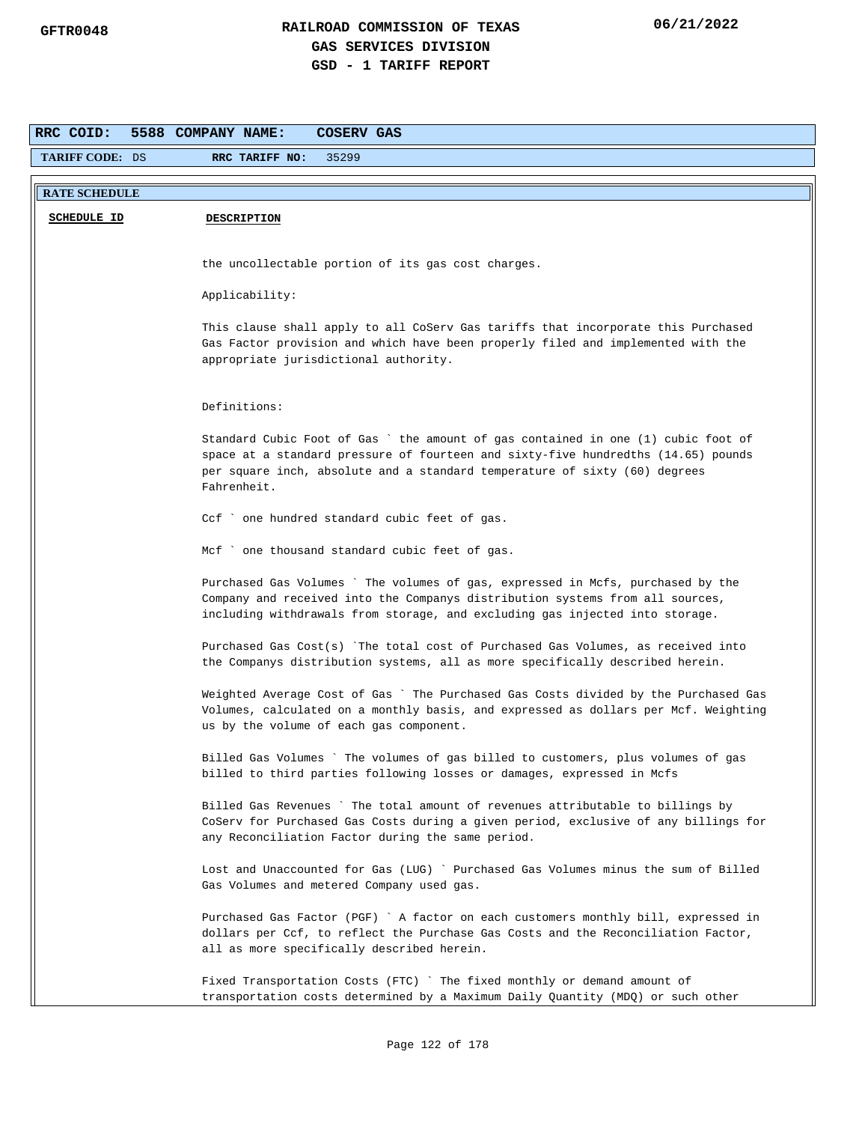| RRC COID:              | <b>COSERV GAS</b><br>5588 COMPANY NAME:                                                                                                                                                                                                                             |
|------------------------|---------------------------------------------------------------------------------------------------------------------------------------------------------------------------------------------------------------------------------------------------------------------|
| <b>TARIFF CODE: DS</b> | 35299<br>RRC TARIFF NO:                                                                                                                                                                                                                                             |
| <b>RATE SCHEDULE</b>   |                                                                                                                                                                                                                                                                     |
| <b>SCHEDULE ID</b>     | <b>DESCRIPTION</b>                                                                                                                                                                                                                                                  |
|                        |                                                                                                                                                                                                                                                                     |
|                        | the uncollectable portion of its gas cost charges.                                                                                                                                                                                                                  |
|                        | Applicability:                                                                                                                                                                                                                                                      |
|                        | This clause shall apply to all CoServ Gas tariffs that incorporate this Purchased<br>Gas Factor provision and which have been properly filed and implemented with the<br>appropriate jurisdictional authority.                                                      |
|                        | Definitions:                                                                                                                                                                                                                                                        |
|                        | Standard Cubic Foot of Gas ` the amount of gas contained in one (1) cubic foot of<br>space at a standard pressure of fourteen and sixty-five hundredths (14.65) pounds<br>per square inch, absolute and a standard temperature of sixty (60) degrees<br>Fahrenheit. |
|                        | Ccf ` one hundred standard cubic feet of gas.                                                                                                                                                                                                                       |
|                        | Mcf ` one thousand standard cubic feet of gas.                                                                                                                                                                                                                      |
|                        | Purchased Gas Volumes ` The volumes of gas, expressed in Mcfs, purchased by the<br>Company and received into the Companys distribution systems from all sources,<br>including withdrawals from storage, and excluding gas injected into storage.                    |
|                        | Purchased Gas Cost(s) The total cost of Purchased Gas Volumes, as received into<br>the Companys distribution systems, all as more specifically described herein.                                                                                                    |
|                        | Weighted Average Cost of Gas ` The Purchased Gas Costs divided by the Purchased Gas<br>Volumes, calculated on a monthly basis, and expressed as dollars per Mcf. Weighting<br>us by the volume of each gas component.                                               |
|                        | Billed Gas Volumes ` The volumes of gas billed to customers, plus volumes ot gas<br>billed to third parties following losses or damages, expressed in Mcfs                                                                                                          |
|                        | Billed Gas Revenues ` The total amount of revenues attributable to billings by<br>CoServ for Purchased Gas Costs during a given period, exclusive of any billings for<br>any Reconciliation Factor during the same period.                                          |
|                        | Lost and Unaccounted for Gas (LUG) ` Purchased Gas Volumes minus the sum of Billed<br>Gas Volumes and metered Company used gas.                                                                                                                                     |
|                        | Purchased Gas Factor (PGF) ` A factor on each customers monthly bill, expressed in<br>dollars per Ccf, to reflect the Purchase Gas Costs and the Reconciliation Factor,<br>all as more specifically described herein.                                               |
|                        | Fixed Transportation Costs (FTC) ` The fixed monthly or demand amount of<br>transportation costs determined by a Maximum Daily Quantity (MDQ) or such other                                                                                                         |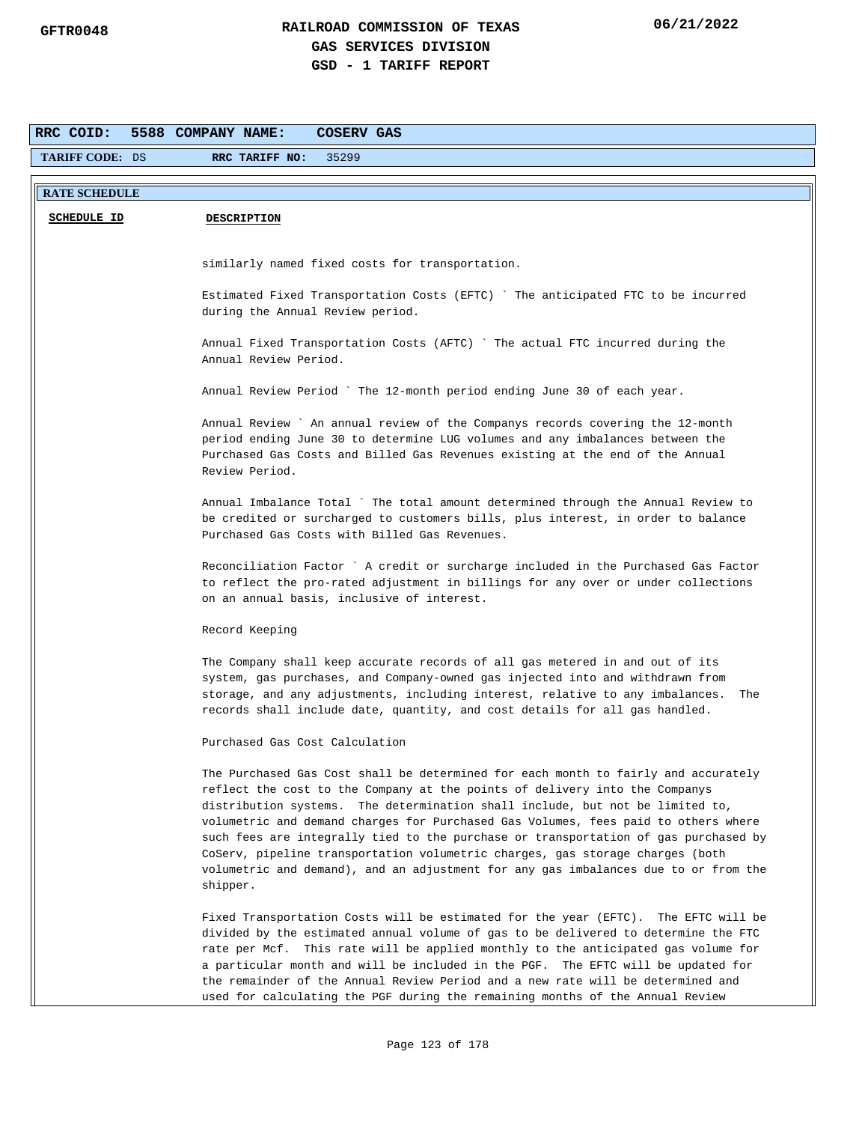| RRC COID:              | 5588 COMPANY NAME:<br>COSERV GAS                                                                                                                                                                                                                                                                                                                                                                                                                                                                                                                                                                                    |
|------------------------|---------------------------------------------------------------------------------------------------------------------------------------------------------------------------------------------------------------------------------------------------------------------------------------------------------------------------------------------------------------------------------------------------------------------------------------------------------------------------------------------------------------------------------------------------------------------------------------------------------------------|
| <b>TARIFF CODE: DS</b> | RRC TARIFF NO:<br>35299                                                                                                                                                                                                                                                                                                                                                                                                                                                                                                                                                                                             |
| <b>RATE SCHEDULE</b>   |                                                                                                                                                                                                                                                                                                                                                                                                                                                                                                                                                                                                                     |
| <b>SCHEDULE ID</b>     | <b>DESCRIPTION</b>                                                                                                                                                                                                                                                                                                                                                                                                                                                                                                                                                                                                  |
|                        |                                                                                                                                                                                                                                                                                                                                                                                                                                                                                                                                                                                                                     |
|                        | similarly named fixed costs for transportation.                                                                                                                                                                                                                                                                                                                                                                                                                                                                                                                                                                     |
|                        | Estimated Fixed Transportation Costs (EFTC) `The anticipated FTC to be incurred<br>during the Annual Review period.                                                                                                                                                                                                                                                                                                                                                                                                                                                                                                 |
|                        | Annual Fixed Transportation Costs (AFTC) `The actual FTC incurred during the<br>Annual Review Period.                                                                                                                                                                                                                                                                                                                                                                                                                                                                                                               |
|                        | Annual Review Period ` The 12-month period ending June 30 of each year.                                                                                                                                                                                                                                                                                                                                                                                                                                                                                                                                             |
|                        | Annual Review ` An annual review of the Companys records covering the 12-month<br>period ending June 30 to determine LUG volumes and any imbalances between the<br>Purchased Gas Costs and Billed Gas Revenues existing at the end of the Annual<br>Review Period.                                                                                                                                                                                                                                                                                                                                                  |
|                        | Annual Imbalance Total ` The total amount determined through the Annual Review to<br>be credited or surcharged to customers bills, plus interest, in order to balance<br>Purchased Gas Costs with Billed Gas Revenues.                                                                                                                                                                                                                                                                                                                                                                                              |
|                        | Reconciliation Factor ` A credit or surcharge included in the Purchased Gas Factor<br>to reflect the pro-rated adjustment in billings for any over or under collections<br>on an annual basis, inclusive of interest.                                                                                                                                                                                                                                                                                                                                                                                               |
|                        | Record Keeping                                                                                                                                                                                                                                                                                                                                                                                                                                                                                                                                                                                                      |
|                        | The Company shall keep accurate records of all gas metered in and out of its<br>system, gas purchases, and Company-owned gas injected into and withdrawn from<br>storage, and any adjustments, including interest, relative to any imbalances.<br>The<br>records shall include date, quantity, and cost details for all gas handled.                                                                                                                                                                                                                                                                                |
|                        | Purchased Gas Cost Calculation                                                                                                                                                                                                                                                                                                                                                                                                                                                                                                                                                                                      |
|                        | The Purchased Gas Cost shall be determined for each month to fairly and accurately<br>reflect the cost to the Company at the points of delivery into the Companys<br>distribution systems. The determination shall include, but not be limited to,<br>volumetric and demand charges for Purchased Gas Volumes, fees paid to others where<br>such fees are integrally tied to the purchase or transportation of gas purchased by<br>CoServ, pipeline transportation volumetric charges, gas storage charges (both<br>volumetric and demand), and an adjustment for any gas imbalances due to or from the<br>shipper. |
|                        | Fixed Transportation Costs will be estimated for the year (EFTC). The EFTC will be<br>divided by the estimated annual volume of gas to be delivered to determine the FTC<br>rate per Mcf. This rate will be applied monthly to the anticipated gas volume for<br>a particular month and will be included in the PGF. The EFTC will be updated for<br>the remainder of the Annual Review Period and a new rate will be determined and<br>used for calculating the PGF during the remaining months of the Annual Review                                                                                               |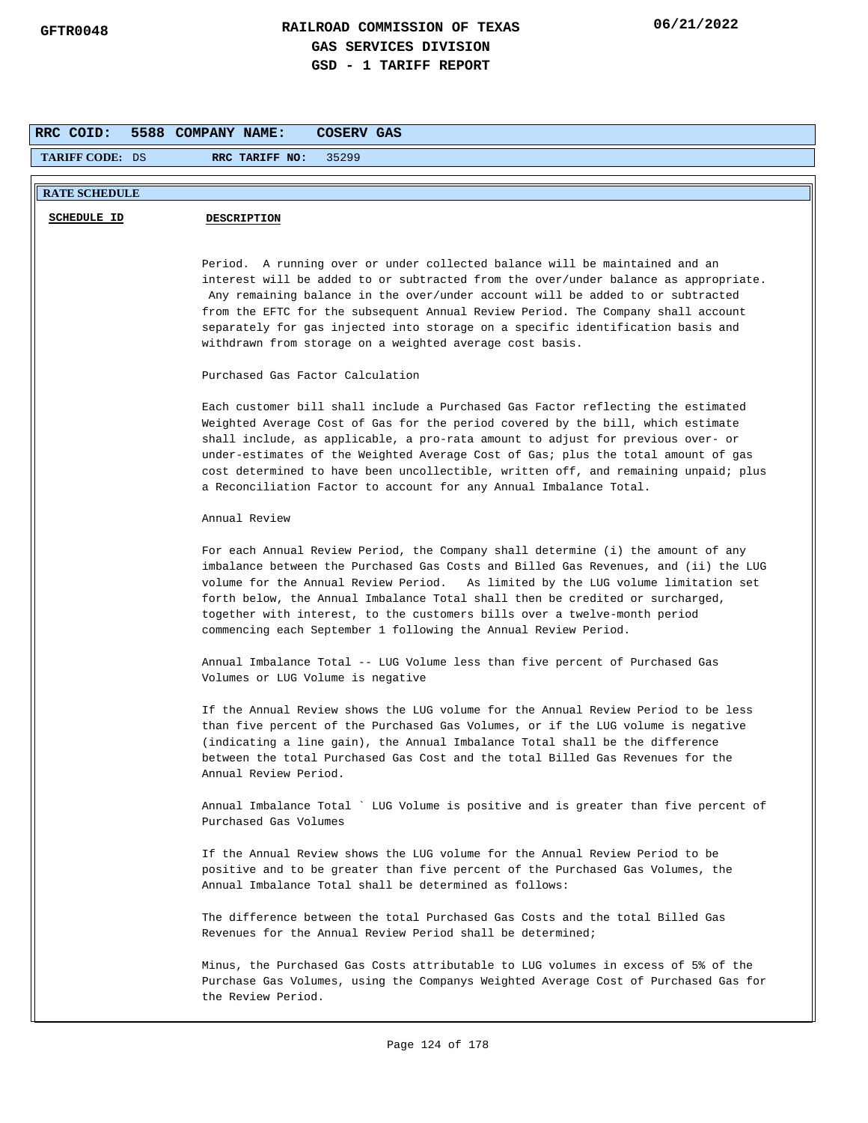| RRC COID:              | 5588 COMPANY NAME:<br>COSERV GAS                                                                                                                                                                                                                                                                                                                                                                                                                                                                         |
|------------------------|----------------------------------------------------------------------------------------------------------------------------------------------------------------------------------------------------------------------------------------------------------------------------------------------------------------------------------------------------------------------------------------------------------------------------------------------------------------------------------------------------------|
| <b>TARIFF CODE: DS</b> | RRC TARIFF NO:<br>35299                                                                                                                                                                                                                                                                                                                                                                                                                                                                                  |
|                        |                                                                                                                                                                                                                                                                                                                                                                                                                                                                                                          |
| <b>RATE SCHEDULE</b>   |                                                                                                                                                                                                                                                                                                                                                                                                                                                                                                          |
| <b>SCHEDULE ID</b>     | <b>DESCRIPTION</b>                                                                                                                                                                                                                                                                                                                                                                                                                                                                                       |
|                        |                                                                                                                                                                                                                                                                                                                                                                                                                                                                                                          |
|                        | Period. A running over or under collected balance will be maintained and an<br>interest will be added to or subtracted from the over/under balance as appropriate.                                                                                                                                                                                                                                                                                                                                       |
|                        | Any remaining balance in the over/under account will be added to or subtracted<br>from the EFTC for the subsequent Annual Review Period. The Company shall account                                                                                                                                                                                                                                                                                                                                       |
|                        | separately for gas injected into storage on a specific identification basis and<br>withdrawn from storage on a weighted average cost basis.                                                                                                                                                                                                                                                                                                                                                              |
|                        | Purchased Gas Factor Calculation                                                                                                                                                                                                                                                                                                                                                                                                                                                                         |
|                        | Each customer bill shall include a Purchased Gas Factor reflecting the estimated<br>Weighted Average Cost of Gas for the period covered by the bill, which estimate<br>shall include, as applicable, a pro-rata amount to adjust for previous over- or<br>under-estimates of the Weighted Average Cost of Gas; plus the total amount of gas<br>cost determined to have been uncollectible, written off, and remaining unpaid; plus<br>a Reconciliation Factor to account for any Annual Imbalance Total. |
|                        | Annual Review                                                                                                                                                                                                                                                                                                                                                                                                                                                                                            |
|                        | For each Annual Review Period, the Company shall determine (i) the amount of any<br>imbalance between the Purchased Gas Costs and Billed Gas Revenues, and (ii) the LUG<br>volume for the Annual Review Period. As limited by the LUG volume limitation set<br>forth below, the Annual Imbalance Total shall then be credited or surcharged,<br>together with interest, to the customers bills over a twelve-month period<br>commencing each September 1 following the Annual Review Period.             |
|                        | Annual Imbalance Total -- LUG Volume less than five percent of Purchased Gas<br>Volumes or LUG Volume is negative                                                                                                                                                                                                                                                                                                                                                                                        |
|                        | If the Annual Review shows the LUG volume for the Annual Review Period to be less<br>than five percent of the Purchased Gas Volumes, or if the LUG volume is negative<br>(indicating a line gain), the Annual Imbalance Total shall be the difference<br>between the total Purchased Gas Cost and the total Billed Gas Revenues for the<br>Annual Review Period.                                                                                                                                         |
|                        | Annual Imbalance Total ` LUG Volume is positive and is greater than five percent of<br>Purchased Gas Volumes                                                                                                                                                                                                                                                                                                                                                                                             |
|                        | If the Annual Review shows the LUG volume for the Annual Review Period to be<br>positive and to be greater than five percent of the Purchased Gas Volumes, the<br>Annual Imbalance Total shall be determined as follows:                                                                                                                                                                                                                                                                                 |
|                        | The difference between the total Purchased Gas Costs and the total Billed Gas<br>Revenues for the Annual Review Period shall be determined;                                                                                                                                                                                                                                                                                                                                                              |
|                        | Minus, the Purchased Gas Costs attributable to LUG volumes in excess of 5% of the<br>Purchase Gas Volumes, using the Companys Weighted Average Cost of Purchased Gas for<br>the Review Period.                                                                                                                                                                                                                                                                                                           |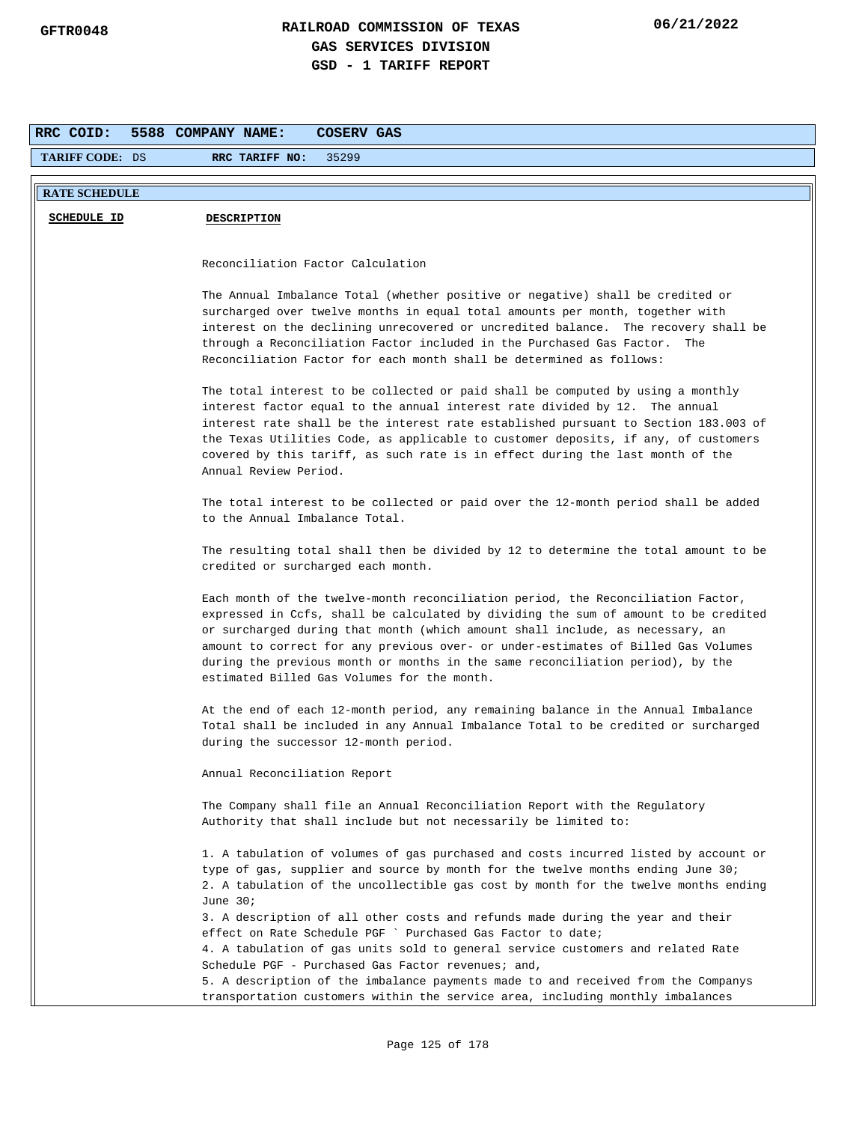| RRC COID:              | 5588 COMPANY NAME:<br>COSERV GAS                                                                                                                                                                                                                                                                                                                                                                                                                                               |
|------------------------|--------------------------------------------------------------------------------------------------------------------------------------------------------------------------------------------------------------------------------------------------------------------------------------------------------------------------------------------------------------------------------------------------------------------------------------------------------------------------------|
| <b>TARIFF CODE: DS</b> | RRC TARIFF NO:<br>35299                                                                                                                                                                                                                                                                                                                                                                                                                                                        |
|                        |                                                                                                                                                                                                                                                                                                                                                                                                                                                                                |
| <b>RATE SCHEDULE</b>   |                                                                                                                                                                                                                                                                                                                                                                                                                                                                                |
| <b>SCHEDULE ID</b>     | <b>DESCRIPTION</b>                                                                                                                                                                                                                                                                                                                                                                                                                                                             |
|                        |                                                                                                                                                                                                                                                                                                                                                                                                                                                                                |
|                        | Reconciliation Factor Calculation                                                                                                                                                                                                                                                                                                                                                                                                                                              |
|                        | The Annual Imbalance Total (whether positive or negative) shall be credited or<br>surcharged over twelve months in equal total amounts per month, together with<br>interest on the declining unrecovered or uncredited balance. The recovery shall be<br>through a Reconciliation Factor included in the Purchased Gas Factor. The<br>Reconciliation Factor for each month shall be determined as follows:                                                                     |
|                        | The total interest to be collected or paid shall be computed by using a monthly<br>interest factor equal to the annual interest rate divided by 12. The annual<br>interest rate shall be the interest rate established pursuant to Section 183.003 of<br>the Texas Utilities Code, as applicable to customer deposits, if any, of customers<br>covered by this tariff, as such rate is in effect during the last month of the<br>Annual Review Period.                         |
|                        | The total interest to be collected or paid over the 12-month period shall be added<br>to the Annual Imbalance Total.                                                                                                                                                                                                                                                                                                                                                           |
|                        | The resulting total shall then be divided by 12 to determine the total amount to be<br>credited or surcharged each month.                                                                                                                                                                                                                                                                                                                                                      |
|                        | Each month of the twelve-month reconciliation period, the Reconciliation Factor,<br>expressed in Ccfs, shall be calculated by dividing the sum of amount to be credited<br>or surcharged during that month (which amount shall include, as necessary, an<br>amount to correct for any previous over- or under-estimates of Billed Gas Volumes<br>during the previous month or months in the same reconciliation period), by the<br>estimated Billed Gas Volumes for the month. |
|                        | At the end of each 12-month period, any remaining balance in the Annual Imbalance<br>Total shall be included in any Annual Imbalance Total to be credited or surcharged<br>during the successor 12-month period.                                                                                                                                                                                                                                                               |
|                        | Annual Reconciliation Report                                                                                                                                                                                                                                                                                                                                                                                                                                                   |
|                        | The Company shall file an Annual Reconciliation Report with the Regulatory<br>Authority that shall include but not necessarily be limited to:                                                                                                                                                                                                                                                                                                                                  |
|                        | 1. A tabulation of volumes of gas purchased and costs incurred listed by account or<br>type of gas, supplier and source by month for the twelve months ending June 30;<br>2. A tabulation of the uncollectible gas cost by month for the twelve months ending<br>June 30;<br>3. A description of all other costs and refunds made during the year and their                                                                                                                    |
|                        | effect on Rate Schedule PGF ` Purchased Gas Factor to date;<br>4. A tabulation of gas units sold to general service customers and related Rate                                                                                                                                                                                                                                                                                                                                 |
|                        | Schedule PGF - Purchased Gas Factor revenues; and,<br>5. A description of the imbalance payments made to and received from the Companys<br>transportation customers within the service area, including monthly imbalances                                                                                                                                                                                                                                                      |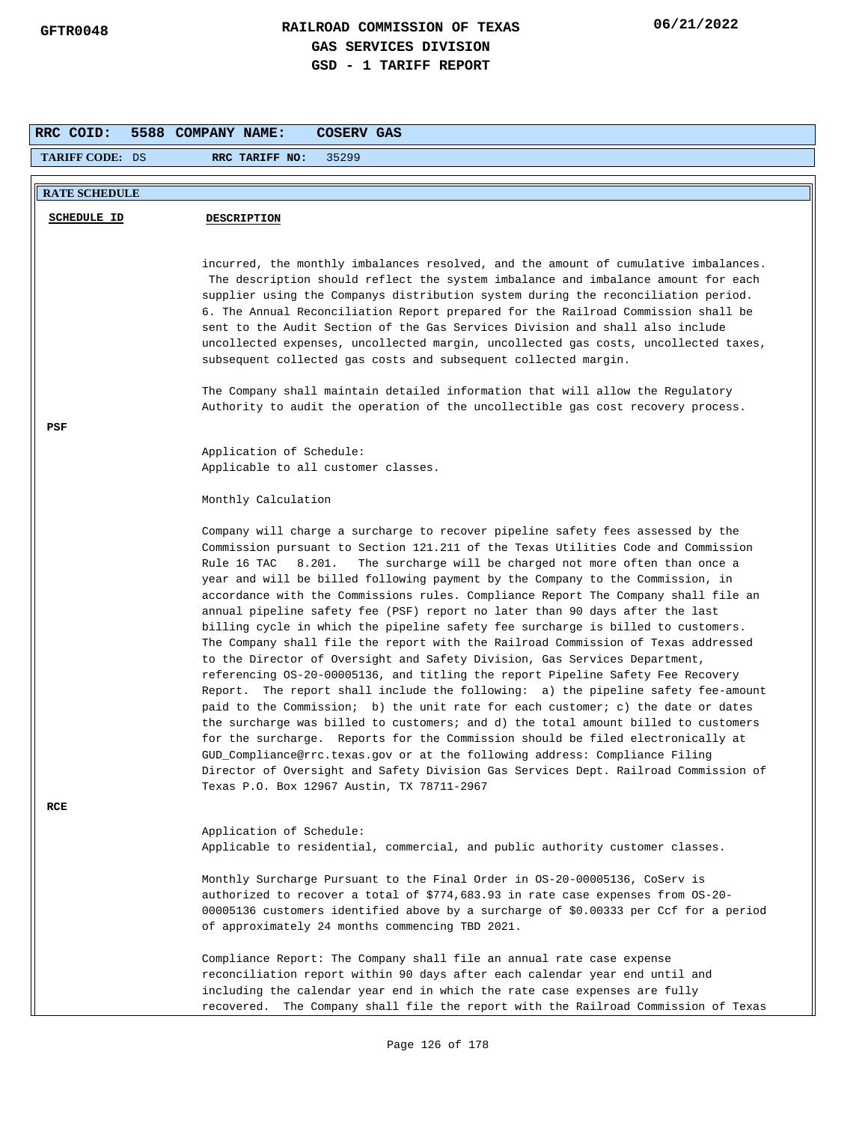| RRC COID:              | 5588 COMPANY NAME:<br>COSERV GAS                                                                                                                                       |
|------------------------|------------------------------------------------------------------------------------------------------------------------------------------------------------------------|
| <b>TARIFF CODE: DS</b> | RRC TARIFF NO:<br>35299                                                                                                                                                |
|                        |                                                                                                                                                                        |
| <b>RATE SCHEDULE</b>   |                                                                                                                                                                        |
| <b>SCHEDULE ID</b>     | <b>DESCRIPTION</b>                                                                                                                                                     |
|                        |                                                                                                                                                                        |
|                        | incurred, the monthly imbalances resolved, and the amount of cumulative imbalances.                                                                                    |
|                        | The description should reflect the system imbalance and imbalance amount for each<br>supplier using the Companys distribution system during the reconciliation period. |
|                        | 6. The Annual Reconciliation Report prepared for the Railroad Commission shall be                                                                                      |
|                        | sent to the Audit Section of the Gas Services Division and shall also include                                                                                          |
|                        | uncollected expenses, uncollected margin, uncollected gas costs, uncollected taxes,                                                                                    |
|                        | subsequent collected gas costs and subsequent collected margin.                                                                                                        |
|                        | The Company shall maintain detailed information that will allow the Regulatory                                                                                         |
|                        | Authority to audit the operation of the uncollectible gas cost recovery process.                                                                                       |
| PSF                    |                                                                                                                                                                        |
|                        | Application of Schedule:                                                                                                                                               |
|                        | Applicable to all customer classes.                                                                                                                                    |
|                        | Monthly Calculation                                                                                                                                                    |
|                        | Company will charge a surcharge to recover pipeline safety fees assessed by the                                                                                        |
|                        | Commission pursuant to Section 121.211 of the Texas Utilities Code and Commission                                                                                      |
|                        | Rule 16 TAC<br>8.201.<br>The surcharge will be charged not more often than once a<br>year and will be billed following payment by the Company to the Commission, in    |
|                        | accordance with the Commissions rules. Compliance Report The Company shall file an                                                                                     |
|                        | annual pipeline safety fee (PSF) report no later than 90 days after the last                                                                                           |
|                        | billing cycle in which the pipeline safety fee surcharge is billed to customers.<br>The Company shall file the report with the Railroad Commission of Texas addressed  |
|                        | to the Director of Oversight and Safety Division, Gas Services Department,                                                                                             |
|                        | referencing OS-20-00005136, and titling the report Pipeline Safety Fee Recovery                                                                                        |
|                        | Report. The report shall include the following: a) the pipeline safety fee-amount<br>paid to the Commission; b) the unit rate for each customer; c) the date or dates  |
|                        | the surcharge was billed to customers; and d) the total amount billed to customers                                                                                     |
|                        | for the surcharge. Reports for the Commission should be filed electronically at                                                                                        |
|                        | GUD_Compliance@rrc.texas.gov or at the following address: Compliance Filing<br>Director of Oversight and Safety Division Gas Services Dept. Railroad Commission of     |
|                        | Texas P.O. Box 12967 Austin, TX 78711-2967                                                                                                                             |
| RCE                    |                                                                                                                                                                        |
|                        | Application of Schedule:                                                                                                                                               |
|                        | Applicable to residential, commercial, and public authority customer classes.                                                                                          |
|                        | Monthly Surcharge Pursuant to the Final Order in 0S-20-00005136, CoServ is                                                                                             |
|                        | authorized to recover a total of \$774,683.93 in rate case expenses from OS-20-                                                                                        |
|                        | 00005136 customers identified above by a surcharge of \$0.00333 per Ccf for a period<br>of approximately 24 months commencing TBD 2021.                                |
|                        | Compliance Report: The Company shall file an annual rate case expense                                                                                                  |
|                        | reconciliation report within 90 days after each calendar year end until and                                                                                            |
|                        | including the calendar year end in which the rate case expenses are fully<br>recovered. The Company shall file the report with the Railroad Commission of Texas        |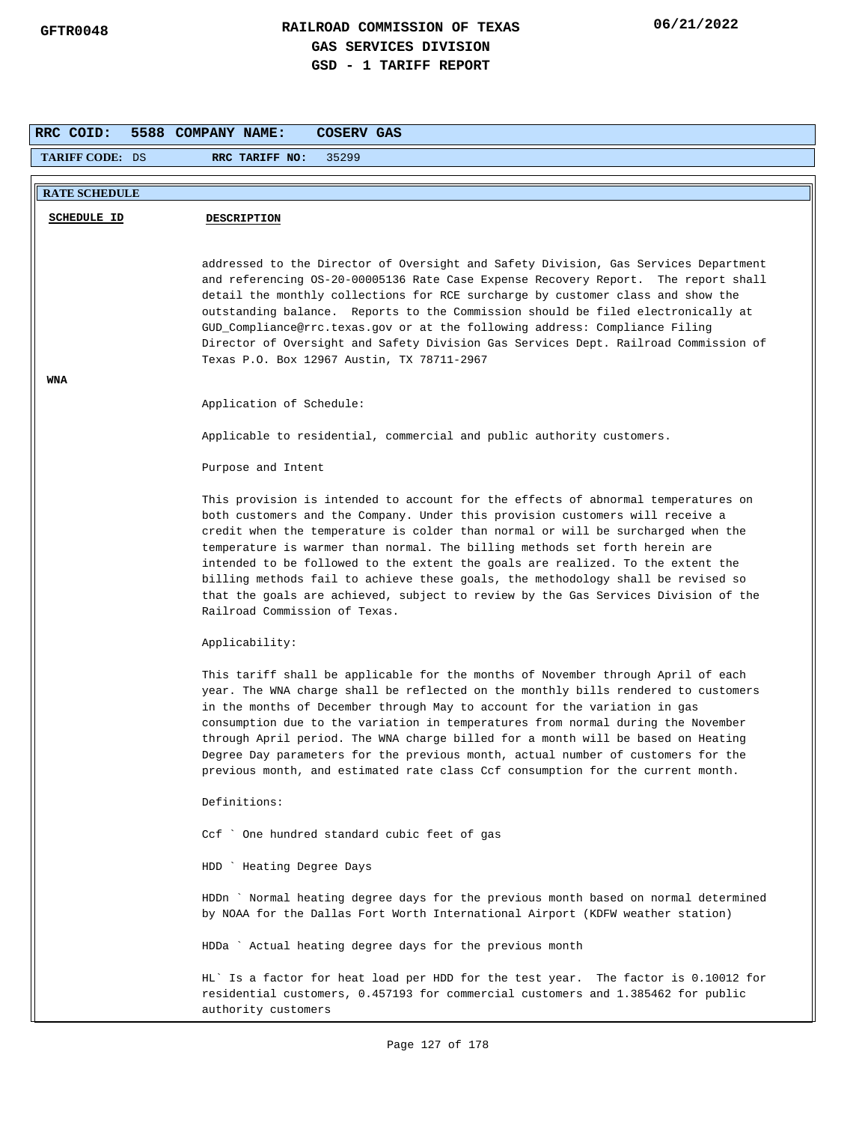| RRC COID:              | 5588 COMPANY NAME:<br>COSERV GAS                                                                                                                                                                                                                                                                                                                                                                                                                                                                                                                                                                                                    |
|------------------------|-------------------------------------------------------------------------------------------------------------------------------------------------------------------------------------------------------------------------------------------------------------------------------------------------------------------------------------------------------------------------------------------------------------------------------------------------------------------------------------------------------------------------------------------------------------------------------------------------------------------------------------|
| <b>TARIFF CODE: DS</b> | RRC TARIFF NO:<br>35299                                                                                                                                                                                                                                                                                                                                                                                                                                                                                                                                                                                                             |
|                        |                                                                                                                                                                                                                                                                                                                                                                                                                                                                                                                                                                                                                                     |
| <b>RATE SCHEDULE</b>   |                                                                                                                                                                                                                                                                                                                                                                                                                                                                                                                                                                                                                                     |
| <b>SCHEDULE ID</b>     | <b>DESCRIPTION</b>                                                                                                                                                                                                                                                                                                                                                                                                                                                                                                                                                                                                                  |
|                        | addressed to the Director of Oversight and Safety Division, Gas Services Department<br>and referencing OS-20-00005136 Rate Case Expense Recovery Report. The report shall<br>detail the monthly collections for RCE surcharge by customer class and show the<br>outstanding balance. Reports to the Commission should be filed electronically at<br>GUD_Compliance@rrc.texas.gov or at the following address: Compliance Filing<br>Director of Oversight and Safety Division Gas Services Dept. Railroad Commission of<br>Texas P.O. Box 12967 Austin, TX 78711-2967                                                                |
| WNA                    |                                                                                                                                                                                                                                                                                                                                                                                                                                                                                                                                                                                                                                     |
|                        | Application of Schedule:                                                                                                                                                                                                                                                                                                                                                                                                                                                                                                                                                                                                            |
|                        | Applicable to residential, commercial and public authority customers.                                                                                                                                                                                                                                                                                                                                                                                                                                                                                                                                                               |
|                        | Purpose and Intent                                                                                                                                                                                                                                                                                                                                                                                                                                                                                                                                                                                                                  |
|                        | This provision is intended to account for the effects of abnormal temperatures on<br>both customers and the Company. Under this provision customers will receive a<br>credit when the temperature is colder than normal or will be surcharged when the<br>temperature is warmer than normal. The billing methods set forth herein are<br>intended to be followed to the extent the goals are realized. To the extent the<br>billing methods fail to achieve these goals, the methodology shall be revised so<br>that the goals are achieved, subject to review by the Gas Services Division of the<br>Railroad Commission of Texas. |
|                        | Applicability:                                                                                                                                                                                                                                                                                                                                                                                                                                                                                                                                                                                                                      |
|                        | This tariff shall be applicable for the months of November through April of each<br>year. The WNA charge shall be reflected on the monthly bills rendered to customers<br>in the months of December through May to account for the variation in gas<br>consumption due to the variation in temperatures from normal during the November<br>through April period. The WNA charge billed for a month will be based on Heating<br>Degree Day parameters for the previous month, actual number of customers for the<br>previous month, and estimated rate class Ccf consumption for the current month.                                  |
|                        | Definitions:                                                                                                                                                                                                                                                                                                                                                                                                                                                                                                                                                                                                                        |
|                        | Ccf ` One hundred standard cubic feet of gas                                                                                                                                                                                                                                                                                                                                                                                                                                                                                                                                                                                        |
|                        | HDD ` Heating Degree Days                                                                                                                                                                                                                                                                                                                                                                                                                                                                                                                                                                                                           |
|                        | HDDn ` Normal heating degree days for the previous month based on normal determined<br>by NOAA for the Dallas Fort Worth International Airport (KDFW weather station)                                                                                                                                                                                                                                                                                                                                                                                                                                                               |
|                        | HDDa ` Actual heating degree days for the previous month                                                                                                                                                                                                                                                                                                                                                                                                                                                                                                                                                                            |
|                        | HL' Is a factor for heat load per HDD for the test year. The factor is 0.10012 for<br>residential customers, 0.457193 for commercial customers and 1.385462 for public<br>authority customers                                                                                                                                                                                                                                                                                                                                                                                                                                       |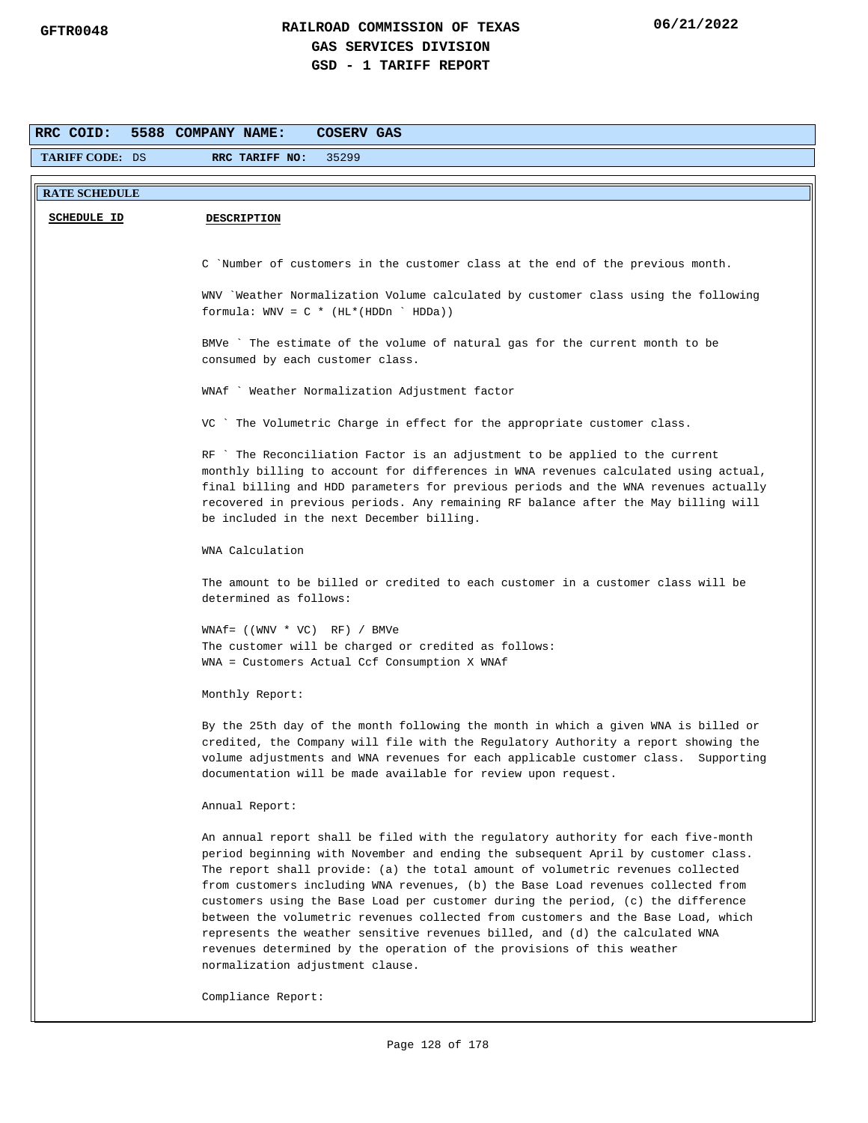| RRC COID:              | 5588 COMPANY NAME:<br><b>COSERV GAS</b>                                                                                                                                                                                                                                                                                                                                                                                                                                                                                                                                                                                                                                                                              |
|------------------------|----------------------------------------------------------------------------------------------------------------------------------------------------------------------------------------------------------------------------------------------------------------------------------------------------------------------------------------------------------------------------------------------------------------------------------------------------------------------------------------------------------------------------------------------------------------------------------------------------------------------------------------------------------------------------------------------------------------------|
| <b>TARIFF CODE: DS</b> | RRC TARIFF NO:<br>35299                                                                                                                                                                                                                                                                                                                                                                                                                                                                                                                                                                                                                                                                                              |
|                        |                                                                                                                                                                                                                                                                                                                                                                                                                                                                                                                                                                                                                                                                                                                      |
| <b>RATE SCHEDULE</b>   |                                                                                                                                                                                                                                                                                                                                                                                                                                                                                                                                                                                                                                                                                                                      |
| <b>SCHEDULE ID</b>     | <b>DESCRIPTION</b>                                                                                                                                                                                                                                                                                                                                                                                                                                                                                                                                                                                                                                                                                                   |
|                        |                                                                                                                                                                                                                                                                                                                                                                                                                                                                                                                                                                                                                                                                                                                      |
|                        | C Number of customers in the customer class at the end of the previous month.                                                                                                                                                                                                                                                                                                                                                                                                                                                                                                                                                                                                                                        |
|                        | WNV `Weather Normalization Volume calculated by customer class using the following<br>formula: $WW = C * (HL * (HDDn ' HDDa))$                                                                                                                                                                                                                                                                                                                                                                                                                                                                                                                                                                                       |
|                        | BMVe ` The estimate of the volume of natural gas for the current month to be<br>consumed by each customer class.                                                                                                                                                                                                                                                                                                                                                                                                                                                                                                                                                                                                     |
|                        | WNAf ` Weather Normalization Adjustment factor                                                                                                                                                                                                                                                                                                                                                                                                                                                                                                                                                                                                                                                                       |
|                        | VC ` The Volumetric Charge in effect for the appropriate customer class.                                                                                                                                                                                                                                                                                                                                                                                                                                                                                                                                                                                                                                             |
|                        | RF `The Reconciliation Factor is an adjustment to be applied to the current<br>monthly billing to account for differences in WNA revenues calculated using actual,<br>final billing and HDD parameters for previous periods and the WNA revenues actually<br>recovered in previous periods. Any remaining RF balance after the May billing will<br>be included in the next December billing.                                                                                                                                                                                                                                                                                                                         |
|                        | WNA Calculation                                                                                                                                                                                                                                                                                                                                                                                                                                                                                                                                                                                                                                                                                                      |
|                        | The amount to be billed or credited to each customer in a customer class will be<br>determined as follows:                                                                                                                                                                                                                                                                                                                                                                                                                                                                                                                                                                                                           |
|                        | $WNAf = ((WWV * VC) RF) / BMVe$<br>The customer will be charged or credited as follows:<br>WNA = Customers Actual Ccf Consumption X WNAf                                                                                                                                                                                                                                                                                                                                                                                                                                                                                                                                                                             |
|                        | Monthly Report:                                                                                                                                                                                                                                                                                                                                                                                                                                                                                                                                                                                                                                                                                                      |
|                        | By the 25th day of the month following the month in which a given WNA is billed or<br>credited, the Company will file with the Regulatory Authority a report showing the<br>volume adjustments and WNA revenues for each applicable customer class. Supporting<br>documentation will be made available for review upon request.                                                                                                                                                                                                                                                                                                                                                                                      |
|                        | Annual Report:                                                                                                                                                                                                                                                                                                                                                                                                                                                                                                                                                                                                                                                                                                       |
|                        | An annual report shall be filed with the regulatory authority for each five-month<br>period beginning with November and ending the subsequent April by customer class.<br>The report shall provide: (a) the total amount of volumetric revenues collected<br>from customers including WNA revenues, (b) the Base Load revenues collected from<br>customers using the Base Load per customer during the period, (c) the difference<br>between the volumetric revenues collected from customers and the Base Load, which<br>represents the weather sensitive revenues billed, and (d) the calculated WNA<br>revenues determined by the operation of the provisions of this weather<br>normalization adjustment clause. |
|                        | Compliance Report:                                                                                                                                                                                                                                                                                                                                                                                                                                                                                                                                                                                                                                                                                                   |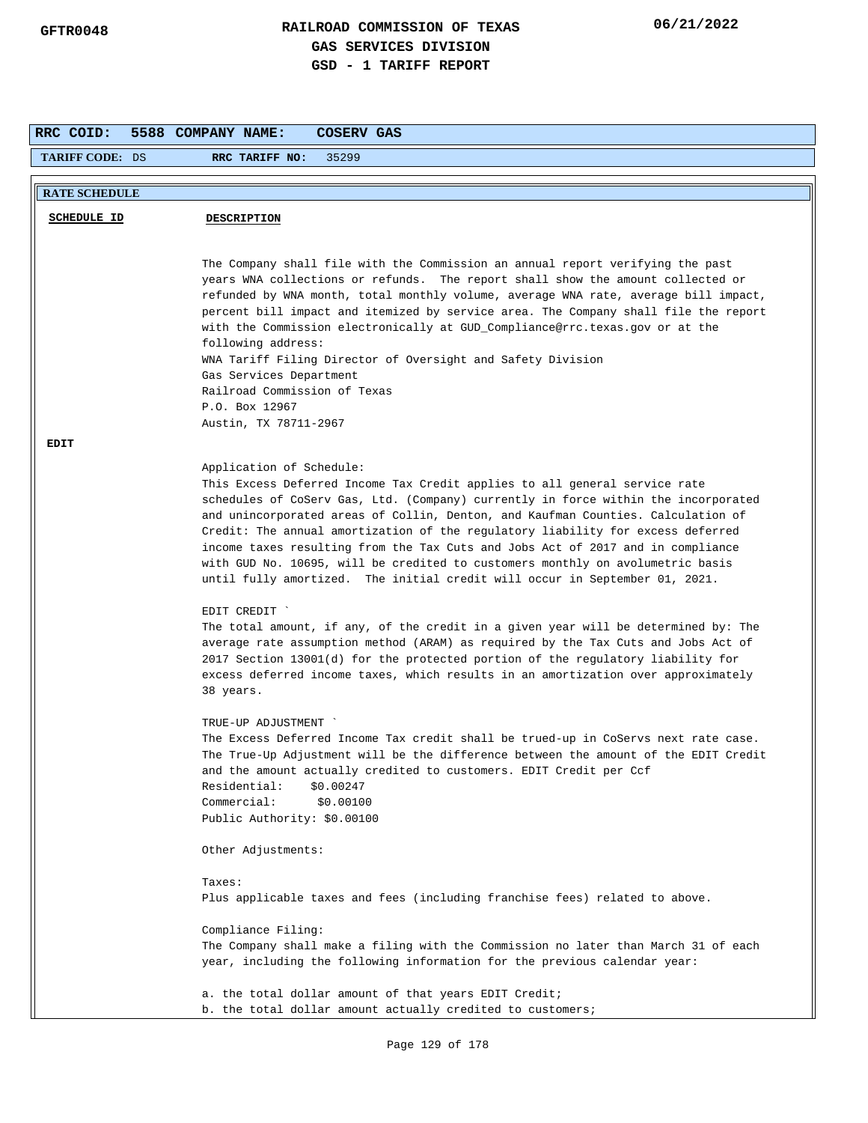| RRC COID:              | 5588 COMPANY NAME:<br>COSERV GAS                                                                                                                                                                                                                                                                                                                                                                                                                                                                                                                                                                                                                                                                                                                                                                                                                                                                                                                                                          |
|------------------------|-------------------------------------------------------------------------------------------------------------------------------------------------------------------------------------------------------------------------------------------------------------------------------------------------------------------------------------------------------------------------------------------------------------------------------------------------------------------------------------------------------------------------------------------------------------------------------------------------------------------------------------------------------------------------------------------------------------------------------------------------------------------------------------------------------------------------------------------------------------------------------------------------------------------------------------------------------------------------------------------|
| <b>TARIFF CODE: DS</b> | RRC TARIFF NO:<br>35299                                                                                                                                                                                                                                                                                                                                                                                                                                                                                                                                                                                                                                                                                                                                                                                                                                                                                                                                                                   |
|                        |                                                                                                                                                                                                                                                                                                                                                                                                                                                                                                                                                                                                                                                                                                                                                                                                                                                                                                                                                                                           |
| <b>RATE SCHEDULE</b>   |                                                                                                                                                                                                                                                                                                                                                                                                                                                                                                                                                                                                                                                                                                                                                                                                                                                                                                                                                                                           |
| <b>SCHEDULE ID</b>     | <b>DESCRIPTION</b>                                                                                                                                                                                                                                                                                                                                                                                                                                                                                                                                                                                                                                                                                                                                                                                                                                                                                                                                                                        |
|                        |                                                                                                                                                                                                                                                                                                                                                                                                                                                                                                                                                                                                                                                                                                                                                                                                                                                                                                                                                                                           |
|                        | The Company shall file with the Commission an annual report verifying the past<br>years WNA collections or refunds. The report shall show the amount collected or<br>refunded by WNA month, total monthly volume, average WNA rate, average bill impact,<br>percent bill impact and itemized by service area. The Company shall file the report<br>with the Commission electronically at GUD_Compliance@rrc.texas.gov or at the<br>following address:<br>WNA Tariff Filing Director of Oversight and Safety Division<br>Gas Services Department<br>Railroad Commission of Texas<br>P.O. Box 12967<br>Austin, TX 78711-2967                                                                                                                                                                                                                                                                                                                                                                |
| EDIT                   |                                                                                                                                                                                                                                                                                                                                                                                                                                                                                                                                                                                                                                                                                                                                                                                                                                                                                                                                                                                           |
|                        | Application of Schedule:<br>This Excess Deferred Income Tax Credit applies to all general service rate<br>schedules of CoServ Gas, Ltd. (Company) currently in force within the incorporated<br>and unincorporated areas of Collin, Denton, and Kaufman Counties. Calculation of<br>Credit: The annual amortization of the regulatory liability for excess deferred<br>income taxes resulting from the Tax Cuts and Jobs Act of 2017 and in compliance<br>with GUD No. 10695, will be credited to customers monthly on avolumetric basis<br>until fully amortized. The initial credit will occur in September 01, 2021.<br>EDIT CREDIT<br>The total amount, if any, of the credit in a given year will be determined by: The<br>average rate assumption method (ARAM) as required by the Tax Cuts and Jobs Act of<br>2017 Section 13001(d) for the protected portion of the regulatory liability for<br>excess deferred income taxes, which results in an amortization over approximately |
|                        | 38 years.<br>TRUE-UP ADJUSTMENT<br>The Excess Deferred Income Tax credit shall be trued-up in CoServs next rate case.<br>The True-Up Adjustment will be the difference between the amount of the EDIT Credit<br>and the amount actually credited to customers. EDIT Credit per Ccf<br>Residential:<br>\$0.00247<br>Commercial:<br>\$0.00100<br>Public Authority: \$0.00100<br>Other Adjustments:<br>Taxes:<br>Plus applicable taxes and fees (including franchise fees) related to above.<br>Compliance Filing:<br>The Company shall make a filing with the Commission no later than March 31 of each<br>year, including the following information for the previous calendar year:                                                                                                                                                                                                                                                                                                        |
|                        | a. the total dollar amount of that years EDIT Credit;<br>b. the total dollar amount actually credited to customers;                                                                                                                                                                                                                                                                                                                                                                                                                                                                                                                                                                                                                                                                                                                                                                                                                                                                       |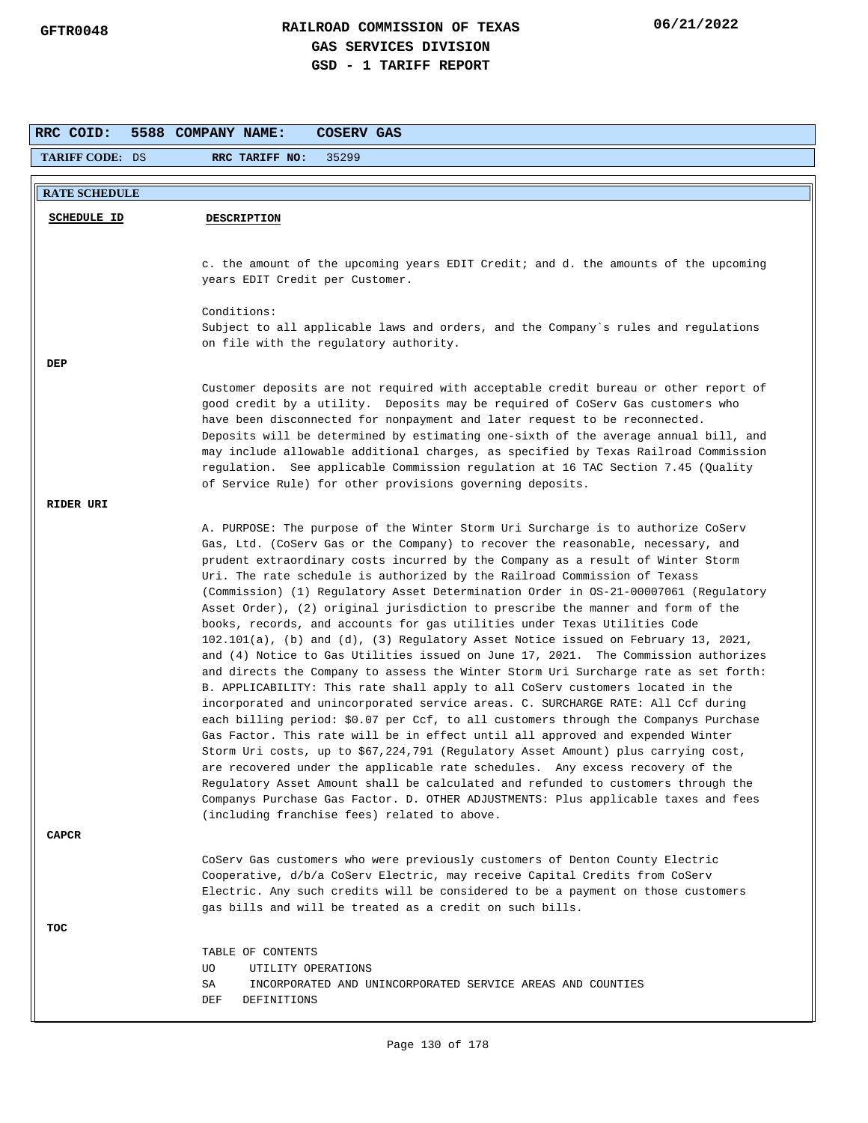| RRC COID:              | 5588 COMPANY NAME:<br>COSERV GAS                                                                                                                                        |
|------------------------|-------------------------------------------------------------------------------------------------------------------------------------------------------------------------|
| <b>TARIFF CODE: DS</b> | 35299<br>RRC TARIFF NO:                                                                                                                                                 |
|                        |                                                                                                                                                                         |
| <b>RATE SCHEDULE</b>   |                                                                                                                                                                         |
| <b>SCHEDULE ID</b>     | <b>DESCRIPTION</b>                                                                                                                                                      |
|                        |                                                                                                                                                                         |
|                        | c. the amount of the upcoming years EDIT Credit; and d. the amounts of the upcoming                                                                                     |
|                        | years EDIT Credit per Customer.                                                                                                                                         |
|                        | Conditions:                                                                                                                                                             |
|                        | Subject to all applicable laws and orders, and the Company's rules and regulations                                                                                      |
|                        | on file with the regulatory authority.                                                                                                                                  |
| DEP                    |                                                                                                                                                                         |
|                        | Customer deposits are not required with acceptable credit bureau or other report of                                                                                     |
|                        | good credit by a utility. Deposits may be required of CoServ Gas customers who<br>have been disconnected for nonpayment and later request to be reconnected.            |
|                        | Deposits will be determined by estimating one-sixth of the average annual bill, and                                                                                     |
|                        | may include allowable additional charges, as specified by Texas Railroad Commission                                                                                     |
|                        | regulation. See applicable Commission regulation at 16 TAC Section 7.45 (Quality<br>of Service Rule) for other provisions governing deposits.                           |
| RIDER URI              |                                                                                                                                                                         |
|                        | A. PURPOSE: The purpose of the Winter Storm Uri Surcharge is to authorize CoServ                                                                                        |
|                        | Gas, Ltd. (CoServ Gas or the Company) to recover the reasonable, necessary, and                                                                                         |
|                        | prudent extraordinary costs incurred by the Company as a result of Winter Storm                                                                                         |
|                        | Uri. The rate schedule is authorized by the Railroad Commission of Texass<br>(Commission) (1) Regulatory Asset Determination Order in OS-21-00007061 (Regulatory        |
|                        | Asset Order), (2) original jurisdiction to prescribe the manner and form of the                                                                                         |
|                        | books, records, and accounts for gas utilities under Texas Utilities Code                                                                                               |
|                        | 102.101(a), (b) and (d), (3) Regulatory Asset Notice issued on February 13, 2021,<br>and (4) Notice to Gas Utilities issued on June 17, 2021. The Commission authorizes |
|                        | and directs the Company to assess the Winter Storm Uri Surcharge rate as set forth:                                                                                     |
|                        | B. APPLICABILITY: This rate shall apply to all CoServ customers located in the                                                                                          |
|                        | incorporated and unincorporated service areas. C. SURCHARGE RATE: All Ccf during<br>each billing period: \$0.07 per Ccf, to all customers through the Companys Purchase |
|                        | Gas Factor. This rate will be in effect until all approved and expended Winter                                                                                          |
|                        | Storm Uri costs, up to \$67,224,791 (Regulatory Asset Amount) plus carrying cost,                                                                                       |
|                        | are recovered under the applicable rate schedules.  Any excess recovery of the                                                                                          |
|                        | Regulatory Asset Amount shall be calculated and refunded to customers through the<br>Companys Purchase Gas Factor. D. OTHER ADJUSTMENTS: Plus applicable taxes and fees |
|                        | (including franchise fees) related to above.                                                                                                                            |
| <b>CAPCR</b>           |                                                                                                                                                                         |
|                        | CoServ Gas customers who were previously customers of Denton County Electric                                                                                            |
|                        | Cooperative, d/b/a CoServ Electric, may receive Capital Credits from CoServ                                                                                             |
|                        | Electric. Any such credits will be considered to be a payment on those customers<br>gas bills and will be treated as a credit on such bills.                            |
| TOC                    |                                                                                                                                                                         |
|                        | TABLE OF CONTENTS                                                                                                                                                       |
|                        | UO.<br>UTILITY OPERATIONS                                                                                                                                               |
|                        | SA<br>INCORPORATED AND UNINCORPORATED SERVICE AREAS AND COUNTIES                                                                                                        |
|                        | DEF<br>DEFINITIONS                                                                                                                                                      |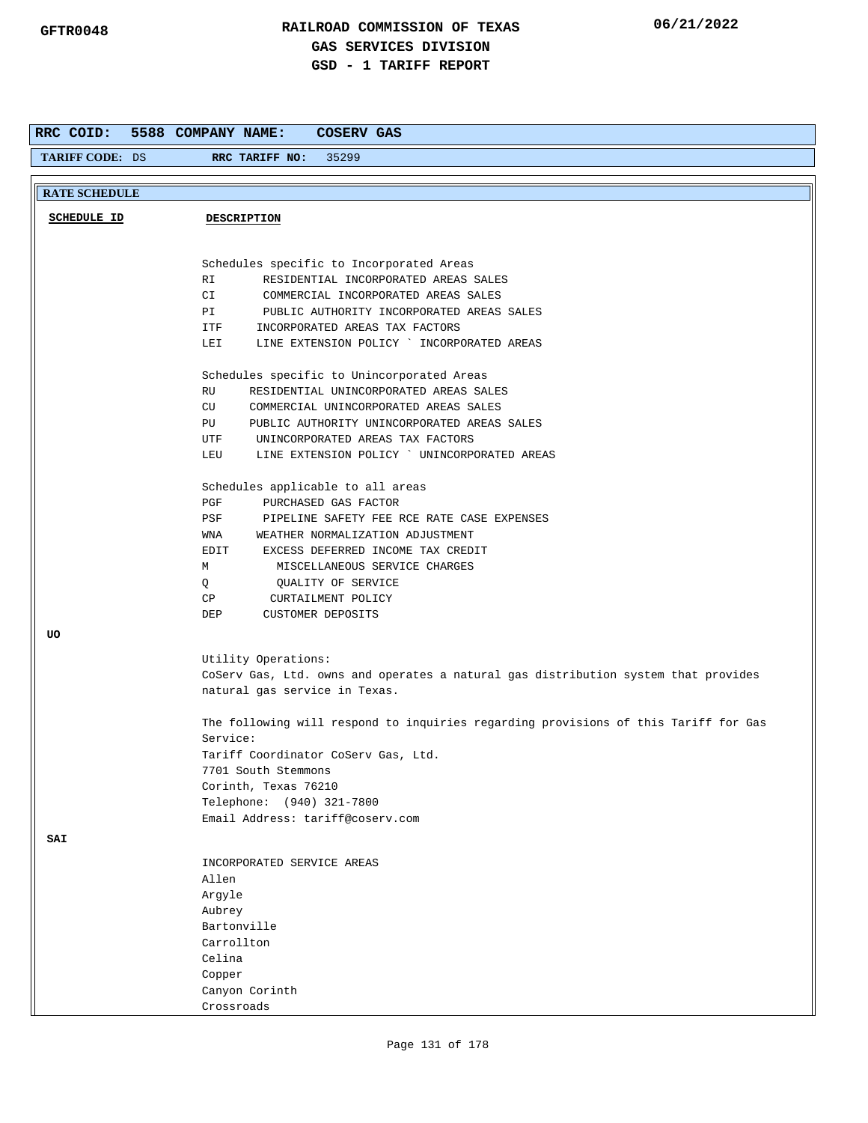| RRC COID:              | 5588 COMPANY NAME:<br>COSERV GAS                                                                          |
|------------------------|-----------------------------------------------------------------------------------------------------------|
| <b>TARIFF CODE: DS</b> | 35299<br>RRC TARIFF NO:                                                                                   |
| <b>RATE SCHEDULE</b>   |                                                                                                           |
| <b>SCHEDULE ID</b>     | <b>DESCRIPTION</b>                                                                                        |
|                        |                                                                                                           |
|                        |                                                                                                           |
|                        | Schedules specific to Incorporated Areas                                                                  |
|                        | RI<br>RESIDENTIAL INCORPORATED AREAS SALES<br>CI<br>COMMERCIAL INCORPORATED AREAS SALES                   |
|                        | PUBLIC AUTHORITY INCORPORATED AREAS SALES<br>PI                                                           |
|                        | ITF<br>INCORPORATED AREAS TAX FACTORS                                                                     |
|                        | LINE EXTENSION POLICY ` INCORPORATED AREAS<br>LEI                                                         |
|                        | Schedules specific to Unincorporated Areas                                                                |
|                        | RU<br>RESIDENTIAL UNINCORPORATED AREAS SALES                                                              |
|                        | CU<br>COMMERCIAL UNINCORPORATED AREAS SALES                                                               |
|                        | PUBLIC AUTHORITY UNINCORPORATED AREAS SALES<br>PU                                                         |
|                        | UNINCORPORATED AREAS TAX FACTORS<br>UTF<br>LINE EXTENSION POLICY ` UNINCORPORATED AREAS<br>LEU            |
|                        |                                                                                                           |
|                        | Schedules applicable to all areas                                                                         |
|                        | PGF<br>PURCHASED GAS FACTOR                                                                               |
|                        | PSF<br>PIPELINE SAFETY FEE RCE RATE CASE EXPENSES                                                         |
|                        | WNA<br>WEATHER NORMALIZATION ADJUSTMENT                                                                   |
|                        | EXCESS DEFERRED INCOME TAX CREDIT<br>EDIT                                                                 |
|                        | М<br>MISCELLANEOUS SERVICE CHARGES                                                                        |
|                        | Q<br>QUALITY OF SERVICE<br>CP<br>CURTAILMENT POLICY                                                       |
|                        | <b>CUSTOMER DEPOSITS</b><br>DEP                                                                           |
| UO                     |                                                                                                           |
|                        |                                                                                                           |
|                        | Utility Operations:<br>CoServ Gas, Ltd. owns and operates a natural gas distribution system that provides |
|                        | natural gas service in Texas.                                                                             |
|                        | The following will respond to inquiries regarding provisions of this Tariff for Gas                       |
|                        | Service:                                                                                                  |
|                        | Tariff Coordinator CoServ Gas, Ltd.                                                                       |
|                        | 7701 South Stemmons                                                                                       |
|                        | Corinth, Texas 76210<br>Telephone: (940) 321-7800                                                         |
|                        | Email Address: tariff@coserv.com                                                                          |
| SAI                    |                                                                                                           |
|                        |                                                                                                           |
|                        | INCORPORATED SERVICE AREAS                                                                                |
|                        | Allen<br>Argyle                                                                                           |
|                        | Aubrey                                                                                                    |
|                        | Bartonville                                                                                               |
|                        | Carrollton                                                                                                |
|                        | Celina                                                                                                    |
|                        | Copper                                                                                                    |
|                        | Canyon Corinth                                                                                            |
|                        | Crossroads                                                                                                |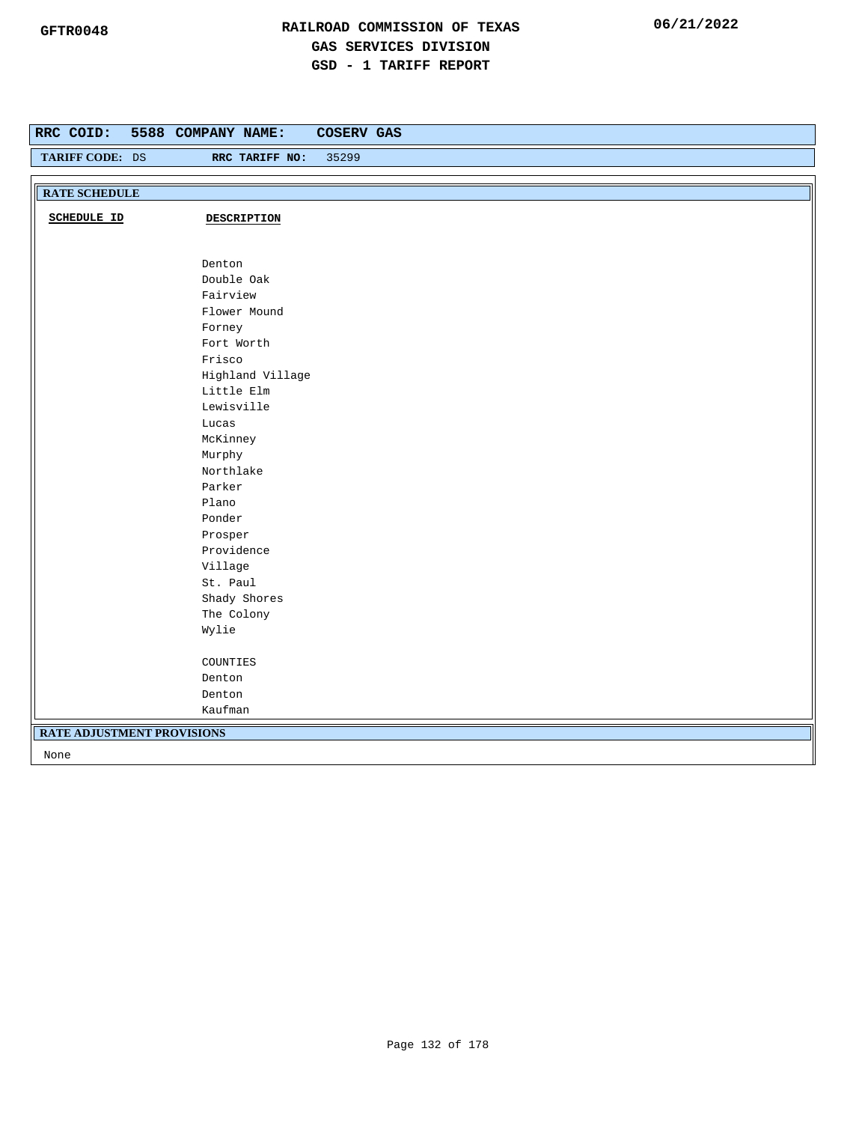| RRC COID:<br>TARIFF CODE: DS      | 5588 COMPANY NAME:<br><b>COSERV GAS</b><br>35299<br>RRC TARIFF NO: |
|-----------------------------------|--------------------------------------------------------------------|
|                                   |                                                                    |
| <b>RATE SCHEDULE</b>              |                                                                    |
| <b>SCHEDULE ID</b>                | <b>DESCRIPTION</b>                                                 |
|                                   | Denton                                                             |
|                                   | Double Oak                                                         |
|                                   | Fairview                                                           |
|                                   | Flower Mound                                                       |
|                                   | Forney                                                             |
|                                   | Fort Worth                                                         |
|                                   | Frisco                                                             |
|                                   | Highland Village                                                   |
|                                   | Little Elm                                                         |
|                                   | Lewisville                                                         |
|                                   | Lucas                                                              |
|                                   | McKinney                                                           |
|                                   | Murphy                                                             |
|                                   | Northlake                                                          |
|                                   | Parker                                                             |
|                                   | Plano                                                              |
|                                   | Ponder                                                             |
|                                   | Prosper                                                            |
|                                   | Providence                                                         |
|                                   | Village                                                            |
|                                   | St. Paul                                                           |
|                                   | Shady Shores                                                       |
|                                   | The Colony                                                         |
|                                   | Wylie                                                              |
|                                   | COUNTIES                                                           |
|                                   | Denton                                                             |
|                                   | Denton                                                             |
|                                   | Kaufman                                                            |
| <b>RATE ADJUSTMENT PROVISIONS</b> |                                                                    |
| None                              |                                                                    |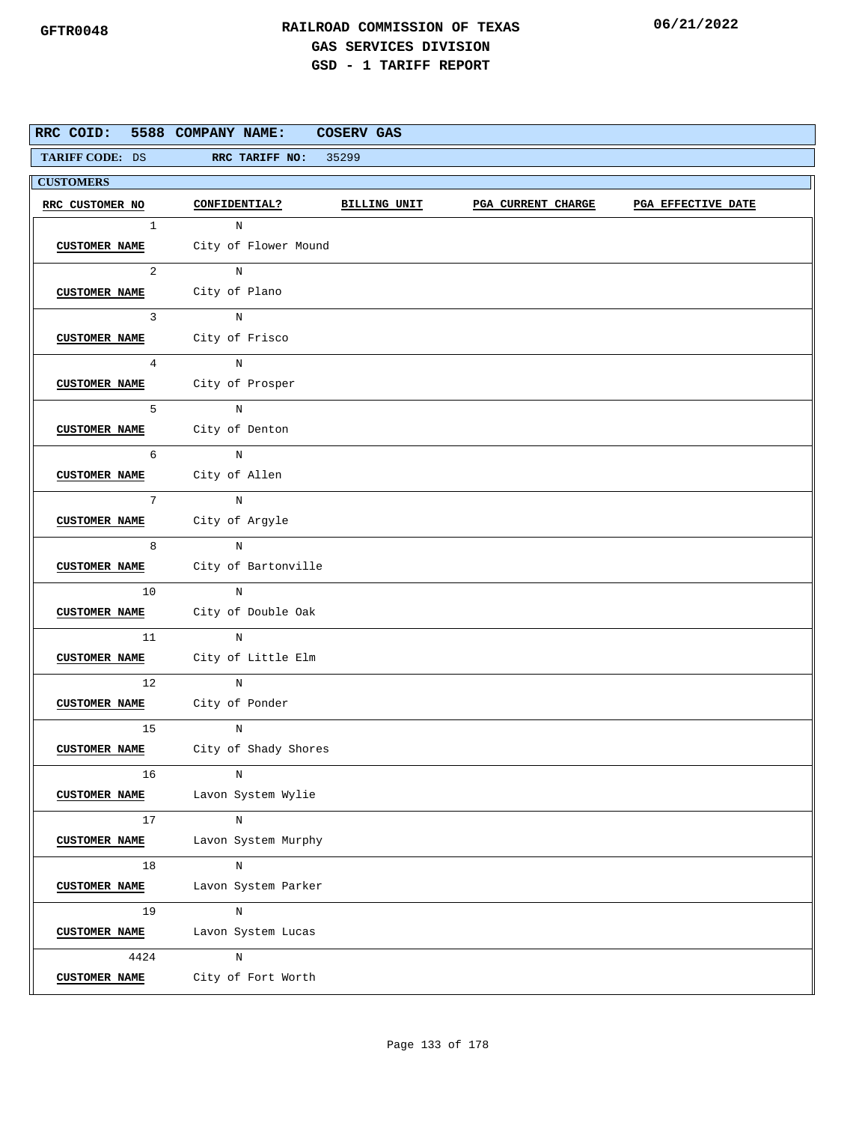| RRC COID:            | 5588 COMPANY NAME:                                                                                                                                                                                                                          | COSERV GAS |                           |                    |
|----------------------|---------------------------------------------------------------------------------------------------------------------------------------------------------------------------------------------------------------------------------------------|------------|---------------------------|--------------------|
|                      | TARIFF CODE: DS RRC TARIFF NO: 35299                                                                                                                                                                                                        |            |                           |                    |
| <b>CUSTOMERS</b>     |                                                                                                                                                                                                                                             |            |                           |                    |
| RRC CUSTOMER NO      | CONFIDENTIAL? BILLING UNIT                                                                                                                                                                                                                  |            | <b>PGA CURRENT CHARGE</b> | PGA EFFECTIVE DATE |
| $\mathbf{1}$         | $\mathbf N$                                                                                                                                                                                                                                 |            |                           |                    |
|                      | CUSTOMER NAME City of Flower Mound                                                                                                                                                                                                          |            |                           |                    |
|                      | $2 \left( \frac{1}{2} \right)$<br>N                                                                                                                                                                                                         |            |                           |                    |
|                      | CUSTOMER NAME City of Plano                                                                                                                                                                                                                 |            |                           |                    |
| 3 <sup>1</sup>       | N                                                                                                                                                                                                                                           |            |                           |                    |
|                      | CUSTOMER NAME City of Frisco                                                                                                                                                                                                                |            |                           |                    |
| $4\phantom{0}$       | $\overline{N}$                                                                                                                                                                                                                              |            |                           |                    |
|                      | CUSTOMER NAME City of Prosper                                                                                                                                                                                                               |            |                           |                    |
| $5^{\circ}$          | $_{\rm N}$                                                                                                                                                                                                                                  |            |                           |                    |
|                      | CUSTOMER NAME City of Denton                                                                                                                                                                                                                |            |                           |                    |
| 6                    | $_{\rm N}$                                                                                                                                                                                                                                  |            |                           |                    |
|                      | CUSTOMER NAME City of Allen                                                                                                                                                                                                                 |            |                           |                    |
| 7                    | $\overline{N}$                                                                                                                                                                                                                              |            |                           |                    |
|                      | CUSTOMER NAME City of Argyle                                                                                                                                                                                                                |            |                           |                    |
| 8                    | $\mathbb N$                                                                                                                                                                                                                                 |            |                           |                    |
|                      | CUSTOMER NAME City of Bartonville                                                                                                                                                                                                           |            |                           |                    |
| 10                   | N                                                                                                                                                                                                                                           |            |                           |                    |
|                      | CUSTOMER NAME City of Double Oak                                                                                                                                                                                                            |            |                           |                    |
|                      | $11$ and $11$ and $11$ and $11$ and $11$ and $11$ and $11$ and $11$ and $11$ and $11$ and $11$ and $11$ and $11$ and $11$ and $11$ and $11$ and $11$ and $11$ and $11$ and $11$ and $11$ and $11$ and $11$ and $11$ and $11$<br>$\mathbb N$ |            |                           |                    |
|                      | CUSTOMER NAME City of Little Elm                                                                                                                                                                                                            |            |                           |                    |
|                      | 12<br>$_{\rm N}$                                                                                                                                                                                                                            |            |                           |                    |
|                      | CUSTOMER NAME City of Ponder                                                                                                                                                                                                                |            |                           |                    |
| 15                   | N                                                                                                                                                                                                                                           |            |                           |                    |
|                      | CUSTOMER NAME City of Shady Shores                                                                                                                                                                                                          |            |                           |                    |
| 16                   | N                                                                                                                                                                                                                                           |            |                           |                    |
| <b>CUSTOMER NAME</b> | Lavon System Wylie                                                                                                                                                                                                                          |            |                           |                    |
| 17                   | $\, {\rm N}$                                                                                                                                                                                                                                |            |                           |                    |
| <b>CUSTOMER NAME</b> | Lavon System Murphy                                                                                                                                                                                                                         |            |                           |                    |
| 18                   | $_{\rm N}$                                                                                                                                                                                                                                  |            |                           |                    |
| <b>CUSTOMER NAME</b> | Lavon System Parker                                                                                                                                                                                                                         |            |                           |                    |
| 19                   | N                                                                                                                                                                                                                                           |            |                           |                    |
| <b>CUSTOMER NAME</b> | Lavon System Lucas                                                                                                                                                                                                                          |            |                           |                    |
| 4424                 | $\, {\rm N}$                                                                                                                                                                                                                                |            |                           |                    |
| <b>CUSTOMER NAME</b> | City of Fort Worth                                                                                                                                                                                                                          |            |                           |                    |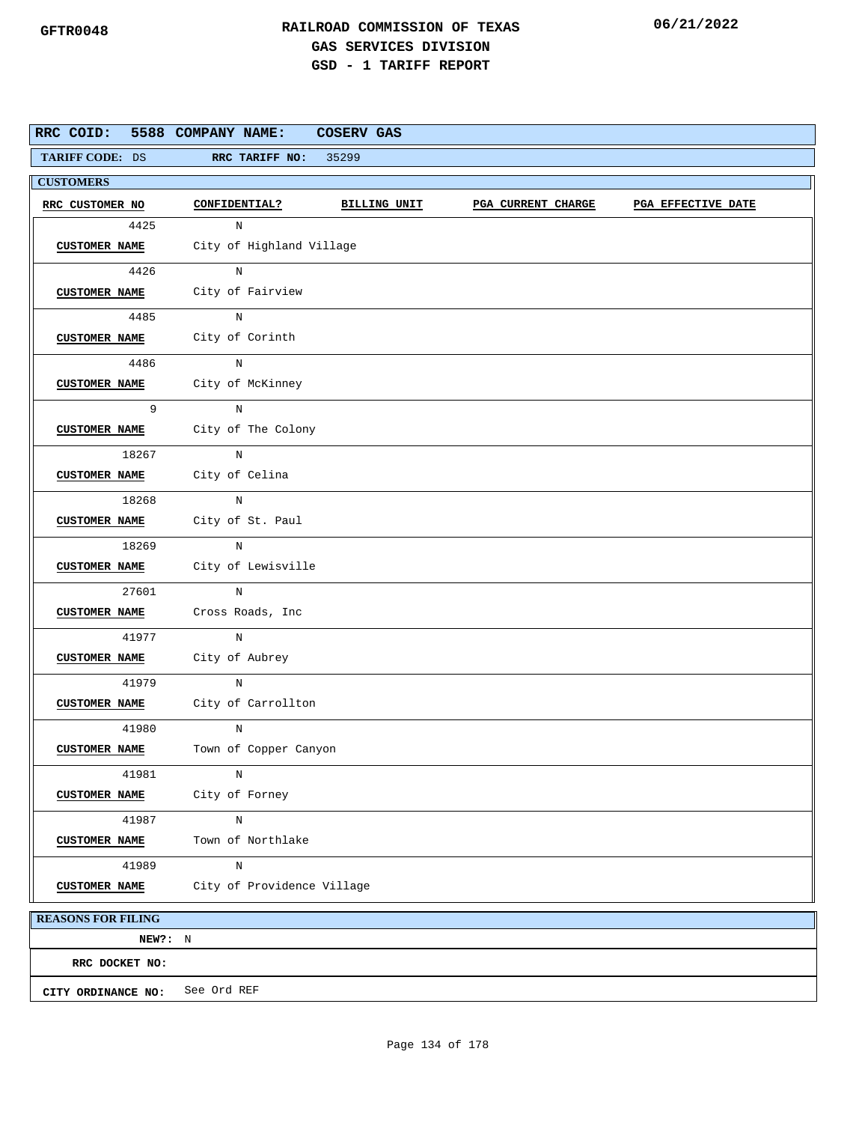|                           | RRC COID: 5588 COMPANY NAME:     | COSERV GAS   |                           |                    |
|---------------------------|----------------------------------|--------------|---------------------------|--------------------|
| TARIFF CODE: DS           | RRC TARIFF NO:                   | 35299        |                           |                    |
| <b>CUSTOMERS</b>          |                                  |              |                           |                    |
| RRC CUSTOMER NO           | CONFIDENTIAL?                    | BILLING UNIT | <b>PGA CURRENT CHARGE</b> | PGA EFFECTIVE DATE |
| 4425                      | N                                |              |                           |                    |
| <b>CUSTOMER NAME</b>      | City of Highland Village         |              |                           |                    |
| 4426                      | N                                |              |                           |                    |
|                           | CUSTOMER NAME City of Fairview   |              |                           |                    |
| 4485                      | N                                |              |                           |                    |
|                           | CUSTOMER NAME City of Corinth    |              |                           |                    |
| 4486                      | $\rm N$                          |              |                           |                    |
| <b>CUSTOMER NAME</b>      | City of McKinney                 |              |                           |                    |
| 9                         | N                                |              |                           |                    |
| <b>CUSTOMER NAME</b>      | City of The Colony               |              |                           |                    |
| 18267                     | N                                |              |                           |                    |
| <b>CUSTOMER NAME</b>      | City of Celina                   |              |                           |                    |
| 18268                     | N                                |              |                           |                    |
| <b>CUSTOMER NAME</b>      | City of St. Paul                 |              |                           |                    |
| 18269                     | N                                |              |                           |                    |
|                           | CUSTOMER NAME City of Lewisville |              |                           |                    |
| 27601                     | N                                |              |                           |                    |
| <b>CUSTOMER NAME</b>      | Cross Roads, Inc                 |              |                           |                    |
| 41977                     | N                                |              |                           |                    |
| <b>CUSTOMER NAME</b>      | City of Aubrey                   |              |                           |                    |
| 41979                     | N                                |              |                           |                    |
| CUSTOMER NAME             | City of Carrollton               |              |                           |                    |
| 41980                     | N                                |              |                           |                    |
| <b>CUSTOMER NAME</b>      | Town of Copper Canyon            |              |                           |                    |
| 41981                     | N                                |              |                           |                    |
| <b>CUSTOMER NAME</b>      | City of Forney                   |              |                           |                    |
| 41987                     | N                                |              |                           |                    |
| <b>CUSTOMER NAME</b>      | Town of Northlake                |              |                           |                    |
| 41989                     | $\rm N$                          |              |                           |                    |
| <b>CUSTOMER NAME</b>      | City of Providence Village       |              |                           |                    |
| <b>REASONS FOR FILING</b> |                                  |              |                           |                    |
| NEW?: N                   |                                  |              |                           |                    |

**RRC DOCKET NO:**

**CITY ORDINANCE NO:** See Ord REF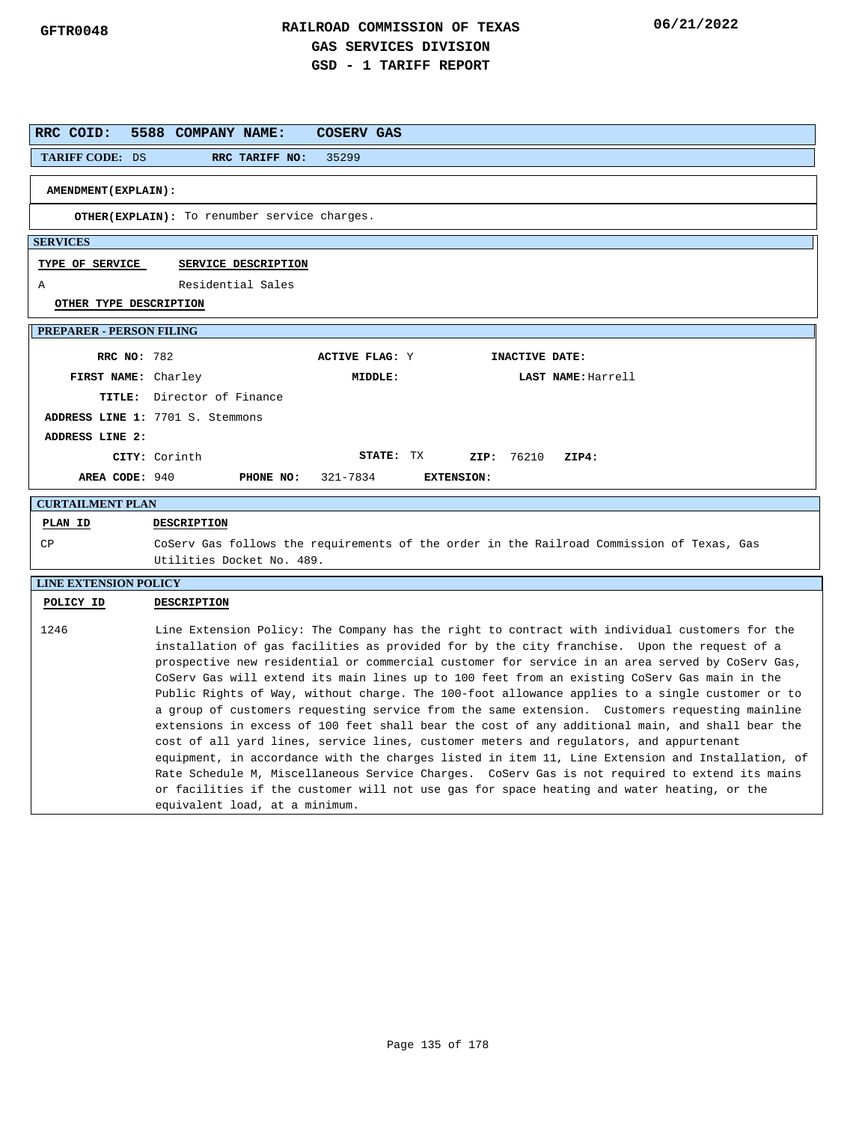| RRC COID:                       | 5588 COMPANY NAME:<br>COSERV GAS                                                                                                                                                                                                                                                                                                                                                                                                                                                                                                                                                                                                                                                                                                                                                                                                                                                                                                                                                                                                                                                                                                         |
|---------------------------------|------------------------------------------------------------------------------------------------------------------------------------------------------------------------------------------------------------------------------------------------------------------------------------------------------------------------------------------------------------------------------------------------------------------------------------------------------------------------------------------------------------------------------------------------------------------------------------------------------------------------------------------------------------------------------------------------------------------------------------------------------------------------------------------------------------------------------------------------------------------------------------------------------------------------------------------------------------------------------------------------------------------------------------------------------------------------------------------------------------------------------------------|
| <b>TARIFF CODE: DS</b>          | RRC TARIFF NO:<br>35299                                                                                                                                                                                                                                                                                                                                                                                                                                                                                                                                                                                                                                                                                                                                                                                                                                                                                                                                                                                                                                                                                                                  |
| AMENDMENT (EXPLAIN):            |                                                                                                                                                                                                                                                                                                                                                                                                                                                                                                                                                                                                                                                                                                                                                                                                                                                                                                                                                                                                                                                                                                                                          |
|                                 | <b>OTHER(EXPLAIN):</b> To renumber service charges.                                                                                                                                                                                                                                                                                                                                                                                                                                                                                                                                                                                                                                                                                                                                                                                                                                                                                                                                                                                                                                                                                      |
| <b>SERVICES</b>                 |                                                                                                                                                                                                                                                                                                                                                                                                                                                                                                                                                                                                                                                                                                                                                                                                                                                                                                                                                                                                                                                                                                                                          |
| TYPE OF SERVICE                 | SERVICE DESCRIPTION                                                                                                                                                                                                                                                                                                                                                                                                                                                                                                                                                                                                                                                                                                                                                                                                                                                                                                                                                                                                                                                                                                                      |
| Α                               | Residential Sales                                                                                                                                                                                                                                                                                                                                                                                                                                                                                                                                                                                                                                                                                                                                                                                                                                                                                                                                                                                                                                                                                                                        |
| OTHER TYPE DESCRIPTION          |                                                                                                                                                                                                                                                                                                                                                                                                                                                                                                                                                                                                                                                                                                                                                                                                                                                                                                                                                                                                                                                                                                                                          |
| <b>PREPARER - PERSON FILING</b> |                                                                                                                                                                                                                                                                                                                                                                                                                                                                                                                                                                                                                                                                                                                                                                                                                                                                                                                                                                                                                                                                                                                                          |
|                                 |                                                                                                                                                                                                                                                                                                                                                                                                                                                                                                                                                                                                                                                                                                                                                                                                                                                                                                                                                                                                                                                                                                                                          |
| <b>RRC NO: 782</b>              | INACTIVE DATE:<br><b>ACTIVE FLAG: Y</b>                                                                                                                                                                                                                                                                                                                                                                                                                                                                                                                                                                                                                                                                                                                                                                                                                                                                                                                                                                                                                                                                                                  |
| FIRST NAME: Charley             | MIDDLE:<br>LAST NAME: Harrell                                                                                                                                                                                                                                                                                                                                                                                                                                                                                                                                                                                                                                                                                                                                                                                                                                                                                                                                                                                                                                                                                                            |
|                                 | TITLE: Director of Finance                                                                                                                                                                                                                                                                                                                                                                                                                                                                                                                                                                                                                                                                                                                                                                                                                                                                                                                                                                                                                                                                                                               |
|                                 | ADDRESS LINE 1: 7701 S. Stemmons                                                                                                                                                                                                                                                                                                                                                                                                                                                                                                                                                                                                                                                                                                                                                                                                                                                                                                                                                                                                                                                                                                         |
| ADDRESS LINE 2:                 |                                                                                                                                                                                                                                                                                                                                                                                                                                                                                                                                                                                                                                                                                                                                                                                                                                                                                                                                                                                                                                                                                                                                          |
| AREA CODE: 940                  | STATE: TX<br>CITY: Corinth<br>ZIP: 76210<br>ZIP4:<br>321-7834                                                                                                                                                                                                                                                                                                                                                                                                                                                                                                                                                                                                                                                                                                                                                                                                                                                                                                                                                                                                                                                                            |
|                                 | <b>EXTENSION:</b><br>PHONE NO:                                                                                                                                                                                                                                                                                                                                                                                                                                                                                                                                                                                                                                                                                                                                                                                                                                                                                                                                                                                                                                                                                                           |
| <b>CURTAILMENT PLAN</b>         |                                                                                                                                                                                                                                                                                                                                                                                                                                                                                                                                                                                                                                                                                                                                                                                                                                                                                                                                                                                                                                                                                                                                          |
| PLAN ID                         | <b>DESCRIPTION</b>                                                                                                                                                                                                                                                                                                                                                                                                                                                                                                                                                                                                                                                                                                                                                                                                                                                                                                                                                                                                                                                                                                                       |
| CP                              | CoServ Gas follows the requirements of the order in the Railroad Commission of Texas, Gas<br>Utilities Docket No. 489.                                                                                                                                                                                                                                                                                                                                                                                                                                                                                                                                                                                                                                                                                                                                                                                                                                                                                                                                                                                                                   |
| <b>LINE EXTENSION POLICY</b>    |                                                                                                                                                                                                                                                                                                                                                                                                                                                                                                                                                                                                                                                                                                                                                                                                                                                                                                                                                                                                                                                                                                                                          |
| POLICY ID                       | DESCRIPTION                                                                                                                                                                                                                                                                                                                                                                                                                                                                                                                                                                                                                                                                                                                                                                                                                                                                                                                                                                                                                                                                                                                              |
| 1246                            | Line Extension Policy: The Company has the right to contract with individual customers for the<br>installation of gas facilities as provided for by the city franchise. Upon the request of a<br>prospective new residential or commercial customer for service in an area served by CoServ Gas,<br>CoServ Gas will extend its main lines up to 100 feet from an existing CoServ Gas main in the<br>Public Rights of Way, without charge. The 100-foot allowance applies to a single customer or to<br>a group of customers requesting service from the same extension. Customers requesting mainline<br>extensions in excess of 100 feet shall bear the cost of any additional main, and shall bear the<br>cost of all yard lines, service lines, customer meters and regulators, and appurtenant<br>equipment, in accordance with the charges listed in item 11, Line Extension and Installation, of<br>Rate Schedule M, Miscellaneous Service Charges. CoServ Gas is not required to extend its mains<br>or facilities if the customer will not use gas for space heating and water heating, or the<br>equivalent load, at a minimum. |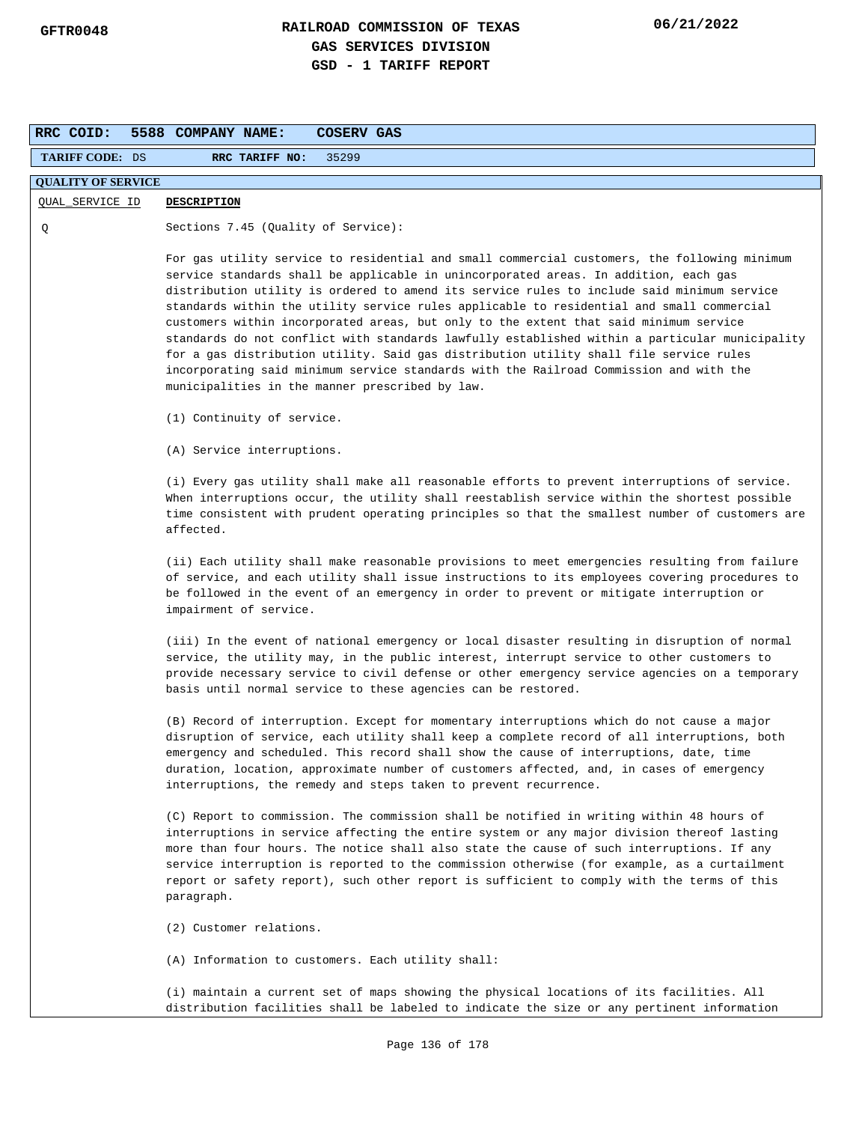| RRC COID:                 | <b>COSERV GAS</b><br>5588 COMPANY NAME:                                                                                                                                                                                                                                                                                                                                                                                                                                                                                                                                                                                                                                                                                                                                                                           |
|---------------------------|-------------------------------------------------------------------------------------------------------------------------------------------------------------------------------------------------------------------------------------------------------------------------------------------------------------------------------------------------------------------------------------------------------------------------------------------------------------------------------------------------------------------------------------------------------------------------------------------------------------------------------------------------------------------------------------------------------------------------------------------------------------------------------------------------------------------|
| <b>TARIFF CODE: DS</b>    | RRC TARIFF NO:<br>35299                                                                                                                                                                                                                                                                                                                                                                                                                                                                                                                                                                                                                                                                                                                                                                                           |
| <b>QUALITY OF SERVICE</b> |                                                                                                                                                                                                                                                                                                                                                                                                                                                                                                                                                                                                                                                                                                                                                                                                                   |
| QUAL_SERVICE ID           | <b>DESCRIPTION</b>                                                                                                                                                                                                                                                                                                                                                                                                                                                                                                                                                                                                                                                                                                                                                                                                |
| Q                         | Sections 7.45 (Quality of Service):                                                                                                                                                                                                                                                                                                                                                                                                                                                                                                                                                                                                                                                                                                                                                                               |
|                           | For gas utility service to residential and small commercial customers, the following minimum<br>service standards shall be applicable in unincorporated areas. In addition, each gas<br>distribution utility is ordered to amend its service rules to include said minimum service<br>standards within the utility service rules applicable to residential and small commercial<br>customers within incorporated areas, but only to the extent that said minimum service<br>standards do not conflict with standards lawfully established within a particular municipality<br>for a gas distribution utility. Said gas distribution utility shall file service rules<br>incorporating said minimum service standards with the Railroad Commission and with the<br>municipalities in the manner prescribed by law. |
|                           | (1) Continuity of service.                                                                                                                                                                                                                                                                                                                                                                                                                                                                                                                                                                                                                                                                                                                                                                                        |
|                           | (A) Service interruptions.                                                                                                                                                                                                                                                                                                                                                                                                                                                                                                                                                                                                                                                                                                                                                                                        |
|                           | (i) Every gas utility shall make all reasonable efforts to prevent interruptions of service.<br>When interruptions occur, the utility shall reestablish service within the shortest possible<br>time consistent with prudent operating principles so that the smallest number of customers are<br>affected.                                                                                                                                                                                                                                                                                                                                                                                                                                                                                                       |
|                           | (ii) Each utility shall make reasonable provisions to meet emergencies resulting from failure<br>of service, and each utility shall issue instructions to its employees covering procedures to<br>be followed in the event of an emergency in order to prevent or mitigate interruption or<br>impairment of service.                                                                                                                                                                                                                                                                                                                                                                                                                                                                                              |
|                           | (iii) In the event of national emergency or local disaster resulting in disruption of normal<br>service, the utility may, in the public interest, interrupt service to other customers to<br>provide necessary service to civil defense or other emergency service agencies on a temporary<br>basis until normal service to these agencies can be restored.                                                                                                                                                                                                                                                                                                                                                                                                                                                       |
|                           | (B) Record of interruption. Except for momentary interruptions which do not cause a major<br>disruption of service, each utility shall keep a complete record of all interruptions, both<br>emergency and scheduled. This record shall show the cause of interruptions, date, time<br>duration, location, approximate number of customers affected, and, in cases of emergency<br>interruptions, the remedy and steps taken to prevent recurrence.                                                                                                                                                                                                                                                                                                                                                                |
|                           | (C) Report to commission. The commission shall be notified in writing within 48 hours of<br>interruptions in service affecting the entire system or any major division thereof lasting<br>more than four hours. The notice shall also state the cause of such interruptions. If any<br>service interruption is reported to the commission otherwise (for example, as a curtailment<br>report or safety report), such other report is sufficient to comply with the terms of this<br>paragraph.                                                                                                                                                                                                                                                                                                                    |
|                           | (2) Customer relations.                                                                                                                                                                                                                                                                                                                                                                                                                                                                                                                                                                                                                                                                                                                                                                                           |
|                           | (A) Information to customers. Each utility shall:                                                                                                                                                                                                                                                                                                                                                                                                                                                                                                                                                                                                                                                                                                                                                                 |
|                           | (i) maintain a current set of maps showing the physical locations of its facilities. All<br>distribution facilities shall be labeled to indicate the size or any pertinent information                                                                                                                                                                                                                                                                                                                                                                                                                                                                                                                                                                                                                            |
|                           | Page 136 of 178                                                                                                                                                                                                                                                                                                                                                                                                                                                                                                                                                                                                                                                                                                                                                                                                   |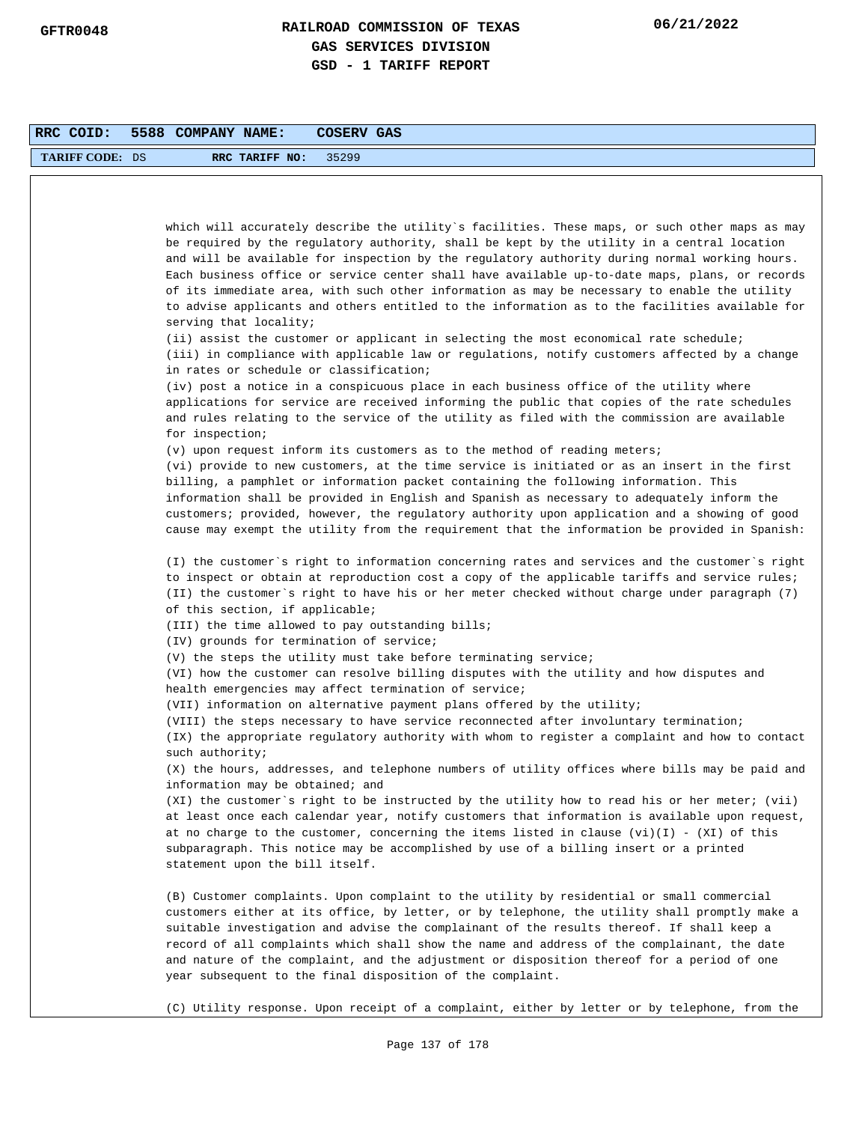| RRC COID:              | 5588 COMPANY NAME:<br>COSERV GAS                                                                                                                                                                                                                                                                                                                                                                                                                                                                                                                                                                   |
|------------------------|----------------------------------------------------------------------------------------------------------------------------------------------------------------------------------------------------------------------------------------------------------------------------------------------------------------------------------------------------------------------------------------------------------------------------------------------------------------------------------------------------------------------------------------------------------------------------------------------------|
| <b>TARIFF CODE: DS</b> | RRC TARIFF NO:<br>35299                                                                                                                                                                                                                                                                                                                                                                                                                                                                                                                                                                            |
|                        |                                                                                                                                                                                                                                                                                                                                                                                                                                                                                                                                                                                                    |
|                        |                                                                                                                                                                                                                                                                                                                                                                                                                                                                                                                                                                                                    |
|                        | which will accurately describe the utility`s facilities. These maps, or such other maps as may<br>be required by the regulatory authority, shall be kept by the utility in a central location<br>and will be available for inspection by the regulatory authority during normal working hours.<br>Each business office or service center shall have available up-to-date maps, plans, or records<br>of its immediate area, with such other information as may be necessary to enable the utility<br>to advise applicants and others entitled to the information as to the facilities available for |
|                        | serving that locality;<br>(ii) assist the customer or applicant in selecting the most economical rate schedule;<br>(iii) in compliance with applicable law or regulations, notify customers affected by a change<br>in rates or schedule or classification;                                                                                                                                                                                                                                                                                                                                        |
|                        | (iv) post a notice in a conspicuous place in each business office of the utility where<br>applications for service are received informing the public that copies of the rate schedules<br>and rules relating to the service of the utility as filed with the commission are available<br>for inspection;                                                                                                                                                                                                                                                                                           |
|                        | $(v)$ upon request inform its customers as to the method of reading meters;                                                                                                                                                                                                                                                                                                                                                                                                                                                                                                                        |
|                        | (vi) provide to new customers, at the time service is initiated or as an insert in the first<br>billing, a pamphlet or information packet containing the following information. This<br>information shall be provided in English and Spanish as necessary to adequately inform the<br>customers; provided, however, the regulatory authority upon application and a showing of good<br>cause may exempt the utility from the requirement that the information be provided in Spanish:                                                                                                              |
|                        | (I) the customer's right to information concerning rates and services and the customer's right<br>to inspect or obtain at reproduction cost a copy of the applicable tariffs and service rules;<br>(II) the customer`s right to have his or her meter checked without charge under paragraph (7)<br>of this section, if applicable;                                                                                                                                                                                                                                                                |
|                        | (III) the time allowed to pay outstanding bills;                                                                                                                                                                                                                                                                                                                                                                                                                                                                                                                                                   |
|                        | (IV) grounds for termination of service;                                                                                                                                                                                                                                                                                                                                                                                                                                                                                                                                                           |
|                        | (V) the steps the utility must take before terminating service;<br>(VI) how the customer can resolve billing disputes with the utility and how disputes and<br>health emergencies may affect termination of service;                                                                                                                                                                                                                                                                                                                                                                               |
|                        | (VII) information on alternative payment plans offered by the utility;                                                                                                                                                                                                                                                                                                                                                                                                                                                                                                                             |
|                        | (VIII) the steps necessary to have service reconnected after involuntary termination;<br>(IX) the appropriate regulatory authority with whom to register a complaint and how to contact                                                                                                                                                                                                                                                                                                                                                                                                            |
|                        | such authority;<br>(X) the hours, addresses, and telephone numbers of utility offices where bills may be paid and<br>information may be obtained; and                                                                                                                                                                                                                                                                                                                                                                                                                                              |
|                        | (XI) the customer's right to be instructed by the utility how to read his or her meter; (vii)<br>at least once each calendar year, notify customers that information is available upon request,<br>at no charge to the customer, concerning the items listed in clause $(vi)(I)$ - $(XI)$ of this<br>subparagraph. This notice may be accomplished by use of a billing insert or a printed<br>statement upon the bill itself.                                                                                                                                                                      |
|                        | (B) Customer complaints. Upon complaint to the utility by residential or small commercial<br>customers either at its office, by letter, or by telephone, the utility shall promptly make a<br>suitable investigation and advise the complainant of the results thereof. If shall keep a<br>record of all complaints which shall show the name and address of the complainant, the date<br>and nature of the complaint, and the adjustment or disposition thereof for a period of one<br>year subsequent to the final disposition of the complaint.                                                 |
|                        | (C) Utility response. Upon receipt of a complaint, either by letter or by telephone, from the                                                                                                                                                                                                                                                                                                                                                                                                                                                                                                      |
|                        | Page 137 of 178                                                                                                                                                                                                                                                                                                                                                                                                                                                                                                                                                                                    |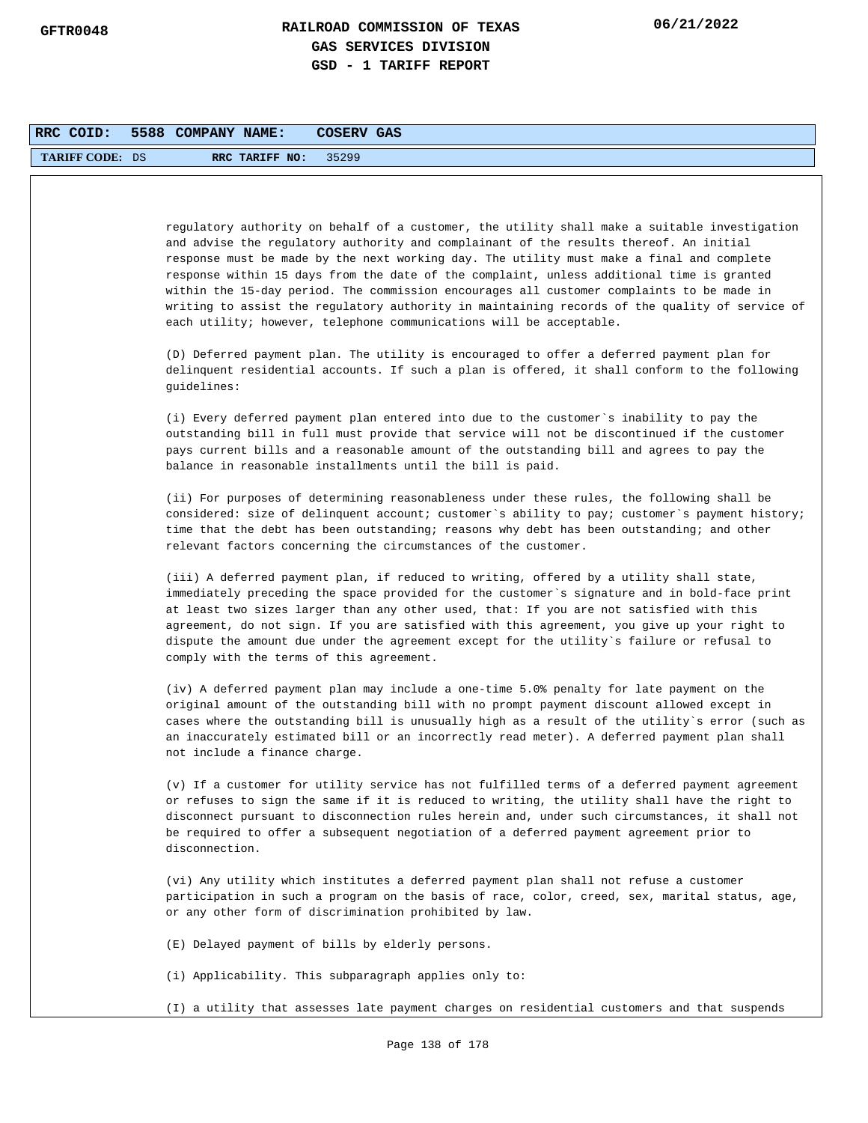| RRC COID:              | 5588 COMPANY NAME:<br>COSERV GAS                                                                                                                                                                                                                                                                                                                                                                                                                                                                                                                                                                                                                        |
|------------------------|---------------------------------------------------------------------------------------------------------------------------------------------------------------------------------------------------------------------------------------------------------------------------------------------------------------------------------------------------------------------------------------------------------------------------------------------------------------------------------------------------------------------------------------------------------------------------------------------------------------------------------------------------------|
| <b>TARIFF CODE: DS</b> | RRC TARIFF NO:<br>35299                                                                                                                                                                                                                                                                                                                                                                                                                                                                                                                                                                                                                                 |
|                        |                                                                                                                                                                                                                                                                                                                                                                                                                                                                                                                                                                                                                                                         |
|                        | regulatory authority on behalf of a customer, the utility shall make a suitable investigation<br>and advise the regulatory authority and complainant of the results thereof. An initial<br>response must be made by the next working day. The utility must make a final and complete<br>response within 15 days from the date of the complaint, unless additional time is granted<br>within the 15-day period. The commission encourages all customer complaints to be made in<br>writing to assist the regulatory authority in maintaining records of the quality of service of<br>each utility; however, telephone communications will be acceptable. |
|                        | (D) Deferred payment plan. The utility is encouraged to offer a deferred payment plan for<br>delinquent residential accounts. If such a plan is offered, it shall conform to the following<br>quidelines:                                                                                                                                                                                                                                                                                                                                                                                                                                               |
|                        | (i) Every deferred payment plan entered into due to the customer's inability to pay the<br>outstanding bill in full must provide that service will not be discontinued if the customer<br>pays current bills and a reasonable amount of the outstanding bill and agrees to pay the<br>balance in reasonable installments until the bill is paid.                                                                                                                                                                                                                                                                                                        |
|                        | (ii) For purposes of determining reasonableness under these rules, the following shall be<br>considered: size of delinquent account; customer's ability to pay; customer's payment history;<br>time that the debt has been outstanding; reasons why debt has been outstanding; and other<br>relevant factors concerning the circumstances of the customer.                                                                                                                                                                                                                                                                                              |
|                        | (iii) A deferred payment plan, if reduced to writing, offered by a utility shall state,<br>immediately preceding the space provided for the customer`s signature and in bold-face print<br>at least two sizes larger than any other used, that: If you are not satisfied with this<br>agreement, do not sign. If you are satisfied with this agreement, you give up your right to<br>dispute the amount due under the agreement except for the utility`s failure or refusal to<br>comply with the terms of this agreement.                                                                                                                              |
|                        | (iv) A deferred payment plan may include a one-time 5.0% penalty for late payment on the<br>original amount of the outstanding bill with no prompt payment discount allowed except in<br>cases where the outstanding bill is unusually high as a result of the utility's error (such as<br>an inaccurately estimated bill or an incorrectly read meter). A deferred payment plan shall<br>not include a finance charge.                                                                                                                                                                                                                                 |
|                        | (v) If a customer for utility service has not fulfilled terms of a deferred payment agreement<br>or refuses to sign the same if it is reduced to writing, the utility shall have the right to<br>disconnect pursuant to disconnection rules herein and, under such circumstances, it shall not<br>be required to offer a subsequent negotiation of a deferred payment agreement prior to<br>disconnection.                                                                                                                                                                                                                                              |
|                        | (vi) Any utility which institutes a deferred payment plan shall not refuse a customer<br>participation in such a program on the basis of race, color, creed, sex, marital status, age,<br>or any other form of discrimination prohibited by law.                                                                                                                                                                                                                                                                                                                                                                                                        |
|                        | (E) Delayed payment of bills by elderly persons.                                                                                                                                                                                                                                                                                                                                                                                                                                                                                                                                                                                                        |
|                        | (i) Applicability. This subparagraph applies only to:                                                                                                                                                                                                                                                                                                                                                                                                                                                                                                                                                                                                   |
|                        | (I) a utility that assesses late payment charges on residential customers and that suspends                                                                                                                                                                                                                                                                                                                                                                                                                                                                                                                                                             |
|                        | Page 138 of 178                                                                                                                                                                                                                                                                                                                                                                                                                                                                                                                                                                                                                                         |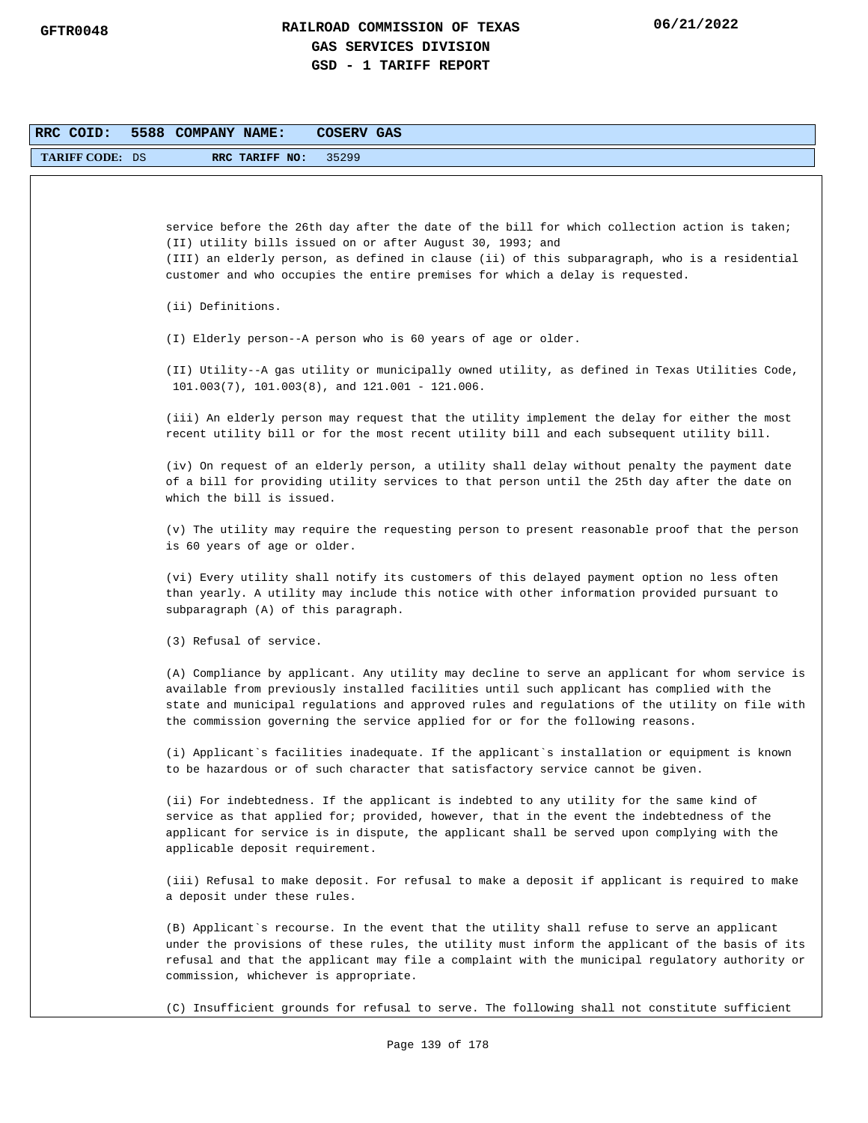| RRC COID:              | COSERV GAS<br>5588 COMPANY NAME:                                                                                                                                                                                                                                                                                                                                                |
|------------------------|---------------------------------------------------------------------------------------------------------------------------------------------------------------------------------------------------------------------------------------------------------------------------------------------------------------------------------------------------------------------------------|
| <b>TARIFF CODE: DS</b> | 35299<br>RRC TARIFF NO:                                                                                                                                                                                                                                                                                                                                                         |
|                        |                                                                                                                                                                                                                                                                                                                                                                                 |
|                        | service before the 26th day after the date of the bill for which collection action is taken;<br>(II) utility bills issued on or after August 30, 1993; and<br>(III) an elderly person, as defined in clause (ii) of this subparagraph, who is a residential<br>customer and who occupies the entire premises for which a delay is requested.                                    |
|                        | (ii) Definitions.                                                                                                                                                                                                                                                                                                                                                               |
|                        | (I) Elderly person--A person who is 60 years of age or older.                                                                                                                                                                                                                                                                                                                   |
|                        | (II) Utility--A gas utility or municipally owned utility, as defined in Texas Utilities Code,<br>$101.003(7)$ , $101.003(8)$ , and $121.001 - 121.006$ .                                                                                                                                                                                                                        |
|                        | (iii) An elderly person may request that the utility implement the delay for either the most<br>recent utility bill or for the most recent utility bill and each subsequent utility bill.                                                                                                                                                                                       |
|                        | (iv) On request of an elderly person, a utility shall delay without penalty the payment date<br>of a bill for providing utility services to that person until the 25th day after the date on<br>which the bill is issued.                                                                                                                                                       |
|                        | (v) The utility may require the requesting person to present reasonable proof that the person<br>is 60 years of age or older.                                                                                                                                                                                                                                                   |
|                        | (vi) Every utility shall notify its customers of this delayed payment option no less often<br>than yearly. A utility may include this notice with other information provided pursuant to<br>subparagraph (A) of this paragraph.                                                                                                                                                 |
|                        | (3) Refusal of service.                                                                                                                                                                                                                                                                                                                                                         |
|                        | (A) Compliance by applicant. Any utility may decline to serve an applicant for whom service is<br>available from previously installed facilities until such applicant has complied with the<br>state and municipal regulations and approved rules and regulations of the utility on file with<br>the commission governing the service applied for or for the following reasons. |
|                        | (i) Applicant`s facilities inadequate. If the applicant`s installation or equipment is known<br>to be hazardous or of such character that satisfactory service cannot be given.                                                                                                                                                                                                 |
|                        | (ii) For indebtedness. If the applicant is indebted to any utility for the same kind of<br>service as that applied for; provided, however, that in the event the indebtedness of the<br>applicant for service is in dispute, the applicant shall be served upon complying with the<br>applicable deposit requirement.                                                           |
|                        | (iii) Refusal to make deposit. For refusal to make a deposit if applicant is required to make<br>a deposit under these rules.                                                                                                                                                                                                                                                   |
|                        | (B) Applicant's recourse. In the event that the utility shall refuse to serve an applicant<br>under the provisions of these rules, the utility must inform the applicant of the basis of its<br>refusal and that the applicant may file a complaint with the municipal regulatory authority or<br>commission, whichever is appropriate.                                         |
|                        | (C) Insufficient grounds for refusal to serve. The following shall not constitute sufficient                                                                                                                                                                                                                                                                                    |
|                        | Page 139 of 178                                                                                                                                                                                                                                                                                                                                                                 |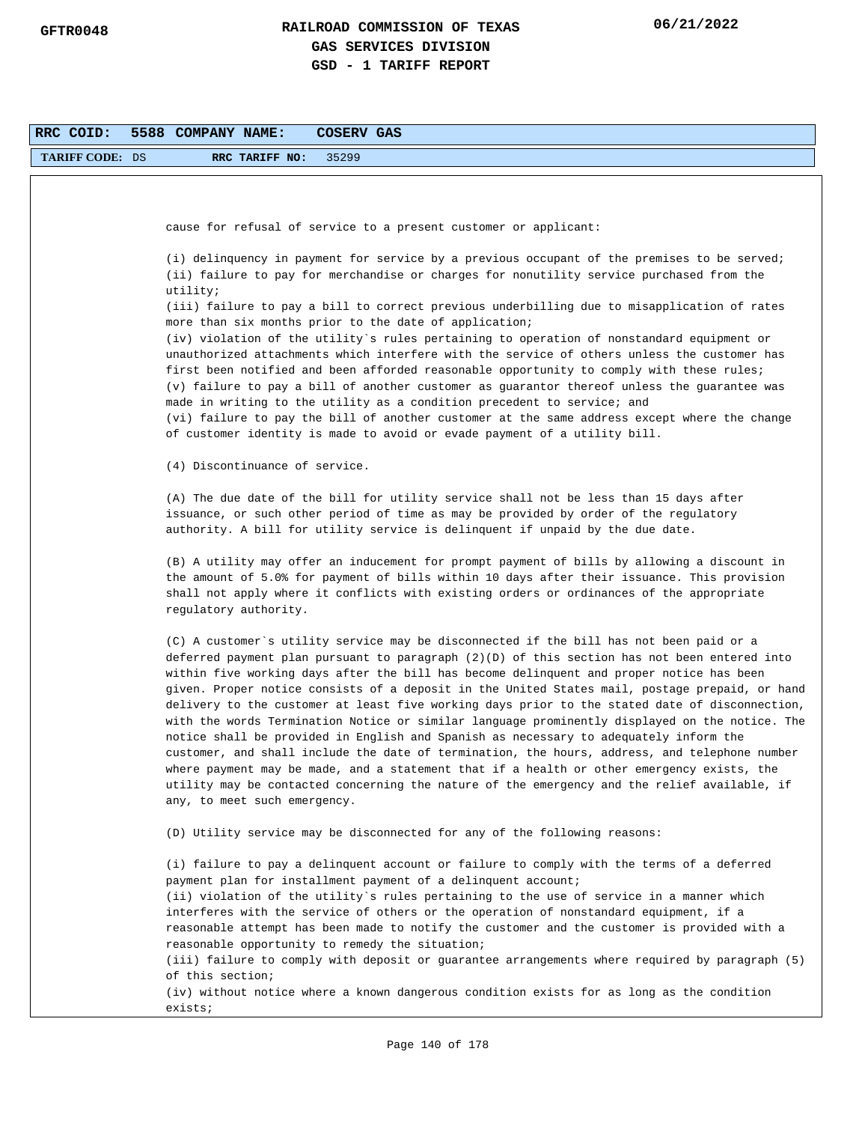| <b>TARIFF CODE: DS</b> | 35299<br>RRC TARIFF NO:                                                                                                                                                                                                                                                                                                                                                                                                                                                                                                                                                                                                                                                                                                                                                                                                                                                                                                                                                                                           |
|------------------------|-------------------------------------------------------------------------------------------------------------------------------------------------------------------------------------------------------------------------------------------------------------------------------------------------------------------------------------------------------------------------------------------------------------------------------------------------------------------------------------------------------------------------------------------------------------------------------------------------------------------------------------------------------------------------------------------------------------------------------------------------------------------------------------------------------------------------------------------------------------------------------------------------------------------------------------------------------------------------------------------------------------------|
|                        |                                                                                                                                                                                                                                                                                                                                                                                                                                                                                                                                                                                                                                                                                                                                                                                                                                                                                                                                                                                                                   |
|                        |                                                                                                                                                                                                                                                                                                                                                                                                                                                                                                                                                                                                                                                                                                                                                                                                                                                                                                                                                                                                                   |
|                        | cause for refusal of service to a present customer or applicant:                                                                                                                                                                                                                                                                                                                                                                                                                                                                                                                                                                                                                                                                                                                                                                                                                                                                                                                                                  |
|                        |                                                                                                                                                                                                                                                                                                                                                                                                                                                                                                                                                                                                                                                                                                                                                                                                                                                                                                                                                                                                                   |
|                        | (i) delinquency in payment for service by a previous occupant of the premises to be served;<br>(ii) failure to pay for merchandise or charges for nonutility service purchased from the<br>utility;                                                                                                                                                                                                                                                                                                                                                                                                                                                                                                                                                                                                                                                                                                                                                                                                               |
|                        | (iii) failure to pay a bill to correct previous underbilling due to misapplication of rates<br>more than six months prior to the date of application;                                                                                                                                                                                                                                                                                                                                                                                                                                                                                                                                                                                                                                                                                                                                                                                                                                                             |
|                        | (iv) violation of the utility`s rules pertaining to operation of nonstandard equipment or                                                                                                                                                                                                                                                                                                                                                                                                                                                                                                                                                                                                                                                                                                                                                                                                                                                                                                                         |
|                        | unauthorized attachments which interfere with the service of others unless the customer has<br>first been notified and been afforded reasonable opportunity to comply with these rules;<br>(v) failure to pay a bill of another customer as guarantor thereof unless the guarantee was<br>made in writing to the utility as a condition precedent to service; and<br>(vi) failure to pay the bill of another customer at the same address except where the change<br>of customer identity is made to avoid or evade payment of a utility bill.                                                                                                                                                                                                                                                                                                                                                                                                                                                                    |
|                        | (4) Discontinuance of service.                                                                                                                                                                                                                                                                                                                                                                                                                                                                                                                                                                                                                                                                                                                                                                                                                                                                                                                                                                                    |
|                        | (A) The due date of the bill for utility service shall not be less than 15 days after<br>issuance, or such other period of time as may be provided by order of the regulatory<br>authority. A bill for utility service is delinquent if unpaid by the due date.                                                                                                                                                                                                                                                                                                                                                                                                                                                                                                                                                                                                                                                                                                                                                   |
|                        | (B) A utility may offer an inducement for prompt payment of bills by allowing a discount in<br>the amount of 5.0% for payment of bills within 10 days after their issuance. This provision<br>shall not apply where it conflicts with existing orders or ordinances of the appropriate<br>regulatory authority.                                                                                                                                                                                                                                                                                                                                                                                                                                                                                                                                                                                                                                                                                                   |
|                        | (C) A customer`s utility service may be disconnected if the bill has not been paid or a<br>deferred payment plan pursuant to paragraph (2)(D) of this section has not been entered into<br>within five working days after the bill has become delinquent and proper notice has been<br>given. Proper notice consists of a deposit in the United States mail, postage prepaid, or hand<br>delivery to the customer at least five working days prior to the stated date of disconnection,<br>with the words Termination Notice or similar language prominently displayed on the notice. The<br>notice shall be provided in English and Spanish as necessary to adequately inform the<br>customer, and shall include the date of termination, the hours, address, and telephone number<br>where payment may be made, and a statement that if a health or other emergency exists, the<br>utility may be contacted concerning the nature of the emergency and the relief available, if<br>any, to meet such emergency. |
|                        | (D) Utility service may be disconnected for any of the following reasons:                                                                                                                                                                                                                                                                                                                                                                                                                                                                                                                                                                                                                                                                                                                                                                                                                                                                                                                                         |
|                        | (i) failure to pay a delinquent account or failure to comply with the terms of a deferred<br>payment plan for installment payment of a delinquent account;<br>(ii) violation of the utility's rules pertaining to the use of service in a manner which<br>interferes with the service of others or the operation of nonstandard equipment, if a<br>reasonable attempt has been made to notify the customer and the customer is provided with a<br>reasonable opportunity to remedy the situation;<br>(iii) failure to comply with deposit or guarantee arrangements where required by paragraph (5)<br>of this section;<br>(iv) without notice where a known dangerous condition exists for as long as the condition<br>exists;                                                                                                                                                                                                                                                                                   |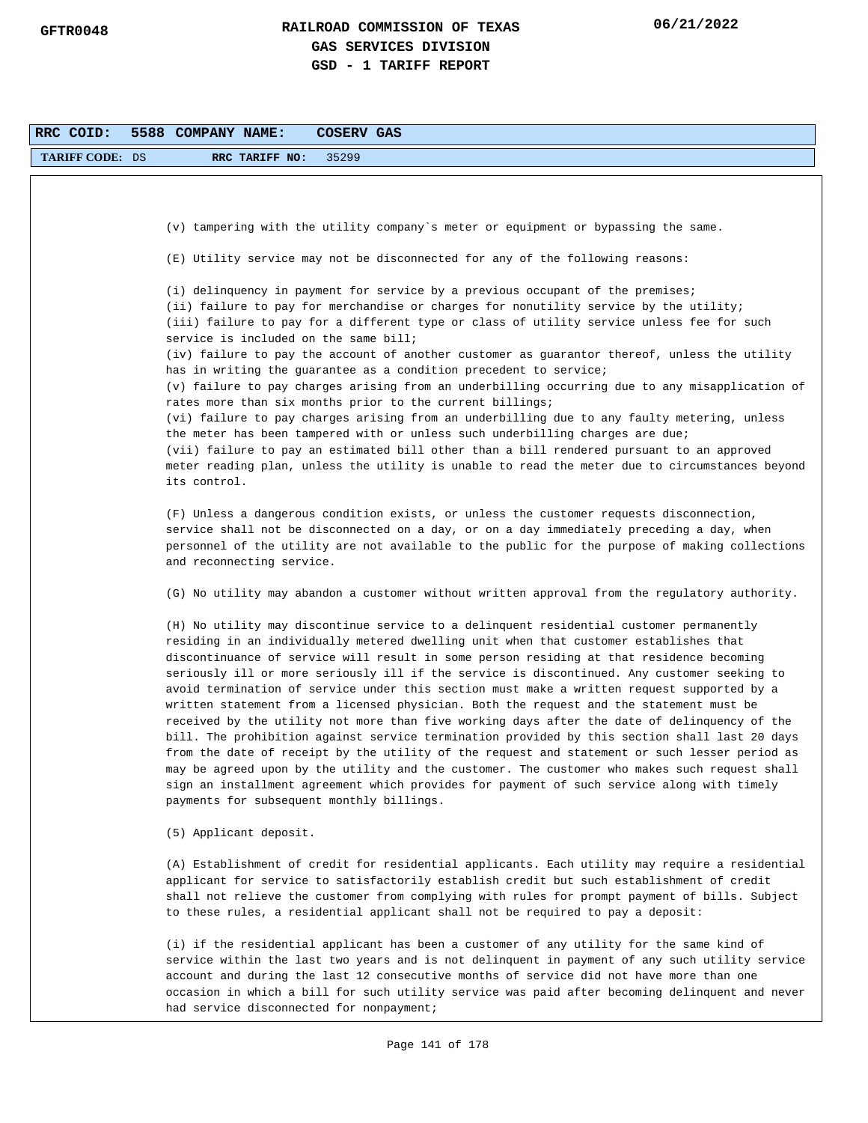| RRC COID:              | 5588 COMPANY NAME:<br>COSERV GAS                                                                                                                                                                                                                                                                                                                                                                                                                                                                                                                                                                                                                                                                                                                                                                                                                                                                                                                                                                                                                                                                                   |
|------------------------|--------------------------------------------------------------------------------------------------------------------------------------------------------------------------------------------------------------------------------------------------------------------------------------------------------------------------------------------------------------------------------------------------------------------------------------------------------------------------------------------------------------------------------------------------------------------------------------------------------------------------------------------------------------------------------------------------------------------------------------------------------------------------------------------------------------------------------------------------------------------------------------------------------------------------------------------------------------------------------------------------------------------------------------------------------------------------------------------------------------------|
| <b>TARIFF CODE: DS</b> | 35299<br>RRC TARIFF NO:                                                                                                                                                                                                                                                                                                                                                                                                                                                                                                                                                                                                                                                                                                                                                                                                                                                                                                                                                                                                                                                                                            |
|                        |                                                                                                                                                                                                                                                                                                                                                                                                                                                                                                                                                                                                                                                                                                                                                                                                                                                                                                                                                                                                                                                                                                                    |
|                        |                                                                                                                                                                                                                                                                                                                                                                                                                                                                                                                                                                                                                                                                                                                                                                                                                                                                                                                                                                                                                                                                                                                    |
|                        | (v) tampering with the utility company's meter or equipment or bypassing the same.                                                                                                                                                                                                                                                                                                                                                                                                                                                                                                                                                                                                                                                                                                                                                                                                                                                                                                                                                                                                                                 |
|                        | (E) Utility service may not be disconnected for any of the following reasons:                                                                                                                                                                                                                                                                                                                                                                                                                                                                                                                                                                                                                                                                                                                                                                                                                                                                                                                                                                                                                                      |
|                        | (i) delinquency in payment for service by a previous occupant of the premises;<br>(ii) failure to pay for merchandise or charges for nonutility service by the utility;<br>(iii) failure to pay for a different type or class of utility service unless fee for such<br>service is included on the same bill;<br>(iv) failure to pay the account of another customer as guarantor thereof, unless the utility                                                                                                                                                                                                                                                                                                                                                                                                                                                                                                                                                                                                                                                                                                      |
|                        | has in writing the guarantee as a condition precedent to service;<br>(v) failure to pay charges arising from an underbilling occurring due to any misapplication of                                                                                                                                                                                                                                                                                                                                                                                                                                                                                                                                                                                                                                                                                                                                                                                                                                                                                                                                                |
|                        | rates more than six months prior to the current billings;<br>(vi) failure to pay charges arising from an underbilling due to any faulty metering, unless<br>the meter has been tampered with or unless such underbilling charges are due;<br>(vii) failure to pay an estimated bill other than a bill rendered pursuant to an approved<br>meter reading plan, unless the utility is unable to read the meter due to circumstances beyond<br>its control.                                                                                                                                                                                                                                                                                                                                                                                                                                                                                                                                                                                                                                                           |
|                        | (F) Unless a dangerous condition exists, or unless the customer requests disconnection,<br>service shall not be disconnected on a day, or on a day immediately preceding a day, when<br>personnel of the utility are not available to the public for the purpose of making collections<br>and reconnecting service.                                                                                                                                                                                                                                                                                                                                                                                                                                                                                                                                                                                                                                                                                                                                                                                                |
|                        | (G) No utility may abandon a customer without written approval from the regulatory authority.                                                                                                                                                                                                                                                                                                                                                                                                                                                                                                                                                                                                                                                                                                                                                                                                                                                                                                                                                                                                                      |
|                        | (H) No utility may discontinue service to a delinquent residential customer permanently<br>residing in an individually metered dwelling unit when that customer establishes that<br>discontinuance of service will result in some person residing at that residence becoming<br>seriously ill or more seriously ill if the service is discontinued. Any customer seeking to<br>avoid termination of service under this section must make a written request supported by a<br>written statement from a licensed physician. Both the request and the statement must be<br>received by the utility not more than five working days after the date of delinquency of the<br>bill. The prohibition against service termination provided by this section shall last 20 days<br>from the date of receipt by the utility of the request and statement or such lesser period as<br>may be agreed upon by the utility and the customer. The customer who makes such request shall<br>sign an installment agreement which provides for payment of such service along with timely<br>payments for subsequent monthly billings. |
|                        | (5) Applicant deposit.                                                                                                                                                                                                                                                                                                                                                                                                                                                                                                                                                                                                                                                                                                                                                                                                                                                                                                                                                                                                                                                                                             |
|                        | (A) Establishment of credit for residential applicants. Each utility may require a residential<br>applicant for service to satisfactorily establish credit but such establishment of credit<br>shall not relieve the customer from complying with rules for prompt payment of bills. Subject<br>to these rules, a residential applicant shall not be required to pay a deposit:                                                                                                                                                                                                                                                                                                                                                                                                                                                                                                                                                                                                                                                                                                                                    |
|                        | (i) if the residential applicant has been a customer of any utility for the same kind of<br>service within the last two years and is not delinquent in payment of any such utility service<br>account and during the last 12 consecutive months of service did not have more than one<br>occasion in which a bill for such utility service was paid after becoming delinquent and never<br>had service disconnected for nonpayment;                                                                                                                                                                                                                                                                                                                                                                                                                                                                                                                                                                                                                                                                                |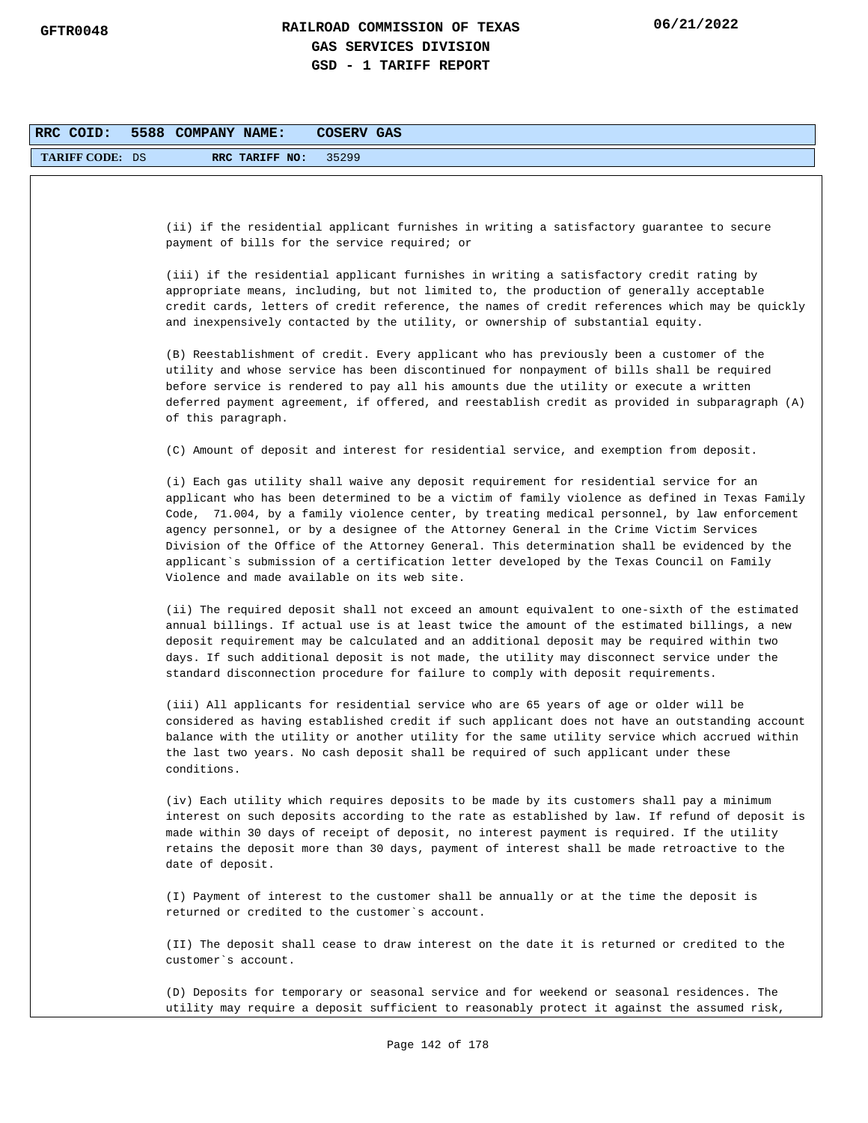| RRC COID:              | 5588 COMPANY NAME:<br>COSERV GAS                                                                                                                                                                                                                                                                                                                                                                                                                                                                                                                                                                                                  |
|------------------------|-----------------------------------------------------------------------------------------------------------------------------------------------------------------------------------------------------------------------------------------------------------------------------------------------------------------------------------------------------------------------------------------------------------------------------------------------------------------------------------------------------------------------------------------------------------------------------------------------------------------------------------|
| <b>TARIFF CODE: DS</b> | 35299<br>RRC TARIFF NO:                                                                                                                                                                                                                                                                                                                                                                                                                                                                                                                                                                                                           |
|                        |                                                                                                                                                                                                                                                                                                                                                                                                                                                                                                                                                                                                                                   |
|                        | (ii) if the residential applicant furnishes in writing a satisfactory guarantee to secure<br>payment of bills for the service required; or                                                                                                                                                                                                                                                                                                                                                                                                                                                                                        |
|                        | (iii) if the residential applicant furnishes in writing a satisfactory credit rating by<br>appropriate means, including, but not limited to, the production of generally acceptable<br>credit cards, letters of credit reference, the names of credit references which may be quickly<br>and inexpensively contacted by the utility, or ownership of substantial equity.                                                                                                                                                                                                                                                          |
|                        | (B) Reestablishment of credit. Every applicant who has previously been a customer of the<br>utility and whose service has been discontinued for nonpayment of bills shall be required<br>before service is rendered to pay all his amounts due the utility or execute a written<br>deferred payment agreement, if offered, and reestablish credit as provided in subparagraph (A)<br>of this paragraph.                                                                                                                                                                                                                           |
|                        | (C) Amount of deposit and interest for residential service, and exemption from deposit.                                                                                                                                                                                                                                                                                                                                                                                                                                                                                                                                           |
|                        | (i) Each gas utility shall waive any deposit requirement for residential service for an<br>applicant who has been determined to be a victim of family violence as defined in Texas Family<br>Code, 71.004, by a family violence center, by treating medical personnel, by law enforcement<br>agency personnel, or by a designee of the Attorney General in the Crime Victim Services<br>Division of the Office of the Attorney General. This determination shall be evidenced by the<br>applicant`s submission of a certification letter developed by the Texas Council on Family<br>Violence and made available on its web site. |
|                        | (ii) The required deposit shall not exceed an amount equivalent to one-sixth of the estimated<br>annual billings. If actual use is at least twice the amount of the estimated billings, a new<br>deposit requirement may be calculated and an additional deposit may be required within two<br>days. If such additional deposit is not made, the utility may disconnect service under the<br>standard disconnection procedure for failure to comply with deposit requirements.                                                                                                                                                    |
|                        | (iii) All applicants for residential service who are 65 years of age or older will be<br>considered as having established credit if such applicant does not have an outstanding account<br>balance with the utility or another utility for the same utility service which accrued within<br>the last two years. No cash deposit shall be required of such applicant under these<br>conditions.                                                                                                                                                                                                                                    |
|                        | (iv) Each utility which requires deposits to be made by its customers shall pay a minimum<br>interest on such deposits according to the rate as established by law. If refund of deposit is<br>made within 30 days of receipt of deposit, no interest payment is required. If the utility<br>retains the deposit more than 30 days, payment of interest shall be made retroactive to the<br>date of deposit.                                                                                                                                                                                                                      |
|                        | (I) Payment of interest to the customer shall be annually or at the time the deposit is<br>returned or credited to the customer's account.                                                                                                                                                                                                                                                                                                                                                                                                                                                                                        |
|                        | (II) The deposit shall cease to draw interest on the date it is returned or credited to the<br>customer's account.                                                                                                                                                                                                                                                                                                                                                                                                                                                                                                                |
|                        | (D) Deposits for temporary or seasonal service and for weekend or seasonal residences. The<br>utility may require a deposit sufficient to reasonably protect it against the assumed risk,                                                                                                                                                                                                                                                                                                                                                                                                                                         |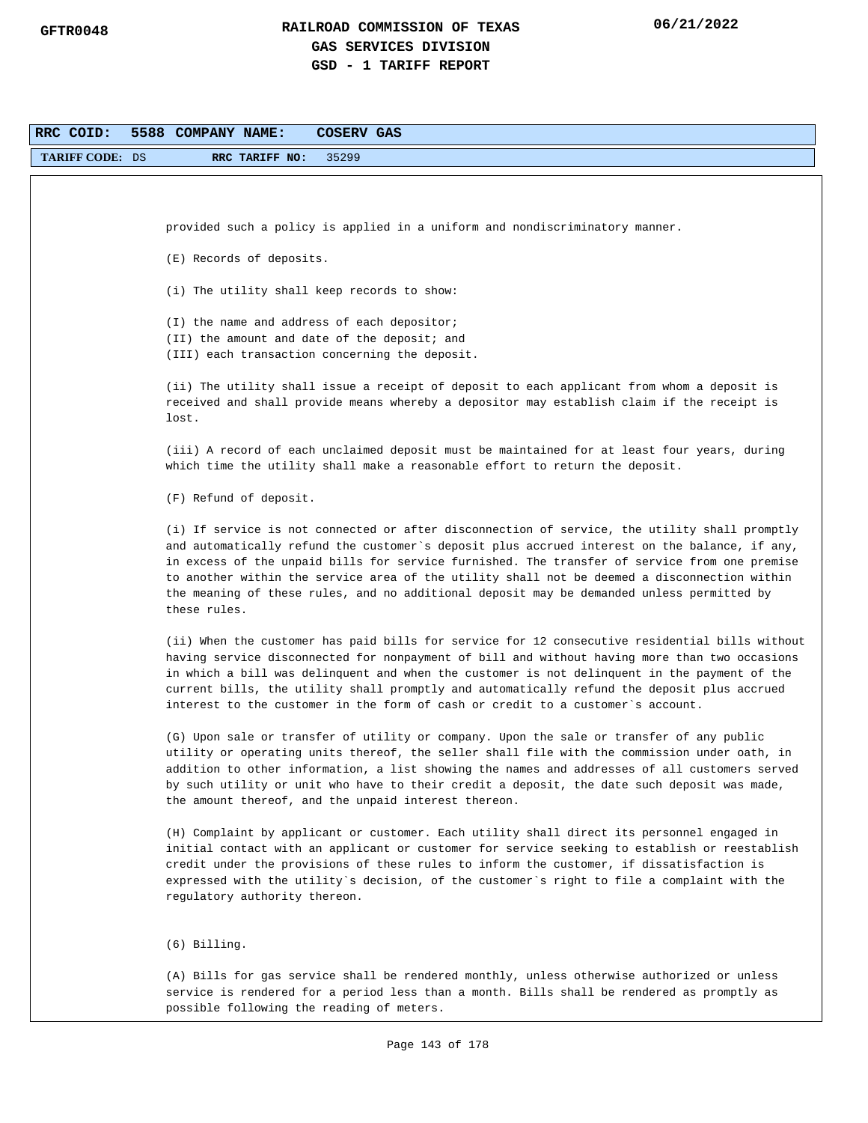| RRC COID:              | 5588 COMPANY NAME:<br>COSERV GAS                                                                                                                                                               |
|------------------------|------------------------------------------------------------------------------------------------------------------------------------------------------------------------------------------------|
| <b>TARIFF CODE: DS</b> | 35299<br>RRC TARIFF NO:                                                                                                                                                                        |
|                        |                                                                                                                                                                                                |
|                        |                                                                                                                                                                                                |
|                        | provided such a policy is applied in a uniform and nondiscriminatory manner.                                                                                                                   |
|                        | (E) Records of deposits.                                                                                                                                                                       |
|                        |                                                                                                                                                                                                |
|                        | (i) The utility shall keep records to show:                                                                                                                                                    |
|                        | (I) the name and address of each depositor;                                                                                                                                                    |
|                        | (II) the amount and date of the deposit; and<br>(III) each transaction concerning the deposit.                                                                                                 |
|                        |                                                                                                                                                                                                |
|                        | (ii) The utility shall issue a receipt of deposit to each applicant from whom a deposit is<br>received and shall provide means whereby a depositor may establish claim if the receipt is       |
|                        | lost.                                                                                                                                                                                          |
|                        |                                                                                                                                                                                                |
|                        | (iii) A record of each unclaimed deposit must be maintained for at least four years, during<br>which time the utility shall make a reasonable effort to return the deposit.                    |
|                        |                                                                                                                                                                                                |
|                        | (F) Refund of deposit.                                                                                                                                                                         |
|                        | (i) If service is not connected or after disconnection of service, the utility shall promptly                                                                                                  |
|                        | and automatically refund the customer`s deposit plus accrued interest on the balance, if any,<br>in excess of the unpaid bills for service furnished. The transfer of service from one premise |
|                        | to another within the service area of the utility shall not be deemed a disconnection within                                                                                                   |
|                        | the meaning of these rules, and no additional deposit may be demanded unless permitted by<br>these rules.                                                                                      |
|                        |                                                                                                                                                                                                |
|                        | (ii) When the customer has paid bills for service for 12 consecutive residential bills without                                                                                                 |
|                        | having service disconnected for nonpayment of bill and without having more than two occasions<br>in which a bill was delinquent and when the customer is not delinquent in the payment of the  |
|                        | current bills, the utility shall promptly and automatically refund the deposit plus accrued                                                                                                    |
|                        | interest to the customer in the form of cash or credit to a customer's account.                                                                                                                |
|                        | (G) Upon sale or transfer of utility or company. Upon the sale or transfer of any public                                                                                                       |
|                        | utility or operating units thereof, the seller shall file with the commission under oath, in<br>addition to other information, a list showing the names and addresses of all customers served  |
|                        | by such utility or unit who have to their credit a deposit, the date such deposit was made,                                                                                                    |
|                        | the amount thereof, and the unpaid interest thereon.                                                                                                                                           |
|                        | (H) Complaint by applicant or customer. Each utility shall direct its personnel engaged in                                                                                                     |
|                        | initial contact with an applicant or customer for service seeking to establish or reestablish                                                                                                  |
|                        | credit under the provisions of these rules to inform the customer, if dissatisfaction is<br>expressed with the utility`s decision, of the customer`s right to file a complaint with the        |
|                        | regulatory authority thereon.                                                                                                                                                                  |
|                        |                                                                                                                                                                                                |
|                        | $(6)$ Billing.                                                                                                                                                                                 |
|                        | (A) Bills for gas service shall be rendered monthly, unless otherwise authorized or unless                                                                                                     |
|                        | service is rendered for a period less than a month. Bills shall be rendered as promptly as                                                                                                     |
|                        | possible following the reading of meters.                                                                                                                                                      |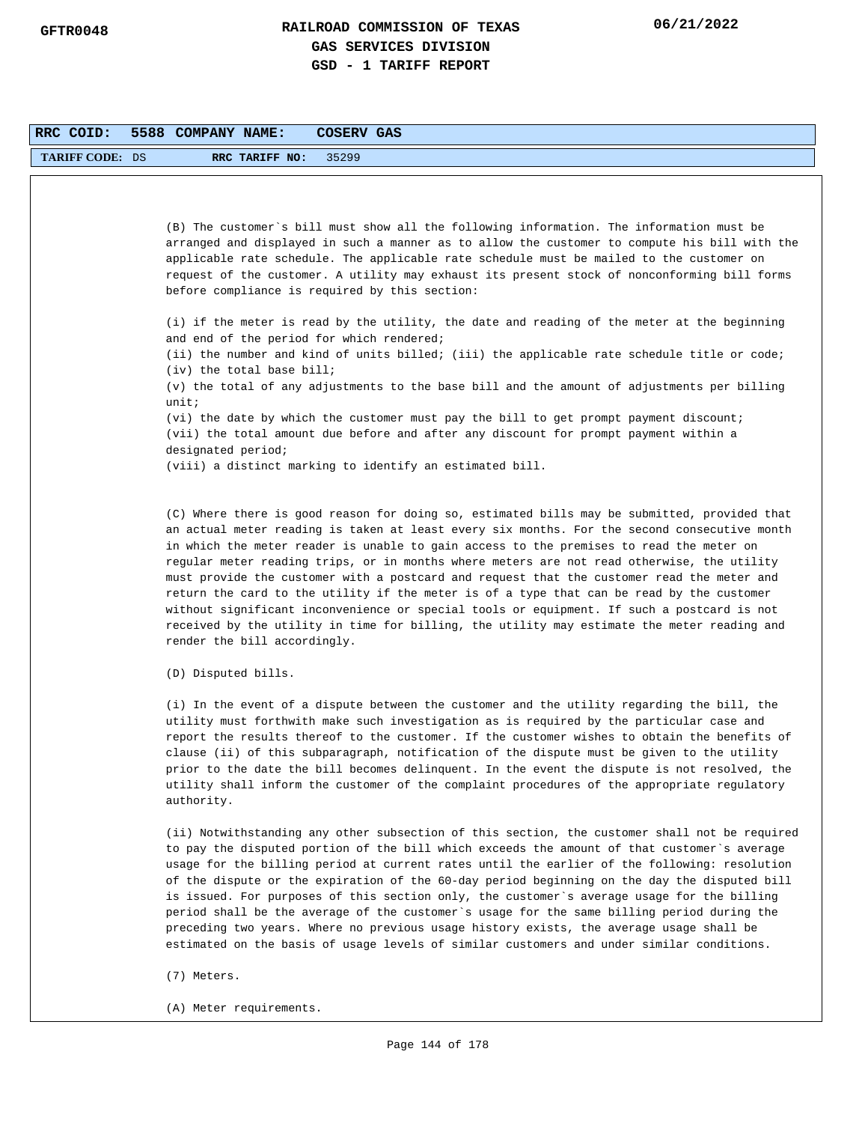| RRC COID:       | 5588 COMPANY NAME:<br><b>COSERV GAS</b>                                                                                                                                                                                                                                                                                                                                                                                                                                                                                                                                                                                                                                                                                                                                                                       |
|-----------------|---------------------------------------------------------------------------------------------------------------------------------------------------------------------------------------------------------------------------------------------------------------------------------------------------------------------------------------------------------------------------------------------------------------------------------------------------------------------------------------------------------------------------------------------------------------------------------------------------------------------------------------------------------------------------------------------------------------------------------------------------------------------------------------------------------------|
| TARIFF CODE: DS | 35299<br>RRC TARIFF NO:                                                                                                                                                                                                                                                                                                                                                                                                                                                                                                                                                                                                                                                                                                                                                                                       |
|                 |                                                                                                                                                                                                                                                                                                                                                                                                                                                                                                                                                                                                                                                                                                                                                                                                               |
|                 | (B) The customer's bill must show all the following information. The information must be<br>arranged and displayed in such a manner as to allow the customer to compute his bill with the<br>applicable rate schedule. The applicable rate schedule must be mailed to the customer on<br>request of the customer. A utility may exhaust its present stock of nonconforming bill forms<br>before compliance is required by this section:                                                                                                                                                                                                                                                                                                                                                                       |
|                 | (i) if the meter is read by the utility, the date and reading of the meter at the beginning<br>and end of the period for which rendered;                                                                                                                                                                                                                                                                                                                                                                                                                                                                                                                                                                                                                                                                      |
|                 | (ii) the number and kind of units billed; (iii) the applicable rate schedule title or code;<br>(iv) the total base bill;                                                                                                                                                                                                                                                                                                                                                                                                                                                                                                                                                                                                                                                                                      |
|                 | (v) the total of any adjustments to the base bill and the amount of adjustments per billing<br>unit:                                                                                                                                                                                                                                                                                                                                                                                                                                                                                                                                                                                                                                                                                                          |
|                 | (vi) the date by which the customer must pay the bill to get prompt payment discount;<br>(vii) the total amount due before and after any discount for prompt payment within a<br>designated period;                                                                                                                                                                                                                                                                                                                                                                                                                                                                                                                                                                                                           |
|                 | (viii) a distinct marking to identify an estimated bill.                                                                                                                                                                                                                                                                                                                                                                                                                                                                                                                                                                                                                                                                                                                                                      |
|                 | (C) Where there is good reason for doing so, estimated bills may be submitted, provided that<br>an actual meter reading is taken at least every six months. For the second consecutive month<br>in which the meter reader is unable to gain access to the premises to read the meter on<br>regular meter reading trips, or in months where meters are not read otherwise, the utility<br>must provide the customer with a postcard and request that the customer read the meter and<br>return the card to the utility if the meter is of a type that can be read by the customer<br>without significant inconvenience or special tools or equipment. If such a postcard is not<br>received by the utility in time for billing, the utility may estimate the meter reading and<br>render the bill accordingly. |
|                 | (D) Disputed bills.                                                                                                                                                                                                                                                                                                                                                                                                                                                                                                                                                                                                                                                                                                                                                                                           |
|                 | (i) In the event of a dispute between the customer and the utility regarding the bill, the<br>utility must forthwith make such investigation as is required by the particular case and<br>report the results thereof to the customer. If the customer wishes to obtain the benefits of<br>clause (ii) of this subparagraph, notification of the dispute must be given to the utility<br>prior to the date the bill becomes delinquent. In the event the dispute is not resolved, the<br>utility shall inform the customer of the complaint procedures of the appropriate regulatory                                                                                                                                                                                                                           |

(ii) Notwithstanding any other subsection of this section, the customer shall not be required to pay the disputed portion of the bill which exceeds the amount of that customer`s average usage for the billing period at current rates until the earlier of the following: resolution of the dispute or the expiration of the 60-day period beginning on the day the disputed bill is issued. For purposes of this section only, the customer`s average usage for the billing period shall be the average of the customer`s usage for the same billing period during the preceding two years. Where no previous usage history exists, the average usage shall be estimated on the basis of usage levels of similar customers and under similar conditions.

(7) Meters.

authority.

(A) Meter requirements.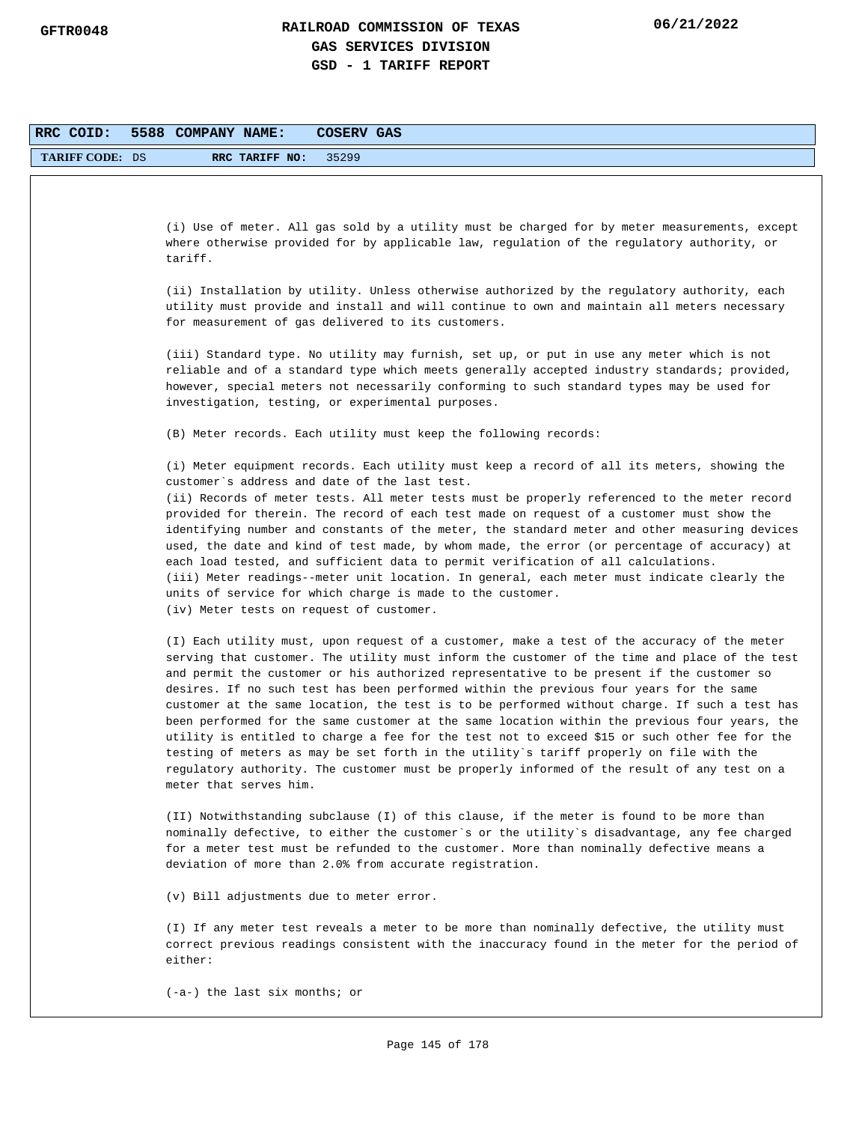| RRC COID:              | 5588 COMPANY NAME:<br>COSERV GAS                                                                                                                                                                                                                                                                                                                                                                                                                                                                                                                                                                                                                                                                                                                                                                                                                                                                            |
|------------------------|-------------------------------------------------------------------------------------------------------------------------------------------------------------------------------------------------------------------------------------------------------------------------------------------------------------------------------------------------------------------------------------------------------------------------------------------------------------------------------------------------------------------------------------------------------------------------------------------------------------------------------------------------------------------------------------------------------------------------------------------------------------------------------------------------------------------------------------------------------------------------------------------------------------|
| <b>TARIFF CODE: DS</b> | RRC TARIFF NO:<br>35299                                                                                                                                                                                                                                                                                                                                                                                                                                                                                                                                                                                                                                                                                                                                                                                                                                                                                     |
|                        |                                                                                                                                                                                                                                                                                                                                                                                                                                                                                                                                                                                                                                                                                                                                                                                                                                                                                                             |
|                        |                                                                                                                                                                                                                                                                                                                                                                                                                                                                                                                                                                                                                                                                                                                                                                                                                                                                                                             |
|                        | (i) Use of meter. All gas sold by a utility must be charged for by meter measurements, except<br>where otherwise provided for by applicable law, regulation of the regulatory authority, or<br>tariff.                                                                                                                                                                                                                                                                                                                                                                                                                                                                                                                                                                                                                                                                                                      |
|                        | (ii) Installation by utility. Unless otherwise authorized by the regulatory authority, each<br>utility must provide and install and will continue to own and maintain all meters necessary<br>for measurement of gas delivered to its customers.                                                                                                                                                                                                                                                                                                                                                                                                                                                                                                                                                                                                                                                            |
|                        | (iii) Standard type. No utility may furnish, set up, or put in use any meter which is not<br>reliable and of a standard type which meets generally accepted industry standards; provided,<br>however, special meters not necessarily conforming to such standard types may be used for<br>investigation, testing, or experimental purposes.                                                                                                                                                                                                                                                                                                                                                                                                                                                                                                                                                                 |
|                        | (B) Meter records. Each utility must keep the following records:                                                                                                                                                                                                                                                                                                                                                                                                                                                                                                                                                                                                                                                                                                                                                                                                                                            |
|                        | (i) Meter equipment records. Each utility must keep a record of all its meters, showing the<br>customer's address and date of the last test.<br>(ii) Records of meter tests. All meter tests must be properly referenced to the meter record                                                                                                                                                                                                                                                                                                                                                                                                                                                                                                                                                                                                                                                                |
|                        | provided for therein. The record of each test made on request of a customer must show the<br>identifying number and constants of the meter, the standard meter and other measuring devices<br>used, the date and kind of test made, by whom made, the error (or percentage of accuracy) at<br>each load tested, and sufficient data to permit verification of all calculations.<br>(iii) Meter readings--meter unit location. In general, each meter must indicate clearly the<br>units of service for which charge is made to the customer.<br>(iv) Meter tests on request of customer.                                                                                                                                                                                                                                                                                                                    |
|                        | (I) Each utility must, upon request of a customer, make a test of the accuracy of the meter<br>serving that customer. The utility must inform the customer of the time and place of the test<br>and permit the customer or his authorized representative to be present if the customer so<br>desires. If no such test has been performed within the previous four years for the same<br>customer at the same location, the test is to be performed without charge. If such a test has<br>been performed for the same customer at the same location within the previous four years, the<br>utility is entitled to charge a fee for the test not to exceed \$15 or such other fee for the<br>testing of meters as may be set forth in the utility's tariff properly on file with the<br>regulatory authority. The customer must be properly informed of the result of any test on a<br>meter that serves him. |
|                        | (II) Notwithstanding subclause (I) of this clause, if the meter is found to be more than<br>nominally defective, to either the customer's or the utility's disadvantage, any fee charged<br>for a meter test must be refunded to the customer. More than nominally defective means a<br>deviation of more than 2.0% from accurate registration.                                                                                                                                                                                                                                                                                                                                                                                                                                                                                                                                                             |
|                        | (v) Bill adjustments due to meter error.                                                                                                                                                                                                                                                                                                                                                                                                                                                                                                                                                                                                                                                                                                                                                                                                                                                                    |
|                        | (I) If any meter test reveals a meter to be more than nominally defective, the utility must<br>correct previous readings consistent with the inaccuracy found in the meter for the period of<br>either:                                                                                                                                                                                                                                                                                                                                                                                                                                                                                                                                                                                                                                                                                                     |
|                        | $(-a-)$ the last six months; or                                                                                                                                                                                                                                                                                                                                                                                                                                                                                                                                                                                                                                                                                                                                                                                                                                                                             |
|                        |                                                                                                                                                                                                                                                                                                                                                                                                                                                                                                                                                                                                                                                                                                                                                                                                                                                                                                             |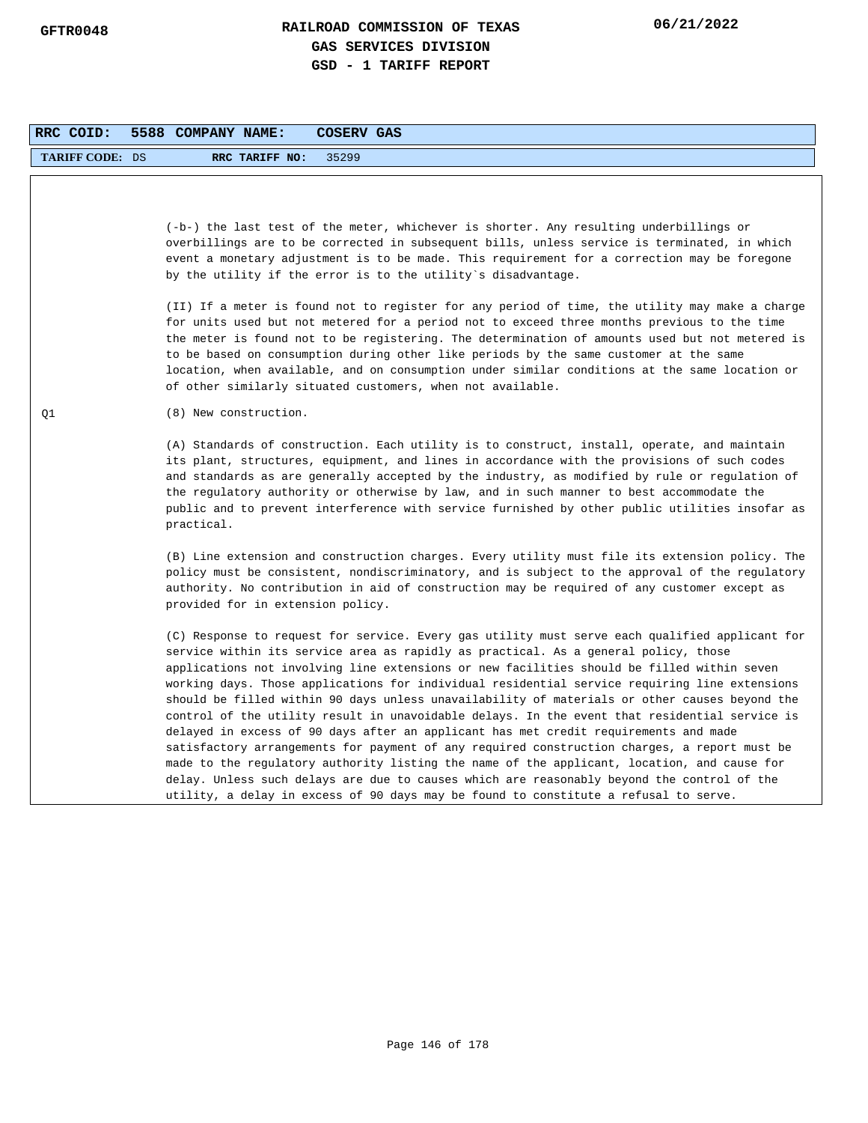| RRC COID:              | 5588 COMPANY NAME:<br>COSERV GAS                                                                                                                                                                                                                                                                                                                                                                                                                                                                                                                                                                                                                                                                                                                                                                                                                                                                                                                                                                                                                                    |
|------------------------|---------------------------------------------------------------------------------------------------------------------------------------------------------------------------------------------------------------------------------------------------------------------------------------------------------------------------------------------------------------------------------------------------------------------------------------------------------------------------------------------------------------------------------------------------------------------------------------------------------------------------------------------------------------------------------------------------------------------------------------------------------------------------------------------------------------------------------------------------------------------------------------------------------------------------------------------------------------------------------------------------------------------------------------------------------------------|
| <b>TARIFF CODE: DS</b> | RRC TARIFF NO:<br>35299                                                                                                                                                                                                                                                                                                                                                                                                                                                                                                                                                                                                                                                                                                                                                                                                                                                                                                                                                                                                                                             |
|                        | (-b-) the last test of the meter, whichever is shorter. Any resulting underbillings or<br>overbillings are to be corrected in subsequent bills, unless service is terminated, in which<br>event a monetary adjustment is to be made. This requirement for a correction may be foregone<br>by the utility if the error is to the utility's disadvantage.                                                                                                                                                                                                                                                                                                                                                                                                                                                                                                                                                                                                                                                                                                             |
|                        | (II) If a meter is found not to register for any period of time, the utility may make a charge<br>for units used but not metered for a period not to exceed three months previous to the time<br>the meter is found not to be registering. The determination of amounts used but not metered is<br>to be based on consumption during other like periods by the same customer at the same<br>location, when available, and on consumption under similar conditions at the same location or<br>of other similarly situated customers, when not available.                                                                                                                                                                                                                                                                                                                                                                                                                                                                                                             |
| Q1                     | (8) New construction.                                                                                                                                                                                                                                                                                                                                                                                                                                                                                                                                                                                                                                                                                                                                                                                                                                                                                                                                                                                                                                               |
|                        | (A) Standards of construction. Each utility is to construct, install, operate, and maintain<br>its plant, structures, equipment, and lines in accordance with the provisions of such codes<br>and standards as are generally accepted by the industry, as modified by rule or regulation of<br>the regulatory authority or otherwise by law, and in such manner to best accommodate the<br>public and to prevent interference with service furnished by other public utilities insofar as<br>practical.                                                                                                                                                                                                                                                                                                                                                                                                                                                                                                                                                             |
|                        | (B) Line extension and construction charges. Every utility must file its extension policy. The<br>policy must be consistent, nondiscriminatory, and is subject to the approval of the regulatory<br>authority. No contribution in aid of construction may be required of any customer except as<br>provided for in extension policy.                                                                                                                                                                                                                                                                                                                                                                                                                                                                                                                                                                                                                                                                                                                                |
|                        | (C) Response to request for service. Every gas utility must serve each qualified applicant for<br>service within its service area as rapidly as practical. As a general policy, those<br>applications not involving line extensions or new facilities should be filled within seven<br>working days. Those applications for individual residential service requiring line extensions<br>should be filled within 90 days unless unavailability of materials or other causes beyond the<br>control of the utility result in unavoidable delays. In the event that residential service is<br>delayed in excess of 90 days after an applicant has met credit requirements and made<br>satisfactory arrangements for payment of any required construction charges, a report must be<br>made to the regulatory authority listing the name of the applicant, location, and cause for<br>delay. Unless such delays are due to causes which are reasonably beyond the control of the<br>utility, a delay in excess of 90 days may be found to constitute a refusal to serve. |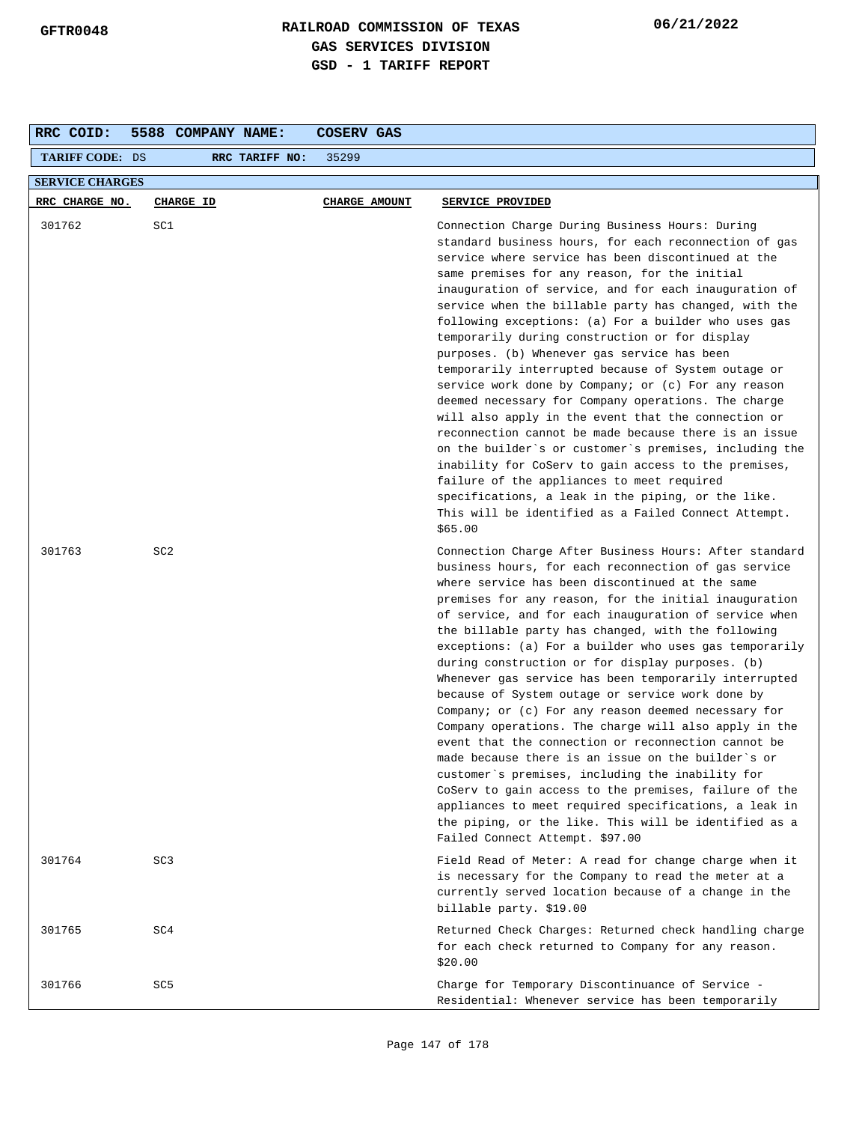| RRC COID:              | 5588 COMPANY NAME: | COSERV GAS    |                                                                                                                                                                                                                                                                                                                                                                                                                                                                                                                                                                                                                                                                                                                                                                                                                                                                                                                                                                                                                                                                          |
|------------------------|--------------------|---------------|--------------------------------------------------------------------------------------------------------------------------------------------------------------------------------------------------------------------------------------------------------------------------------------------------------------------------------------------------------------------------------------------------------------------------------------------------------------------------------------------------------------------------------------------------------------------------------------------------------------------------------------------------------------------------------------------------------------------------------------------------------------------------------------------------------------------------------------------------------------------------------------------------------------------------------------------------------------------------------------------------------------------------------------------------------------------------|
| <b>TARIFF CODE: DS</b> | RRC TARIFF NO:     | 35299         |                                                                                                                                                                                                                                                                                                                                                                                                                                                                                                                                                                                                                                                                                                                                                                                                                                                                                                                                                                                                                                                                          |
| <b>SERVICE CHARGES</b> |                    |               |                                                                                                                                                                                                                                                                                                                                                                                                                                                                                                                                                                                                                                                                                                                                                                                                                                                                                                                                                                                                                                                                          |
| RRC CHARGE NO.         | <b>CHARGE ID</b>   | CHARGE AMOUNT | SERVICE PROVIDED                                                                                                                                                                                                                                                                                                                                                                                                                                                                                                                                                                                                                                                                                                                                                                                                                                                                                                                                                                                                                                                         |
| 301762                 | SC1                |               | Connection Charge During Business Hours: During<br>standard business hours, for each reconnection of gas<br>service where service has been discontinued at the<br>same premises for any reason, for the initial<br>inauguration of service, and for each inauguration of<br>service when the billable party has changed, with the<br>following exceptions: (a) For a builder who uses gas<br>temporarily during construction or for display<br>purposes. (b) Whenever gas service has been<br>temporarily interrupted because of System outage or<br>service work done by Company; or (c) For any reason<br>deemed necessary for Company operations. The charge<br>will also apply in the event that the connection or<br>reconnection cannot be made because there is an issue<br>on the builder's or customer's premises, including the<br>inability for CoServ to gain access to the premises,<br>failure of the appliances to meet required<br>specifications, a leak in the piping, or the like.<br>This will be identified as a Failed Connect Attempt.<br>\$65.00 |
| 301763                 | SC <sub>2</sub>    |               | Connection Charge After Business Hours: After standard<br>business hours, for each reconnection of gas service<br>where service has been discontinued at the same<br>premises for any reason, for the initial inauguration<br>of service, and for each inauguration of service when<br>the billable party has changed, with the following<br>exceptions: (a) For a builder who uses gas temporarily<br>during construction or for display purposes. (b)<br>Whenever gas service has been temporarily interrupted<br>because of System outage or service work done by<br>Company; or $(c)$ For any reason deemed necessary for<br>Company operations. The charge will also apply in the<br>event that the connection or reconnection cannot be<br>made because there is an issue on the builder`s or<br>customer's premises, including the inability for<br>CoServ to gain access to the premises, failure of the<br>appliances to meet required specifications, a leak in<br>the piping, or the like. This will be identified as a<br>Failed Connect Attempt. \$97.00    |
| 301764                 | SC <sub>3</sub>    |               | Field Read of Meter: A read for change charge when it<br>is necessary for the Company to read the meter at a<br>currently served location because of a change in the<br>billable party. \$19.00                                                                                                                                                                                                                                                                                                                                                                                                                                                                                                                                                                                                                                                                                                                                                                                                                                                                          |
| 301765                 | SC4                |               | Returned Check Charges: Returned check handling charge<br>for each check returned to Company for any reason.<br>\$20.00                                                                                                                                                                                                                                                                                                                                                                                                                                                                                                                                                                                                                                                                                                                                                                                                                                                                                                                                                  |
| 301766                 | SC <sub>5</sub>    |               | Charge for Temporary Discontinuance of Service -<br>Residential: Whenever service has been temporarily                                                                                                                                                                                                                                                                                                                                                                                                                                                                                                                                                                                                                                                                                                                                                                                                                                                                                                                                                                   |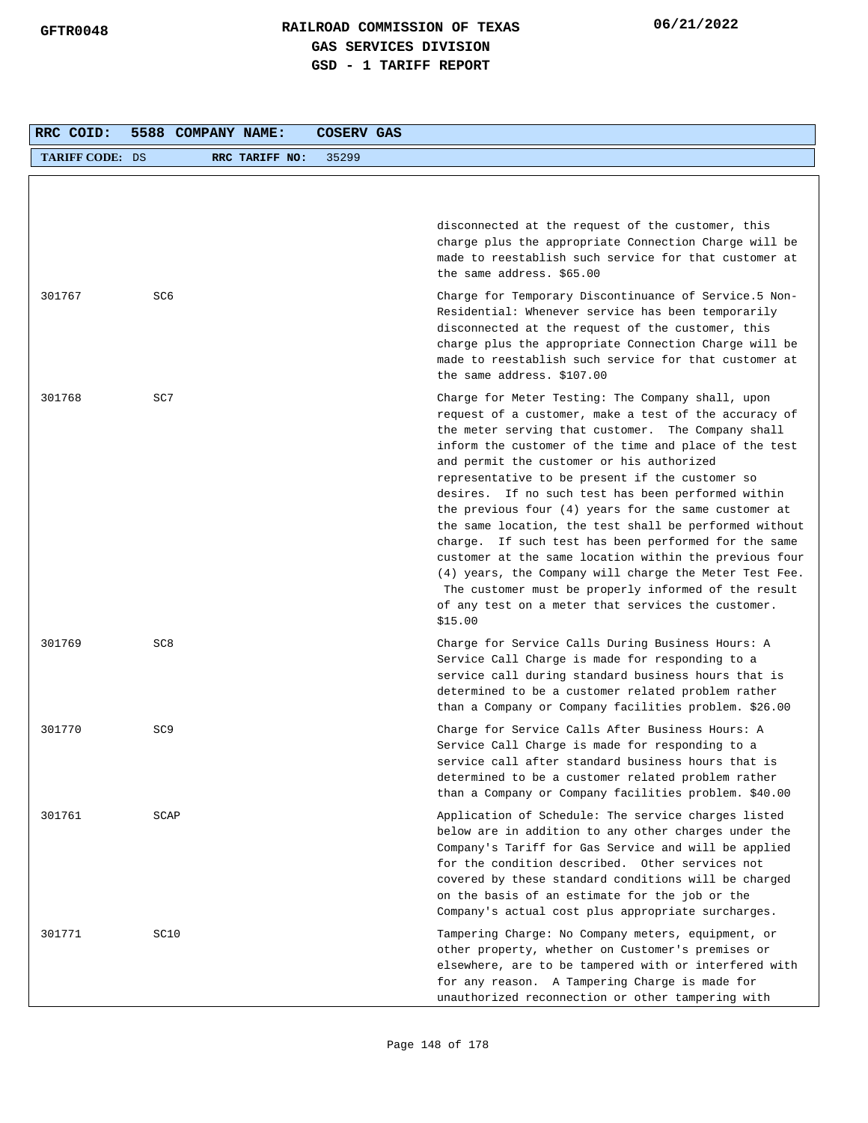| RRC COID:              | 5588 COMPANY NAME: |                         | COSERV GAS                                                                                                                                                                                                                                                                                                                                                                                                                                                                                                                                                                                                                                                                                                                                                                                               |
|------------------------|--------------------|-------------------------|----------------------------------------------------------------------------------------------------------------------------------------------------------------------------------------------------------------------------------------------------------------------------------------------------------------------------------------------------------------------------------------------------------------------------------------------------------------------------------------------------------------------------------------------------------------------------------------------------------------------------------------------------------------------------------------------------------------------------------------------------------------------------------------------------------|
| <b>TARIFF CODE: DS</b> |                    | RRC TARIFF NO:<br>35299 |                                                                                                                                                                                                                                                                                                                                                                                                                                                                                                                                                                                                                                                                                                                                                                                                          |
|                        |                    |                         |                                                                                                                                                                                                                                                                                                                                                                                                                                                                                                                                                                                                                                                                                                                                                                                                          |
|                        |                    |                         | disconnected at the request of the customer, this<br>charge plus the appropriate Connection Charge will be<br>made to reestablish such service for that customer at<br>the same address. \$65.00                                                                                                                                                                                                                                                                                                                                                                                                                                                                                                                                                                                                         |
| 301767                 | SC6                |                         | Charge for Temporary Discontinuance of Service.5 Non-<br>Residential: Whenever service has been temporarily<br>disconnected at the request of the customer, this<br>charge plus the appropriate Connection Charge will be<br>made to reestablish such service for that customer at<br>the same address. \$107.00                                                                                                                                                                                                                                                                                                                                                                                                                                                                                         |
| 301768                 | SC7                |                         | Charge for Meter Testing: The Company shall, upon<br>request of a customer, make a test of the accuracy of<br>the meter serving that customer. The Company shall<br>inform the customer of the time and place of the test<br>and permit the customer or his authorized<br>representative to be present if the customer so<br>desires. If no such test has been performed within<br>the previous four $(4)$ years for the same customer at<br>the same location, the test shall be performed without<br>charge. If such test has been performed for the same<br>customer at the same location within the previous four<br>(4) years, the Company will charge the Meter Test Fee.<br>The customer must be properly informed of the result<br>of any test on a meter that services the customer.<br>\$15.00 |
| 301769                 | SC <sub>8</sub>    |                         | Charge for Service Calls During Business Hours: A<br>Service Call Charge is made for responding to a<br>service call during standard business hours that is<br>determined to be a customer related problem rather<br>than a Company or Company facilities problem. \$26.00                                                                                                                                                                                                                                                                                                                                                                                                                                                                                                                               |
| 301770                 | SC <sub>9</sub>    |                         | Charge for Service Calls After Business Hours: A<br>Service Call Charge is made for responding to a<br>service call after standard business hours that is<br>determined to be a customer related problem rather<br>than a Company or Company facilities problem. \$40.00                                                                                                                                                                                                                                                                                                                                                                                                                                                                                                                                 |
| 301761                 | SCAP               |                         | Application of Schedule: The service charges listed<br>below are in addition to any other charges under the<br>Company's Tariff for Gas Service and will be applied<br>for the condition described. Other services not<br>covered by these standard conditions will be charged<br>on the basis of an estimate for the job or the<br>Company's actual cost plus appropriate surcharges.                                                                                                                                                                                                                                                                                                                                                                                                                   |
| 301771                 | SC10               |                         | Tampering Charge: No Company meters, equipment, or<br>other property, whether on Customer's premises or<br>elsewhere, are to be tampered with or interfered with<br>for any reason. A Tampering Charge is made for<br>unauthorized reconnection or other tampering with                                                                                                                                                                                                                                                                                                                                                                                                                                                                                                                                  |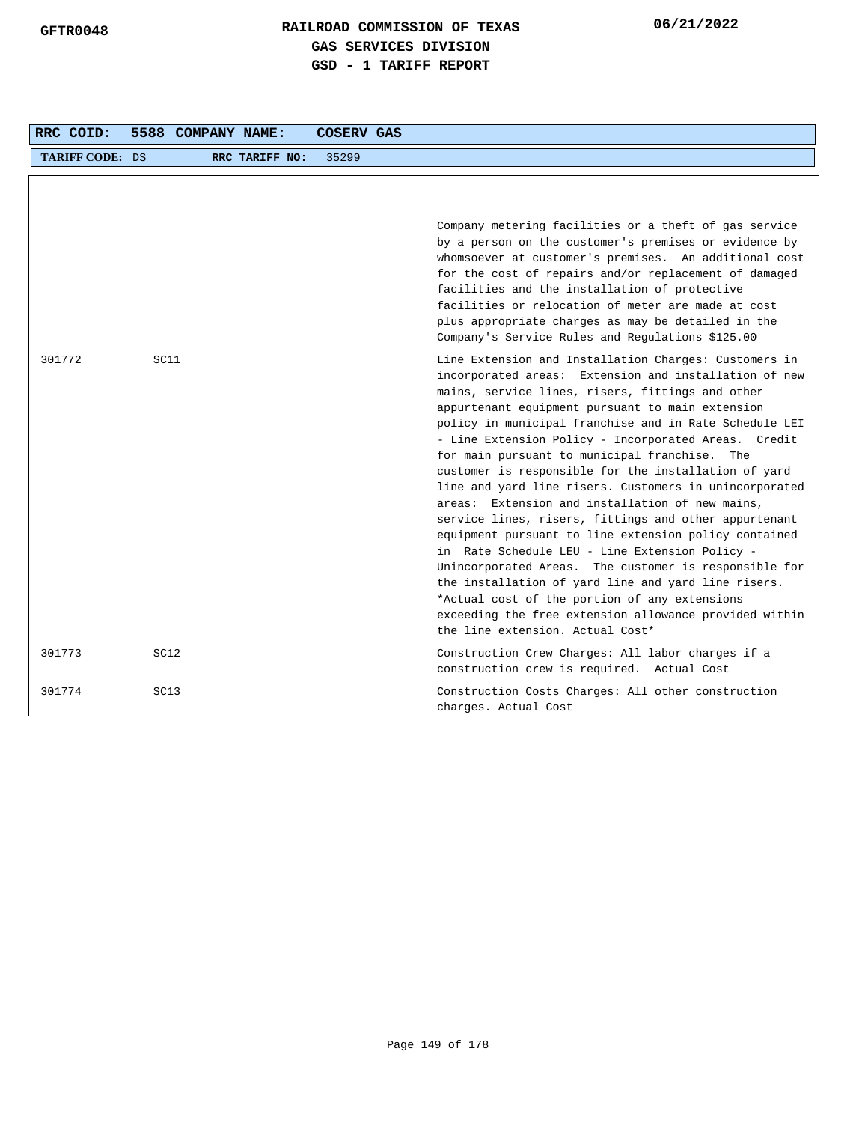| RRC COID:              | 5588 COMPANY NAME: |                | <b>COSERV GAS</b> |                                                                                                                                                                                                                                                                                                                                                                                                                                                                                                                                                                                                                                                                                                                                                                                                                                                                                                                                                                                                   |
|------------------------|--------------------|----------------|-------------------|---------------------------------------------------------------------------------------------------------------------------------------------------------------------------------------------------------------------------------------------------------------------------------------------------------------------------------------------------------------------------------------------------------------------------------------------------------------------------------------------------------------------------------------------------------------------------------------------------------------------------------------------------------------------------------------------------------------------------------------------------------------------------------------------------------------------------------------------------------------------------------------------------------------------------------------------------------------------------------------------------|
| <b>TARIFF CODE: DS</b> |                    | RRC TARIFF NO: | 35299             |                                                                                                                                                                                                                                                                                                                                                                                                                                                                                                                                                                                                                                                                                                                                                                                                                                                                                                                                                                                                   |
|                        |                    |                |                   | Company metering facilities or a theft of gas service<br>by a person on the customer's premises or evidence by<br>whomsoever at customer's premises. An additional cost<br>for the cost of repairs and/or replacement of damaged<br>facilities and the installation of protective<br>facilities or relocation of meter are made at cost<br>plus appropriate charges as may be detailed in the<br>Company's Service Rules and Regulations \$125.00                                                                                                                                                                                                                                                                                                                                                                                                                                                                                                                                                 |
| 301772                 | SC11               |                |                   | Line Extension and Installation Charges: Customers in<br>incorporated areas: Extension and installation of new<br>mains, service lines, risers, fittings and other<br>appurtenant equipment pursuant to main extension<br>policy in municipal franchise and in Rate Schedule LEI<br>- Line Extension Policy - Incorporated Areas. Credit<br>for main pursuant to municipal franchise. The<br>customer is responsible for the installation of yard<br>line and yard line risers. Customers in unincorporated<br>areas: Extension and installation of new mains,<br>service lines, risers, fittings and other appurtenant<br>equipment pursuant to line extension policy contained<br>in Rate Schedule LEU - Line Extension Policy -<br>Unincorporated Areas. The customer is responsible for<br>the installation of yard line and yard line risers.<br>*Actual cost of the portion of any extensions<br>exceeding the free extension allowance provided within<br>the line extension. Actual Cost* |
| 301773                 | SC <sub>12</sub>   |                |                   | Construction Crew Charges: All labor charges if a<br>construction crew is required. Actual Cost                                                                                                                                                                                                                                                                                                                                                                                                                                                                                                                                                                                                                                                                                                                                                                                                                                                                                                   |
| 301774                 | SC13               |                |                   | Construction Costs Charges: All other construction<br>charges. Actual Cost                                                                                                                                                                                                                                                                                                                                                                                                                                                                                                                                                                                                                                                                                                                                                                                                                                                                                                                        |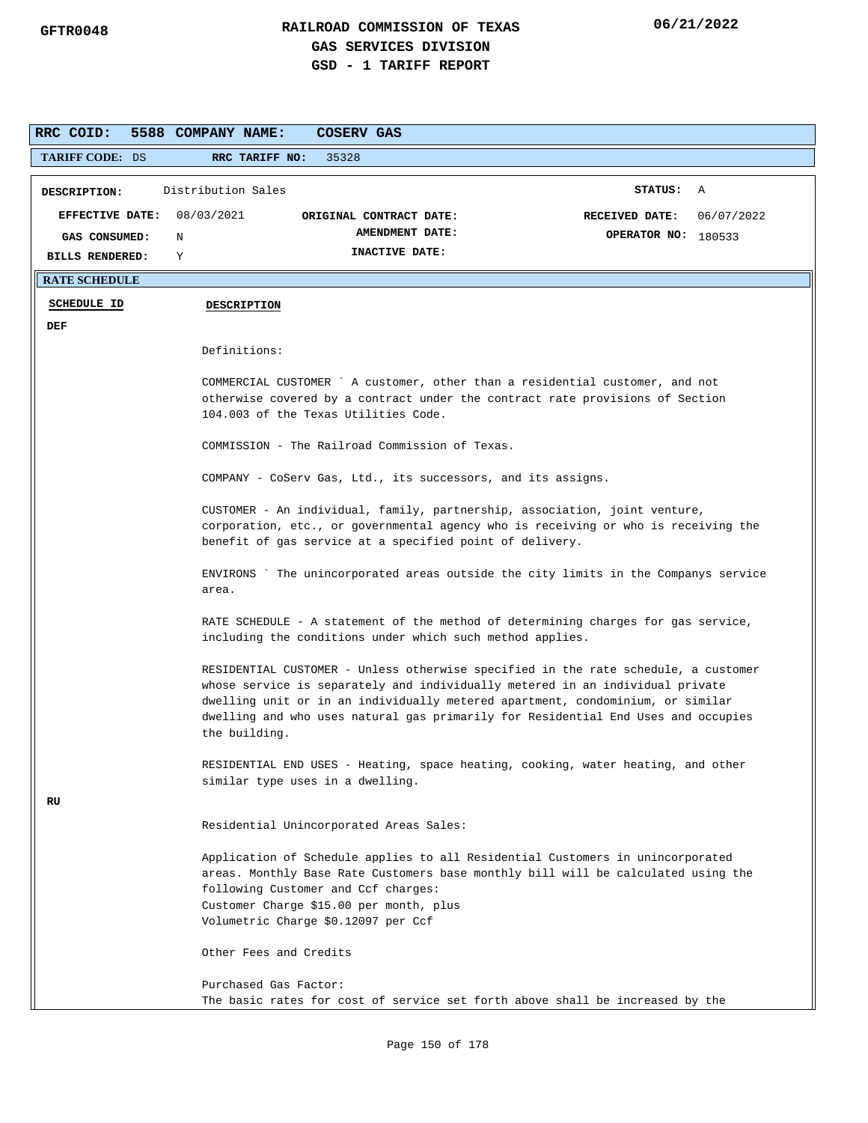| RRC COID:              | 5588 COMPANY NAME:     | COSERV GAS                                                                                                            |                                                                                                                                                                                                                                                                                                                                            |
|------------------------|------------------------|-----------------------------------------------------------------------------------------------------------------------|--------------------------------------------------------------------------------------------------------------------------------------------------------------------------------------------------------------------------------------------------------------------------------------------------------------------------------------------|
| <b>TARIFF CODE: DS</b> | RRC TARIFF NO:         | 35328                                                                                                                 |                                                                                                                                                                                                                                                                                                                                            |
| DESCRIPTION:           | Distribution Sales     |                                                                                                                       | STATUS: A                                                                                                                                                                                                                                                                                                                                  |
| <b>EFFECTIVE DATE:</b> | 08/03/2021             | ORIGINAL CONTRACT DATE:                                                                                               | 06/07/2022<br>RECEIVED DATE:                                                                                                                                                                                                                                                                                                               |
| GAS CONSUMED:          | N                      | AMENDMENT DATE:                                                                                                       | OPERATOR NO: 180533                                                                                                                                                                                                                                                                                                                        |
| <b>BILLS RENDERED:</b> | Υ                      | INACTIVE DATE:                                                                                                        |                                                                                                                                                                                                                                                                                                                                            |
| <b>RATE SCHEDULE</b>   |                        |                                                                                                                       |                                                                                                                                                                                                                                                                                                                                            |
| <b>SCHEDULE ID</b>     | <b>DESCRIPTION</b>     |                                                                                                                       |                                                                                                                                                                                                                                                                                                                                            |
| DEF                    |                        |                                                                                                                       |                                                                                                                                                                                                                                                                                                                                            |
|                        | Definitions:           |                                                                                                                       |                                                                                                                                                                                                                                                                                                                                            |
|                        |                        |                                                                                                                       | COMMERCIAL CUSTOMER `A customer, other than a residential customer, and not                                                                                                                                                                                                                                                                |
|                        |                        |                                                                                                                       | otherwise covered by a contract under the contract rate provisions of Section                                                                                                                                                                                                                                                              |
|                        |                        | 104.003 of the Texas Utilities Code.                                                                                  |                                                                                                                                                                                                                                                                                                                                            |
|                        |                        | COMMISSION - The Railroad Commission of Texas.                                                                        |                                                                                                                                                                                                                                                                                                                                            |
|                        |                        | COMPANY - CoServ Gas, Ltd., its successors, and its assigns.                                                          |                                                                                                                                                                                                                                                                                                                                            |
|                        |                        |                                                                                                                       | CUSTOMER - An individual, family, partnership, association, joint venture,                                                                                                                                                                                                                                                                 |
|                        |                        |                                                                                                                       | corporation, etc., or governmental agency who is receiving or who is receiving the                                                                                                                                                                                                                                                         |
|                        |                        | benefit of gas service at a specified point of delivery.                                                              |                                                                                                                                                                                                                                                                                                                                            |
|                        | area.                  |                                                                                                                       | ENVIRONS `The unincorporated areas outside the city limits in the Companys service                                                                                                                                                                                                                                                         |
|                        |                        | including the conditions under which such method applies.                                                             | RATE SCHEDULE - A statement of the method of determining charges for gas service,                                                                                                                                                                                                                                                          |
|                        | the building.          |                                                                                                                       | RESIDENTIAL CUSTOMER - Unless otherwise specified in the rate schedule, a customer<br>whose service is separately and individually metered in an individual private<br>dwelling unit or in an individually metered apartment, condominium, or similar<br>dwelling and who uses natural gas primarily for Residential End Uses and occupies |
|                        |                        | similar type uses in a dwelling.                                                                                      | RESIDENTIAL END USES - Heating, space heating, cooking, water heating, and other                                                                                                                                                                                                                                                           |
| RU                     |                        | Residential Unincorporated Areas Sales:                                                                               |                                                                                                                                                                                                                                                                                                                                            |
|                        |                        | following Customer and Ccf charges:<br>Customer Charge \$15.00 per month, plus<br>Volumetric Charge \$0.12097 per Ccf | Application of Schedule applies to all Residential Customers in unincorporated<br>areas. Monthly Base Rate Customers base monthly bill will be calculated using the                                                                                                                                                                        |
|                        | Other Fees and Credits |                                                                                                                       |                                                                                                                                                                                                                                                                                                                                            |
|                        | Purchased Gas Factor:  |                                                                                                                       | The basic rates for cost of service set forth above shall be increased by the                                                                                                                                                                                                                                                              |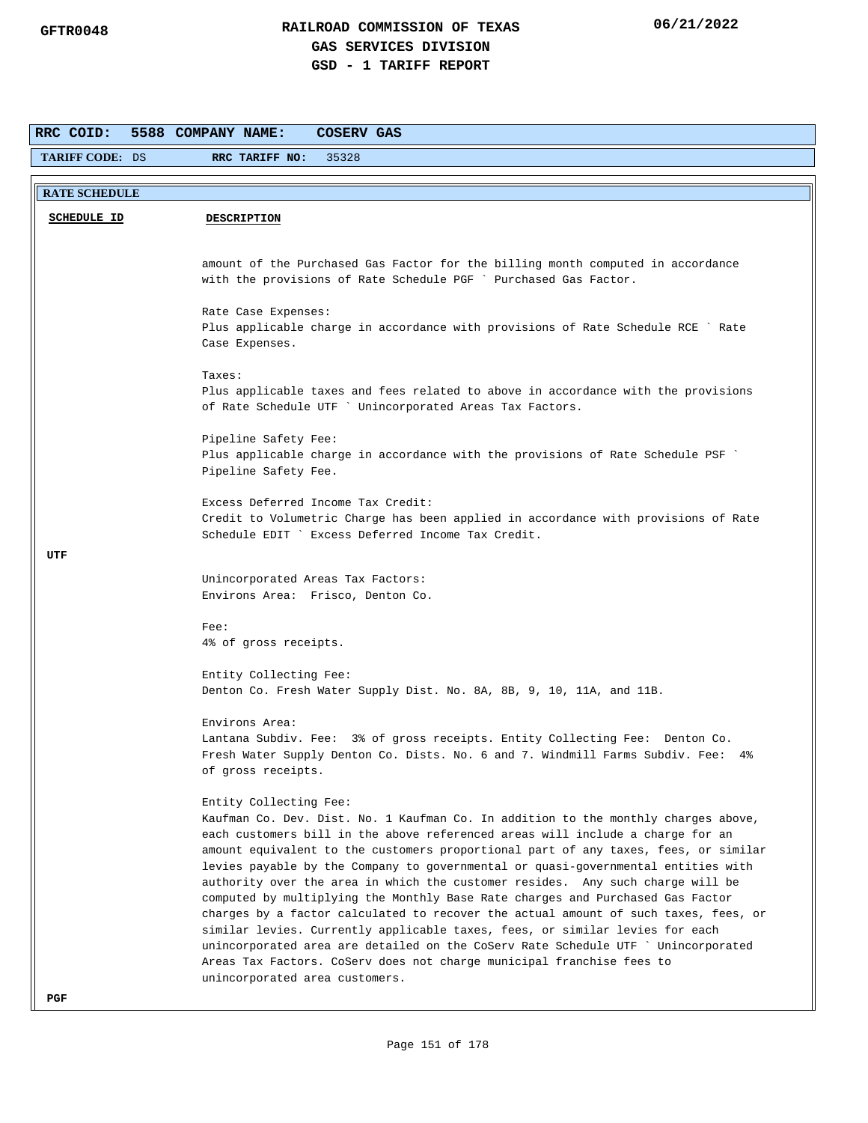| RRC COID:              | 5588 COMPANY NAME:<br>COSERV GAS                                                                                                                                    |
|------------------------|---------------------------------------------------------------------------------------------------------------------------------------------------------------------|
| <b>TARIFF CODE: DS</b> | RRC TARIFF NO:<br>35328                                                                                                                                             |
|                        |                                                                                                                                                                     |
| <b>RATE SCHEDULE</b>   |                                                                                                                                                                     |
| <b>SCHEDULE ID</b>     | <b>DESCRIPTION</b>                                                                                                                                                  |
|                        |                                                                                                                                                                     |
|                        | amount of the Purchased Gas Factor for the billing month computed in accordance                                                                                     |
|                        | with the provisions of Rate Schedule PGF ` Purchased Gas Factor.                                                                                                    |
|                        | Rate Case Expenses:                                                                                                                                                 |
|                        | Plus applicable charge in accordance with provisions of Rate Schedule RCE ` Rate                                                                                    |
|                        | Case Expenses.                                                                                                                                                      |
|                        | Taxes:                                                                                                                                                              |
|                        | Plus applicable taxes and fees related to above in accordance with the provisions                                                                                   |
|                        | of Rate Schedule UTF ` Unincorporated Areas Tax Factors.                                                                                                            |
|                        | Pipeline Safety Fee:                                                                                                                                                |
|                        | Plus applicable charge in accordance with the provisions of Rate Schedule PSF                                                                                       |
|                        | Pipeline Safety Fee.                                                                                                                                                |
|                        | Excess Deferred Income Tax Credit:                                                                                                                                  |
|                        | Credit to Volumetric Charge has been applied in accordance with provisions of Rate                                                                                  |
|                        | Schedule EDIT ` Excess Deferred Income Tax Credit.                                                                                                                  |
| UTF                    |                                                                                                                                                                     |
|                        | Unincorporated Areas Tax Factors:                                                                                                                                   |
|                        | Environs Area: Frisco, Denton Co.                                                                                                                                   |
|                        | $Fee$ :                                                                                                                                                             |
|                        | 4% of gross receipts.                                                                                                                                               |
|                        | Entity Collecting Fee:                                                                                                                                              |
|                        | Denton Co. Fresh Water Supply Dist. No. 8A, 8B, 9, 10, 11A, and 11B.                                                                                                |
|                        | Environs Area:                                                                                                                                                      |
|                        | Lantana Subdiv. Fee: 3% of gross receipts. Entity Collecting Fee: Denton Co.                                                                                        |
|                        | Fresh Water Supply Denton Co. Dists. No. 6 and 7. Windmill Farms Subdiv. Fee: 4%                                                                                    |
|                        | of gross receipts.                                                                                                                                                  |
|                        | Entity Collecting Fee:                                                                                                                                              |
|                        | Kaufman Co. Dev. Dist. No. 1 Kaufman Co. In addition to the monthly charges above,                                                                                  |
|                        | each customers bill in the above referenced areas will include a charge for an                                                                                      |
|                        | amount equivalent to the customers proportional part of any taxes, fees, or similar                                                                                 |
|                        | levies payable by the Company to governmental or quasi-governmental entities with<br>authority over the area in which the customer resides. Any such charge will be |
|                        | computed by multiplying the Monthly Base Rate charges and Purchased Gas Factor                                                                                      |
|                        | charges by a factor calculated to recover the actual amount of such taxes, fees, or                                                                                 |
|                        | similar levies. Currently applicable taxes, fees, or similar levies for each                                                                                        |
|                        | unincorporated area are detailed on the CoServ Rate Schedule UTF ` Unincorporated<br>Areas Tax Factors. CoServ does not charge municipal franchise fees to          |
|                        | unincorporated area customers.                                                                                                                                      |
| PGF                    |                                                                                                                                                                     |
|                        |                                                                                                                                                                     |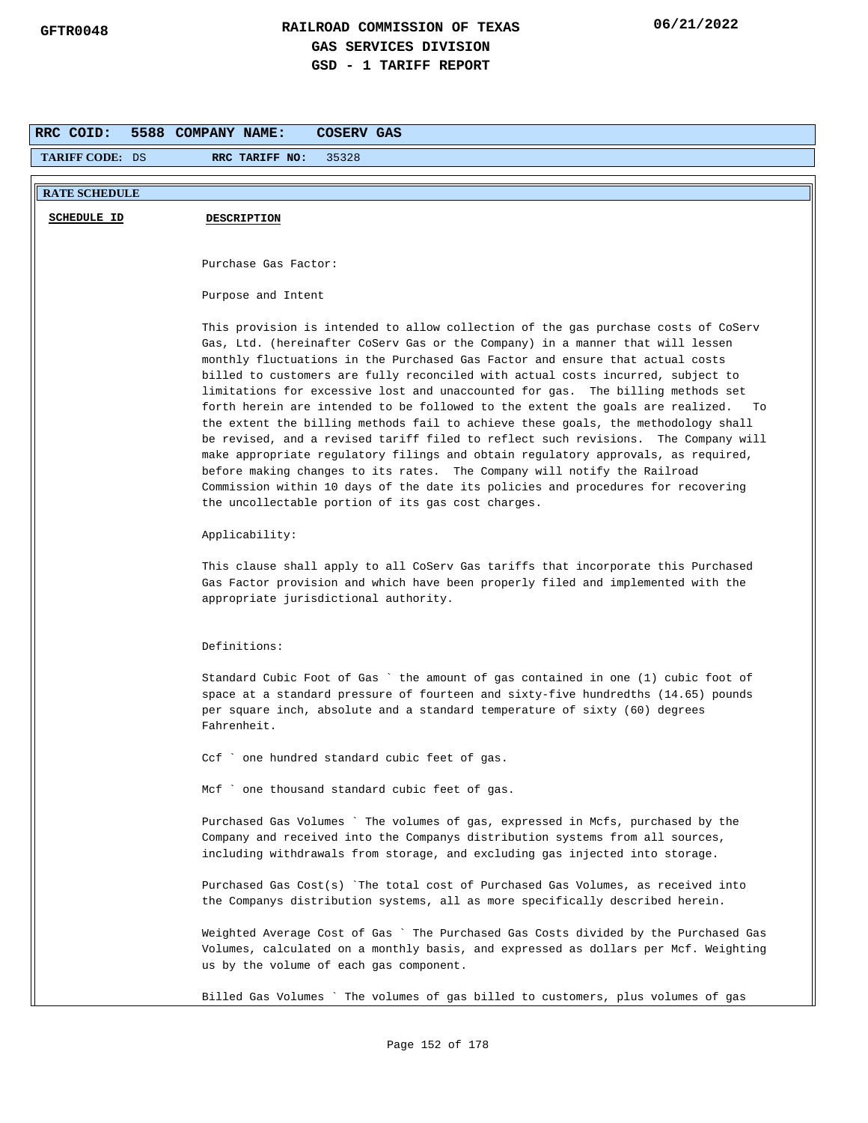| RRC COID:              | 5588 COMPANY NAME:<br>COSERV GAS                                                                                                                                        |
|------------------------|-------------------------------------------------------------------------------------------------------------------------------------------------------------------------|
| <b>TARIFF CODE: DS</b> | RRC TARIFF NO:<br>35328                                                                                                                                                 |
| <b>RATE SCHEDULE</b>   |                                                                                                                                                                         |
|                        |                                                                                                                                                                         |
| SCHEDULE ID            | <b>DESCRIPTION</b>                                                                                                                                                      |
|                        |                                                                                                                                                                         |
|                        | Purchase Gas Factor:                                                                                                                                                    |
|                        | Purpose and Intent                                                                                                                                                      |
|                        |                                                                                                                                                                         |
|                        | This provision is intended to allow collection of the gas purchase costs of CoServ<br>Gas, Ltd. (hereinafter CoServ Gas or the Company) in a manner that will lessen    |
|                        | monthly fluctuations in the Purchased Gas Factor and ensure that actual costs<br>billed to customers are fully reconciled with actual costs incurred, subject to        |
|                        | limitations for excessive lost and unaccounted for gas. The billing methods set                                                                                         |
|                        | forth herein are intended to be followed to the extent the goals are realized.<br>To                                                                                    |
|                        | the extent the billing methods fail to achieve these goals, the methodology shall                                                                                       |
|                        | be revised, and a revised tariff filed to reflect such revisions. The Company will<br>make appropriate regulatory filings and obtain regulatory approvals, as required, |
|                        | before making changes to its rates. The Company will notify the Railroad                                                                                                |
|                        | Commission within 10 days of the date its policies and procedures for recovering                                                                                        |
|                        | the uncollectable portion of its gas cost charges.                                                                                                                      |
|                        | Applicability:                                                                                                                                                          |
|                        | This clause shall apply to all CoServ Gas tariffs that incorporate this Purchased                                                                                       |
|                        | Gas Factor provision and which have been properly filed and implemented with the                                                                                        |
|                        | appropriate jurisdictional authority.                                                                                                                                   |
|                        |                                                                                                                                                                         |
|                        | Definitions:                                                                                                                                                            |
|                        | Standard Cubic Foot of Gas `the amount of gas contained in one (1) cubic foot of                                                                                        |
|                        | space at a standard pressure of fourteen and sixty-five hundredths (14.65) pounds                                                                                       |
|                        | per square inch, absolute and a standard temperature of sixty (60) degrees<br>Fahrenheit.                                                                               |
|                        |                                                                                                                                                                         |
|                        | CCI<br>one hundred standard cubic feet of gas.                                                                                                                          |
|                        | Mcf ` one thousand standard cubic feet of gas.                                                                                                                          |
|                        | Purchased Gas Volumes ` The volumes of gas, expressed in Mcfs, purchased by the                                                                                         |
|                        | Company and received into the Companys distribution systems from all sources,                                                                                           |
|                        | including withdrawals from storage, and excluding gas injected into storage.                                                                                            |
|                        | Purchased Gas Cost(s) `The total cost of Purchased Gas Volumes, as received into<br>the Companys distribution systems, all as more specifically described herein.       |
|                        |                                                                                                                                                                         |
|                        | Weighted Average Cost of Gas ` The Purchased Gas Costs divided by the Purchased Gas                                                                                     |
|                        | Volumes, calculated on a monthly basis, and expressed as dollars per Mcf. Weighting                                                                                     |
|                        | us by the volume of each gas component.                                                                                                                                 |
|                        | Billed Gas Volumes ` The volumes of gas billed to customers, plus volumes of gas                                                                                        |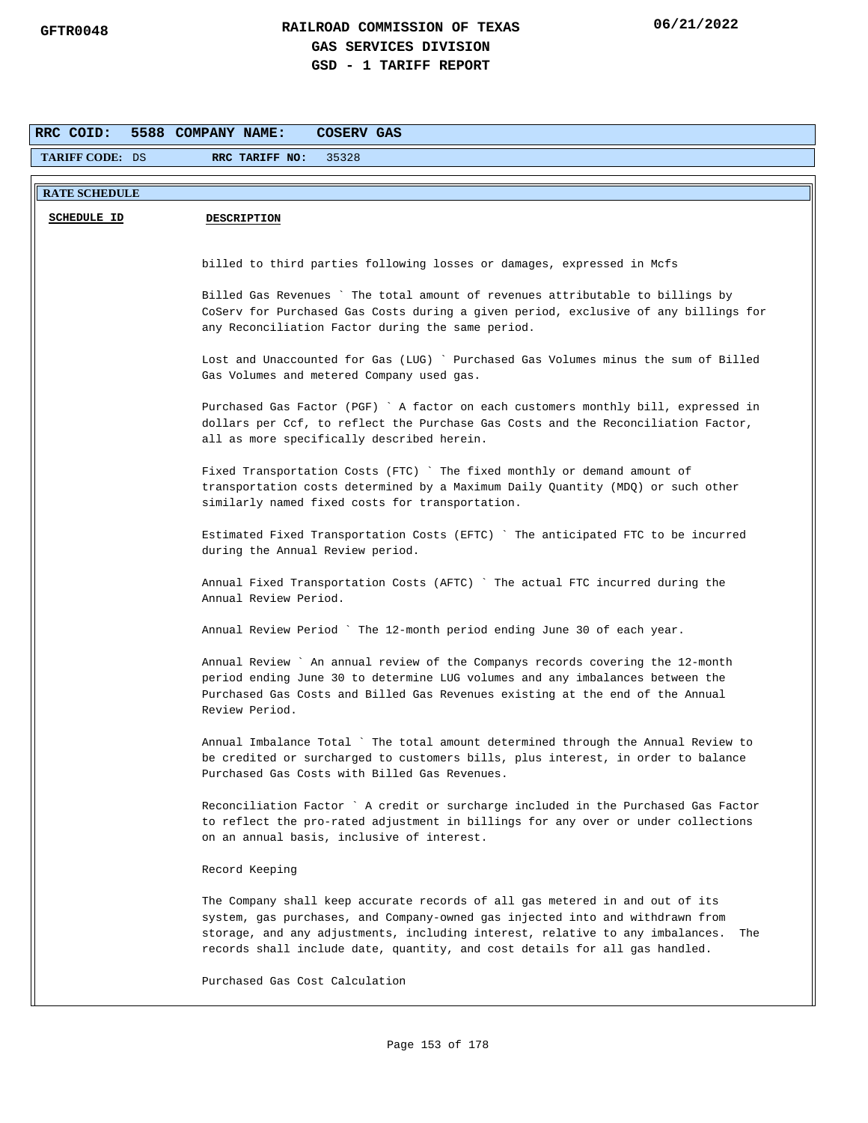| RRC COID:              | 5588 COMPANY NAME:<br>COSERV GAS                                                                                                                                                                                                                                                                                                     |
|------------------------|--------------------------------------------------------------------------------------------------------------------------------------------------------------------------------------------------------------------------------------------------------------------------------------------------------------------------------------|
| <b>TARIFF CODE: DS</b> | 35328<br>RRC TARIFF NO:                                                                                                                                                                                                                                                                                                              |
| <b>RATE SCHEDULE</b>   |                                                                                                                                                                                                                                                                                                                                      |
| <b>SCHEDULE ID</b>     | <b>DESCRIPTION</b>                                                                                                                                                                                                                                                                                                                   |
|                        | billed to third parties following losses or damages, expressed in Mcfs                                                                                                                                                                                                                                                               |
|                        | Billed Gas Revenues ` The total amount of revenues attributable to billings by<br>CoServ for Purchased Gas Costs during a given period, exclusive of any billings for<br>any Reconciliation Factor during the same period.                                                                                                           |
|                        | Lost and Unaccounted for Gas (LUG) ` Purchased Gas Volumes minus the sum of Billed<br>Gas Volumes and metered Company used gas.                                                                                                                                                                                                      |
|                        | Purchased Gas Factor (PGF) ` A factor on each customers monthly bill, expressed in<br>dollars per Ccf, to reflect the Purchase Gas Costs and the Reconciliation Factor,<br>all as more specifically described herein.                                                                                                                |
|                        | Fixed Transportation Costs (FTC) `The fixed monthly or demand amount of<br>transportation costs determined by a Maximum Daily Quantity (MDQ) or such other<br>similarly named fixed costs for transportation.                                                                                                                        |
|                        | Estimated Fixed Transportation Costs (EFTC) `The anticipated FTC to be incurred<br>during the Annual Review period.                                                                                                                                                                                                                  |
|                        | Annual Fixed Transportation Costs (AFTC) `The actual FTC incurred during the<br>Annual Review Period.                                                                                                                                                                                                                                |
|                        | Annual Review Period ` The 12-month period ending June 30 of each year.                                                                                                                                                                                                                                                              |
|                        | Annual Review ` An annual review of the Companys records covering the 12-month<br>period ending June 30 to determine LUG volumes and any imbalances between the<br>Purchased Gas Costs and Billed Gas Revenues existing at the end of the Annual<br>Review Period.                                                                   |
|                        | Annual Imbalance Total ` The total amount determined through the Annual Review to<br>be credited or surcharged to customers bills, plus interest, in order to balance<br>Purchased Gas Costs with Billed Gas Revenues.                                                                                                               |
|                        | Reconciliation Factor ` A credit or surcharge included in the Purchased Gas Factor<br>to reflect the pro-rated adjustment in billings for any over or under collections<br>on an annual basis, inclusive of interest.                                                                                                                |
|                        | Record Keeping                                                                                                                                                                                                                                                                                                                       |
|                        | The Company shall keep accurate records of all gas metered in and out of its<br>system, gas purchases, and Company-owned gas injected into and withdrawn from<br>storage, and any adjustments, including interest, relative to any imbalances.<br>The<br>records shall include date, quantity, and cost details for all gas handled. |
|                        | Purchased Gas Cost Calculation                                                                                                                                                                                                                                                                                                       |
|                        |                                                                                                                                                                                                                                                                                                                                      |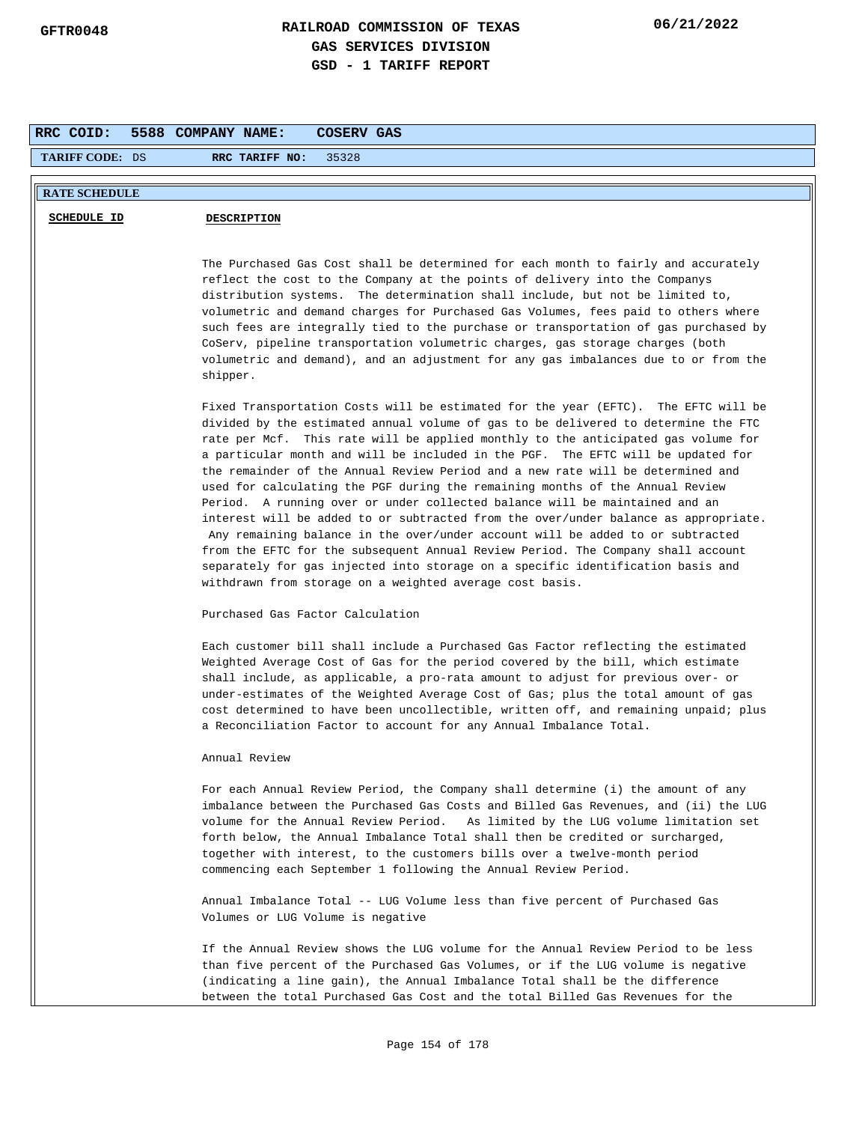| RRC COID:            | 5588 COMPANY NAME:<br><b>COSERV GAS</b>                                                                                                                                                                                                                                                                                                                                                                                                                                                                                                                                                                                                                                                                                                                                                                                                                                                                                                                                                                          |
|----------------------|------------------------------------------------------------------------------------------------------------------------------------------------------------------------------------------------------------------------------------------------------------------------------------------------------------------------------------------------------------------------------------------------------------------------------------------------------------------------------------------------------------------------------------------------------------------------------------------------------------------------------------------------------------------------------------------------------------------------------------------------------------------------------------------------------------------------------------------------------------------------------------------------------------------------------------------------------------------------------------------------------------------|
| TARIFF CODE: DS      | RRC TARIFF NO:<br>35328                                                                                                                                                                                                                                                                                                                                                                                                                                                                                                                                                                                                                                                                                                                                                                                                                                                                                                                                                                                          |
|                      |                                                                                                                                                                                                                                                                                                                                                                                                                                                                                                                                                                                                                                                                                                                                                                                                                                                                                                                                                                                                                  |
| <b>RATE SCHEDULE</b> |                                                                                                                                                                                                                                                                                                                                                                                                                                                                                                                                                                                                                                                                                                                                                                                                                                                                                                                                                                                                                  |
| <b>SCHEDULE ID</b>   | <b>DESCRIPTION</b>                                                                                                                                                                                                                                                                                                                                                                                                                                                                                                                                                                                                                                                                                                                                                                                                                                                                                                                                                                                               |
|                      | The Purchased Gas Cost shall be determined for each month to fairly and accurately<br>reflect the cost to the Company at the points of delivery into the Companys<br>distribution systems. The determination shall include, but not be limited to,<br>volumetric and demand charges for Purchased Gas Volumes, fees paid to others where<br>such fees are integrally tied to the purchase or transportation of gas purchased by<br>CoServ, pipeline transportation volumetric charges, gas storage charges (both<br>volumetric and demand), and an adjustment for any gas imbalances due to or from the<br>shipper.                                                                                                                                                                                                                                                                                                                                                                                              |
|                      | Fixed Transportation Costs will be estimated for the year (EFTC). The EFTC will be<br>divided by the estimated annual volume of gas to be delivered to determine the FTC<br>rate per Mcf. This rate will be applied monthly to the anticipated gas volume for<br>a particular month and will be included in the PGF. The EFTC will be updated for<br>the remainder of the Annual Review Period and a new rate will be determined and<br>used for calculating the PGF during the remaining months of the Annual Review<br>Period. A running over or under collected balance will be maintained and an<br>interest will be added to or subtracted from the over/under balance as appropriate.<br>Any remaining balance in the over/under account will be added to or subtracted<br>from the EFTC for the subsequent Annual Review Period. The Company shall account<br>separately for gas injected into storage on a specific identification basis and<br>withdrawn from storage on a weighted average cost basis. |
|                      | Purchased Gas Factor Calculation                                                                                                                                                                                                                                                                                                                                                                                                                                                                                                                                                                                                                                                                                                                                                                                                                                                                                                                                                                                 |
|                      | Each customer bill shall include a Purchased Gas Factor reflecting the estimated<br>Weighted Average Cost of Gas for the period covered by the bill, which estimate<br>shall include, as applicable, a pro-rata amount to adjust for previous over- or<br>under-estimates of the Weighted Average Cost of Gas; plus the total amount of gas<br>cost determined to have been uncollectible, written off, and remaining unpaid; plus<br>a Reconciliation Factor to account for any Annual Imbalance Total.                                                                                                                                                                                                                                                                                                                                                                                                                                                                                                         |
|                      | Annual Review                                                                                                                                                                                                                                                                                                                                                                                                                                                                                                                                                                                                                                                                                                                                                                                                                                                                                                                                                                                                    |
|                      | For each Annual Review Period, the Company shall determine (i) the amount of any<br>imbalance between the Purchased Gas Costs and Billed Gas Revenues, and (ii) the LUG<br>volume for the Annual Review Period. As limited by the LUG volume limitation set<br>forth below, the Annual Imbalance Total shall then be credited or surcharged,<br>together with interest, to the customers bills over a twelve-month period<br>commencing each September 1 following the Annual Review Period.                                                                                                                                                                                                                                                                                                                                                                                                                                                                                                                     |
|                      | Annual Imbalance Total -- LUG Volume less than five percent of Purchased Gas<br>Volumes or LUG Volume is negative                                                                                                                                                                                                                                                                                                                                                                                                                                                                                                                                                                                                                                                                                                                                                                                                                                                                                                |
|                      | If the Annual Review shows the LUG volume for the Annual Review Period to be less<br>than five percent of the Purchased Gas Volumes, or if the LUG volume is negative<br>(indicating a line gain), the Annual Imbalance Total shall be the difference<br>between the total Purchased Gas Cost and the total Billed Gas Revenues for the                                                                                                                                                                                                                                                                                                                                                                                                                                                                                                                                                                                                                                                                          |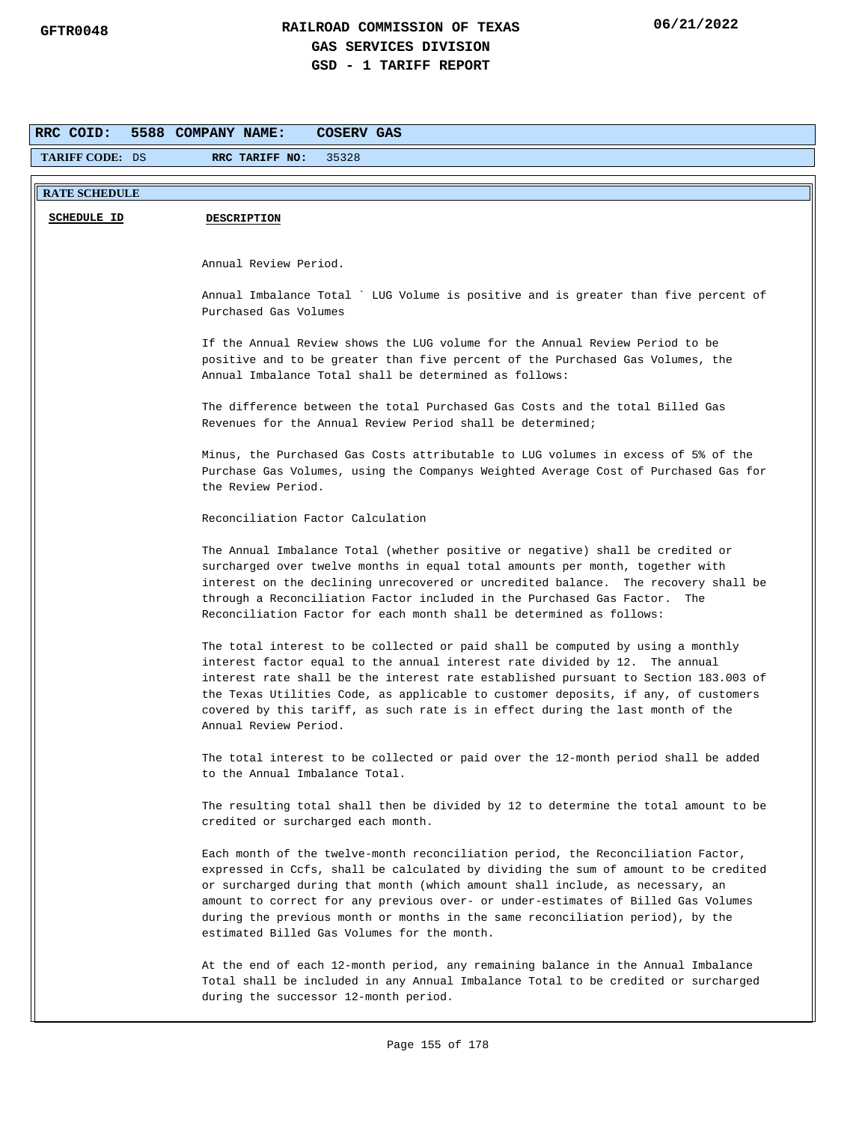| RRC COID:              | 5588 COMPANY NAME:<br>COSERV GAS                                                                                                                                                                                                                                                                                                                                                                                                                                               |
|------------------------|--------------------------------------------------------------------------------------------------------------------------------------------------------------------------------------------------------------------------------------------------------------------------------------------------------------------------------------------------------------------------------------------------------------------------------------------------------------------------------|
| <b>TARIFF CODE: DS</b> | RRC TARIFF NO:<br>35328                                                                                                                                                                                                                                                                                                                                                                                                                                                        |
|                        |                                                                                                                                                                                                                                                                                                                                                                                                                                                                                |
| <b>RATE SCHEDULE</b>   |                                                                                                                                                                                                                                                                                                                                                                                                                                                                                |
| <b>SCHEDULE ID</b>     | <b>DESCRIPTION</b>                                                                                                                                                                                                                                                                                                                                                                                                                                                             |
|                        |                                                                                                                                                                                                                                                                                                                                                                                                                                                                                |
|                        | Annual Review Period.                                                                                                                                                                                                                                                                                                                                                                                                                                                          |
|                        | Annual Imbalance Total ` LUG Volume is positive and is greater than five percent of<br>Purchased Gas Volumes                                                                                                                                                                                                                                                                                                                                                                   |
|                        | If the Annual Review shows the LUG volume for the Annual Review Period to be<br>positive and to be greater than five percent of the Purchased Gas Volumes, the<br>Annual Imbalance Total shall be determined as follows:                                                                                                                                                                                                                                                       |
|                        | The difference between the total Purchased Gas Costs and the total Billed Gas<br>Revenues for the Annual Review Period shall be determined;                                                                                                                                                                                                                                                                                                                                    |
|                        | Minus, the Purchased Gas Costs attributable to LUG volumes in excess of 5% of the<br>Purchase Gas Volumes, using the Companys Weighted Average Cost of Purchased Gas for<br>the Review Period.                                                                                                                                                                                                                                                                                 |
|                        | Reconciliation Factor Calculation                                                                                                                                                                                                                                                                                                                                                                                                                                              |
|                        | The Annual Imbalance Total (whether positive or negative) shall be credited or<br>surcharged over twelve months in equal total amounts per month, together with<br>interest on the declining unrecovered or uncredited balance. The recovery shall be<br>through a Reconciliation Factor included in the Purchased Gas Factor.<br>The<br>Reconciliation Factor for each month shall be determined as follows:                                                                  |
|                        | The total interest to be collected or paid shall be computed by using a monthly<br>interest factor equal to the annual interest rate divided by 12. The annual<br>interest rate shall be the interest rate established pursuant to Section 183.003 of<br>the Texas Utilities Code, as applicable to customer deposits, if any, of customers<br>covered by this tariff, as such rate is in effect during the last month of the<br>Annual Review Period.                         |
|                        | The total interest to be collected or paid over the 12-month period shall be added<br>to the Annual Imbalance Total.                                                                                                                                                                                                                                                                                                                                                           |
|                        | The resulting total shall then be divided by 12 to determine the total amount to be<br>credited or surcharged each month.                                                                                                                                                                                                                                                                                                                                                      |
|                        | Each month of the twelve-month reconciliation period, the Reconciliation Factor,<br>expressed in Ccfs, shall be calculated by dividing the sum of amount to be credited<br>or surcharged during that month (which amount shall include, as necessary, an<br>amount to correct for any previous over- or under-estimates of Billed Gas Volumes<br>during the previous month or months in the same reconciliation period), by the<br>estimated Billed Gas Volumes for the month. |
|                        | At the end of each 12-month period, any remaining balance in the Annual Imbalance<br>Total shall be included in any Annual Imbalance Total to be credited or surcharged<br>during the successor 12-month period.                                                                                                                                                                                                                                                               |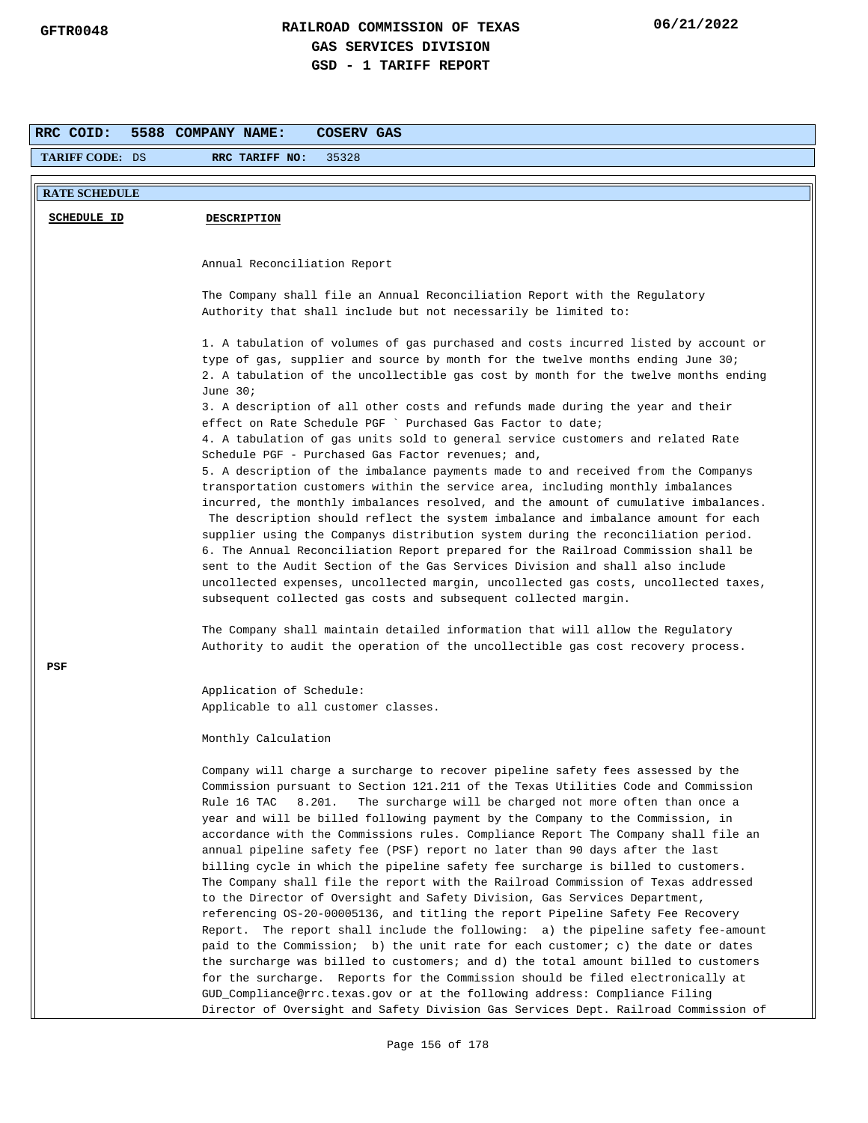| RRC COID:              | 5588 COMPANY NAME:<br>COSERV GAS                                                                                                                                       |
|------------------------|------------------------------------------------------------------------------------------------------------------------------------------------------------------------|
| <b>TARIFF CODE: DS</b> | RRC TARIFF NO:<br>35328                                                                                                                                                |
|                        |                                                                                                                                                                        |
| <b>RATE SCHEDULE</b>   |                                                                                                                                                                        |
| <b>SCHEDULE ID</b>     | <b>DESCRIPTION</b>                                                                                                                                                     |
|                        |                                                                                                                                                                        |
|                        | Annual Reconciliation Report                                                                                                                                           |
|                        |                                                                                                                                                                        |
|                        | The Company shall file an Annual Reconciliation Report with the Regulatory                                                                                             |
|                        | Authority that shall include but not necessarily be limited to:                                                                                                        |
|                        |                                                                                                                                                                        |
|                        | 1. A tabulation of volumes of gas purchased and costs incurred listed by account or<br>type of gas, supplier and source by month for the twelve months ending June 30; |
|                        | 2. A tabulation of the uncollectible gas cost by month for the twelve months ending                                                                                    |
|                        | June $30i$                                                                                                                                                             |
|                        | 3. A description of all other costs and refunds made during the year and their                                                                                         |
|                        | effect on Rate Schedule PGF ` Purchased Gas Factor to date;                                                                                                            |
|                        | 4. A tabulation of gas units sold to general service customers and related Rate                                                                                        |
|                        | Schedule PGF - Purchased Gas Factor revenues; and,                                                                                                                     |
|                        | 5. A description of the imbalance payments made to and received from the Companys                                                                                      |
|                        | transportation customers within the service area, including monthly imbalances                                                                                         |
|                        | incurred, the monthly imbalances resolved, and the amount of cumulative imbalances.                                                                                    |
|                        | The description should reflect the system imbalance and imbalance amount for each                                                                                      |
|                        | supplier using the Companys distribution system during the reconciliation period.                                                                                      |
|                        | 6. The Annual Reconciliation Report prepared for the Railroad Commission shall be<br>sent to the Audit Section of the Gas Services Division and shall also include     |
|                        | uncollected expenses, uncollected margin, uncollected gas costs, uncollected taxes,                                                                                    |
|                        | subsequent collected gas costs and subsequent collected margin.                                                                                                        |
|                        |                                                                                                                                                                        |
|                        | The Company shall maintain detailed information that will allow the Regulatory                                                                                         |
|                        | Authority to audit the operation of the uncollectible gas cost recovery process.                                                                                       |
| PSF                    |                                                                                                                                                                        |
|                        | Application of Schedule:                                                                                                                                               |
|                        | Applicable to all customer classes.                                                                                                                                    |
|                        |                                                                                                                                                                        |
|                        | Monthly Calculation                                                                                                                                                    |
|                        | Company will charge a surcharge to recover pipeline safety fees assessed by the                                                                                        |
|                        | Commission pursuant to Section 121.211 of the Texas Utilities Code and Commission                                                                                      |
|                        | Rule 16 TAC<br>8.201.<br>The surcharge will be charged not more often than once a                                                                                      |
|                        | year and will be billed following payment by the Company to the Commission, in                                                                                         |
|                        | accordance with the Commissions rules. Compliance Report The Company shall file an                                                                                     |
|                        | annual pipeline safety fee (PSF) report no later than 90 days after the last                                                                                           |
|                        | billing cycle in which the pipeline safety fee surcharge is billed to customers.                                                                                       |
|                        | The Company shall file the report with the Railroad Commission of Texas addressed                                                                                      |
|                        | to the Director of Oversight and Safety Division, Gas Services Department,                                                                                             |
|                        | referencing OS-20-00005136, and titling the report Pipeline Safety Fee Recovery<br>Report. The report shall include the following: a) the pipeline safety fee-amount   |
|                        | paid to the Commission; b) the unit rate for each customer; c) the date or dates                                                                                       |
|                        | the surcharge was billed to customers; and d) the total amount billed to customers                                                                                     |
|                        | for the surcharge. Reports for the Commission should be filed electronically at                                                                                        |
|                        | GUD_Compliance@rrc.texas.gov or at the following address: Compliance Filing                                                                                            |
|                        | Director of Oversight and Safety Division Gas Services Dept. Railroad Commission of                                                                                    |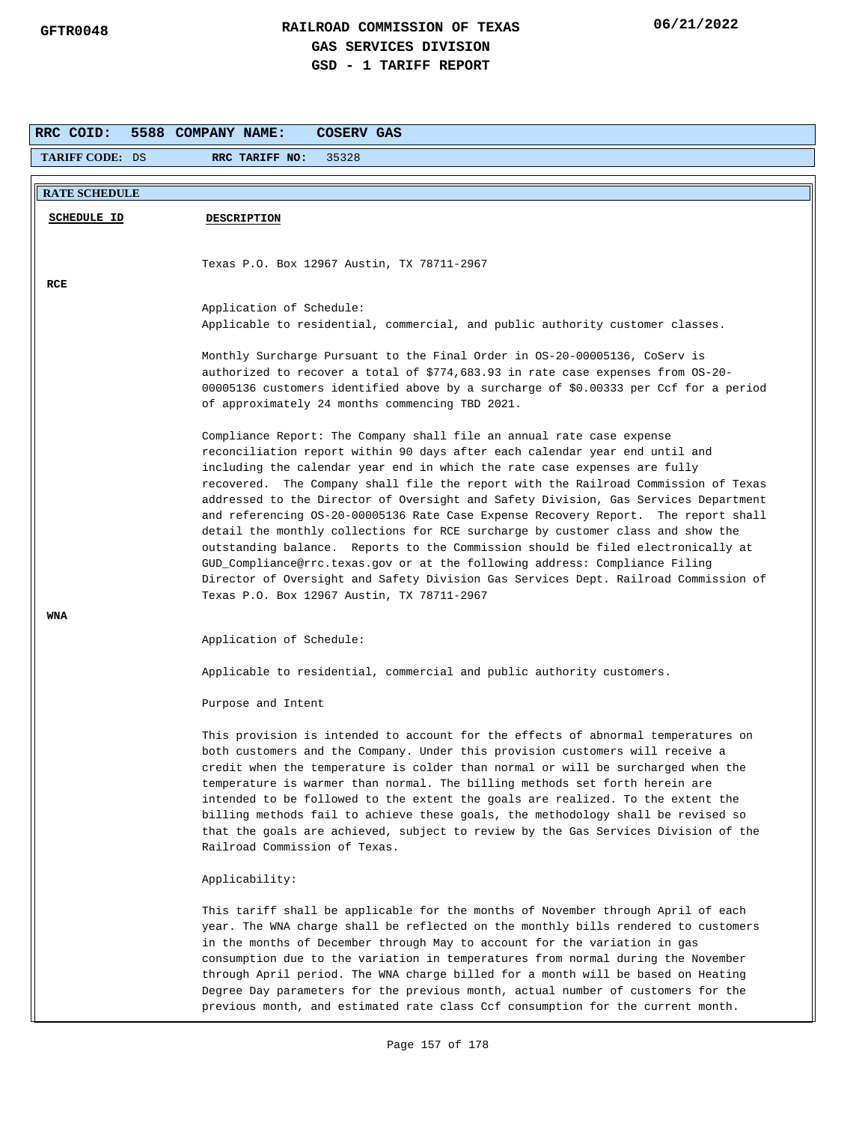| <b>RRC COID:</b>       | 5588 COMPANY NAME:<br>COSERV GAS                                                                                                                                                                                                                                                                                                                                                                                                                                                                                                                                                                                                                                                                                                                                                                                                                                                                |
|------------------------|-------------------------------------------------------------------------------------------------------------------------------------------------------------------------------------------------------------------------------------------------------------------------------------------------------------------------------------------------------------------------------------------------------------------------------------------------------------------------------------------------------------------------------------------------------------------------------------------------------------------------------------------------------------------------------------------------------------------------------------------------------------------------------------------------------------------------------------------------------------------------------------------------|
| <b>TARIFF CODE: DS</b> | RRC TARIFF NO:<br>35328                                                                                                                                                                                                                                                                                                                                                                                                                                                                                                                                                                                                                                                                                                                                                                                                                                                                         |
| <b>RATE SCHEDULE</b>   |                                                                                                                                                                                                                                                                                                                                                                                                                                                                                                                                                                                                                                                                                                                                                                                                                                                                                                 |
| <b>SCHEDULE ID</b>     | <b>DESCRIPTION</b>                                                                                                                                                                                                                                                                                                                                                                                                                                                                                                                                                                                                                                                                                                                                                                                                                                                                              |
| RCE                    | Texas P.O. Box 12967 Austin, TX 78711-2967                                                                                                                                                                                                                                                                                                                                                                                                                                                                                                                                                                                                                                                                                                                                                                                                                                                      |
|                        | Application of Schedule:<br>Applicable to residential, commercial, and public authority customer classes.                                                                                                                                                                                                                                                                                                                                                                                                                                                                                                                                                                                                                                                                                                                                                                                       |
|                        | Monthly Surcharge Pursuant to the Final Order in 0S-20-00005136, CoServ is<br>authorized to recover a total of \$774,683.93 in rate case expenses from OS-20-<br>00005136 customers identified above by a surcharge of \$0.00333 per Ccf for a period<br>of approximately 24 months commencing TBD 2021.                                                                                                                                                                                                                                                                                                                                                                                                                                                                                                                                                                                        |
|                        | Compliance Report: The Company shall file an annual rate case expense<br>reconciliation report within 90 days after each calendar year end until and<br>including the calendar year end in which the rate case expenses are fully<br>recovered. The Company shall file the report with the Railroad Commission of Texas<br>addressed to the Director of Oversight and Safety Division, Gas Services Department<br>and referencing OS-20-00005136 Rate Case Expense Recovery Report. The report shall<br>detail the monthly collections for RCE surcharge by customer class and show the<br>outstanding balance. Reports to the Commission should be filed electronically at<br>GUD_Compliance@rrc.texas.gov or at the following address: Compliance Filing<br>Director of Oversight and Safety Division Gas Services Dept. Railroad Commission of<br>Texas P.O. Box 12967 Austin, TX 78711-2967 |
| WNA                    | Application of Schedule:                                                                                                                                                                                                                                                                                                                                                                                                                                                                                                                                                                                                                                                                                                                                                                                                                                                                        |
|                        | Applicable to residential, commercial and public authority customers.                                                                                                                                                                                                                                                                                                                                                                                                                                                                                                                                                                                                                                                                                                                                                                                                                           |
|                        | Purpose and Intent                                                                                                                                                                                                                                                                                                                                                                                                                                                                                                                                                                                                                                                                                                                                                                                                                                                                              |
|                        | This provision is intended to account for the effects of abnormal temperatures on<br>both customers and the Company. Under this provision customers will receive a<br>credit when the temperature is colder than normal or will be surcharged when the<br>temperature is warmer than normal. The billing methods set forth herein are<br>intended to be followed to the extent the goals are realized. To the extent the<br>billing methods fail to achieve these goals, the methodology shall be revised so<br>that the goals are achieved, subject to review by the Gas Services Division of the<br>Railroad Commission of Texas.                                                                                                                                                                                                                                                             |
|                        | Applicability:                                                                                                                                                                                                                                                                                                                                                                                                                                                                                                                                                                                                                                                                                                                                                                                                                                                                                  |
|                        | This tariff shall be applicable for the months of November through April of each<br>year. The WNA charge shall be reflected on the monthly bills rendered to customers<br>in the months of December through May to account for the variation in gas<br>consumption due to the variation in temperatures from normal during the November<br>through April period. The WNA charge billed for a month will be based on Heating<br>Degree Day parameters for the previous month, actual number of customers for the<br>previous month, and estimated rate class Ccf consumption for the current month.                                                                                                                                                                                                                                                                                              |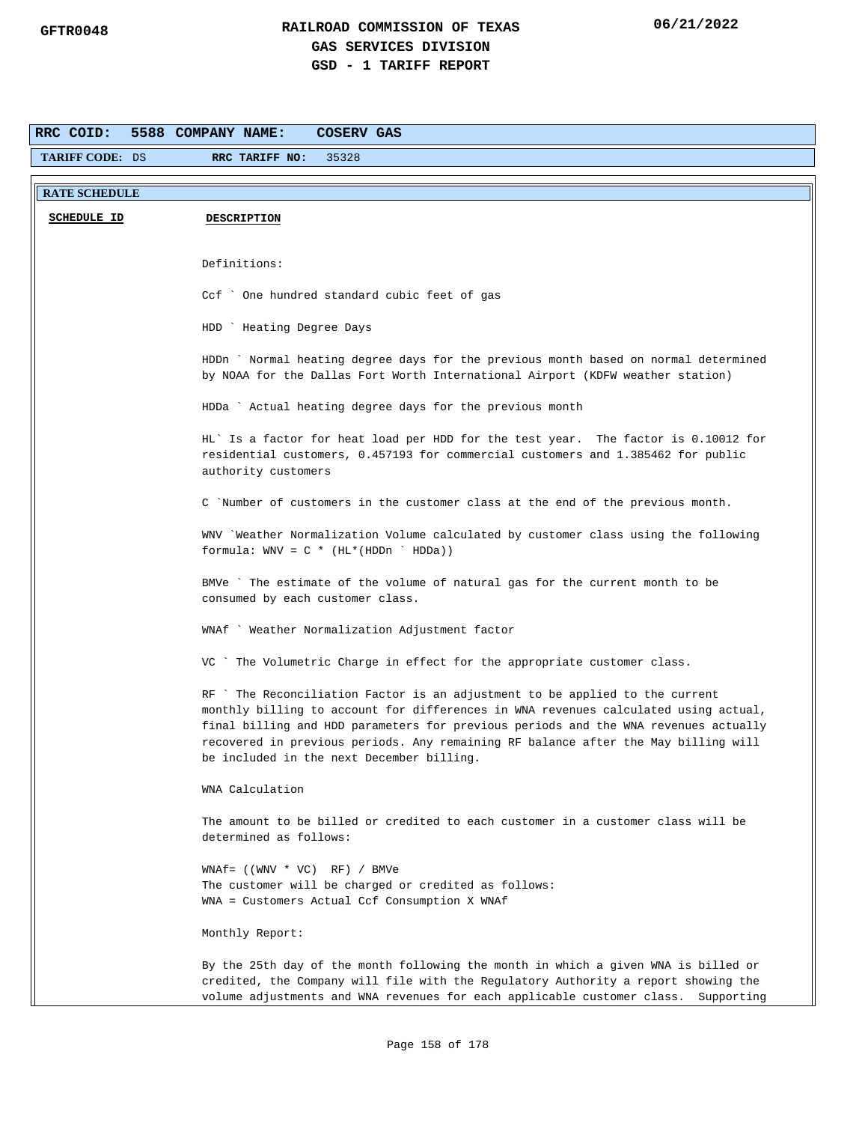| RRC COID:              | 5588 COMPANY NAME:<br><b>COSERV GAS</b>                                                                                                                            |
|------------------------|--------------------------------------------------------------------------------------------------------------------------------------------------------------------|
| <b>TARIFF CODE: DS</b> | 35328<br>RRC TARIFF NO:                                                                                                                                            |
|                        |                                                                                                                                                                    |
| <b>RATE SCHEDULE</b>   |                                                                                                                                                                    |
| <b>SCHEDULE ID</b>     | <b>DESCRIPTION</b>                                                                                                                                                 |
|                        |                                                                                                                                                                    |
|                        | Definitions:                                                                                                                                                       |
|                        |                                                                                                                                                                    |
|                        | Ccf ` One hundred standard cubic feet of gas                                                                                                                       |
|                        |                                                                                                                                                                    |
|                        | HDD ` Heating Degree Days                                                                                                                                          |
|                        | HDDn ` Normal heating degree days for the previous month based on normal determined                                                                                |
|                        | by NOAA for the Dallas Fort Worth International Airport (KDFW weather station)                                                                                     |
|                        |                                                                                                                                                                    |
|                        | HDDa ` Actual heating degree days for the previous month                                                                                                           |
|                        | HL' Is a factor for heat load per HDD for the test year. The factor is 0.10012 for                                                                                 |
|                        | residential customers, 0.457193 for commercial customers and 1.385462 for public                                                                                   |
|                        | authority customers                                                                                                                                                |
|                        | C 'Number of customers in the customer class at the end of the previous month.                                                                                     |
|                        |                                                                                                                                                                    |
|                        | WNV `Weather Normalization Volume calculated by customer class using the following                                                                                 |
|                        | formula: $WW = C * (HL * (HDDn ' HDDa))$                                                                                                                           |
|                        | BMVe `The estimate of the volume of natural gas for the current month to be                                                                                        |
|                        | consumed by each customer class.                                                                                                                                   |
|                        | WNAf ` Weather Normalization Adjustment factor                                                                                                                     |
|                        |                                                                                                                                                                    |
|                        | VC ` The Volumetric Charge in effect for the appropriate customer class.                                                                                           |
|                        |                                                                                                                                                                    |
|                        | RF `The Reconciliation Factor is an adjustment to be applied to the current<br>monthly billing to account for differences in WNA revenues calculated using actual, |
|                        | final billing and HDD parameters for previous periods and the WNA revenues actually                                                                                |
|                        | recovered in previous periods. Any remaining RF balance after the May billing will                                                                                 |
|                        | be included in the next December billing.                                                                                                                          |
|                        | WNA Calculation                                                                                                                                                    |
|                        |                                                                                                                                                                    |
|                        | The amount to be billed or credited to each customer in a customer class will be                                                                                   |
|                        | determined as follows:                                                                                                                                             |
|                        | $WNAf = ((WWV * VC) RF) / BWVe$                                                                                                                                    |
|                        | The customer will be charged or credited as follows:                                                                                                               |
|                        | WNA = Customers Actual Ccf Consumption X WNAf                                                                                                                      |
|                        | Monthly Report:                                                                                                                                                    |
|                        |                                                                                                                                                                    |
|                        | By the 25th day of the month following the month in which a given WNA is billed or                                                                                 |
|                        | credited, the Company will file with the Regulatory Authority a report showing the                                                                                 |
|                        | volume adjustments and WNA revenues for each applicable customer class.<br>Supporting                                                                              |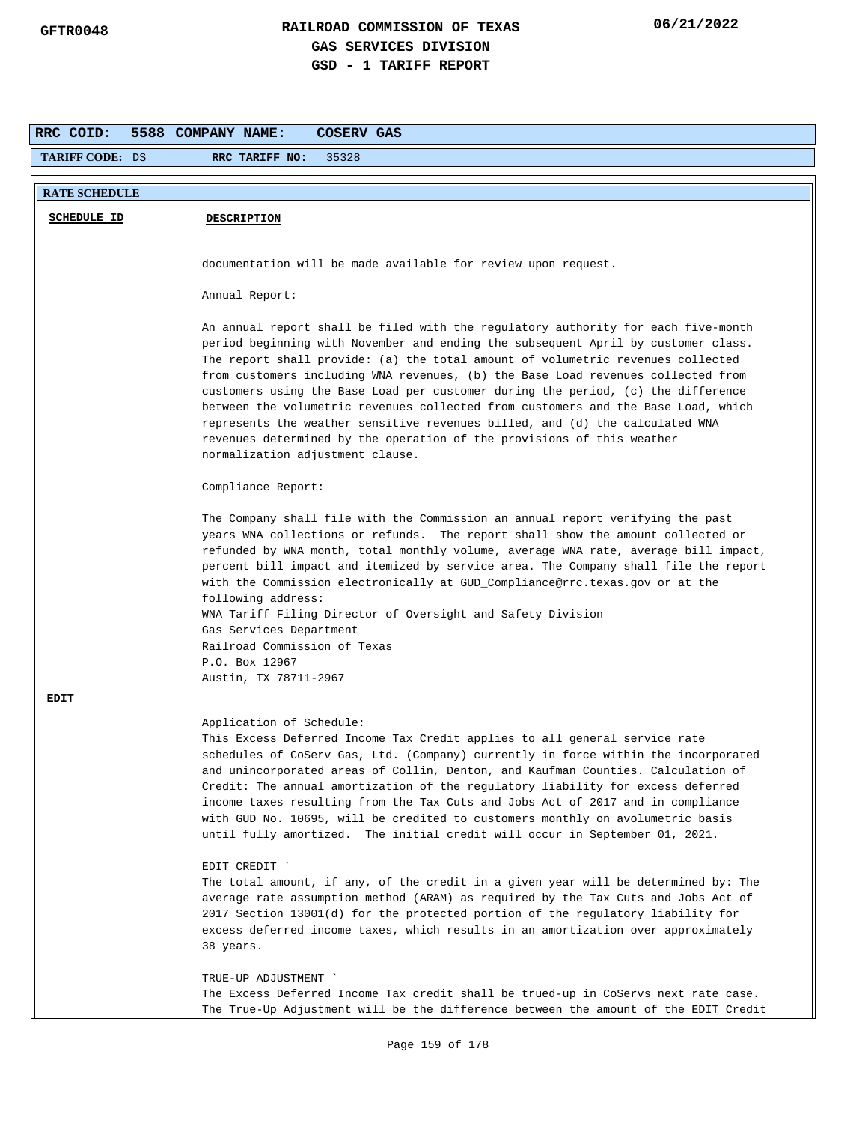| RRC COID:              | 5588 COMPANY NAME:<br>COSERV GAS                                                                                                                                                                                                                                                                                                                                                                                                                                                                                                                                                                                                                                                                                     |  |
|------------------------|----------------------------------------------------------------------------------------------------------------------------------------------------------------------------------------------------------------------------------------------------------------------------------------------------------------------------------------------------------------------------------------------------------------------------------------------------------------------------------------------------------------------------------------------------------------------------------------------------------------------------------------------------------------------------------------------------------------------|--|
| <b>TARIFF CODE: DS</b> | RRC TARIFF NO:<br>35328                                                                                                                                                                                                                                                                                                                                                                                                                                                                                                                                                                                                                                                                                              |  |
|                        |                                                                                                                                                                                                                                                                                                                                                                                                                                                                                                                                                                                                                                                                                                                      |  |
| <b>RATE SCHEDULE</b>   |                                                                                                                                                                                                                                                                                                                                                                                                                                                                                                                                                                                                                                                                                                                      |  |
| <b>SCHEDULE ID</b>     | <b>DESCRIPTION</b>                                                                                                                                                                                                                                                                                                                                                                                                                                                                                                                                                                                                                                                                                                   |  |
|                        |                                                                                                                                                                                                                                                                                                                                                                                                                                                                                                                                                                                                                                                                                                                      |  |
|                        | documentation will be made available for review upon request.                                                                                                                                                                                                                                                                                                                                                                                                                                                                                                                                                                                                                                                        |  |
|                        | Annual Report:                                                                                                                                                                                                                                                                                                                                                                                                                                                                                                                                                                                                                                                                                                       |  |
|                        | An annual report shall be filed with the regulatory authority for each five-month<br>period beginning with November and ending the subsequent April by customer class.<br>The report shall provide: (a) the total amount of volumetric revenues collected<br>from customers including WNA revenues, (b) the Base Load revenues collected from<br>customers using the Base Load per customer during the period, (c) the difference<br>between the volumetric revenues collected from customers and the Base Load, which<br>represents the weather sensitive revenues billed, and (d) the calculated WNA<br>revenues determined by the operation of the provisions of this weather<br>normalization adjustment clause. |  |
|                        | Compliance Report:                                                                                                                                                                                                                                                                                                                                                                                                                                                                                                                                                                                                                                                                                                   |  |
|                        | The Company shall file with the Commission an annual report verifying the past<br>years WNA collections or refunds. The report shall show the amount collected or<br>refunded by WNA month, total monthly volume, average WNA rate, average bill impact,<br>percent bill impact and itemized by service area. The Company shall file the report<br>with the Commission electronically at GUD_Compliance@rrc.texas.gov or at the<br>following address:<br>WNA Tariff Filing Director of Oversight and Safety Division<br>Gas Services Department<br>Railroad Commission of Texas<br>P.O. Box 12967                                                                                                                    |  |
|                        | Austin, TX 78711-2967                                                                                                                                                                                                                                                                                                                                                                                                                                                                                                                                                                                                                                                                                                |  |
| <b>EDIT</b>            |                                                                                                                                                                                                                                                                                                                                                                                                                                                                                                                                                                                                                                                                                                                      |  |
|                        | Application of Schedule:<br>This Excess Deferred Income Tax Credit applies to all general service rate<br>schedules of CoServ Gas, Ltd. (Company) currently in force within the incorporated<br>and unincorporated areas of Collin, Denton, and Kaufman Counties. Calculation of<br>Credit: The annual amortization of the regulatory liability for excess deferred<br>income taxes resulting from the Tax Cuts and Jobs Act of 2017 and in compliance<br>with GUD No. 10695, will be credited to customers monthly on avolumetric basis<br>until fully amortized. The initial credit will occur in September 01, 2021.                                                                                              |  |
|                        | EDIT CREDIT '<br>The total amount, if any, of the credit in a given year will be determined by: The<br>average rate assumption method (ARAM) as required by the Tax Cuts and Jobs Act of<br>2017 Section 13001(d) for the protected portion of the regulatory liability for<br>excess deferred income taxes, which results in an amortization over approximately<br>38 years.<br>TRUE-UP ADJUSTMENT `<br>The Excess Deferred Income Tax credit shall be trued-up in CoServs next rate case.                                                                                                                                                                                                                          |  |
|                        | The True-Up Adjustment will be the difference between the amount of the EDIT Credit                                                                                                                                                                                                                                                                                                                                                                                                                                                                                                                                                                                                                                  |  |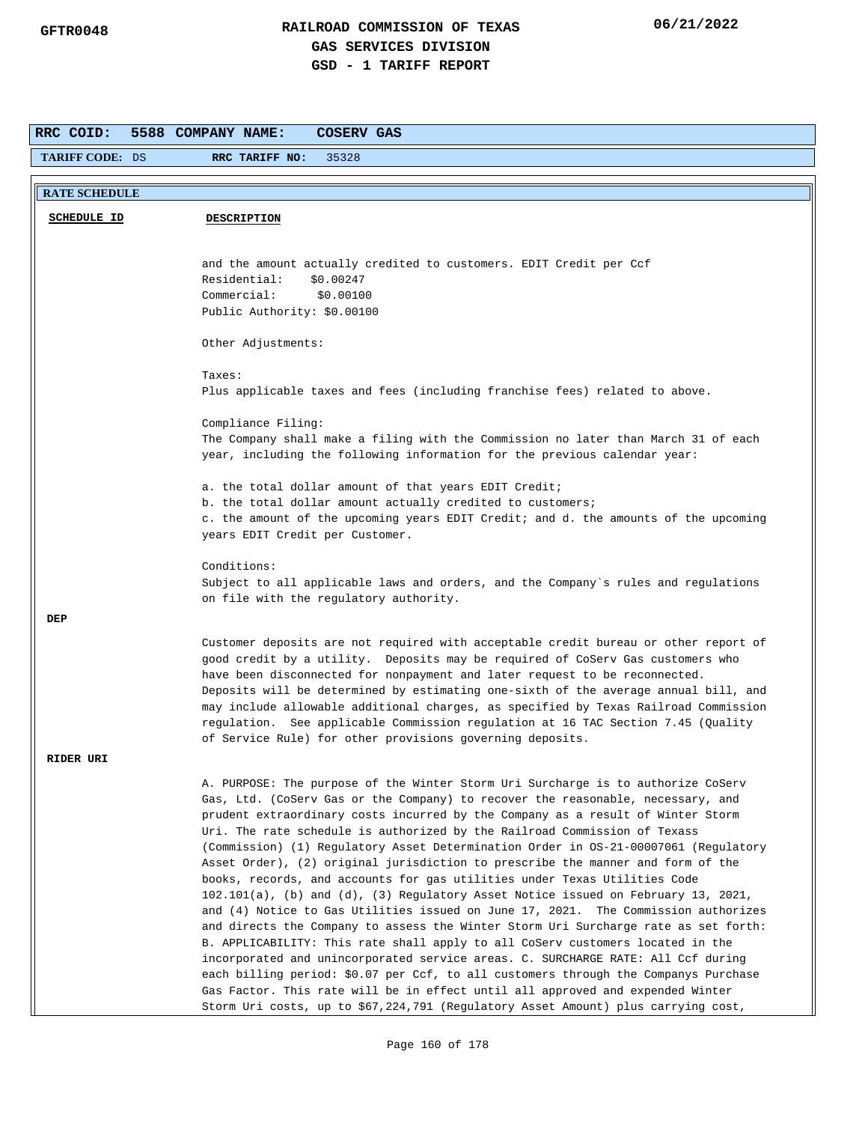| RRC COID:<br>5588 COMPANY NAME:<br>COSERV GAS |                                                                                                                                                                   |  |  |
|-----------------------------------------------|-------------------------------------------------------------------------------------------------------------------------------------------------------------------|--|--|
| <b>TARIFF CODE: DS</b>                        | RRC TARIFF NO:<br>35328                                                                                                                                           |  |  |
| <b>RATE SCHEDULE</b>                          |                                                                                                                                                                   |  |  |
|                                               |                                                                                                                                                                   |  |  |
| <b>SCHEDULE ID</b>                            | <b>DESCRIPTION</b>                                                                                                                                                |  |  |
|                                               |                                                                                                                                                                   |  |  |
|                                               | and the amount actually credited to customers. EDIT Credit per Ccf                                                                                                |  |  |
|                                               | Residential:<br>\$0.00247                                                                                                                                         |  |  |
|                                               | Commercial:<br>\$0.00100                                                                                                                                          |  |  |
|                                               | Public Authority: \$0.00100                                                                                                                                       |  |  |
|                                               |                                                                                                                                                                   |  |  |
|                                               | Other Adjustments:                                                                                                                                                |  |  |
|                                               | Taxes:                                                                                                                                                            |  |  |
|                                               | Plus applicable taxes and fees (including franchise fees) related to above.                                                                                       |  |  |
|                                               |                                                                                                                                                                   |  |  |
|                                               | Compliance Filing:                                                                                                                                                |  |  |
|                                               | The Company shall make a filing with the Commission no later than March 31 of each                                                                                |  |  |
|                                               | year, including the following information for the previous calendar year:                                                                                         |  |  |
|                                               |                                                                                                                                                                   |  |  |
|                                               | a. the total dollar amount of that years EDIT Credit;                                                                                                             |  |  |
|                                               | b. the total dollar amount actually credited to customers;                                                                                                        |  |  |
|                                               | c. the amount of the upcoming years EDIT Credit; and d. the amounts of the upcoming<br>years EDIT Credit per Customer.                                            |  |  |
|                                               |                                                                                                                                                                   |  |  |
|                                               | Conditions:                                                                                                                                                       |  |  |
|                                               | Subject to all applicable laws and orders, and the Company's rules and regulations                                                                                |  |  |
|                                               | on file with the regulatory authority.                                                                                                                            |  |  |
| DEP                                           |                                                                                                                                                                   |  |  |
|                                               | Customer deposits are not required with acceptable credit bureau or other report of                                                                               |  |  |
|                                               | good credit by a utility. Deposits may be required of CoServ Gas customers who                                                                                    |  |  |
|                                               | have been disconnected for nonpayment and later request to be reconnected.                                                                                        |  |  |
|                                               | Deposits will be determined by estimating one-sixth of the average annual bill, and                                                                               |  |  |
|                                               | may include allowable additional charges, as specified by Texas Railroad Commission                                                                               |  |  |
|                                               | regulation. See applicable Commission regulation at 16 TAC Section 7.45 (Quality                                                                                  |  |  |
|                                               | of Service Rule) for other provisions governing deposits.                                                                                                         |  |  |
| <b>RIDER URI</b>                              |                                                                                                                                                                   |  |  |
|                                               | A. PURPOSE: The purpose of the Winter Storm Uri Surcharge is to authorize CoServ                                                                                  |  |  |
|                                               | Gas, Ltd. (CoServ Gas or the Company) to recover the reasonable, necessary, and                                                                                   |  |  |
|                                               | prudent extraordinary costs incurred by the Company as a result of Winter Storm                                                                                   |  |  |
|                                               | Uri. The rate schedule is authorized by the Railroad Commission of Texass                                                                                         |  |  |
|                                               | (Commission) (1) Regulatory Asset Determination Order in 0S-21-00007061 (Regulatory                                                                               |  |  |
|                                               | Asset Order), (2) original jurisdiction to prescribe the manner and form of the                                                                                   |  |  |
|                                               | books, records, and accounts for gas utilities under Texas Utilities Code<br>$102.101(a)$ , (b) and (d), (3) Regulatory Asset Notice issued on February 13, 2021, |  |  |
|                                               | and (4) Notice to Gas Utilities issued on June 17, 2021. The Commission authorizes                                                                                |  |  |
|                                               | and directs the Company to assess the Winter Storm Uri Surcharge rate as set forth:                                                                               |  |  |
|                                               | B. APPLICABILITY: This rate shall apply to all CoServ customers located in the                                                                                    |  |  |
|                                               | incorporated and unincorporated service areas. C. SURCHARGE RATE: All Ccf during                                                                                  |  |  |
|                                               | each billing period: \$0.07 per Ccf, to all customers through the Companys Purchase                                                                               |  |  |
|                                               | Gas Factor. This rate will be in effect until all approved and expended Winter                                                                                    |  |  |
|                                               | Storm Uri costs, up to \$67,224,791 (Regulatory Asset Amount) plus carrying cost,                                                                                 |  |  |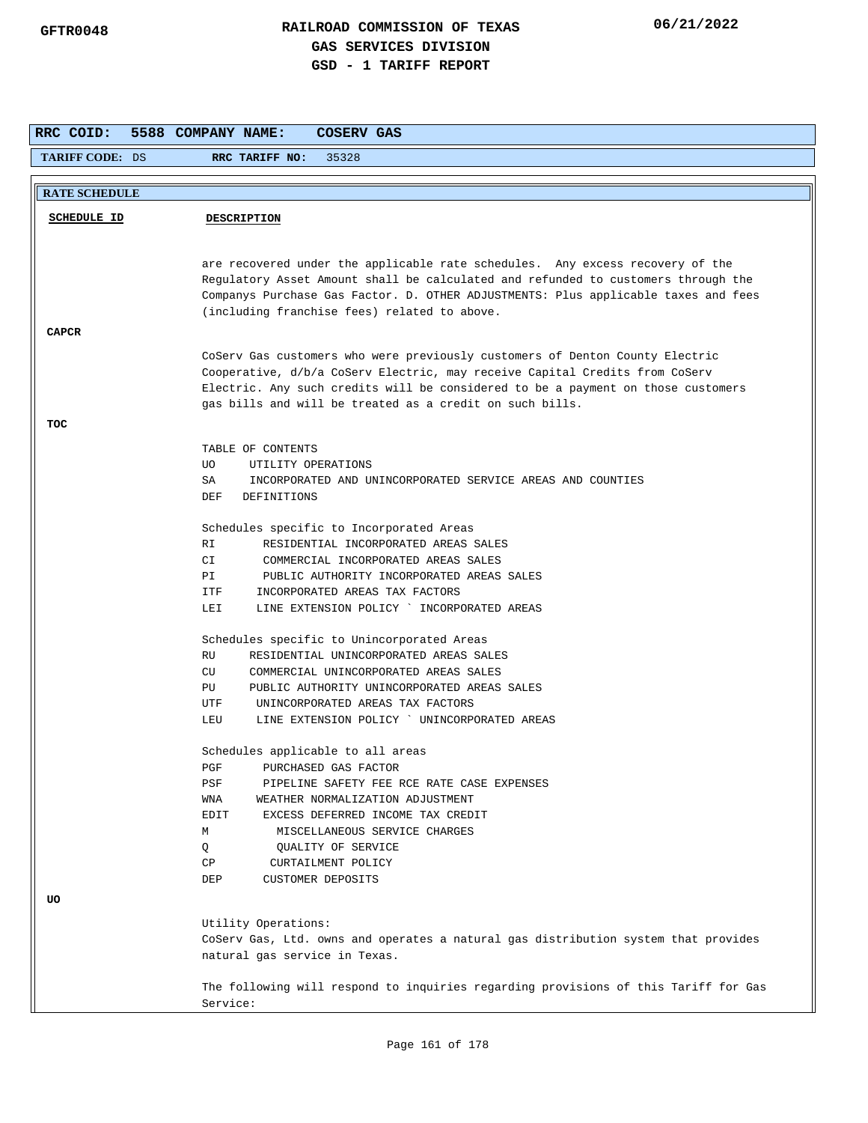| RRC COID:              | 5588 COMPANY NAME:<br>COSERV GAS                                                    |
|------------------------|-------------------------------------------------------------------------------------|
| <b>TARIFF CODE: DS</b> | 35328<br>RRC TARIFF NO:                                                             |
|                        |                                                                                     |
| <b>RATE SCHEDULE</b>   |                                                                                     |
| <b>SCHEDULE ID</b>     | <b>DESCRIPTION</b>                                                                  |
|                        |                                                                                     |
|                        | are recovered under the applicable rate schedules. Any excess recovery of the       |
|                        | Regulatory Asset Amount shall be calculated and refunded to customers through the   |
|                        | Companys Purchase Gas Factor. D. OTHER ADJUSTMENTS: Plus applicable taxes and fees  |
|                        | (including franchise fees) related to above.                                        |
| <b>CAPCR</b>           |                                                                                     |
|                        | CoServ Gas customers who were previously customers of Denton County Electric        |
|                        | Cooperative, d/b/a CoServ Electric, may receive Capital Credits from CoServ         |
|                        | Electric. Any such credits will be considered to be a payment on those customers    |
|                        | gas bills and will be treated as a credit on such bills.                            |
| TOC                    |                                                                                     |
|                        | TABLE OF CONTENTS                                                                   |
|                        | UO.<br>UTILITY OPERATIONS                                                           |
|                        | INCORPORATED AND UNINCORPORATED SERVICE AREAS AND COUNTIES<br>SA                    |
|                        | DEF<br>DEFINITIONS                                                                  |
|                        | Schedules specific to Incorporated Areas                                            |
|                        | RI<br>RESIDENTIAL INCORPORATED AREAS SALES                                          |
|                        | CI<br>COMMERCIAL INCORPORATED AREAS SALES                                           |
|                        | PUBLIC AUTHORITY INCORPORATED AREAS SALES<br>PI                                     |
|                        | INCORPORATED AREAS TAX FACTORS<br>ITF                                               |
|                        | LINE EXTENSION POLICY ` INCORPORATED AREAS<br>LEI                                   |
|                        | Schedules specific to Unincorporated Areas                                          |
|                        | RESIDENTIAL UNINCORPORATED AREAS SALES<br>RU                                        |
|                        | CU<br>COMMERCIAL UNINCORPORATED AREAS SALES                                         |
|                        | PUBLIC AUTHORITY UNINCORPORATED AREAS SALES<br>PU                                   |
|                        | UTF<br>UNINCORPORATED AREAS TAX FACTORS                                             |
|                        | LINE EXTENSION POLICY ' UNINCORPORATED AREAS<br>LEU                                 |
|                        | Schedules applicable to all areas                                                   |
|                        | PGF<br>PURCHASED GAS FACTOR                                                         |
|                        | PSF<br>PIPELINE SAFETY FEE RCE RATE CASE EXPENSES                                   |
|                        | WEATHER NORMALIZATION ADJUSTMENT<br>WNA                                             |
|                        | EDIT<br>EXCESS DEFERRED INCOME TAX CREDIT                                           |
|                        | М<br>MISCELLANEOUS SERVICE CHARGES<br>Q<br>QUALITY OF SERVICE                       |
|                        | СP<br>CURTAILMENT POLICY                                                            |
|                        | DEP<br><b>CUSTOMER DEPOSITS</b>                                                     |
| UO                     |                                                                                     |
|                        | Utility Operations:                                                                 |
|                        | CoServ Gas, Ltd. owns and operates a natural gas distribution system that provides  |
|                        | natural gas service in Texas.                                                       |
|                        |                                                                                     |
|                        | The following will respond to inquiries regarding provisions of this Tariff for Gas |
|                        | Service:                                                                            |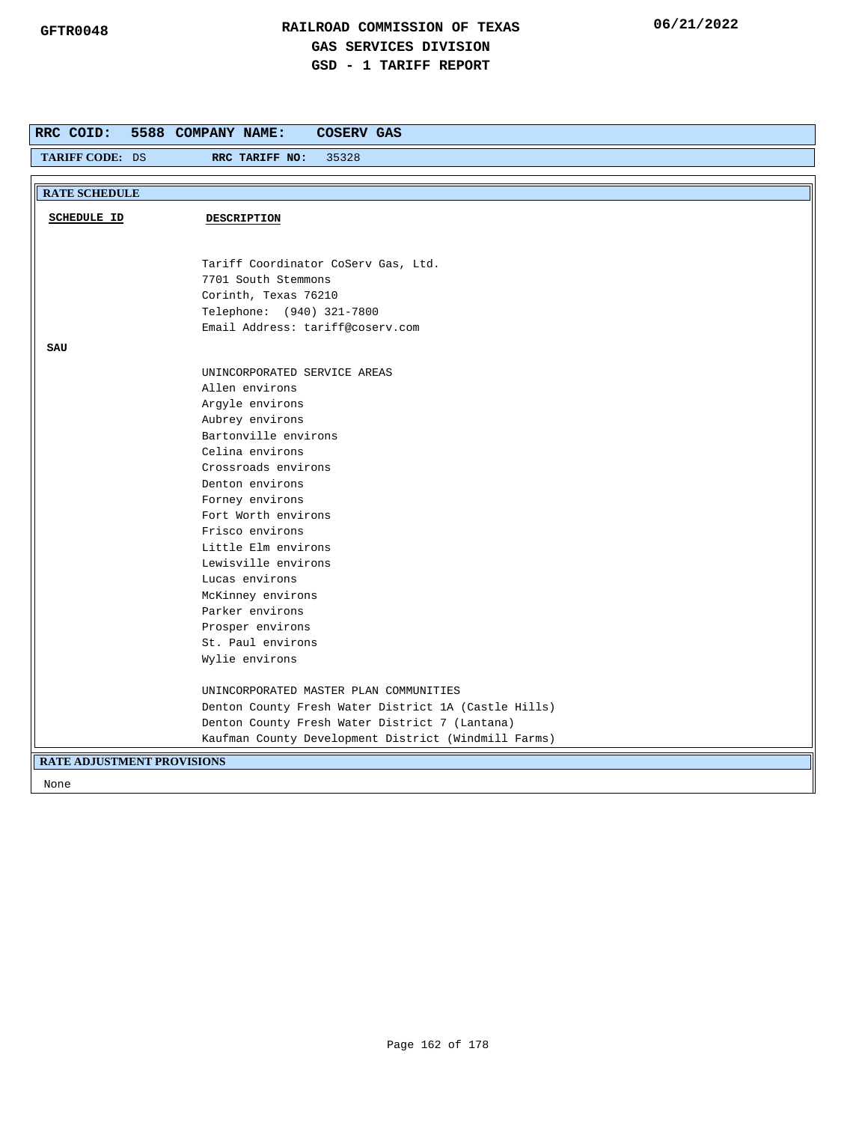| RRC COID:                         | 5588 COMPANY NAME:<br>COSERV GAS                     |
|-----------------------------------|------------------------------------------------------|
| TARIFF CODE: DS                   | RRC TARIFF NO:<br>35328                              |
|                                   |                                                      |
| <b>RATE SCHEDULE</b>              |                                                      |
| <b>SCHEDULE ID</b>                | DESCRIPTION                                          |
|                                   |                                                      |
|                                   |                                                      |
|                                   | Tariff Coordinator CoServ Gas, Ltd.                  |
|                                   | 7701 South Stemmons                                  |
|                                   | Corinth, Texas 76210                                 |
|                                   | Telephone: (940) 321-7800                            |
|                                   | Email Address: tariff@coserv.com                     |
| SAU                               |                                                      |
|                                   | UNINCORPORATED SERVICE AREAS                         |
|                                   | Allen environs                                       |
|                                   | Argyle environs                                      |
|                                   | Aubrey environs                                      |
|                                   | Bartonville environs                                 |
|                                   | Celina environs                                      |
|                                   | Crossroads environs                                  |
|                                   | Denton environs                                      |
|                                   | Forney environs                                      |
|                                   | Fort Worth environs                                  |
|                                   | Frisco environs                                      |
|                                   | Little Elm environs                                  |
|                                   | Lewisville environs                                  |
|                                   | Lucas environs                                       |
|                                   | McKinney environs                                    |
|                                   | Parker environs                                      |
|                                   | Prosper environs                                     |
|                                   | St. Paul environs                                    |
|                                   | Wylie environs                                       |
|                                   | UNINCORPORATED MASTER PLAN COMMUNITIES               |
|                                   | Denton County Fresh Water District 1A (Castle Hills) |
|                                   | Denton County Fresh Water District 7 (Lantana)       |
|                                   | Kaufman County Development District (Windmill Farms) |
| <b>RATE ADJUSTMENT PROVISIONS</b> |                                                      |
|                                   |                                                      |
| None                              |                                                      |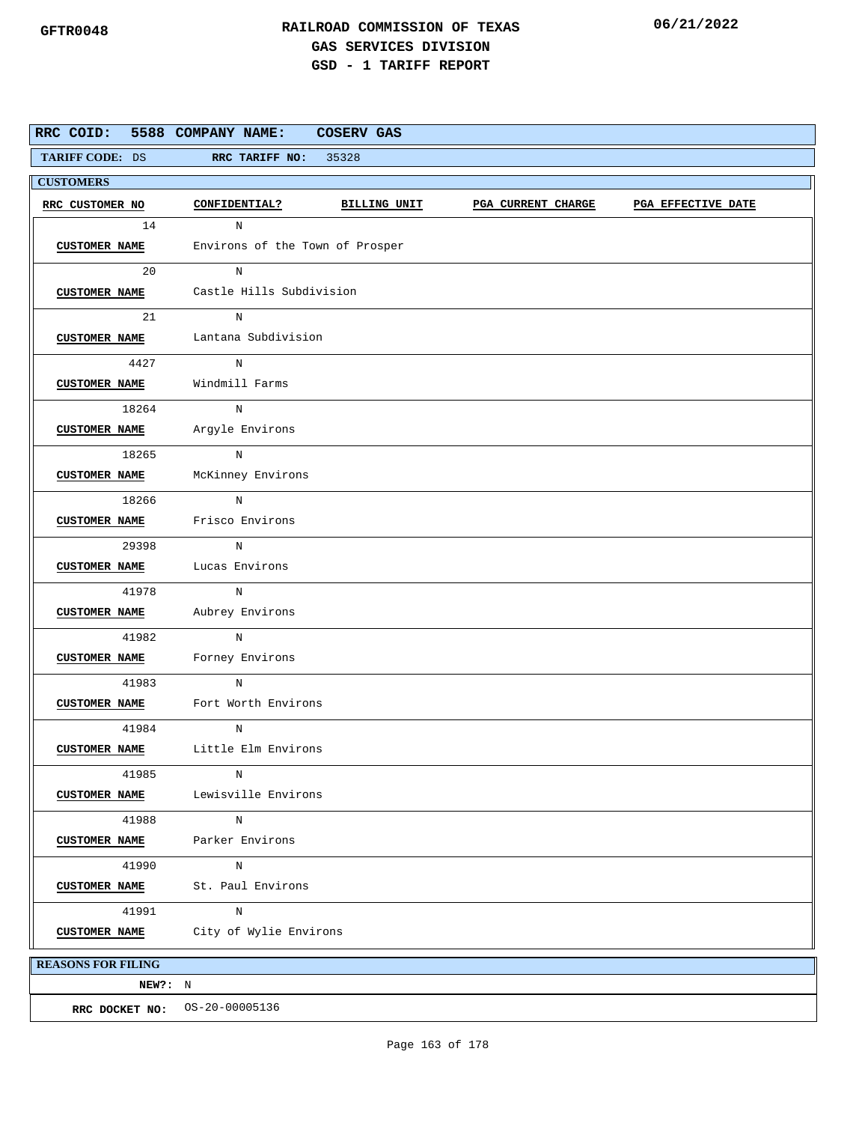| RRC COID: 5588 COMPANY NAME: |                                 | <b>COSERV GAS</b> |                           |                    |
|------------------------------|---------------------------------|-------------------|---------------------------|--------------------|
| TARIFF CODE: DS              | RRC TARIFF NO: 35328            |                   |                           |                    |
| <b>CUSTOMERS</b>             |                                 |                   |                           |                    |
| RRC CUSTOMER NO              | CONFIDENTIAL?                   | BILLING UNIT      | <b>PGA CURRENT CHARGE</b> | PGA EFFECTIVE DATE |
| 14                           | N                               |                   |                           |                    |
| <b>CUSTOMER NAME</b>         | Environs of the Town of Prosper |                   |                           |                    |
| 20                           | N                               |                   |                           |                    |
| <b>CUSTOMER NAME</b>         | Castle Hills Subdivision        |                   |                           |                    |
| 21                           | N                               |                   |                           |                    |
| <b>CUSTOMER NAME</b>         | Lantana Subdivision             |                   |                           |                    |
| 4427                         | $_{\rm N}$                      |                   |                           |                    |
| <b>CUSTOMER NAME</b>         | Windmill Farms                  |                   |                           |                    |
| 18264                        | N                               |                   |                           |                    |
| <b>CUSTOMER NAME</b>         | Argyle Environs                 |                   |                           |                    |
| 18265                        | N                               |                   |                           |                    |
| <b>CUSTOMER NAME</b>         | McKinney Environs               |                   |                           |                    |
| 18266                        | N                               |                   |                           |                    |
| <b>CUSTOMER NAME</b>         | Frisco Environs                 |                   |                           |                    |
| 29398                        | N                               |                   |                           |                    |
| <b>CUSTOMER NAME</b>         | Lucas Environs                  |                   |                           |                    |
| 41978                        | N                               |                   |                           |                    |
| <b>CUSTOMER NAME</b>         | Aubrey Environs                 |                   |                           |                    |
| 41982                        | N                               |                   |                           |                    |
| <b>CUSTOMER NAME</b>         | Forney Environs                 |                   |                           |                    |
| 41983                        | N                               |                   |                           |                    |
| <b>CUSTOMER NAME</b>         | Fort Worth Environs             |                   |                           |                    |
| 41984                        | N                               |                   |                           |                    |
| <b>CUSTOMER NAME</b>         | Little Elm Environs             |                   |                           |                    |
| 41985                        | N                               |                   |                           |                    |
| <b>CUSTOMER NAME</b>         | Lewisville Environs             |                   |                           |                    |
| 41988                        | N                               |                   |                           |                    |
| <b>CUSTOMER NAME</b>         | Parker Environs                 |                   |                           |                    |
| 41990                        | N                               |                   |                           |                    |
| <b>CUSTOMER NAME</b>         | St. Paul Environs               |                   |                           |                    |
| 41991                        | N                               |                   |                           |                    |
| <b>CUSTOMER NAME</b>         | City of Wylie Environs          |                   |                           |                    |
| <b>REASONS FOR FILING</b>    |                                 |                   |                           |                    |
| NEW?: N                      |                                 |                   |                           |                    |
|                              | RRC DOCKET NO: 0S-20-00005136   |                   |                           |                    |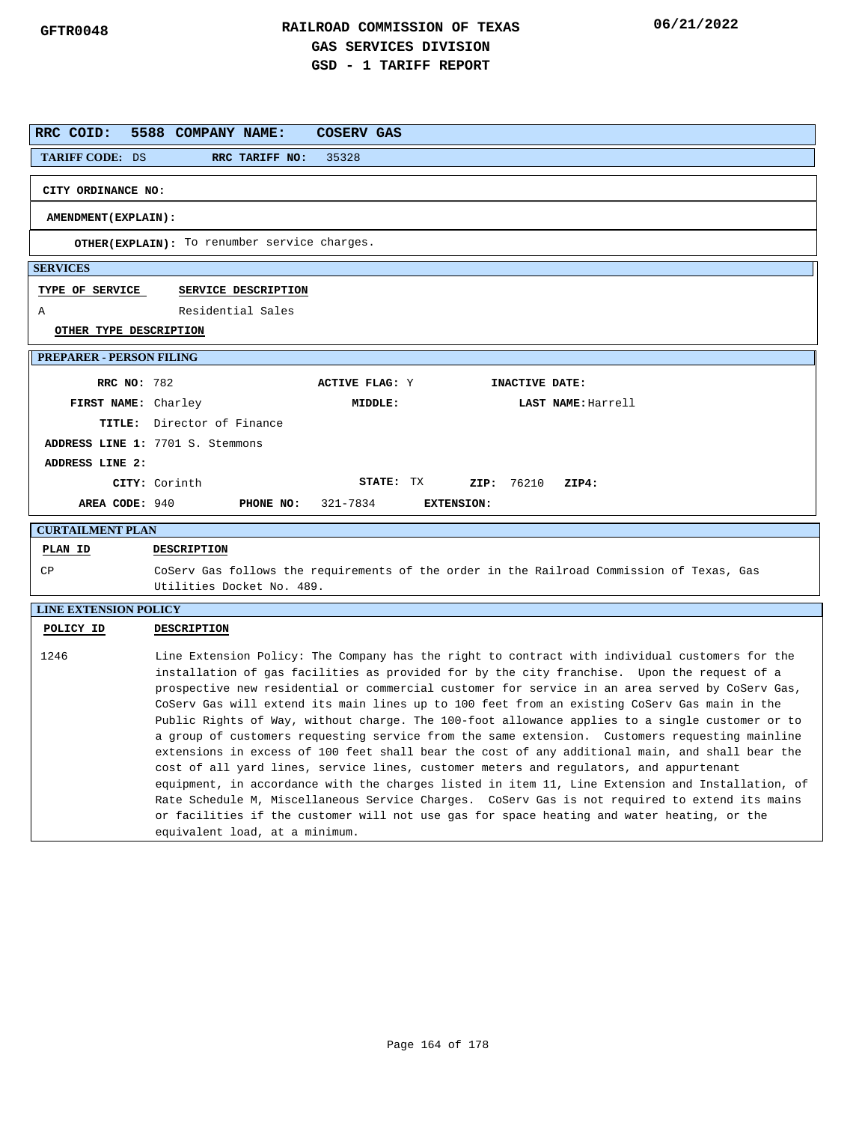| RRC COID:                       | 5588 COMPANY NAME:<br>COSERV GAS                                                                                                                                                                                                                                                                                                                                                                                                                                                                                                                                                                                                                                                                                                                                                                                                                                                                                                                                                                                                                                                                                                         |
|---------------------------------|------------------------------------------------------------------------------------------------------------------------------------------------------------------------------------------------------------------------------------------------------------------------------------------------------------------------------------------------------------------------------------------------------------------------------------------------------------------------------------------------------------------------------------------------------------------------------------------------------------------------------------------------------------------------------------------------------------------------------------------------------------------------------------------------------------------------------------------------------------------------------------------------------------------------------------------------------------------------------------------------------------------------------------------------------------------------------------------------------------------------------------------|
| TARIFF CODE: DS                 | RRC TARIFF NO:<br>35328                                                                                                                                                                                                                                                                                                                                                                                                                                                                                                                                                                                                                                                                                                                                                                                                                                                                                                                                                                                                                                                                                                                  |
| CITY ORDINANCE NO:              |                                                                                                                                                                                                                                                                                                                                                                                                                                                                                                                                                                                                                                                                                                                                                                                                                                                                                                                                                                                                                                                                                                                                          |
| AMENDMENT (EXPLAIN):            |                                                                                                                                                                                                                                                                                                                                                                                                                                                                                                                                                                                                                                                                                                                                                                                                                                                                                                                                                                                                                                                                                                                                          |
|                                 | OTHER(EXPLAIN): To renumber service charges.                                                                                                                                                                                                                                                                                                                                                                                                                                                                                                                                                                                                                                                                                                                                                                                                                                                                                                                                                                                                                                                                                             |
| <b>SERVICES</b>                 |                                                                                                                                                                                                                                                                                                                                                                                                                                                                                                                                                                                                                                                                                                                                                                                                                                                                                                                                                                                                                                                                                                                                          |
| TYPE OF SERVICE                 | SERVICE DESCRIPTION                                                                                                                                                                                                                                                                                                                                                                                                                                                                                                                                                                                                                                                                                                                                                                                                                                                                                                                                                                                                                                                                                                                      |
| Α                               | Residential Sales                                                                                                                                                                                                                                                                                                                                                                                                                                                                                                                                                                                                                                                                                                                                                                                                                                                                                                                                                                                                                                                                                                                        |
| OTHER TYPE DESCRIPTION          |                                                                                                                                                                                                                                                                                                                                                                                                                                                                                                                                                                                                                                                                                                                                                                                                                                                                                                                                                                                                                                                                                                                                          |
| <b>PREPARER - PERSON FILING</b> |                                                                                                                                                                                                                                                                                                                                                                                                                                                                                                                                                                                                                                                                                                                                                                                                                                                                                                                                                                                                                                                                                                                                          |
| <b>RRC NO: 782</b>              | <b>ACTIVE FLAG: Y</b><br>INACTIVE DATE:                                                                                                                                                                                                                                                                                                                                                                                                                                                                                                                                                                                                                                                                                                                                                                                                                                                                                                                                                                                                                                                                                                  |
| FIRST NAME: Charley             | MIDDLE:<br>LAST NAME: Harrell                                                                                                                                                                                                                                                                                                                                                                                                                                                                                                                                                                                                                                                                                                                                                                                                                                                                                                                                                                                                                                                                                                            |
|                                 | TITLE: Director of Finance                                                                                                                                                                                                                                                                                                                                                                                                                                                                                                                                                                                                                                                                                                                                                                                                                                                                                                                                                                                                                                                                                                               |
|                                 | ADDRESS LINE 1: 7701 S. Stemmons                                                                                                                                                                                                                                                                                                                                                                                                                                                                                                                                                                                                                                                                                                                                                                                                                                                                                                                                                                                                                                                                                                         |
| ADDRESS LINE 2:                 |                                                                                                                                                                                                                                                                                                                                                                                                                                                                                                                                                                                                                                                                                                                                                                                                                                                                                                                                                                                                                                                                                                                                          |
|                                 | STATE: TX<br>ZIP: 76210<br>CITY: Corinth<br>ZIP4:                                                                                                                                                                                                                                                                                                                                                                                                                                                                                                                                                                                                                                                                                                                                                                                                                                                                                                                                                                                                                                                                                        |
| AREA CODE: 940                  | PHONE NO:<br>321-7834<br><b>EXTENSION:</b>                                                                                                                                                                                                                                                                                                                                                                                                                                                                                                                                                                                                                                                                                                                                                                                                                                                                                                                                                                                                                                                                                               |
| <b>CURTAILMENT PLAN</b>         |                                                                                                                                                                                                                                                                                                                                                                                                                                                                                                                                                                                                                                                                                                                                                                                                                                                                                                                                                                                                                                                                                                                                          |
| PLAN ID                         | DESCRIPTION                                                                                                                                                                                                                                                                                                                                                                                                                                                                                                                                                                                                                                                                                                                                                                                                                                                                                                                                                                                                                                                                                                                              |
| СP                              | CoServ Gas follows the requirements of the order in the Railroad Commission of Texas, Gas<br>Utilities Docket No. 489.                                                                                                                                                                                                                                                                                                                                                                                                                                                                                                                                                                                                                                                                                                                                                                                                                                                                                                                                                                                                                   |
| <b>LINE EXTENSION POLICY</b>    |                                                                                                                                                                                                                                                                                                                                                                                                                                                                                                                                                                                                                                                                                                                                                                                                                                                                                                                                                                                                                                                                                                                                          |
| POLICY ID                       | DESCRIPTION                                                                                                                                                                                                                                                                                                                                                                                                                                                                                                                                                                                                                                                                                                                                                                                                                                                                                                                                                                                                                                                                                                                              |
| 1246                            | Line Extension Policy: The Company has the right to contract with individual customers for the<br>installation of gas facilities as provided for by the city franchise. Upon the request of a<br>prospective new residential or commercial customer for service in an area served by CoServ Gas,<br>CoServ Gas will extend its main lines up to 100 feet from an existing CoServ Gas main in the<br>Public Rights of Way, without charge. The 100-foot allowance applies to a single customer or to<br>a group of customers requesting service from the same extension. Customers requesting mainline<br>extensions in excess of 100 feet shall bear the cost of any additional main, and shall bear the<br>cost of all yard lines, service lines, customer meters and regulators, and appurtenant<br>equipment, in accordance with the charges listed in item 11, Line Extension and Installation, of<br>Rate Schedule M, Miscellaneous Service Charges. CoServ Gas is not required to extend its mains<br>or facilities if the customer will not use gas for space heating and water heating, or the<br>equivalent load, at a minimum. |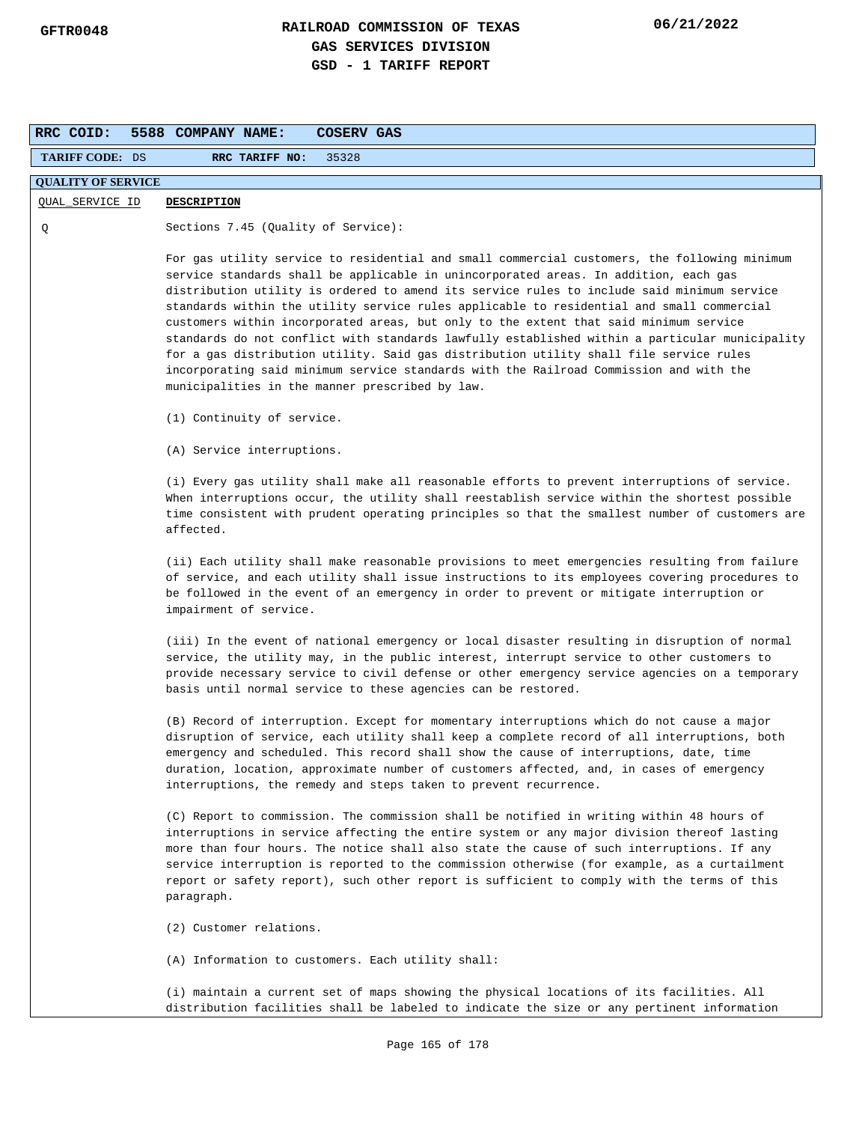| RRC COID:                 | <b>COSERV GAS</b><br>5588 COMPANY NAME:                                                                                                                                                                                                                                                                                                                                                                                                                                                                                                                                                                                                                                                                                                                                                                           |  |
|---------------------------|-------------------------------------------------------------------------------------------------------------------------------------------------------------------------------------------------------------------------------------------------------------------------------------------------------------------------------------------------------------------------------------------------------------------------------------------------------------------------------------------------------------------------------------------------------------------------------------------------------------------------------------------------------------------------------------------------------------------------------------------------------------------------------------------------------------------|--|
| <b>TARIFF CODE: DS</b>    | RRC TARIFF NO:<br>35328                                                                                                                                                                                                                                                                                                                                                                                                                                                                                                                                                                                                                                                                                                                                                                                           |  |
| <b>QUALITY OF SERVICE</b> |                                                                                                                                                                                                                                                                                                                                                                                                                                                                                                                                                                                                                                                                                                                                                                                                                   |  |
| QUAL_SERVICE ID           | <b>DESCRIPTION</b>                                                                                                                                                                                                                                                                                                                                                                                                                                                                                                                                                                                                                                                                                                                                                                                                |  |
| Q                         | Sections 7.45 (Quality of Service):                                                                                                                                                                                                                                                                                                                                                                                                                                                                                                                                                                                                                                                                                                                                                                               |  |
|                           | For gas utility service to residential and small commercial customers, the following minimum<br>service standards shall be applicable in unincorporated areas. In addition, each gas<br>distribution utility is ordered to amend its service rules to include said minimum service<br>standards within the utility service rules applicable to residential and small commercial<br>customers within incorporated areas, but only to the extent that said minimum service<br>standards do not conflict with standards lawfully established within a particular municipality<br>for a gas distribution utility. Said gas distribution utility shall file service rules<br>incorporating said minimum service standards with the Railroad Commission and with the<br>municipalities in the manner prescribed by law. |  |
|                           | (1) Continuity of service.                                                                                                                                                                                                                                                                                                                                                                                                                                                                                                                                                                                                                                                                                                                                                                                        |  |
|                           | (A) Service interruptions.                                                                                                                                                                                                                                                                                                                                                                                                                                                                                                                                                                                                                                                                                                                                                                                        |  |
|                           | (i) Every gas utility shall make all reasonable efforts to prevent interruptions of service.<br>When interruptions occur, the utility shall reestablish service within the shortest possible<br>time consistent with prudent operating principles so that the smallest number of customers are<br>affected.                                                                                                                                                                                                                                                                                                                                                                                                                                                                                                       |  |
|                           | (ii) Each utility shall make reasonable provisions to meet emergencies resulting from failure<br>of service, and each utility shall issue instructions to its employees covering procedures to<br>be followed in the event of an emergency in order to prevent or mitigate interruption or<br>impairment of service.                                                                                                                                                                                                                                                                                                                                                                                                                                                                                              |  |
|                           | (iii) In the event of national emergency or local disaster resulting in disruption of normal<br>service, the utility may, in the public interest, interrupt service to other customers to<br>provide necessary service to civil defense or other emergency service agencies on a temporary<br>basis until normal service to these agencies can be restored.                                                                                                                                                                                                                                                                                                                                                                                                                                                       |  |
|                           | (B) Record of interruption. Except for momentary interruptions which do not cause a major<br>disruption of service, each utility shall keep a complete record of all interruptions, both<br>emergency and scheduled. This record shall show the cause of interruptions, date, time<br>duration, location, approximate number of customers affected, and, in cases of emergency<br>interruptions, the remedy and steps taken to prevent recurrence.                                                                                                                                                                                                                                                                                                                                                                |  |
|                           | (C) Report to commission. The commission shall be notified in writing within 48 hours of<br>interruptions in service affecting the entire system or any major division thereof lasting<br>more than four hours. The notice shall also state the cause of such interruptions. If any<br>service interruption is reported to the commission otherwise (for example, as a curtailment<br>report or safety report), such other report is sufficient to comply with the terms of this<br>paragraph.                                                                                                                                                                                                                                                                                                                    |  |
|                           | (2) Customer relations.                                                                                                                                                                                                                                                                                                                                                                                                                                                                                                                                                                                                                                                                                                                                                                                           |  |
|                           | (A) Information to customers. Each utility shall:                                                                                                                                                                                                                                                                                                                                                                                                                                                                                                                                                                                                                                                                                                                                                                 |  |
|                           | (i) maintain a current set of maps showing the physical locations of its facilities. All<br>distribution facilities shall be labeled to indicate the size or any pertinent information                                                                                                                                                                                                                                                                                                                                                                                                                                                                                                                                                                                                                            |  |
|                           | Page 165 of 178                                                                                                                                                                                                                                                                                                                                                                                                                                                                                                                                                                                                                                                                                                                                                                                                   |  |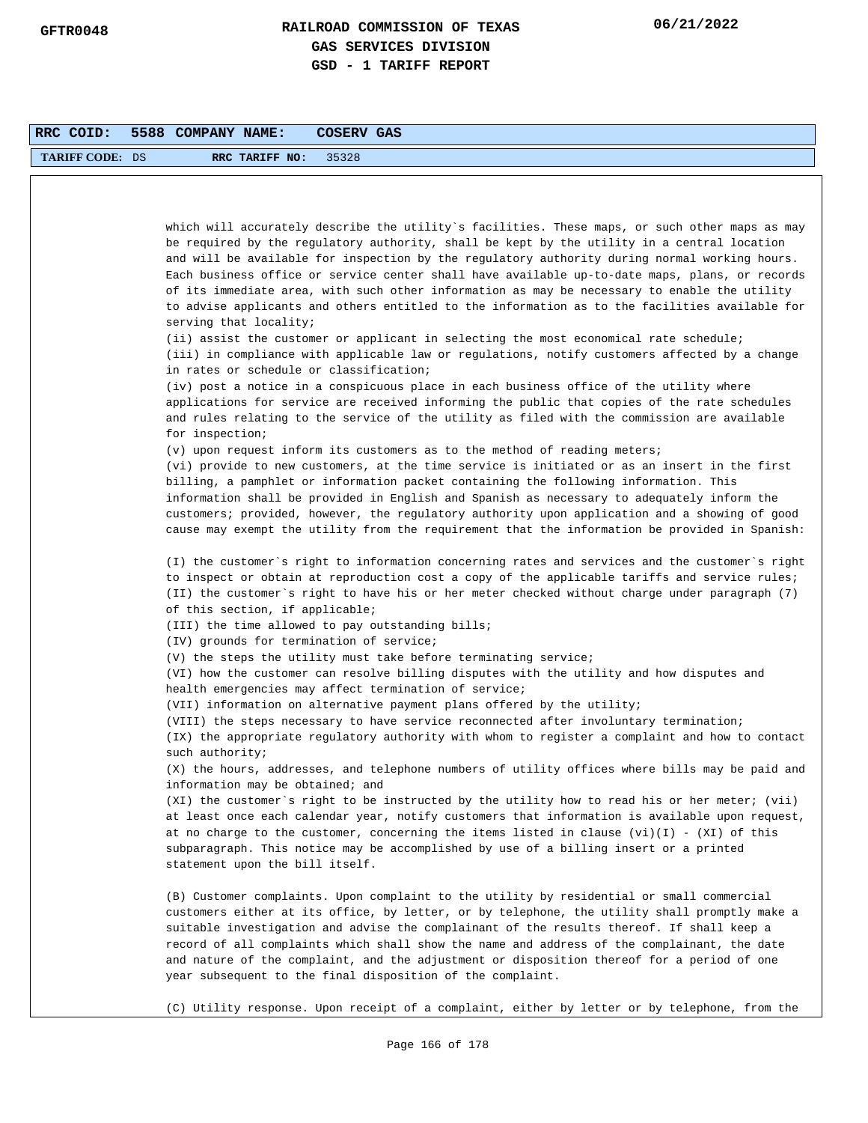| RRC COID:              | 5588 COMPANY NAME:<br>COSERV GAS                                                                                                                                                                                                                                                                                                                                                                                                                                                                                                                                                                                             |
|------------------------|------------------------------------------------------------------------------------------------------------------------------------------------------------------------------------------------------------------------------------------------------------------------------------------------------------------------------------------------------------------------------------------------------------------------------------------------------------------------------------------------------------------------------------------------------------------------------------------------------------------------------|
| <b>TARIFF CODE: DS</b> | RRC TARIFF NO:<br>35328                                                                                                                                                                                                                                                                                                                                                                                                                                                                                                                                                                                                      |
|                        |                                                                                                                                                                                                                                                                                                                                                                                                                                                                                                                                                                                                                              |
|                        |                                                                                                                                                                                                                                                                                                                                                                                                                                                                                                                                                                                                                              |
|                        | which will accurately describe the utility`s facilities. These maps, or such other maps as may<br>be required by the regulatory authority, shall be kept by the utility in a central location<br>and will be available for inspection by the regulatory authority during normal working hours.<br>Each business office or service center shall have available up-to-date maps, plans, or records<br>of its immediate area, with such other information as may be necessary to enable the utility<br>to advise applicants and others entitled to the information as to the facilities available for<br>serving that locality; |
|                        | (ii) assist the customer or applicant in selecting the most economical rate schedule;<br>(iii) in compliance with applicable law or regulations, notify customers affected by a change<br>in rates or schedule or classification;                                                                                                                                                                                                                                                                                                                                                                                            |
|                        | (iv) post a notice in a conspicuous place in each business office of the utility where<br>applications for service are received informing the public that copies of the rate schedules<br>and rules relating to the service of the utility as filed with the commission are available<br>for inspection;                                                                                                                                                                                                                                                                                                                     |
|                        | (v) upon request inform its customers as to the method of reading meters;                                                                                                                                                                                                                                                                                                                                                                                                                                                                                                                                                    |
|                        | (vi) provide to new customers, at the time service is initiated or as an insert in the first<br>billing, a pamphlet or information packet containing the following information. This<br>information shall be provided in English and Spanish as necessary to adequately inform the<br>customers; provided, however, the regulatory authority upon application and a showing of good<br>cause may exempt the utility from the requirement that the information be provided in Spanish:                                                                                                                                        |
|                        | (I) the customer's right to information concerning rates and services and the customer's right<br>to inspect or obtain at reproduction cost a copy of the applicable tariffs and service rules;<br>(II) the customer`s right to have his or her meter checked without charge under paragraph (7)<br>of this section, if applicable;                                                                                                                                                                                                                                                                                          |
|                        | (III) the time allowed to pay outstanding bills;                                                                                                                                                                                                                                                                                                                                                                                                                                                                                                                                                                             |
|                        | (IV) grounds for termination of service;                                                                                                                                                                                                                                                                                                                                                                                                                                                                                                                                                                                     |
|                        | (V) the steps the utility must take before terminating service;<br>(VI) how the customer can resolve billing disputes with the utility and how disputes and<br>health emergencies may affect termination of service;                                                                                                                                                                                                                                                                                                                                                                                                         |
|                        | (VII) information on alternative payment plans offered by the utility;                                                                                                                                                                                                                                                                                                                                                                                                                                                                                                                                                       |
|                        | (VIII) the steps necessary to have service reconnected after involuntary termination;<br>(IX) the appropriate regulatory authority with whom to register a complaint and how to contact                                                                                                                                                                                                                                                                                                                                                                                                                                      |
|                        | such authority;<br>(X) the hours, addresses, and telephone numbers of utility offices where bills may be paid and<br>information may be obtained; and                                                                                                                                                                                                                                                                                                                                                                                                                                                                        |
|                        | (XI) the customer's right to be instructed by the utility how to read his or her meter; (vii)<br>at least once each calendar year, notify customers that information is available upon request,<br>at no charge to the customer, concerning the items listed in clause $(vi)(I)$ - $(XI)$ of this<br>subparagraph. This notice may be accomplished by use of a billing insert or a printed<br>statement upon the bill itself.                                                                                                                                                                                                |
|                        | (B) Customer complaints. Upon complaint to the utility by residential or small commercial<br>customers either at its office, by letter, or by telephone, the utility shall promptly make a<br>suitable investigation and advise the complainant of the results thereof. If shall keep a<br>record of all complaints which shall show the name and address of the complainant, the date<br>and nature of the complaint, and the adjustment or disposition thereof for a period of one<br>year subsequent to the final disposition of the complaint.                                                                           |
|                        | (C) Utility response. Upon receipt of a complaint, either by letter or by telephone, from the                                                                                                                                                                                                                                                                                                                                                                                                                                                                                                                                |
|                        | Page 166 of 178                                                                                                                                                                                                                                                                                                                                                                                                                                                                                                                                                                                                              |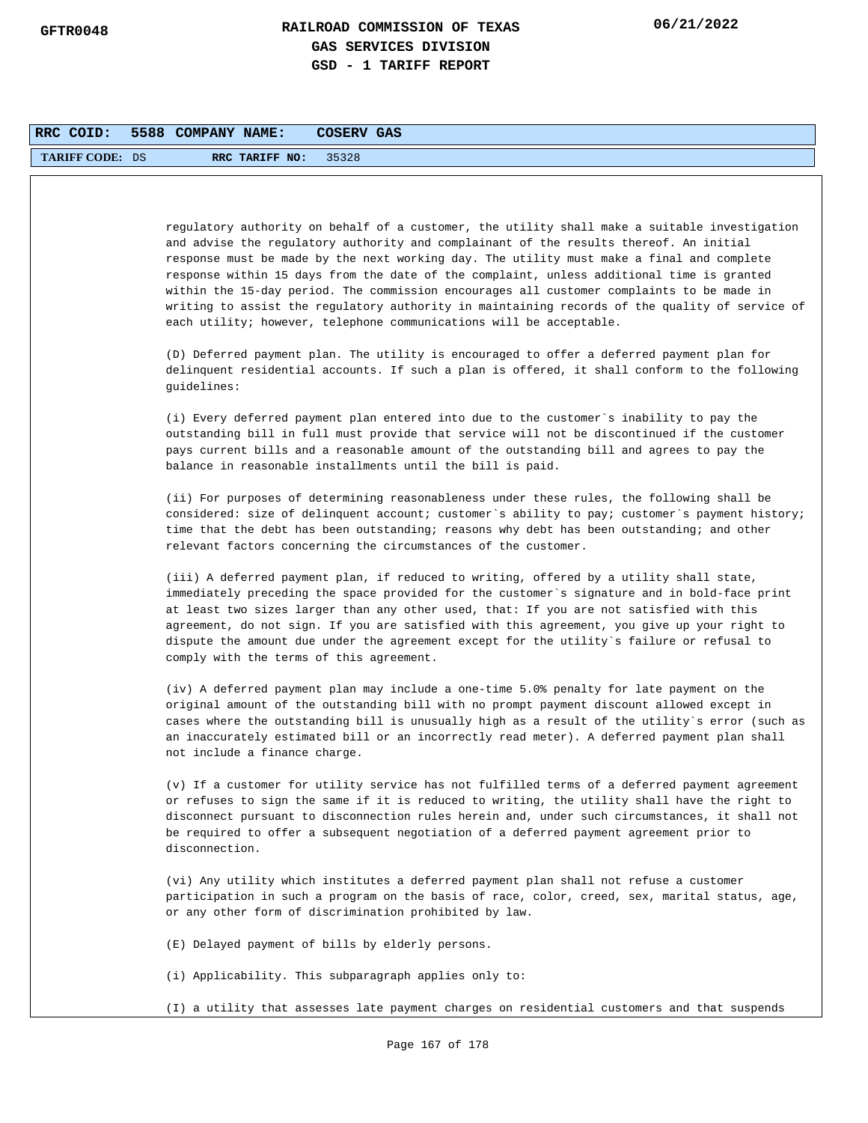| RRC COID:              | 5588 COMPANY NAME:<br>COSERV GAS                                                                                                                                                                                                                                                                                                                                                                                                                                                                                                                                                                                                                        |
|------------------------|---------------------------------------------------------------------------------------------------------------------------------------------------------------------------------------------------------------------------------------------------------------------------------------------------------------------------------------------------------------------------------------------------------------------------------------------------------------------------------------------------------------------------------------------------------------------------------------------------------------------------------------------------------|
| <b>TARIFF CODE: DS</b> | RRC TARIFF NO:<br>35328                                                                                                                                                                                                                                                                                                                                                                                                                                                                                                                                                                                                                                 |
|                        |                                                                                                                                                                                                                                                                                                                                                                                                                                                                                                                                                                                                                                                         |
|                        |                                                                                                                                                                                                                                                                                                                                                                                                                                                                                                                                                                                                                                                         |
|                        | regulatory authority on behalf of a customer, the utility shall make a suitable investigation<br>and advise the regulatory authority and complainant of the results thereof. An initial<br>response must be made by the next working day. The utility must make a final and complete<br>response within 15 days from the date of the complaint, unless additional time is granted<br>within the 15-day period. The commission encourages all customer complaints to be made in<br>writing to assist the regulatory authority in maintaining records of the quality of service of<br>each utility; however, telephone communications will be acceptable. |
|                        | (D) Deferred payment plan. The utility is encouraged to offer a deferred payment plan for<br>delinquent residential accounts. If such a plan is offered, it shall conform to the following<br>quidelines:                                                                                                                                                                                                                                                                                                                                                                                                                                               |
|                        | (i) Every deferred payment plan entered into due to the customer's inability to pay the<br>outstanding bill in full must provide that service will not be discontinued if the customer<br>pays current bills and a reasonable amount of the outstanding bill and agrees to pay the<br>balance in reasonable installments until the bill is paid.                                                                                                                                                                                                                                                                                                        |
|                        | (ii) For purposes of determining reasonableness under these rules, the following shall be<br>considered: size of delinquent account; customer's ability to pay; customer's payment history;<br>time that the debt has been outstanding; reasons why debt has been outstanding; and other<br>relevant factors concerning the circumstances of the customer.                                                                                                                                                                                                                                                                                              |
|                        | (iii) A deferred payment plan, if reduced to writing, offered by a utility shall state,<br>immediately preceding the space provided for the customer's signature and in bold-face print<br>at least two sizes larger than any other used, that: If you are not satisfied with this<br>agreement, do not sign. If you are satisfied with this agreement, you give up your right to<br>dispute the amount due under the agreement except for the utility's failure or refusal to<br>comply with the terms of this agreement.                                                                                                                              |
|                        | (iv) A deferred payment plan may include a one-time 5.0% penalty for late payment on the<br>original amount of the outstanding bill with no prompt payment discount allowed except in<br>cases where the outstanding bill is unusually high as a result of the utility's error (such as<br>an inaccurately estimated bill or an incorrectly read meter). A deferred payment plan shall<br>not include a finance charge.                                                                                                                                                                                                                                 |
|                        | (v) If a customer for utility service has not fulfilled terms of a deferred payment agreement<br>or refuses to sign the same if it is reduced to writing, the utility shall have the right to<br>disconnect pursuant to disconnection rules herein and, under such circumstances, it shall not<br>be required to offer a subsequent negotiation of a deferred payment agreement prior to<br>disconnection.                                                                                                                                                                                                                                              |
|                        | (vi) Any utility which institutes a deferred payment plan shall not refuse a customer<br>participation in such a program on the basis of race, color, creed, sex, marital status, age,<br>or any other form of discrimination prohibited by law.                                                                                                                                                                                                                                                                                                                                                                                                        |
|                        | (E) Delayed payment of bills by elderly persons.                                                                                                                                                                                                                                                                                                                                                                                                                                                                                                                                                                                                        |
|                        | (i) Applicability. This subparagraph applies only to:                                                                                                                                                                                                                                                                                                                                                                                                                                                                                                                                                                                                   |
|                        | (I) a utility that assesses late payment charges on residential customers and that suspends                                                                                                                                                                                                                                                                                                                                                                                                                                                                                                                                                             |
|                        | Page 167 of 178                                                                                                                                                                                                                                                                                                                                                                                                                                                                                                                                                                                                                                         |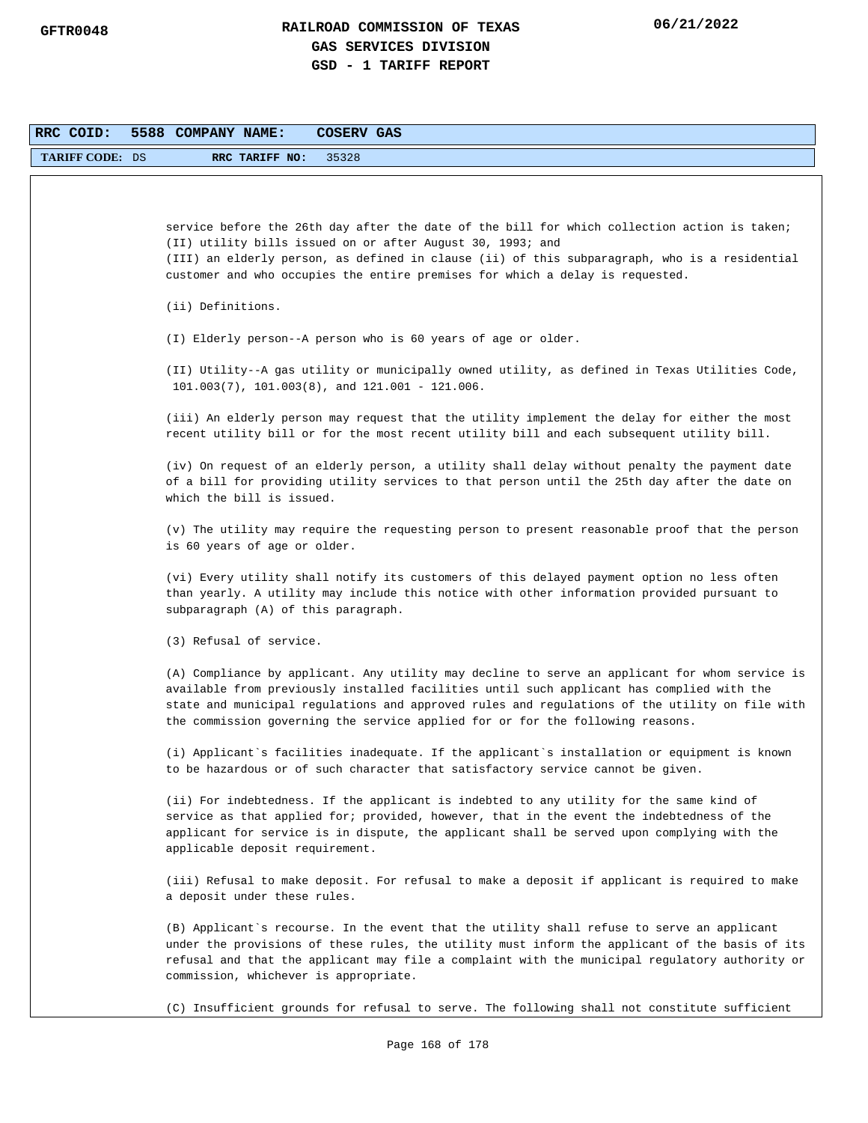| RRC COID:              | 5588 COMPANY NAME:<br>COSERV GAS                                                                                                                                                                                                                                                                                                                                                |
|------------------------|---------------------------------------------------------------------------------------------------------------------------------------------------------------------------------------------------------------------------------------------------------------------------------------------------------------------------------------------------------------------------------|
| <b>TARIFF CODE: DS</b> | RRC TARIFF NO:<br>35328                                                                                                                                                                                                                                                                                                                                                         |
|                        |                                                                                                                                                                                                                                                                                                                                                                                 |
|                        | service before the 26th day after the date of the bill for which collection action is taken;<br>(II) utility bills issued on or after August 30, 1993; and<br>(III) an elderly person, as defined in clause (ii) of this subparagraph, who is a residential<br>customer and who occupies the entire premises for which a delay is requested.                                    |
|                        | (ii) Definitions.                                                                                                                                                                                                                                                                                                                                                               |
|                        | (I) Elderly person--A person who is 60 years of age or older.                                                                                                                                                                                                                                                                                                                   |
|                        | (II) Utility--A gas utility or municipally owned utility, as defined in Texas Utilities Code,<br>$101.003(7)$ , $101.003(8)$ , and $121.001 - 121.006$ .                                                                                                                                                                                                                        |
|                        | (iii) An elderly person may request that the utility implement the delay for either the most<br>recent utility bill or for the most recent utility bill and each subsequent utility bill.                                                                                                                                                                                       |
|                        | (iv) On request of an elderly person, a utility shall delay without penalty the payment date<br>of a bill for providing utility services to that person until the 25th day after the date on<br>which the bill is issued.                                                                                                                                                       |
|                        | (v) The utility may require the requesting person to present reasonable proof that the person<br>is 60 years of age or older.                                                                                                                                                                                                                                                   |
|                        | (vi) Every utility shall notify its customers of this delayed payment option no less often<br>than yearly. A utility may include this notice with other information provided pursuant to<br>subparagraph (A) of this paragraph.                                                                                                                                                 |
|                        | (3) Refusal of service.                                                                                                                                                                                                                                                                                                                                                         |
|                        | (A) Compliance by applicant. Any utility may decline to serve an applicant for whom service is<br>available from previously installed facilities until such applicant has complied with the<br>state and municipal regulations and approved rules and regulations of the utility on file with<br>the commission governing the service applied for or for the following reasons. |
|                        | (i) Applicant`s facilities inadequate. If the applicant`s installation or equipment is known<br>to be hazardous or of such character that satisfactory service cannot be given.                                                                                                                                                                                                 |
|                        | (ii) For indebtedness. If the applicant is indebted to any utility for the same kind of<br>service as that applied for; provided, however, that in the event the indebtedness of the<br>applicant for service is in dispute, the applicant shall be served upon complying with the<br>applicable deposit requirement.                                                           |
|                        | (iii) Refusal to make deposit. For refusal to make a deposit if applicant is required to make<br>a deposit under these rules.                                                                                                                                                                                                                                                   |
|                        | (B) Applicant's recourse. In the event that the utility shall refuse to serve an applicant<br>under the provisions of these rules, the utility must inform the applicant of the basis of its<br>refusal and that the applicant may file a complaint with the municipal regulatory authority or<br>commission, whichever is appropriate.                                         |
|                        | (C) Insufficient grounds for refusal to serve. The following shall not constitute sufficient                                                                                                                                                                                                                                                                                    |
|                        | Page 168 of 178                                                                                                                                                                                                                                                                                                                                                                 |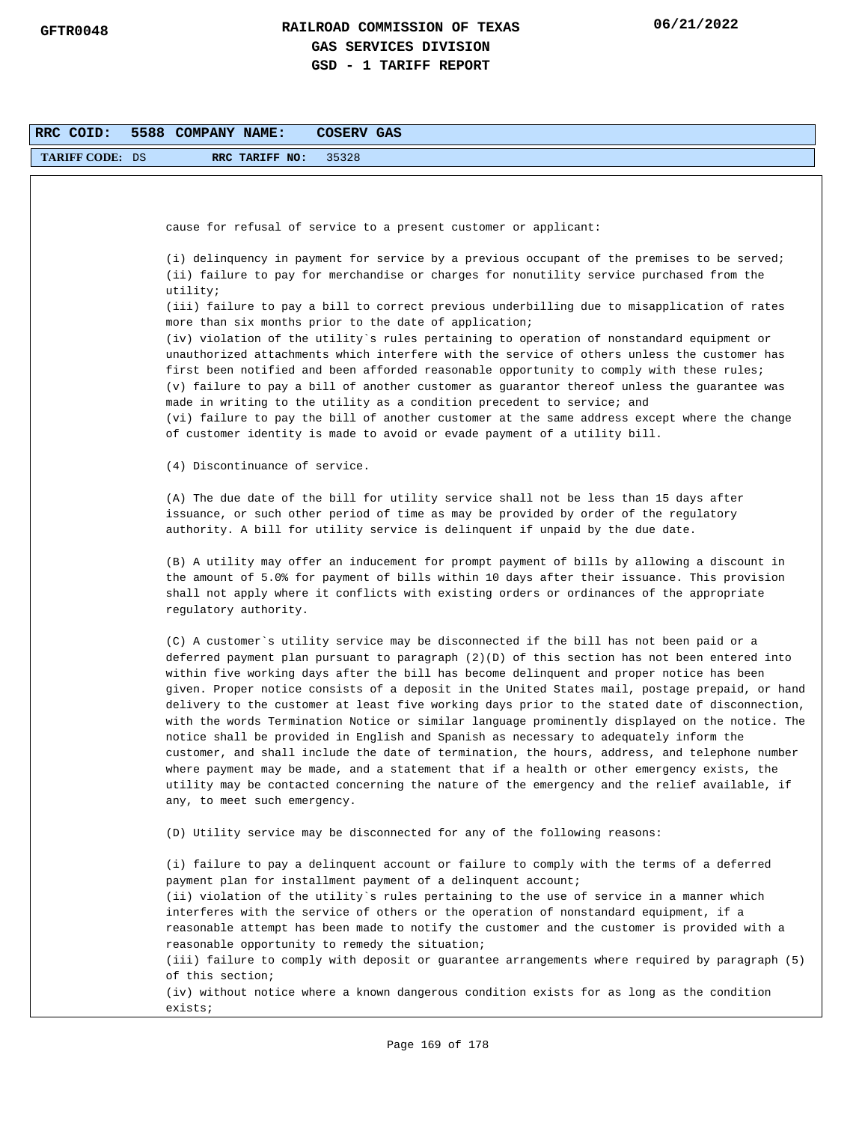| RRC COID:              | 5588 COMPANY NAME:<br>COSERV GAS                                                                                                                                                                                                                                                                                                                                                                                                                                                                                                                                                                                                                                                                                                                                                                                                                                                                                                                                                                                  |
|------------------------|-------------------------------------------------------------------------------------------------------------------------------------------------------------------------------------------------------------------------------------------------------------------------------------------------------------------------------------------------------------------------------------------------------------------------------------------------------------------------------------------------------------------------------------------------------------------------------------------------------------------------------------------------------------------------------------------------------------------------------------------------------------------------------------------------------------------------------------------------------------------------------------------------------------------------------------------------------------------------------------------------------------------|
| <b>TARIFF CODE: DS</b> | 35328<br>RRC TARIFF NO:                                                                                                                                                                                                                                                                                                                                                                                                                                                                                                                                                                                                                                                                                                                                                                                                                                                                                                                                                                                           |
|                        |                                                                                                                                                                                                                                                                                                                                                                                                                                                                                                                                                                                                                                                                                                                                                                                                                                                                                                                                                                                                                   |
|                        | cause for refusal of service to a present customer or applicant:                                                                                                                                                                                                                                                                                                                                                                                                                                                                                                                                                                                                                                                                                                                                                                                                                                                                                                                                                  |
|                        |                                                                                                                                                                                                                                                                                                                                                                                                                                                                                                                                                                                                                                                                                                                                                                                                                                                                                                                                                                                                                   |
|                        | (i) delinquency in payment for service by a previous occupant of the premises to be served;<br>(ii) failure to pay for merchandise or charges for nonutility service purchased from the<br>utility;                                                                                                                                                                                                                                                                                                                                                                                                                                                                                                                                                                                                                                                                                                                                                                                                               |
|                        | (iii) failure to pay a bill to correct previous underbilling due to misapplication of rates<br>more than six months prior to the date of application;                                                                                                                                                                                                                                                                                                                                                                                                                                                                                                                                                                                                                                                                                                                                                                                                                                                             |
|                        | (iv) violation of the utility`s rules pertaining to operation of nonstandard equipment or                                                                                                                                                                                                                                                                                                                                                                                                                                                                                                                                                                                                                                                                                                                                                                                                                                                                                                                         |
|                        | unauthorized attachments which interfere with the service of others unless the customer has<br>first been notified and been afforded reasonable opportunity to comply with these rules;<br>(v) failure to pay a bill of another customer as guarantor thereof unless the guarantee was<br>made in writing to the utility as a condition precedent to service; and<br>(vi) failure to pay the bill of another customer at the same address except where the change<br>of customer identity is made to avoid or evade payment of a utility bill.                                                                                                                                                                                                                                                                                                                                                                                                                                                                    |
|                        | (4) Discontinuance of service.                                                                                                                                                                                                                                                                                                                                                                                                                                                                                                                                                                                                                                                                                                                                                                                                                                                                                                                                                                                    |
|                        | (A) The due date of the bill for utility service shall not be less than 15 days after<br>issuance, or such other period of time as may be provided by order of the regulatory<br>authority. A bill for utility service is delinquent if unpaid by the due date.                                                                                                                                                                                                                                                                                                                                                                                                                                                                                                                                                                                                                                                                                                                                                   |
|                        | (B) A utility may offer an inducement for prompt payment of bills by allowing a discount in<br>the amount of 5.0% for payment of bills within 10 days after their issuance. This provision<br>shall not apply where it conflicts with existing orders or ordinances of the appropriate<br>regulatory authority.                                                                                                                                                                                                                                                                                                                                                                                                                                                                                                                                                                                                                                                                                                   |
|                        | (C) A customer`s utility service may be disconnected if the bill has not been paid or a<br>deferred payment plan pursuant to paragraph (2)(D) of this section has not been entered into<br>within five working days after the bill has become delinquent and proper notice has been<br>given. Proper notice consists of a deposit in the United States mail, postage prepaid, or hand<br>delivery to the customer at least five working days prior to the stated date of disconnection,<br>with the words Termination Notice or similar language prominently displayed on the notice. The<br>notice shall be provided in English and Spanish as necessary to adequately inform the<br>customer, and shall include the date of termination, the hours, address, and telephone number<br>where payment may be made, and a statement that if a health or other emergency exists, the<br>utility may be contacted concerning the nature of the emergency and the relief available, if<br>any, to meet such emergency. |
|                        | (D) Utility service may be disconnected for any of the following reasons:                                                                                                                                                                                                                                                                                                                                                                                                                                                                                                                                                                                                                                                                                                                                                                                                                                                                                                                                         |
|                        | (i) failure to pay a delinquent account or failure to comply with the terms of a deferred<br>payment plan for installment payment of a delinquent account;<br>(ii) violation of the utility's rules pertaining to the use of service in a manner which<br>interferes with the service of others or the operation of nonstandard equipment, if a<br>reasonable attempt has been made to notify the customer and the customer is provided with a<br>reasonable opportunity to remedy the situation;<br>(iii) failure to comply with deposit or guarantee arrangements where required by paragraph (5)<br>of this section;<br>(iv) without notice where a known dangerous condition exists for as long as the condition<br>exists;                                                                                                                                                                                                                                                                                   |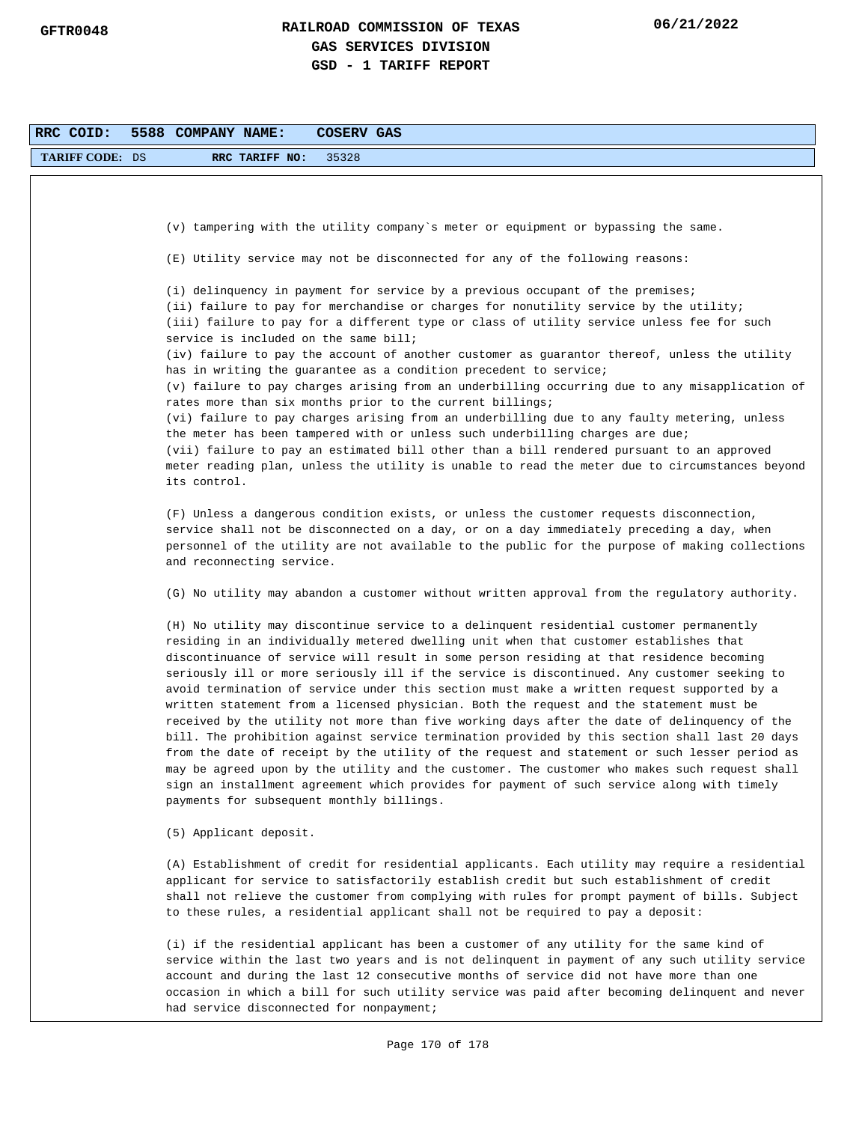| RRC COID:              | 5588 COMPANY NAME:<br>COSERV GAS                                                                                                                                                                                                                                                                                                                                                                                                                                                                                                                                                                                                                                                                                                                                                                                                                                                                                                                                                                                                                                                                                   |
|------------------------|--------------------------------------------------------------------------------------------------------------------------------------------------------------------------------------------------------------------------------------------------------------------------------------------------------------------------------------------------------------------------------------------------------------------------------------------------------------------------------------------------------------------------------------------------------------------------------------------------------------------------------------------------------------------------------------------------------------------------------------------------------------------------------------------------------------------------------------------------------------------------------------------------------------------------------------------------------------------------------------------------------------------------------------------------------------------------------------------------------------------|
| <b>TARIFF CODE: DS</b> | 35328<br>RRC TARIFF NO:                                                                                                                                                                                                                                                                                                                                                                                                                                                                                                                                                                                                                                                                                                                                                                                                                                                                                                                                                                                                                                                                                            |
|                        |                                                                                                                                                                                                                                                                                                                                                                                                                                                                                                                                                                                                                                                                                                                                                                                                                                                                                                                                                                                                                                                                                                                    |
|                        |                                                                                                                                                                                                                                                                                                                                                                                                                                                                                                                                                                                                                                                                                                                                                                                                                                                                                                                                                                                                                                                                                                                    |
|                        | (v) tampering with the utility company's meter or equipment or bypassing the same.                                                                                                                                                                                                                                                                                                                                                                                                                                                                                                                                                                                                                                                                                                                                                                                                                                                                                                                                                                                                                                 |
|                        | (E) Utility service may not be disconnected for any of the following reasons:                                                                                                                                                                                                                                                                                                                                                                                                                                                                                                                                                                                                                                                                                                                                                                                                                                                                                                                                                                                                                                      |
|                        | (i) delinquency in payment for service by a previous occupant of the premises;<br>(ii) failure to pay for merchandise or charges for nonutility service by the utility;<br>(iii) failure to pay for a different type or class of utility service unless fee for such<br>service is included on the same bill;<br>(iv) failure to pay the account of another customer as guarantor thereof, unless the utility                                                                                                                                                                                                                                                                                                                                                                                                                                                                                                                                                                                                                                                                                                      |
|                        | has in writing the guarantee as a condition precedent to service;<br>(v) failure to pay charges arising from an underbilling occurring due to any misapplication of                                                                                                                                                                                                                                                                                                                                                                                                                                                                                                                                                                                                                                                                                                                                                                                                                                                                                                                                                |
|                        | rates more than six months prior to the current billings;<br>(vi) failure to pay charges arising from an underbilling due to any faulty metering, unless<br>the meter has been tampered with or unless such underbilling charges are due;<br>(vii) failure to pay an estimated bill other than a bill rendered pursuant to an approved<br>meter reading plan, unless the utility is unable to read the meter due to circumstances beyond<br>its control.                                                                                                                                                                                                                                                                                                                                                                                                                                                                                                                                                                                                                                                           |
|                        | (F) Unless a dangerous condition exists, or unless the customer requests disconnection,<br>service shall not be disconnected on a day, or on a day immediately preceding a day, when<br>personnel of the utility are not available to the public for the purpose of making collections<br>and reconnecting service.                                                                                                                                                                                                                                                                                                                                                                                                                                                                                                                                                                                                                                                                                                                                                                                                |
|                        | (G) No utility may abandon a customer without written approval from the regulatory authority.                                                                                                                                                                                                                                                                                                                                                                                                                                                                                                                                                                                                                                                                                                                                                                                                                                                                                                                                                                                                                      |
|                        | (H) No utility may discontinue service to a delinquent residential customer permanently<br>residing in an individually metered dwelling unit when that customer establishes that<br>discontinuance of service will result in some person residing at that residence becoming<br>seriously ill or more seriously ill if the service is discontinued. Any customer seeking to<br>avoid termination of service under this section must make a written request supported by a<br>written statement from a licensed physician. Both the request and the statement must be<br>received by the utility not more than five working days after the date of delinquency of the<br>bill. The prohibition against service termination provided by this section shall last 20 days<br>from the date of receipt by the utility of the request and statement or such lesser period as<br>may be agreed upon by the utility and the customer. The customer who makes such request shall<br>sign an installment agreement which provides for payment of such service along with timely<br>payments for subsequent monthly billings. |
|                        | (5) Applicant deposit.                                                                                                                                                                                                                                                                                                                                                                                                                                                                                                                                                                                                                                                                                                                                                                                                                                                                                                                                                                                                                                                                                             |
|                        | (A) Establishment of credit for residential applicants. Each utility may require a residential<br>applicant for service to satisfactorily establish credit but such establishment of credit<br>shall not relieve the customer from complying with rules for prompt payment of bills. Subject<br>to these rules, a residential applicant shall not be required to pay a deposit:                                                                                                                                                                                                                                                                                                                                                                                                                                                                                                                                                                                                                                                                                                                                    |
|                        | (i) if the residential applicant has been a customer of any utility for the same kind of<br>service within the last two years and is not delinquent in payment of any such utility service<br>account and during the last 12 consecutive months of service did not have more than one<br>occasion in which a bill for such utility service was paid after becoming delinquent and never<br>had service disconnected for nonpayment;                                                                                                                                                                                                                                                                                                                                                                                                                                                                                                                                                                                                                                                                                |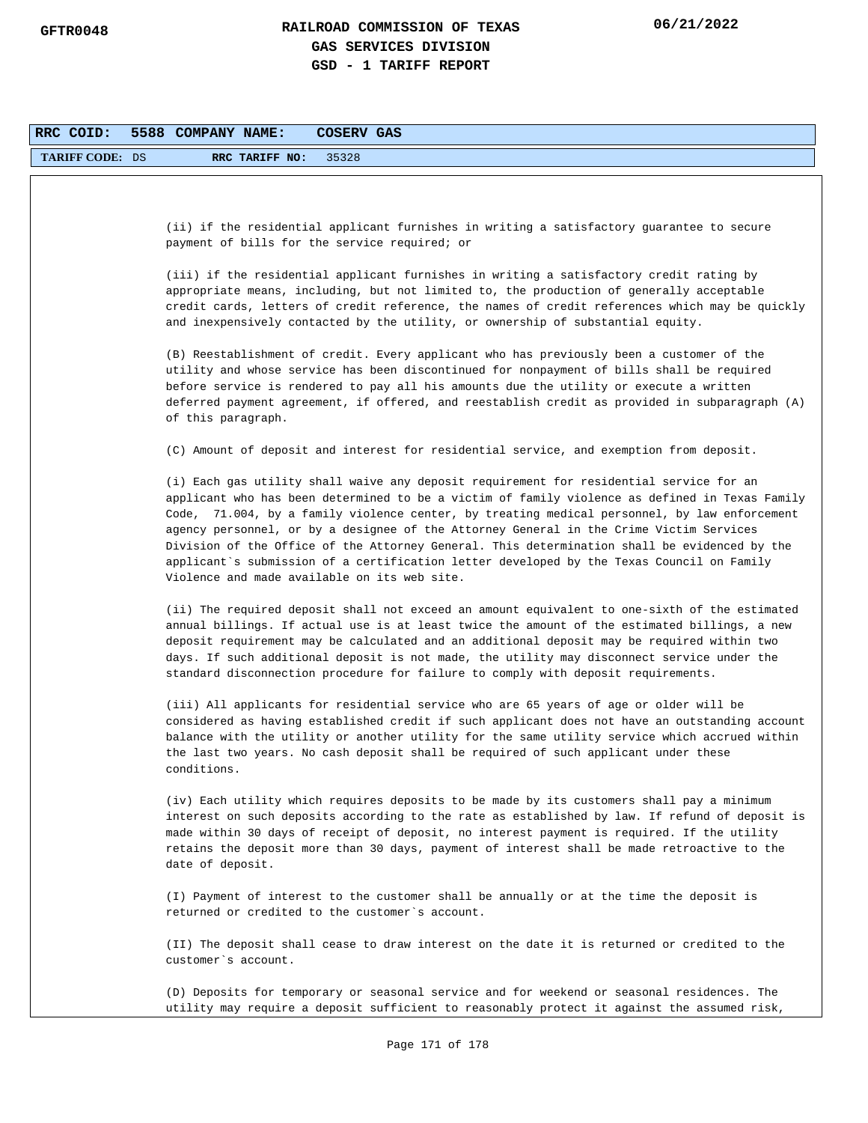| RRC COID:              | 5588 COMPANY NAME:<br>COSERV GAS                                                                                                                                                                                                                                                                                                                                                                                                                                                                                                                                                                                                  |
|------------------------|-----------------------------------------------------------------------------------------------------------------------------------------------------------------------------------------------------------------------------------------------------------------------------------------------------------------------------------------------------------------------------------------------------------------------------------------------------------------------------------------------------------------------------------------------------------------------------------------------------------------------------------|
| <b>TARIFF CODE: DS</b> | 35328<br>RRC TARIFF NO:                                                                                                                                                                                                                                                                                                                                                                                                                                                                                                                                                                                                           |
|                        |                                                                                                                                                                                                                                                                                                                                                                                                                                                                                                                                                                                                                                   |
|                        | (ii) if the residential applicant furnishes in writing a satisfactory guarantee to secure<br>payment of bills for the service required; or                                                                                                                                                                                                                                                                                                                                                                                                                                                                                        |
|                        | (iii) if the residential applicant furnishes in writing a satisfactory credit rating by<br>appropriate means, including, but not limited to, the production of generally acceptable<br>credit cards, letters of credit reference, the names of credit references which may be quickly<br>and inexpensively contacted by the utility, or ownership of substantial equity.                                                                                                                                                                                                                                                          |
|                        | (B) Reestablishment of credit. Every applicant who has previously been a customer of the<br>utility and whose service has been discontinued for nonpayment of bills shall be required<br>before service is rendered to pay all his amounts due the utility or execute a written<br>deferred payment agreement, if offered, and reestablish credit as provided in subparagraph (A)<br>of this paragraph.                                                                                                                                                                                                                           |
|                        | (C) Amount of deposit and interest for residential service, and exemption from deposit.                                                                                                                                                                                                                                                                                                                                                                                                                                                                                                                                           |
|                        | (i) Each gas utility shall waive any deposit requirement for residential service for an<br>applicant who has been determined to be a victim of family violence as defined in Texas Family<br>Code, 71.004, by a family violence center, by treating medical personnel, by law enforcement<br>agency personnel, or by a designee of the Attorney General in the Crime Victim Services<br>Division of the Office of the Attorney General. This determination shall be evidenced by the<br>applicant`s submission of a certification letter developed by the Texas Council on Family<br>Violence and made available on its web site. |
|                        | (ii) The required deposit shall not exceed an amount equivalent to one-sixth of the estimated<br>annual billings. If actual use is at least twice the amount of the estimated billings, a new<br>deposit requirement may be calculated and an additional deposit may be required within two<br>days. If such additional deposit is not made, the utility may disconnect service under the<br>standard disconnection procedure for failure to comply with deposit requirements.                                                                                                                                                    |
|                        | (iii) All applicants for residential service who are 65 years of age or older will be<br>considered as having established credit if such applicant does not have an outstanding account<br>balance with the utility or another utility for the same utility service which accrued within<br>the last two years. No cash deposit shall be required of such applicant under these<br>conditions.                                                                                                                                                                                                                                    |
|                        | (iv) Each utility which requires deposits to be made by its customers shall pay a minimum<br>interest on such deposits according to the rate as established by law. If refund of deposit is<br>made within 30 days of receipt of deposit, no interest payment is required. If the utility<br>retains the deposit more than 30 days, payment of interest shall be made retroactive to the<br>date of deposit.                                                                                                                                                                                                                      |
|                        | (I) Payment of interest to the customer shall be annually or at the time the deposit is<br>returned or credited to the customer's account.                                                                                                                                                                                                                                                                                                                                                                                                                                                                                        |
|                        | (II) The deposit shall cease to draw interest on the date it is returned or credited to the<br>customer's account.                                                                                                                                                                                                                                                                                                                                                                                                                                                                                                                |
|                        | (D) Deposits for temporary or seasonal service and for weekend or seasonal residences. The<br>utility may require a deposit sufficient to reasonably protect it against the assumed risk,                                                                                                                                                                                                                                                                                                                                                                                                                                         |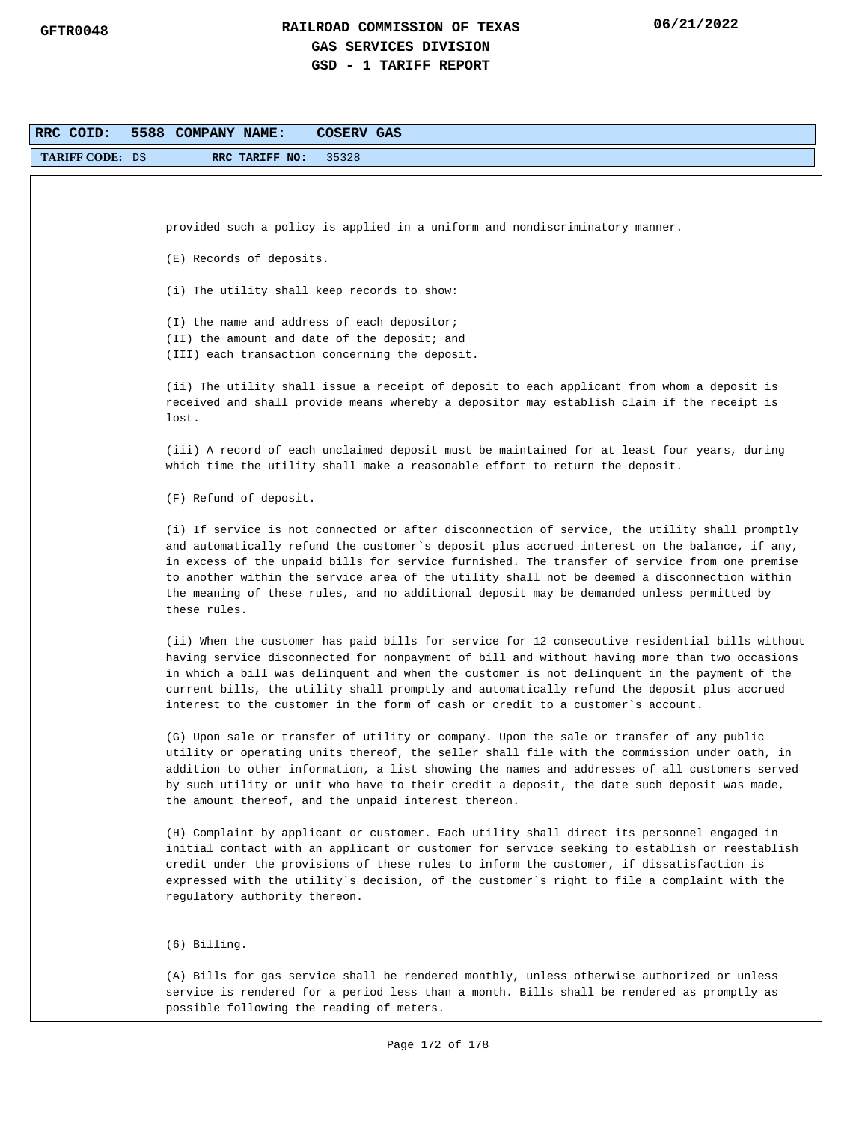| RRC COID:<br>5588 COMPANY NAME:<br>COSERV GAS |                                                                                                                                                                                                |  |  |  |  |
|-----------------------------------------------|------------------------------------------------------------------------------------------------------------------------------------------------------------------------------------------------|--|--|--|--|
| <b>TARIFF CODE: DS</b>                        | 35328<br>RRC TARIFF NO:                                                                                                                                                                        |  |  |  |  |
|                                               |                                                                                                                                                                                                |  |  |  |  |
|                                               |                                                                                                                                                                                                |  |  |  |  |
|                                               | provided such a policy is applied in a uniform and nondiscriminatory manner.                                                                                                                   |  |  |  |  |
|                                               | (E) Records of deposits.                                                                                                                                                                       |  |  |  |  |
|                                               |                                                                                                                                                                                                |  |  |  |  |
|                                               | (i) The utility shall keep records to show:                                                                                                                                                    |  |  |  |  |
|                                               | (I) the name and address of each depositor;                                                                                                                                                    |  |  |  |  |
|                                               | (II) the amount and date of the deposit; and<br>(III) each transaction concerning the deposit.                                                                                                 |  |  |  |  |
|                                               |                                                                                                                                                                                                |  |  |  |  |
|                                               | (ii) The utility shall issue a receipt of deposit to each applicant from whom a deposit is<br>received and shall provide means whereby a depositor may establish claim if the receipt is       |  |  |  |  |
|                                               | lost.                                                                                                                                                                                          |  |  |  |  |
|                                               |                                                                                                                                                                                                |  |  |  |  |
|                                               | (iii) A record of each unclaimed deposit must be maintained for at least four years, during<br>which time the utility shall make a reasonable effort to return the deposit.                    |  |  |  |  |
|                                               |                                                                                                                                                                                                |  |  |  |  |
|                                               | (F) Refund of deposit.                                                                                                                                                                         |  |  |  |  |
|                                               | (i) If service is not connected or after disconnection of service, the utility shall promptly                                                                                                  |  |  |  |  |
|                                               | and automatically refund the customer`s deposit plus accrued interest on the balance, if any,<br>in excess of the unpaid bills for service furnished. The transfer of service from one premise |  |  |  |  |
|                                               | to another within the service area of the utility shall not be deemed a disconnection within                                                                                                   |  |  |  |  |
|                                               | the meaning of these rules, and no additional deposit may be demanded unless permitted by<br>these rules.                                                                                      |  |  |  |  |
|                                               |                                                                                                                                                                                                |  |  |  |  |
|                                               | (ii) When the customer has paid bills for service for 12 consecutive residential bills without                                                                                                 |  |  |  |  |
|                                               | having service disconnected for nonpayment of bill and without having more than two occasions<br>in which a bill was delinquent and when the customer is not delinquent in the payment of the  |  |  |  |  |
|                                               | current bills, the utility shall promptly and automatically refund the deposit plus accrued                                                                                                    |  |  |  |  |
|                                               | interest to the customer in the form of cash or credit to a customer's account.                                                                                                                |  |  |  |  |
|                                               | (G) Upon sale or transfer of utility or company. Upon the sale or transfer of any public                                                                                                       |  |  |  |  |
|                                               | utility or operating units thereof, the seller shall file with the commission under oath, in<br>addition to other information, a list showing the names and addresses of all customers served  |  |  |  |  |
|                                               | by such utility or unit who have to their credit a deposit, the date such deposit was made,                                                                                                    |  |  |  |  |
|                                               | the amount thereof, and the unpaid interest thereon.                                                                                                                                           |  |  |  |  |
|                                               | (H) Complaint by applicant or customer. Each utility shall direct its personnel engaged in                                                                                                     |  |  |  |  |
|                                               | initial contact with an applicant or customer for service seeking to establish or reestablish                                                                                                  |  |  |  |  |
|                                               | credit under the provisions of these rules to inform the customer, if dissatisfaction is<br>expressed with the utility`s decision, of the customer`s right to file a complaint with the        |  |  |  |  |
|                                               | regulatory authority thereon.                                                                                                                                                                  |  |  |  |  |
|                                               |                                                                                                                                                                                                |  |  |  |  |
|                                               | $(6)$ Billing.                                                                                                                                                                                 |  |  |  |  |
|                                               | (A) Bills for gas service shall be rendered monthly, unless otherwise authorized or unless                                                                                                     |  |  |  |  |
|                                               | service is rendered for a period less than a month. Bills shall be rendered as promptly as                                                                                                     |  |  |  |  |
|                                               | possible following the reading of meters.                                                                                                                                                      |  |  |  |  |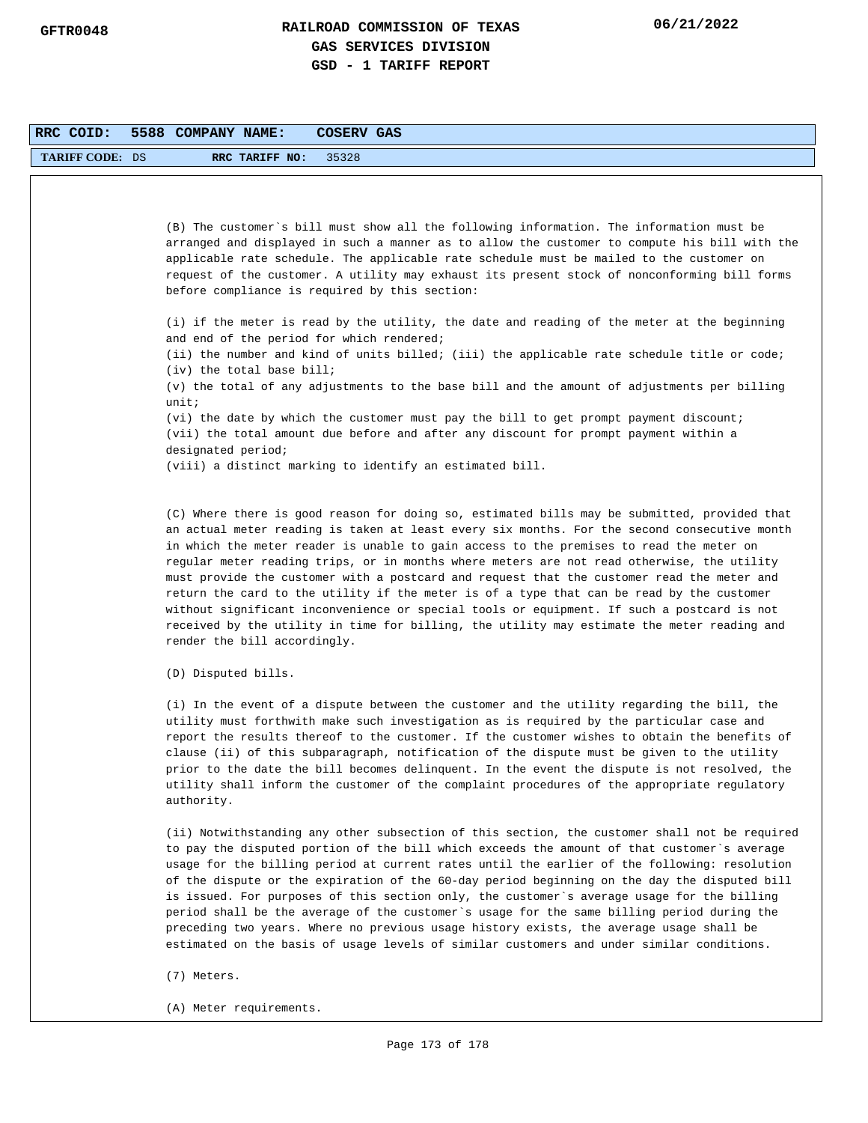| RRC COID:              | 5588 COMPANY NAME:<br>COSERV GAS                                                                                                                                                         |
|------------------------|------------------------------------------------------------------------------------------------------------------------------------------------------------------------------------------|
| <b>TARIFF CODE: DS</b> | 35328<br>RRC TARIFF NO:                                                                                                                                                                  |
|                        |                                                                                                                                                                                          |
|                        |                                                                                                                                                                                          |
|                        | (B) The customer's bill must show all the following information. The information must be                                                                                                 |
|                        | arranged and displayed in such a manner as to allow the customer to compute his bill with the                                                                                            |
|                        | applicable rate schedule. The applicable rate schedule must be mailed to the customer on<br>request of the customer. A utility may exhaust its present stock of nonconforming bill forms |
|                        | before compliance is required by this section:                                                                                                                                           |
|                        |                                                                                                                                                                                          |
|                        | (i) if the meter is read by the utility, the date and reading of the meter at the beginning                                                                                              |
|                        | and end of the period for which rendered;                                                                                                                                                |
|                        | (ii) the number and kind of units billed; (iii) the applicable rate schedule title or code;                                                                                              |
|                        | (iv) the total base bill;                                                                                                                                                                |
|                        | (v) the total of any adjustments to the base bill and the amount of adjustments per billing                                                                                              |
|                        | unit;                                                                                                                                                                                    |
|                        | (vi) the date by which the customer must pay the bill to get prompt payment discount;                                                                                                    |
|                        | (vii) the total amount due before and after any discount for prompt payment within a                                                                                                     |
|                        | designated period;                                                                                                                                                                       |
|                        | (viii) a distinct marking to identify an estimated bill.                                                                                                                                 |

(C) Where there is good reason for doing so, estimated bills may be submitted, provided that an actual meter reading is taken at least every six months. For the second consecutive month in which the meter reader is unable to gain access to the premises to read the meter on regular meter reading trips, or in months where meters are not read otherwise, the utility must provide the customer with a postcard and request that the customer read the meter and return the card to the utility if the meter is of a type that can be read by the customer without significant inconvenience or special tools or equipment. If such a postcard is not received by the utility in time for billing, the utility may estimate the meter reading and render the bill accordingly.

(D) Disputed bills.

(i) In the event of a dispute between the customer and the utility regarding the bill, the utility must forthwith make such investigation as is required by the particular case and report the results thereof to the customer. If the customer wishes to obtain the benefits of clause (ii) of this subparagraph, notification of the dispute must be given to the utility prior to the date the bill becomes delinquent. In the event the dispute is not resolved, the utility shall inform the customer of the complaint procedures of the appropriate regulatory authority.

(ii) Notwithstanding any other subsection of this section, the customer shall not be required to pay the disputed portion of the bill which exceeds the amount of that customer`s average usage for the billing period at current rates until the earlier of the following: resolution of the dispute or the expiration of the 60-day period beginning on the day the disputed bill is issued. For purposes of this section only, the customer`s average usage for the billing period shall be the average of the customer`s usage for the same billing period during the preceding two years. Where no previous usage history exists, the average usage shall be estimated on the basis of usage levels of similar customers and under similar conditions.

(7) Meters.

(A) Meter requirements.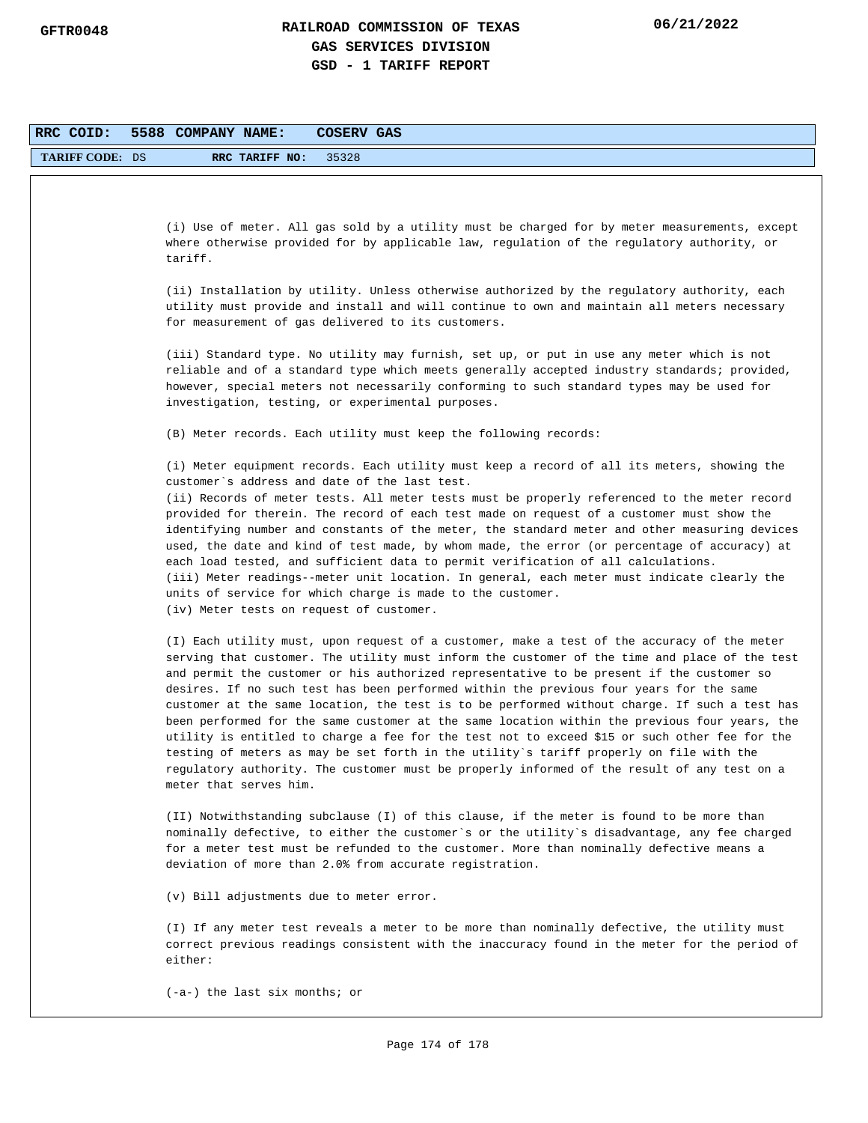| RRC COID:              | 5588 COMPANY NAME:<br>COSERV GAS                                                                                                                                                                                                                                                                                                                                                                                                                                                                                                                                                                                                                                                                                                                                                                                                                                                                            |
|------------------------|-------------------------------------------------------------------------------------------------------------------------------------------------------------------------------------------------------------------------------------------------------------------------------------------------------------------------------------------------------------------------------------------------------------------------------------------------------------------------------------------------------------------------------------------------------------------------------------------------------------------------------------------------------------------------------------------------------------------------------------------------------------------------------------------------------------------------------------------------------------------------------------------------------------|
| <b>TARIFF CODE: DS</b> | RRC TARIFF NO:<br>35328                                                                                                                                                                                                                                                                                                                                                                                                                                                                                                                                                                                                                                                                                                                                                                                                                                                                                     |
|                        |                                                                                                                                                                                                                                                                                                                                                                                                                                                                                                                                                                                                                                                                                                                                                                                                                                                                                                             |
|                        |                                                                                                                                                                                                                                                                                                                                                                                                                                                                                                                                                                                                                                                                                                                                                                                                                                                                                                             |
|                        | (i) Use of meter. All gas sold by a utility must be charged for by meter measurements, except<br>where otherwise provided for by applicable law, regulation of the regulatory authority, or                                                                                                                                                                                                                                                                                                                                                                                                                                                                                                                                                                                                                                                                                                                 |
|                        | tariff.                                                                                                                                                                                                                                                                                                                                                                                                                                                                                                                                                                                                                                                                                                                                                                                                                                                                                                     |
|                        | (ii) Installation by utility. Unless otherwise authorized by the regulatory authority, each<br>utility must provide and install and will continue to own and maintain all meters necessary                                                                                                                                                                                                                                                                                                                                                                                                                                                                                                                                                                                                                                                                                                                  |
|                        | for measurement of gas delivered to its customers.                                                                                                                                                                                                                                                                                                                                                                                                                                                                                                                                                                                                                                                                                                                                                                                                                                                          |
|                        | (iii) Standard type. No utility may furnish, set up, or put in use any meter which is not<br>reliable and of a standard type which meets generally accepted industry standards; provided,<br>however, special meters not necessarily conforming to such standard types may be used for<br>investigation, testing, or experimental purposes.                                                                                                                                                                                                                                                                                                                                                                                                                                                                                                                                                                 |
|                        | (B) Meter records. Each utility must keep the following records:                                                                                                                                                                                                                                                                                                                                                                                                                                                                                                                                                                                                                                                                                                                                                                                                                                            |
|                        | (i) Meter equipment records. Each utility must keep a record of all its meters, showing the<br>customer's address and date of the last test.                                                                                                                                                                                                                                                                                                                                                                                                                                                                                                                                                                                                                                                                                                                                                                |
|                        | (ii) Records of meter tests. All meter tests must be properly referenced to the meter record                                                                                                                                                                                                                                                                                                                                                                                                                                                                                                                                                                                                                                                                                                                                                                                                                |
|                        | provided for therein. The record of each test made on request of a customer must show the<br>identifying number and constants of the meter, the standard meter and other measuring devices<br>used, the date and kind of test made, by whom made, the error (or percentage of accuracy) at<br>each load tested, and sufficient data to permit verification of all calculations.<br>(iii) Meter readings--meter unit location. In general, each meter must indicate clearly the<br>units of service for which charge is made to the customer.                                                                                                                                                                                                                                                                                                                                                                |
|                        | (iv) Meter tests on request of customer.                                                                                                                                                                                                                                                                                                                                                                                                                                                                                                                                                                                                                                                                                                                                                                                                                                                                    |
|                        | (I) Each utility must, upon request of a customer, make a test of the accuracy of the meter<br>serving that customer. The utility must inform the customer of the time and place of the test<br>and permit the customer or his authorized representative to be present if the customer so<br>desires. If no such test has been performed within the previous four years for the same<br>customer at the same location, the test is to be performed without charge. If such a test has<br>been performed for the same customer at the same location within the previous four years, the<br>utility is entitled to charge a fee for the test not to exceed \$15 or such other fee for the<br>testing of meters as may be set forth in the utility's tariff properly on file with the<br>regulatory authority. The customer must be properly informed of the result of any test on a<br>meter that serves him. |
|                        | (II) Notwithstanding subclause (I) of this clause, if the meter is found to be more than<br>nominally defective, to either the customer's or the utility's disadvantage, any fee charged<br>for a meter test must be refunded to the customer. More than nominally defective means a<br>deviation of more than 2.0% from accurate registration.                                                                                                                                                                                                                                                                                                                                                                                                                                                                                                                                                             |
|                        | (v) Bill adjustments due to meter error.                                                                                                                                                                                                                                                                                                                                                                                                                                                                                                                                                                                                                                                                                                                                                                                                                                                                    |
|                        | (I) If any meter test reveals a meter to be more than nominally defective, the utility must<br>correct previous readings consistent with the inaccuracy found in the meter for the period of<br>either:                                                                                                                                                                                                                                                                                                                                                                                                                                                                                                                                                                                                                                                                                                     |
|                        | $(-a-)$ the last six months; or                                                                                                                                                                                                                                                                                                                                                                                                                                                                                                                                                                                                                                                                                                                                                                                                                                                                             |
|                        |                                                                                                                                                                                                                                                                                                                                                                                                                                                                                                                                                                                                                                                                                                                                                                                                                                                                                                             |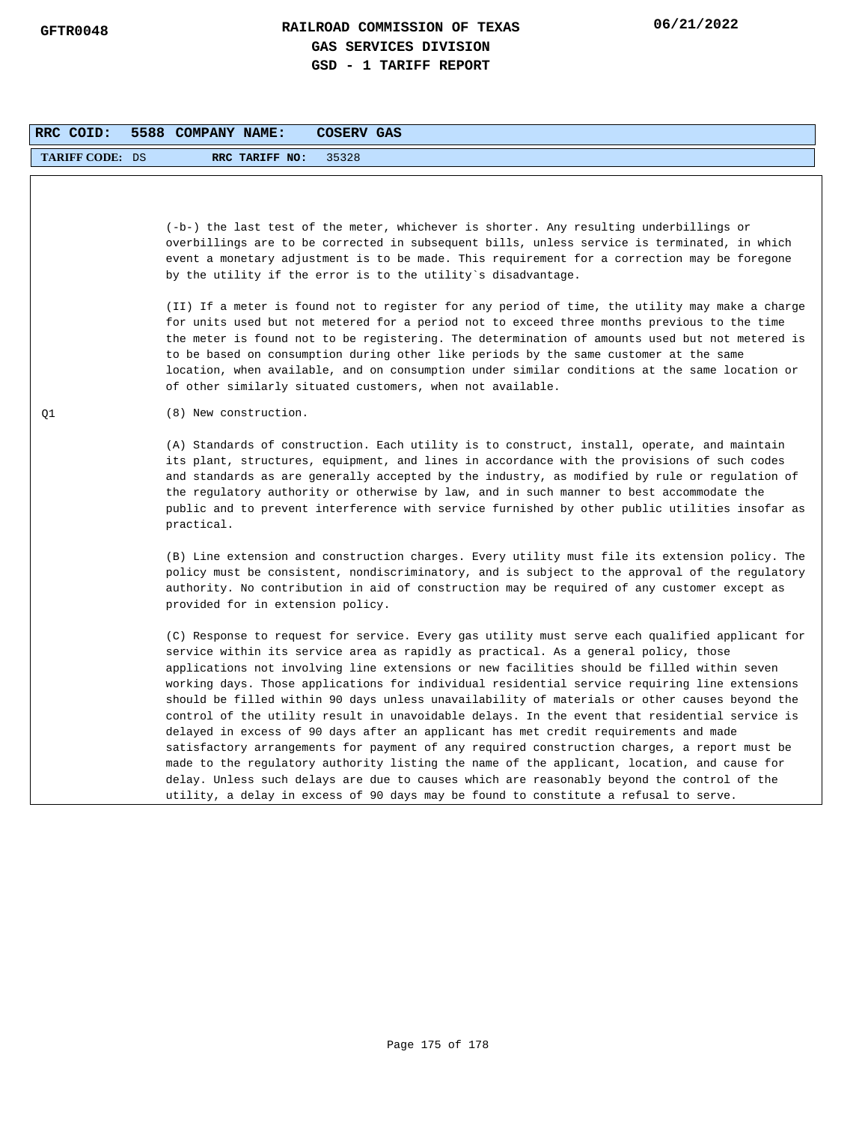| RRC COID:              | 5588 COMPANY NAME:<br>COSERV GAS                                                                                                                                                                                                                                                                                                                                                                                                                                                                                                                                                                                                                                                                                                                                                                                                                                                                                                                                                                                                                                    |
|------------------------|---------------------------------------------------------------------------------------------------------------------------------------------------------------------------------------------------------------------------------------------------------------------------------------------------------------------------------------------------------------------------------------------------------------------------------------------------------------------------------------------------------------------------------------------------------------------------------------------------------------------------------------------------------------------------------------------------------------------------------------------------------------------------------------------------------------------------------------------------------------------------------------------------------------------------------------------------------------------------------------------------------------------------------------------------------------------|
| <b>TARIFF CODE: DS</b> | RRC TARIFF NO:<br>35328                                                                                                                                                                                                                                                                                                                                                                                                                                                                                                                                                                                                                                                                                                                                                                                                                                                                                                                                                                                                                                             |
|                        | (-b-) the last test of the meter, whichever is shorter. Any resulting underbillings or<br>overbillings are to be corrected in subsequent bills, unless service is terminated, in which<br>event a monetary adjustment is to be made. This requirement for a correction may be foregone<br>by the utility if the error is to the utility's disadvantage.                                                                                                                                                                                                                                                                                                                                                                                                                                                                                                                                                                                                                                                                                                             |
|                        | (II) If a meter is found not to register for any period of time, the utility may make a charge<br>for units used but not metered for a period not to exceed three months previous to the time<br>the meter is found not to be registering. The determination of amounts used but not metered is<br>to be based on consumption during other like periods by the same customer at the same<br>location, when available, and on consumption under similar conditions at the same location or<br>of other similarly situated customers, when not available.                                                                                                                                                                                                                                                                                                                                                                                                                                                                                                             |
| Q1                     | (8) New construction.                                                                                                                                                                                                                                                                                                                                                                                                                                                                                                                                                                                                                                                                                                                                                                                                                                                                                                                                                                                                                                               |
|                        | (A) Standards of construction. Each utility is to construct, install, operate, and maintain<br>its plant, structures, equipment, and lines in accordance with the provisions of such codes<br>and standards as are generally accepted by the industry, as modified by rule or regulation of<br>the regulatory authority or otherwise by law, and in such manner to best accommodate the<br>public and to prevent interference with service furnished by other public utilities insofar as<br>practical.                                                                                                                                                                                                                                                                                                                                                                                                                                                                                                                                                             |
|                        | (B) Line extension and construction charges. Every utility must file its extension policy. The<br>policy must be consistent, nondiscriminatory, and is subject to the approval of the regulatory<br>authority. No contribution in aid of construction may be required of any customer except as<br>provided for in extension policy.                                                                                                                                                                                                                                                                                                                                                                                                                                                                                                                                                                                                                                                                                                                                |
|                        | (C) Response to request for service. Every gas utility must serve each qualified applicant for<br>service within its service area as rapidly as practical. As a general policy, those<br>applications not involving line extensions or new facilities should be filled within seven<br>working days. Those applications for individual residential service requiring line extensions<br>should be filled within 90 days unless unavailability of materials or other causes beyond the<br>control of the utility result in unavoidable delays. In the event that residential service is<br>delayed in excess of 90 days after an applicant has met credit requirements and made<br>satisfactory arrangements for payment of any required construction charges, a report must be<br>made to the regulatory authority listing the name of the applicant, location, and cause for<br>delay. Unless such delays are due to causes which are reasonably beyond the control of the<br>utility, a delay in excess of 90 days may be found to constitute a refusal to serve. |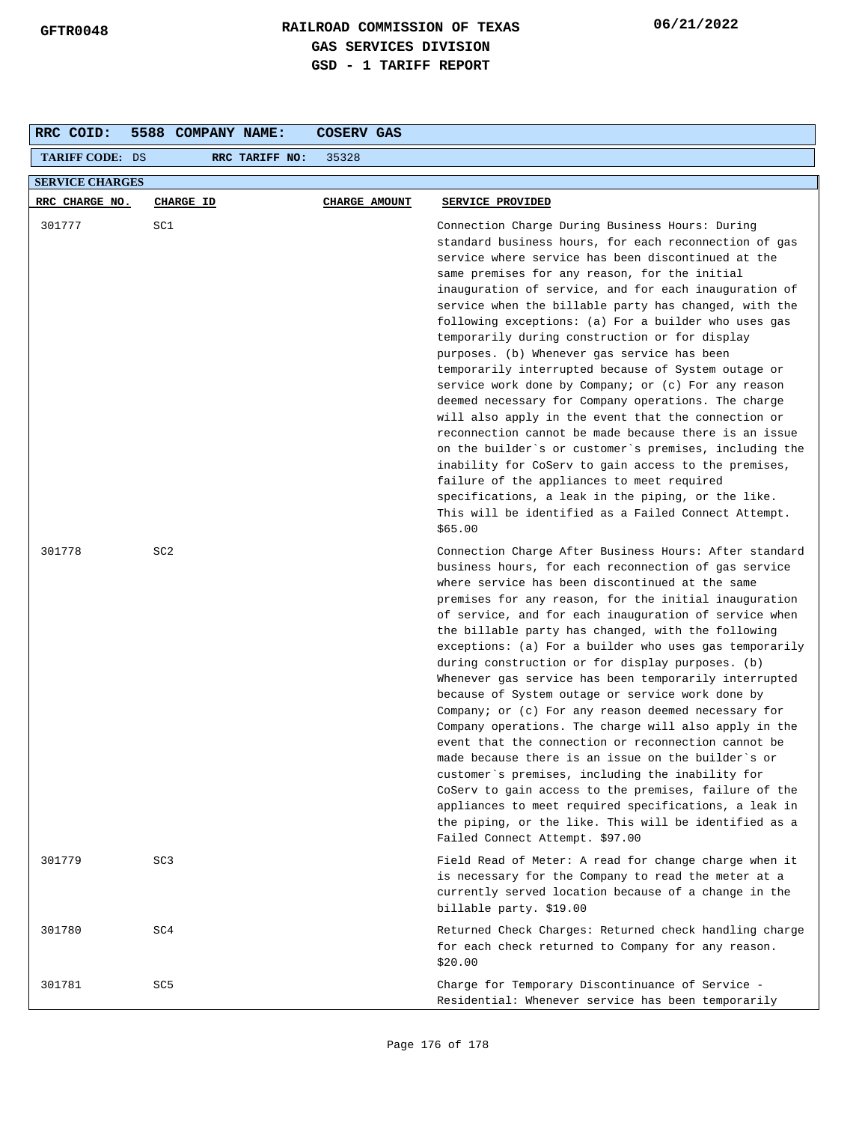| RRC COID:              | 5588 COMPANY NAME: | COSERV GAS           |                                                                                                                                                                                                                                                                                                                                                                                                                                                                                                                                                                                                                                                                                                                                                                                                                                                                                                                                                                                                                                                                          |  |  |  |
|------------------------|--------------------|----------------------|--------------------------------------------------------------------------------------------------------------------------------------------------------------------------------------------------------------------------------------------------------------------------------------------------------------------------------------------------------------------------------------------------------------------------------------------------------------------------------------------------------------------------------------------------------------------------------------------------------------------------------------------------------------------------------------------------------------------------------------------------------------------------------------------------------------------------------------------------------------------------------------------------------------------------------------------------------------------------------------------------------------------------------------------------------------------------|--|--|--|
| <b>TARIFF CODE: DS</b> | RRC TARIFF NO:     | 35328                |                                                                                                                                                                                                                                                                                                                                                                                                                                                                                                                                                                                                                                                                                                                                                                                                                                                                                                                                                                                                                                                                          |  |  |  |
| <b>SERVICE CHARGES</b> |                    |                      |                                                                                                                                                                                                                                                                                                                                                                                                                                                                                                                                                                                                                                                                                                                                                                                                                                                                                                                                                                                                                                                                          |  |  |  |
| RRC CHARGE NO.         | CHARGE ID          | <b>CHARGE AMOUNT</b> | SERVICE PROVIDED                                                                                                                                                                                                                                                                                                                                                                                                                                                                                                                                                                                                                                                                                                                                                                                                                                                                                                                                                                                                                                                         |  |  |  |
| 301777                 | SC1                |                      | Connection Charge During Business Hours: During<br>standard business hours, for each reconnection of gas<br>service where service has been discontinued at the<br>same premises for any reason, for the initial<br>inauguration of service, and for each inauguration of<br>service when the billable party has changed, with the<br>following exceptions: (a) For a builder who uses gas<br>temporarily during construction or for display<br>purposes. (b) Whenever gas service has been<br>temporarily interrupted because of System outage or<br>service work done by Company; or (c) For any reason<br>deemed necessary for Company operations. The charge<br>will also apply in the event that the connection or<br>reconnection cannot be made because there is an issue<br>on the builder's or customer's premises, including the<br>inability for CoServ to gain access to the premises,<br>failure of the appliances to meet required<br>specifications, a leak in the piping, or the like.<br>This will be identified as a Failed Connect Attempt.<br>\$65.00 |  |  |  |
| 301778                 | SC <sub>2</sub>    |                      | Connection Charge After Business Hours: After standard<br>business hours, for each reconnection of gas service<br>where service has been discontinued at the same<br>premises for any reason, for the initial inauguration<br>of service, and for each inauguration of service when<br>the billable party has changed, with the following<br>exceptions: (a) For a builder who uses gas temporarily<br>during construction or for display purposes. (b)<br>Whenever gas service has been temporarily interrupted<br>because of System outage or service work done by<br>Company; or (c) For any reason deemed necessary for<br>Company operations. The charge will also apply in the<br>event that the connection or reconnection cannot be<br>made because there is an issue on the builder's or<br>customer's premises, including the inability for<br>CoServ to gain access to the premises, failure of the<br>appliances to meet required specifications, a leak in<br>the piping, or the like. This will be identified as a<br>Failed Connect Attempt. \$97.00      |  |  |  |
| 301779                 | SC <sub>3</sub>    |                      | Field Read of Meter: A read for change charge when it<br>is necessary for the Company to read the meter at a<br>currently served location because of a change in the<br>billable party. \$19.00                                                                                                                                                                                                                                                                                                                                                                                                                                                                                                                                                                                                                                                                                                                                                                                                                                                                          |  |  |  |
| 301780                 | SC4                |                      | Returned Check Charges: Returned check handling charge<br>for each check returned to Company for any reason.<br>\$20.00                                                                                                                                                                                                                                                                                                                                                                                                                                                                                                                                                                                                                                                                                                                                                                                                                                                                                                                                                  |  |  |  |
| 301781                 | SC5                |                      | Charge for Temporary Discontinuance of Service -<br>Residential: Whenever service has been temporarily                                                                                                                                                                                                                                                                                                                                                                                                                                                                                                                                                                                                                                                                                                                                                                                                                                                                                                                                                                   |  |  |  |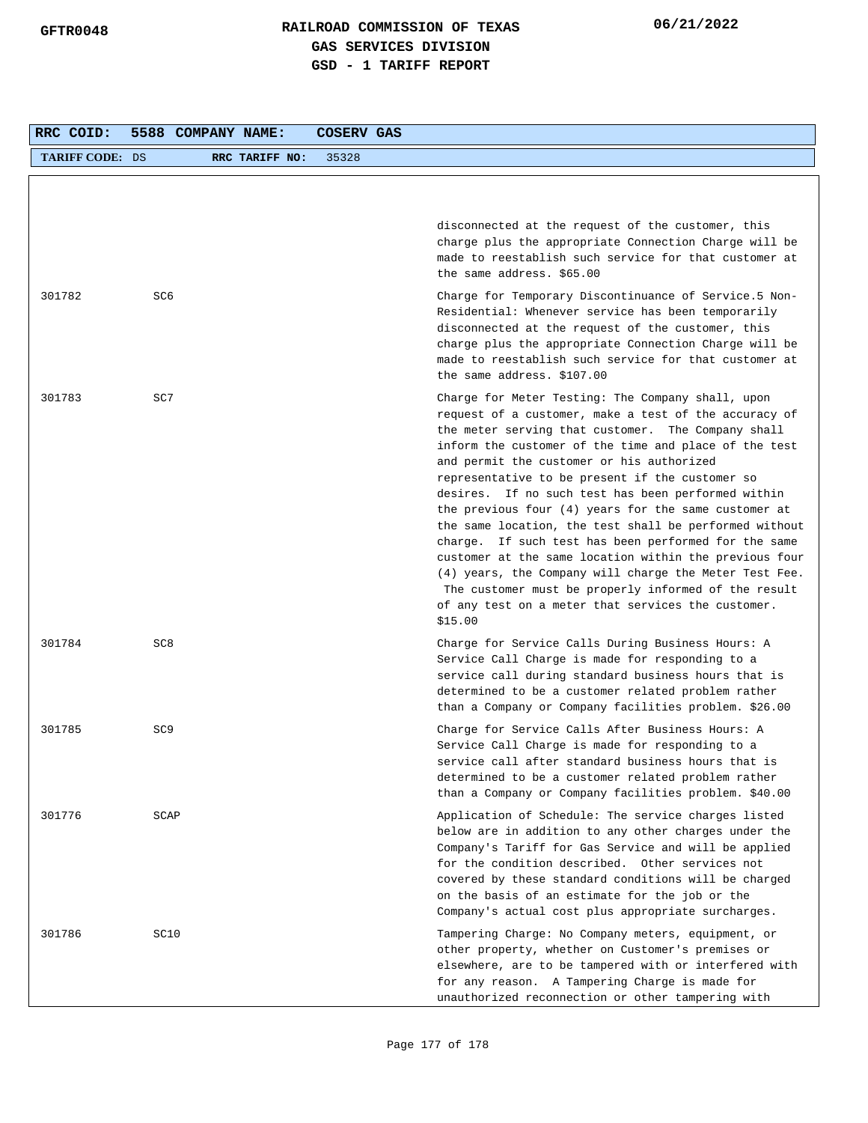| RRC COID:              | 5588 COMPANY NAME: |                | COSERV GAS |                                                                                                                                                                                                                                                                                                                                                                                                                                                                                                                                                                                                                                                                                                                                                                                                          |
|------------------------|--------------------|----------------|------------|----------------------------------------------------------------------------------------------------------------------------------------------------------------------------------------------------------------------------------------------------------------------------------------------------------------------------------------------------------------------------------------------------------------------------------------------------------------------------------------------------------------------------------------------------------------------------------------------------------------------------------------------------------------------------------------------------------------------------------------------------------------------------------------------------------|
| <b>TARIFF CODE: DS</b> |                    | RRC TARIFF NO: | 35328      |                                                                                                                                                                                                                                                                                                                                                                                                                                                                                                                                                                                                                                                                                                                                                                                                          |
|                        |                    |                |            |                                                                                                                                                                                                                                                                                                                                                                                                                                                                                                                                                                                                                                                                                                                                                                                                          |
|                        |                    |                |            | disconnected at the request of the customer, this<br>charge plus the appropriate Connection Charge will be<br>made to reestablish such service for that customer at<br>the same address. \$65.00                                                                                                                                                                                                                                                                                                                                                                                                                                                                                                                                                                                                         |
| 301782                 | SC6                |                |            | Charge for Temporary Discontinuance of Service.5 Non-<br>Residential: Whenever service has been temporarily<br>disconnected at the request of the customer, this<br>charge plus the appropriate Connection Charge will be<br>made to reestablish such service for that customer at<br>the same address. \$107.00                                                                                                                                                                                                                                                                                                                                                                                                                                                                                         |
| 301783                 | SC7                |                |            | Charge for Meter Testing: The Company shall, upon<br>request of a customer, make a test of the accuracy of<br>the meter serving that customer. The Company shall<br>inform the customer of the time and place of the test<br>and permit the customer or his authorized<br>representative to be present if the customer so<br>desires. If no such test has been performed within<br>the previous four $(4)$ years for the same customer at<br>the same location, the test shall be performed without<br>charge. If such test has been performed for the same<br>customer at the same location within the previous four<br>(4) years, the Company will charge the Meter Test Fee.<br>The customer must be properly informed of the result<br>of any test on a meter that services the customer.<br>\$15.00 |
| 301784                 | SC <sub>8</sub>    |                |            | Charge for Service Calls During Business Hours: A<br>Service Call Charge is made for responding to a<br>service call during standard business hours that is<br>determined to be a customer related problem rather<br>than a Company or Company facilities problem. \$26.00                                                                                                                                                                                                                                                                                                                                                                                                                                                                                                                               |
| 301785                 | SC <sub>9</sub>    |                |            | Charge for Service Calls After Business Hours: A<br>Service Call Charge is made for responding to a<br>service call after standard business hours that is<br>determined to be a customer related problem rather<br>than a Company or Company facilities problem. \$40.00                                                                                                                                                                                                                                                                                                                                                                                                                                                                                                                                 |
| 301776                 | SCAP               |                |            | Application of Schedule: The service charges listed<br>below are in addition to any other charges under the<br>Company's Tariff for Gas Service and will be applied<br>for the condition described. Other services not<br>covered by these standard conditions will be charged<br>on the basis of an estimate for the job or the<br>Company's actual cost plus appropriate surcharges.                                                                                                                                                                                                                                                                                                                                                                                                                   |
| 301786                 | SC10               |                |            | Tampering Charge: No Company meters, equipment, or<br>other property, whether on Customer's premises or<br>elsewhere, are to be tampered with or interfered with<br>for any reason. A Tampering Charge is made for<br>unauthorized reconnection or other tampering with                                                                                                                                                                                                                                                                                                                                                                                                                                                                                                                                  |